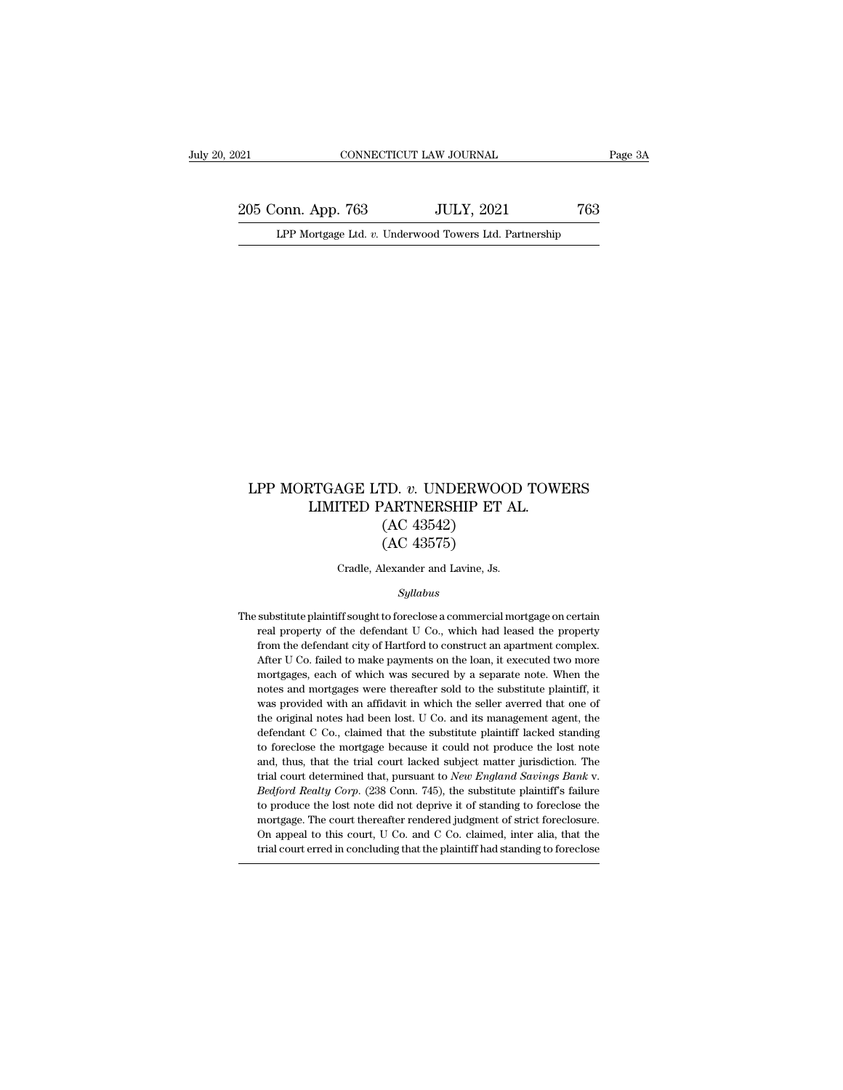205 Conn. App. 763 JULY, 2021 763<br>Page 3A LPP Mortgage Ltd. v. Underwood Towers Ltd. Partnership Equal CONNECTICUT LAW JOURNAL Page 3A<br>
205 Conn. App. 763 JULY, 2021 763<br>
LPP Mortgage Ltd. *v.* Underwood Towers Ltd. Partnership

### LPP MORTGAGE LTD. *v*. UNDERWOOD TOWERS<br>LIMITED PARTNERSHIP ET AL. RTGAGE LTD.  $v$ . UNDERWOOD TOWE<br>LIMITED PARTNERSHIP ET AL.<br>(AC 43542)<br>(AC 43575) ID. v. UNDERWOC<br>PARTNERSHIP ET .<br>(AC 43542)<br>(AC 43575) TD. v. UNDERWOC<br>'ARTNERSHIP ET<br>(AC 43542)<br>(AC 43575)<br>lexander and Lavine, Js. LPP MORTGAGE LTD.  $v$ . UNDERWOOD TOWERS<br>LIMITED PARTNERSHIP ET AL.<br>(AC 43542)<br>(AC 43575)<br>Cradle, Alexander and Lavine, Js.

### *Syllabus*

 $\left( \text{AC } 43575 \right)$  Cradle, Alexander and Lavine, Js.<br>
Syllabus<br>
The substitute plaintiff sought to foreclose a commercial mortgage on certain<br>
real property of the defendant U Co., which had leased the property Cradle, Alexander and Lavine, Js.<br>Syllabus<br>substitute plaintiff sought to foreclose a commercial mortgage on certain<br>real property of the defendant U Co., which had leased the property<br>from the defendant city of Hartford t From the defendant city of Hartford to construct an apartment complex.<br>From the defendant city of Hartford to construct an apartment complex.<br>After U Co. failed to make payments on the loan, it executed two more Syllabus<br>
Syllabus<br>
Syllabus<br>
Syllabus<br>
The property of the defendant U Co., which had leased the property<br>
from the defendant city of Hartford to construct an apartment complex.<br>
After U Co. failed to make payments on the substitute plaintiff sought to foreclose a commercial mortgage on certain<br>real property of the defendant U Co., which had leased the property<br>from the defendant city of Hartford to construct an apartment complex.<br>After U C substitute plaintiff sought to foreclose a commercial mortgage on certain<br>real property of the defendant U Co., which had leased the property<br>from the defendant city of Hartford to construct an apartment complex.<br>After U C real property of the defendant U Co., which had leased the property from the defendant city of Hartford to construct an apartment complex. After U Co. failed to make payments on the loan, it executed two more mortgages, ea from the defendant city of Hartford to construct an apartment complex.<br>After U Co. failed to make payments on the loan, it executed two more<br>mortgages, each of which was secured by a separate note. When the<br>notes and mortg After U Co. failed to make payments on the loan, it executed two more mortgages, each of which was secured by a separate note. When the notes and mortgages were thereafter sold to the substitute plaintiff, it was provided mortgages, each of which was secured by a separate note. When the notes and mortgages were thereafter sold to the substitute plaintiff, it was provided with an affidavit in which the seller averred that one of the original notes and mortgages were thereafter sold to the substitute plaintiff, it was provided with an affidavit in which the seller averred that one of the original notes had been lost. U Co. and its management agent, the defendan was provided with an affidavit in which the seller averred that one of the original notes had been lost. U Co. and its management agent, the defendant C Co., claimed that the substitute plaintiff lacked standing to foreclo defendant C Co., claimed that the substitute plaintiff lacked standing<br>to foreclose the mortgage because it could not produce the lost note<br>and, thus, that the trial court lacked subject matter jurisdiction. The<br>trial cour to foreclose the mortgage because it could not produce the lost note and, thus, that the trial court lacked subject matter jurisdiction. The trial court determined that, pursuant to *New England Savings Bank v. Bedford* and, thus, that the trial court lacked subject matter jurisdiction. The trial court determined that, pursuant to *New England Savings Bank v.* Bedford Realty Corp. (238 Conn. 745), the substitute plaintiff's failure to pro trial court determined that, pursuant to New England Savings Bank v.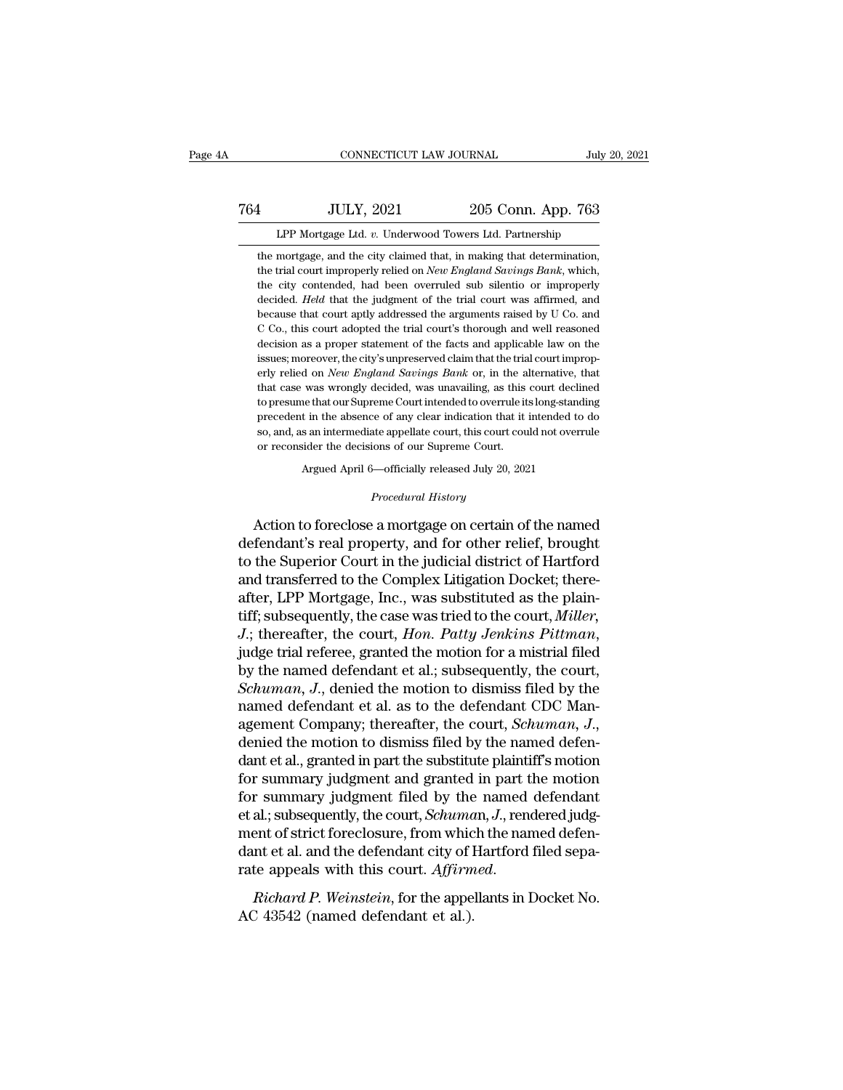### 1999, CONNECTICUT LAW JOURNAL<br>
764 JULY, 2021 205 Conn. App. 763<br>
LPP Mortgage Ltd. v. Underwood Towers Ltd. Partnership CONNECTICUT LAW JOURNAL July 20<br>JULY, 2021 205 Conn. App. 763<br>LPP Mortgage Ltd. *v.* Underwood Towers Ltd. Partnership<br>mortgage, and the city claimed that, in making that determination,

1 JULY, 2021 205 Conn. App. 763<br>
LPP Mortgage Ltd. v. Underwood Towers Ltd. Partnership<br>
the mortgage, and the city claimed that, in making that determination,<br>
the trial court improperly relied on *New England Savings Ban* 1 JULY, 2021 205 Conn. App. 763<br>LPP Mortgage Ltd. v. Underwood Towers Ltd. Partnership<br>the mortgage, and the city claimed that, in making that determination,<br>the trial court improperly relied on *New England Savings Bank*, 1 ULY, 2021 205 Conn. App. 763<br>
LPP Mortgage Ltd. v. Underwood Towers Ltd. Partnership<br>
the mortgage, and the city claimed that, in making that determination,<br>
the trial court improperly relied on *New England Savings Bank* LPP Mortgage Ltd. *v*. Underwood Towers Ltd. Partnership<br>the mortgage, and the city claimed that, in making that determination,<br>the trial court improperly relied on *New England Savings Bank*, which,<br>the city contended, ha LPP Mortgage Ltd. v. Underwood Towers Ltd. Partnership<br>the mortgage, and the city claimed that, in making that determination,<br>the trial court improperly relied on *New England Savings Bank*, which,<br>the city contended, had the mortgage, and the city claimed that, in making that determination,<br>the trial court improperly relied on *New England Savings Bank*, which,<br>the city contended, had been overruled sub silentio or improperly<br>decided. *Hel* the trial court improperly relied on *New England Savings Bank*, which, the city contended, had been overruled sub silentio or improperly decided. *Held* that the judgment of the trial court was affirmed, and because that the trial court improperly relied on *New England Savings Bank*, which, the city contended, had been overruled sub silentio or improperly decided. *Held* that the judgment of the trial court was affirmed, and because that decided. *Held* that the judgment of the trial court was affirmed, and because that court aptly addressed the arguments raised by U Co. and C Co., this court adopted the trial court's thorough and well reasoned decision as because that court aptly addressed the arguments raised by U Co. and C Co., this court adopted the trial court's thorough and well reasoned decision as a proper statement of the facts and applicable law on the issues; more C Co., this court adopted the trial court's thorough and well reasoned decision as a proper statement of the facts and applicable law on the issues; moreover, the city's unpreserved claim that the trial court improperly re decision as a proper statement of the facts and applicable law on the issues; moreover, the city's unpreserved claim that the trial court improperly relied on *New England Savings Bank* or, in the alternative, that that ca issues; moreover, the city's unpreserved claim that the trial court improperly relied on *New England Savings Bank* or, in the alternative, that that case was wrongly decided, was unavailing, as this court declined to pres erly relied on *New England Savings Bank* or, in the a<br>that case was wrongly decided, was unavailing, as this<br>to presume that our Supreme Court intended to overrule it<br>precedent in the absence of any clear indication that was wrongly decided, was unavailing, as this court decline<br>that our Supreme Court intended to overrule its long-stand<br>t in the absence of any clear indication that it intended to<br>s an intermediate appellate court, this cou so, and, as an intermediate appellate court, this court could not overrule<br>or reconsider the decisions of our Supreme Court.<br>Argued April 6—officially released July 20, 2021<br>*Procedural History*<br>Action to foreclose a mortg

precedent in the absence of any clear indication that it intended to do<br>so, and, as an intermediate appellate court, this court could not overrule<br>or reconsider the decisions of our Supreme Court.<br>Argued April 6—officially so, and, as an intermediate appellate court, this court could not overrule<br>or reconsider the decisions of our Supreme Court.<br>Argued April 6—officially released July 20, 2021<br>*Procedural History*<br>**Action to foreclose a mort** Argued April 6—officially released July 20, 2021<br>Procedural History<br>Action to foreclose a mortgage on certain of the named<br>defendant's real property, and for other relief, brought<br>to the Superior Court in the judicial dist Argued April 6—officially released July 20, 2021<br>
Procedural History<br>
Action to foreclose a mortgage on certain of the named<br>
defendant's real property, and for other relief, brought<br>
to the Superior Court in the judicial *Procedural History*<br>Action to foreclose a mortgage on certain of the named<br>defendant's real property, and for other relief, brought<br>to the Superior Court in the judicial district of Hartford<br>and transferred to the Complex Action to foreclose a mortgage on certain of the named<br>defendant's real property, and for other relief, brought<br>to the Superior Court in the judicial district of Hartford<br>and transferred to the Complex Litigation Docket; t Action to foreclose a mortgage on certain of the named<br>defendant's real property, and for other relief, brought<br>to the Superior Court in the judicial district of Hartford<br>and transferred to the Complex Litigation Docket; t to the Superior Court in the judicial district of Hartford<br>and transferred to the Complex Litigation Docket; there-<br>after, LPP Mortgage, Inc., was substituted as the plain-<br>tiff; subsequently, the case was tried to the cou and transferred to the Complex Litigation Docket; thereafter, LPP Mortgage, Inc., was substituted as the plaintiff; subsequently, the case was tried to the court, *Miller*, *J.*; thereafter, the court, *Hon. Patty Jenkins* after, LPP Mortgage, Inc., was substituted as the plain-<br>tiff; subsequently, the case was tried to the court, *Miller*,<br>*J.*; thereafter, the court, *Hon. Patty Jenkins Pittman*,<br>judge trial referee, granted the motion fo tiff; subsequently, the case was tried to the court, *Miller*,<br> *J*.; thereafter, the court, *Hon. Patty Jenkins Pittman*,<br>
judge trial referee, granted the motion for a mistrial filed<br>
by the named defendant et al.; subse judge trial referee, granted the motion for a mistrial filed<br>by the named defendant et al.; subsequently, the court,<br>*Schuman*, J., denied the motion to dismiss filed by the<br>named defendant et al. as to the defendant CDC M by the named defendant et al.; subsequently, the court,<br> *Schuman*, J., denied the motion to dismiss filed by the<br>
named defendant et al. as to the defendant CDC Man-<br>
agement Company; thereafter, the court, *Schuman*, J. Schuman, J., denied the motion to dismiss filed by the<br>named defendant et al. as to the defendant CDC Man-<br>agement Company; thereafter, the court, Schuman, J.,<br>denied the motion to dismiss filed by the named defen-<br>dant et named defendant et al. as to the defendant CDC Management Company; thereafter, the court, *Schuman*, *J.*, denied the motion to dismiss filed by the named defendant et al., granted in part the substitute plaintiff's motion agement Company; thereafter, the court, *Schuman*, J., denied the motion to dismiss filed by the named defendant et al., granted in part the substitute plaintiff's motion for summary judgment and granted in part the motion denied the motion to dismiss filed by the named defendant et al., granted in part the substitute plaintiff's motion for summary judgment and granted in part the motion for summary judgment filed by the named defendant et a dant et al., granted in part the substitute plaintiff's motion<br>for summary judgment and granted in part the motion<br>for summary judgment filed by the named defendant<br>et al.; subsequently, the court, *Schuma*n, J., rendered For all subsequently, the court, *Schuma*<br>et al.; subsequently, the court, *Schuma*<br>ment of strict foreclosure, from whic<br>dant et al. and the defendant city of l<br>rate appeals with this court. *Affirm*<br>*Richard P. Weinstein*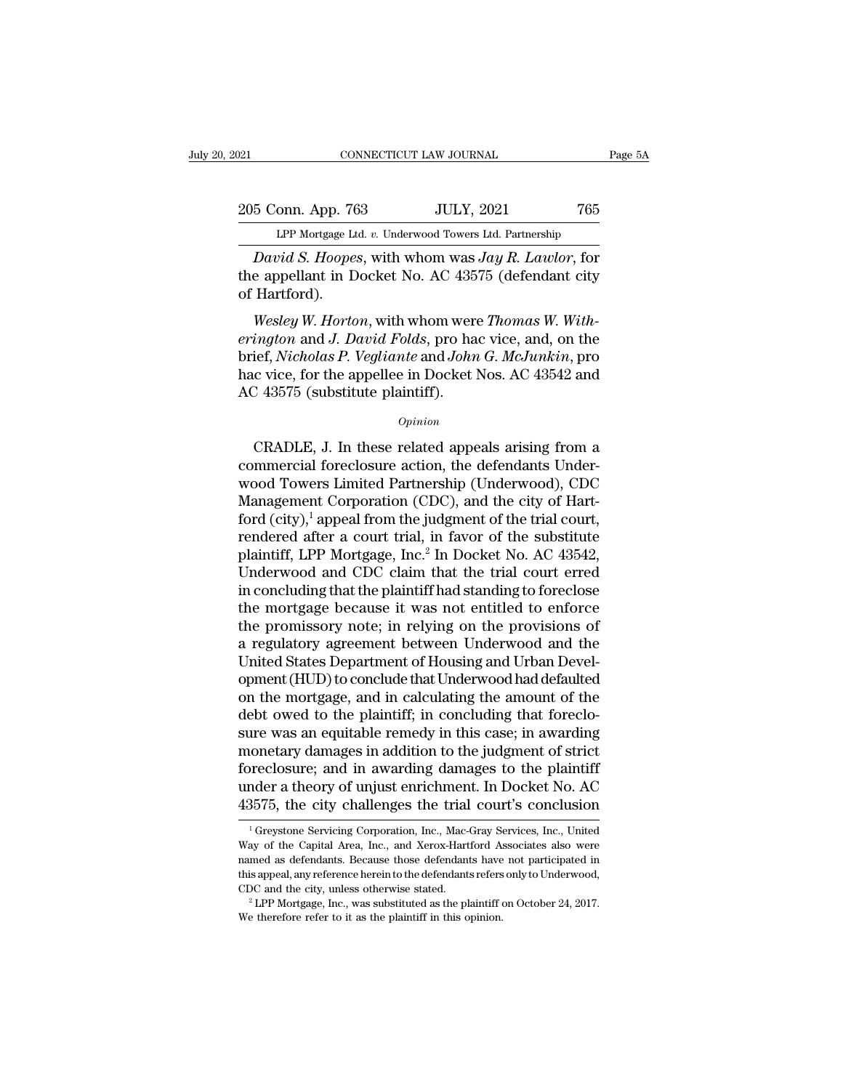205 Conn. App. 763 JULY, 2021 765<br>Per Mortgage Ltd. v. Underwood Towers Ltd. Partnership Equal CONNECTICUT LAW JOURNAL Page 5A<br>
205 Conn. App. 763 JULY, 2021 765<br>
LPP Mortgage Ltd. *v.* Underwood Towers Ltd. Partnership<br>
David S. Hoopes, with whom was Jay R. Lawlor, for

*CONNECTICUT LAW JOURNAL* Page 5A<br> **David S. Hoopes**, with whom was *Jay R. Lawlor*, for<br> **David S. Hoopes**, with whom was *Jay R. Lawlor*, for<br> **David S. Hoopes**, with whom was *Jay R. Lawlor*, for<br> **Papellant** in Docket 205 Conn. App. 763 JULY, 2021 765<br>
LPP Mortgage Ltd. v. Underwood Towers Ltd. Partnership<br>
David S. Hoopes, with whom was Jay R. Lawlor, for<br>
the appellant in Docket No. AC 43575 (defendant city<br>
of Hartford). 205 Conn. App. 76<br>LPP Mortgage Lt<br>David S. Hoope.<br>the appellant in D<br>of Hartford).<br>Wesley W. Hortc <sup>5</sup> Conn. App. 763 JULY, 2021 765<br> *LPP Mortgage Ltd. v. Underwood Towers Ltd. Partnership*<br> *David S. Hoopes*, with whom was *Jay R. Lawlor*, for<br>
e appellant in Docket No. AC 43575 (defendant city<br> *Hartford*).<br> *Wesley* 

LPP Mortgage Ltd. *v.* Underwood Towers Ltd. Partnership<br> *David S. Hoopes*, with whom was *Jay R. Lawlor*, for<br>
the appellant in Docket No. AC 43575 (defendant city<br>
of Hartford).<br> *Wesley W. Horton*, with whom were *Thom David S. Hoopes,* with whom was *Jay R. Lawlor,* for<br>the appellant in Docket No. AC 43575 (defendant city<br>of Hartford).<br>*Wesley W. Horton,* with whom were *Thomas W. With-*<br>*erington* and *J. David Folds,* pro hac vice, a *Lattia S. Hoopes*, with whom was *sugn. Lattion*, for<br>the appellant in Docket No. AC 43575 (defendant city<br>of Hartford).<br>*Wesley W. Horton*, with whom were *Thomas W. With-*<br>*erington* and *J. David Folds*, pro hac vice The appenant in Docket No. Ac 435<br>of Hartford).<br>Wesley W. Horton, with whom were<br>erington and J. David Folds, pro ha<br>brief, Nicholas P. Vegliante and John<br>hac vice, for the appellee in Docket<br>AC 43575 (substitute plaintiff ington and J. David Folds, pro hac vice, and, on the<br>ief, Nicholas P. Vegliante and John G. McJunkin, pro<br>c vice, for the appellee in Docket Nos. AC 43542 and<br>2 43575 (substitute plaintiff).<br> $opinion$ <br>CRADLE, J. In these relate

*Opinion*

brief, *Nicholas P. Vegliante* and *John G. McJunkin*, pro<br>hac vice, for the appellee in Docket Nos. AC 43542 and<br>AC 43575 (substitute plaintiff).<br>*Opinion*<br>CRADLE, J. In these related appeals arising from a<br>commercial for hac vice, for the appellee in Docket Nos. AC 43542 and<br>AC 43575 (substitute plaintiff).<br> $opinion$ <br>CRADLE, J. In these related appeals arising from a<br>commercial foreclosure action, the defendants Under-<br>wood Towers Limited Part AC 43575 (substitute plaintiff).<br>  $\omega_{pinion}$ <br>
CRADLE, J. In these related appeals arising from a<br>
commercial foreclosure action, the defendants Under-<br>
wood Towers Limited Partnership (Underwood), CDC<br>
Management Corporatio *Opinion*<br>CRADLE, J. In these related appeals arising from a<br>commercial foreclosure action, the defendants Under-<br>wood Towers Limited Partnership (Underwood), CDC<br>Management Corporation (CDC), and the city of Hart-<br>ford ( CRADLE, J. In these related appeals arising from a<br>commercial foreclosure action, the defendants Under-<br>wood Towers Limited Partnership (Underwood), CDC<br>Management Corporation (CDC), and the city of Hart-<br>ford (city),<sup>1</sup> CRADLE, J. In these related appeals arising from a<br>commercial foreclosure action, the defendants Under-<br>wood Towers Limited Partnership (Underwood), CDC<br>Management Corporation (CDC), and the city of Hart-<br>ford (city),<sup>1</sup> a commercial foreclosure action, the defendants Underwood Towers Limited Partnership (Underwood), CDC<br>Management Corporation (CDC), and the city of Hart-<br>ford (city),<sup>1</sup> appeal from the judgment of the trial court,<br>rendered wood Towers Limited Partnership (Underwood), CDC<br>Management Corporation (CDC), and the city of Hart-<br>ford (city),<sup>1</sup> appeal from the judgment of the trial court,<br>rendered after a court trial, in favor of the substitute<br>pla Management Corporation (CDC), and the city of Hart-<br>ford (city),<sup>1</sup> appeal from the judgment of the trial court,<br>rendered after a court trial, in favor of the substitute<br>plaintiff, LPP Mortgage, Inc.<sup>2</sup> In Docket No. AC 4 ford (city),<sup>1</sup> appeal from the judgment of the trial court,<br>rendered after a court trial, in favor of the substitute<br>plaintiff, LPP Mortgage, Inc.<sup>2</sup> In Docket No. AC 43542,<br>Underwood and CDC claim that the trial court er rendered after a court trial, in favor of the substitute<br>plaintiff, LPP Mortgage, Inc.<sup>2</sup> In Docket No. AC 43542,<br>Underwood and CDC claim that the trial court erred<br>in concluding that the plaintiff had standing to foreclos plaintiff, LPP Mortgage, Inc.<sup>2</sup> In Docket No. AC 43542,<br>Underwood and CDC claim that the trial court erred<br>in concluding that the plaintiff had standing to foreclose<br>the mortgage because it was not entitled to enforce<br>the Underwood and CDC claim that the trial court erred<br>in concluding that the plaintiff had standing to foreclose<br>the mortgage because it was not entitled to enforce<br>the promissory note; in relying on the provisions of<br>a regul in concluding that the plaintiff had standing to foreclose<br>the mortgage because it was not entitled to enforce<br>the promissory note; in relying on the provisions of<br>a regulatory agreement between Underwood and the<br>United St the mortgage because it was not entitled to enforce<br>the promissory note; in relying on the provisions of<br>a regulatory agreement between Underwood and the<br>United States Department of Housing and Urban Devel-<br>opment (HUD) to the promissory note; in relying on the provisions of<br>a regulatory agreement between Underwood and the<br>United States Department of Housing and Urban Devel-<br>opment (HUD) to conclude that Underwood had defaulted<br>on the mortga a regulatory agreement between Underwood and the<br>United States Department of Housing and Urban Devel-<br>opment (HUD) to conclude that Underwood had defaulted<br>on the mortgage, and in calculating the amount of the<br>debt owed to United States Department of Housing and Urban Development (HUD) to conclude that Underwood had defaulted<br>on the mortgage, and in calculating the amount of the<br>debt owed to the plaintiff; in concluding that foreclo-<br>sure wa opment (HUD) to conclude that Underwood had defaulted<br>on the mortgage, and in calculating the amount of the<br>debt owed to the plaintiff; in concluding that foreclo-<br>sure was an equitable remedy in this case; in awarding<br>mon on the mortgage, and in calculating the amount of the<br>debt owed to the plaintiff; in concluding that foreclo-<br>sure was an equitable remedy in this case; in awarding<br>monetary damages in addition to the judgment of strict<br>fo 1 Greystone Servicing Corporation, Inc., Mac-Gray Services, Inc., United and Servicing Corporation, Inc., Mac-Gray Services, Inc., United as of the Capital Area, Inc., and Xerox-Hartford Associates also were foreclosure; and in awarding damages to the plaintiff<br>under a theory of unjust enrichment. In Docket No. AC<br>43575, the city challenges the trial court's conclusion<br><sup>1</sup>Greystone Servicing Corporation, Inc., Mac-Gray Service

under a theory of unjust enrichment. In Docket No. AC<br>43575, the city challenges the trial court's conclusion<br><sup>1</sup>Greystone Servicing Corporation, Inc., Mac-Gray Services, Inc., United<br>Way of the Capital Area, Inc., and Xer  $43575$ , the city challenges the trial court's conclusion<br>
<sup>1</sup> Greystone Servicing Corporation, Inc., Mac-Gray Services, Inc., United Way of the Capital Area, Inc., and Xerox-Hartford Associates also were named as defenda FOTO, the City Chainenges the trial Court's Concrusion<br>
<sup>1</sup> Greystone Servicing Corporation, Inc., Mac-Gray Services, Inc., United<br>
Way of the Capital Area, Inc., and Xerox-Hartford Associates also were<br>
named as defendan Way of the Capital Area, Inc., and Xerox-Hartford Associates also were named as defendants. Because those defendants have not participated in this appeal, any reference herein to the defendants refers only to Underwood, C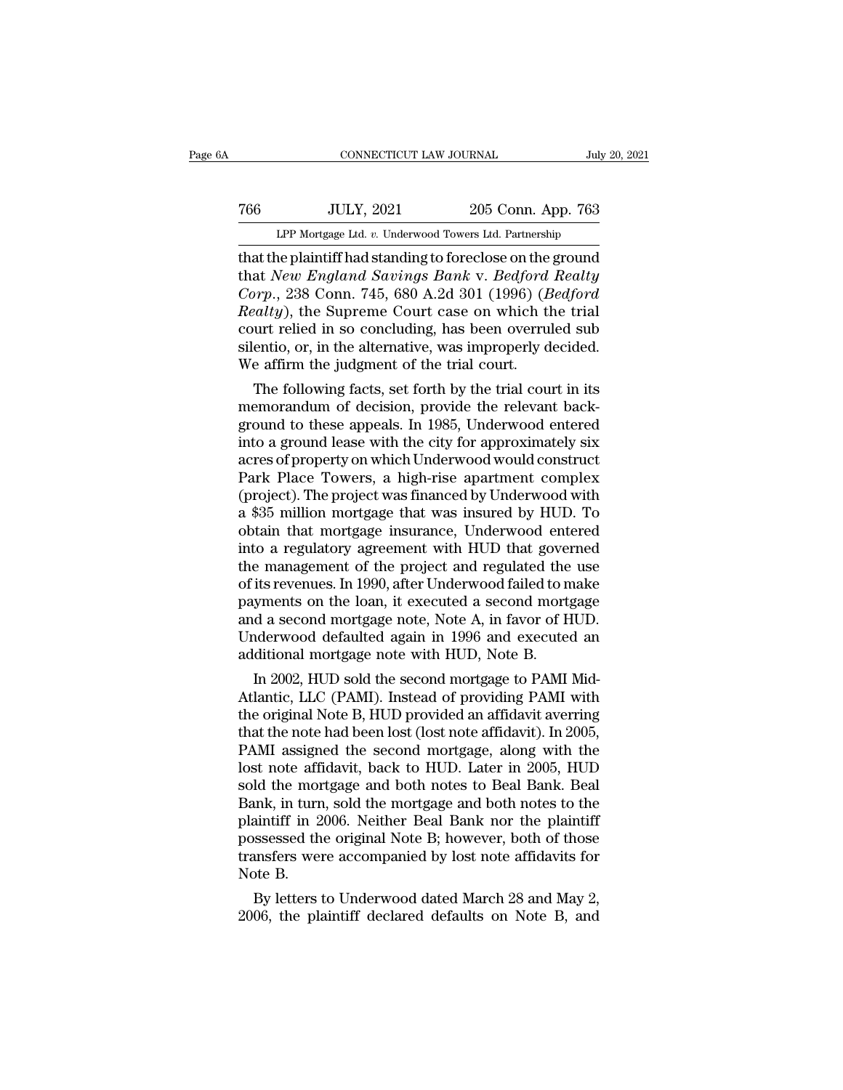# 1999, CONNECTICUT LAW JOURNAL<br>
766 JULY, 2021 205 Conn. App. 763<br>
LPP Mortgage Ltd. v. Underwood Towers Ltd. Partnership CONNECTICUT LAW JOURNAL July 20, 2021<br>The Mortgage Ltd. *v.* Underwood Towers Ltd. Partnership<br>That the plaintiff had standing to foreclose on the ground

CONNECTICUT LAW JOURNAL July 20, 2021<br>
THE PLAINT CONNECTICUT LAW JOURNAL July 20, 2021<br>
LPP Mortgage Ltd. v. Underwood Towers Ltd. Partnership<br>
That the plaintiff had standing to foreclose on the ground<br>
that New England that *New England Savings Bank* v. *Bedford Realty Corp., 2021* 205 Conn. App. 763<br> *CPP Mortgage Ltd. v. Underwood Towers Ltd. Partnership*<br> *Corp., 238 Conn. 745, 680 A.2d 301 (1996) (<i>Bedford*<br> *Realty*), the Supreme Court case on which the trial<br> *Court rolied in so c Readth Rep. 703*<br> *Rep. Mortgage Ltd. v. Underwood Towers Ltd. Partnership*<br> *Realty*<br> *Realty England Savings Bank v. Bedford Realty*<br> *Corp.*, 238 Conn. 745, 680 A.2d 301 (1996) (*Bedford Realty*), the Supreme Court c LPP Mortgage Ltd. v. Underwood Towers Ltd. Partnership<br>that the plaintiff had standing to foreclose on the ground<br>that New England Savings Bank v. Bedford Realty<br>Corp., 238 Conn. 745, 680 A.2d 301 (1996) (Bedford<br>Realty), LPP Mortgage Ltd. v. Underwood Towers Ltd. Partnership<br>that the plaintiff had standing to foreclose on the ground<br>that *New England Savings Bank v. Bedford Realty*<br>*Corp.*, 238 Conn. 745, 680 A.2d 301 (1996) (*Bedford*<br>*R* that the plaintiff had standing to foreclose on the<br>that *New England Savings Bank v. Bedford*<br>*Corp.*, 238 Conn. 745, 680 A.2d 301 (1996) (*E*<br>*Realty*), the Supreme Court case on which the<br>court relied in so concluding, at *New England Savings Bank V. Beajora Really*<br> *orp.*, 238 Conn. 745, 680 A.2d 301 (1996) (*Bedford*<br> *ealty*), the Supreme Court case on which the trial<br>
unt relied in so concluding, has been overruled sub<br>
entio, or, i Corp., 238 Conn. 745, 680 A.2d 301 (1996) (*Beajora* Realty), the Supreme Court case on which the trial court relied in so concluding, has been overruled subsilentio, or, in the alternative, was improperly decided. We aff

Reatty), the supreme Court case on which the trial<br>court relied in so concluding, has been overruled sub<br>silentio, or, in the alternative, was improperly decided.<br>We affirm the judgment of the trial court.<br>The following fa court relied in so concluding, has been overruled sub<br>silentio, or, in the alternative, was improperly decided.<br>We affirm the judgment of the trial court.<br>The following facts, set forth by the trial court in its<br>memorandum suentio, or, in the atternative, was improperty decided.<br>We affirm the judgment of the trial court.<br>The following facts, set forth by the trial court in its<br>memorandum of decision, provide the relevant back-<br>ground to thes We amirm the judgment of the trial court.<br>
The following facts, set forth by the trial court in its<br>
memorandum of decision, provide the relevant back-<br>
ground to these appeals. In 1985, Underwood entered<br>
into a ground le The following facts, set forth by the trial court in its<br>memorandum of decision, provide the relevant back-<br>ground to these appeals. In 1985, Underwood entered<br>into a ground lease with the city for approximately six<br>acres memorandum of decision, provide the relevant background to these appeals. In 1985, Underwood entered<br>into a ground lease with the city for approximately six<br>acres of property on which Underwood would construct<br>Park Place T ground to these appeals. In 1985, Underwood entered<br>into a ground lease with the city for approximately six<br>acres of property on which Underwood would construct<br>Park Place Towers, a high-rise apartment complex<br>(project). T into a ground lease with the city for approximately six<br>acres of property on which Underwood would construct<br>Park Place Towers, a high-rise apartment complex<br>(project). The project was financed by Underwood with<br>a \$35 mill acres of property on which Underwood would construct<br>Park Place Towers, a high-rise apartment complex<br>(project). The project was financed by Underwood with<br>a \$35 million mortgage that was insured by HUD. To<br>obtain that mor Park Place Towers, a high-rise apartment complex<br>(project). The project was financed by Underwood with<br>a \$35 million mortgage that was insured by HUD. To<br>obtain that mortgage insurance, Underwood entered<br>into a regulatory (project). The project was financed by Underwood with<br>a \$35 million mortgage that was insured by HUD. To<br>obtain that mortgage insurance, Underwood entered<br>into a regulatory agreement with HUD that governed<br>the management o a \$35 million mortgage that was insured by HUD. To<br>obtain that mortgage insurance, Underwood entered<br>into a regulatory agreement with HUD that governed<br>the management of the project and regulated the use<br>of its revenues. I obtain that mortgage insurance, Underwood entered<br>into a regulatory agreement with HUD that governed<br>the management of the project and regulated the use<br>of its revenues. In 1990, after Underwood failed to make<br>payments on into a regulatory agreement with HUD that gove<br>the management of the project and regulated the<br>of its revenues. In 1990, after Underwood failed to n<br>payments on the loan, it executed a second mort;<br>and a second mortgage no e management of the project and regulated the use<br>its revenues. In 1990, after Underwood failed to make<br>yments on the loan, it executed a second mortgage<br>d a second mortgage note, Note A, in favor of HUD.<br>iderwood defaulte or its revenues. In 1990, after Underwood railed to make<br>payments on the loan, it executed a second mortgage<br>and a second mortgage note, Note A, in favor of HUD.<br>Underwood defaulted again in 1996 and executed an<br>additional

payments on the Ioan, it executed a second mortgage<br>and a second mortgage note, Note A, in favor of HUD.<br>Underwood defaulted again in 1996 and executed an<br>additional mortgage note with HUD, Note B.<br>In 2002, HUD sold the se and a second mortgage note, Note A, in ravor of HUD.<br>Underwood defaulted again in 1996 and executed an<br>additional mortgage note with HUD, Note B.<br>In 2002, HUD sold the second mortgage to PAMI Mid-<br>Atlantic, LLC (PAMI). Ins Underwood detaulted again in 1996 and executed an<br>additional mortgage note with HUD, Note B.<br>In 2002, HUD sold the second mortgage to PAMI Mid-<br>Atlantic, LLC (PAMI). Instead of providing PAMI with<br>the original Note B, HUD additional mortgage note with HUD, Note B.<br>
In 2002, HUD sold the second mortgage to PAMI Mid-<br>Atlantic, LLC (PAMI). Instead of providing PAMI with<br>
the original Note B, HUD provided an affidavit averring<br>
that the note ha In 2002, HUD sold the second mortgage to PAMI Mid-<br>Atlantic, LLC (PAMI). Instead of providing PAMI with<br>the original Note B, HUD provided an affidavit averring<br>that the note had been lost (lost note affidavit). In 2005,<br>PA Atlantic, LLC (PAMI). Instead of providing PAMI with<br>the original Note B, HUD provided an affidavit averring<br>that the note had been lost (lost note affidavit). In 2005,<br>PAMI assigned the second mortgage, along with the<br>los the original Note B, HUD provided an affidavit averring<br>that the note had been lost (lost note affidavit). In 2005,<br>PAMI assigned the second mortgage, along with the<br>lost note affidavit, back to HUD. Later in 2005, HUD<br>sol that the note had been lost (lost note affidavit). In 2005,<br>PAMI assigned the second mortgage, along with the<br>lost note affidavit, back to HUD. Later in 2005, HUD<br>sold the mortgage and both notes to Beal Bank. Beal<br>Bank, i PAMI assigned the second mortgage, along with the<br>lost note affidavit, back to HUD. Later in 2005, HUD<br>sold the mortgage and both notes to Beal Bank. Beal<br>Bank, in turn, sold the mortgage and both notes to the<br>plaintiff in lost note aff<br>sold the mor<br>Bank, in turr<br>plaintiff in 2<br>possessed th<br>transfers we<br>Note B.<br>By letters Id the mortgage and both notes to Beal Bank. Beal<br>unk, in turn, sold the mortgage and both notes to the<br>aintiff in 2006. Neither Beal Bank nor the plaintiff<br>sssessed the original Note B; however, both of those<br>unsfers were Bank, in turn, sold the mortgage and both notes to the<br>plaintiff in 2006. Neither Beal Bank nor the plaintiff<br>possessed the original Note B; however, both of those<br>transfers were accompanied by lost note affidavits for<br>Not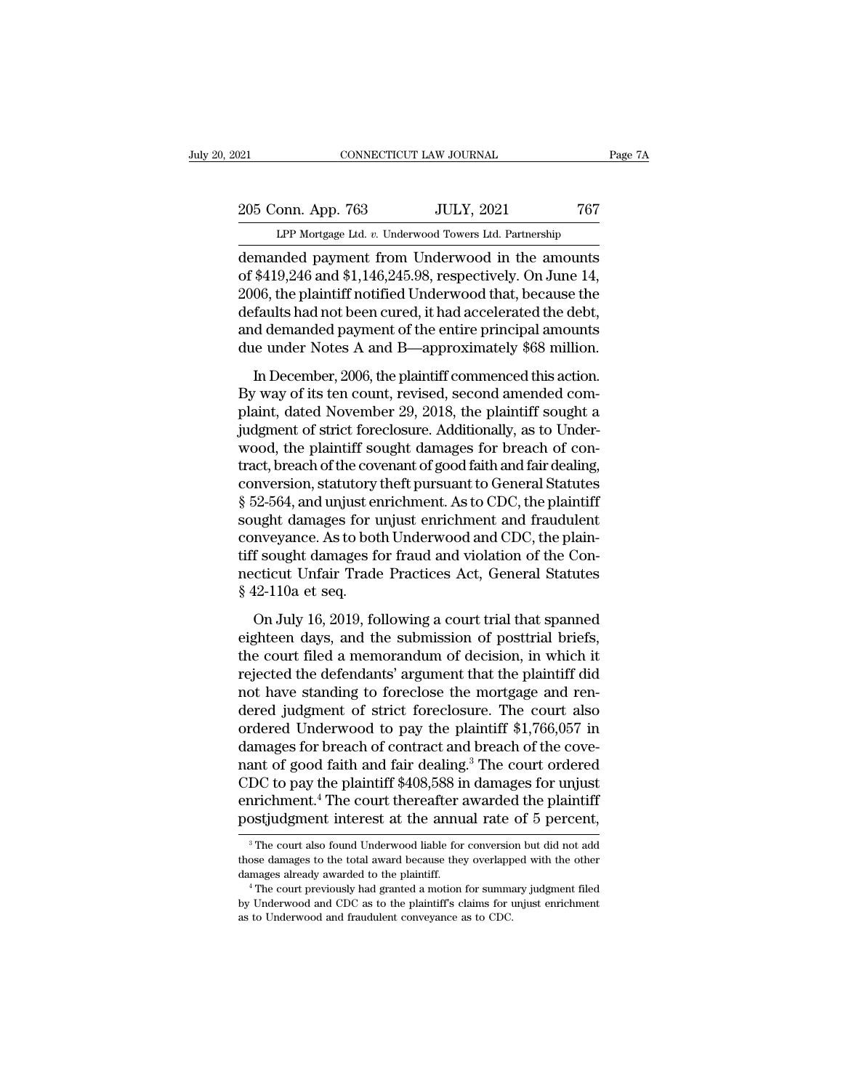EXECUTE DE TA DESCRIPTION OF TANKS OF TA PAGE 7A<br>
205 Conn. App. 763 JULY, 2021 767<br>
LPP Mortgage Ltd. *v.* Underwood Towers Ltd. Partnership<br>
demanded payment from Underwood in the amounts Page 7A<br>
205 Conn. App. 763 JULY, 2021 767<br>
LPP Mortgage Ltd. v. Underwood Towers Ltd. Partnership<br>
demanded payment from Underwood in the amounts<br>
of \$419,246 and \$1,146,245.98, respectively. On June 14,<br>
2006, the plaint 205 Conn. App. 763 JULY, 2021 767<br>
LPP Mortgage Ltd. v. Underwood Towers Ltd. Partnership<br>
demanded payment from Underwood in the amounts<br>
of \$419,246 and \$1,146,245.98, respectively. On June 14,<br>
2006, the plaintiff notif 205 Conn. App. 763 JULY, 2021 767<br>
LPP Mortgage Ltd. v. Underwood Towers Ltd. Partnership<br>
demanded payment from Underwood in the amounts<br>
of \$419,246 and \$1,146,245.98, respectively. On June 14,<br>
2006, the plaintiff notif 205 Conn. App. 763 JULY, 2021 767<br>
LPP Mortgage Ltd. v. Underwood Towers Ltd. Partnership<br>
demanded payment from Underwood in the amounts<br>
of \$419,246 and \$1,146,245.98, respectively. On June 14,<br>
2006, the plaintiff noti LPP Mortgage Ltd. v. Underwood Towers Ltd. Partnership<br>demanded payment from Underwood in the amounts<br>of \$419,246 and \$1,146,245.98, respectively. On June 14,<br>2006, the plaintiff notified Underwood that, because the<br>defaul LPP Mortgage Ltd. v. Underwood Towers Ltd. Partnership<br>demanded payment from Underwood in the amounts<br>of \$419,246 and \$1,146,245.98, respectively. On June 14,<br>2006, the plaintiff notified Underwood that, because the<br>defaul  $\frac{1}{2}$ <br>\$419,246 and \$1,146,245.98, respectively. On June 14,<br>06, the plaintiff notified Underwood that, because the<br>faults had not been cured, it had accelerated the debt,<br>d demanded payment of the entire principal amo 2006, the plaintiff notified Underwood that, because the<br>defaults had not been cured, it had accelerated the debt,<br>and demanded payment of the entire principal amounts<br>due under Notes A and B—approximately \$68 million.<br>In

Every, are plaintiff found the moved and, because the defaults had not been cured, it had accelerated the debt, and demanded payment of the entire principal amounts due under Notes A and B—approximately \$68 million.<br>In Dec denance had not been eared, to had decelerated are debt,<br>and demanded payment of the entire principal amounts<br>due under Notes A and B—approximately \$68 million.<br>In December, 2006, the plaintiff commenced this action.<br>By wa and demanded payment of the entire principal amounts.<br>due under Notes A and B—approximately \$68 million.<br>By way of its ten count, revised, second amended com-<br>plaint, dated November 29, 2018, the plaintiff sought a<br>judgmen In December, 2006, the plaintiff commenced this action.<br>By way of its ten count, revised, second amended complaint, dated November 29, 2018, the plaintiff sought a<br>judgment of strict foreclosure. Additionally, as to Under In December, 2006, the plaintiff commenced this action.<br>By way of its ten count, revised, second amended com-<br>plaint, dated November 29, 2018, the plaintiff sought a<br>judgment of strict foreclosure. Additionally, as to Unde By way of its ten count, revised, second amended complaint, dated November 29, 2018, the plaintiff sought a judgment of strict foreclosure. Additionally, as to Underwood, the plaintiff sought damages for breach of contract plaint, dated November 29, 2018, the plaintiff sought a<br>judgment of strict foreclosure. Additionally, as to Under-<br>wood, the plaintiff sought damages for breach of con-<br>tract, breach of the covenant of good faith and fair judgment of strict foreclosure. Additionally, as to Underwood, the plaintiff sought damages for breach of contract, breach of the covenant of good faith and fair dealing, conversion, statutory theft pursuant to General Sta wood, the plaintiff sought damages for breach of contract, breach of the covenant of good faith and fair dealing, conversion, statutory theft pursuant to General Statutes § 52-564, and unjust enrichment. As to CDC, the pla tract, breach of the covenant of good faith and fair dealing,<br>conversion, statutory theft pursuant to General Statutes<br>§ 52-564, and unjust enrichment. As to CDC, the plaintiff<br>sought damages for unjust enrichment and frau conversion, statutory<br>§ 52-564, and unjust er<br>sought damages for u<br>conveyance. As to bot<br>tiff sought damages fo<br>necticut Unfair Trade<br>§ 42-110a et seq.<br>On July 16, 2019, fo E 301, and any ast entitalities. The set of o, the plainting ught damages for unjust enrichment and fraudulent<br>nveyance. As to both Underwood and CDC, the plain-<br>f sought damages for fraud and violation of the Con-<br>cticut Exagne dansages for digast embedded and the matematic conveyance. As to both Underwood and CDC, the plaintiff sought damages for fraud and violation of the Connecticut Unfair Trade Practices Act, General Statutes § 42-110a

tiff sought damages for fraud and violation of the Connecticut Unfair Trade Practices Act, General Statutes § 42-110a et seq.<br>
On July 16, 2019, following a court trial that spanned<br>
eighteen days, and the submission of po an sought damages for made and visitation of the contracticut Unfair Trade Practices Act, General Statutes<br>§ 42-110a et seq.<br>On July 16, 2019, following a court trial that spanned<br>eighteen days, and the submission of postt  $$42-110a$  et seq.<br>  $$42-110a$  et seq.<br>
On July 16, 2019, following a court trial that spanned<br>
eighteen days, and the submission of posttrial briefs,<br>
the court filed a memorandum of decision, in which it<br>
rejected the d on July 16, 2019, following a court trial that spanned<br>eighteen days, and the submission of posttrial briefs,<br>the court filed a memorandum of decision, in which it<br>rejected the defendants' argument that the plaintiff did<br> On July 16, 2019, following a court trial that spanned<br>eighteen days, and the submission of posttrial briefs,<br>the court filed a memorandum of decision, in which it<br>rejected the defendants' argument that the plaintiff did<br>n eighteen days, and the submission of posttrial briefs,<br>the court filed a memorandum of decision, in which it<br>rejected the defendants' argument that the plaintiff did<br>not have standing to foreclose the mortgage and ren-<br>de the court filed a memorandum of decision, in which it<br>rejected the defendants' argument that the plaintiff did<br>not have standing to foreclose the mortgage and ren-<br>dered judgment of strict foreclosure. The court also<br>order rejected the defendants' argument that the plaintiff did<br>not have standing to foreclose the mortgage and ren-<br>dered judgment of strict foreclosure. The court also<br>ordered Underwood to pay the plaintiff \$1,766,057 in<br>damage not have standing to foreclose the mortgage and rendered judgment of strict foreclosure. The court also ordered Underwood to pay the plaintiff \$1,766,057 in damages for breach of contract and breach of the covenant of good dered judgment of strict foreclosure. The court also<br>ordered Underwood to pay the plaintiff \$1,766,057 in<br>damages for breach of contract and breach of the cove-<br>nant of good faith and fair dealing.<sup>3</sup> The court ordered<br>CDC CDC to pay the plaintiff \$408,588 in damages for unjust<br>enrichment.<sup>4</sup> The court thereafter awarded the plaintiff<br>postjudgment interest at the annual rate of 5 percent,<br> $\frac{1}{3}$  The court also found Underwood liable for

enrichment.<sup>4</sup> The court thereafter awarded the plaintiff<br>postjudgment interest at the annual rate of 5 percent,<br><sup>3</sup> The court also found Underwood liable for conversion but did not add<br>those damages to the total award bec enrichment.<sup>4</sup> The court thereafter awarded the plaintiff postjudgment interest at the annual rate of 5 percent,<br><sup>3</sup> The court also found Underwood liable for conversion but did not add those damages to the total award be <sup>3</sup> The court also found Underwood liable for conversio those damages to the total award because they overlapp damages already awarded to the plaintiff.  $\rightarrow$  The court previously had granted a motion for summa by Underwoo

post, and EXC at the annual rate of  $\sigma$  percent,<br>
<sup>3</sup> The court also found Underwood liable for conversion but did not add<br>
those damages to the total award because they overlapped with the other<br>
damages already awarded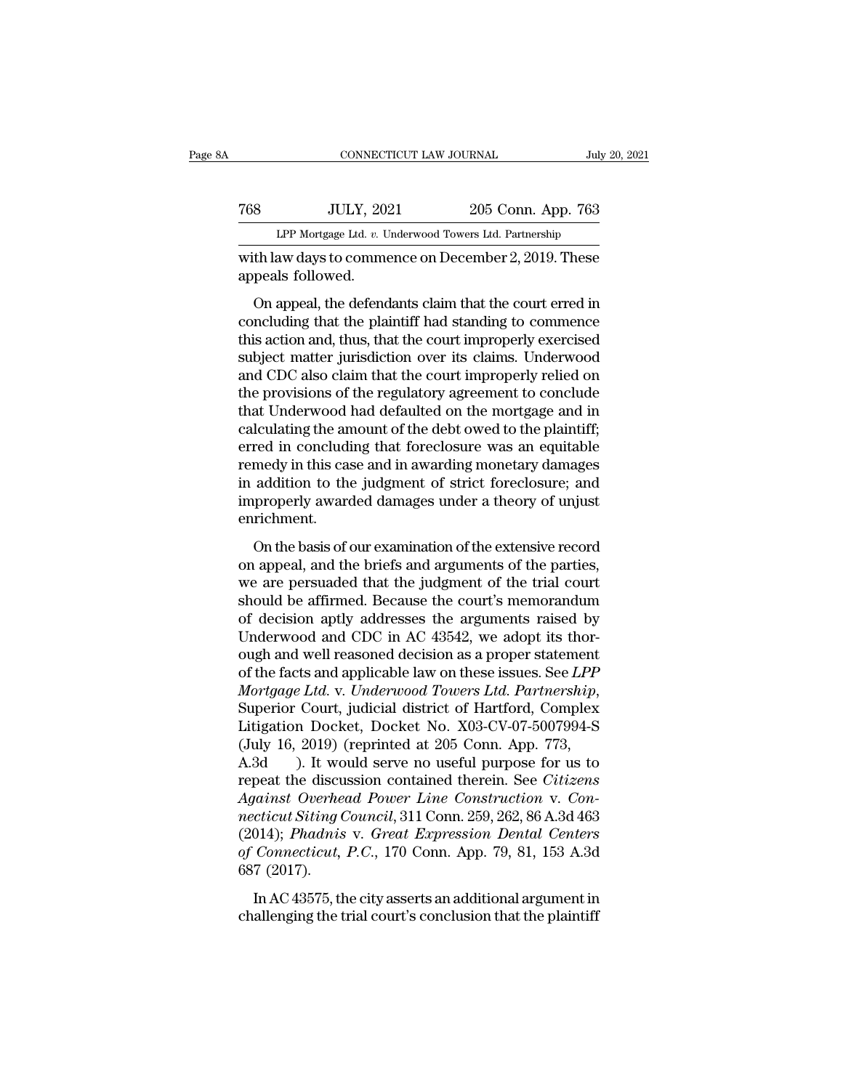|     | CONNECTICUT LAW JOURNAL                                                   |                    | July 20, 2021 |
|-----|---------------------------------------------------------------------------|--------------------|---------------|
| 768 | <b>JULY, 2021</b>                                                         | 205 Conn. App. 763 |               |
|     | LPP Mortgage Ltd. v. Underwood Towers Ltd. Partnership                    |                    |               |
|     | with law days to commence on December 2, 2019. These<br>appeals followed. |                    |               |
|     | On appeal, the defendants claim that the court erred in                   |                    |               |

Sumplementary 2021 205 Conn. App. 763<br>
LPP Mortgage Ltd. v. Underwood Towers Ltd. Partnership<br>
th law days to commence on December 2, 2019. These<br>
peals followed.<br>
On appeal, the defendants claim that the court erred in<br>
n The UCLY, 2021 and 205 Conn. App. 763<br>
LPP Mortgage Ltd.  $v$ . Underwood Towers Ltd. Partnership<br>
with law days to commence on December 2, 2019. These<br>
appeals followed.<br>
On appeal, the defendants claim that the court erre LPP Mortgage Ltd. *v.* Underwood Towers Ltd. Partnership<br>with law days to commence on December 2, 2019. These<br>appeals followed.<br>On appeal, the defendants claim that the court erred in<br>concluding that the plaintiff had stan with law days to commence on December 2, 2019. These<br>appeals followed.<br>On appeal, the defendants claim that the court erred in<br>concluding that the plaintiff had standing to commence<br>this action and, thus, that the court im which ways to confinence on becember 2, 2019. These<br>appeals followed.<br>On appeal, the defendants claim that the court erred in<br>concluding that the plaintiff had standing to commence<br>this action and, thus, that the court imp the provision of the defendants claim that the court erred in<br>concluding that the plaintiff had standing to commence<br>this action and, thus, that the court improperly exercised<br>subject matter jurisdiction over its claims. U On appeal, the defendants claim that the court erred in<br>concluding that the plaintiff had standing to commence<br>this action and, thus, that the court improperly exercised<br>subject matter jurisdiction over its claims. Underwo concluding that the plaintiff had standing to commence<br>this action and, thus, that the court improperly exercised<br>subject matter jurisdiction over its claims. Underwood<br>and CDC also claim that the court improperly relied o this action and, thus, that the court improperly exercised<br>subject matter jurisdiction over its claims. Underwood<br>and CDC also claim that the court improperly relied on<br>the provisions of the regulatory agreement to conclud subject matter jurisdiction over its claims. Underwood<br>and CDC also claim that the court improperly relied on<br>the provisions of the regulatory agreement to conclude<br>that Underwood had defaulted on the mortgage and in<br>calcu and CDC also claim that the court improperly relied on<br>the provisions of the regulatory agreement to conclude<br>that Underwood had defaulted on the mortgage and in<br>calculating the amount of the debt owed to the plaintiff;<br>er the provisions of the regulatory agreement to conclude<br>that Underwood had defaulted on the mortgage and in<br>calculating the amount of the debt owed to the plaintiff;<br>erred in concluding that foreclosure was an equitable<br>rem enrichment. The basis of an about the basis of the extensive replantant,<br>red in concluding that foreclosure was an equitable<br>medy in this case and in awarding monetary damages<br>addition to the judgment of strict foreclosure; and<br>proper once in concluding and forcelosite was an equidable<br>remedy in this case and in awarding monetary damages<br>in addition to the judgment of strict foreclosure; and<br>improperly awarded damages under a theory of unjust<br>enrichment

Ferncety in ans case and in awarding increasity damages<br>in addition to the judgment of strict foreclosure; and<br>improperly awarded damages under a theory of unjust<br>enrichment.<br>On the basis of our examination of the extensiv in addition to the judgment of strict ideoted<br>solar, and improperly awarded damages under a theory of unjust<br>enrichment.<br>On the basis of our examination of the extensive record<br>on appeal, and the briefs and arguments of t miproperry awarded damages ander a anesty or anyway enrichment.<br>
On the basis of our examination of the extensive record<br>
on appeal, and the briefs and arguments of the parties,<br>
we are persuaded that the judgment of the t On the basis of our examination of the extensive record<br>on appeal, and the briefs and arguments of the parties,<br>we are persuaded that the judgment of the trial court<br>should be affirmed. Because the court's memorandum<br>of d On the basis of our examination of the extensive record<br>on appeal, and the briefs and arguments of the parties,<br>we are persuaded that the judgment of the trial court<br>should be affirmed. Because the court's memorandum<br>of de on appeal, and the briefs and arguments of the parties,<br>we are persuaded that the judgment of the trial court<br>should be affirmed. Because the court's memorandum<br>of decision aptly addresses the arguments raised by<br>Underwood *Mortgage Ltd.* v. Underwood and CDC in AC 43542, we adopt its thorough and well reasoned decision as a proper statement of the facts and applicable law on these issues. See *LPP Mortgage Ltd.* v. *Underwood Towers Ltd.* of decision aptly addresses the arguments raised by<br>Underwood and CDC in AC 43542, we adopt its thor-<br>ough and well reasoned decision as a proper statement<br>of the facts and applicable law on these issues. See *LPP*<br>Mortgag Underwood and CDC in AC 43542, we adopt its thorough and well reasoned decision as a proper statement of the facts and applicable law on these issues. See *LPP Mortgage Ltd.* v. *Underwood Towers Ltd. Partnership*, Super ough and well reasoned decision as a proper statement<br>of the facts and applicable law on these issues. See *LPP*<br>*Mortgage Ltd.* v. *Underwood Towers Ltd. Partnership*,<br>Superior Court, judicial district of Hartford, Comple of the facts and applicable law on these issues. See *LPP*<br>Mortgage Ltd. v. Underwood Towers Ltd. Partnership,<br>Superior Court, judicial district of Hartford, Complex<br>Litigation Docket, Docket No. X03-CV-07-5007994-S<br>(July *Alterian: Mortgage Ltd. v. Underwood Towers Ltd. Partnership,*<br>
Superior Court, judicial district of Hartford, Complex<br>
Litigation Docket, Docket No. X03-CV-07-5007994-S<br>
(July 16, 2019) (reprinted at 205 Conn. App. 773,<br>

Superior Court, judicial district of Hartford, Complex<br>
Litigation Docket, Docket No. X03-CV-07-5007994-S<br>
(July 16, 2019) (reprinted at 205 Conn. App. 773,<br>
A.3d ). It would serve no useful purpose for us to<br>
repeat the d Litigation Docket, Docket No. X03-CV-07-5007994-S<br>
(July 16, 2019) (reprinted at 205 Conn. App. 773,<br>
A.3d ). It would serve no useful purpose for us to<br>
repeat the discussion contained therein. See *Citizens*<br>
Against Ove (July 16, 2019) (reprinted at 205 Conn. App. 773,<br>A.3d (a). It would serve no useful purpose for us to<br>repeat the discussion contained therein. See *Citizens*<br>Against Overhead Power Line Construction v. Con-<br>necticut Sitin A.3d ). It wo<br>repeat the discu<br>Against Overhe<br>necticut Siting (<br>(2014); Phadnis<br>of Connecticut,<br>687 (2017).<br>In AC 43575, th painst Overhead Power Line Construction v. Concident Siting Council, 311 Conn. 259, 262, 86 A.3d 463<br>014); Phadnis v. Great Expression Dental Centers<br>Connecticut, P.C., 170 Conn. App. 79, 81, 153 A.3d<br>7 (2017).<br>In AC 43575 righted Scinteria 1 state. Eine Schleration v. Son<br>necticut Siting Council, 311 Conn. 259, 262, 86 A.3d 463<br>(2014); Phadnis v. Great Expression Dental Centers<br>of Connecticut, P.C., 170 Conn. App. 79, 81, 153 A.3d<br>687 (2017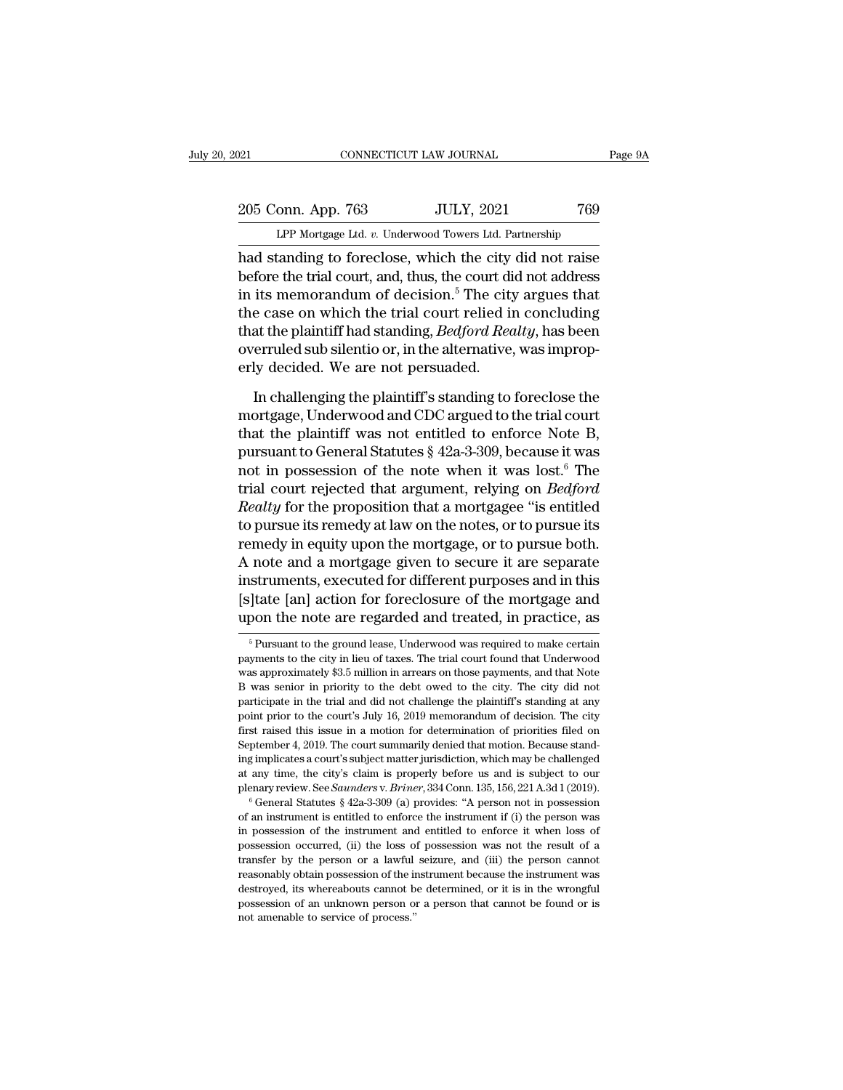### 205 Conn. App. 763 JULY, 2021 769<br>Per Mortgage Ltd. v. Underwood Towers Ltd. Partnership LPP Mortgage Ltd. *v.* Underwood Towers Ltd. Partnership

Page 9A<br>
205 Conn. App. 763 JULY, 2021 769<br>
LPP Mortgage Ltd. v. Underwood Towers Ltd. Partnership<br>
had standing to foreclose, which the city did not raise<br>
before the trial court, and, thus, the court did not address<br>
in 205 Conn. App. 763 JULY, 2021 769<br>
LPP Mortgage Ltd. v. Underwood Towers Ltd. Partnership<br>
had standing to foreclose, which the city did not raise<br>
before the trial court, and, thus, the court did not address<br>
in its memor 205 Conn. App. 763 JULY, 2021 769<br>
LPP Mortgage Ltd. v. Underwood Towers Ltd. Partnership<br>
had standing to foreclose, which the city did not raise<br>
before the trial court, and, thus, the court did not address<br>
in its memo 205 Conn. App. 763 JULY, 2021 769<br>
LPP Mortgage Ltd. v. Underwood Towers Ltd. Partnership<br>
had standing to foreclose, which the city did not raise<br>
before the trial court, and, thus, the court did not address<br>
in its memo LPP Mortgage Ltd. *v.* Underwood Towers Ltd. Partnership<br>had standing to foreclose, which the city did not raise<br>before the trial court, and, thus, the court did not address<br>in its memorandum of decision.<sup>5</sup> The city argue Let morgage Ltd.  $v$ . Underwood Towers Ltd. Partnership<br>had standing to foreclose, which the city did not raise<br>before the trial court, and, thus, the court did not address<br>in its memorandum of decision.<sup>5</sup> The city argue had standing to foreclose, which the city<br>before the trial court, and, thus, the court di<br>in its memorandum of decision.<sup>5</sup> The city<br>the case on which the trial court relied in<br>that the plaintiff had standing, *Bedford Rec* its memorandum of decision.<sup>5</sup> The city argues that<br>e case on which the trial court relied in concluding<br>at the plaintiff had standing, *Bedford Realty*, has been<br>erruled sub silentio or, in the alternative, was improp-<br>ly the case on which the trial court relied in concluding<br>that the plaintiff had standing, *Bedford Realty*, has been<br>overruled sub silentio or, in the alternative, was improp-<br>erly decided. We are not persuaded.<br>In challengi

that the plaintiff had standing, *Bedford Realty*, has been<br>overruled sub silentio or, in the alternative, was improp-<br>erly decided. We are not persuaded.<br>In challenging the plaintiff's standing to foreclose the<br>mortgage, overruled sub silentio or, in the alternative, was improperly decided. We are not persuaded.<br>In challenging the plaintiff's standing to foreclose the<br>mortgage, Underwood and CDC argued to the trial court<br>that the plaintiff erly decided. We are not persuaded.<br>In challenging the plaintiff's standing to foreclose the<br>mortgage, Underwood and CDC argued to the trial court<br>that the plaintiff was not entitled to enforce Note B,<br>pursuant to General In challenging the plaintiff's standing to foreclose the<br>mortgage, Underwood and CDC argued to the trial court<br>that the plaintiff was not entitled to enforce Note B,<br>pursuant to General Statutes § 42a-3-309, because it was In challenging the plaintiff's standing to foreclose the<br>mortgage, Underwood and CDC argued to the trial court<br>that the plaintiff was not entitled to enforce Note B,<br>pursuant to General Statutes § 42a-3-309, because it was mortgage, Underwood and CDC argued to the trial court<br>that the plaintiff was not entitled to enforce Note B,<br>pursuant to General Statutes § 42a-3-309, because it was<br>not in possession of the note when it was lost.<sup>6</sup> The<br>t that the plaintiff was not entitled to enforce Note B,<br>pursuant to General Statutes § 42a-3-309, because it was<br>not in possession of the note when it was lost.<sup>6</sup> The<br>trial court rejected that argument, relying on *Bedfor* pursuant to General Statutes § 42a-3-309, because it was<br>not in possession of the note when it was lost.<sup>6</sup> The<br>trial court rejected that argument, relying on *Bedford*<br>*Realty* for the proposition that a mortgagee "is ent not in possession of the note when it was lost.<sup>6</sup> The<br>trial court rejected that argument, relying on *Bedford*<br>*Realty* for the proposition that a mortgagee "is entitled<br>to pursue its remedy at law on the notes, or to pur trial court rejected that argument, relying on *Bedford*<br>Realty for the proposition that a mortgagee "is entitled<br>to pursue its remedy at law on the notes, or to pursue its<br>remedy in equity upon the mortgage, or to pursue Realty for the proposition that a mortgagee "is entitled<br>to pursue its remedy at law on the notes, or to pursue its<br>remedy in equity upon the mortgage, or to pursue both.<br>A note and a mortgage given to secure it are separa note and a mortgage given to secure it are separate<br>struments, executed for different purposes and in this<br>]<br>tate [an] action for foreclosure of the mortgage and<br>pon the note are regarded and treated, in practice, as<br> $\frac{5$ instruments, executed for different purposes and in this<br>[s]tate [an] action for foreclosure of the mortgage and<br>upon the note are regarded and treated, in practice, as<br><sup>5</sup> Pursuant to the ground lease, Underwood was requi

<sup>[</sup>s]tate [an] action for foreclosure of the mortgage and<br>upon the note are regarded and treated, in practice, as<br><sup>5</sup> Pursuant to the ground lease, Underwood was required to make certain<br>payments to the city in lieu of taxes [s] tate [an] action for foreclosure of the mortgage and<br>upon the note are regarded and treated, in practice, as<br> $\frac{1}{5}$  Pursuant to the ground lease, Underwood was required to make certain<br>payments to the city in lieu upon the note are regarded and treated, in practice, as<br>  $\frac{1}{2}$   $\frac{1}{2}$   $\frac{1}{2}$   $\frac{1}{2}$   $\frac{1}{2}$   $\frac{1}{2}$   $\frac{1}{2}$   $\frac{1}{2}$   $\frac{1}{2}$   $\frac{1}{2}$   $\frac{1}{2}$   $\frac{1}{2}$   $\frac{1}{2}$   $\frac{1}{2}$   $\frac{1}{2}$   $\frac{1}{2}$   $\frac{$  $^\circ$  Pursuant to the ground lease, Underwood was required to make certain payments to the city in lieu of taxes. The trial court found that Underwood was approximately \$3.5 million in arrears on those payments, and that N payments to the city in lieu of taxes. The trial court found that Underwood was approximately \$3.5 million in arrears on those payments, and that Note B was senior in priority to the debt owed to the city. The city did not was approximately \$3.5 million in arrears on those payments, and that Note B was senior in priority to the debt owed to the city. The city did not participate in the trial and did not challenge the plaintiff's standing at in a sension in priority to the debt owed to the city. The city did not participate in the trial and did not challenge the plaintiff's standing at any point prior to the court's July 16, 2019 memorandum of decision. The ci at any time, the city's claim is properly before us and is subject to our plenary review. See *Saunders* v. *Briner*, 334 Conn. 135, 156, 221 A.3d 1 (2019).<br><sup>6</sup> General Statutes § 42a-3-309 (a) provides: "A person not in plus repide in the court's July 16, 2019 memorandum of decision. The city first raised this issue in a motion for determination of priorities filed on September 4, 2019. The court summarily denied that motion. Because stan September 4, 2019. The court summarily denied that motion. Because standing implicates a court's subject matter jurisdiction, which may be challenged at any time, the city's claim is properly before us and is subject to o

ing implicates a court's subject matter jurisdiction, which may be challenged at any time, the city's claim is properly before us and is subject to our plenary review. See *Saunders v. Briner*, 334 Conn. 135, 156, 221 A.3 at any time, the city's claim is properly before us and is subject to our plenary review. See *Saunders* v. *Briner*, 334 Conn. 135, 156, 221 A.3d 1 (2019).<br>
<sup>6</sup> General Statutes § 42a-3-309 (a) provides: "A person not in plenary review. See *Saunders* v. *Briner*, 334 Conn. 135, 156, 221 A.3d 1 (2019).<br>
<sup>6</sup> General Statutes § 42a-3-309 (a) provides: "A person not in possession<br>
of an instrument is entitled to enforce the instrument if (i) <sup>re</sup> General Statutes § 42a-3-309 (a) provides: "A person not in possession of an instrument is entitled to enforce the instrument if (i) the person was in possession of the instrument and entitled to enforce it when loss of an instrument is entitled to enforce the instrument if (i) the person was in possession of the instrument and entitled to enforce it when loss of possession occurred, (ii) the loss of possession was not the result of a in possession of the instrument and entitled to enforce it when loss of possession occurred, (ii) the loss of possession was not the result of a transfer by the person or a lawful seizure, and (iii) the person cannot reaso possession occurred, (ii) the loss of possession was not the result of a transfer by the person or a lawful seizure, and (iii) the person cannot reasonably obtain possession of the instrument because the instrument was des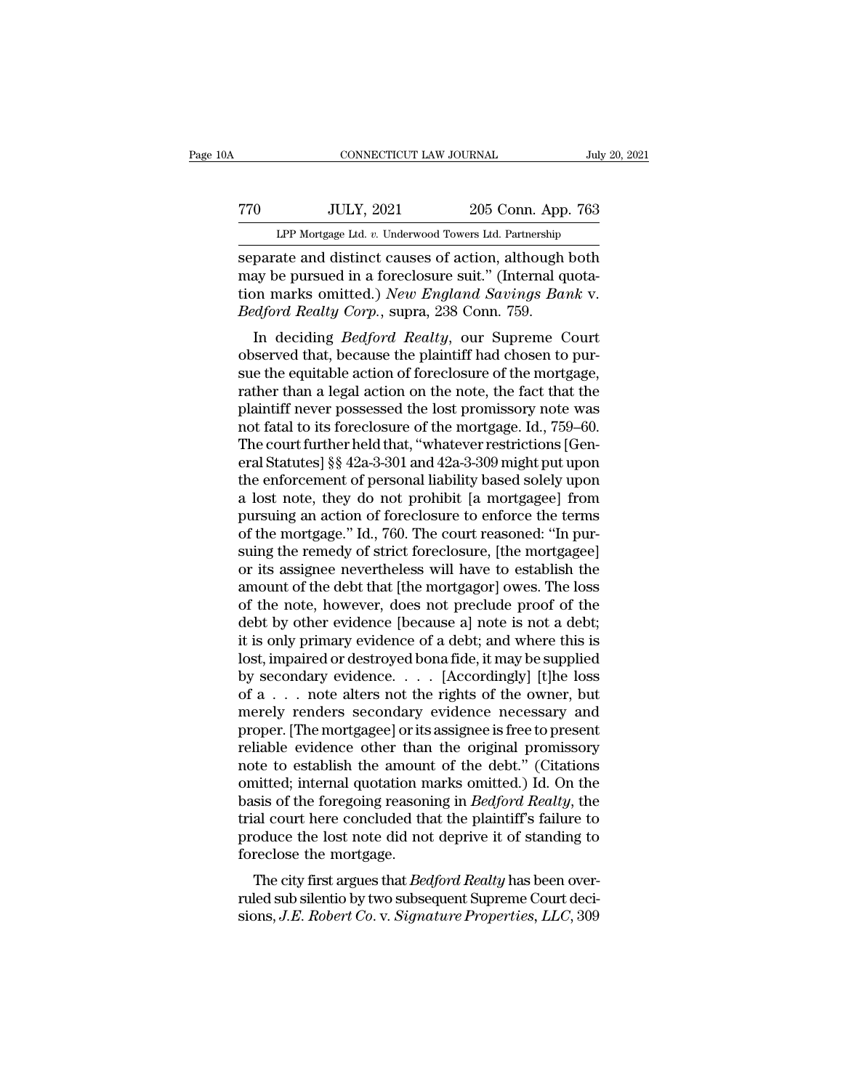# CONNECTICUT LAW JOURNAL July 20, 2021<br>
770 JULY, 2021 205 Conn. App. 763<br>
LPP Mortgage Ltd. v. Underwood Towers Ltd. Partnership CONNECTICUT LAW JOURNAL July 20, 2021<br>
TO JULY, 2021 205 Conn. App. 763<br>
LPP Mortgage Ltd. *v.* Underwood Towers Ltd. Partnership<br>
separate and distinct causes of action, although both

SEPARATE CONNECTICUT LAW JOURNAL July 20, 2021<br>
SEPARATE ALL SEPARATE AND MORE CONNECTICLY, 2021<br>
THE Mortgage Ltd. v. Underwood Towers Ltd. Partnership<br>
Separate and distinct causes of action, although both<br>
may be pursue TTO JULY, 2021 205 Conn. App. 763<br>
LPP Mortgage Ltd. v. Underwood Towers Ltd. Partnership<br>
separate and distinct causes of action, although both<br>
may be pursued in a foreclosure suit.'' (Internal quota-<br>
tion marks omitted Tranger Mortgage Ltd. v. Underwood Towers Ltd. Partnership<br>
Separate and distinct causes of action, although both<br>
may be pursued in a foreclosure suit." (Internal quota-<br>
tion marks omitted.) *New England Savings Bank* v. *Bedford Realty Corp.*, supra, 205 Conn. App<br> *Beparate and distinct causes of action, although*<br> *Bedford Realty Corp., supra, 238 Conn. 759.*<br> *Bedford Realty Corp., supra, 238 Conn. 759.*<br> *Bedford Realty Corp., supra,* LPP Mortgage Ltd. *v.* Underwood Towers Ltd. Partnership<br>parate and distinct causes of action, although both<br>ay be pursued in a foreclosure suit." (Internal quota-<br>paraks omitted.) *New England Savings Bank* v.<br>*dford Real* separate and distinct causes of action, although both<br>may be pursued in a foreclosure suit." (Internal quota-<br>tion marks omitted.) New England Savings Bank v.<br>Bedford Realty Corp., supra, 238 Conn. 759.<br>In deciding Bedford

separate and distinct causes of action, atthough both<br>may be pursued in a foreclosure suit." (Internal quota-<br>tion marks omitted.) *New England Savings Bank v.*<br>*Bedford Realty Corp.*, supra, 238 Conn. 759.<br>In deciding *Be* ration marks omitted.) *New England Savings Bank v.*<br>Bedford Realty Corp., supra, 238 Conn. 759.<br>In deciding *Bedford Realty*, our Supreme Court<br>observed that, because the plaintiff had chosen to pur-<br>sue the equitable act plant in the lost produce of the mortgage. Id., 759-60.<br>The deciding *Bedford Realty*, our Supreme Court<br>observed that, because the plaintiff had chosen to pur-<br>sue the equitable action of foreclosure of the mortgage,<br>rath notationally Corp., supra, 256 Conni. 759.<br>In deciding *Bedford Realty*, our Supreme Court<br>observed that, because the plaintiff had chosen to pur-<br>sue the equitable action of foreclosure of the mortgage,<br>rather than a lega In deciding *Bedford Realty*, our Supreme Court<br>observed that, because the plaintiff had chosen to pur-<br>sue the equitable action of foreclosure of the mortgage,<br>rather than a legal action on the note, the fact that the<br>pl observed that, because the plaintiff had chosen to pur-<br>sue the equitable action of foreclosure of the mortgage,<br>rather than a legal action on the note, the fact that the<br>plaintiff never possessed the lost promissory note sue the equitable action of foreclosure of the mortgage,<br>rather than a legal action on the note, the fact that the<br>plaintiff never possessed the lost promissory note was<br>not fatal to its foreclosure of the mortgage. Id., 7 rather than a legal action on the note, the fact that the<br>plaintiff never possessed the lost promissory note was<br>not fatal to its foreclosure of the mortgage. Id., 759–60.<br>The court further held that, "whatever restriction plaintiff never possessed the lost promissory note was<br>not fatal to its foreclosure of the mortgage. Id., 759–60.<br>The court further held that, "whatever restrictions [Gen-<br>eral Statutes] §§ 42a-3-301 and 42a-3-309 might pu not fatal to its foreclosure of the mortgage. Id., 759–60.<br>The court further held that, "whatever restrictions [General Statutes] §§ 42a-3-301 and 42a-3-309 might put upon<br>the enforcement of personal liability based solely The court further held that, "whatever restrictions [General Statutes] §§ 42a-3-301 and 42a-3-309 might put upon<br>the enforcement of personal liability based solely upon<br>a lost note, they do not prohibit [a mortgagee] from<br> eral Statutes] §§ 42a-3-301 and 42a-3-309 might put upon<br>the enforcement of personal liability based solely upon<br>a lost note, they do not prohibit [a mortgagee] from<br>pursuing an action of foreclosure to enforce the terms<br>o the enforcement of personal liability based solely upon<br>a lost note, they do not prohibit [a mortgagee] from<br>pursuing an action of foreclosure to enforce the terms<br>of the mortgage." Id., 760. The court reasoned: "In pur-<br>s a lost note, they do not prohibit [a mortgagee] from<br>pursuing an action of foreclosure to enforce the terms<br>of the mortgage." Id., 760. The court reasoned: "In pur-<br>suing the remedy of strict foreclosure, [the mortgagee]<br>o pursuing an action of foreclosure to enforce the terms<br>of the mortgage." Id., 760. The court reasoned: "In pur-<br>suing the remedy of strict foreclosure, [the mortgagee]<br>or its assignee nevertheless will have to establish th of the mortgage." Id., 760. The court reasoned: "In pursuing the remedy of strict foreclosure, [the mortgagee]<br>or its assignee nevertheless will have to establish the<br>amount of the debt that [the mortgagor] owes. The loss<br> suing the remedy of strict foreclosure, [the mortgagee]<br>or its assignee nevertheless will have to establish the<br>amount of the debt that [the mortgagor] owes. The loss<br>of the note, however, does not preclude proof of the<br>de or its assignee nevertheless will have to establish the<br>amount of the debt that [the mortgagor] owes. The loss<br>of the note, however, does not preclude proof of the<br>debt by other evidence [because a] note is not a debt;<br>it amount of the debt that [the mortgagor] owes. The loss<br>of the note, however, does not preclude proof of the<br>debt by other evidence [because a] note is not a debt;<br>it is only primary evidence of a debt; and where this is<br>lo of the note, however, does not preclude proof of the<br>debt by other evidence [because a] note is not a debt;<br>it is only primary evidence of a debt; and where this is<br>lost, impaired or destroyed bona fide, it may be supplied debt by other evidence [because a] note is not a debt;<br>it is only primary evidence of a debt; and where this is<br>lost, impaired or destroyed bona fide, it may be supplied<br>by secondary evidence. . . . [Accordingly] [t]he los it is only primary evidence of a debt; and where this is<br>lost, impaired or destroyed bona fide, it may be supplied<br>by secondary evidence. . . . . [Accordingly] [t]he loss<br>of a . . . note alters not the rights of the owner, lost, impaired or destroyed bona fide, it may be supplied<br>by secondary evidence. . . . [Accordingly] [t]he loss<br>of a . . . note alters not the rights of the owner, but<br>merely renders secondary evidence necessary and<br>proper by secondary evidence. . . . . [Accordingly] [t]he loss<br>of a . . . note alters not the rights of the owner, but<br>merely renders secondary evidence necessary and<br>proper. [The mortgagee] or its assignee is free to present<br>re of a . . . note alters not the rights of the owner, but<br>merely renders secondary evidence necessary and<br>proper. [The mortgagee] or its assignee is free to present<br>reliable evidence other than the original promissory<br>note t merely renders secondary evidence necessary and<br>proper. [The mortgagee] or its assignee is free to present<br>reliable evidence other than the original promissory<br>note to establish the amount of the debt." (Citations<br>omitted; proper. [The mortgagee] or its assignee is free to present<br>reliable evidence other than the original promissory<br>note to establish the amount of the debt." (Citations<br>omitted; internal quotation marks omitted.) Id. On the<br>b reliable evidence other than<br>note to establish the amoun<br>omitted; internal quotation n<br>basis of the foregoing reason<br>trial court here concluded th<br>produce the lost note did no<br>foreclose the mortgage.<br>The city first argues it is the constantine amount of the debt. (Chanons<br>itted; internal quotation marks omitted.) Id. On the<br>sis of the foregoing reasoning in *Bedford Realty*, the<br>al court here concluded that the plaintiff's failure to<br>oduce basis of the foregoing reasoning in *Bedford Realty*, the trial court here concluded that the plaintiff's failure to produce the lost note did not deprive it of standing to foreclose the mortgage.<br>The city first argues tha basis of the foregoing reasoning in *Bedford Reatty*, the trial court here concluded that the plaintiff's failure to produce the lost note did not deprive it of standing to foreclose the mortgage.<br>The city first argues tha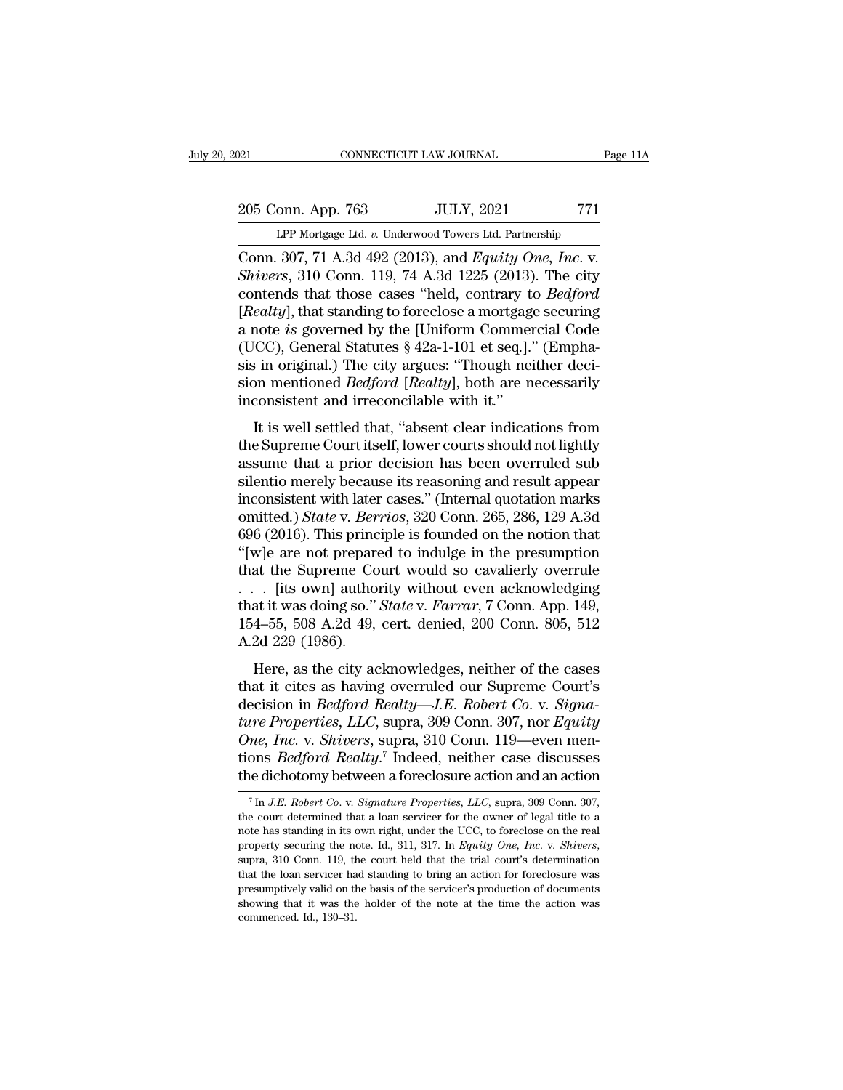# 205 Conn. App. 763 JULY, 2021 771<br>PP Mortgage Ltd. v. Underwood Towers Ltd. Partnership Equal CONNECTICUT LAW JOURNAL Page 11A<br>
205 Conn. App. 763 JULY, 2021 771<br>
LPP Mortgage Ltd. *v.* Underwood Towers Ltd. Partnership<br>
Conn. 307, 71 A.3d 492 (2013), and *Equity One, Inc.* v.

CONNECTICUT LAW JOURNAL Page 11A<br>
205 Conn. App. 763 JULY, 2021 771<br>
LPP Mortgage Ltd. v. Underwood Towers Ltd. Partnership<br>
Conn. 307, 71 A.3d 492 (2013), and *Equity One, Inc.* v.<br>
Shivers, 310 Conn. 119, 74 A.3d 1225 (2 205 Conn. App. 763 JULY, 2021 771<br>
LPP Mortgage Ltd. v. Underwood Towers Ltd. Partnership<br>
Conn. 307, 71 A.3d 492 (2013), and *Equity One, Inc.* v.<br>
Shivers, 310 Conn. 119, 74 A.3d 1225 (2013). The city<br>
contends that thos 205 Conn. App. 763 JULY, 2021 771<br> *LPP Mortgage Ltd. v. Underwood Towers Ltd. Partnership*<br>
Conn. 307, 71 A.3d 492 (2013), and *Equity One, Inc. v.*<br> *Shivers*, 310 Conn. 119, 74 A.3d 1225 (2013). The city<br>
contends that LPP Mortgage Ltd. v. Underwood Towers Ltd. Partnership<br>Conn. 307, 71 A.3d 492 (2013), and *Equity One, Inc.* v.<br>*Shivers*, 310 Conn. 119, 74 A.3d 1225 (2013). The city<br>contends that those cases "held, contrary to *Bedford* LPP Mortgage Ltd. v. Underwood Towers Ltd. Partnership<br>
Conn. 307, 71 A.3d 492 (2013), and Equity One, Inc. v.<br>
Shivers, 310 Conn. 119, 74 A.3d 1225 (2013). The city<br>
contends that those cases "held, contrary to Bedford<br> Conn. 307, 71 A.3d 492 (2013), and *Equity One, Inc. v. Shivers*, 310 Conn. 119, 74 A.3d 1225 (2013). The city contends that those cases "held, contrary to *Bedford* [*Realty*], that standing to foreclose a mortgage secu Shivers, 310 Conn. 119, 74 A.3d 1225 (2013). The city<br>contends that those cases "held, contrary to *Bedford*<br>[*Realty*], that standing to foreclose a mortgage securing<br>a note is governed by the [Uniform Commercial Code<br>(UC contends that those cases "held, contrary t<br>[*Realty*], that standing to foreclose a mortgag<br>a note *is* governed by the [Uniform Commer<br>(UCC), General Statutes  $\S$  42a-1-101 et seq.].<sup>3</sup><br>sis in original.) The city argues eating, that standing to forcefose a mortgage securing<br>note is governed by the [Uniform Commercial Code<br>ICC), General Statutes § 42a-1-101 et seq.]." (Empha-<br>in original.) The city argues: "Though neither deci-<br>on mention a note is governed by the [Uniform Commercial Code<br>(UCC), General Statutes § 42a-1-101 et seq.]." (Emphasis in original.) The city argues: "Though neither decision mentioned *Bedford [Realty]*, both are necessarily<br>incons

(CCC), General Statutes  $\frac{1}{2}$  and  $\frac{1}{2}$  and  $\frac{1}{2}$  argues: "Though neither decision mentioned *Bedford [Realty]*, both are necessarily inconsistent and irreconcilable with it."<br>It is well settled that, "absent sis in original.) The city argues. Though hencefortation mentioned *Bedford* [*Realty*], both are necessarily inconsistent and irreconcilable with it."<br>It is well settled that, "absent clear indications from the Supreme C inconsistent and irreconcilable with it."<br>
It is well settled that, "absent clear indications from<br>
the Supreme Court itself, lower courts should not lightly<br>
assume that a prior decision has been overruled sub<br>
silentio It is well settled that, "absent clear indications from<br>the Supreme Court itself, lower courts should not lightly<br>assume that a prior decision has been overruled sub<br>silentio merely because its reasoning and result appear<br> It is well settled that, "absent clear indications from<br>the Supreme Court itself, lower courts should not lightly<br>assume that a prior decision has been overruled sub<br>silentio merely because its reasoning and result appear<br> the Supreme Court itself, lower courts should not lightly<br>assume that a prior decision has been overruled sub<br>silentio merely because its reasoning and result appear<br>inconsistent with later cases." (Internal quotation mark assume that a prior decision has been overruled sub<br>silentio merely because its reasoning and result appear<br>inconsistent with later cases." (Internal quotation marks<br>omitted.) *State* v. *Berrios*, 320 Conn. 265, 286, 129 silentio merely because its reasoning and result appear<br>inconsistent with later cases." (Internal quotation marks<br>omitted.) *State* v. *Berrios*, 320 Conn. 265, 286, 129 A.3d<br>696 (2016). This principle is founded on the n inconsistent with later cases." (Internal quotation marks<br>omitted.) *State* v*. Berrios*, 320 Conn. 265, 286, 129 A.3d<br>696 (2016). This principle is founded on the notion that<br>"[w]e are not prepared to indulge in the presu omitted.) *State v. Berrios*, 320 Conn. 265, 286, 129 A.3d 696 (2016). This principle is founded on the notion that "[w]e are not prepared to indulge in the presumption that the Supreme Court would so cavalierly overrule . 696 (2016). This princ<br>
"[w]e are not prepare<br>
that the Supreme Co $\ldots$  [its own] author<br>
that it was doing so."<br>
154–55, 508 A.2d 49,<br>
A.2d 229 (1986).<br>
Here, as the city ac at the Supreme Court would so cavalierly overrule<br>
Its own] authority without even acknowledging<br>
at it was doing so." *State v. Farrar*, 7 Conn. App. 149,<br>
4–55, 508 A.2d 49, cert. denied, 200 Conn. 805, 512<br>
2d 229 (198 that it coupled court would so cavalistly overrule<br>
... [its own] authority without even acknowledging<br>
that it was doing so." *State* v. *Farrar*, 7 Conn. App. 149,<br>
154–55, 508 A.2d 49, cert. denied, 200 Conn. 805, 512<br>

decision in *Bedford Realty—J.E. Robert Co. v. Signa-<br>that it was doing so." State v. Farrar*, 7 Conn. App. 149,<br>154–55, 508 A.2d 49, cert. denied, 200 Conn. 805, 512<br>A.2d 229 (1986).<br>Here, as the city acknowledges, neithe *tuat it was dong so. State v. Parrar, Poomt. App. 149,*<br>154–55, 508 A.2d 49, cert. denied, 200 Conn. 805, 512<br>A.2d 229 (1986).<br>Here, as the city acknowledges, neither of the cases<br>that it cites as having overruled our Sup *DA*-55, 306 *A.2d 49*, cert. defied, 200 Conn. 305, 312<br>*A.2d 229* (1986).<br>*Here, as the city acknowledges, neither of the cases<br>that it cites as having overruled our Supreme Court's<br>decision in <i>Bedford Realty*—J.*E. Rob* Here, as the city acknowledges, neither of the cases<br>that it cites as having overruled our Supreme Court's<br>decision in *Bedford Realty—J.E. Robert Co. v. Signa-*<br>ture Properties, LLC, supra, 309 Conn. 307, nor Equity<br>One, Here, as the city acknowledges, neither of the cases<br>that it cites as having overruled our Supreme Court's<br>decision in *Bedford Realty—J.E. Robert Co. v. Signa-<br>ture Properties, LLC*, supra, 309 Conn. 307, nor *Equity*<br>On *The Properties, LLC,* supra, 309 Conn. 307, nor *Equity*<br> *ne, Inc.* v. *Shivers*, supra, 310 Conn. 119—even men-<br>
ons *Bedford Realty.*<sup>7</sup> Indeed, neither case discusses<br>
a dichotomy between a foreclosure action and an a One, Inc. v. Shivers, supra, 310 Conn. 119—even mentions *Bedford Realty*.<sup>7</sup> Indeed, neither case discusses the dichotomy between a foreclosure action and an action  $\frac{7 \text{ In } J.E. \text{ Robert Co. v. Signature Properties, } LLC$ , supra, 309 Conn. 307, the

tions *Bedford Realty*.<sup>7</sup> Indeed, neither case discusses<br>the dichotomy between a foreclosure action and an action<br> $\frac{1}{I}$  In *J.E. Robert Co.* v. *Signature Properties, LLC*, supra, 309 Com. 307,<br>the court determined t property securing the note-off properties, *LLC*, supra, 309 Conn. 307, the court determined that a loan servicer for the owner of legal title to a note has standing in its own right, under the UCC, to foreclose on the rea <sup>7</sup> In *J.E. Robert Co. v. Signature Properties, LLC*, supra, 309 Conn. 307, the court determined that a loan servicer for the owner of legal title to a note has standing in its own right, under the UCC, to foreclose on t the court determined that a loan servicer for the owner of legal title to a note has standing in its own right, under the UCC, to foreclose on the real property securing the note. Id., 311, 317. In *Equity One, Inc.* v. note has standing in its own right, under the UCC, to foreclose on the real property securing the note. Id., 311, 317. In Equity One, Inc. v. Shivers,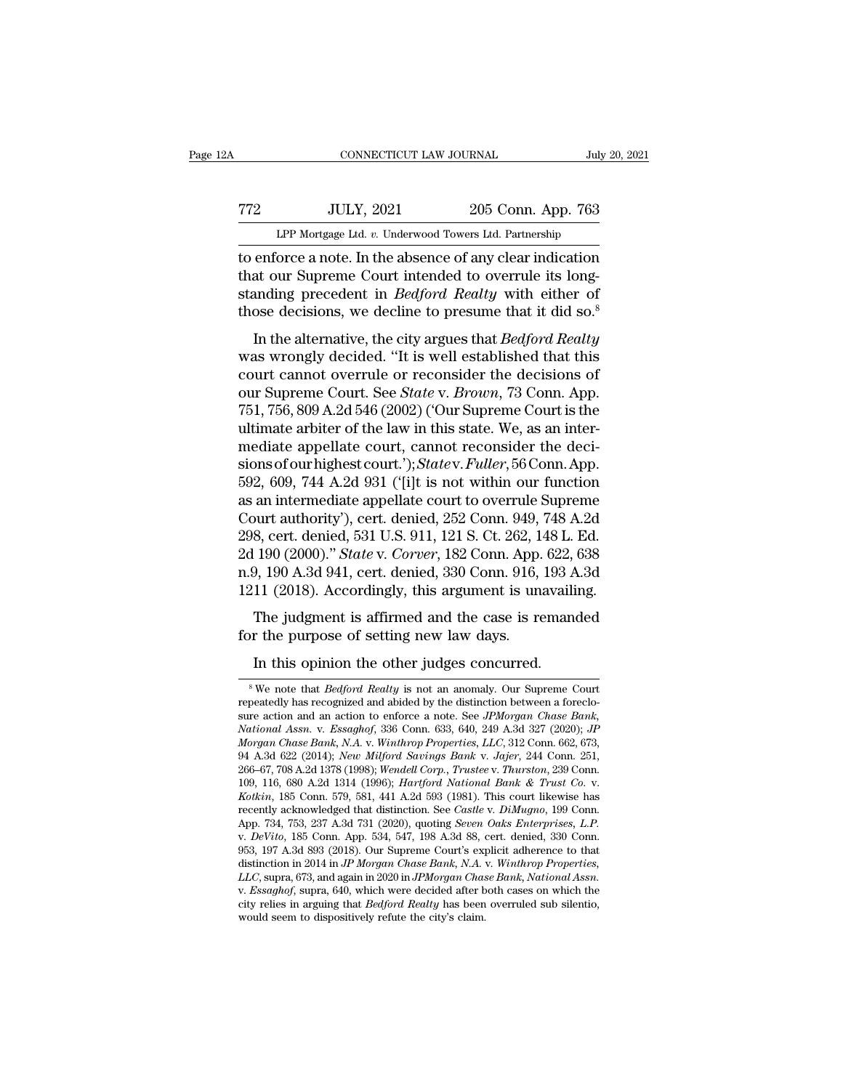# 19920, CONNECTICUT LAW JOURNAL<br>
772 JULY, 2021 205 Conn. App. 763<br>
LPP Mortgage Ltd. v. Underwood Towers Ltd. Partnership CONNECTICUT LAW JOURNAL July 20, 2021<br>Tree Mortgage Ltd. *v.* Underwood Towers Ltd. Partnership<br>To enforce a note. In the absence of any clear indication

TREE THE CONNECTICUT LAW JOURNAL July 20, 2021<br>TREE THE SULTA 2021 205 Conn. App. 763<br>LPP Mortgage Ltd. v. Underwood Towers Ltd. Partnership<br>The enforce a note. In the absence of any clear indication<br>that our Supreme Court TT2 JULY, 2021 205 Conn. App. 763<br>
LPP Mortgage Ltd. v. Underwood Towers Ltd. Partnership<br>
to enforce a note. In the absence of any clear indication<br>
that our Supreme Court intended to overrule its long-<br>
standing preceden STREET THE STREAM OF THE STREAM OF THE REALT OF THE MOTERN THE REALT OF PROPERTY OF PROPERTY And the absence of any clear indication that our Supreme Court intended to overrule its long-standing precedent in *Bedford Realt* TT2 ULY, 2021 205 Conn. App. 763<br>
LPP Mortgage Ltd.  $v$ . Underwood Towers Ltd. Partnership<br>
to enforce a note. In the absence of any clear indication<br>
that our Supreme Court intended to overrule its long-<br>
standing preced LPP Mortgage Ltd. *v.* Underwood Towers Ltd. Partnership<br>
enforce a note. In the absence of any clear indication<br>
at our Supreme Court intended to overrule its long-<br>
anding precedent in *Bedford Realty* with either of<br>
os to enforce a note. In the absence of any clear indication<br>that our Supreme Court intended to overrule its long-<br>standing precedent in *Bedford Realty* with either of<br>those decisions, we decline to presume that it did so.<sup>8</sup>

that our Supreme Court intended to overrule its long-<br>standing precedent in *Bedford Realty* with either of<br>those decisions, we decline to presume that it did so.<sup>8</sup><br>In the alternative, the city argues that *Bedford Realt* our Supreme Court incrition to overful as folgerdinated to the standing precedent in *Bedford Realty* with either of those decisions, we decline to presume that it did so.<sup>8</sup> In the alternative, the city argues that *Bedfo* those decisions, we decline to presume that it did so.<sup>8</sup><br>those decisions, we decline to presume that it did so.<sup>8</sup><br>In the alternative, the city argues that *Bedford Realty*<br>was wrongly decided. "It is well established th In the alternative, the city argues that *Bedford Realty*<br>was wrongly decided. "It is well established that this<br>court cannot overrule or reconsider the decisions of<br>our Supreme Court. See *State v. Brown*, 73 Conn. App.<br> In the alternative, the city argues that *Bedford Realty*<br>was wrongly decided. "It is well established that this<br>court cannot overrule or reconsider the decisions of<br>our Supreme Court. See *State* v. *Brown*, 73 Conn. App was wrongly decided. "It is well established that this<br>court cannot overrule or reconsider the decisions of<br>our Supreme Court. See *State* v. *Brown*, 73 Conn. App.<br>751, 756, 809 A.2d 546 (2002) ('Our Supreme Court is the<br> court cannot overrule or reconsider the decisions of<br>our Supreme Court. See *State* v. *Brown*, 73 Conn. App.<br>751, 756, 809 A.2d 546 (2002) ('Our Supreme Court is the<br>ultimate arbiter of the law in this state. We, as an in our Supreme Court. See *State* v. *Brown*, 73 Conn. App.<br>751, 756, 809 A.2d 546 (2002) ('Our Supreme Court is the<br>ultimate arbiter of the law in this state. We, as an inter-<br>mediate appellate court, cannot reconsider the d 751, 756, 809 A.2d 546 (2002) ('Our Supreme Court is the<br>ultimate arbiter of the law in this state. We, as an inter-<br>mediate appellate court, cannot reconsider the deci-<br>sions of our highest court.'); *Statev. Fuller*, 56 ultimate arbiter of the law in this state. We, as an inter-<br>mediate appellate court, cannot reconsider the deci-<br>sions of our highest court.'); *Statev. Fuller*, 56 Conn. App.<br>592, 609, 744 A.2d 931 ('[i]t is not within ou mediate appellate court, cannot reconsider the decisions of our highest court.'); *Statev. Fuller*, 56 Conn. App. 592, 609, 744 A.2d 931 ('[i]t is not within our function as an intermediate appellate court to overrule Supr sions of our highest court.'); *Statev. Fuller*, 56 Conn. App.<br>592, 609, 744 A.2d 931 ('[i]t is not within our function<br>as an intermediate appellate court to overrule Supreme<br>Court authority'), cert. denied, 252 Conn. 949, 592, 609, 744 A.2d 931 ('[i]t is not within our function<br>as an intermediate appellate court to overrule Supreme<br>Court authority'), cert. denied, 252 Conn. 949, 748 A.2d<br>298, cert. denied, 531 U.S. 911, 121 S. Ct. 262, 148 an intermediate appenate coart to overture supreme<br>ourt authority'), cert. denied, 252 Conn. 949, 748 A.2d<br>8, cert. denied, 531 U.S. 911, 121 S. Ct. 262, 148 L. Ed.<br>190 (2000)." *State* v. *Corver*, 182 Conn. App. 622, 638 For the purpose of setting new law days.<br>
1998, cert. denied, 531 U.S. 911, 121 S. Ct. 262, 1-<br>
2d 190 (2000)." *State v. Corver*, 182 Conn. App.<br>
190 A.3d 941, cert. denied, 330 Conn. 916,<br>
1211 (2018). Accordingly, this 190 (2000)." *State v. Corver*, 182 Conn. App. 622,<br>9, 190 A.3d 941, cert. denied, 330 Conn. 916, 193 A<br>11 (2018). Accordingly, this argument is unavaili<br>The judgment is affirmed and the case is reman<br>r the purpose of set

The judgment is affirmed and the case is remanded<br>or the purpose of setting new law days.<br>In this opinion the other judges concurred.<br><sup>8</sup>We note that *Bedford Realty* is not an anomaly. Our Supreme Court<br>peatedly has recog

Fire judgment is annihed and the case is remained<br>for the purpose of setting new law days.<br>In this opinion the other judges concurred.<br><sup>8</sup>We note that *Bedford Realty* is not an anomaly. Our Supreme Court<br>repeatedly has re for the purpose of setting new law days.<br>
In this opinion the other judges concurred.<br>
<sup>8</sup>We note that *Bedford Realty* is not an anomaly. Our Supreme Court<br>
repeatedly has recognized and abided by the distinction between In this opinion the other judges concurred.<br><sup>8</sup> We note that *Bedford Realty* is not an anomaly. Our Supreme Court<br>repeatedly has recognized and abided by the distinction between a foreclo-<br>sure action and an action to enf In this opinion the other judges concurred.<br>
<sup>8</sup> We note that *Bedford Realty* is not an anomaly. Our Supreme Court<br>
repeatedly has recognized and abided by the distinction between a foreclo-<br>
sure action and an action to <sup>8</sup> We note that *Bedford Realty* is not an anomaly. Our Supreme Court repeatedly has recognized and abided by the distinction between a foreclosure action and an action to enforce a note. See *JPMorgan Chase Bank*, *Natio* <sup>8</sup> We note that *Bedford Realty* is not an anomaly. Our Supreme Court repeatedly has recognized and abided by the distinction between a foreclosure action and an action to enforce a note. See *JPMorgan Chase Bank*, *Natio* repeatedly has recognized and abided by the distinction between a foreclo-<br>sure action and an action to enforce a note. See *JPMorgan Chase Bank*,<br>*National Assn.* v. *Essaghof*, 336 Conn. 633, 640, 249 A.3d 327 (2020); *J* National Assn. v. Essaghof, 336 Conn. 633, 640, 249 A.3d 327 (2020); *JP*<br>Morgan Chase Bank, N.A. v. Winthrop Properties, LLC, 312 Conn. 662, 673,<br>94 A.3d 622 (2014); New Milford Savings Bank v. Jajer, 244 Conn. 251,<br>266–6 Morgan Chase Bank, N.A. v. Winthrop Properties, LLC, 312 Conn. 662, 673, 94 A.3d 622 (2014); New Milford Savings Bank v. Jajer, 244 Conn. 251, 266–67, 708 A.2d 1378 (1998); Wendell Corp., Trustee v. Thurston, 239 Conn. 109 266–67, 708 A.2d 1378 (1998); Wendell Corp., Trustee v. Thurston, 239 Conn.<br>109, 116, 680 A.2d 1314 (1996); Hartford National Bank & Trust Co. v.<br>Kotkin, 185 Conn. 579, 581, 441 A.2d 593 (1981). This court likewise has<br>re 109, 116, 680 A.2d 1314 (1996); *Hartford National Bank & Trust Co. v.*<br> *Kotkin*, 185 Conn. 579, 581, 441 A.2d 593 (1981). This court likewise has<br>
recently acknowledged that distinction. See *Castle v. DiMugno*, 199 Conn *LLCC*, supra, 673, and again in 2020), and again in *L.C.* and *L.C. L.C. L.P. L.P. L.P. L.P. L.P. L.P. L.P. L.P. L.P. L.P. L.P. L.P. L.P. L.P. L.P. L.P. L.P. L.P. L.P. L.P. L.P* App. 734, 753, 237 A.3d 731 (2020), quoting *Seven Oaks Enterprises*, *L.P.* v. *DeVito*, 185 Conn. App. 534, 547, 198 A.3d 88, cert. denied, 330 Conn. 953, 197 A.3d 893 (2018). Our Supreme Court's explicit adherence to th v. *DeVito*, 185 Conn. App. 534, 547, 198 A.3d 88, 653, 197 A.3d 893 (2018). Our Supreme Court's explaintion in 2014 in *JP Morgan Chase Bank*, *N.A.*  $LLC$ , supra, 673, and again in 2020 in *JPMorgan Chase. N.A.*  $x$ *Es*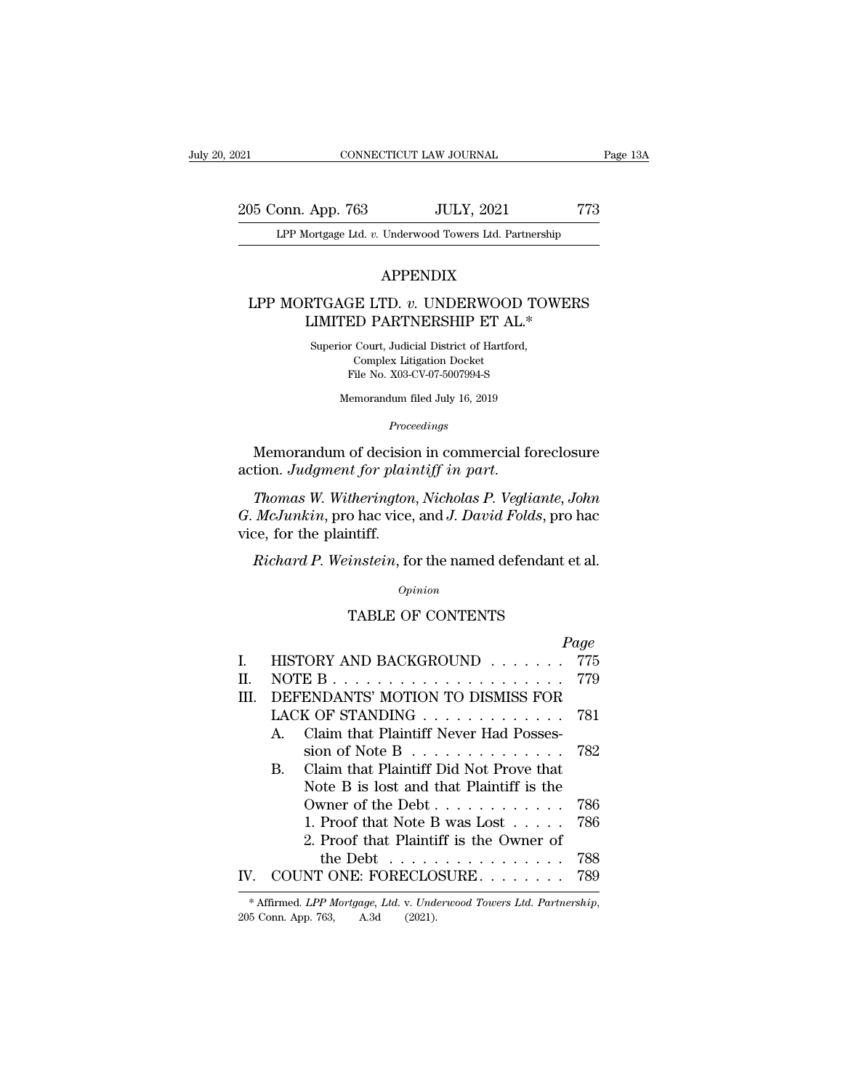205 Conn. App. 763 JULY, 2021 773<br>Page 13A LPP Mortgage Ltd. v. Underwood Towers Ltd. Partnership Equation 2021 CONNECTICUT LAW JOURNAL Page 13A<br>
205 Conn. App. 763 JULY, 2021 773<br>
LPP Mortgage Ltd. *v.* Underwood Towers Ltd. Partnership

### APPENDIX

### 195 Conn. App. 763 JULY, 2021 773<br>
LPP Mortgage Ltd. *v.* Underwood Towers Ltd. Partnership<br>
APPENDIX<br>
LPP MORTGAGE LTD. *v.* UNDERWOOD TOWERS<br>
LIMITED PARTNERSHIP ET AL.\* App. 763 JULY, 2021 777<br>
10 JULY, 2021 777<br>
10 July, 2021 777<br>
10 July, 2021 777<br>
10 July, 2021<br>
10 PAPENDIX<br>
RTGAGE LTD. *v.* UNDERWOOD TOWERS<br>
LIMITED PARTNERSHIP ET AL.\*<br>
10 Superior Court, Judicial District of Hartford APPENDIX<br>SUPER LTD. v. UNDERWOOD TOV<br>MITTED PARTNERSHIP ET AL.\*<br>Superior Court, Judicial District of Hartford,<br>Complex Litigation Docket

E LTD. v. UNDERWOOI<br>COMPLEX LITIGATION DET ALCOUPT DET ALCOUPT DET ALCOUPT DET ALCOUPT DET NORTHERS LITIGATION DETAILS GE LTD. *v*. UNDERWOOD TC<br>ED PARTNERSHIP ET AL.\*<br>r Court, Judicial District of Hartford,<br>Complex Litigation Docket<br>File No. X03-CV-07-5007994-S<br>(emorandum filed July 16, 2019 LIMITED PARTNERSHIP ET AL.\*<br>Superior Court, Judicial District of Hartford,<br>Complex Litigation Docket<br>File No. X03-CV-07-5007994-S<br>Memorandum filed July 16, 2019

*Proceedings*

Superior Court, Judicial District of Hartford,<br>
Complex Litigation Docket<br>
File No. X03-CV-07-5007994-S<br>
Memorandum of decision in commercial foreclosure<br>
tion. *Judgment for plaintiff in part*.

Complex Litigation Docket<br>
File No. X03-CV-07-5007994-S<br>
Memorandum filed July 16, 2019<br> *Proceedings*<br> **Memorandum of decision in commercial foreclosure<br>
action.** *Judgment for plaintiff in part.***<br>** *Thomas W. Witherington, Proceedings*<br>*Proceedings*<br>Memorandum of decision in commercial foreclosure<br>action. Judgment for plaintiff in part.<br>Thomas W. Witherington, Nicholas P. Vegliante, John<br>G. McJunkin, pro hac vice, and J. David Folds, pro ha Memorandum of decision in commercial foreclosure<br>action. Judgment for plaintiff in part.<br>Thomas W. Witherington, Nicholas P. Vegliante, John<br>G. McJunkin, pro hac vice, and J. David Folds, pro hac<br>vice, for the plaintiff. *Memorandum of decision in commercial foreclosure<br>tion. Judgment for plaintiff in part.<br>Thomas W. Witherington, Nicholas P. Vegliante, John<br><i>McJunkin*, pro hac vice, and *J. David Folds*, pro hac<br>ce, for the plaintiff.<br>*Ri* 

| Opinion<br><b>TABLE OF CONTENTS</b><br>Page<br>HISTORY AND BACKGROUND<br>775<br>L<br>779<br>П.<br>NOTE B<br>DEFENDANTS' MOTION TO DISMISS FOR<br>HL.<br>LACK OF STANDING<br>781<br>Claim that Plaintiff Never Had Posses-<br>$\mathbf{A}$<br>sion of Note B $\ldots$ $\ldots$ $\ldots$ $\ldots$<br>782<br>Claim that Plaintiff Did Not Prove that<br>B.<br>Note B is lost and that Plaintiff is the<br>786<br>Owner of the Debt $\dots$ $\dots$ $\dots$ $\dots$<br>1. Proof that Note B was Lost $\ldots$ .<br>786<br>2. Proof that Plaintiff is the Owner of<br>788<br>the Debt.<br>and the state of the state of<br>COUNT ONE: FORECLOSURE<br>IV.<br>789 | <i>Richard P. Weinstein,</i> for the named defendant et al. |  |
|------------------------------------------------------------------------------------------------------------------------------------------------------------------------------------------------------------------------------------------------------------------------------------------------------------------------------------------------------------------------------------------------------------------------------------------------------------------------------------------------------------------------------------------------------------------------------------------------------------------------------------------------------------|-------------------------------------------------------------|--|
|                                                                                                                                                                                                                                                                                                                                                                                                                                                                                                                                                                                                                                                            |                                                             |  |
|                                                                                                                                                                                                                                                                                                                                                                                                                                                                                                                                                                                                                                                            |                                                             |  |
|                                                                                                                                                                                                                                                                                                                                                                                                                                                                                                                                                                                                                                                            |                                                             |  |
|                                                                                                                                                                                                                                                                                                                                                                                                                                                                                                                                                                                                                                                            |                                                             |  |
|                                                                                                                                                                                                                                                                                                                                                                                                                                                                                                                                                                                                                                                            |                                                             |  |
|                                                                                                                                                                                                                                                                                                                                                                                                                                                                                                                                                                                                                                                            |                                                             |  |
|                                                                                                                                                                                                                                                                                                                                                                                                                                                                                                                                                                                                                                                            |                                                             |  |
|                                                                                                                                                                                                                                                                                                                                                                                                                                                                                                                                                                                                                                                            |                                                             |  |
|                                                                                                                                                                                                                                                                                                                                                                                                                                                                                                                                                                                                                                                            |                                                             |  |
|                                                                                                                                                                                                                                                                                                                                                                                                                                                                                                                                                                                                                                                            |                                                             |  |
|                                                                                                                                                                                                                                                                                                                                                                                                                                                                                                                                                                                                                                                            |                                                             |  |
|                                                                                                                                                                                                                                                                                                                                                                                                                                                                                                                                                                                                                                                            |                                                             |  |
|                                                                                                                                                                                                                                                                                                                                                                                                                                                                                                                                                                                                                                                            |                                                             |  |
|                                                                                                                                                                                                                                                                                                                                                                                                                                                                                                                                                                                                                                                            |                                                             |  |
|                                                                                                                                                                                                                                                                                                                                                                                                                                                                                                                                                                                                                                                            |                                                             |  |
|                                                                                                                                                                                                                                                                                                                                                                                                                                                                                                                                                                                                                                                            |                                                             |  |
|                                                                                                                                                                                                                                                                                                                                                                                                                                                                                                                                                                                                                                                            |                                                             |  |
|                                                                                                                                                                                                                                                                                                                                                                                                                                                                                                                                                                                                                                                            | A.3d<br>205 Conn. App. 763,<br>(2021).                      |  |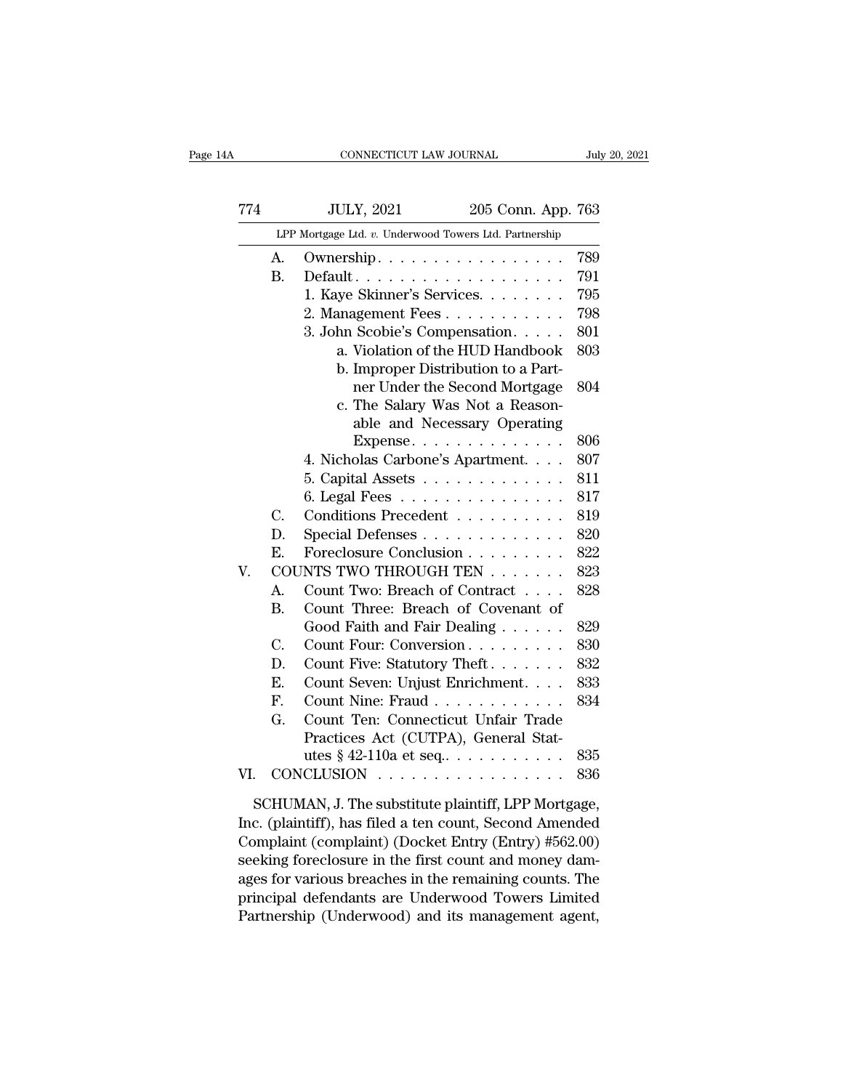|     |    | CONNECTICUT LAW JOURNAL                                               |                    | July 20, 2021 |
|-----|----|-----------------------------------------------------------------------|--------------------|---------------|
|     |    |                                                                       |                    |               |
| 774 |    | <b>JULY, 2021</b>                                                     | 205 Conn. App. 763 |               |
|     |    | LPP Mortgage Ltd. v. Underwood Towers Ltd. Partnership                |                    |               |
|     | А. | Ownership. $\ldots \ldots \ldots \ldots \ldots$                       |                    | 789           |
|     | В. | $Default.$                                                            |                    | 791           |
|     |    | 1. Kaye Skinner's Services.                                           |                    | 795           |
|     |    | 2. Management Fees                                                    |                    | 798           |
|     |    | 3. John Scobie's Compensation.                                        |                    | 801           |
|     |    | a. Violation of the HUD Handbook                                      |                    | 803           |
|     |    | b. Improper Distribution to a Part-                                   |                    |               |
|     |    | ner Under the Second Mortgage                                         |                    | 804           |
|     |    | c. The Salary Was Not a Reason-                                       |                    |               |
|     |    | able and Necessary Operating                                          |                    |               |
|     |    | Expense. $\ldots$                                                     |                    | 806           |
|     |    | 4. Nicholas Carbone's Apartment.                                      |                    | 807           |
|     |    | 5. Capital Assets $\ldots \ldots \ldots \ldots$                       |                    | 811           |
|     | C. | 6. Legal Fees $\dots \dots \dots \dots \dots$<br>Conditions Precedent |                    | 817<br>819    |
|     | D. |                                                                       |                    | 820           |
|     | E. | Special Defenses<br>Foreclosure Conclusion                            |                    | 822           |
| V.  |    | COUNTS TWO THROUGH TEN                                                |                    | 823           |
|     | A. | Count Two: Breach of Contract                                         |                    | 828           |
|     | В. | Count Three: Breach of Covenant of                                    |                    |               |
|     |    | Good Faith and Fair Dealing                                           |                    | 829           |
|     | C. | Count Four: Conversion                                                |                    | 830           |
|     | D. | Count Five: Statutory Theft.                                          |                    | 832           |
|     | Е. | Count Seven: Unjust Enrichment.                                       |                    | 833           |
|     | F. | Count Nine: Fraud                                                     |                    | 834           |
|     | G. | Count Ten: Connecticut Unfair Trade                                   |                    |               |
|     |    | Practices Act (CUTPA), General Stat-                                  |                    |               |
|     |    | utes $§$ 42-110a et seq. $\ldots$ $\ldots$ $\ldots$ .                 |                    | 835           |
|     |    | CONCLUSION                                                            |                    | 836           |

Complaint (complaint) (Docket Entry (Entry) #562.00) seeking foreclosure in the first count and money damages for various breaches in the remaining counts. The SCHUMAN, J. The substitute plaintiff, LPP Mortgage,<br>Inc. (plaintiff), has filed a ten count, Second Amended<br>Complaint (complaint) (Docket Entry (Entry) #562.00)<br>seeking foreclosure in the first count and money dam-<br>ages fo SCHUMAN, J. The substitute plaintiff, LPP Mortgage,<br>Inc. (plaintiff), has filed a ten count, Second Amended<br>Complaint (complaint) (Docket Entry (Entry) #562.00)<br>seeking foreclosure in the first count and money dam-<br>ages fo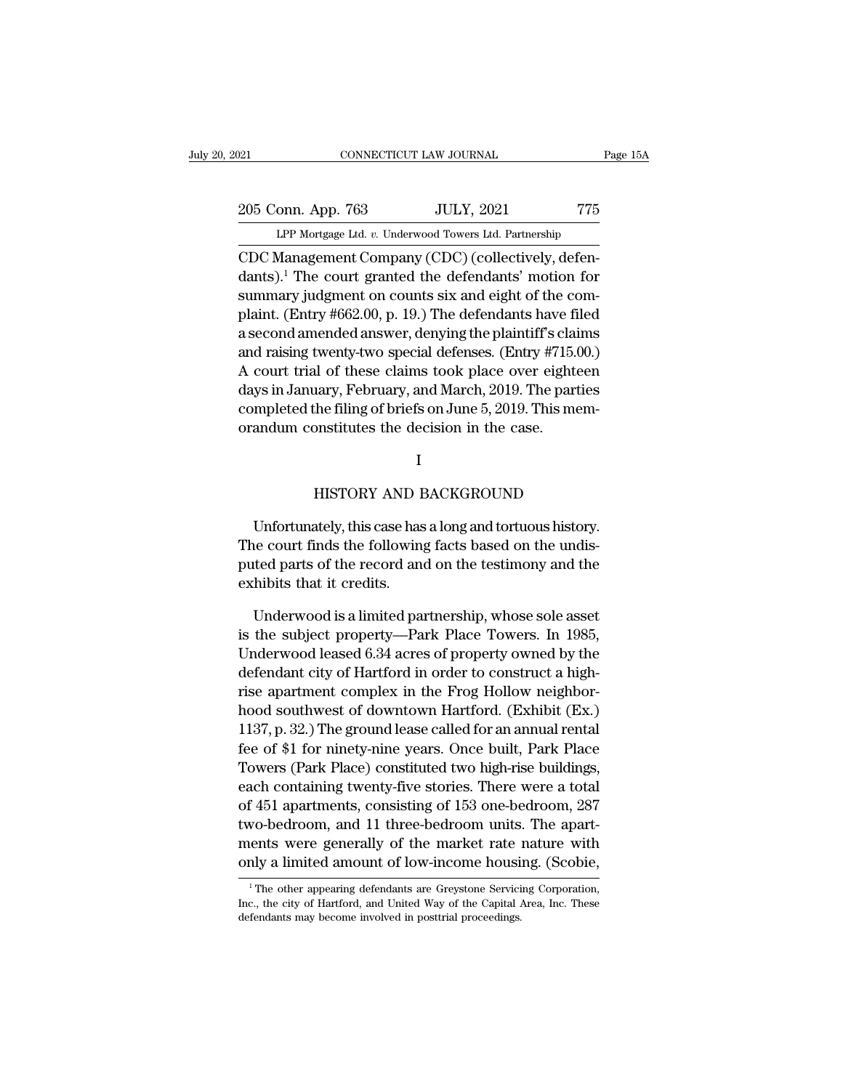EXECUTE DE TO PARAL Page 15A<br>
205 Conn. App. 763 JULY, 2021 775<br>
LPP Mortgage Ltd. *v.* Underwood Towers Ltd. Partnership<br>
CDC Management Company (CDC) (collectively, defen-CONNECTICUT LAW JOURNAL<br>
205 Conn. App. 763 JULY, 2021 775<br>
LPP Mortgage Ltd. v. Underwood Towers Ltd. Partnership<br>
CDC Management Company (CDC) (collectively, defen-<br>
dants).<sup>1</sup> The court granted the defendants' motion fo 205 Conn. App. 763 JULY, 2021 775<br>
LPP Mortgage Ltd. v. Underwood Towers Ltd. Partnership<br>
CDC Management Company (CDC) (collectively, defendants).<sup>1</sup> The court granted the defendants' motion for<br>
summary judgment on count 205 Conn. App. 763 JULY, 2021 775<br>
LPP Mortgage Ltd. v. Underwood Towers Ltd. Partnership<br>
CDC Management Company (CDC) (collectively, defendants).<sup>1</sup> The court granted the defendants' motion for<br>
summary judgment on count 205 Conn. App. 763 JULY, 2021 775<br>
LPP Mortgage Ltd. v. Underwood Towers Ltd. Partnership<br>
CDC Management Company (CDC) (collectively, defendants).<sup>1</sup> The court granted the defendants' motion for<br>
summary judgment on coun LPP Mortgage Ltd. v. Underwood Towers Ltd. Partnership<br>
CDC Management Company (CDC) (collectively, defen-<br>
dants).<sup>1</sup> The court granted the defendants' motion for<br>
summary judgment on counts six and eight of the com-<br>
pla CDC Management Company (CDC) (collectively, defendants).<sup>1</sup> The court granted the defendants' motion for summary judgment on counts six and eight of the complaint. (Entry  $\#662.00$ , p. 19.) The defendants have filed a se CDC Management Company (CDC) (collectively, defendants).<sup>1</sup> The court granted the defendants' motion for summary judgment on counts six and eight of the complaint. (Entry #662.00, p. 19.) The defendants have filed a second dants). The court granted the detendants motion for<br>summary judgment on counts six and eight of the com-<br>plaint. (Entry #662.00, p. 19.) The defendants have filed<br>a second amended answer, denying the plaintiff's claims<br>and summary judgment on counts six and eight of the complaint. (Entry #662.00, p. 19.) The defendants have filed a second amended answer, denying the plaintiff's claims and raising twenty-two special defenses. (Entry #715.00.) plaint. (Entry #002.00, p. 19.) The defendants have in a second amended answer, denying the plaintiff's claimand raising twenty-two special defenses. (Entry #715.<br>A court trial of these claims took place over eight days in https://ebruary, and March, 2019. The parties<br>the filing of briefs on June 5, 2019. This mem-<br>positivities the decision in the case.<br>I<br>HISTORY AND BACKGROUND<br>ately this case has a long and tortuous history

### I

I<br>
I<br>
HISTORY AND BACKGROUND<br>
Unfortunately, this case has a long and tortuous history.<br>
HISTORY AND BACKGROUND<br>
Unfortunately, this case has a long and tortuous history.<br>
He court finds the following facts based on the un I<br>HISTORY AND BACKGROUND<br>Unfortunately, this case has a long and tortuous history.<br>The court finds the following facts based on the undis-<br>puted parts of the record and on the testimony and the I<br>HISTORY AND BACKGROUND<br>Unfortunately, this case has a long and tortuous history.<br>The court finds the following facts based on the undis-<br>puted parts of the record and on the testimony and the<br>exhibits that it credits. HISTORY AND I<br>Unfortunately, this case has<br>The court finds the following<br>puted parts of the record and<br>exhibits that it credits.<br>Underwood is a limited pa Unfortunately, this case has a long and tortuous history.<br>
He court finds the following facts based on the undistited parts of the record and on the testimony and the<br>
hibits that it credits.<br>
Underwood is a limited partn Unfortunately, this case has a long and tortuous history.<br>The court finds the following facts based on the undis-<br>puted parts of the record and on the testimony and the<br>exhibits that it credits.<br>Underwood is a limited part

The court finds the following facts based on the undis-<br>puted parts of the record and on the testimony and the<br>exhibits that it credits.<br>Underwood is a limited partnership, whose sole asset<br>is the subject property—Park Pla puted parts of the record and on the testimony and the exhibits that it credits.<br>
Underwood is a limited partnership, whose sole asset<br>
is the subject property—Park Place Towers. In 1985,<br>
Underwood leased 6.34 acres of pr exhibits that it credits.<br>Underwood is a limited partnership, whose sole asset<br>is the subject property—Park Place Towers. In 1985,<br>Underwood leased 6.34 acres of property owned by the<br>defendant city of Hartford in order to Underwood is a limited partnership, whose sole asset<br>is the subject property—Park Place Towers. In 1985,<br>Underwood leased 6.34 acres of property owned by the<br>defendant city of Hartford in order to construct a high-<br>rise ap Underwood is a limited partnership, whose sole asset<br>is the subject property—Park Place Towers. In 1985,<br>Underwood leased 6.34 acres of property owned by the<br>defendant city of Hartford in order to construct a high-<br>rise ap is the subject property—Park Place Towers. In 1989,<br>Underwood leased 6.34 acres of property owned by the<br>defendant city of Hartford in order to construct a high-<br>rise apartment complex in the Frog Hollow neighbor-<br>hood sou Underwood leased 0.34 acres of property owned by the<br>defendant city of Hartford in order to construct a high-<br>rise apartment complex in the Frog Hollow neighbor-<br>hood southwest of downtown Hartford. (Exhibit (Ex.)<br>1137, p. detendant city of Hartford in order to construct a high-<br>rise apartment complex in the Frog Hollow neighbor-<br>hood southwest of downtown Hartford. (Exhibit (Ex.)<br>1137, p. 32.) The ground lease called for an annual rental<br>fe rise apartment complex in the Frog Hollow helghbor-<br>hood southwest of downtown Hartford. (Exhibit (Ex.)<br>1137, p. 32.) The ground lease called for an annual rental<br>fee of \$1 for ninety-nine years. Once built, Park Place<br>Tow nood southwest of downtown Hartford. (Exhibit (Ex.)<br>1137, p. 32.) The ground lease called for an annual rental<br>fee of \$1 for ninety-nine years. Once built, Park Place<br>Towers (Park Place) constituted two high-rise buildings 1137, p. 32.) The ground lease called for an annual rental<br>fee of \$1 for ninety-nine years. Once built, Park Place<br>Towers (Park Place) constituted two high-rise buildings,<br>each containing twenty-five stories. There were a Towers (Park Place) constituted two high-rise buildings,<br>each containing twenty-five stories. There were a total<br>of 451 apartments, consisting of 153 one-bedroom, 287<br>two-bedroom, and 11 three-bedroom units. The apart-<br>men of 451 apartments, consisting of 153 one-bedroom, 287 two-bedroom, and 11 three-bedroom units. The apartments were generally of the market rate nature with only a limited amount of low-income housing. (Scobie, The other ap two-bedroom, and 11 three-bedroom units. The apart-<br>ments were generally of the market rate nature with<br>only a limited amount of low-income housing. (Scobie,<br><sup>1</sup>The other appearing defendants are Greystone Servicing Corpor ments were generally of the market rate in<br>only a limited amount of low-income housing in the solution of low-income servicing.<br>The other appearing defendants are Greystone Servicine, the city of Hartford, and United Way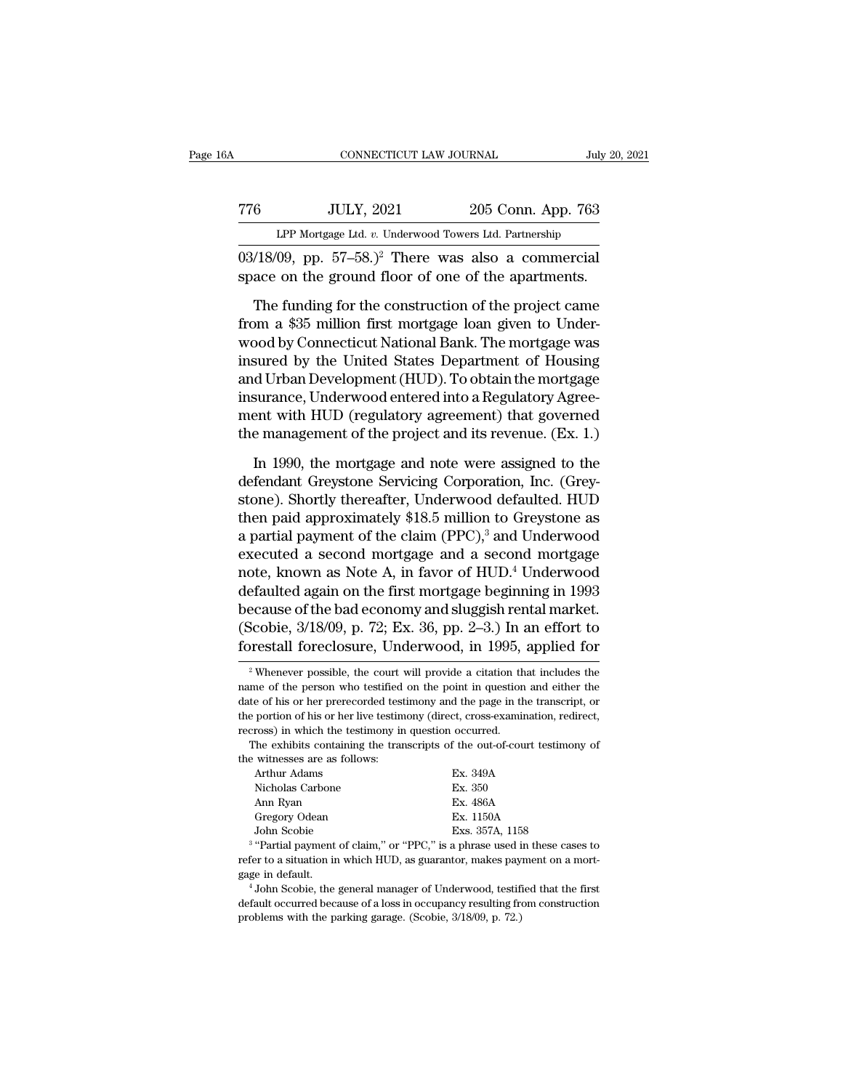| Α |     | CONNECTICUT LAW JOURNAL                                                                                                     |                    | July 20, 2021 |
|---|-----|-----------------------------------------------------------------------------------------------------------------------------|--------------------|---------------|
|   | 776 | <b>JULY, 2021</b>                                                                                                           | 205 Conn. App. 763 |               |
|   |     | LPP Mortgage Ltd. v. Underwood Towers Ltd. Partnership                                                                      |                    |               |
|   |     | $03/18/09$ , pp. $57-58$ .) <sup>2</sup> There was also a commercial<br>space on the ground floor of one of the apartments. |                    |               |
|   |     | The funding for the construction of the project came                                                                        |                    |               |

 $\frac{JULY, 2021}{LPP\ Mortgage\ Ltd. v. \ Underwood\ Towers\ Ltd. Parthership}$ <br>  $\frac{18}{99}, \text{ pp. } 57-58.)^2$  There was also a commercial ace on the ground floor of one of the apartments.<br>
The funding for the construction of the project came<br>
om a \$35 million From a  $\frac{30 \text{ L}}{203}$  Com. App. 763<br>LPP Mortgage Ltd. v. Underwood Towers Ltd. Partnership<br>03/18/09, pp. 57–58.)<sup>2</sup> There was also a commercial<br>space on the ground floor of one of the apartments.<br>The funding for the co LPP Mortgage Ltd.  $v$ . Underwood Towers Ltd. Partnership<br>03/18/09, pp. 57–58.)<sup>2</sup> There was also a commercial<br>space on the ground floor of one of the apartments.<br>The funding for the construction of the project came<br>from a 03/18/09, pp. 57–58.)<sup>2</sup> There was also a commercial space on the ground floor of one of the apartments.<br>The funding for the construction of the project came from a \$35 million first mortgage loan given to Underwood by Co space on the ground floor of one of the apartments.<br>The funding for the construction of the project came<br>from a \$35 million first mortgage loan given to Under-<br>wood by Connecticut National Bank. The mortgage was<br>insured by The funding for the construction of the project came<br>from a \$35 million first mortgage loan given to Underwood by Connecticut National Bank. The mortgage was<br>insured by the United States Department of Housing<br>and Urban De The funding for the construction of the project came<br>from a \$35 million first mortgage loan given to Under-<br>wood by Connecticut National Bank. The mortgage was<br>insured by the United States Department of Housing<br>and Urban D from a \$35 million first mortgage loan given to Under-<br>wood by Connecticut National Bank. The mortgage was<br>insured by the United States Department of Housing<br>and Urban Development (HUD). To obtain the mortgage<br>insurance, U sured by the United States Department of Housing<br>d Urban Development (HUD). To obtain the mortgage<br>surance, Underwood entered into a Regulatory Agree-<br>ent with HUD (regulatory agreement) that governed<br>e management of the p and Urban Development (HUD). To obtain the mortgage<br>insurance, Underwood entered into a Regulatory Agree-<br>ment with HUD (regulatory agreement) that governed<br>the management of the project and its revenue. (Ex. 1.)<br>In 1990,

insurance, Underwood entered into a Regulatory Agreement with HUD (regulatory agreement) that governed<br>the management of the project and its revenue. (Ex. 1.)<br>In 1990, the mortgage and note were assigned to the<br>defendant ment with HUD (regulatory agreement) that governed<br>the management of the project and its revenue. (Ex. 1.)<br>In 1990, the mortgage and note were assigned to the<br>defendant Greystone Servicing Corporation, Inc. (Grey-<br>stone). the management of the project and its revenue. (Ex. 1.)<br>In 1990, the mortgage and note were assigned to the<br>defendant Greystone Servicing Corporation, Inc. (Grey-<br>stone). Shortly thereafter, Underwood defaulted. HUD<br>then In 1990, the mortgage and note were assigned to the<br>defendant Greystone Servicing Corporation, Inc. (Grey-<br>stone). Shortly thereafter, Underwood defaulted. HUD<br>then paid approximately \$18.5 million to Greystone as<br>a parti In 1990, the mortgage and note were assigned to the<br>defendant Greystone Servicing Corporation, Inc. (Grey-<br>stone). Shortly thereafter, Underwood defaulted. HUD<br>then paid approximately \$18.5 million to Greystone as<br>a partia defendant Greystone Servicing Corporation, Inc. (Greystone). Shortly thereafter, Underwood defaulted. HUD<br>then paid approximately \$18.5 million to Greystone as<br>a partial payment of the claim (PPC),<sup>3</sup> and Underwood<br>execut stone). Shortly thereafter, Underwood defaulted. HUD<br>then paid approximately \$18.5 million to Greystone as<br>a partial payment of the claim (PPC),<sup>3</sup> and Underwood<br>executed a second mortgage and a second mortgage<br>note, known then paid approximately \$18.5 million to Greystone as<br>a partial payment of the claim (PPC),<sup>3</sup> and Underwood<br>executed a second mortgage and a second mortgage<br>note, known as Note A, in favor of HUD.<sup>4</sup> Underwood<br>defaulted a a partial payment of the claim (PPC),<sup>3</sup> and Underwood<br>executed a second mortgage and a second mortgage<br>note, known as Note A, in favor of HUD.<sup>4</sup> Underwood<br>defaulted again on the first mortgage beginning in 1993<br>because ecause of the bad economy and sluggish rental market.<br>Scobie, 3/18/09, p. 72; Ex. 36, pp. 2–3.) In an effort to<br>prestall foreclosure, Underwood, in 1995, applied for<br><sup>2</sup> Whenever possible, the court will provide a citation because of the bad economy and sluggish rental market.<br>(Scobie, 3/18/09, p. 72; Ex. 36, pp. 2–3.) In an effort to<br>forestall foreclosure, Underwood, in 1995, applied for<br><sup>2</sup> Whenever possible, the court will provide a citat

| uwe of his of her prefection was explained, which and page in the transferred of                                                                                                                                                                                                                                                   |                                                                                                                                                                                                                                                                                               |
|------------------------------------------------------------------------------------------------------------------------------------------------------------------------------------------------------------------------------------------------------------------------------------------------------------------------------------|-----------------------------------------------------------------------------------------------------------------------------------------------------------------------------------------------------------------------------------------------------------------------------------------------|
| the portion of his or her live testimony (direct, cross-examination, redirect,                                                                                                                                                                                                                                                     |                                                                                                                                                                                                                                                                                               |
| recross) in which the testimony in question occurred.                                                                                                                                                                                                                                                                              |                                                                                                                                                                                                                                                                                               |
| The exhibits containing the transcripts of the out-of-court testimony of                                                                                                                                                                                                                                                           |                                                                                                                                                                                                                                                                                               |
| the witnesses are as follows:                                                                                                                                                                                                                                                                                                      |                                                                                                                                                                                                                                                                                               |
| Arthur Adams                                                                                                                                                                                                                                                                                                                       | Ex. 349A                                                                                                                                                                                                                                                                                      |
| Nicholas Carbone                                                                                                                                                                                                                                                                                                                   | Ex. 350                                                                                                                                                                                                                                                                                       |
| Ann Ryan                                                                                                                                                                                                                                                                                                                           | Ex. 486A                                                                                                                                                                                                                                                                                      |
| Gregory Odean                                                                                                                                                                                                                                                                                                                      | Ex. 1150A                                                                                                                                                                                                                                                                                     |
| John Scobie                                                                                                                                                                                                                                                                                                                        | Exs. 357A, 1158                                                                                                                                                                                                                                                                               |
| <sup>3</sup> "Partial payment of claim," or "PPC," is a phrase used in these cases to                                                                                                                                                                                                                                              |                                                                                                                                                                                                                                                                                               |
| refer to a situation in which HUD, as guarantor, makes payment on a mort-                                                                                                                                                                                                                                                          |                                                                                                                                                                                                                                                                                               |
| gage in default.                                                                                                                                                                                                                                                                                                                   |                                                                                                                                                                                                                                                                                               |
| $\mathbf{1}$ $\mathbf{1}$ $\mathbf{2}$ $\mathbf{3}$ $\mathbf{3}$ $\mathbf{4}$ $\mathbf{5}$ $\mathbf{1}$ $\mathbf{1}$ $\mathbf{3}$ $\mathbf{5}$ $\mathbf{1}$ $\mathbf{1}$ $\mathbf{1}$ $\mathbf{1}$ $\mathbf{1}$ $\mathbf{1}$ $\mathbf{1}$ $\mathbf{1}$ $\mathbf{1}$ $\mathbf{1}$ $\mathbf{1}$ $\mathbf{1}$ $\mathbf{1}$ $\mathbf{$ | $\mathbf{A}$ . The contract of $\mathbf{A}$ and $\mathbf{A}$ and $\mathbf{A}$ and $\mathbf{A}$ and $\mathbf{A}$ and $\mathbf{A}$ and $\mathbf{A}$ and $\mathbf{A}$ and $\mathbf{A}$ and $\mathbf{A}$ and $\mathbf{A}$ and $\mathbf{A}$ and $\mathbf{A}$ and $\mathbf{A}$ and $\mathbf{A}$ and |

 $3$  "Dorti Final Mannes of Ext. 486A<br>
Ann Ryan<br>
John Scobie<br>
John Scobie<br>
<sup>3</sup> "Partial payment of claim," or "PPC," is a phrase used in these cases to<br>
refer to a situation in which HUD, as guarantor, makes payment on a mort-<br>
gage i <sup>3</sup> "Partial payment of claim," or "PPC," is a phrase used if the parking garage in default.<br>
problems which HUD, as guarantor, makes pay gage in default.<br>
<sup>4</sup> John Scobie, the general manager of Underwood, testiff defaul

default of claim," or "PPC," is a phrase used in these cases to<br>series a "Partial payment of claim," or "PPC," is a phrase used in these cases to<br>refer to a situation in which HUD, as guarantor, makes payment on a mort-<br>ga

<sup>(</sup>Scobie, 3/18/09, p. 72; Ex. 36, pp. 2–3.) In an effort to forestall foreclosure, Underwood, in 1995, applied for  $\frac{1}{2}$  Whenever possible, the court will provide a citation that includes the name of the person who tes forestall foreclosure, Underwood, in 1995, applied for<br>
<sup>2</sup> Whenever possible, the court will provide a citation that includes the<br>
name of the person who testified on the point in question and either the<br>
date of his or h For estant forecrosure, Chuer wood, IIT 1990,<br>
<sup>2</sup> Whenever possible, the court will provide a citation the<br>
name of the person who testified on the point in question<br>
date of his or her prerecorded testimony and the page <sup>2</sup> Whenever possible, the court will provide a citation that includes the me of the person who testified on the point in question and either the test of his or her prerecorded testimony and the page in the transcript, or The with the person who testified<br>date of his or her prerecorded tes<br>the portion of his or her live testin<br>recross) in which the testimony in<br>The exhibits containing the tra<br>the witnesses are as follows:<br>Arthur Adams date of his or her prerecorded testimony and the page in the transcript, or the portion of his or her live testimony (direct, cross-examination, redirect, recross) in which the testimony in question occurred.<br>The exhibits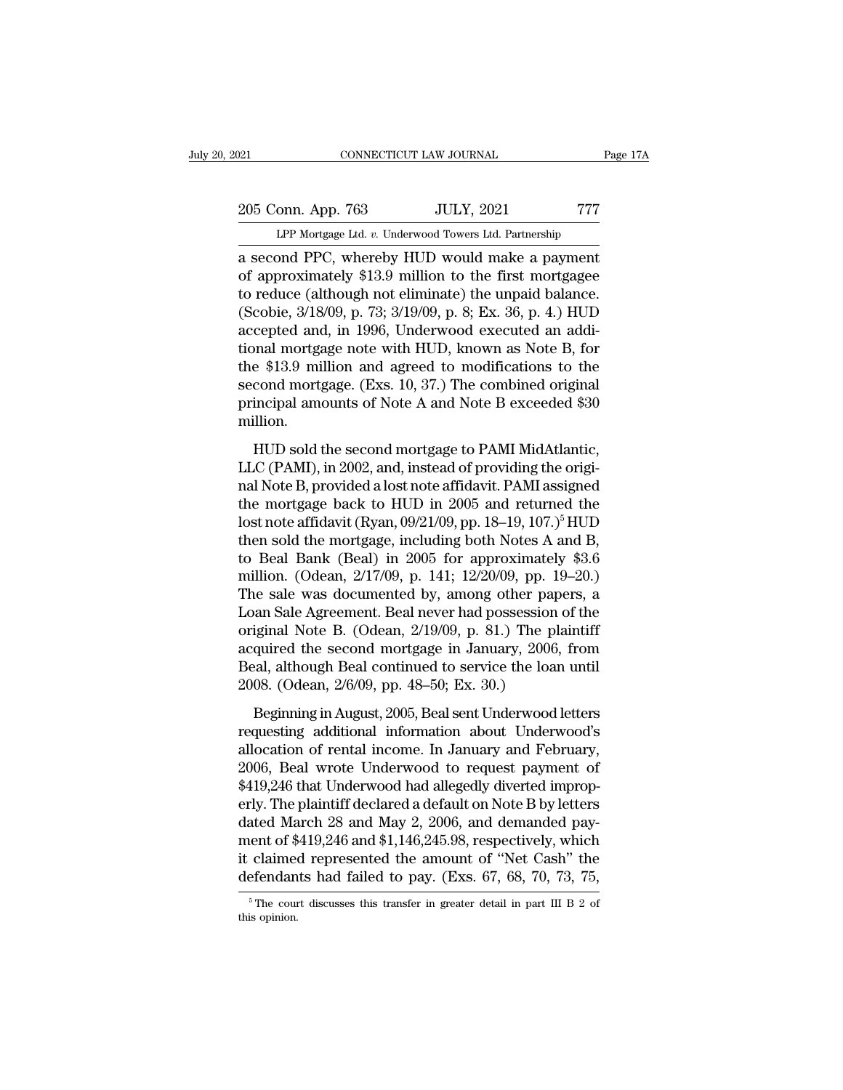205 Conn. App. 763 JULY, 2021 777<br>Page 17A LPP Mortgage Ltd. v. Underwood Towers Ltd. Partnership CONNECTICUT LAW JOURNAL Page 17A<br>
205 Conn. App. 763 JULY, 2021 777<br>
LPP Mortgage Ltd. *v.* Underwood Towers Ltd. Partnership<br>
a second PPC, whereby HUD would make a payment

Page 17/2<br>
205 Conn. App. 763 JULY, 2021 777<br>
LPP Mortgage Ltd. v. Underwood Towers Ltd. Partnership<br>
a second PPC, whereby HUD would make a payment<br>
of approximately \$13.9 million to the first mortgagee 205 Conn. App. 763 JULY, 2021 777<br>
LPP Mortgage Ltd. v. Underwood Towers Ltd. Partnership<br>
a second PPC, whereby HUD would make a payment<br>
of approximately \$13.9 million to the first mortgagee<br>
to reduce (although not elim 205 Conn. App. 763 JULY, 2021 777<br>
LPP Mortgage Ltd. v. Underwood Towers Ltd. Partnership<br>
a second PPC, whereby HUD would make a payment<br>
of approximately \$13.9 million to the first mortgage<br>
to reduce (although not elimi 205 Conn. App. 763 JULY, 2021 777<br>
LPP Mortgage Ltd. v. Underwood Towers Ltd. Partnership<br>
a second PPC, whereby HUD would make a payment<br>
of approximately \$13.9 million to the first mortgage<br>
to reduce (although not elimi LPP Mortgage Ltd. v. Underwood Towers Ltd. Partnership<br>a second PPC, whereby HUD would make a payment<br>of approximately \$13.9 million to the first mortgagee<br>to reduce (although not eliminate) the unpaid balance.<br>(Scobie, 3/ LPF Mortgage Ltd. *v.* Underwood Towers Ltd. Partnership<br>a second PPC, whereby HUD would make a payment<br>of approximately \$13.9 million to the first mortgagee<br>to reduce (although not eliminate) the unpaid balance.<br>(Scobie, a second PPC, whereby HUD would make a payment<br>of approximately \$13.9 million to the first mortgagee<br>to reduce (although not eliminate) the unpaid balance.<br>(Scobie, 3/18/09, p. 73; 3/19/09, p. 8; Ex. 36, p. 4.) HUD<br>accepte of approximately \$13.9 million to the first mortgagee<br>to reduce (although not eliminate) the unpaid balance.<br>(Scobie, 3/18/09, p. 73; 3/19/09, p. 8; Ex. 36, p. 4.) HUD<br>accepted and, in 1996, Underwood executed an addi-<br>tio to reduce (although not eliminate) the unpaid balance.<br>(Scobie, 3/18/09, p. 73; 3/19/09, p. 8; Ex. 36, p. 4.) HUD<br>accepted and, in 1996, Underwood executed an addi-<br>tional mortgage note with HUD, known as Note B, for<br>the \$ million. Freed and, in 1999, State 105 at encourage the second mortgage rote with HUD, known as Note B, for<br>e \$13.9 million and agreed to modifications to the<br>cond mortgage. (Exs. 10, 37.) The combined original<br>incipal amounts of N Let the \$13.9 million and agreed to modifications to the<br>second mortgage. (Exs. 10, 37.) The combined original<br>principal amounts of Note A and Note B exceeded \$30<br>million.<br>HUD sold the second mortgage to PAMI MidAtlantic,<br>

second mortgage. (Exs. 10, 37.) The combined original<br>principal amounts of Note A and Note B exceeded \$30<br>million.<br>HUD sold the second mortgage to PAMI MidAtlantic,<br>LLC (PAMI), in 2002, and, instead of providing the origi principal amounts of Note A and Note B exceeded \$30<br>million.<br>HUD sold the second mortgage to PAMI MidAtlantic,<br>LLC (PAMI), in 2002, and, instead of providing the original<br>Note B, provided a lost note affidavit. PAMI assig HUD sold the second mortgage to PAMI MidAtlantic,<br>LLC (PAMI), in 2002, and, instead of providing the original<br>Note B, provided a lost note affidavit. PAMI assigned<br>the mortgage back to HUD in 2005 and returned the<br>lost not HUD sold the second mortgage to PAMI MidAtlantic,<br>LLC (PAMI), in 2002, and, instead of providing the original<br>Note B, provided a lost note affidavit. PAMI assigned<br>the mortgage back to HUD in 2005 and returned the<br>lost no HUD sold the second mortgage to PAMI MidAtlantic,<br>LLC (PAMI), in 2002, and, instead of providing the origi-<br>nal Note B, provided a lost note affidavit. PAMI assigned<br>the mortgage back to HUD in 2005 and returned the<br>lost n LLC (PAMI), in 2002, and, instead of providing the original Note B, provided a lost note affidavit. PAMI assigned<br>the mortgage back to HUD in 2005 and returned the<br>lost note affidavit (Ryan, 09/21/09, pp. 18–19, 107.)<sup>5</sup> H nal Note B, provided a lost note affidavit. PAMI assigned<br>the mortgage back to HUD in 2005 and returned the<br>lost note affidavit (Ryan, 09/21/09, pp. 18–19, 107.)<sup>5</sup> HUD<br>then sold the mortgage, including both Notes A and B, the mortgage back to HUD in 2005 and returned the<br>lost note affidavit (Ryan, 09/21/09, pp. 18–19, 107.)<sup>5</sup> HUD<br>then sold the mortgage, including both Notes A and B,<br>to Beal Bank (Beal) in 2005 for approximately \$3.6<br>milli lost note affidavit (Ryan, 09/21/09, pp. 18–19, 107.)<sup>5</sup> HUD<br>then sold the mortgage, including both Notes A and B,<br>to Beal Bank (Beal) in 2005 for approximately \$3.6<br>million. (Odean, 2/17/09, p. 141; 12/20/09, pp. 19–20.)<br> then sold the mortgage, including both Notes A and B,<br>to Beal Bank (Beal) in 2005 for approximately \$3.6<br>million. (Odean, 2/17/09, p. 141; 12/20/09, pp. 19–20.)<br>The sale was documented by, among other papers, a<br>Loan Sale to Beal Bank (Beal) in 2005 for approximately \$3.6 million. (Odean,  $2/17/09$ , p. 141;  $12/20/09$ , pp. 19–20.)<br>The sale was documented by, among other papers, a<br>Loan Sale Agreement. Beal never had possession of the<br>origin million. (Odean, 2/17/09, p. 141; 12/20/09, pp. 1<br>The sale was documented by, among other pap<br>Loan Sale Agreement. Beal never had possession<br>original Note B. (Odean, 2/19/09, p. 81.) The pl<br>acquired the second mortgage in For Sale Agreement. Beal never had possession of the<br>iginal Note B. (Odean, 2/19/09, p. 81.) The plaintiff<br>quired the second mortgage in January, 2006, from<br>eal, although Beal continued to service the loan until<br>08. (Odean recall state Ligacentenal Beat, 2/19/09, p. 81.) The plaintiff<br>original Note B. (Odean, 2/19/09, p. 81.) The plaintiff<br>acquired the second mortgage in January, 2006, from<br>Beal, although Beal continued to service the loan u

acquired the second mortgage in January, 2006, from<br>Beal, although Beal continued to service the loan until<br>2008. (Odean,  $2/6/09$ , pp. 48–50; Ex. 30.)<br>Beginning in August, 2005, Beal sent Underwood letters<br>requesting add Example 12006, Beal continued to service the loan until<br>2008. (Odean, 2/6/09, pp. 48–50; Ex. 30.)<br>Beginning in August, 2005, Beal sent Underwood letters<br>requesting additional information about Underwood's<br>allocation of ren 2008. (Odean, 2/6/09, pp. 48–50; Ex. 30.)<br>Beginning in August, 2005, Beal sent Underwood letters<br>requesting additional information about Underwood's<br>allocation of rental income. In January and February,<br>2006, Beal wrote Un Beginning in August, 2005, Beal sent Underwood letters<br>requesting additional information about Underwood's<br>allocation of rental income. In January and February,<br>2006, Beal wrote Underwood to request payment of<br>\$419,246 tha Beginning in August, 2005, Beal sent Underwood letters<br>requesting additional information about Underwood's<br>allocation of rental income. In January and February,<br>2006, Beal wrote Underwood to request payment of<br>\$419,246 tha requesting additional information about Underwood's<br>allocation of rental income. In January and February,<br>2006, Beal wrote Underwood to request payment of<br>\$419,246 that Underwood had allegedly diverted improp-<br>erly. The pl allocation of rental income. In January and February,<br>2006, Beal wrote Underwood to request payment of<br>\$419,246 that Underwood had allegedly diverted improp-<br>erly. The plaintiff declared a default on Note B by letters<br>date 2006, Beal wrote Underwood to request payment of \$419,246 that Underwood had allegedly diverted improperly. The plaintiff declared a default on Note B by letters dated March 28 and May 2, 2006, and demanded payment of \$41 dated March 28 and May 2, 2006, and demanded payment of \$419,246 and \$1,146,245.98, respectively, which it claimed represented the amount of "Net Cash" the defendants had failed to pay. (Exs. 67, 68, 70, 73, 75,  $\frac{1}{100$ defendants had failed to pay. (Exs.  $67, 68, 70, 73, 75,$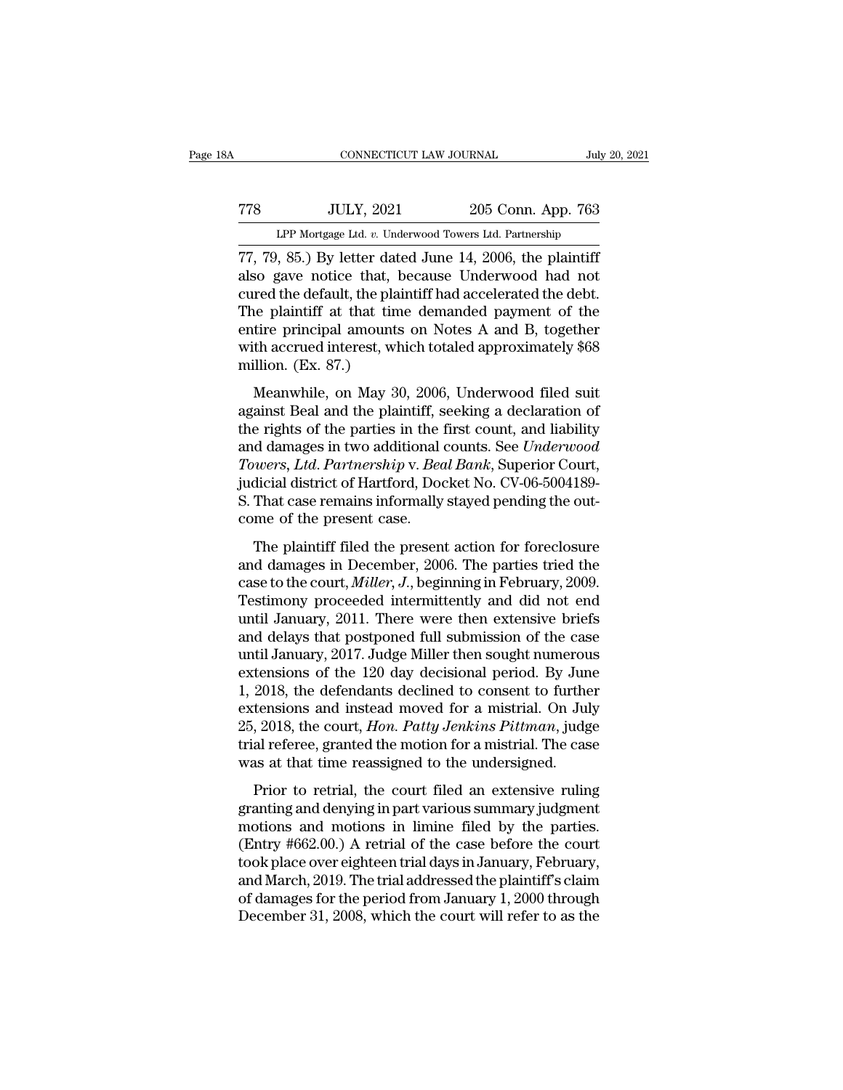# CONNECTICUT LAW JOURNAL July 20, 2021<br>
778 JULY, 2021 205 Conn. App. 763<br>
LPP Mortgage Ltd. v. Underwood Towers Ltd. Partnership CONNECTICUT LAW JOURNAL July 20, 2021<br>
TT8 JULY, 2021 205 Conn. App. 763<br>
LPP Mortgage Ltd. *v.* Underwood Towers Ltd. Partnership<br>
TT, 79, 85.) By letter dated June 14, 2006, the plaintiff

CONNECTICUT LAW JOURNAL July 20, 202<br>
778 JULY, 2021 205 Conn. App. 763<br>
LPP Mortgage Ltd. v. Underwood Towers Ltd. Partnership<br>
77, 79, 85.) By letter dated June 14, 2006, the plaintiff<br>
also gave notice that, because Und TT8 JULY, 2021 205 Conn. App. 763<br>
LPP Mortgage Ltd. v. Underwood Towers Ltd. Partnership<br>
T7, 79, 85.) By letter dated June 14, 2006, the plaintiff<br>
also gave notice that, because Underwood had not<br>
cured the default, the TT8 JULY, 2021 205 Conn. App. 763<br>
LPP Mortgage Ltd. v. Underwood Towers Ltd. Partnership<br>
T7, 79, 85.) By letter dated June 14, 2006, the plaintiff<br>
also gave notice that, because Underwood had not<br>
cured the default, th The plantiff at that time demanded payment of the plaintiff also gave notice that, because Underwood had not cured the default, the plaintiff had accelerated the debt.<br>The plaintiff at that time demanded payment of the en LPP Mortgage Ltd. v. Underwood Towers Ltd. Partnership<br>
77, 79, 85.) By letter dated June 14, 2006, the plaintiff<br>
also gave notice that, because Underwood had not<br>
cured the default, the plaintiff had accelerated the deb LPP Mortgage Ltd.  $v$ . Underwood Towers Ltd. Partnership<br>77, 79, 85.) By letter dated June 14, 2006, the plaintiff<br>also gave notice that, because Underwood had not<br>cured the default, the plaintiff had accelerated the debt 77, 79, 85.) By letter data<br>also gave notice that, b<br>cured the default, the plai<br>The plaintiff at that tim<br>entire principal amounts<br>with accrued interest, wh<br>million. (Ex. 87.)<br>Meanwhile, on May 30 be gave notice that, because entierwood had not<br>red the default, the plaintiff had accelerated the debt.<br>he plaintiff at that time demanded payment of the<br>tire principal amounts on Notes A and B, together<br>th accrued intere Earch are detaint, the plaintiff had accelerated the debt.<br>The plaintiff at that time demanded payment of the<br>entire principal amounts on Notes A and B, together<br>with accrued interest, which totaled approximately \$68<br>milli

The plantatic article contained payment of the<br>entire principal amounts on Notes A and B, together<br>with accrued interest, which totaled approximately \$68<br>million. (Ex. 87.)<br>Meanwhile, on May 30, 2006, Underwood filed suit<br> ende principal amounts of rotes *R* and *B*, together<br>with accrued interest, which totaled approximately \$68<br>million. (Ex. 87.)<br>Meanwhile, on May 30, 2006, Underwood filed suit<br>against Beal and the plaintiff, seeking a dec *Towers, Ltd*. *Partnership* v. *Beal Bank*, Superior Court, Manuvhile, on May 30, 2006, Underwood filed suit<br>against Beal and the plaintiff, seeking a declaration of<br>the rights of the parties in the first count, and liability<br>and damages in two additional counts. See *Underwood*<br>To Meanwhile, on May 30, 2006, Underwood filed suit against Beal and the plaintiff, seeking a declaration of the rights of the parties in the first count, and liability and damages in two additional counts. See *Underwood Tow* against Beal and the plaintiff, s<br>the rights of the parties in the 1<br>and damages in two additional *Towers, Ltd. Partnership v. Bea*<br>judicial district of Hartford, Doc<br>S. That case remains informally<br>come of the present ca d damages in two additional counts. See *Underwood*<br>wers, *Ltd. Partnership* v. *Beal Bank*, Superior Court,<br>dicial district of Hartford, Docket No. CV-06-5004189-<br>That case remains informally stayed pending the out-<br>me o Towers, Ltd. Partnership v. Beal Bank, Superior Court,<br>judicial district of Hartford, Docket No. CV-06-5004189-<br>S. That case remains informally stayed pending the out-<br>come of the present case.<br>The plaintiff filed the pres

Fowers, *Eta.* Farmership v. *Ecal Bank*, Saperior Court,<br>judicial district of Hartford, Docket No. CV-06-5004189-<br>S. That case remains informally stayed pending the out-<br>come of the present case.<br>The plaintiff filed the p S. That case remains informally stayed pending the out-<br>come of the present case.<br>The plaintiff filed the present action for foreclosure<br>and damages in December, 2006. The parties tried the<br>case to the court, *Miller*, *J* E. That case remains mormally stay of pertaing the out<br>come of the present case.<br>The plaintiff filed the present action for foreclosure<br>and damages in December, 2006. The parties tried the<br>case to the court, *Miller*, *J* The plaintiff filed the present action for foreclosure<br>and damages in December, 2006. The parties tried the<br>case to the court, *Miller*, *J*., beginning in February, 2009.<br>Testimony proceeded intermittently and did not en The plaintiff filed the present action for foreclosure<br>and damages in December, 2006. The parties tried the<br>case to the court, *Miller*, *J*., beginning in February, 2009.<br>Testimony proceeded intermittently and did not end and damages in December, 2006. The parties tried the<br>case to the court, *Miller*, *J*., beginning in February, 2009.<br>Testimony proceeded intermittently and did not end<br>until January, 2011. There were then extensive briefs<br> case to the court, *Miller*, *J*., beginning in February, 2009.<br>Testimony proceeded intermittently and did not end<br>until January, 2011. There were then extensive briefs<br>and delays that postponed full submission of the case Testimony proceeded intermittently and did not end<br>until January, 2011. There were then extensive briefs<br>and delays that postponed full submission of the case<br>until January, 2017. Judge Miller then sought numerous<br>extensio until January, 2011. There were then extensive briefs<br>and delays that postponed full submission of the case<br>until January, 2017. Judge Miller then sought numerous<br>extensions of the 120 day decisional period. By June<br>1, 201 and delays that postponed full submission of the case<br>until January, 2017. Judge Miller then sought numerous<br>extensions of the 120 day decisional period. By June<br>1, 2018, the defendants declined to consent to further<br>exten until January, 2017. Judge Miller then sought numerous<br>extensions of the 120 day decisional period. By June<br>1, 2018, the defendants declined to consent to further<br>extensions and instead moved for a mistrial. On July<br>25, 2 2018, the defendants declined to consent to further<br>2018, the defendants declined to consent to further<br>tensions and instead moved for a mistrial. On July<br>2018, the court, *Hon. Patty Jenkins Pittman*, judge<br>al referee, g extensions and instead moved for a mistrial. On July 25, 2018, the court, *Hon. Patty Jenkins Pittman*, judge trial referee, granted the motion for a mistrial. The case was at that time reassigned to the undersigned.<br>Prio

25, 2018, the court, *Hon. Patty Jenkins Pittman*, judge trial referee, granted the motion for a mistrial. The case was at that time reassigned to the undersigned.<br>Prior to retrial, the court filed an extensive ruling gra Ev. 2010, are count, How. 1 and y symmetric retrinal, Jacquetinal referee, granted the motion for a mistrial. The case<br>was at that time reassigned to the undersigned.<br>Prior to retrial, the court filed an extensive ruling<br> that referred, granded are modern for a missinal. The case<br>was at that time reassigned to the undersigned.<br>Prior to retrial, the court filed an extensive ruling<br>granting and denying in part various summary judgment<br>motions Frior to retrial, the court filed an extensive ruling<br>granting and denying in part various summary judgment<br>motions and motions in limine filed by the parties.<br>(Entry #662.00.) A retrial of the case before the court<br>took Prior to retrial, the court filed an extensive ruling<br>granting and denying in part various summary judgment<br>motions and motions in limine filed by the parties.<br>(Entry #662.00.) A retrial of the case before the court<br>took p granting and denying in part various summary judgment<br>motions and motions in limine filed by the parties.<br>(Entry #662.00.) A retrial of the case before the court<br>took place over eighteen trial days in January, February,<br>an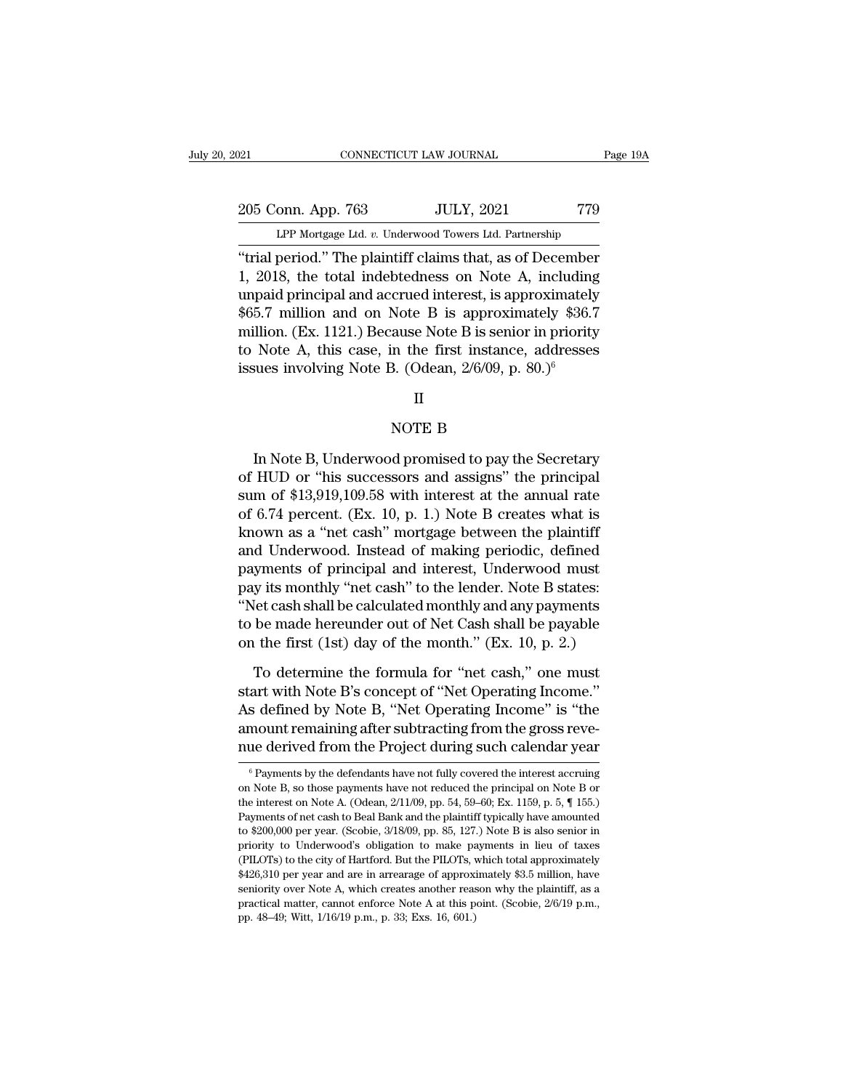205 Conn. App. 763 JULY, 2021 779<br>Per Mortgage Ltd. v. Underwood Towers Ltd. Partnership CONNECTICUT LAW JOURNAL Page 19A<br>
205 Conn. App. 763 JULY, 2021 779<br>
LPP Mortgage Ltd. *v.* Underwood Towers Ltd. Partnership<br>
"trial period." The plaintiff claims that, as of December

CONNECTICUT LAW JOURNAL Page 19A<br>
205 Conn. App. 763 JULY, 2021 779<br>
LPP Mortgage Ltd. v. Underwood Towers Ltd. Partnership<br>
"trial period." The plaintiff claims that, as of December<br>
1, 2018, the total indebtedness on Not 205 Conn. App. 763 JULY, 2021 779<br>
LPP Mortgage Ltd. v. Underwood Towers Ltd. Partnership<br>
"trial period." The plaintiff claims that, as of December<br>
1, 2018, the total indebtedness on Note A, including<br>
unpaid principal a 205 Conn. App. 763 JULY, 2021 779<br>
LPP Mortgage Ltd. v. Underwood Towers Ltd. Partnership<br>
"trial period." The plaintiff claims that, as of December<br>
1, 2018, the total indebtedness on Note A, including<br>
unpaid principal 205 Conn. App. 763 JULY, 2021 779<br>
LPP Mortgage Ltd. v. Underwood Towers Ltd. Partnership<br>
"trial period." The plaintiff claims that, as of December<br>
1, 2018, the total indebtedness on Note A, including<br>
unpaid principal a LPP Mortgage Ltd. v. Underwood Towers Ltd. Partnership<br>
"trial period." The plaintiff claims that, as of December<br>
1, 2018, the total indebtedness on Note A, including<br>
unpaid principal and accrued interest, is approximat The Mongage Ed. b. Onderwood Towers Ed. Famelesiap<br>
"trial period." The plaintiff claims that, as of December<br>
1, 2018, the total indebtedness on Note A, including<br>
unpaid principal and accrued interest, is approximately<br> "trial period." The plaintiff claims that, as of December 1, 2018, the total indebtedness on Note A, including unpaid principal and accrued interest, is approximately \$36.7 million. (Ex. 1121.) Because Note B is senior in Note B is approximate<br>ause Note B is senior in<br>the first instance, a<br>3. (Odean, 2/6/09, p. 80<br>II<br>NOTE B<br>d promised to pay the a

### II

Note A, this case, in the first instance, addresses<br>sues involving Note B. (Odean,  $2/6/09$ , p.  $80.)^6$ <br> $\Pi$ <br>NOTE B<br>In Note B, Underwood promised to pay the Secretary<br>HUD or "his successors and assigns" the principal<br>m of issues involving Note B. (Odean,  $2/6/09$ , p.  $80.9^6$ <br>
II<br>
NOTE B<br>
In Note B, Underwood promised to pay the Secretary<br>
of HUD or "his successors and assigns" the principal<br>
sum of \$13,919,109.58 with interest at the annu II<br>
Supervood promised to pay the Secretary<br>
Supervood promised to pay the Secretary<br>
of HUD or "his successors and assigns" the principal<br>
sum of \$13,919,109.58 with interest at the annual rate<br>
of 6.74 percent. (Ex. 10, NOTE B<br>
In Note B, Underwood promised to pay the Secretary<br>
of HUD or "his successors and assigns" the principal<br>
sum of \$13,919,109.58 with interest at the annual rate<br>
of 6.74 percent. (Ex. 10, p. 1.) Note B creates what Korea In Note B, Underwood promised to pay the Secretary<br>of HUD or "his successors and assigns" the principal<br>sum of \$13,919,109.58 with interest at the annual rate<br>of 6.74 percent. (Ex. 10, p. 1.) Note B creates what is<br>k In Note B, Underwood promised to pay the Secretary<br>of HUD or "his successors and assigns" the principal<br>sum of \$13,919,109.58 with interest at the annual rate<br>of 6.74 percent. (Ex. 10, p. 1.) Note B creates what is<br>known a In Note B, Underwood promised to pay the Secretary<br>of HUD or "his successors and assigns" the principal<br>sum of \$13,919,109.58 with interest at the annual rate<br>of 6.74 percent. (Ex. 10, p. 1.) Note B creates what is<br>known a of HUD or "his successors and assigns" the principal<br>sum of \$13,919,109.58 with interest at the annual rate<br>of 6.74 percent. (Ex. 10, p. 1.) Note B creates what is<br>known as a "net cash" mortgage between the plaintiff<br>and U sum of \$13,919,109.58 with interest at the annual rate<br>of 6.74 percent. (Ex. 10, p. 1.) Note B creates what is<br>known as a "net cash" mortgage between the plaintiff<br>and Underwood. Instead of making periodic, defined<br>payment of 6.74 percent. (Ex. 10, p. 1.) Note B creates what is<br>known as a "net cash" mortgage between the plaintiff<br>and Underwood. Instead of making periodic, defined<br>payments of principal and interest, Underwood must<br>pay its mon known as a "net cash" mortgage between the plaintiff<br>and Underwood. Instead of making periodic, defined<br>payments of principal and interest, Underwood must<br>pay its monthly "net cash" to the lender. Note B states:<br>"Net cash yments of principal and interest, Underwood must<br>y its monthly "net cash" to the lender. Note B states:<br>let cash shall be calculated monthly and any payments<br>be made hereunder out of Net Cash shall be payable<br>the first (1s pay its monthly "net cash" to the lender. Note B states:<br>
"Net cash shall be calculated monthly and any payments<br>
to be made hereunder out of Net Cash shall be payable<br>
on the first (1st) day of the month." (Ex. 10, p. 2.)

"Net cash shall be calculated monthly and any payments<br>to be made hereunder out of Net Cash shall be payable<br>on the first (1st) day of the month." (Ex. 10, p. 2.)<br>To determine the formula for "net cash," one must<br>start wit to be made hereunder out of Net Cash shall be payable<br>on the first (1st) day of the month." (Ex. 10, p. 2.)<br>To determine the formula for "net cash," one must<br>start with Note B's concept of "Net Operating Income."<br>As define on the first (1st) day of the month." (Ex. 10, p. 2.)<br>To determine the formula for "net cash," one must<br>start with Note B's concept of "Net Operating Income."<br>As defined by Note B, "Net Operating Income" is "the<br>amount rem start with Note B's concept of "Net Operating Income."<br>As defined by Note B, "Net Operating Income" is "the<br>amount remaining after subtracting from the gross reve-<br>nue derived from the Project during such calendar year<br> $\$ As defined by Note B, "Net Operating Income" is "the amount remaining after subtracting from the gross reve-<br>nue derived from the Project during such calendar year<br> $\frac{1}{\text{6}}$  Payments by the defendants have not fully co

amount remaining after subtracting from the gross reve-<br>nue derived from the Project during such calendar year<br><sup>6</sup> Payments by the defendants have not fully covered the interest accruing<br>on Note B, so those payments have n nue derived from the Project during such calendar year<br>  $\overline{ }$   $\overline{ }$   $\overline{ }$   $\overline{ }$   $\overline{ }$   $\overline{ }$   $\overline{ }$   $\overline{ }$   $\overline{ }$   $\overline{ }$   $\overline{ }$   $\overline{ }$   $\overline{ }$   $\overline{ }$   $\overline{ }$   $\overline{ }$   $\overline{ }$   $\overline{ }$   $\overline{ }$   $\overline{ }$   $\overline{$ The derived front the 1 roject during such calendar year.<br>
<sup>6</sup> Payments by the defendants have not fully covered the interest accruing<br>
on Note B, so those payments have not reduced the principal on Note B or<br>
the interest on Note B, so those payments have not reduced the principal on Note B or<br>the interest on Note A. (Odean,  $2/11/09$ , pp. 54, 59–60; Ex. 1159, p. 5,  $\P$  155.)<br>Payments of net cash to Beal Bank and the plaintiff typically ha (PILOTs) to the city of Hartford. But the PILOTs, which total approximately \$426,310 per year and are in arrearage of approximately  $\frac{1}{20}$ . the interest on Note A. (Odean, 2/11/09, pp. 54, 59–60; Ex. 1159, p. 5, ¶ 155.)<br>Payments of net cash to Beal Bank and the plaintiff typically have amounted<br>to \$200,000 per year. (Scobie, 3/18/09, pp. 85, 127.) Note B is al Payments of net cash to Beal Bank and the plaintiff typically have amounted to \$200,000 per year. (Scobie, 3/18/09, pp. 85, 127.) Note B is also senior in priority to Underwood's obligation to make payments in lieu of tax to \$200,000 per year. (Scobie, 3/18/09, pp. 85, 127.) Note B is also senior in priority to Underwood's obligation to make payments in lieu of taxes (PILOTs) to the city of Hartford. But the PILOTs, which total approximate priority to Underwood's obligation to make payments in lieu of taxes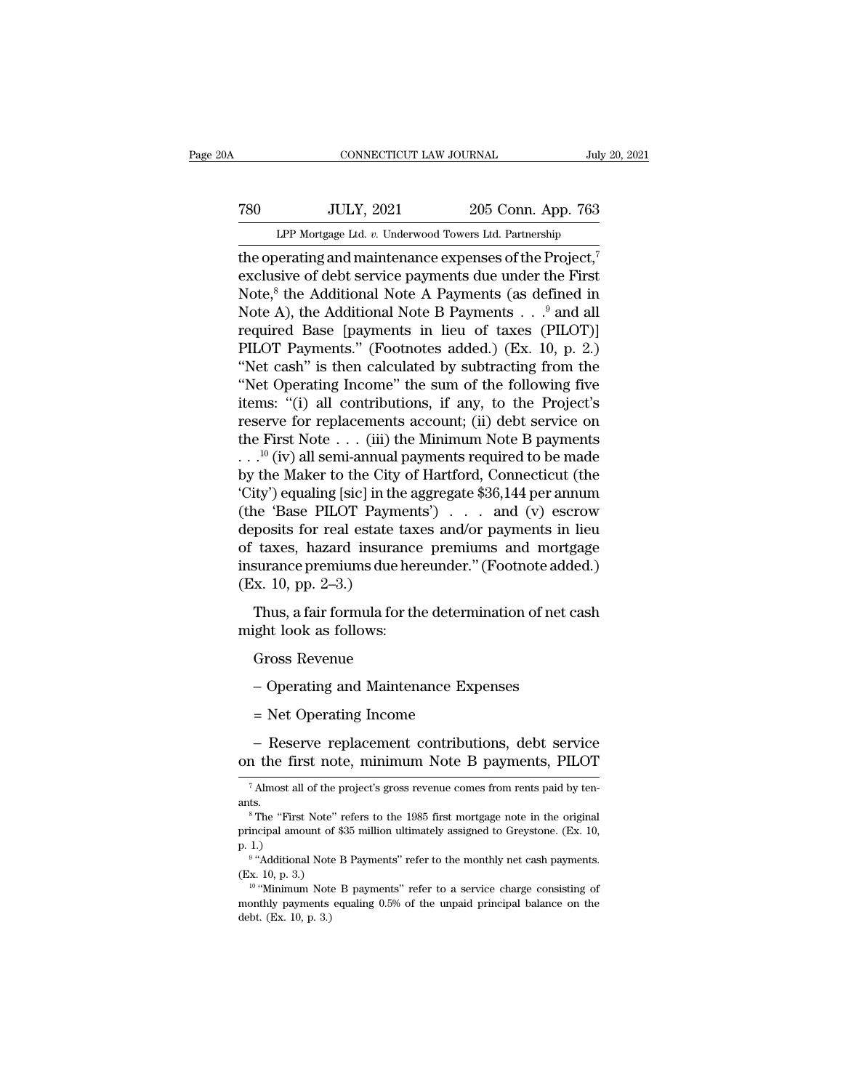# 1999, CONNECTICUT LAW JOURNAL<br>
780 JULY, 2021 205 Conn. App. 763<br>
LPP Mortgage Ltd. v. Underwood Towers Ltd. Partnership CONNECTICUT LAW JOURNAL July 20, 2021<br>
THE MORTGAGE CONNECTICUT LAW JOURNAL July 20, 2021<br>
THE Mortgage Ltd. *v.* Underwood Towers Ltd. Partnership<br>
The operating and maintenance expenses of the Project,<sup>7</sup>

CONNECTICUT LAW JOURNAL July 20, 202<br>
THE ONEXE TO JULY, 2021 205 Conn. App. 763<br>
LPP Mortgage Ltd. v. Underwood Towers Ltd. Partnership<br>
the operating and maintenance expenses of the Project,<sup>7</sup><br>
exclusive of debt service FRO JULY, 2021 205 Conn. App. 763<br>
LPP Mortgage Ltd. v. Underwood Towers Ltd. Partnership<br>
the operating and maintenance expenses of the Project,<sup>7</sup><br>
exclusive of debt service payments due under the First<br>
Note,<sup>8</sup> the Ad  $\frac{100 \text{ JULY, } 2021}{100 \text{ FPMortgage Ltd. } v. \text{ Underwood Tours Ltd. Partnership}}$ <br>the operating and maintenance expenses of the Project,<sup>7</sup><br>exclusive of debt service payments due under the First<br>Note,<sup>8</sup> the Additional Note A Payments (as defined in<br>Not TRO JULY, 2021 205 Conn. App. 763<br>
LPP Mortgage Ltd. v. Underwood Towers Ltd. Partnership<br>
the operating and maintenance expenses of the Project,<sup>7</sup><br>
exclusive of debt service payments due under the First<br>
Note,<sup>8</sup> the Ad LPP Mortgage Ltd. v. Underwood Towers Ltd. Partnership<br>the operating and maintenance expenses of the Project,<sup>7</sup><br>exclusive of debt service payments due under the First<br>Note,<sup>8</sup> the Additional Note A Payments (as defined i LPF Mortgage Ltd. *v.* Underwood Towers Ltd. Partnership<br>
the operating and maintenance expenses of the Project,<sup>7</sup><br>
exclusive of debt service payments due under the First<br>
Note,<sup>8</sup> the Additional Note A Payments (as defi the operating and maintenance expenses of the Project,<sup>7</sup><br>
exclusive of debt service payments due under the First<br>
Note,<sup>8</sup> the Additional Note A Payments (as defined in<br>
Note A), the Additional Note B Payments . . .<sup>9</sup> a exclusive of debt service payments due under the First<br>
Note,<sup>8</sup> the Additional Note A Payments (as defined in<br>
Note A), the Additional Note B Payments . . .<sup>9</sup> and all<br>
required Base [payments in lieu of taxes (PILOT)]<br>
P Note,<sup>8</sup> the Additional Note A Payments (as defined in<br>Note A), the Additional Note B Payments . . .<sup>9</sup> and all<br>required Base [payments in lieu of taxes (PILOT)]<br>PILOT Payments." (Footnotes added.) (Ex. 10, p. 2.)<br>"Net ca Note A), the Additional Note B Payments  $\ldots$ <sup>9</sup> and all required Base [payments in lieu of taxes (PILOT)]<br>PILOT Payments." (Footnotes added.) (Ex. 10, p. 2.)<br>"Net cash" is then calculated by subtracting from the<br>"Net Ope required Base [payments in lieu of taxes (PILOT)]<br>PILOT Payments." (Footnotes added.) (Ex. 10, p. 2.)<br>"Net cash" is then calculated by subtracting from the<br>"Net Operating Income" the sum of the following five<br>items: "(i) PILOT Payments." (Footnotes added.) (Ex. 10, p. 2.)<br>
"Net cash" is then calculated by subtracting from the<br>
"Net Operating Income" the sum of the following five<br>
items: "(i) all contributions, if any, to the Project's<br>
re "Net cash" is then calculated by subtracting from the<br>
"Net Operating Income" the sum of the following five<br>
items: "(i) all contributions, if any, to the Project's<br>
reserve for replacements account; (ii) debt service on<br> "Net Operating Income" the sum of the following five<br>items: "(i) all contributions, if any, to the Project's<br>reserve for replacements account; (ii) debt service on<br>the First Note . . . (iii) the Minimum Note B payments<br> $\$ items: "(i) all contributions, if any, to the Project's<br>reserve for replacements account; (ii) debt service on<br>the First Note . . . (iii) the Minimum Note B payments<br>. . .<sup>10</sup> (iv) all semi-annual payments required to be reserve for replacements account; (ii) debt service on<br>the First Note . . . (iii) the Minimum Note B payments<br>. . .<sup>10</sup> (iv) all semi-annual payments required to be made<br>by the Maker to the City of Hartford, Connecticut ( the First Note . . . (iii) the Minimum Note B payments<br>
. . .<sup>10</sup> (iv) all semi-annual payments required to be made<br>
by the Maker to the City of Hartford, Connecticut (the<br>
'City') equaling [sic] in the aggregate \$36,144 . . .<sup>10</sup> (iv) all semi-annual payments required to be made<br>by the Maker to the City of Hartford, Connecticut (the<br>'City') equaling [sic] in the aggregate \$36,144 per annum<br>(the 'Base PILOT Payments') . . . and (v) escrow by the Maker to the City<br>
'City') equaling [sic] in the<br>
(the 'Base PILOT Payme<br>
deposits for real estate t:<br>
of taxes, hazard insurar<br>
insurance premiums due l<br>
(Ex. 10, pp. 2–3.)<br>
Thus, a fair formula for Thus, a fair formula for the determination of net cash ght look as follows:<br>Thus, a fair formula for the determination of net cash ght look as follows: deposits for real estate tax<br>deposits for real estate tax<br>insurance premiums due her<br>(Ex. 10, pp. 2–3.)<br>Thus, a fair formula for th<br>might look as follows:<br>Gross Revenue taxes, hazard insurance premiums and mortga<br>surance premiums due hereunder." (Footnote adde<br>x. 10, pp. 2–3.)<br>Thus, a fair formula for the determination of net ca<br>ight look as follows:<br>Gross Revenue<br>– Operating and Maintena

Thus, a fair formula for the determination of net cash<br>ght look as follows:<br>Gross Revenue<br>— Operating and Maintenance Expenses<br>= Net Operating Income<br>— Reserve replacement contributions, debt service<br>the first note, minim Gross Revenue<br>
– Operating and Maintenance Expenses<br>
= Net Operating Income<br>
– Reserve replacement contributions, debt service<br>
on the first note, minimum Note B payments, PILOT<br>
<sup>7</sup>Almost all of the project's gross revenu = Net Operating Income<br>
– Reserve replacement contributions, debt service<br>
in the first note, minimum Note B payments, PILOT<br>
<sup>7</sup> Almost all of the project's gross revenue comes from rents paid by ten-<br>
<sup>15.</sup>

ants.

<sup>-</sup> Reserve replacement contributions, debt service<br>n the first note, minimum Note B payments, PILOT<br><sup>7</sup> Almost all of the project's gross revenue comes from rents paid by ten-<br>ts.<br><sup>8</sup> The "First Note" refers to the 1985 fi on the first note, minimum Note B payments, PILOT<br>
<sup>7</sup> Almost all of the project's gross revenue comes from rents paid by tenants.<br>
<sup>8</sup> The "First Note" refers to the 1985 first mortgage note in the original<br>
principal amo on the m<br>
7 Almost all<br>
ants.<br>
<sup>8</sup> The "Firs<br>
principal ame<br>
<sup>9</sup> "Addition" Almost all of the project's gross revenue comes from rents paid by ten-<br>
S.<br>
The "First Note" refers to the 1985 first mortgage note in the original<br>
icipal amount of \$35 million ultimately assigned to Greystone. (Ex. 10,<br> ants.<br>
ants.<br>
<sup>8</sup> The "First Note" 1<br>
principal amount of \$<br>
p. 1.)<br>
<sup>9</sup> "Additional Note I<br>
(Ex. 10, p. 3.)<br>
<sup>10</sup> "Minimum Note 1 <sup>8</sup>The "First Note" refers to the 1985 first mortgage note in the original incipal amount of \$35 million ultimately assigned to Greystone. (Ex. 10, 1.)<br>
<sup>9</sup> "Additional Note B Payments" refer to the monthly net cash payme

<sup>9 &</sup>quot; A alai

principal amount of \$35 million ultimately assigned to Greystone. (Ex. 10, p. 1.)<br>
<sup>9</sup> "Additional Note B Payments" refer to the monthly net cash payments.<br>
(Ex. 10, p. 3.)<br>
<sup>10</sup> "Minimum Note B payments" refer to a servi  $\begin{bmatrix} p.1. \end{bmatrix}$ <br>  $\begin{bmatrix} p. 1. \end{bmatrix}$ <br>  $\begin{bmatrix} (Ex. 10, p. 3.) \end{bmatrix}$ <br>  $\begin{bmatrix} 10 & 0 \\ 0 & 0 \end{bmatrix}$  Minimum Note<br>
monthly payments<br>
debt. (Ex. 10, p. 3.)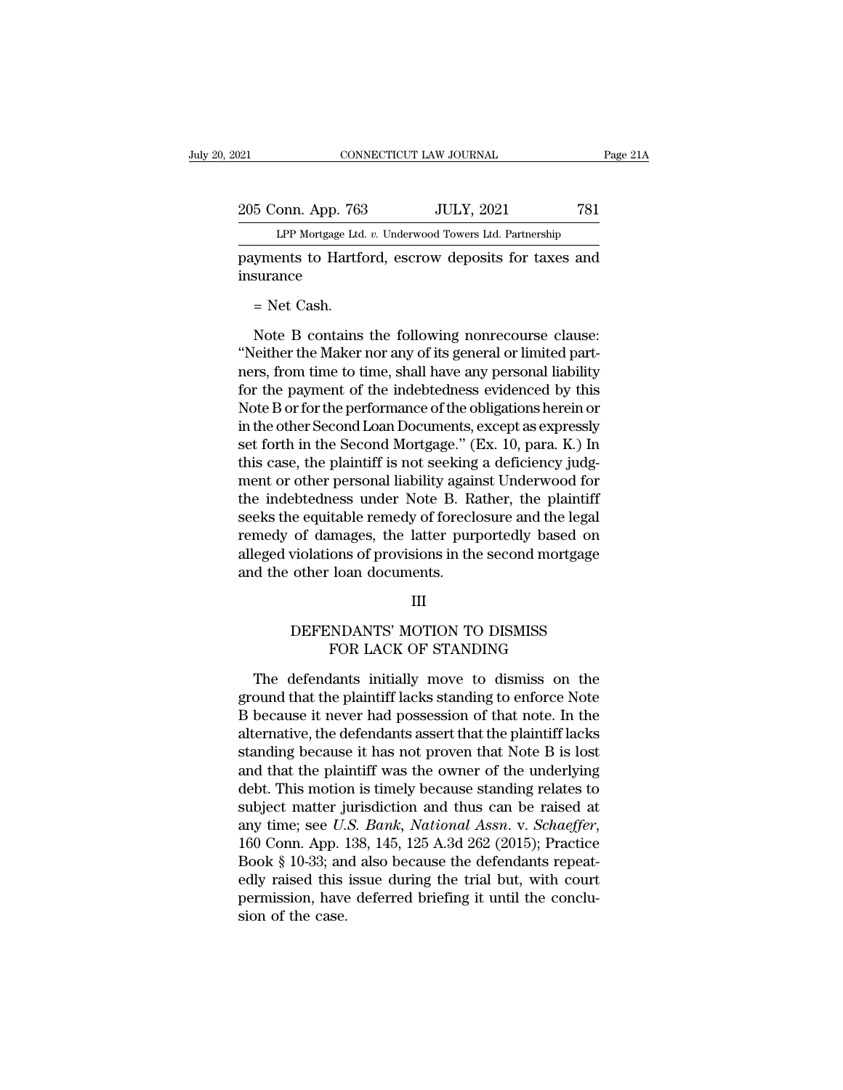205 Conn. App. 763 JULY, 2021 781<br>PP Mortgage Ltd. v. Underwood Towers Ltd. Partnership CONNECTICUT LAW JOURNAL Pa<br>
onn. App. 763 JULY, 2021 781<br>
LPP Mortgage Ltd. *v.* Underwood Towers Ltd. Partnership<br>
ents to Hartford escrow denosits for taxes and

Page 21A<br>
205 Conn. App. 763 JULY, 2021 781<br>
LPP Mortgage Ltd. v. Underwood Towers Ltd. Partnership<br>
payments to Hartford, escrow deposits for taxes and<br>
insurance insurance 5 Conn. App. 763<br>LPP Mortgage Ltd.<br>syments to Hartfor<br>surance<br>= Net Cash.<br>Note B contains

LPP Mortgage Ltd. *v.* Underwood Towers Ltd. Partnership<br>
yments to Hartford, escrow deposits for taxes and<br>
surance<br>
= Net Cash.<br>
Note B contains the following nonrecourse clause:<br>
leither the Maker nor any of its general Expansion is a matrice of the Maker nor any of its general or limited part-<br>
The Maker nor any of its general or limited part-<br>
"Neither the Maker nor any of its general or limited part-<br>
The secure the secure or limited p payments to Hartford, escrow deposits for taxes and<br>insurance<br>= Net Cash.<br>Wote B contains the following nonrecourse clause:<br>"Neither the Maker nor any of its general or limited part-<br>ners, from time to time, shall have any for the payments are alternative of the other Second Leap Postman is the following point of the payment of the indebtedness evidenced by this Note B or for the performance of the obligations herein or in the other Second L = Net Cash.<br>
Note B contains the following nonrecourse clause:<br>
"Neither the Maker nor any of its general or limited part-<br>
ners, from time to time, shall have any personal liability<br>
for the payment of the indebtedness e Note B contains the following nonrecourse clause:<br>
"Neither the Maker nor any of its general or limited part-<br>
ners, from time to time, shall have any personal liability<br>
for the payment of the indebtedness evidenced by th Note B contains the following nonrecourse clause:<br>
"Neither the Maker nor any of its general or limited part-<br>
ners, from time to time, shall have any personal liability<br>
for the payment of the indebtedness evidenced by th "Neither the Maker nor any of its general or limited part-<br>ners, from time to time, shall have any personal liability<br>for the payment of the indebtedness evidenced by this<br>Note B or for the performance of the obligations h ners, from time to time, shall have any personal liability<br>for the payment of the indebtedness evidenced by this<br>Note B or for the performance of the obligations herein or<br>in the other Second Loan Documents, except as expr for the payment of the indebtedness evidenced by this<br>Note B or for the performance of the obligations herein or<br>in the other Second Loan Documents, except as expressly<br>set forth in the Second Mortgage." (Ex. 10, para. K.) Note B or for the performance of the obligations herein or<br>in the other Second Loan Documents, except as expressly<br>set forth in the Second Mortgage." (Ex. 10, para. K.) In<br>this case, the plaintiff is not seeking a deficien in the other Second Loan Documents, except as expressly<br>set forth in the Second Mortgage." (Ex. 10, para. K.) In<br>this case, the plaintiff is not seeking a deficiency judg-<br>ment or other personal liability against Underwood set forth in the Second Mortgage." (Ex. 10, para. K.) In<br>this case, the plaintiff is not seeking a deficiency judg-<br>ment or other personal liability against Underwood for<br>the indebtedness under Note B. Rather, the plaintif this case, the plaintiff is not seeking<br>ment or other personal liability again<br>the indebtedness under Note B. Ra<br>seeks the equitable remedy of forecle<br>remedy of damages, the latter purp<br>alleged violations of provisions in Exploration of damages, the latter purportedly based on violations of provisions in the second mortgage other loan documents.<br>III<br>DEFENDANTS' MOTION TO DISMISS<br>FOR LACK OF STANDING mages, the latter purporteury based on<br>ons of provisions in the second mortgage<br>loan documents.<br>III<br>NDANTS' MOTION TO DISMISS<br>FOR LACK OF STANDING<br>lants initially move to dismiss on the

### III

d the other loan documents.<br>
III<br>
DEFENDANTS' MOTION TO DISMISS<br>
FOR LACK OF STANDING<br>
The defendants initially move to dismiss on the<br>
pound that the plaintiff lacks standing to enforce Note<br>
hocause it nover had possessi III<br>DEFENDANTS' MOTION TO DISMISS<br>FOR LACK OF STANDING<br>The defendants initially move to dismiss on the<br>ground that the plaintiff lacks standing to enforce Note<br>B because it never had possession of that note. In the<br>alterna DEFENDANTS' MOTION TO DISMISS<br>FOR LACK OF STANDING<br>The defendants initially move to dismiss on the<br>ground that the plaintiff lacks standing to enforce Note<br>B because it never had possession of that note. In the<br>alternative DEFENDANTS' MOTION TO DISMISS<br>FOR LACK OF STANDING<br>The defendants initially move to dismiss on the<br>ground that the plaintiff lacks standing to enforce Note<br>B because it never had possession of that note. In the<br>alternative FOR LACK OF STANDING<br>The defendants initially move to dismiss on the<br>ground that the plaintiff lacks standing to enforce Note<br>B because it never had possession of that note. In the<br>alternative, the defendants assert that t The defendants initially move to dismiss on the<br>ground that the plaintiff lacks standing to enforce Note<br>B because it never had possession of that note. In the<br>alternative, the defendants assert that the plaintiff lacks<br>st The defendants initially move to dismiss on the<br>ground that the plaintiff lacks standing to enforce Note<br>B because it never had possession of that note. In the<br>alternative, the defendants assert that the plaintiff lacks<br>s ground that the plaintiff lacks standing to enforce Note B because it never had possession of that note. In the alternative, the defendants assert that the plaintiff lacks standing because it has not proven that Note B is B because it never had possession of that note. In the alternative, the defendants assert that the plaintiff lacks standing because it has not proven that Note B is lost and that the plaintiff was the owner of the underlyi standing because it has not proven that Note B is lost<br>and that the plaintiff was the owner of the underlying<br>debt. This motion is timely because standing relates to<br>subject matter jurisdiction and thus can be raised at<br>a and that the plaintiff was the owner of the underlying<br>debt. This motion is timely because standing relates to<br>subject matter jurisdiction and thus can be raised at<br>any time; see U.S. Bank, National Assn. v. Schaeffer,<br>160 debt. This motion is timely because standing relates to subject matter jurisdiction and thus can be raised at any time; see *U.S. Bank*, *National Assn.* v. *Schaeffer*, 160 Conn. App. 138, 145, 125 A.3d 262 (2015); Pract subject matter ju<br>any time; see *U.*<br>160 Conn. App. 1<br>Book § 10-33; an<br>edly raised this<br>permission, have<br>sion of the case.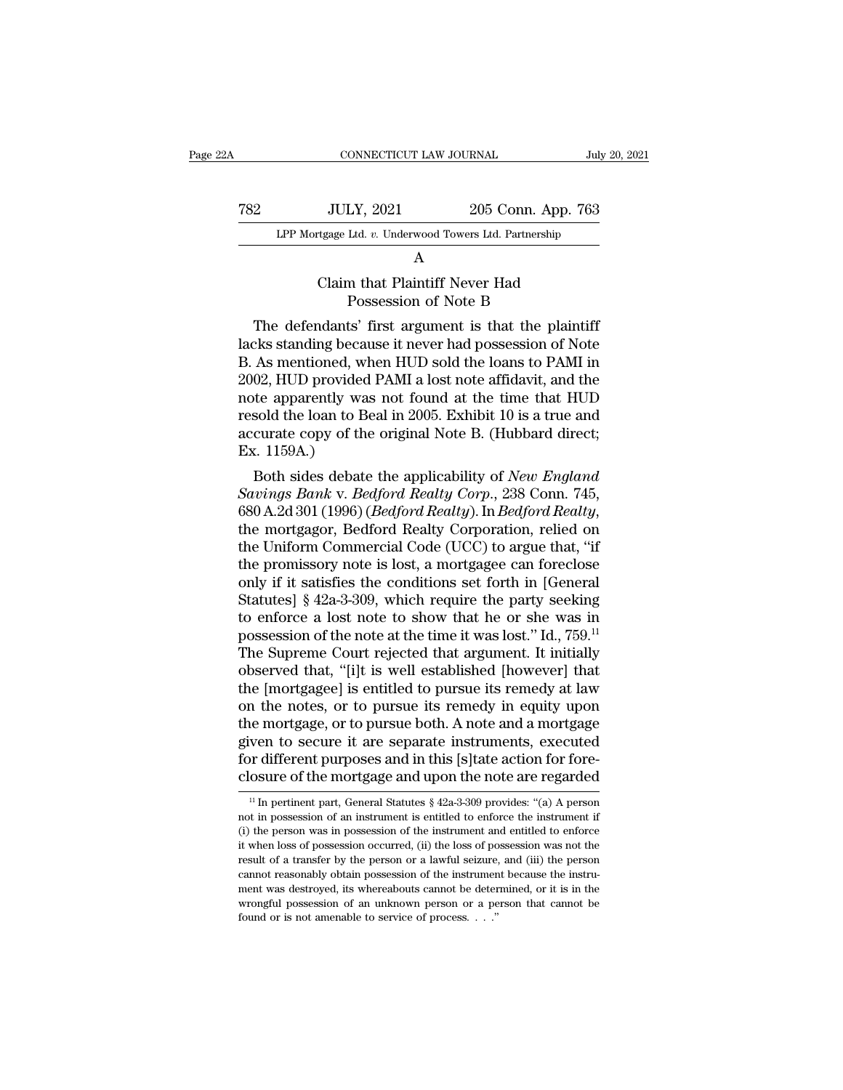| A   | CONNECTICUT LAW JOURNAL                                |                    | July 20, 2021 |
|-----|--------------------------------------------------------|--------------------|---------------|
| 782 | <b>JULY, 2021</b>                                      | 205 Conn. App. 763 |               |
|     | LPP Mortgage Ltd. v. Underwood Towers Ltd. Partnership |                    |               |
|     | A                                                      |                    |               |
|     | Claim that Plaintiff Never Had<br>Possession of Note B |                    |               |
|     | The defendants' first argument is that the plaintiff   |                    |               |

The Mortgage Ltd. v. Underwood Towers Ltd. Partnership<br>  $A$ <br>
Claim that Plaintiff Never Had<br>
Possession of Note B<br>
The defendants' first argument is that the plaintiff<br>
cks standing because it never had possession of Note LPP Mortgage Ltd. *v.* Underwood Towers Ltd. Partnership<br>
A<br>
Claim that Plaintiff Never Had<br>
Possession of Note B<br>
The defendants' first argument is that the plaintiff<br>
lacks standing because it never had possession of Not A<br>
Claim that Plaintiff Never Had<br>
Possession of Note B<br>
The defendants' first argument is that the plaintiff<br>
lacks standing because it never had possession of Note<br>
B. As mentioned, when HUD sold the loans to PAMI in<br>
20 Claim that Plaintiff Never Had<br>Possession of Note B<br>The defendants' first argument is that the plaintiff<br>lacks standing because it never had possession of Note<br>B. As mentioned, when HUD sold the loans to PAMI in<br>2002, HUD Claim that Framily Never Had<br>Possession of Note B<br>The defendants' first argument is that the plaintiff<br>lacks standing because it never had possession of Note<br>B. As mentioned, when HUD sold the loans to PAMI in<br>2002, HUD pr rossession of Note B<br>The defendants' first argument is that the plaintiff<br>lacks standing because it never had possession of Note<br>B. As mentioned, when HUD sold the loans to PAMI in<br>2002, HUD provided PAMI a lost note affid The defendants' first argument is that the plaintiff<br>lacks standing because it never had possession of Note<br>B. As mentioned, when HUD sold the loans to PAMI in<br>2002, HUD provided PAMI a lost note affidavit, and the<br>note ap lacks standing beca<br>B. As mentioned, w.<br>2002, HUD provided<br>note apparently wa<br>resold the loan to B<br>accurate copy of th<br>Ex. 1159A.)<br>Both sides debate As mentioned, when HOD sold the loans to PAMI in<br>02, HUD provided PAMI a lost note affidavit, and the<br>te apparently was not found at the time that HUD<br>sold the loan to Beal in 2005. Exhibit 10 is a true and<br>curate copy of *Savings Bank* v. *Bedford Realty Corporation* relied the mote apparently was not found at the time that HUD resold the loan to Beal in 2005. Exhibit 10 is a true and accurate copy of the original Note B. (Hubbard direct;

note apparently was not found at the time that HUD<br>resold the loan to Beal in 2005. Exhibit 10 is a true and<br>accurate copy of the original Note B. (Hubbard direct;<br>Ex. 1159A.)<br>Both sides debate the applicability of *New En* accurate copy of the original Note B. (Hubbard direct;<br>Ex. 1159A.)<br>Both sides debate the applicability of *New England*<br>Savings Bank v. Bedford Realty Corp., 238 Conn. 745,<br>680 A.2d 301 (1996) (*Bedford Realty*). In *Bedfo* Ex. 1199A.)<br>
Both sides debate the applicability of *New England*<br>
Savings Bank v. Bedford Realty Corp., 238 Conn. 745,<br>
680 A.2d 301 (1996) (Bedford Realty). In Bedford Realty,<br>
the mortgagor, Bedford Realty Corporation, Both sides debate the applicability of *New England*<br>Savings Bank v. Bedford Realty Corp., 238 Conn. 745,<br>680 A.2d 301 (1996) (Bedford Realty). In Bedford Realty,<br>the mortgagor, Bedford Realty Corporation, relied on<br>the Un Savings Bank v. Bedford Realty Corp., 238 Conn. 745,<br>680 A.2d 301 (1996) (Bedford Realty). In Bedford Realty,<br>the mortgagor, Bedford Realty Corporation, relied on<br>the Uniform Commercial Code (UCC) to argue that, "if<br>the p 680 A.2d 301 (1996) (*Bedford Realty*). In *Bedford Realty*,<br>the mortgagor, Bedford Realty Corporation, relied on<br>the Uniform Commercial Code (UCC) to argue that, "if<br>the promissory note is lost, a mortgagee can foreclose the mortgagor, Bedford Realty Corporation, relied on<br>the Uniform Commercial Code (UCC) to argue that, "if<br>the promissory note is lost, a mortgagee can foreclose<br>only if it satisfies the conditions set forth in [General<br>Sta the Uniform Commercial Code (UCC) to argue that, "if<br>the promissory note is lost, a mortgagee can foreclose<br>only if it satisfies the conditions set forth in [General<br>Statutes] § 42a-3-309, which require the party seeking<br> the promissory note is lost, a mortgagee can foreclose<br>only if it satisfies the conditions set forth in [General<br>Statutes] § 42a-3-309, which require the party seeking<br>to enforce a lost note to show that he or she was in<br> only if it satisfies the conditions set forth in [General Statutes]  $\S$  42a-3-309, which require the party seeking to enforce a lost note to show that he or she was in possession of the note at the time it was lost." Id., Statutes] § 42a-3-309, which require the party seeking<br>to enforce a lost note to show that he or she was in<br>possession of the note at the time it was lost." Id., 759.<sup>11</sup><br>The Supreme Court rejected that argument. It initi to enforce a lost note to show that he or she was in possession of the note at the time it was lost." Id., 759.<sup>11</sup><br>The Supreme Court rejected that argument. It initially<br>observed that, "[i]t is well established [however] possession of the note at the time it was lost." Id., 759.<sup>11</sup><br>The Supreme Court rejected that argument. It initially<br>observed that, "[i]t is well established [however] that<br>the [mortgagee] is entitled to pursue its remedy The Supreme Court rejected that argument. It initially observed that, "[i]t is well established [however] that the [mortgagee] is entitled to pursue its remedy at law on the notes, or to pursue its remedy in equity upon th observed that, "[i]t is well established [however] that<br>the [mortgagee] is entitled to pursue its remedy at law<br>on the notes, or to pursue its remedy in equity upon<br>the mortgage, or to pursue both. A note and a mortgage<br>g 11 In pertinent part, General Statutes § 42a-3-309 provides: "(a) A person to secure of the mortgage and upon the note are regarded  $\frac{11}{10}$  In pertinent part, General Statutes § 42a-3-309 provides: "(a) A person t in given to secure it are separate instruments, executed<br>for different purposes and in this [s]tate action for fore-<br>closure of the mortgage and upon the note are regarded<br> $\frac{1}{1}$  In pertinent part, General Statutes § 42a-

for different purposes and in this [s]tate action for fore-<br>closure of the mortgage and upon the note are regarded<br> $\frac{11}{10}$  In pertinent part, General Statutes  $\frac{8}{2}$  42a-3-309 provides: "(a) A person<br>not in possess consume of the mortgage and upon the note are regarded<br> $\frac{1}{1}$  In pertinent part, General Statutes § 42a-3-309 provides: "(a) A person<br>not in possession of an instrument is entitled to enforce the instrument if<br>(i) the CIOSUTE OF LITE INOTUGAGE AND upon LITE HOTE ATE PEGATOED  $\frac{11}{11}$  In pertinent part, General Statutes § 42a-3-309 provides: "(a) A person not in possession of an instrument is entitled to enforce the instrument if (i) <sup>11</sup> In pertinent part, General Statutes § 42a-3-309 provides: "(a) A person not in possession of an instrument is entitled to enforce the instrument if (i) the person was in possession of the instrument and entitled to e ment in possession of an instrument is entitled to enforce the instrument if (i) the person was in possession of the instrument and entitled to enforce it when loss of possession occurred, (ii) the loss of possession was n where the person was in possession of the instrument and entitled to enforce it when loss of possession occurred, (ii) the loss of possession was not the result of a transfer by the person or a lawful seizure, and (iii) t (i) the person was in possession of the instrument and entitled to enforce it when loss of possession occurred, (ii) the loss of possession was not the result of a transfer by the person or a lawful seizure, and (iii) the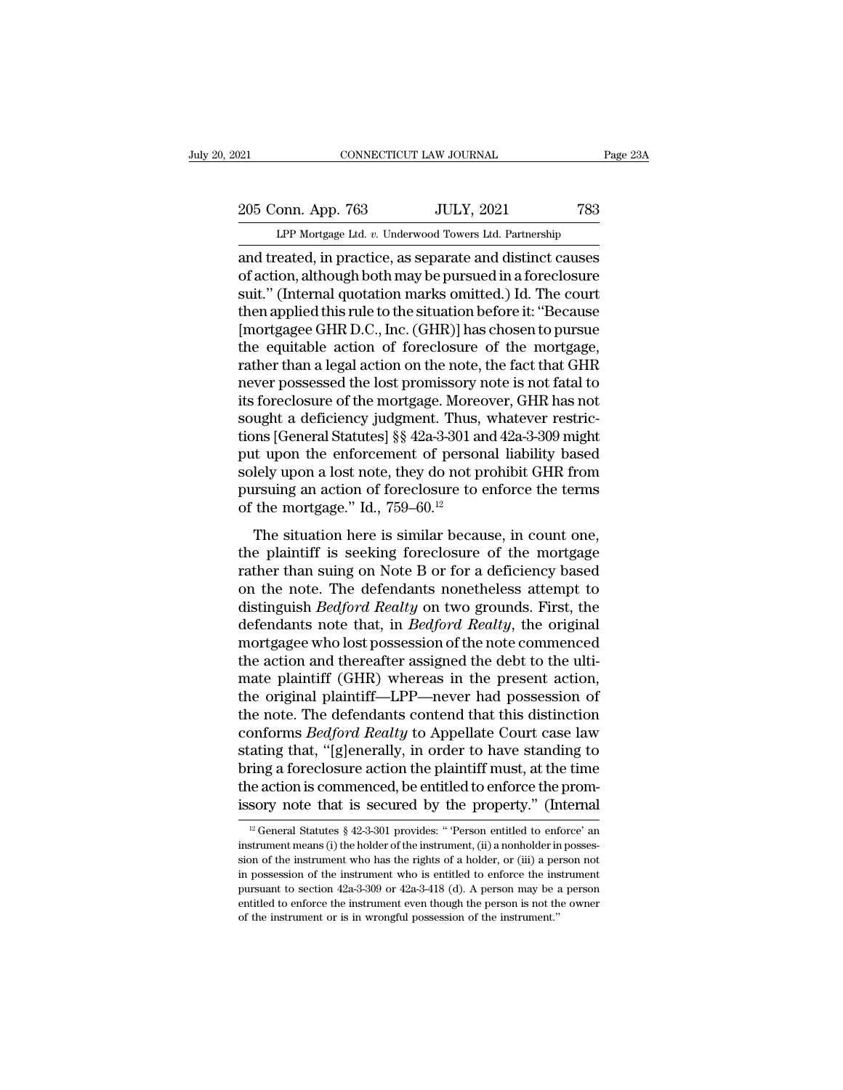205 Conn. App. 763 JULY, 2021 783<br>Per Mortgage Ltd. v. Underwood Towers Ltd. Partnership

CONNECTICUT LAW JOURNAL Page 23A<br>
205 Conn. App. 763 JULY, 2021 783<br>
LPP Mortgage Ltd. *v.* Underwood Towers Ltd. Partnership<br>
and treated, in practice, as separate and distinct causes Page 23A<br>
205 Conn. App. 763 JULY, 2021 783<br>
LPP Mortgage Ltd. v. Underwood Towers Ltd. Partnership<br>
and treated, in practice, as separate and distinct causes<br>
of action, although both may be pursued in a foreclosure<br>
suit 205 Conn. App. 763 JULY, 2021 783<br>
LPP Mortgage Ltd. v. Underwood Towers Ltd. Partnership<br>
and treated, in practice, as separate and distinct causes<br>
of action, although both may be pursued in a foreclosure<br>
suit." (Intern 205 Conn. App. 763 JULY, 2021 783<br>
LPP Mortgage Ltd. v. Underwood Towers Ltd. Partnership<br>
and treated, in practice, as separate and distinct causes<br>
of action, although both may be pursued in a foreclosure<br>
suit.'' (Inte 205 Conn. App. 763 JULY, 2021 783<br>
LPP Mortgage Ltd. v. Underwood Towers Ltd. Partnership<br>
and treated, in practice, as separate and distinct causes<br>
of action, although both may be pursued in a foreclosure<br>
suit." (Intern LPP Mortgage Ltd. v. Underwood Towers Ltd. Partnership<br>and treated, in practice, as separate and distinct causes<br>of action, although both may be pursued in a foreclosure<br>suit." (Internal quotation marks omitted.) Id. The c LPP Mortgage Ltd.  $v$ . Underwood Towers Ltd. Partnership<br>and treated, in practice, as separate and distinct causes<br>of action, although both may be pursued in a foreclosure<br>suit." (Internal quotation marks omitted.) Id. Th and treated, in practice, as separate and distinct causes<br>of action, although both may be pursued in a foreclosure<br>suit." (Internal quotation marks omitted.) Id. The court<br>then applied this rule to the situation before it: of action, although both may be pursued in a foreclosure<br>suit." (Internal quotation marks omitted.) Id. The court<br>then applied this rule to the situation before it: "Because<br>[mortgagee GHR D.C., Inc. (GHR)] has chosen to p suit." (Internal quotation marks omitted.) Id. The court<br>then applied this rule to the situation before it: "Because<br>[mortgagee GHR D.C., Inc. (GHR)] has chosen to pursue<br>the equitable action of foreclosure of the mortgage then applied this rule to the situation before it: "Because<br>[mortgagee GHR D.C., Inc. (GHR)] has chosen to pursue<br>the equitable action of foreclosure of the mortgage,<br>rather than a legal action on the note, the fact that G [mortgagee GHR D.C., Inc. (GHR)] has chosen to pursue<br>the equitable action of foreclosure of the mortgage,<br>rather than a legal action on the note, the fact that GHR<br>never possessed the lost promissory note is not fatal to<br> the equitable action of foreclosure of the mortgage,<br>rather than a legal action on the note, the fact that GHR<br>never possessed the lost promissory note is not fatal to<br>its foreclosure of the mortgage. Moreover, GHR has not rather than a legal action on the note, the fact that GHR<br>never possessed the lost promissory note is not fatal to<br>its foreclosure of the mortgage. Moreover, GHR has not<br>sought a deficiency judgment. Thus, whatever restri never possessed the lost promissory note is not fatal to<br>its foreclosure of the mortgage. Moreover, GHR has not<br>sought a deficiency judgment. Thus, whatever restric-<br>tions [General Statutes] §§ 42a-3-301 and 42a-3-309 migh its foreclosure of the mortgage. Moreonly sought a deficiency judgment. Thus, tions [General Statutes]  $\S$ § 42a-3-301 and put upon the enforcement of persor solely upon a lost note, they do not pursuing an action of forec dgint a deficiency judgment. Thus, whatever restrictions [General Statutes]  $\S$  42a-3-301 and 42a-3-309 might the upon the enforcement of personal liability based lely upon a lost note, they do not prohibit GHR from resui put upon the enforcement of personal liability based<br>solely upon a lost note, they do not prohibit GHR from<br>pursuing an action of foreclosure to enforce the terms<br>of the mortgage." Id., 759–60.<sup>12</sup><br>The situation here is s

put upon the emorecinent of personal masinty based<br>solely upon a lost note, they do not prohibit GHR from<br>pursuing an action of foreclosure to enforce the terms<br>of the mortgage." Id., 759–60.<sup>12</sup><br>The situation here is sim posity upon a idstrict, they do not promote that nonet<br>pursuing an action of foreclosure to enforce the terms<br>of the mortgage." Id., 759–60.<sup>12</sup><br>The situation here is similar because, in count one,<br>the plaintiff is seekin pursung an action of forecrosure to emotion the terms<br>of the mortgage." Id., 759–60.<sup>12</sup><br>The situation here is similar because, in count one,<br>the plaintiff is seeking foreclosure of the mortgage<br>rather than suing on Note B The situation here is similar because, in count one,<br>the plaintiff is seeking foreclosure of the mortgage<br>rather than suing on Note B or for a deficiency based<br>on the note. The defendants nonetheless attempt to<br>distinguish The situation here is similar because, in count one,<br>the plaintiff is seeking foreclosure of the mortgage<br>rather than suing on Note B or for a deficiency based<br>on the note. The defendants nonetheless attempt to<br>distinguish the plaintiff is seeking foreclosure of the mortgage<br>rather than suing on Note B or for a deficiency based<br>on the note. The defendants nonetheless attempt to<br>distinguish *Bedford Realty* on two grounds. First, the<br>defendan rather than suing on Note B or for a deficiency based<br>on the note. The defendants nonetheless attempt to<br>distinguish *Bedford Realty* on two grounds. First, the<br>defendants note that, in *Bedford Realty*, the original<br>mortg on the note. The defendants nonetheless attempt to<br>distinguish *Bedford Realty* on two grounds. First, the<br>defendants note that, in *Bedford Realty*, the original<br>mortgagee who lost possession of the note commenced<br>the act distinguish *Bedford Realty* on two grounds. First, the<br>defendants note that, in *Bedford Realty*, the original<br>mortgagee who lost possession of the note commenced<br>the action and thereafter assigned the debt to the ulti-<br>m defendants note that, in *Bedford Realty*, the original<br>mortgagee who lost possession of the note commenced<br>the action and thereafter assigned the debt to the ulti-<br>mate plaintiff (GHR) whereas in the present action,<br>the o mortgagee who lost possession of the note commenced<br>the action and thereafter assigned the debt to the ulti-<br>mate plaintiff (GHR) whereas in the present action,<br>the original plaintiff—LPP—never had possession of<br>the note. the action and thereafter assigned the debt to the ultimate plaintiff (GHR) whereas in the present action,<br>the original plaintiff—LPP—never had possession of<br>the note. The defendants contend that this distinction<br>conforms mate plaintiff (GHR) whereas in the present action,<br>the original plaintiff—LPP—never had possession of<br>the note. The defendants contend that this distinction<br>conforms *Bedford Realty* to Appellate Court case law<br>stating th the original plaintiff—LPP—never had possession of<br>the note. The defendants contend that this distinction<br>conforms *Bedford Realty* to Appellate Court case law<br>stating that, "[g]enerally, in order to have standing to<br>brin ating that, "[g]enerally, in order to have standing to<br>ring a foreclosure action the plaintiff must, at the time<br>leads action is commenced, be entitled to enforce the prom-<br>sory note that is secured by the property." (Int bring a foreclosure action the plaintiff must, at the time<br>the action is commenced, be entitled to enforce the prom-<br>issory note that is secured by the property." (Internal<br> $\frac{12}{12}$  General Statutes § 42-3-301 provides

the action is commenced, be entitled to enforce the promissory note that is secured by the property." (Internal  $\frac{12}{12}$  General Statutes § 42-3-301 provides: "Person entitled to enforce' an instrument means (i) the ho is isory note that is secured by the property." (Internal<br>
<sup>12</sup> General Statutes § 42-3-301 provides: "Person entitled to enforce' an<br>
instrument means (i) the holder of the instrument, (ii) a nonholder in posses-<br>
sion o **Example 12** General Statutes § 42-3-301 provides: "Person entitled to enforce' an instrument means (i) the holder of the instrument, (ii) a nonholder in possession of the instrument who has the rights of a holder, or (ii <sup>12</sup> General Statutes § 42-3-301 provides: " Person entitled to enforce' an instrument means (i) the holder of the instrument, (ii) a nonholder in possession of the instrument who has the rights of a holder, or (iii) a pe instrument means (i) the holder of the instrument, (ii) a nonholder in possession of the instrument who has the rights of a holder, or (iii) a person not in possession of the instrument who is entitled to enforce the inst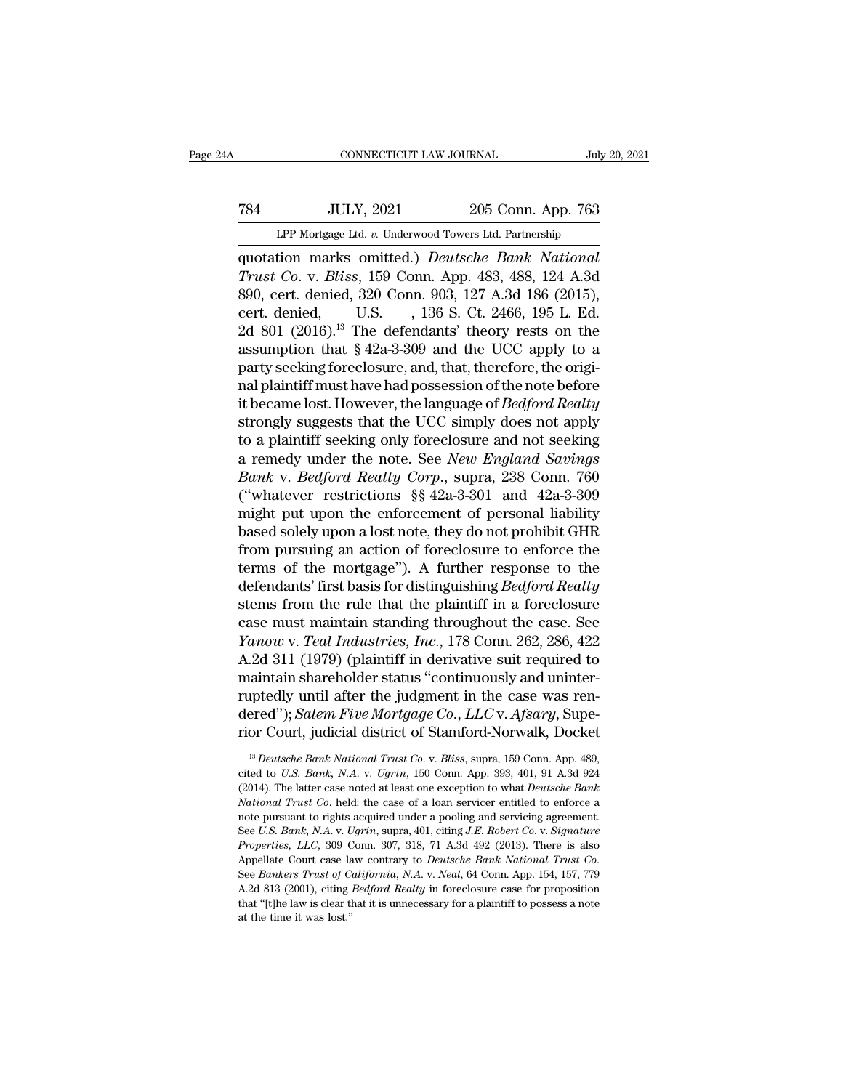# 1999, CONNECTICUT LAW JOURNAL<br>
784 JULY, 2021 205 Conn. App. 763<br>
LPP Mortgage Ltd. v. Underwood Towers Ltd. Partnership CONNECTICUT LAW JOURNAL July 20, 2021<br>
1999, 2021<br>
1999 Mortgage Ltd. *v.* Underwood Towers Ltd. Partnership<br>
1999 Mortgage Ltd. *v.* Underwood Towers Ltd. Partnership<br>
1999 Mortgage Ltd. *v.* Underwood Towers Ltd. Partner

CONNECTICUT LAW JOURNAL July 20, 20<br> **1988 11:** JULY, 2021 205 Conn. App. 763<br>
LPP Mortgage Ltd. v. Underwood Towers Ltd. Partnership<br>
quotation marks omitted.) *Deutsche Bank National*<br> *Trust Co.* v. *Bliss*, 159 Conn. A **TRA** JULY, 2021 205 Conn. App. 763<br>
LPP Mortgage Ltd. v. Underwood Towers Ltd. Partnership<br> **Quotation marks omitted.**) *Deutsche Bank National*<br> *Trust Co.* v. *Bliss*, 159 Conn. App. 483, 488, 124 A.3d<br>
890, cert. denie T84 JULY, 2021 205 Conn. App. 763<br>
LPP Mortgage Ltd. v. Underwood Towers Ltd. Partnership<br>
quotation marks omitted.) *Deutsche Bank National*<br>
Trust Co. v. Bliss, 159 Conn. App. 483, 488, 124 A.3d<br>
890, cert. denied, 320 C T84 JULY, 2021 205 Conn. App. 763<br>
LPP Mortgage Ltd. v. Underwood Towers Ltd. Partnership<br>
quotation marks omitted.) *Deutsche Bank National*<br> *Trust Co.* v. *Bliss*, 159 Conn. App. 483, 488, 124 A.3d<br>
890, cert. denied, 3 LPP Mortgage Ltd. v. Underwood Towers Ltd. Partnership<br>quotation marks omitted.) *Deutsche Bank National*<br>*Trust Co.* v. *Bliss*, 159 Conn. App. 483, 488, 124 A.3d<br>890, cert. denied, 320 Conn. 903, 127 A.3d 186 (2015),<br>cer Let Morgage Lat. *v.* Underwood Towers Lat. Farmership<br>quotation marks omitted.) *Deutsche Bank National*<br>*Trust Co.* v. *Bliss*, 159 Conn. App. 483, 488, 124 A.3d<br>890, cert. denied, 320 Conn. 903, 127 A.3d 186 (2015),<br>ce Trust Co. v. Bliss, 159 Conn. App. 483, 488, 124 A.3d 890, cert. denied, 320 Conn. 903, 127 A.3d 186 (2015), cert. denied, U.S. , 136 S. Ct. 2466, 195 L. Ed. 2d 801 (2016).<sup>13</sup> The defendants' theory rests on the assumpti Trust Co. v. Bliss, 159 Conn. App. 483, 488, 124 A.3d<br>890, cert. denied, 320 Conn. 903, 127 A.3d 186 (2015),<br>cert. denied, U.S. , 136 S. Ct. 2466, 195 L. Ed.<br>2d 801 (2016).<sup>13</sup> The defendants' theory rests on the<br>assumpti 890, cert. denied, 320 Conn. 903, 127 A.3d 186 (2015),<br>cert. denied, U.S. , 136 S. Ct. 2466, 195 L. Ed.<br>2d 801 (2016).<sup>13</sup> The defendants' theory rests on the<br>assumption that § 42a-3-309 and the UCC apply to a<br>party seekin cert. denied, U.S. , 136 S. Ct. 2466, 195 L. Ed.<br>2d 801 (2016).<sup>13</sup> The defendants' theory rests on the<br>assumption that § 42a-3-309 and the UCC apply to a<br>party seeking foreclosure, and, that, therefore, the origi-<br>nal pla 2d 801 (2016).<sup>13</sup> The defendants' theory rests on the assumption that § 42a-3-309 and the UCC apply to a party seeking foreclosure, and, that, therefore, the original plaintiff must have had possession of the note before assumption that § 42a-3-309 and the UCC apply to a<br>party seeking foreclosure, and, that, therefore, the origi-<br>nal plaintiff must have had possession of the note before<br>it became lost. However, the language of *Bedford Rea* party seeking foreclosure, and, that, therefore, the original plaintiff must have had possession of the note before<br>it became lost. However, the language of *Bedford Realty*<br>strongly suggests that the UCC simply does not a nal plaintiff must have had possession of the note before<br>it became lost. However, the language of *Bedford Realty*<br>strongly suggests that the UCC simply does not apply<br>to a plaintiff seeking only foreclosure and not seeki it became lost. However, the language of *Bedford Realty*<br>strongly suggests that the UCC simply does not apply<br>to a plaintiff seeking only foreclosure and not seeking<br>a remedy under the note. See *New England Savings*<br>*Ban* strongly suggests that the UCC simply does not apply<br>to a plaintiff seeking only foreclosure and not seeking<br>a remedy under the note. See *New England Savings*<br>*Bank* v. *Bedford Realty Corp.*, supra, 238 Conn. 760<br>("whate to a plaintiff seeking only foreclosure and not seeking<br>a remedy under the note. See *New England Savings*<br>Bank v. Bedford Realty Corp., supra, 238 Conn. 760<br>("whatever restrictions §§ 42a-3-301 and 42a-3-309<br>might put upo a remedy under the note. See *New England Savings*<br> *Bank v. Bedford Realty Corp.*, supra, 238 Conn. 760<br>
("whatever restrictions §§ 42a-3-301 and 42a-3-309<br>
might put upon the enforcement of personal liability<br>
based sole Bank v. Bedford Realty Corp., supra, 238 Conn. 760<br>("whatever restrictions §§ 42a-3-301 and 42a-3-309<br>might put upon the enforcement of personal liability<br>based solely upon a lost note, they do not prohibit GHR<br>from pursui ("whatever restrictions  $\S$ § 42a-3-301 and 42a-3-309 might put upon the enforcement of personal liability based solely upon a lost note, they do not prohibit GHR from pursuing an action of foreclosure to enforce the terms might put upon the enforcement of personal liability<br>based solely upon a lost note, they do not prohibit GHR<br>from pursuing an action of foreclosure to enforce the<br>terms of the mortgage"). A further response to the<br>defenda based solely upon a lost note, they do not prohibit GHR<br>from pursuing an action of foreclosure to enforce the<br>terms of the mortgage"). A further response to the<br>defendants' first basis for distinguishing *Bedford Realty*<br>s from pursuing an action of foreclosure to enforce the<br>terms of the mortgage"). A further response to the<br>defendants' first basis for distinguishing *Bedford Realty*<br>stems from the rule that the plaintiff in a foreclosure<br>c terms of the mortgage"). A further response to the<br>defendants' first basis for distinguishing *Bedford Realty*<br>stems from the rule that the plaintiff in a foreclosure<br>case must maintain standing throughout the case. See<br> defendants' first basis for distinguishing *Bedford Realty*<br>stems from the rule that the plaintiff in a foreclosure<br>case must maintain standing throughout the case. See<br>*Yanow* v. *Teal Industries, Inc.*, 178 Conn. 262, 28 stems from the rule that the plaintiff in a foreclosure<br>case must maintain standing throughout the case. See<br>*Yanow v. Teal Industries, Inc.*, 178 Conn. 262, 286, 422<br>A.2d 311 (1979) (plaintiff in derivative suit required case must maintain standing throughout the case. See *Yanow v. Teal Industries, Inc.*, 178 Conn. 262, 286, 422 A.2d 311 (1979) (plaintiff in derivative suit required to maintain shareholder status "continuously and uninter maintain shareholder status "continuously and uninter-<br>ruptedly until after the judgment in the case was ren-<br>dered"); *Salem Five Mortgage Co.*, *LLC* v. *Afsary*, Supe-<br>rior Court, judicial district of Stamford-Norwalk, ruptedly until after the judgment in the case was ren-<br>dered"); *Salem Five Mortgage Co.*, *LLC* v. *Afsary*, Supe-<br>rior Court, judicial district of Stamford-Norwalk, Docket<br><sup>13</sup> *Deutsche Bank National Trust Co.* v. *Blis* 

dered"); *Salem Five Mortgage Co., LLC* v. *Afsary*, Superior Court, judicial district of Stamford-Norwalk, Docket<br><sup>B</sup> *Deutsche Bank National Trust Co.* v. *Bliss*, supra, 159 Conn. App. 489, cited to U.S. Bank, N.A. v. *National Trust Co. v. Bliss, supra, 159 Conn. App. 489,*<br><sup>13</sup> *Deutsche Bank National Trust Co. v. Bliss, supra, 159 Conn. App. 489,*<br>cited to *U.S. Bank, N.A. v. Ugrin, 150 Conn. App. 393, 401, 91 A.3d 924*<br>(2014). The l not Court, Judician district of Staffford-Norwark, Docket<br>
<sup>13</sup> Deutsche Bank National Trust Co. v. Bliss, supra, 159 Conn. App. 489,<br>
cited to U.S. Bank, N.A. v. Ugrin, 150 Conn. App. 393, 401, 91 A.3d 924<br>
(2014). The la <sup>13</sup> *Deutsche Bank National Trust Co.* v. *Bliss*, supra, 159 Conn. App. 489, cited to *U.S. Bank, N.A.* v. *Ugrin*, 150 Conn. App. 393, 401, 91 A.3d 924 (2014). The latter case noted at least one exception to what *Deuts* ried to *U.S. Bank, N.A.* v. *Ugrin*, 150 Conn. App. 393, 401, 91 A.3d 924 (2014). The latter case noted at least one exception to what *Deutsche Bank National Trust Co.* held: the case of a loan servicer entitled to enf (2014). The latter case noted at least one exception to what *Deutsche Bank* National Trust Co. held: the case of a loan servicer entitled to enforce a note pursuant to rights acquired under a pooling and servicing agreeme A.2d 813 (2001), citing *Bedford Realty* in foreclosure case of *a* base *U.S. Bank, N.A. v. Ugrin*, supra, 401, citing *J.E. Robert Co. v. Signature Properties, LLC*, 309 Conn. 307, 318, 71 A.3d 492 (2013). There is als See *U.S. Bank, N.A. v. Ugrin*, supra, 401, citing *J.E. Robert Co. v. Signature Properties, LLC*, 309 Conn. 307, 318, 71 A.3d 492 (2013). There is also Appellate Court case law contrary to *Deutsche Bank National Trust* See U.S. Bank, N.A. v. Ugrin, supra, 401, citing J.E. Robert Co. v. Signature Properties, LLC, 309 Conn. 307, 318, 71 A.3d 492 (2013). There is also Appellate Court case law contrary to *Deutsche Bank National Trust Co*.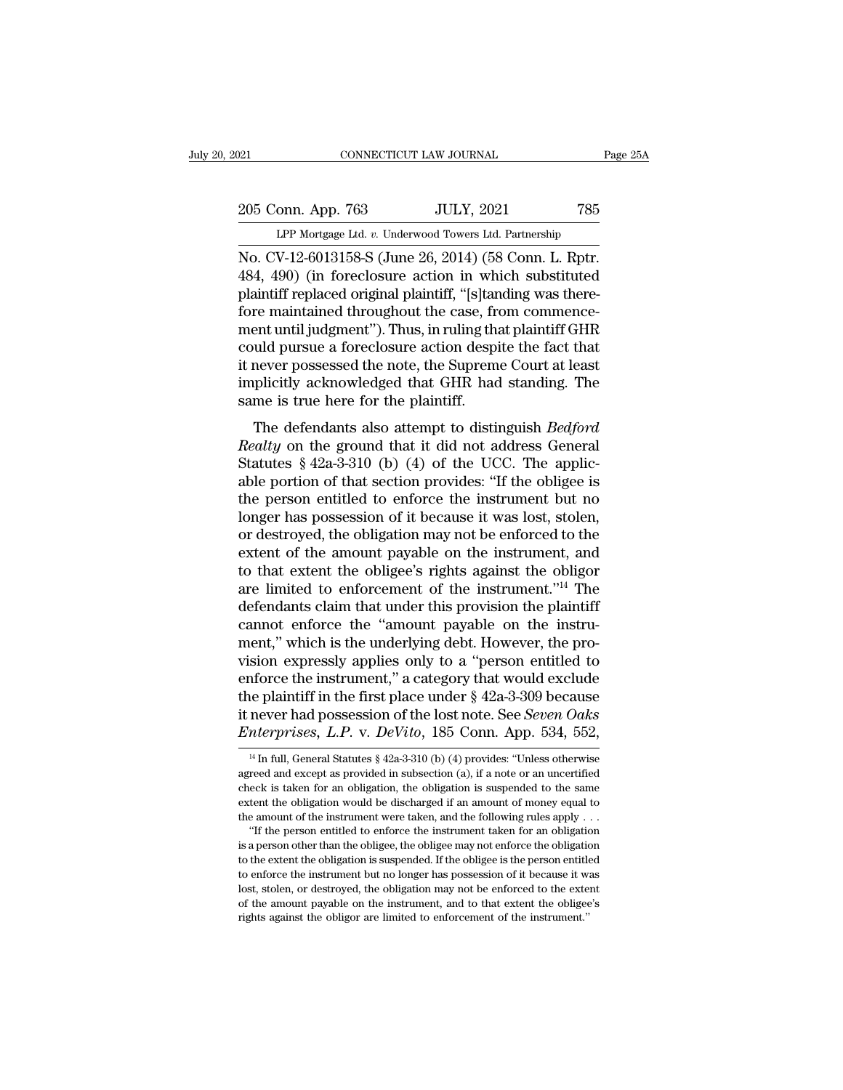205 Conn. App. 763 JULY, 2021 785<br>Per Mortgage Ltd. v. Underwood Towers Ltd. Partnership Equation 2021 CONNECTICUT LAW JOURNAL Page 25A<br>205 Conn. App. 763 JULY, 2021 785<br>LPP Mortgage Ltd. *v.* Underwood Towers Ltd. Partnership

CONNECTICUT LAW JOURNAL Page 2<br>
205 Conn. App. 763 JULY, 2021 785<br>
LPP Mortgage Ltd. v. Underwood Towers Ltd. Partnership<br>
No. CV-12-6013158-S (June 26, 2014) (58 Conn. L. Rptr.<br>
484, 490) (in foreclosure action in which s 205 Conn. App. 763 JULY, 2021 785<br>
LPP Mortgage Ltd. v. Underwood Towers Ltd. Partnership<br>
No. CV-12-6013158-S (June 26, 2014) (58 Conn. L. Rptr.<br>
484, 490) (in foreclosure action in which substituted<br>
plaintiff replaced o 205 Conn. App. 763 JULY, 2021 785<br>
LPP Mortgage Ltd. v. Underwood Towers Ltd. Partnership<br>
No. CV-12-6013158-S (June 26, 2014) (58 Conn. L. Rptr.<br>
484, 490) (in foreclosure action in which substituted<br>
plaintiff replaced o 205 Conn. App. 763 JULY, 2021 785<br>
LPP Mortgage Ltd. v. Underwood Towers Ltd. Partnership<br>
No. CV-12-6013158-S (June 26, 2014) (58 Conn. L. Rptr.<br>
484, 490) (in foreclosure action in which substituted<br>
plaintiff replaced o LPP Mortgage Ltd. v. Underwood Towers Ltd. Partnership<br>No. CV-12-6013158-S (June 26, 2014) (58 Conn. L. Rptr.<br>484, 490) (in foreclosure action in which substituted<br>plaintiff replaced original plaintiff, "[s]tanding was the LPP Mortgage Ltd. v. Underwood Towers Ltd. Partnership<br>No. CV-12-6013158-S (June 26, 2014) (58 Conn. L. Rptr.<br>484, 490) (in foreclosure action in which substituted<br>plaintiff replaced original plaintiff, "[s]tanding was the No. CV-12-6013158-S (June 26, 2014) (58 Conn. L. Rptr.<br>484, 490) (in foreclosure action in which substituted<br>plaintiff replaced original plaintiff, "[s]tanding was there-<br>fore maintained throughout the case, from commence-484, 490) (in foreclosure action in which substituted<br>plaintiff replaced original plaintiff, "[s]tanding was there-<br>fore maintained throughout the case, from commence-<br>ment until judgment"). Thus, in ruling that plaintiff plaintiff replaced original plaintiff, "[s]tar<br>fore maintained throughout the case, fr<br>ment until judgment"). Thus, in ruling tha<br>could pursue a foreclosure action despi<br>it never possessed the note, the Suprem<br>implicitly a Formal and also attempt to distinguish *Bedford*<br>and pursue a foreclosure action despite the fact that<br>mever possessed the note, the Supreme Court at least<br>plicitly acknowledged that GHR had standing. The<br>me is true here f really pursue a foreclosure action despite the fact that<br> *Realt never possessed the note, the Supreme Court at least*<br> *Realty acknowledged that GHR had standing. The*<br> *Realty on the ground that it did not address Genera* 

Example it is a forecastic action despite the fact that<br>it never possessed the note, the Supreme Court at least<br>implicitly acknowledged that GHR had standing. The<br>same is true here for the plaintiff.<br>The defendants also at able possessed the note, the suppreme count at reast<br>implicitly acknowledged that GHR had standing. The<br>same is true here for the plaintiff.<br>The defendants also attempt to distinguish *Bedford*<br>Realty on the ground that it the person entitled to enforced to the instrument person of the control of the person entitled to enforce the instrument but no<br>longer has possession of that section provides: "If the obligee is<br>the person entitled to enf The defendants also attempt to distinguish *Bedford*<br>*Realty* on the ground that it did not address General<br>Statutes  $\S$  42a-3-310 (b) (4) of the UCC. The applic-<br>able portion of that section provides: "If the obligee is<br> The defendants also attempt to distinguish *Bedford*<br>Realty on the ground that it did not address General<br>Statutes § 42a-3-310 (b) (4) of the UCC. The applic-<br>able portion of that section provides: "If the obligee is<br>the p Realty on the ground that it did not address General<br>Statutes § 42a-3-310 (b) (4) of the UCC. The applic-<br>able portion of that section provides: "If the obligee is<br>the person entitled to enforce the instrument but no<br>long Statutes § 42a-3-310 (b) (4) of the UCC. The applicable portion of that section provides: "If the obligee is the person entitled to enforce the instrument but no longer has possession of it because it was lost, stolen, or able portion of that section provides: "If the obligee is<br>the person entitled to enforce the instrument but no<br>longer has possession of it because it was lost, stolen,<br>or destroyed, the obligation may not be enforced to th the person entitled to enforce the instrument but no<br>longer has possession of it because it was lost, stolen,<br>or destroyed, the obligation may not be enforced to the<br>extent of the amount payable on the instrument, and<br>to t longer has possession of it because it was lost, stolen,<br>or destroyed, the obligation may not be enforced to the<br>extent of the amount payable on the instrument, and<br>to that extent the obligee's rights against the obligor<br>a or destroyed, the obligation may not be enforced to the extent of the amount payable on the instrument, and to that extent the obligee's rights against the obligor are limited to enforcement of the instrument."<sup>14</sup> The def extent of the amount payable on the instrument, and<br>to that extent the obligee's rights against the obligor<br>are limited to enforcement of the instrument."<sup>14</sup> The<br>defendants claim that under this provision the plaintiff<br>ca to that extent the obligee's rights against the obligor<br>are limited to enforcement of the instrument."<sup>14</sup> The<br>defendants claim that under this provision the plaintiff<br>cannot enforce the "amount payable on the instru-<br>men are limited to enforcement of the instrument."<sup>14</sup> The<br>defendants claim that under this provision the plaintiff<br>cannot enforce the "amount payable on the instru-<br>ment," which is the underlying debt. However, the pro-<br>visi defendants claim that under this provision the plaintiff<br>cannot enforce the "amount payable on the instru-<br>ment," which is the underlying debt. However, the pro-<br>vision expressly applies only to a "person entitled to<br>enfor cannot enforce the "amount payable on the instrument," which is the underlying debt. However, the provision expressly applies only to a "person entitled to enforce the instrument," a category that would exclude the plainti enforce the instrument," a category that would exclude<br>the plaintiff in the first place under § 42a-3-309 because<br>it never had possession of the lost note. See *Seven Oaks*<br>*Enterprises*, *L.P.* v. *DeVito*, 185 Conn. App the plaintiff in the first place under § 42a-3-309 because<br>it never had possession of the lost note. See *Seven Oaks*<br>*Enterprises*, *L.P.* v. *DeVito*, 185 Conn. App. 534, 552,<br><sup>14</sup> In full, General Statutes § 42a-3-310

it never had possession of the lost note. See *Seven Oaks Enterprises, L.P.* v. *DeVito*, 185 Conn. App. 534, 552,  $\frac{14 \text{ In full, General Statistics § } 42a-3-310 \text{ (b) (4) provides: "Unless otherwise agreed and except as provided in subsection (a), if a note or an uncertainties check is taken for an obligation, the obligation is suspended to the same extent the obligation would be discharged if an amount of money equal to the system.$ Enterprises, L.P. v. DeVito, 185 Conn. App. 534, 552,<br>
<sup>14</sup> In full, General Statutes § 42a-3-310 (b) (4) provides: "Unless otherwise<br>agreed and except as provided in subsection (a), if a note or an uncertified<br>check is t agreed and except as provided in subsection (a), if a note or an uncertified check is taken for an obligation, the obligation is suspended to the same extent the obligation would be discharged if an amount of money equal <sup>14</sup> In full, General Statutes § 42a-3-310 (b) (4) provides: "Unless otherwise reed and except as provided in subsection (a), if a note or an uncertified eck is taken for an obligation, the obligation is suspended to the and except as provided in subsection (a), if a note or an uncertified check is taken for an obligation, the obligation is suspended to the same extent the obligation would be discharged if an amount of money equal to the

the extent the obligation, the obligation is suspended to the same extent the obligation would be discharged if an amount of money equal to the amount of the instrument were taken, and the following rules apply . . . "If extent the obligation would be discharged if an amount of money equal to the amount of the instrument were taken, and the following rules apply  $\ldots$  "If the person entitled to enforce the instrument taken for an obligati the amount of the instrument were taken, and the following rules apply  $\ldots$  "If the person entitled to enforce the instrument taken for an obligation is a person other than the obligee, the obligee may not enforce the ob The amount payable on the instrument taken for an obligation is a person other than the obligee, the obligee may not enforce the obligation to the extent the obligation is suspended. If the obligee is the person entitled is a person other than the obligee, the obligee may not enforce the obligation to the extent the obligation is suspended. If the obligee is the person entitle to enforce the instrument but no longer has possession of it be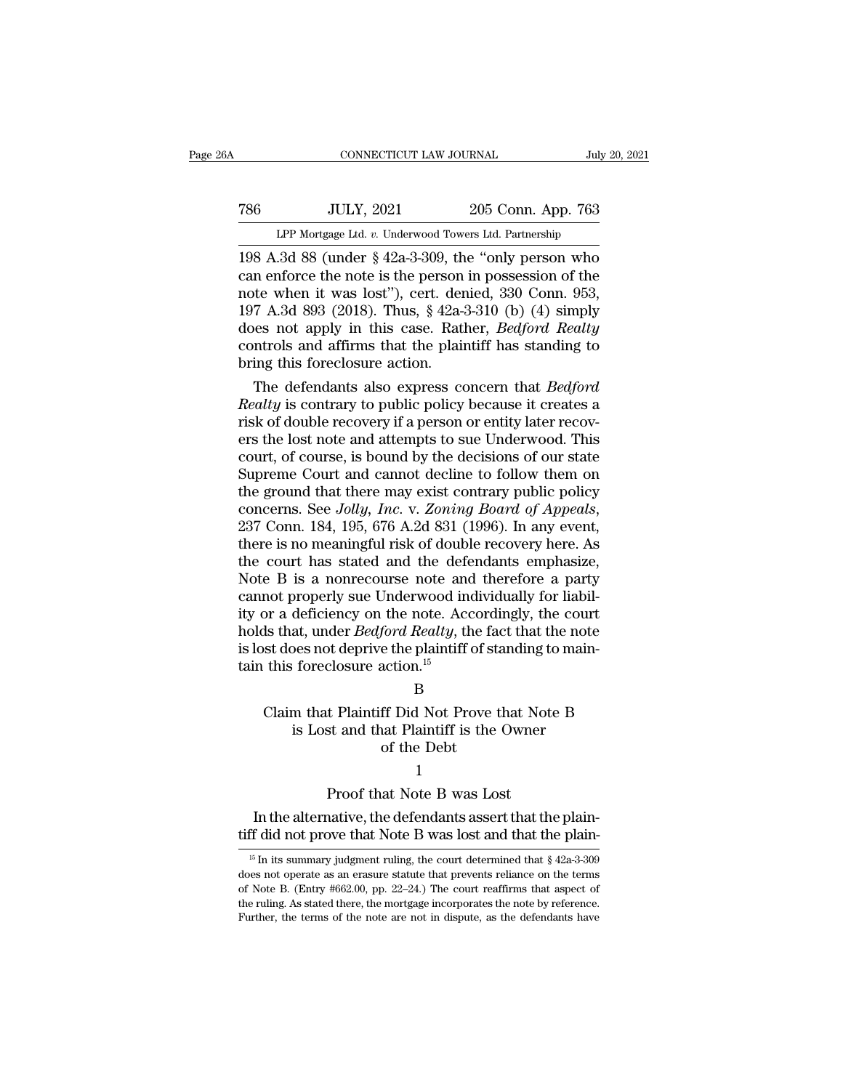# 1999, CONNECTICUT LAW JOURNAL<br>
205 Conn. App. 763<br>
1992 LPP Mortgage Ltd. v. Underwood Towers Ltd. Partnership CONNECTICUT LAW JOURNAL July 20, 2021<br>
TULY, 2021 205 Conn. App. 763<br>
LPP Mortgage Ltd. *v.* Underwood Towers Ltd. Partnership<br>
198 A.3d 88 (under § 42a-3-309, the "only person who

CONNECTICUT LAW JOURNAL July 20, 2021<br>
198 A.3d 88 (under § 42a-3-309, the "only person who<br>
can enforce the note is the person in possession of the<br>
198 A.3d 88 (under § 42a-3-309, the "only person who<br>
can enforce the no TERET THE NOTE 2021<br>
CAN EXERCISE THE NOTE ISLAM SET ON THE NOTE ISLAM SATE OF NOTE 2013 (UNDER THE NOTE 2014)<br>
THE NOTE OF SALE AND SET ON THE NOTE ISLAM SALE ISLAM SALE INCORDED THE NOTE OF THE NOTE OF THE NOTE OF THE NO T86 JULY, 2021 205 Conn. App. 763<br>
LPP Mortgage Ltd. v. Underwood Towers Ltd. Partnership<br>
198 A.3d 88 (under § 42a-3-309, the "only person who<br>
can enforce the note is the person in possession of the<br>
note when it was los 786 JULY, 2021 205 Conn. App. 763<br>
LPP Mortgage Ltd. v. Underwood Towers Ltd. Partnership<br>
198 A.3d 88 (under  $\S$  42a-3-309, the "only person who<br>
can enforce the note is the person in possession of the<br>
note when it was LPP Mortgage Ltd. *v*. Underwood Towers Ltd. Partnership<br>198 A.3d 88 (under § 42a-3-309, the "only person who<br>can enforce the note is the person in possession of the<br>note when it was lost"), cert. denied, 330 Conn. 953,<br>19 LPP Mortgage Ltd. v. Underwood Towers Ltd. Partnership<br>
198 A.3d 88 (under § 42a-3-309, the "only person who<br>
can enforce the note is the person in possession of the<br>
note when it was lost"), cert. denied, 330 Conn. 953,<br> 198 A.3d 88 (under  $\S$  42a-3-309, th<br>can enforce the note is the person<br>note when it was lost"), cert. der<br>197 A.3d 893 (2018). Thus,  $\S$  42a-4<br>does not apply in this case. Ratl<br>controls and affirms that the plain<br>bring t In enforce the note is the person in possession of the<br>te when it was lost"), cert. denied, 330 Conn. 953,<br>7 A.3d 893 (2018). Thus, § 42a-3-310 (b) (4) simply<br>les not apply in this case. Rather, *Bedford Realty*<br>ntrols and note when it was lost"), cert. denied, 330 Conn. 953,<br>197 A.3d 893 (2018). Thus, § 42a-3-310 (b) (4) simply<br>does not apply in this case. Rather, *Bedford Realty*<br>controls and affirms that the plaintiff has standing to<br>brin

197 A.3d 893 (2018). Thus, § 42a-3-310 (b) (4) simply<br>does not apply in this case. Rather, *Bedford Realty*<br>controls and affirms that the plaintiff has standing to<br>bring this foreclosure action.<br>The defendants also expres does not apply in this case. Rather, *Bedford Realty*<br>controls and affirms that the plaintiff has standing to<br>bring this foreclosure action.<br>The defendants also express concern that *Bedford*<br>*Realty* is contrary to public controls and affirms that the plaintiff has standing to<br>bring this foreclosure action.<br>The defendants also express concern that *Bedford*<br>*Realty* is contrary to public policy because it creates a<br>risk of double recovery i bring this foreclosure action.<br>The defendants also express concern that *Bedford*<br>Realty is contrary to public policy because it creates a<br>risk of double recovery if a person or entity later recov-<br>ers the lost note and at The defendants also express concern that *Bedford*<br>Realty is contrary to public policy because it creates a<br>risk of double recovery if a person or entity later recov-<br>ers the lost note and attempts to sue Underwood. This<br>c Realty is contrary to public policy because it creates a<br>risk of double recovery if a person or entity later recov-<br>ers the lost note and attempts to sue Underwood. This<br>court, of course, is bound by the decisions of our s ers the lost note and attempts to sue Underwood. This<br>court, of course, is bound by the decisions of our state<br>Supreme Court and cannot decline to follow them on<br>the ground that there may exist contrary public policy<br>conce court, of course, is bound by the decisions of our state<br>Supreme Court and cannot decline to follow them on<br>the ground that there may exist contrary public policy<br>concerns. See Jolly, Inc. v. Zoning Board of Appeals,<br>237 C Supreme Court and cannot decline to follow them on<br>the ground that there may exist contrary public policy<br>concerns. See Jolly, Inc. v. Zoning Board of Appeals,<br>237 Conn. 184, 195, 676 A.2d 831 (1996). In any event,<br>there i the ground that there may exist contrary public policy<br>concerns. See *Jolly, Inc.* v. Zoning Board of Appeals,<br>237 Conn. 184, 195, 676 A.2d 831 (1996). In any event,<br>there is no meaningful risk of double recovery here. As<br> concerns. See *Jolly, Inc.* v. Zoning Board of Appeals,<br>237 Conn. 184, 195, 676 A.2d 831 (1996). In any event,<br>there is no meaningful risk of double recovery here. As<br>the court has stated and the defendants emphasize,<br>Note 237 Conn. 184, 195, 676 A.2d 831 (1996). In any event,<br>there is no meaningful risk of double recovery here. As<br>the court has stated and the defendants emphasize,<br>Note B is a nonrecourse note and therefore a party<br>cannot pr there is no meaningful risk of double recovery here. As<br>the court has stated and the defendants emphasize,<br>Note B is a nonrecourse note and therefore a party<br>cannot properly sue Underwood individually for liabil-<br>ity or a the court has stated and the defe<br>Note B is a nonrecourse note and<br>cannot properly sue Underwood in<br>ity or a deficiency on the note. Acc<br>holds that, under *Bedford Realty*, th<br>is lost does not deprive the plaintiff<br>tain th From a deficiency on the note. Accordingly, the court<br>
ds that, under *Bedford Realty*, the fact that the note<br>
st does not deprive the plaintiff of standing to main-<br>
this foreclosure action.<sup>15</sup><br>
B<br>
Claim that Plaintiff Exercisely on the note. Accordingly, the court<br>at, under *Bedford Realty*, the fact that the note<br>bes not deprive the plaintiff of standing to main-<br>foreclosure action.<sup>15</sup><br>B<br>m that Plaintiff Did Not Prove that Note B<br>is L

B

### Ford Reality, the Tax<br>
e the plaintiff of sta<br>
action.<sup>15</sup><br>
B<br>
ff Did Not Prove t<br>
aat Plaintiff is the<br>
of the Debt<br>
1 B<br>
t Plaintiff Did Not Prove that Note<br>
st and that Plaintiff is the Owner<br>
of the Debt<br>
1<br>
Proof that Note B was Lost<br>
native, the defendants assert that the Claim that Plaintiff Did Not Prove that Note B<br>is Lost and that Plaintiff is the Owner<br>of the Debt<br> $1$ <br>Proof that Note B was Lost<br>In the alternative, the defendants assert that the plain-<br>If did not prove that Note B was

### 1

is Lost and that Plaintiff is the Owner<br>of the Debt<br> $1$ <br>Proof that Note B was Lost<br>In the alternative, the defendants assert that the plain-<br> $\frac{15}{15}$  In its summary judgment ruling, the court determined that § 42a-3-30

**<sup>15</sup> In the alternative, the defendants assert that the plain-**<br>If did not prove that Note B was lost and that the plain-<br><sup>15</sup> In its summary judgment ruling, the court determined that § 42a-3-309<br>les not operate as an era Froot that Note B was Lost<br>In the alternative, the defendants assert that the plain-<br>tiff did not prove that Note B was lost and that the plain-<br><sup>15</sup> In its summary judgment ruling, the court determined that § 42a-3-309<br>d In the alternative, the defendants assert that the plain-<br>tiff did not prove that Note B was lost and that the plain-<br><sup>15</sup> In its summary judgment ruling, the court determined that  $\frac{8}{42a-3-309}$ <br>does not operate as an If did not prove that Note B was lost and that the plain-<br>
<sup>15</sup> In its summary judgment ruling, the court determined that  $\frac{2a-3-309}{2a-3}$ <br>
does not operate as an erasure statute that prevents reliance on the terms<br>
of Further, the terms of the note are not in dispute, as the defendants have not operate as an erasure statute that prevents reliance on the terms of Note B. (Entry #662.00, pp. 22–24.) The court reaffirms that aspect of the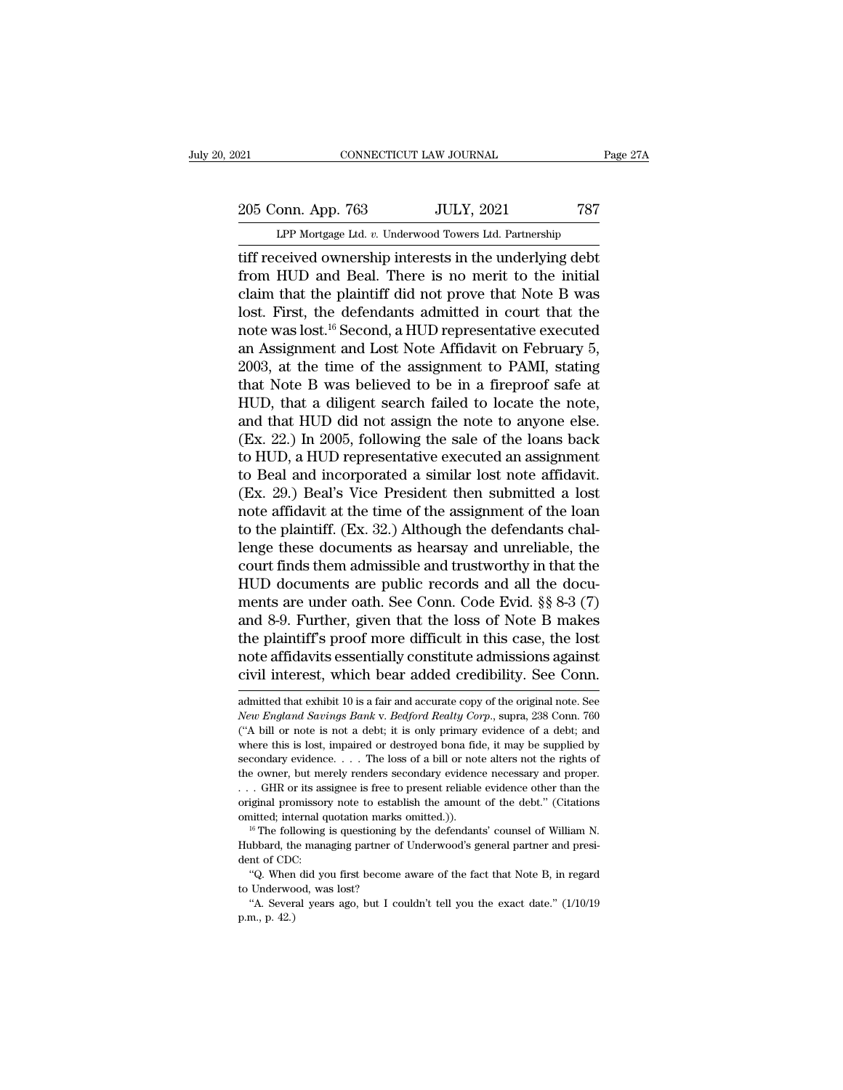# 205 Conn. App. 763 JULY, 2021 787<br>Page 27A LPP Mortgage Ltd. v. Underwood Towers Ltd. Partnership

CONNECTICUT LAW JOURNAL Page 27A<br>
205 Conn. App. 763 JULY, 2021 787<br>
LPP Mortgage Ltd. *v.* Underwood Towers Ltd. Partnership<br>
tiff received ownership interests in the underlying debt The CONNECTICUT LAW JOURNAL Page 271<br>
205 Conn. App. 763 JULY, 2021 787<br>
LPP Mortgage Ltd. v. Underwood Towers Ltd. Partnership<br>
LIFT received ownership interests in the underlying debt<br>
from HUD and Beal. There is no meri From HUD and Beal. There is no merit to the initial<br>lift received ownership interests in the underlying debt<br>from HUD and Beal. There is no merit to the initial<br>claim that the plaintiff did not prove that Note B was<br>lost. 205 Conn. App. 763 JULY, 2021 787<br>
LPP Mortgage Ltd. v. Underwood Towers Ltd. Partnership<br>
tiff received ownership interests in the underlying debt<br>
from HUD and Beal. There is no merit to the initial<br>
claim that the plai 205 Conn. App. 763 JULY, 2021 787<br>
LPP Mortgage Ltd. v. Underwood Towers Ltd. Partnership<br>
tiff received ownership interests in the underlying debt<br>
from HUD and Beal. There is no merit to the initial<br>
claim that the plai LPP Mortgage Ltd.  $v$ . Underwood Towers Ltd. Partnership<br>tiff received ownership interests in the underlying debt<br>from HUD and Beal. There is no merit to the initial<br>claim that the plaintiff did not prove that Note B was<br> LPF Mortgage Ltd.  $v$ . Underwood Towers Ltd. Partnership<br>tiff received ownership interests in the underlying debt<br>from HUD and Beal. There is no merit to the initial<br>claim that the plaintiff did not prove that Note B was<br> tiff received ownership interests in the underlying debt<br>from HUD and Beal. There is no merit to the initial<br>claim that the plaintiff did not prove that Note B was<br>lost. First, the defendants admitted in court that the<br>not from HUD and Beal. There is no merit to the initial<br>claim that the plaintiff did not prove that Note B was<br>lost. First, the defendants admitted in court that the<br>note was lost.<sup>16</sup> Second, a HUD representative executed<br>an claim that the plaintiff did not prove that Note B was<br>lost. First, the defendants admitted in court that the<br>note was lost.<sup>16</sup> Second, a HUD representative executed<br>an Assignment and Lost Note Affidavit on February 5,<br>2 lost. First, the defendants admitted in court that the<br>note was lost.<sup>16</sup> Second, a HUD representative executed<br>an Assignment and Lost Note Affidavit on February 5,<br>2003, at the time of the assignment to PAMI, stating<br>that note was lost.<sup>16</sup> Second, a HUD representative executed<br>an Assignment and Lost Note Affidavit on February 5,<br>2003, at the time of the assignment to PAMI, stating<br>that Note B was believed to be in a fireproof safe at<br>HUD, an Assignment and Lost Note Affidavit on February 5,<br>2003, at the time of the assignment to PAMI, stating<br>that Note B was believed to be in a fireproof safe at<br>HUD, that a diligent search failed to locate the note,<br>and th 2003, at the time of the assignment to PAMI, stating<br>that Note B was believed to be in a fireproof safe at<br>HUD, that a diligent search failed to locate the note,<br>and that HUD did not assign the note to anyone else.<br>(Ex. 22 that Note B was believed to be in a fireproof safe at HUD, that a diligent search failed to locate the note, and that HUD did not assign the note to anyone else.<br>(Ex. 22.) In 2005, following the sale of the loans back to HUD, that a diligent search failed to locate the note,<br>and that HUD did not assign the note to anyone else.<br>(Ex. 22.) In 2005, following the sale of the loans back<br>to HUD, a HUD representative executed an assignment<br>to Bea and that HUD did not assign the note to anyone else.<br>(Ex. 22.) In 2005, following the sale of the loans back<br>to HUD, a HUD representative executed an assignment<br>to Beal and incorporated a similar lost note affidavit.<br>(Ex. (Ex. 22.) In 2005, following the sale of the loans back<br>to HUD, a HUD representative executed an assignment<br>to Beal and incorporated a similar lost note affidavit.<br>(Ex. 29.) Beal's Vice President then submitted a lost<br>note to HUD, a HUD representative executed an assignment<br>to Beal and incorporated a similar lost note affidavit.<br>(Ex. 29.) Beal's Vice President then submitted a lost<br>note affidavit at the time of the assignment of the loan<br>to to Beal and incorporated a similar lost note affidavit.<br>(Ex. 29.) Beal's Vice President then submitted a lost<br>note affidavit at the time of the assignment of the loan<br>to the plaintiff. (Ex. 32.) Although the defendants ch (Ex. 29.) Beal's Vice President then submitted a lost<br>note affidavit at the time of the assignment of the loan<br>to the plaintiff. (Ex. 32.) Although the defendants chal-<br>lenge these documents as hearsay and unreliable, the<br> note affidavit at the time of the assignment of the loan<br>to the plaintiff. (Ex. 32.) Although the defendants chal-<br>lenge these documents as hearsay and unreliable, the<br>court finds them admissible and trustworthy in that th to the plaintiff. (Ex. 32.) Although the defendants challenge these documents as hearsay and unreliable, the court finds them admissible and trustworthy in that the HUD documents are public records and all the documents ar lenge these documents as hearsay and unreliable, the<br>court finds them admissible and trustworthy in that the<br>HUD documents are public records and all the docu-<br>ments are under oath. See Conn. Code Evid. §§ 8-3 (7)<br>and 8-9. court finds them admissible and trustworthy in that the<br>HUD documents are public records and all the docu-<br>ments are under oath. See Conn. Code Evid. §§ 8-3 (7)<br>and 8-9. Further, given that the loss of Note B makes<br>the pla and 8-9. Further, given that the loss of Note B makes<br>the plaintiff's proof more difficult in this case, the lost<br>note affidavits essentially constitute admissions against<br>civil interest, which bear added credibility. See *New England Savings Bank* v. *Bedford Realty Constitute admissions against* civil interest, which bear added credibility. See Conn.  $\frac{1}{2}$  admitted that exhibit 10 is a fair and accurate copy of the original note. See

note affidavits essentially constitute admissions against<br>civil interest, which bear added credibility. See Conn.<br>admitted that exhibit 10 is a fair and accurate copy of the original note. See<br>*New England Savings Bank v.* civil interest, which bear added credibility. See Conn.<br>admitted that exhibit 10 is a fair and accurate copy of the original note. See<br>New England Savings Bank v. Bedford Realty Corp., supra, 238 Conn. 760<br>("A bill or note Secondary evidence. . . . The loss of a bill or note alternative in the conduct and admitted that exhibit 10 is a fair and accurate copy of the original note. See New England Savings Bank v. Bedford Realty Corp., supra, 23 admitted that exhibit 10 is a fair and accurate copy of the original note. See *New England Savings Bank v. Bedford Realty Corp.*, supra, 238 Conn. 760 ("A bill or note is not a debt; it is only primary evidence of a debt; New England Savings Bank v. Bedford Realty Corp., supra, 238 Conn. 760<br>
("A bill or note is not a debt; it is only primary evidence of a debt; and<br>
("A bill or note is not a debt; it is only primary evidence of a debt; and <sup>origi</sup>nal promissory and the total promissory professor of a debt; it is only primary evidence of a debt; and where this is lost, impaired or destroyed bona fide, it may be supplied by secondary evidence. . . . The loss where this is lost, impaired or destroyed bona fide, it may be supplied by secondary evidence. . . . The loss of a bill or note alters not the rights of the owner, but merely renders secondary evidence necessary and prope Hubbard, the managing partner of Underwood's general partner and proper.<br>  $\ldots$  GHR or its assignee is free to present reliable evidence other than the original promissory note to establish the amount of the debt." (Citat dentified; the CHC of CHC of CHC of CHC of CHC of CHC of CHC of CHC of CHC control of CHC control of CHC control of CHC control of CHC control of CHC control of CHC control of CHC control of CHC control of CHC control of C

The discussion of the debt." (Citations<br>
iginal promissory note to establish the amount of the debt." (Citations<br>
initted; internal quotation marks omitted.)).<br>
<sup>16</sup> The following is questioning by the defendants' counsel original protation marks<br>
<sup>16</sup> The following is questioning  $t$ <br>
<sup>16</sup> The following is questioning  $t$ <br>
Hubbard, the managing partner of<br>
dent of CDC:<br>
"Q. When did you first become<br>
to Underwood, was lost?<br>"A. Several ye <sup>16</sup> The following is questioning by the defendants' counsel of William N.<br>
1<sup>6</sup> The following is questioning by the defendants' counsel of William N.<br>
thobard, the managing partner of Underwood's general partner and pres Hubbard, the Hubbard, the dent of CDC<br>
"Q. When<br>
to Underwo<br>
"A. Sever<br>
p.m., p. 42.)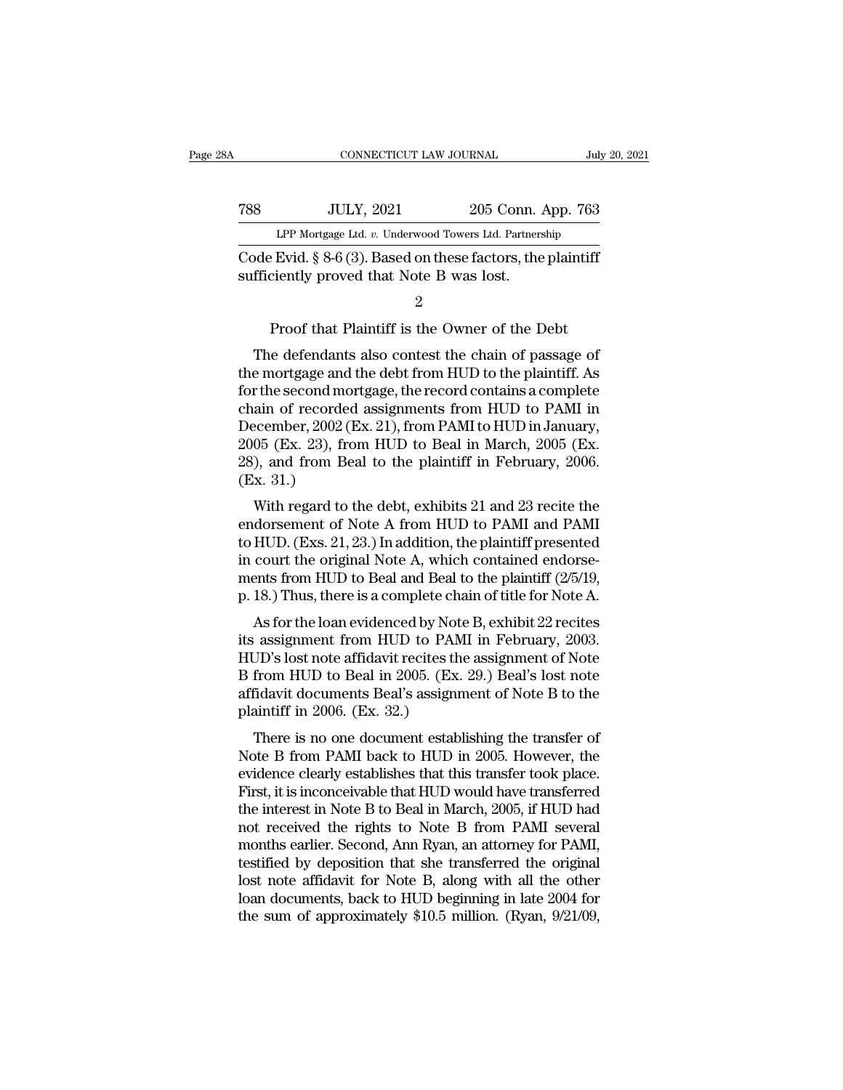|     | CONNECTICUT LAW JOURNAL                                                                                     |                    | July 20, 2021 |
|-----|-------------------------------------------------------------------------------------------------------------|--------------------|---------------|
| 788 | <b>JULY, 2021</b>                                                                                           | 205 Conn. App. 763 |               |
|     | LPP Mortgage Ltd. v. Underwood Towers Ltd. Partnership                                                      |                    |               |
|     | Code Evid. $\S 8-6(3)$ . Based on these factors, the plaintiff<br>sufficiently proved that Note B was lost. |                    |               |
|     | 2                                                                                                           |                    |               |

LPP Mortgage Ltd.  $v$ . Underwood Towers Ltd. Partnership<br>
P. Evid. § 8-6 (3). Based on these factors, the plaintiff<br>
ciently proved that Note B was lost.<br>
2<br>
Proof that Plaintiff is the Owner of the Debt<br>
e defendants als

ode Evid. § 8-6 (3). Based on these factors, the plaintiff<br>fficiently proved that Note B was lost.<br>2<br>Proof that Plaintiff is the Owner of the Debt<br>The defendants also contest the chain of passage of<br>e mortgage and the debt Code Evid.  $\frac{1}{8}$  8-0 (3). Based on these factors, the plaintiff<br>sufficiently proved that Note B was lost.<br> $\frac{2}{100}$ <br>Proof that Plaintiff is the Owner of the Debt<br>The defendants also contest the chain of passage of<br>t For that Plaintiff is the Owner of the Debt<br>The defendants also contest the chain of passage of<br>the mortgage and the debt from HUD to the plaintiff. As<br>for the second mortgage, the record contains a complete<br>chain of recor Proof that Plaintiff is the Owner of the Debt<br>The defendants also contest the chain of passage of<br>the mortgage and the debt from HUD to the plaintiff. As<br>for the second mortgage, the record contains a complete<br>chain of re Proof that Plaintiff is the Owner of the Debt<br>The defendants also contest the chain of passage of<br>the mortgage and the debt from HUD to the plaintiff. As<br>for the second mortgage, the record contains a complete<br>chain of rec The defendants also contest the chain of passage of<br>the mortgage and the debt from HUD to the plaintiff. As<br>for the second mortgage, the record contains a complete<br>chain of recorded assignments from HUD to PAMI in<br>Decembe The defendants also contest the chain of passage of<br>the mortgage and the debt from HUD to the plaintiff. As<br>for the second mortgage, the record contains a complete<br>chain of recorded assignments from HUD to PAMI in<br>December the mortgage and<br>for the second mo<br>chain of recorde<br>December, 2002 (<br>2005 (Ex. 23), fr<br>28), and from Bo<br>(Ex. 31.)<br>With regard to ian of recorded assignments from HUD to PAMI in<br>ecember, 2002 (Ex. 21), from PAMI to HUD in January,<br>05 (Ex. 23), from HUD to Beal in March, 2005 (Ex.<br>), and from Beal to the plaintiff in February, 2006.<br>x. 31.)<br>With regar endorsement of Note A from HUD to PAMI and PAMI<br>
(Ex. 23), from HUD to Beal in March, 2005 (Ex. 28), and from Beal to the plaintiff in February, 2006.<br>
(Ex. 31.)<br>
With regard to the debt, exhibits 21 and 23 recite the<br>
end

December, 2002 (Ex. 21), from HWD to Beal in March, 2005 (Ex. 28), and from Beal to the plaintiff in February, 2006.<br>(Ex. 31.)<br>With regard to the debt, exhibits 21 and 23 recite the<br>endorsement of Note A from HUD to PAMI 2005 (Ex. 25), from HOD to Beat in Match, 2005 (Ex. 28), and from Beal to the plaintiff in February, 2006.<br>(Ex. 31.)<br>With regard to the debt, exhibits 21 and 23 recite the<br>endorsement of Note A from HUD to PAMI and PAMI<br>t 2000.<br>(Ex. 31.)<br>With regard to the debt, exhibits 21 and 23 recite the<br>endorsement of Note A from HUD to PAMI and PAMI<br>to HUD. (Exs. 21, 23.) In addition, the plaintiff presented<br>in court the original Note A, which contain (Ex. 31.)<br>With regard to the debt, exhibits 21 and 23 recite the<br>endorsement of Note A from HUD to PAMI and PAMI<br>to HUD. (Exs. 21, 23.) In addition, the plaintiff presented<br>in court the original Note A, which contained end What regard to the debt, exhibits 21 and 25 recite the<br>dorsement of Note A from HUD to PAMI and PAMI<br>HUD. (Exs. 21, 23.) In addition, the plaintiff presented<br>court the original Note A, which contained endorse-<br>ents from H Endorsement of Note A from HUD to PAMI and PAMI<br>to HUD. (Exs. 21, 23.) In addition, the plaintiff presented<br>in court the original Note A, which contained endorse-<br>ments from HUD to Beal and Beal to the plaintiff (2/5/19,<br>

to HOD: (Exs. 21, 25.) in addition, the plaintin presented<br>in court the original Note A, which contained endorse-<br>ments from HUD to Beal and Beal to the plaintiff (2/5/19,<br>p. 18.) Thus, there is a complete chain of title f ments from HUD to Beal and Beal to the plaintiff (2/5/19,<br>p. 18.) Thus, there is a complete chain of title for Note A.<br>As for the loan evidenced by Note B, exhibit 22 recites<br>its assignment from HUD to PAMI in February, 20 p. 18.) Thus, there is a complete chain of title for Note A.<br>As for the loan evidenced by Note B, exhibit 22 recites<br>its assignment from HUD to PAMI in February, 2003.<br>HUD's lost note affidavit recites the assignment of N p. 18.) Thus, there is a complete character<br>As for the loan evidenced by Not<br>its assignment from HUD to PAM<br>HUD's lost note affidavit recites the<br>B from HUD to Beal in 2005. (Ex.<br>affidavit documents Beal's assignr<br>plaintif As for the foalt evidenced by Note B, exhibit 22 recress<br>
22 recressions assignment from HUD to PAMI in February, 2003.<br>
3 JD's lost note affidavit recites the assignment of Note<br>
from HUD to Beal in 2005. (Ex. 29.) Beal' It as assignment from FICD to FAMI in February, 2005.<br>HUD's lost note affidavit recites the assignment of Note<br>B from HUD to Beal in 2005. (Ex. 29.) Beal's lost note<br>affidavit documents Beal's assignment of Note B to the<br>p

From HUD to Beal in 2005. (Ex. 29.) Beal's lost note<br>B from HUD to Beal in 2005. (Ex. 29.) Beal's lost note<br>affidavit documents Beal's assignment of Note B to the<br>plaintiff in 2006. (Ex. 32.)<br>There is no one document estab B Hold HCD to Beat in 2005. (Ex. 25.) Beat's lost note<br>affidavit documents Beal's assignment of Note B to the<br>plaintiff in 2006. (Ex. 32.)<br>There is no one document establishing the transferred<br>Note B from PAMI back to HUD amuavit documents bears assignment of Note B to the<br>plaintiff in 2006. (Ex. 32.)<br>There is no one document establishing the transfer of<br>Note B from PAMI back to HUD in 2005. However, the<br>evidence clearly establishes that th plant in 2000. (Ex. 52.)<br>There is no one document establishing the transfer of<br>Note B from PAMI back to HUD in 2005. However, the<br>evidence clearly establishes that this transfer took place.<br>First, it is inconceivable that There is no one document establishing the transfer of<br>Note B from PAMI back to HUD in 2005. However, the<br>evidence clearly establishes that this transfer took place.<br>First, it is inconceivable that HUD would have transferre Note B from PAMI back to HUD in 2005. However, the evidence clearly establishes that this transfer took place.<br>First, it is inconceivable that HUD would have transferred the interest in Note B to Beal in March, 2005, if HU evidence clearly establishes that this transfer took place.<br>First, it is inconceivable that HUD would have transferred<br>the interest in Note B to Beal in March, 2005, if HUD had<br>not received the rights to Note B from PAMI s First, it is inconceivable that HUD would have transferred<br>the interest in Note B to Beal in March, 2005, if HUD had<br>not received the rights to Note B from PAMI several<br>months earlier. Second, Ann Ryan, an attorney for PAM the interest in Note B to Beal in March, 2005, if HUD had<br>not received the rights to Note B from PAMI several<br>months earlier. Second, Ann Ryan, an attorney for PAMI,<br>testified by deposition that she transferred the origina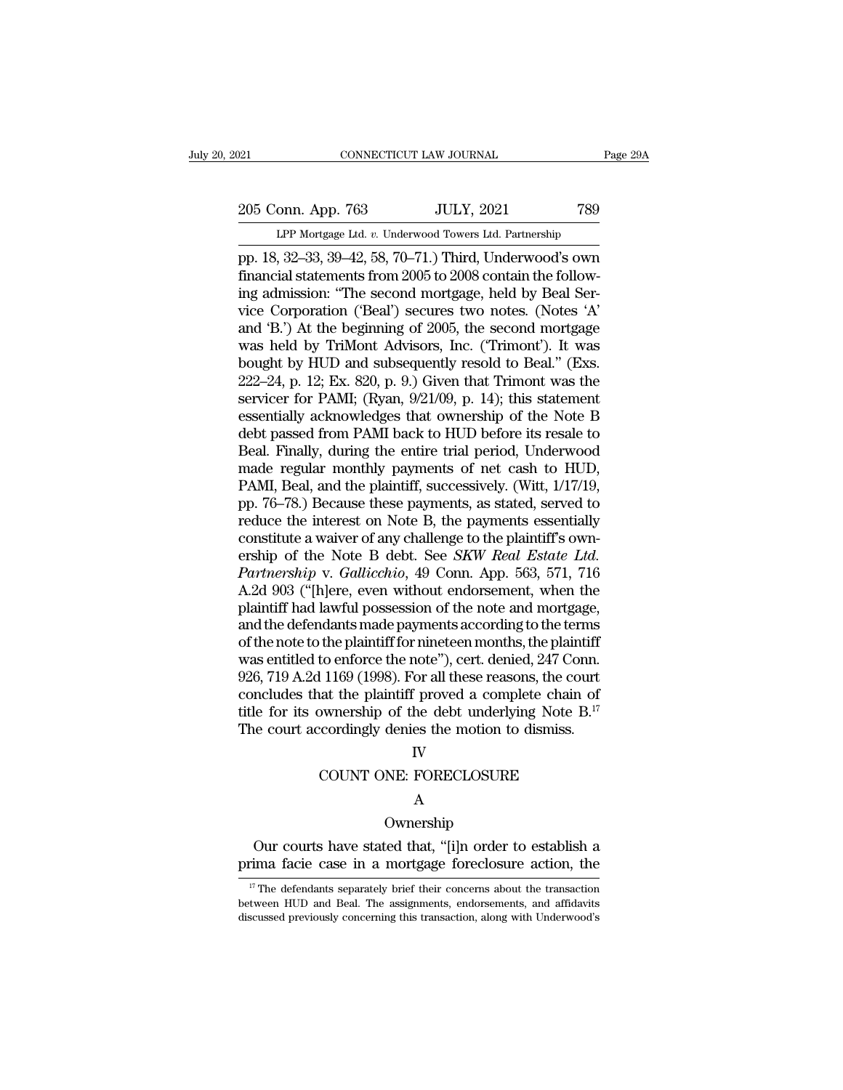### 205 Conn. App. 763 JULY, 2021 789<br>Per Mortgage Ltd. v. Underwood Towers Ltd. Partnership CONNECTICUT LAW JOURNAL Pa<br>
onn. App. 763 JULY, 2021 789<br>
LPP Mortgage Ltd. *v.* Underwood Towers Ltd. Partnership<br>
32–33–39–42–58–70–71 ) Third Underwood's own

page 29A<br>
205 Conn. App. 763 JULY, 2021 789<br>
LPP Mortgage Ltd. v. Underwood Towers Ltd. Partnership<br>
pp. 18, 32–33, 39–42, 58, 70–71.) Third, Underwood's own<br>
financial statements from 2005 to 2008 contain the following ad 205 Conn. App. 763 JULY, 2021 789<br>
LPP Mortgage Ltd. v. Underwood Towers Ltd. Partnership<br>
pp. 18, 32–33, 39–42, 58, 70–71.) Third, Underwood's own<br>
financial statements from 2005 to 2008 contain the follow-<br>
ing admission 205 Conn. App. 763 JULY, 2021 789<br>
LPP Mortgage Ltd. v. Underwood Towers Ltd. Partnership<br>
pp. 18, 32–33, 39–42, 58, 70–71.) Third, Underwood's own<br>
financial statements from 2005 to 2008 contain the follow-<br>
ing admission 205 Conn. App. 763 JULY, 2021 789<br>
LPP Mortgage Ltd. v. Underwood Towers Ltd. Partnership<br>
pp. 18, 32–33, 39–42, 58, 70–71.) Third, Underwood's own<br>
financial statements from 2005 to 2008 contain the follow-<br>
ing admission LPP Mortgage Ltd. v. Underwood Towers Ltd. Partnership<br>pp. 18, 32–33, 39–42, 58, 70–71.) Third, Underwood's own<br>financial statements from 2005 to 2008 contain the follow-<br>ing admission: "The second mortgage, held by Beal LPP Mortgage Ltd. v. Underwood Towers Ltd. Partnership<br>pp. 18, 32–33, 39–42, 58, 70–71.) Third, Underwood's own<br>financial statements from 2005 to 2008 contain the follow-<br>ing admission: "The second mortgage, held by Beal pp. 18, 32–33, 39–42, 58, 70–71.) Third, Underwood's own<br>financial statements from 2005 to 2008 contain the follow-<br>ing admission: "The second mortgage, held by Beal Ser-<br>vice Corporation ('Beal') secures two notes. (Notes financial statements from 2005 to 2008 contain the following admission: "The second mortgage, held by Beal Service Corporation ('Beal') secures two notes. (Notes 'A' and 'B.') At the beginning of 2005, the second mortgage ing admission: "The second mortgage, held by Beal Service Corporation ('Beal') secures two notes. (Notes 'A'<br>and 'B.') At the beginning of 2005, the second mortgage<br>was held by TriMont Advisors, Inc. ("Trimont"). It was<br>bo vice Corporation ('Beal') secures two notes. (Notes 'A'<br>and 'B.') At the beginning of 2005, the second mortgage<br>was held by TriMont Advisors, Inc. ('Trimont'). It was<br>bought by HUD and subsequently resold to Beal." (Exs.<br>2 and 'B.') At the beginning of 2005, the second mortgage<br>was held by TriMont Advisors, Inc. ('Trimont'). It was<br>bought by HUD and subsequently resold to Beal." (Exs.<br>222–24, p. 12; Ex. 820, p. 9.) Given that Trimont was the was held by TriMont Advisors, Inc. ("Trimont"). It was<br>bought by HUD and subsequently resold to Beal." (Exs.<br>222–24, p. 12; Ex. 820, p. 9.) Given that Trimont was the<br>servicer for PAMI; (Ryan, 9/21/09, p. 14); this stateme bought by HUD and subsequently resold to Beal." (Exs.<br>222–24, p. 12; Ex. 820, p. 9.) Given that Trimont was the<br>servicer for PAMI; (Ryan, 9/21/09, p. 14); this statement<br>essentially acknowledges that ownership of the Note 222–24, p. 12; Ex. 820, p. 9.) Given that Trimont was the servicer for PAMI; (Ryan,  $9/21/09$ , p. 14); this statement essentially acknowledges that ownership of the Note B debt passed from PAMI back to HUD before its resa servicer for PAMI; (Ryan, 9/21/09, p. 14); this statement<br>essentially acknowledges that ownership of the Note B<br>debt passed from PAMI back to HUD before its resale to<br>Beal. Finally, during the entire trial period, Underwoo essentially acknowledges that ownership of the Note B<br>debt passed from PAMI back to HUD before its resale to<br>Beal. Finally, during the entire trial period, Underwood<br>made regular monthly payments of net cash to HUD,<br>PAMI, debt passed from PAMI back to HUD before its resale to<br>Beal. Finally, during the entire trial period, Underwood<br>made regular monthly payments of net cash to HUD,<br>PAMI, Beal, and the plaintiff, successively. (Witt, 1/17/19, Beal. Finally, during the entire trial period, Underwood<br>made regular monthly payments of net cash to HUD,<br>PAMI, Beal, and the plaintiff, successively. (Witt, 1/17/19,<br>pp. 76–78.) Because these payments, as stated, served made regular monthly payments of net cash to HUD,<br>PAMI, Beal, and the plaintiff, successively. (Witt, 1/17/19,<br>pp. 76–78.) Because these payments, as stated, served to<br>reduce the interest on Note B, the payments essentiall PAMI, Beal, and the plaintiff, successively. (Witt, 1/17/19,<br>pp. 76–78.) Because these payments, as stated, served to<br>reduce the interest on Note B, the payments essentially<br>constitute a waiver of any challenge to the plai pp. 76–78.) Because these payments, as stated, served to reduce the interest on Note B, the payments essentially constitute a waiver of any challenge to the plaintiff's ownership of the Note B debt. See *SKW Real Estate Lt* reduce the interest on Note B, the payments essentially<br>constitute a waiver of any challenge to the plaintiff's own-<br>ership of the Note B debt. See *SKW Real Estate Ltd.*<br>*Partnership* v. *Gallicchio*, 49 Conn. App. 563, 5 constitute a waiver of any challenge to the plaintiff's ownership of the Note B debt. See *SKW Real Estate Ltd.*<br>Partnership v. Gallicchio, 49 Conn. App. 563, 571, 716<br>A.2d 903 ("[h]ere, even without endorsement, when the<br> ership of the Note B debt. See *SKW Real Estate Ltd.*<br>Partnership v. Gallicchio, 49 Conn. App. 563, 571, 716<br>A.2d 903 ("[h]ere, even without endorsement, when the<br>plaintiff had lawful possession of the note and mortgage,<br>a Partnership v. Gallicchio, 49 Conn. App. 563, 571, 716<br>A.2d 903 ("[h]ere, even without endorsement, when the<br>plaintiff had lawful possession of the note and mortgage,<br>and the defendants made payments according to the terms A.2d 903 ( ${}^{\alpha}$ [h]ere, even without endorsement, when the plaintiff had lawful possession of the note and mortgage, and the defendants made payments according to the terms of the note to the plaintiff for nineteen month plaintiff had lawful possession of the note and mortgage,<br>and the defendants made payments according to the terms<br>of the note to the plaintiff for nineteen months, the plaintiff<br>was entitled to enforce the note"), cert. de and the defendants made payments according to the terms of the note to the plaintiff for nineteen months, the plaintiff was entitled to enforce the note"), cert. denied,  $247$  Conn. 926, 719 A.2d 1169 (1998). For all thes 1169 (1998). For all these reasons, the court<br>at the plaintiff proved a complete chain of<br>pownership of the debt underlying Note  $B$ .<sup>17</sup><br>cordingly denies the motion to dismiss.<br>IV<br>COUNT ONE: FORECLOSURE<br>A

### IV

### A

### Ownership

TV<br>
COUNT ONE: FORECLOSURE<br>
A<br>
Ownership<br>
Our courts have stated that, "[i]n order to establish a<br>
ima facie case in a mortgage foreclosure action, the IV<br>
COUNT ONE: FORECLOSURE<br>
A<br>
Ownership<br>
Our courts have stated that, "[i]n order to establish a<br>
prima facie case in a mortgage foreclosure action, the<br>
<sup>17</sup>The defendants separately brief their concerns about the transa Ownership<br>
17 Our courts have stated that, "[i]n order to establish a<br>
17 The defendants separately brief their concerns about the transaction<br>
17 The defendants separately brief their concerns about the transaction<br>
17 Th

**EXECUTE:** Our courts have stated that, "[i]n order to establish a prima facie case in a mortgage foreclosure action, the  $\frac{17}{17}$  The defendants separately brief their concerns about the transaction between HUD and Bea Our courts have stated that, "[i]n order to establish a prima facie case in a mortgage foreclosure action, the  $\frac{17}{17}$  The defendants separately brief their concerns about the transaction between HUD and Beal. The ass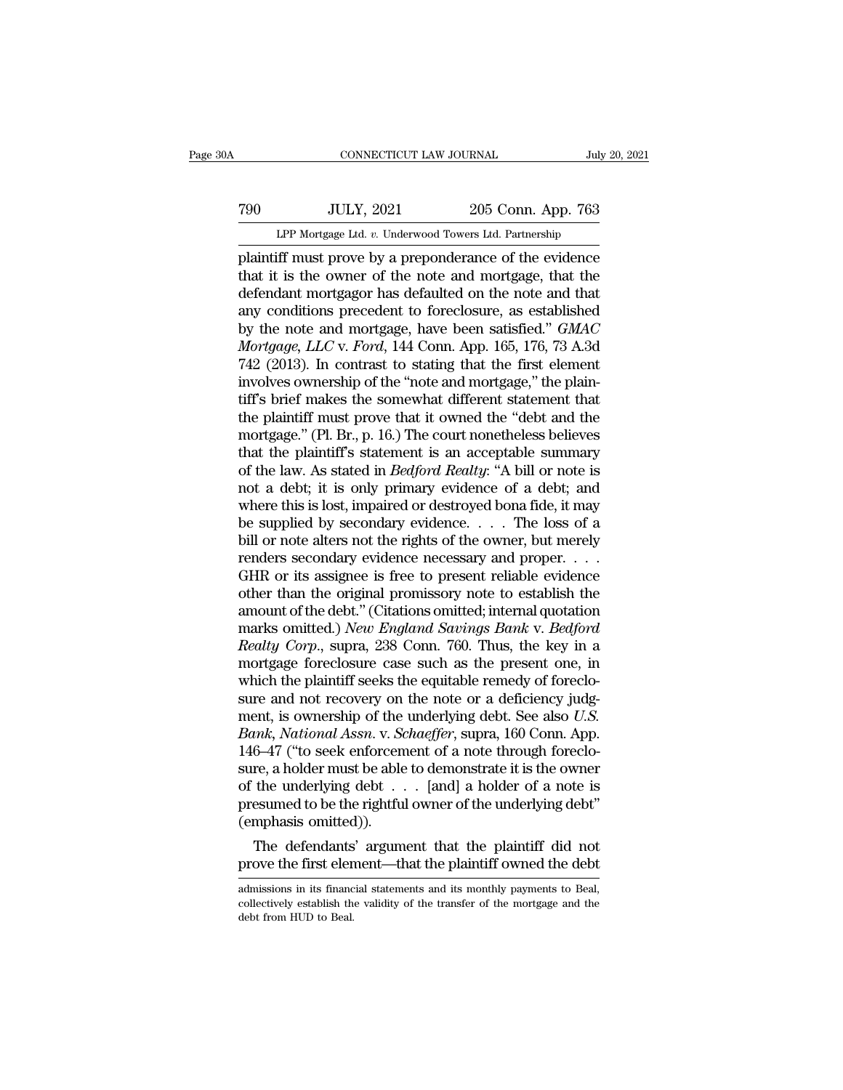# EXECUTE CONNECTICUT LAW JOURNAL July 20, 2021<br>
790 JULY, 2021 205 Conn. App. 763<br>
LPP Mortgage Ltd. v. Underwood Towers Ltd. Partnership CONNECTICUT LAW JOURNAL July 20, 2021<br>T90 JULY, 2021 205 Conn. App. 763<br>LPP Mortgage Ltd. *v.* Underwood Towers Ltd. Partnership<br>plaintiff must prove by a preponderance of the evidence

cONNECTICUT LAW JOURNAL July 20, 2021<br>
790 JULY, 2021 205 Conn. App. 763<br>
LPP Mortgage Ltd. v. Underwood Towers Ltd. Partnership<br>
plaintiff must prove by a preponderance of the evidence<br>
that it is the owner of the note an The Terms of the owner of the notes are archived a green of the notes and mortgage, that the defendant mortgagor has defaulted on the note and that any conditions precedent to foreclosure, as established  $\frac{100}{4}$  JULY, 2021 205 Conn. App. 763<br>
LPP Mortgage Ltd. v. Underwood Towers Ltd. Partnership<br>
plaintiff must prove by a preponderance of the evidence<br>
that it is the owner of the note and mortgage, that the<br>
defendan The Mortgage Ltd. v. Underwood Towers Ltd. Partnership<br>plaintiff must prove by a preponderance of the evidence<br>that it is the owner of the note and mortgage, that the<br>defendant mortgagor has defaulted on the note and that LPP Mortgage Ltd. *v.* Underwood Towers Ltd. Partnership<br>plaintiff must prove by a preponderance of the evidence<br>that it is the owner of the note and mortgage, that the<br>defendant mortgagor has defaulted on the note and tha *LPP* Mortgage Ltd. *v.* Underwood Towers Ltd. Partnership<br>
plaintiff must prove by a preponderance of the evidence<br>
that it is the owner of the note and mortgage, that the<br>
defendant mortgagor has defaulted on the note an plaintiff must prove by a preponderance of the evidence<br>that it is the owner of the note and mortgage, that the<br>defendant mortgagor has defaulted on the note and that<br>any conditions precedent to foreclosure, as established that it is the owner of the note and mortgage, that the defendant mortgagor has defaulted on the note and that any conditions precedent to foreclosure, as established by the note and mortgage, have been satisfied."  $GMAC$  defendant mortgagor has defaulted on the note and that<br>any conditions precedent to foreclosure, as established<br>by the note and mortgage, have been satisfied."  $GMAC$ <br> $Mortgage$ ,  $LLC$  v.  $Ford$ , 144 Conn. App. 165, 176, 73 A.3d<br>74 any conditions precedent to foreclosure, as established<br>by the note and mortgage, have been satisfied." *GMAC*<br>*Mortgage, LLC* v. *Ford*, 144 Conn. App. 165, 176, 73 A.3d<br>742 (2013). In contrast to stating that the first e by the note and mortgage, have been satisfied." *GMAC*<br>Mortgage, LLC v. Ford, 144 Conn. App. 165, 176, 73 A.3d<br>742 (2013). In contrast to stating that the first element<br>involves ownership of the "note and mortgage," the pl Mortgage, LLC v. Ford, 144 Conn. App. 165, 176, 73 A.3d<br>742 (2013). In contrast to stating that the first element<br>involves ownership of the "note and mortgage," the plain-<br>tiff's brief makes the somewhat different statemen 742 (2013). In contrast to stating that the first element<br>involves ownership of the "note and mortgage," the plain-<br>tiff's brief makes the somewhat different statement that<br>the plaintiff must prove that it owned the "debt involves ownership of the "note and mortgage," the plain-<br>tiff's brief makes the somewhat different statement that<br>the plaintiff must prove that it owned the "debt and the<br>mortgage." (Pl. Br., p. 16.) The court nonetheless tiff's brief makes the somewhat different statement that<br>the plaintiff must prove that it owned the "debt and the<br>mortgage." (Pl. Br., p. 16.) The court nonetheless believes<br>that the plaintiff's statement is an acceptable the plaintiff must prove that it owned the "debt and the mortgage." (Pl. Br., p. 16.) The court nonetheless believes<br>that the plaintiff's statement is an acceptable summary<br>of the law. As stated in *Bedford Realty*: "A bi mortgage." (Pl. Br., p. 16.) The court nonetheless believes<br>that the plaintiff's statement is an acceptable summary<br>of the law. As stated in *Bedford Realty*: "A bill or note is<br>not a debt; it is only primary evidence of that the plaintiff's statement is an acceptable summary<br>of the law. As stated in *Bedford Realty*: "A bill or note is<br>not a debt; it is only primary evidence of a debt; and<br>where this is lost, impaired or destroyed bona f of the law. As stated in *Bedford Realty:* "A bill or note is<br>not a debt; it is only primary evidence of a debt; and<br>where this is lost, impaired or destroyed bona fide, it may<br>be supplied by secondary evidence. . . . The not a debt; it is only primary evidence of a debt; and<br>where this is lost, impaired or destroyed bona fide, it may<br>be supplied by secondary evidence.... The loss of a<br>bill or note alters not the rights of the owner, but m where this is lost, impaired or destroyed bona fide, it may<br>be supplied by secondary evidence.... The loss of a<br>bill or note alters not the rights of the owner, but merely<br>renders secondary evidence necessary and proper.. be supplied by secondary evidence. . . . The loss of a<br>bill or note alters not the rights of the owner, but merely<br>renders secondary evidence necessary and proper. . . .<br>GHR or its assignee is free to present reliable evid bill or note alters not the rights of the owner, but merely<br>renders secondary evidence necessary and proper. . . .<br>GHR or its assignee is free to present reliable evidence<br>other than the original promissory note to establi renders secondary evidence necessary and proper.  $\dots$  GHR or its assignee is free to present reliable evidence<br>other than the original promissory note to establish the<br>amount of the debt." (Citations omitted; internal quo GHR or its assignee is free to present reliable evidence<br>other than the original promissory note to establish the<br>amount of the debt." (Citations omitted; internal quotation<br>marks omitted.) *New England Savings Bank v. Be* other than the original promissory note to establish the<br>amount of the debt." (Citations omitted; internal quotation<br>marks omitted.) *New England Savings Bank v. Bedford*<br>*Realty Corp.*, supra, 238 Conn. 760. Thus, the key amount of the debt." (Citations omitted; internal quotation<br>marks omitted.) *New England Savings Bank v. Bedford*<br>*Realty Corp.*, supra, 238 Conn. 760. Thus, the key in a<br>mortgage foreclosure case such as the present one, marks omitted.) *New England Savings Bank v. Bedford*<br>*Realty Corp.*, supra, 238 Conn. 760. Thus, the key in a<br>mortgage foreclosure case such as the present one, in<br>which the plaintiff seeks the equitable remedy of foreclo Realty Corp., supra, 238 Conn. 760. Thus, the key in a<br>mortgage foreclosure case such as the present one, in<br>which the plaintiff seeks the equitable remedy of foreclo-<br>sure and not recovery on the note or a deficiency judg mortgage foreclosure case such as the present one, in<br>which the plaintiff seeks the equitable remedy of foreclo-<br>sure and not recovery on the note or a deficiency judg-<br>ment, is ownership of the underlying debt. See also which the plaintiff seeks the equitable remedy of foreclosure and not recovery on the note or a deficiency judgment, is ownership of the underlying debt. See also *U.S.*<br>Bank, National Assn. v. Schaeffer, supra, 160 Conn. sure and not recovery on the note or a deficiency judgment, is ownership of the underlying debt. See also *U.S.*<br>Bank, National Assn. v. Schaeffer, supra, 160 Conn. App.<br>146–47 ("to seek enforcement of a note through fore ment, is ownership of the<br>Bank, National Assn. v. Sc<br>146–47 ("to seek enforcen<br>sure, a holder must be able<br>of the underlying debt . .<br>presumed to be the rightful<br>(emphasis omitted)).<br>The defendants' argum the defendants' argument that the plaintiff did not over the first element of a note through foreclore, a holder must be able to demonstrate it is the owner the underlying debt  $\ldots$  [and] a holder of a note is esumed to 146–47 ("to seek enforcement of a note through foreclo-<br>sure, a holder must be able to demonstrate it is the owner<br>of the underlying debt  $\ldots$  [and] a holder of a note is<br>presumed to be the rightful owner of the underlyi

(emphasis omitted)).<br>
The defendants' argument that the plaintiff did not<br>
prove the first element—that the plaintiff owned the debt<br>
admissions in its financial statements and its monthly payments to Beal,<br>
collectively e

<sup>(</sup>emphasis omitted)).<br>The defendants' argument that the plaintiff did not<br>prove the first element—that the plaintiff owned the debt<br>admissions in its financial statements and its monthly payments to Beal,<br>collectively estab The defendants<br>prove the first eler<br>admissions in its finance<br>collectively establish the<br>debt from HUD to Beal.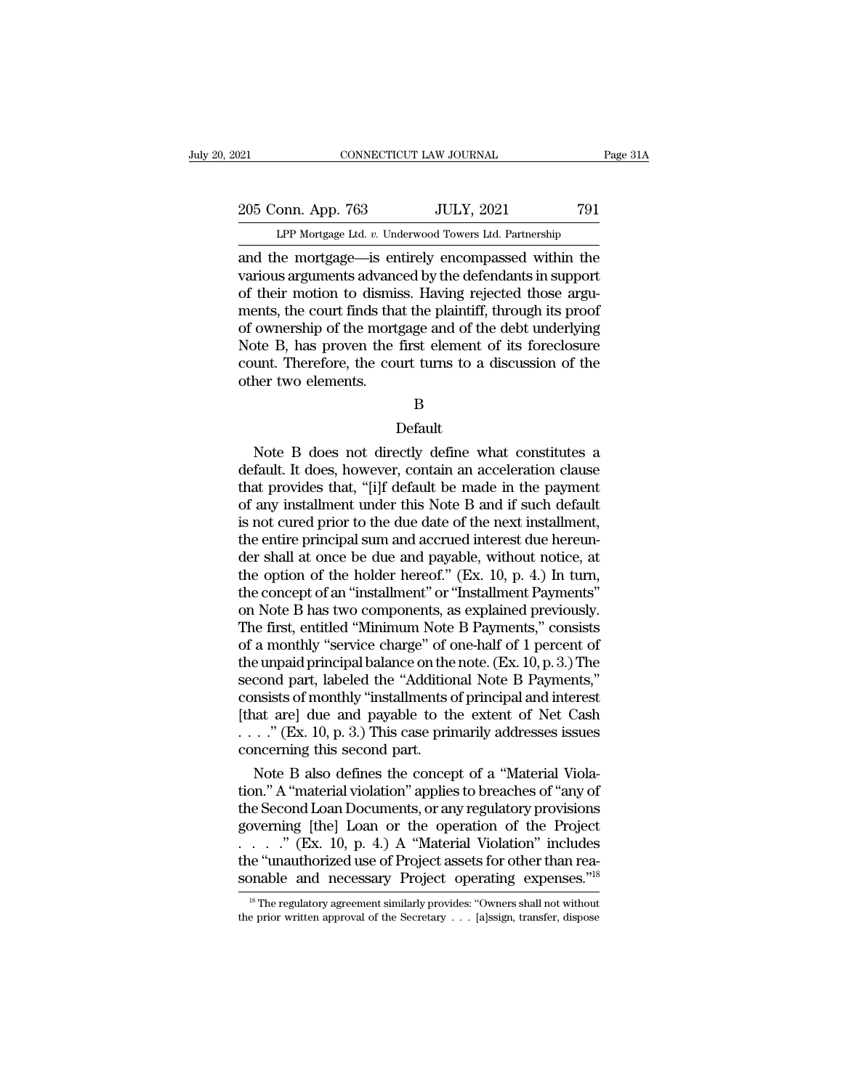205 Conn. App. 763 JULY, 2021 791<br>PP Mortgage Ltd. v. Underwood Towers Ltd. Partnership CONNECTICUT LAW JOURNAL Pa<br>
onn. App. 763 JULY, 2021 791<br>
LPP Mortgage Ltd. *v.* Underwood Towers Ltd. Partnership<br>
ne mortgage—is entirely encompassed within the

connectricut LAW JOURNAL Page 31A<br>
205 Conn. App. 763 JULY, 2021 791<br>
LPP Mortgage Ltd. v. Underwood Towers Ltd. Partnership<br>
and the mortgage—is entirely encompassed within the<br>
various arguments advanced by the defendant 205 Conn. App. 763 JULY, 2021 791<br>
LPP Mortgage Ltd. v. Underwood Towers Ltd. Partnership<br>
and the mortgage—is entirely encompassed within the<br>
various arguments advanced by the defendants in support<br>
of their motion to di 205 Conn. App. 763 JULY, 2021 791<br>
LPP Mortgage Ltd.  $v$ . Underwood Towers Ltd. Partnership<br>
and the mortgage—is entirely encompassed within the<br>
various arguments advanced by the defendants in support<br>
of their motion to 205 Conn. App. 763 JULY, 2021 791<br>
LPP Mortgage Ltd. v. Underwood Towers Ltd. Partnership<br>
and the mortgage—is entirely encompassed within the<br>
various arguments advanced by the defendants in support<br>
of their motion to di LPP Mortgage Ltd. v. Underwood Towers Ltd. Partnership<br>
and the mortgage—is entirely encompassed within the<br>
various arguments advanced by the defendants in support<br>
of their motion to dismiss. Having rejected those argu-LPP Mortgage Ltd. v. Underwood Towers Ltd. Partnership<br>and the mortgage—is entirely encompassed within the<br>various arguments advanced by the defendants in support<br>of their motion to dismiss. Having rejected those argu-<br>men and the mortgage—is entirely encompassed within the various arguments advanced by the defendants in support of their motion to dismiss. Having rejected those arguments, the court finds that the plaintiff, through its proof various arguments advance of their motion to dismissed ments, the court finds that of ownership of the mort Note B, has proven the 1 count. Therefore, the counter two elements. by B, has proven the first element of its foreclosure<br>unt. Therefore, the court turns to a discussion of the<br>her two elements.<br>B<br>Default<br>Note B does not directly define what constitutes a<br>fault. It does, however, contain a

### B

### Default

ount. Therefore, the court turns to a discussion of the<br>other two elements.<br>B<br>Default<br>Note B does not directly define what constitutes a<br>default. It does, however, contain an acceleration clause<br>that provides that, "[i]f d B<br>
B<br>
Default<br>
Note B does not directly define what constitutes a<br>
default. It does, however, contain an acceleration clause<br>
that provides that, "[i]f default be made in the payment<br>
of any installment under this Note B a B<br>
Default<br>
Note B does not directly define what constitutes a<br>
default. It does, however, contain an acceleration clause<br>
that provides that, "[i]f default be made in the payment<br>
of any installment under this Note B and Default<br>
Default<br>
Note B does not directly define what constitutes a<br>
default. It does, however, contain an acceleration clause<br>
that provides that, "[i]f default be made in the payment<br>
of any installment under this Note Default<br>Note B does not directly define what constitutes a<br>default. It does, however, contain an acceleration clause<br>that provides that, "[i]f default be made in the payment<br>of any installment under this Note B and if suc Note B does not directly define what constitutes a<br>default. It does, however, contain an acceleration clause<br>that provides that, "[i]f default be made in the payment<br>of any installment under this Note B and if such defaul default. It does, however, contain an acceleration clause<br>that provides that, "[i]f default be made in the payment<br>of any installment under this Note B and if such default<br>is not cured prior to the due date of the next ins that provides that, "[i]f default be made in the payment<br>of any installment under this Note B and if such default<br>is not cured prior to the due date of the next installment,<br>the entire principal sum and accrued interest du of any installment under this Note B and if such default<br>is not cured prior to the due date of the next installment,<br>the entire principal sum and accrued interest due hereun-<br>der shall at once be due and payable, without n is not cured prior to the due date of the next installment,<br>the entire principal sum and accrued interest due hereun-<br>der shall at once be due and payable, without notice, at<br>the option of the holder hereof." (Ex. 10, p. the entire principal sum and accrued interest due hereunder shall at once be due and payable, without notice, at<br>the option of the holder hereof." (Ex. 10, p. 4.) In turn,<br>the concept of an "installment" or "Installment Pa der shall at once be due and payable, without notice, at<br>the option of the holder hereof." (Ex. 10, p. 4.) In turn,<br>the concept of an "installment" or "Installment Payments"<br>on Note B has two components, as explained previ the option of the holder hereof." (Ex. 10, p. 4.) In turn,<br>the concept of an "installment" or "Installment Payments"<br>on Note B has two components, as explained previously.<br>The first, entitled "Minimum Note B Payments," con the concept of an "installment" or "Installment Payments"<br>on Note B has two components, as explained previously.<br>The first, entitled "Minimum Note B Payments," consists<br>of a monthly "service charge" of one-half of 1 perce on Note B has two components, as explained previously.<br>The first, entitled "Minimum Note B Payments," consists<br>of a monthly "service charge" of one-half of 1 percent of<br>the unpaid principal balance on the note. (Ex. 10, p The first, entitled "Minimum Note B Payments," consists<br>of a monthly "service charge" of one-half of 1 percent of<br>the unpaid principal balance on the note. (Ex. 10, p. 3.) The<br>second part, labeled the "Additional Note B Pa % of a monthly "service charge" of c<br>the unpaid principal balance on the<br>second part, labeled the "Addition<br>consists of monthly "installments of<br>that are] due and payable to th<br> $\dots$ ." (Ex. 10, p. 3.) This case princoncern e unpaid principal balance on the note. (Ex. 10, p. 3.) The<br>cond part, labeled the "Additional Note B Payments,"<br>msists of monthly "installments of principal and interest<br>at are] due and payable to the extent of Net Cash<br>. second part, labeled the "Additional Note B Payments,"<br>consists of monthly "installments of principal and interest<br>[that are] due and payable to the extent of Net Cash<br>...." (Ex. 10, p. 3.) This case primarily addresses is

consists of monthly "installments of principal and interest<br>
[that are] due and payable to the extent of Net Cash<br>
...." (Ex. 10, p. 3.) This case primarily addresses issues<br>
concerning this second part.<br>
Note B also defi [that are] due and payable to the extent of Net Cash<br>
...." (Ex. 10, p. 3.) This case primarily addresses issues<br>
concerning this second part.<br>
Note B also defines the concept of a "Material Viola-<br>
tion." A "material vio . . . .'' (Ex. 10, p. 4.) A ''Material Violation'' includes concerning this second part.<br>
Note B also defines the concept of a "Material Violation." A "material violation" applies to breaches of "any of<br>
the Second Loan Documents, or any regulatory provisions<br>
governing [the] Loan Note B also defines the concept of a "Material Violation." A "material violation" applies to breaches of "any of the Second Loan Documents, or any regulatory provisions governing [the] Loan or the operation of the Project by erning [the] Loan or the operation of the Project . . . ." (Ex. 10, p. 4.) A "Material Violation" includes e "unauthorized use of Project assets for other than rea-<br>pnable and necessary Project operating expenses."<sup>18</sup> the prior written approval of the Secretary . . . [a]ssign, transfer, dispose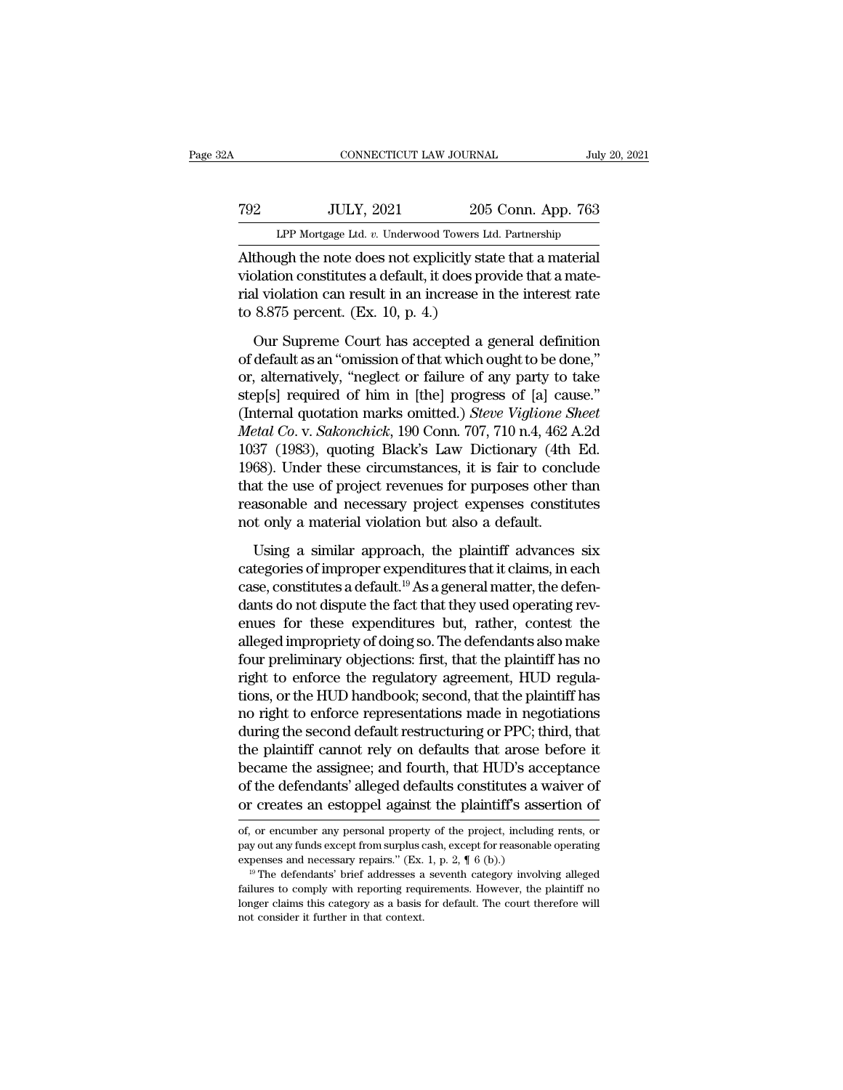# EXECUTE CONNECTICUT LAW JOURNAL July 20, 2021<br>TOP JULY, 2021 205 Conn. App. 763<br>LPP Mortgage Ltd. v. Underwood Towers Ltd. Partnership CONNECTICUT LAW JOURNAL July 20, 2021<br>TOP Mortgage Ltd. *v.* Underwood Towers Ltd. Partnership<br>Although the note does not explicitly state that a material

CONNECTICUT LAW JOURNAL July 20, 20<br>
TOP JULY, 2021 205 Conn. App. 763<br>
LPP Mortgage Ltd. v. Underwood Towers Ltd. Partnership<br>
Although the note does not explicitly state that a material<br>
violation constitutes a default, Video 1922 1921 205 Conn. App. 763<br>
1922 1921 205 Conn. App. 763<br>
1929 1921 205 Conn. App. 763<br>
1929 1921 205 Conn. App. 763<br>
205 Conn. App. 763<br>
205 Conn. App. 763<br>
1920 10 2011 2021 10 2021<br>
2021 10 2021 10 2021<br>
2022 10 The Taurantee of the ULIV, 2021 and 205 Conn. App. 763<br>
LPP Mortgage Ltd. v. Underwood Towers Ltd. Partnership<br>
Although the note does not explicitly state that a material<br>
violation constitutes a default, it does provide  $\begin{tabular}{c} 792 \quad \quad \text{JULY, 2021} \quad \quad \quad \text{205} \\ \hline \text{LPP Mortage Ltd. } v. Underwood Tours L1 \\ \hline \text{Although the note does not explicitly sta violation constitutes a default, it does.} \\ \text{trial violation can result in an increase in to 8.875 percent. (Ex. 10, p. 4.) \\ \text{Our Supreme Court has accepted a g.} \end{tabular}$ LPP Mortgage Ltd.  $v$ . Underwood Towers Ltd. Partnership<br>though the note does not explicitly state that a material<br>plation constitutes a default, it does provide that a mate-<br>ul violation can result in an increase in the Although the note does not explicitly state that a material<br>violation constitutes a default, it does provide that a mate-<br>rial violation can result in an increase in the interest rate<br>to 8.875 percent. (Ex. 10, p. 4.)<br>Our

violation constitutes a default, it does provide that a mate-<br>rial violation can result in an increase in the interest rate<br>to 8.875 percent. (Ex. 10, p. 4.)<br>Our Supreme Court has accepted a general definition<br>of default rial violation can result in an increase in the interest rate<br>to 8.875 percent. (Ex. 10, p. 4.)<br>Our Supreme Court has accepted a general definition<br>of default as an "omission of that which ought to be done,"<br>or, alternati (Internal control can be stated in the method of the method of 8.875 percent. (Ex. 10, p. 4.)<br>
Our Supreme Court has accepted a general definition<br>
of default as an "omission of that which ought to be done,"<br>
or, alternati *Co.* Co. *Co. Co. Co. Co. Co. Co. Co. Co. Co. Co. Co. Co. Co. Co. Co. Co. Co. Co. Co. Co. Co. Co. Co. Co. Co. Co. Co. Co. Co. Co. Co. Co. Co. Co. Co. C* Our Supreme Court has accepted a general definition<br>of default as an "omission of that which ought to be done,"<br>or, alternatively, "neglect or failure of any party to take<br>step[s] required of him in [the] progress of [a] c of default as an "omission of that which ought to be done,"<br>or, alternatively, "neglect or failure of any party to take<br>step[s] required of him in [the] progress of [a] cause."<br>(Internal quotation marks omitted.) *Steve Vi* or, alternatively, "neglect or failure of any party to take<br>step[s] required of him in [the] progress of [a] cause."<br>(Internal quotation marks omitted.) *Steve Viglione Sheet*<br>*Metal Co.* v. *Sakonchick*, 190 Conn. 707, 71 step[s] required of him in [the] progress of [a] cause."<br>(Internal quotation marks omitted.) *Steve Viglione Sheet*<br>*Metal Co.* v. *Sakonchick*, 190 Conn. 707, 710 n.4, 462 A.2d<br>1037 (1983), quoting Black's Law Dictionary (Internal quotation marks omitted.) Steve Viglione Si<br>Metal Co. v. Sakonchick, 190 Conn. 707, 710 n.4, 462 A<br>1037 (1983), quoting Black's Law Dictionary (4th<br>1968). Under these circumstances, it is fair to concl<br>that the u 37 (1983), quoting Black's Law Dictionary (4th Ed.<br>68). Under these circumstances, it is fair to conclude<br>at the use of project revenues for purposes other than<br>asonable and necessary project expenses constitutes<br>to only 1968). Under these circumstances, it is fair to conclude<br>that the use of project revenues for purposes other than<br>reasonable and necessary project expenses constitutes<br>not only a material violation but also a default.<br>Usi

case, constitutes a default and project expenses of the than<br>reasonable and necessary project expenses constitutes<br>not only a material violation but also a default.<br>Using a similar approach, the plaintiff advances six<br>cat reasonable and necessary project expenses constitutes<br>reasonable and necessary project expenses constitutes<br>not only a material violation but also a default.<br>Using a similar approach, the plaintiff advances six<br>categories end only a material violation but also a default.<br>Using a similar approach, the plaintiff advances six<br>categories of improper expenditures that it claims, in each<br>case, constitutes a default.<sup>19</sup> As a general matter, the d Using a similar approach, the plaintiff advances six<br>categories of improper expenditures that it claims, in each<br>case, constitutes a default.<sup>19</sup> As a general matter, the defen-<br>dants do not dispute the fact that they use Using a similar approach, the plaintiff advances six<br>categories of improper expenditures that it claims, in each<br>case, constitutes a default.<sup>19</sup> As a general matter, the defen-<br>dants do not dispute the fact that they use categories of improper expenditures that it claims, in each case, constitutes a default.<sup>19</sup> As a general matter, the defendants do not dispute the fact that they used operating revenues for these expenditures but, rather, case, constitutes a default.<sup>19</sup> As a general matter, the defendants do not dispute the fact that they used operating revenues for these expenditures but, rather, contest the alleged impropriety of doing so. The defendant dants do not dispute the fact that they used operating revenues for these expenditures but, rather, contest the alleged impropriety of doing so. The defendants also make four preliminary objections: first, that the plainti enues for these expenditures but, rather, contest the alleged impropriety of doing so. The defendants also make four preliminary objections: first, that the plaintiff has no right to enforce the regulatory agreement, HUD r alleged impropriety of doing so. The defendants also make<br>four preliminary objections: first, that the plaintiff has no<br>right to enforce the regulatory agreement, HUD regula-<br>tions, or the HUD handbook; second, that the pl four preliminary objections: first, that the plaintiff has no<br>right to enforce the regulatory agreement, HUD regula-<br>tions, or the HUD handbook; second, that the plaintiff has<br>no right to enforce representations made in ne right to enforce the regulatory agreement, HUD regulations, or the HUD handbook; second, that the plaintiff has no right to enforce representations made in negotiations during the second default restructuring or PPC; third tions, or the HUD handbook; second, that the plaintiff has<br>no right to enforce representations made in negotiations<br>during the second default restructuring or PPC; third, that<br>the plaintiff cannot rely on defaults that aro the plantificant cannot rely on defaults that arose before it<br>became the assignee; and fourth, that HUD's acceptance<br>of the defendants' alleged defaults constitutes a waiver of<br>or creates an estoppel against the plaintiff' became the assignee; and fourth, that HUD's acceptance<br>of the defendants' alleged defaults constitutes a waiver of<br>or creates an estoppel against the plaintiff's assertion of<br>of, or encumber any personal property of the pr

<sup>%</sup> of the defendants' alleged defaults constitutes a vertex and or creates an estoppel against the plaintiff's asset of, or encumber any personal property of the project, including pay out any funds except from surplus cas or creates an estoppel against the plaintiff's assertion of<br>of, or encumber any personal property of the project, including rents, or<br>pay out any funds except from surplus cash, except for reasonable operating<br>expenses an

or Creates art estopper against the plaintiff s assertion of<br>of, or encumber any personal property of the project, including rents, or<br>pay out any funds except from surplus cash, except for reasonable operating<br>expenses an of, or encumber any personal property of the project, including rents, or pay out any funds except from surplus cash, except for reasonable operating expenses and necessary repairs." (Ex. 1, p. 2,  $\P$  6 (b).)<br><sup>19</sup> The def Experience and necessary repairs." (Ex.<br>
<sup>19</sup> The defendants' brief addresses a<br>
failures to comply with reporting requestions that context.<br>
If the context consider it further in that context.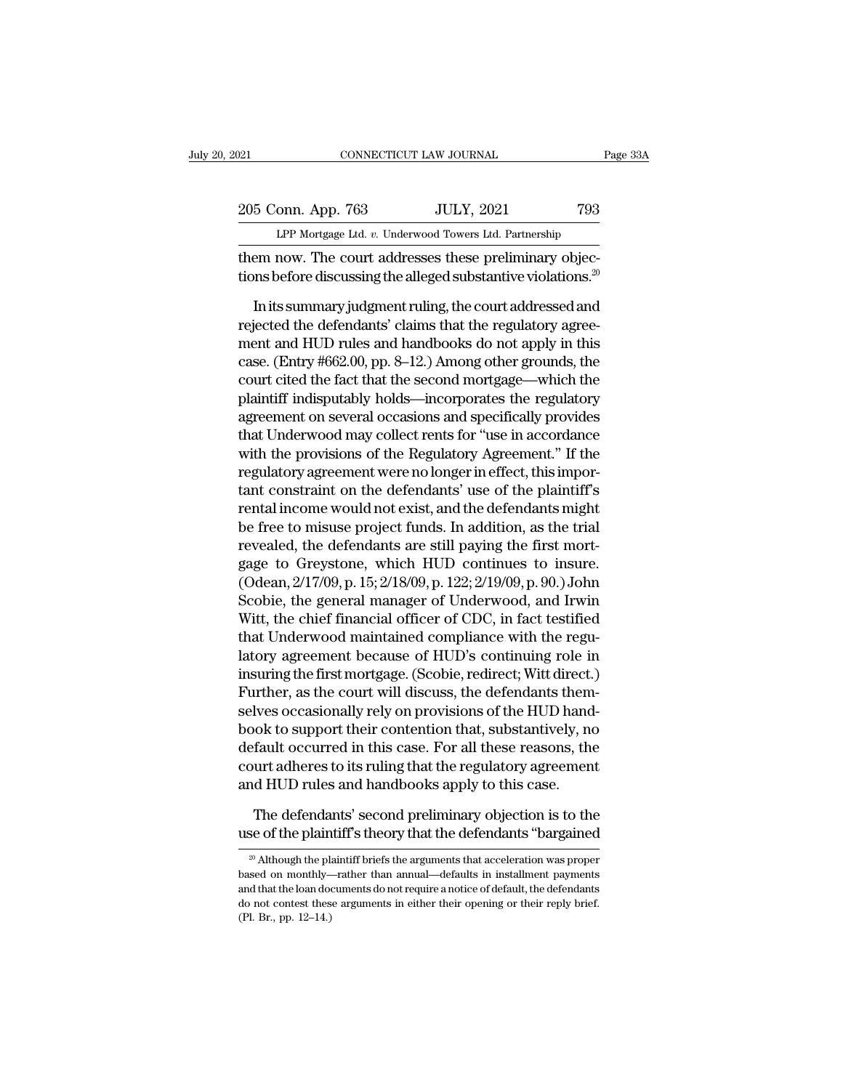| 121 |                    | CONNECTICUT LAW JOURNAL                                | Page 33A |
|-----|--------------------|--------------------------------------------------------|----------|
|     |                    |                                                        |          |
|     | 205 Conn. App. 763 | <b>JULY, 2021</b>                                      | 793      |
|     |                    | LPP Mortgage Ltd. v. Underwood Towers Ltd. Partnership |          |
|     |                    | them now The court addresses these preliminary objec-  |          |

Them now. The connecticut caw Journal<br>
205 Conn. App. 763 JULY, 2021 793<br>
LPP Mortgage Ltd. v. Underwood Towers Ltd. Partnership<br>
them now. The court addresses these preliminary objec-<br>
tions before discussing the alleged 205 Conn. App. 763 JULY, 2021 793<br>
LPP Mortgage Ltd. v. Underwood Towers Ltd. Partnership<br>
them now. The court addresses these preliminary objec-<br>
tions before discussing the alleged substantive violations.<sup>20</sup><br>
In its sum

 $\frac{5 \text{ Conn. App. 763}}{LPP \text{ Mortgage Ltd. } v. \text{ Underwood Towers Ltd. Partnership}}$ <br>
EPP Mortgage Ltd.  $v. \text{ Underwood Towers Ltd. Partnership}}$ <br>
EPP Mortgage Ltd.  $v. \text{ Underwood Towers Ltd. Partnership}}$ <br>
In its summary judgment ruling, the court addressed and<br>
iected the defendants' claims that the regulat LPP Mortgage Ltd. v. Underwood Towers Ltd. Partnership<br>them now. The court addresses these preliminary objec-<br>tions before discussing the alleged substantive violations.<sup>20</sup><br>In its summary judgment ruling, the court addre LPP Mortgage Ltd.  $v$ . Underwood Towers Ltd. Partnership<br>them now. The court addresses these preliminary objec-<br>tions before discussing the alleged substantive violations.<sup>20</sup><br>In its summary judgment ruling, the court add them now. The court addresses these preliminary objections before discussing the alleged substantive violations.<sup>20</sup><br>In its summary judgment ruling, the court addressed and<br>rejected the defendants' claims that the regulato tions before discussing the alleged substantive violations.<sup>20</sup><br>In its summary judgment ruling, the court addressed and<br>rejected the defendants' claims that the regulatory agree-<br>ment and HUD rules and handbooks do not app In its summary judgment ruling, the court addressed and<br>rejected the defendants' claims that the regulatory agree-<br>ment and HUD rules and handbooks do not apply in this<br>case. (Entry #662.00, pp. 8–12.) Among other grounds, In its summary judgment ruling, the court addressed and<br>rejected the defendants' claims that the regulatory agree-<br>ment and HUD rules and handbooks do not apply in this<br>case. (Entry #662.00, pp. 8–12.) Among other grounds, rejected the defendants' claims that the regulatory agreement and HUD rules and handbooks do not apply in this<br>case. (Entry #662.00, pp. 8–12.) Among other grounds, the<br>court cited the fact that the second mortgage—which t ment and HUD rules and handbooks do not apply in this<br>case. (Entry #662.00, pp. 8–12.) Among other grounds, the<br>court cited the fact that the second mortgage—which the<br>plaintiff indisputably holds—incorporates the regulato case. (Entry #662.00, pp. 8–12.) Among other grounds, the<br>court cited the fact that the second mortgage—which the<br>plaintiff indisputably holds—incorporates the regulatory<br>agreement on several occasions and specifically pro court cited the fact that the second mortgage—which the<br>plaintiff indisputably holds—incorporates the regulatory<br>agreement on several occasions and specifically provides<br>that Underwood may collect rents for "use in accorda plaintiff indisputably holds—incorporates the regulatory<br>agreement on several occasions and specifically provides<br>that Underwood may collect rents for "use in accordance<br>with the provisions of the Regulatory Agreement." If agreement on several occasions and specifically provides<br>that Underwood may collect rents for "use in accordance<br>with the provisions of the Regulatory Agreement." If the<br>regulatory agreement were no longer in effect, this that Underwood may collect rents for "use in accordance<br>with the provisions of the Regulatory Agreement." If the<br>regulatory agreement were no longer in effect, this impor-<br>tant constraint on the defendants' use of the pla with the provisions of the Regulatory Agreement." If the<br>regulatory agreement were no longer in effect, this impor-<br>tant constraint on the defendants' use of the plaintiff's<br>rental income would not exist, and the defendant regulatory agreement were no longer in effect, this important constraint on the defendants' use of the plaintiff's<br>rental income would not exist, and the defendants might<br>be free to misuse project funds. In addition, as th tant constraint on the defendants' use of the plaintiff's<br>rental income would not exist, and the defendants might<br>be free to misuse project funds. In addition, as the trial<br>revealed, the defendants are still paying the fir rental income would not exist, and the defendants might<br>be free to misuse project funds. In addition, as the trial<br>revealed, the defendants are still paying the first mort-<br>gage to Greystone, which HUD continues to insure. be free to misuse project funds. In addition, as the trial<br>revealed, the defendants are still paying the first mort-<br>gage to Greystone, which HUD continues to insure.<br>(Odean, 2/17/09, p. 15; 2/18/09, p. 122; 2/19/09, p. 90 revealed, the defendants are still paying the first mortgage to Greystone, which HUD continues to insure.<br>(Odean, 2/17/09, p. 15; 2/18/09, p. 122; 2/19/09, p. 90.) John<br>Scobie, the general manager of Underwood, and Irwin<br>W gage to Greystone, which HUD continues to insure.<br>(Odean, 2/17/09, p. 15; 2/18/09, p. 122; 2/19/09, p. 90.) John<br>Scobie, the general manager of Underwood, and Irwin<br>Witt, the chief financial officer of CDC, in fact testifi (Odean, 2/17/09, p. 15; 2/18/09, p. 122; 2/19/09, p. 90.) John<br>Scobie, the general manager of Underwood, and Irwin<br>Witt, the chief financial officer of CDC, in fact testified<br>that Underwood maintained compliance with the r Scobie, the general manager of Underwood, and Irwin<br>Witt, the chief financial officer of CDC, in fact testified<br>that Underwood maintained compliance with the regu-<br>latory agreement because of HUD's continuing role in<br>insur Witt, the chief financial officer of CDC, in fact testified<br>that Underwood maintained compliance with the regu-<br>latory agreement because of HUD's continuing role in<br>insuring the first mortgage. (Scobie, redirect; Witt dire that Underwood maintained compliance with the regulatory agreement because of HUD's continuing role in<br>insuring the first mortgage. (Scobie, redirect; Witt direct.)<br>Further, as the court will discuss, the defendants them-<br> latory agreement because of HUD's continuing role in<br>insuring the first mortgage. (Scobie, redirect; Witt direct.)<br>Further, as the court will discuss, the defendants them-<br>selves occasionally rely on provisions of the HUD insuring the first mortgage. (Scobie, redirect; Witt direct.<br>Further, as the court will discuss, the defendants them<br>selves occasionally rely on provisions of the HUD hand<br>book to support their contention that, substantive lves occasionally rely on provisions of the HUD hand-<br>ok to support their contention that, substantively, no<br>fault occurred in this case. For all these reasons, the<br>urt adheres to its ruling that the regulatory agreement<br>d book to support their contention that, substantively, no<br>default occurred in this case. For all these reasons, the<br>court adheres to its ruling that the regulatory agreement<br>and HUD rules and handbooks apply to this case.<br>T

nd HUD rules and handbooks apply to this case.<br>
The defendants' second preliminary objection is to the<br>
se of the plaintiff's theory that the defendants "bargained<br>
<sup>20</sup> Although the plaintiff briefs the arguments that acc

The defendants' second preliminary objection is to the use of the plaintiff's theory that the defendants "bargained  $\frac{20}{20}$  Although the plaintiff briefs the arguments that acceleration was proper based on monthly—rat The defendants' second preliminary objection is to the use of the plaintiff's theory that the defendants "bargained  $\frac{20}{20}$  Although the plaintiff briefs the arguments that acceleration was proper based on monthly—rat do not contest the plaintiff's theory that the defendants "bargained"<br><sup>20</sup> Although the plaintiff briefs the arguments that acceleration was proper<br>based on monthly—rather than annual—defaults in installment payments<br>and <sup>20</sup> Although the plaintiff briefs the arguments that acceleration was proper based on monthly—rather than annual—defaults in installment payments and that the loan documents do not require a notice of default, the defend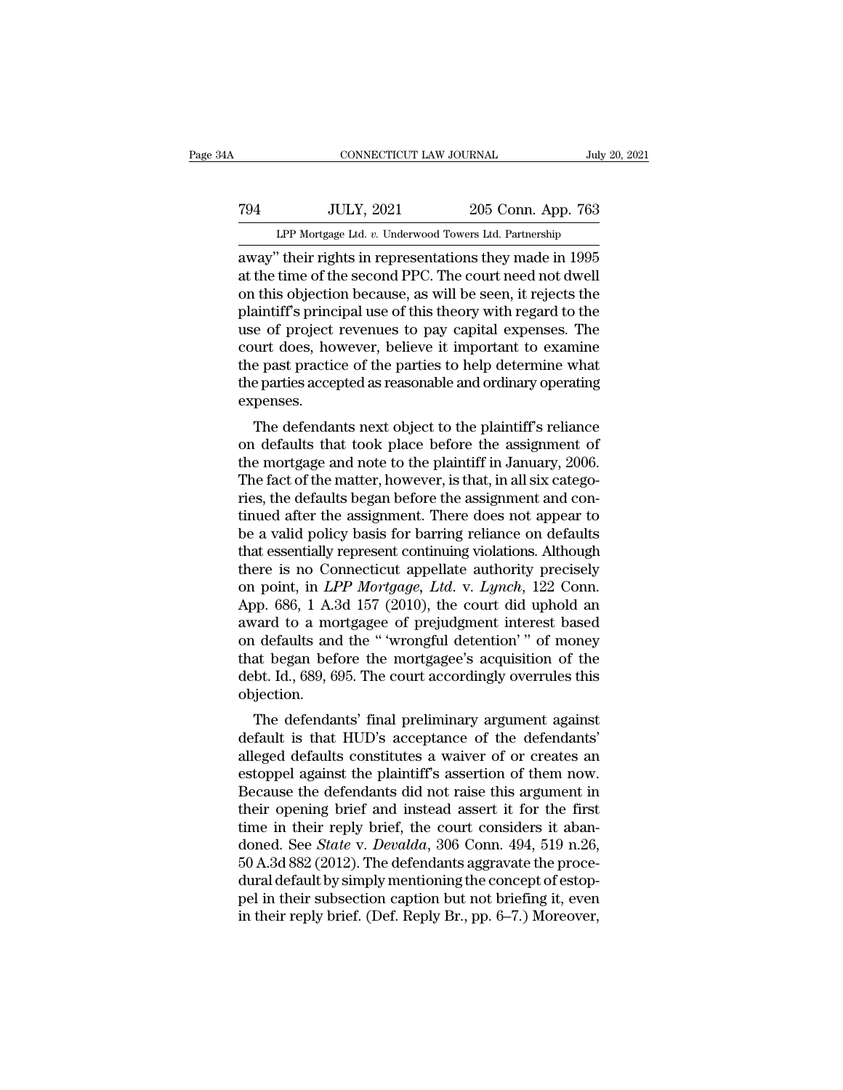# EXECUTE CONNECTICUT LAW JOURNAL July 20, 2021<br>
794 JULY, 2021 205 Conn. App. 763<br>
LPP Mortgage Ltd. v. Underwood Towers Ltd. Partnership CONNECTICUT LAW JOURNAL July 20, 2021<br>T94 JULY, 2021 205 Conn. App. 763<br>LPP Mortgage Ltd. *v.* Underwood Towers Ltd. Partnership<br>away" their rights in representations they made in 1995

CONNECTICUT LAW JOURNAL July 20, 2021<br>
794 JULY, 2021 205 Conn. App. 763<br>
LPP Mortgage Ltd. v. Underwood Towers Ltd. Partnership<br>
away'' their rights in representations they made in 1995<br>
at the time of the second PPC. The The Termin Color and TULY, 2021<br>
The time of the second PPC. The court need not dwell<br>
the time of the second PPC. The court need not dwell<br>
on this objection because, as will be seen, it rejects the<br>
plaintiff's principal T94 JULY, 2021 205 Conn. App. 763<br>
LPP Mortgage Ltd.  $v$ . Underwood Towers Ltd. Partnership<br>
away" their rights in representations they made in 1995<br>
at the time of the second PPC. The court need not dwell<br>
on this object TOPEN TRIMALE 2021 205 Conn. App. 763<br>
LPP Mortgage Ltd. v. Underwood Towers Ltd. Partnership<br>
away" their rights in representations they made in 1995<br>
at the time of the second PPC. The court need not dwell<br>
on this obje LPP Mortgage Ltd.  $v$ . Underwood Towers Ltd. Partnership<br>away" their rights in representations they made in 1995<br>at the time of the second PPC. The court need not dwell<br>on this objection because, as will be seen, it rejec LPP Mortgage Ltd.  $v$ . Underwood Towers Ltd. Partnership<br>away" their rights in representations they made in 1995<br>at the time of the second PPC. The court need not dwell<br>on this objection because, as will be seen, it rejec away" their rights in representations they made in 1995<br>at the time of the second PPC. The court need not dwell<br>on this objection because, as will be seen, it rejects the<br>plaintiff's principal use of this theory with regar at the time of the second PPC. The court need not dwell<br>on this objection because, as will be seen, it rejects the<br>plaintiff's principal use of this theory with regard to the<br>use of project revenues to pay capital expenses expenses. and in spincipal use of this theory with regard to the<br>e of project revenues to pay capital expenses. The<br>urt does, however, believe it important to examine<br>e past practice of the parties to help determine what<br>e parties definite to pay taplical experises. The<br>court does, however, believe it important to examine<br>the past practice of the parties to help determine what<br>the parties accepted as reasonable and ordinary operating<br>expenses.<br>The d

tourt does, nowever, beneve it important to examine<br>the past practice of the parties to help determine what<br>the parties accepted as reasonable and ordinary operating<br>expenses.<br>The defendants next object to the plaintiff's the past practice of the parties to help determine what<br>the parties accepted as reasonable and ordinary operating<br>expenses.<br>The defendants next object to the plaintiff's reliance<br>on defaults that took place before the assi rie parties accepted as reasonable and ordinary operating<br>expenses.<br>The defendants next object to the plaintiff's reliance<br>on defaults that took place before the assignment of<br>the mortgage and note to the plaintiff in Janu Experises.<br>
The defendants next object to the plaintiff's reliance<br>
on defaults that took place before the assignment of<br>
the mortgage and note to the plaintiff in January, 2006.<br>
The fact of the matter, however, is that, The defendants next object to the plaintiff's reliance<br>on defaults that took place before the assignment of<br>the mortgage and note to the plaintiff in January, 2006.<br>The fact of the matter, however, is that, in all six cate on defaults that took place before the assignment of<br>the mortgage and note to the plaintiff in January, 2006.<br>The fact of the matter, however, is that, in all six catego-<br>ries, the defaults began before the assignment and the mortgage and note to the plaintiff in January, 2006.<br>The fact of the matter, however, is that, in all six categories, the defaults began before the assignment and con-<br>tinued after the assignment. There does not appea The fact of the matter, however, is that, in all six categories, the defaults began before the assignment and continued after the assignment. There does not appear to be a valid policy basis for barring reliance on default ries, the defaults began before the assignment and continued after the assignment. There does not appear to<br>be a valid policy basis for barring reliance on defaults<br>that essentially represent continuing violations. Althoug tinued after the assignment. There does not appear to<br>be a valid policy basis for barring reliance on defaults<br>that essentially represent continuing violations. Although<br>there is no Connecticut appellate authority precisel be a valid policy basis for barring reliance on defaults<br>that essentially represent continuing violations. Although<br>there is no Connecticut appellate authority precisely<br>on point, in *LPP Mortgage, Ltd.* v. *Lynch*, 122 Co that essentially represent continuing violations. Although<br>there is no Connecticut appellate authority precisely<br>on point, in *LPP Mortgage*, *Ltd.* v. *Lynch*, 122 Conn.<br>App. 686, 1 A.3d 157 (2010), the court did uphold a there is no Connecticut appellate authority precisely<br>on point, in *LPP Mortgage, Ltd.* v. *Lynch*, 122 Conn.<br>App. 686, 1 A.3d 157 (2010), the court did uphold an<br>award to a mortgagee of prejudgment interest based<br>on defau objection. p. 680, 1 A.5d 157 (2010), the court did uphold and<br>vard to a mortgagee of prejudgment interest based<br>a defaults and the "'wrongful detention'" of money<br>at began before the mortgagee's acquisition of the<br>bt. Id., 689, 695 award to a mortgagee of prejudgment interest based<br>on defaults and the "'wrongful detention'" of money<br>that began before the mortgagee's acquisition of the<br>debt. Id., 689, 695. The court accordingly overrules this<br>objectio

on defaults and the wrongin detention of money<br>that began before the mortgagee's acquisition of the<br>debt. Id., 689, 695. The court accordingly overrules this<br>objection.<br>The defendants' final preliminary argument against<br>de that began before the mortgagee's acquisition of the<br>debt. Id., 689, 695. The court accordingly overrules this<br>objection.<br>The defendants' final preliminary argument against<br>default is that HUD's acceptance of the defendant debt. Id., 089, 099. The court accordingly overrules this<br>objection.<br>The defendants' final preliminary argument against<br>default is that HUD's acceptance of the defendants'<br>alleged defaults constitutes a waiver of or create The defendants' final preliminary argument against<br>default is that HUD's acceptance of the defendants'<br>alleged defaults constitutes a waiver of or creates an<br>estoppel against the plaintiff's assertion of them now.<br>Because The defendants' final preliminary argument against<br>default is that HUD's acceptance of the defendants'<br>alleged defaults constitutes a waiver of or creates an<br>estoppel against the plaintiff's assertion of them now.<br>Because default is that HUD's acceptance of the defendants'<br>alleged defaults constitutes a waiver of or creates an<br>estoppel against the plaintiff's assertion of them now.<br>Because the defendants did not raise this argument in<br>their alleged defaults constitutes a waiver of or creates an estoppel against the plaintiff's assertion of them now.<br>Because the defendants did not raise this argument in their opening brief and instead assert it for the first t estoppel against the plaintiff's assertion of them now.<br>Because the defendants did not raise this argument in<br>their opening brief and instead assert it for the first<br>time in their reply brief, the court considers it aban-Because the defendants did not raise this argument in<br>their opening brief and instead assert it for the first<br>time in their reply brief, the court considers it aban-<br>doned. See *State v. Devalda*, 306 Conn. 494, 519 n.26,<br> their opening brief and instead assert it for the first<br>time in their reply brief, the court considers it aban-<br>doned. See *State* v. *Devalda*, 306 Conn. 494, 519 n.26,<br>50 A.3d 882 (2012). The defendants aggravate the pro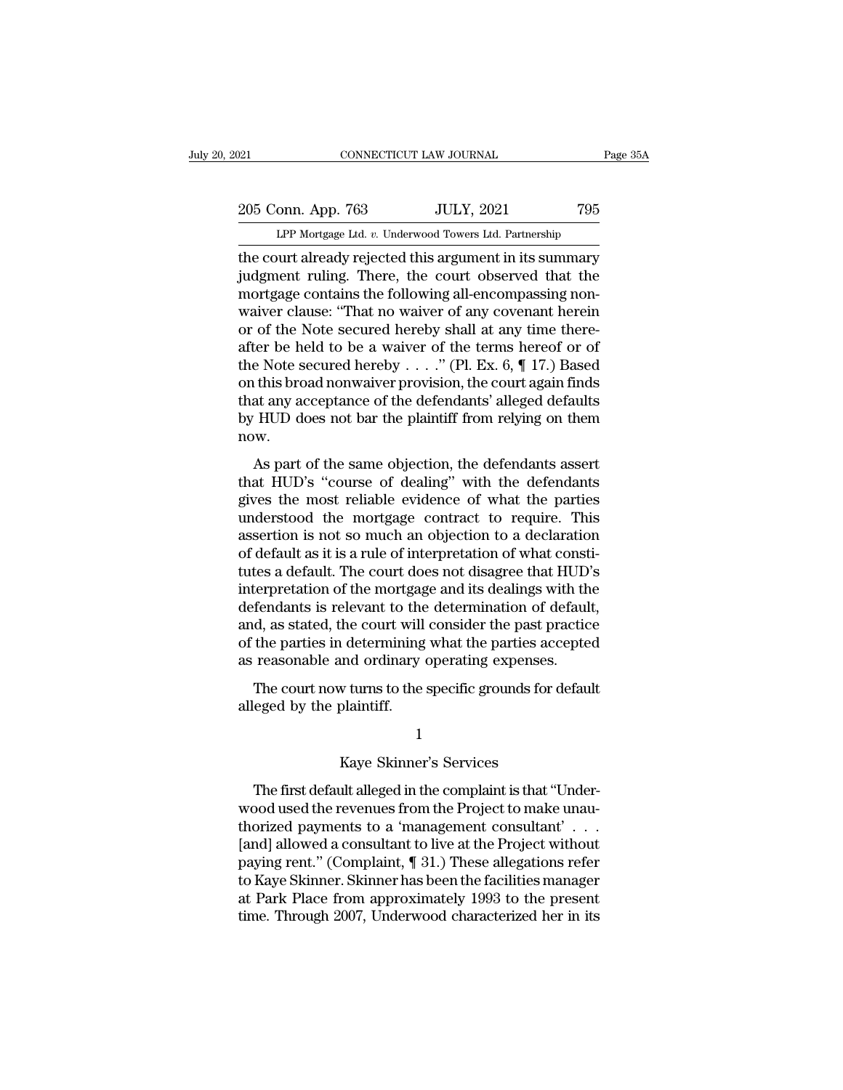205 Conn. App. 763 JULY, 2021 795<br>Per Mortgage Ltd. v. Underwood Towers Ltd. Partnership CONNECTICUT LAW JOURNAL Page 35A<br>
205 Conn. App. 763 JULY, 2021 795<br>
LPP Mortgage Ltd. *v.* Underwood Towers Ltd. Partnership<br>
the court already rejected this argument in its summary

The connection of the court already rejected this argument in its summary<br>
in the court already rejected this argument in its summary<br>
indgment ruling. There, the court observed that the<br>
mortage contains the following all 205 Conn. App. 763 JULY, 2021 795<br>
LPP Mortgage Ltd. v. Underwood Towers Ltd. Partnership<br>
the court already rejected this argument in its summary<br>
judgment ruling. There, the court observed that the<br>
mortgage contains the 205 Conn. App. 763 JULY, 2021 795<br>
LPP Mortgage Ltd. v. Underwood Towers Ltd. Partnership<br>
the court already rejected this argument in its summary<br>
judgment ruling. There, the court observed that the<br>
mortgage contains the 205 Conn. App. 763 JULY, 2021 795<br>
LPP Mortgage Ltd. v. Underwood Towers Ltd. Partnership<br>
the court already rejected this argument in its summary<br>
judgment ruling. There, the court observed that the<br>
mortgage contains the LPP Mortgage Ltd. v. Underwood Towers Ltd. Partnership<br>the court already rejected this argument in its summary<br>judgment ruling. There, the court observed that the<br>mortgage contains the following all-encompassing non-<br>waiv LPP Mortgage Ltd.  $v$ . Underwood Towers Ltd. Partnership<br>the court already rejected this argument in its summary<br>judgment ruling. There, the court observed that the<br>mortgage contains the following all-encompassing non-<br>wa the court already rejected this argument in its summary<br>judgment ruling. There, the court observed that the<br>mortgage contains the following all-encompassing non-<br>waiver clause: "That no waiver of any covenant herein<br>or of judgment ruling. There, the court observed that the<br>mortgage contains the following all-encompassing non-<br>waiver clause: "That no waiver of any covenant herein<br>or of the Note secured hereby shall at any time there-<br>after mortgage contains the following all-encompassing non-<br>waiver clause: "That no waiver of any covenant herein<br>or of the Note secured hereby shall at any time there-<br>after be held to be a waiver of the terms hereof or of<br>the waiver clause: "That no waiver of any covenant herein<br>or of the Note secured hereby shall at any time there-<br>after be held to be a waiver of the terms hereof or of<br>the Note secured hereby  $\ldots$ ." (Pl. Ex. 6, ¶ 17.) Based<br> now. EV Note secured hereby  $\ldots$ ." (Pl. Ex. 6, ¶ 17.) Based<br>this broad nonwaiver provision, the court again finds<br>at any acceptance of the defendants' alleged defaults<br>HUD does not bar the plaintiff from relying on them<br>w.<br>As the Fock secured hereby  $\ldots$  (1). Ex. 0,  $\parallel$  17.7 Based<br>on this broad nonwaiver provision, the court again finds<br>that any acceptance of the defendants' alleged defaults<br>by HUD does not bar the plaintiff from relying on

of ans broad notwarver provision, are coarding in that any acceptance of the defendants' alleged defaults<br>by HUD does not bar the plaintiff from relying on them<br>now.<br>As part of the same objection, the defendants assert<br>tha by HUD does not bar the plaintiff from relying on them<br>now.<br>As part of the same objection, the defendants assert<br>that HUD's "course of dealing" with the defendants<br>gives the most reliable evidence of what the parties<br>under by HCD does not sal are plant. H nont retying on them<br>now.<br>As part of the same objection, the defendants assert<br>that HUD's "course of dealing" with the defendants<br>gives the most reliable evidence of what the parties<br>unders As part of the same objection, the defendants assert<br>that HUD's "course of dealing" with the defendants<br>gives the most reliable evidence of what the parties<br>understood the mortgage contract to require. This<br>assertion is no As part of the same objection, the defendants assert<br>that HUD's "course of dealing" with the defendants<br>gives the most reliable evidence of what the parties<br>understood the mortgage contract to require. This<br>assertion is no that HUD's "course of dealing" with the defendants<br>gives the most reliable evidence of what the parties<br>understood the mortgage contract to require. This<br>assertion is not so much an objection to a declaration<br>of default as gives the most reliable evidence of what the parties<br>understood the mortgage contract to require. This<br>assertion is not so much an objection to a declaration<br>of default as it is a rule of interpretation of what consti-<br>tut understood the mortgage contract to require. This<br>assertion is not so much an objection to a declaration<br>of default as it is a rule of interpretation of what consti-<br>tutes a default. The court does not disagree that HUD's<br> assertion is not so much an objection to a declaration<br>of default as it is a rule of interpretation of what consti-<br>tutes a default. The court does not disagree that HUD's<br>interpretation of the mortgage and its dealings wi of default as it is a rule of interpretation of what const<br>tutes a default. The court does not disagree that HUD'<br>interpretation of the mortgage and its dealings with th<br>defendants is relevant to the determination of defau terpretation of the mortgage and its dealings with the fendants is relevant to the determination of default, d, as stated, the court will consider the past practice the parties in determining what the parties accepted reas merpretation of the mortgage<br>defendants is relevant to the<br>and, as stated, the court will<br>of the parties in determining<br>as reasonable and ordinary<br>The court now turns to the<br>alleged by the plaintiff.

All and ordinary operating expenses.<br>
We turns to the specific grounds for explaint<br>
Splaintiff.<br>
1<br>
Kaye Skinner's Services<br>
Alt alleged in the complaint is that "

### 1

The court now turns to the specific grounds for default<br>
eged by the plaintiff.<br>
1<br>
Kaye Skinner's Services<br>
The first default alleged in the complaint is that "Under-<br>
pood used the revenues from the Project to make unaualleged by the plaintiff.<br>
1<br>
Kaye Skinner's Services<br>
The first default alleged in the complaint is that "Under-<br>
wood used the revenues from the Project to make unau-<br>
thorized payments to a 'management consultant'...  $\footnotesize$   $\footnotesize$   $\footnotesize$   $\footnotesize$   $\footnotesize$   $\footnotesize$   $\footnotesize$   $\footnotesize$   $\footnotesize$   $\footnotesize$   $\footnotesize$   $\footnotesize$   $\footnotesize$   $\footnotesize$   $\footnotesize$   $\footnotesize$   $\footnotesize$   $\footnotesize$   $\footnotesize$   $\footnotesize$   $\footnotesize$   $\footnotesize$   $\footnotesize$   $\footnotesize$   $\footnotesize$   $\footnotesize$   $\footnotesize$   $\footnotesize$   $\footnotesize$   $\footnotesize$   $\footnotesize$   $\footnotes$ I<br>Kaye Skinner's Services<br>The first default alleged in the complaint is that "Under-<br>wood used the revenues from the Project to make unau-<br>thorized payments to a 'management consultant' . . .<br>[and] allowed a consultant to Kaye Skinner's Services<br>The first default alleged in the complaint is that "Under-<br>wood used the revenues from the Project to make unau-<br>thorized payments to a 'management consultant'  $\ldots$ <br>[and] allowed a consultant to l The first default alleged in the complaint is that "Under-<br>wood used the revenues from the Project to make unau-<br>thorized payments to a 'management consultant'...<br>[and] allowed a consultant to live at the Project without<br> The first default alleged in the complaint is that "Underwood used the revenues from the Project to make unau-<br>thorized payments to a 'management consultant'...<br>[and] allowed a consultant to live at the Project without<br>pa wood used the revenues from the Project to make unau-<br>thorized payments to a 'management consultant'  $\ldots$ <br>[and] allowed a consultant to live at the Project without<br>paying rent." (Complaint, ¶ 31.) These allegations refer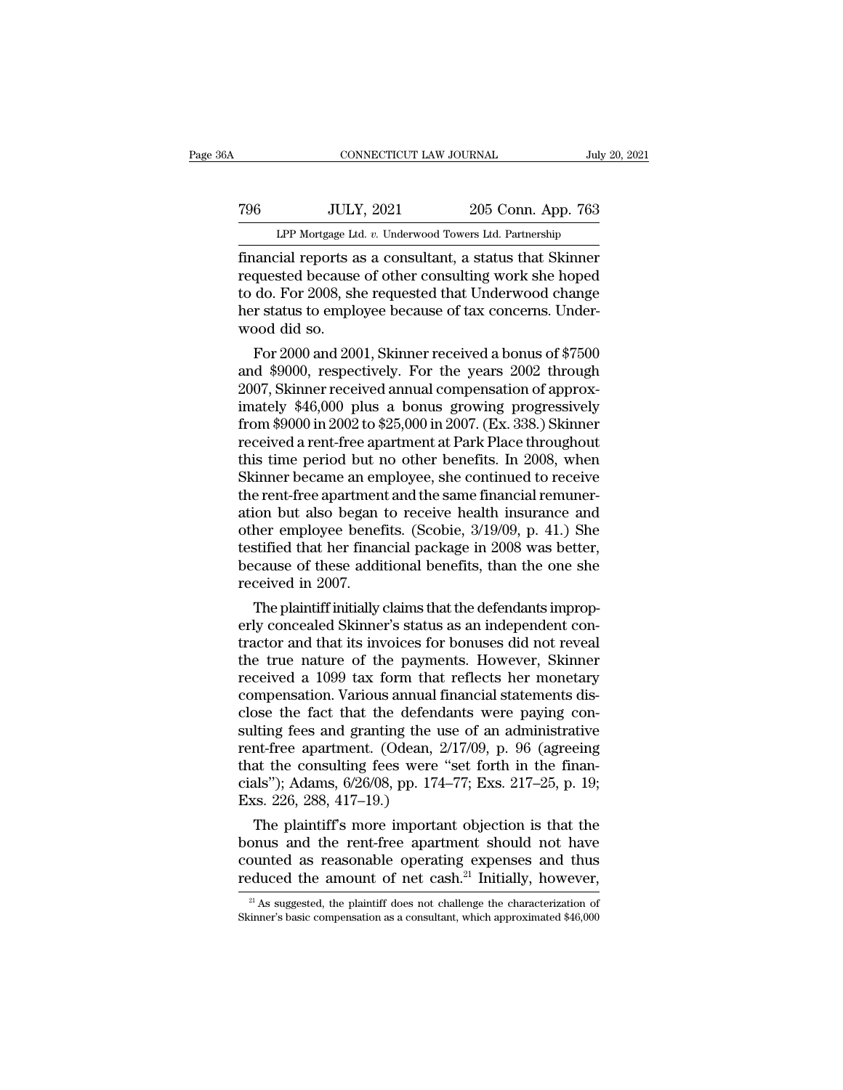# EXECUTE CONNECTICUT LAW JOURNAL July 20, 2021<br>
796 JULY, 2021 205 Conn. App. 763<br>
LPP Mortgage Ltd. v. Underwood Towers Ltd. Partnership CONNECTICUT LAW JOURNAL July 20, 2021<br>
TULY, 2021 205 Conn. App. 763<br>
LPP Mortgage Ltd. *v.* Underwood Towers Ltd. Partnership<br>
financial reports as a consultant, a status that Skinner

Financial reports as a consultant, a status that Skinner<br>Financial reports as a consultant, a status that Skinner<br>Financial reports as a consultant, a status that Skinner<br>Financial reports as a consultant, a status that Sk Table 1986<br>The Mortgage Ltd. v. Underwood Towers Ltd. Partnership<br>Tinancial reports as a consultant, a status that Skinner<br>requested because of other consulting work she hoped<br>to do. For 2008, she requested that Underwood Table TV 2021 205 Conn. App. 763<br>
LPP Mortgage Ltd.  $v$ . Underwood Towers Ltd. Partnership<br>
financial reports as a consultant, a status that Skinner<br>
requested because of other consulting work she hoped<br>
to do. For 2008, TO THER SERVIET 2021 205 Conn. App. 763<br>
LPP Mortgage Ltd. v. Underwood Towers Ltd. Partnership<br>
financial reports as a consultant, a status that Skinner<br>
requested because of other consulting work she hoped<br>
to do. For 20 LPP Mortgage Lt<br>
financial reports a<br>
requested because<br>
to do. For 2008, sh<br>
her status to emplowood did so.<br>
For 2000 and 200 For 2008 and 2001, Skinner and 2002 through<br>The year of other consulting work she hoped<br>do. For 2008, she requested that Underwood change<br>r status to employee because of tax concerns. Under-<br>pood did so.<br>For 2000 and 2001, mancial reports as a consultant, a status that Skinner<br>requested because of other consulting work she hoped<br>to do. For 2008, she requested that Underwood change<br>her status to employee because of tax concerns. Under-<br>wood d

requested because of other consulting work she hoped<br>to do. For 2008, she requested that Underwood change<br>her status to employee because of tax concerns. Under-<br>wood did so.<br>For 2000 and 2001, Skinner received a bonus of \$ to do. For 2008, she requested that Underwood change<br>her status to employee because of tax concerns. Under-<br>wood did so.<br>For 2000 and 2001, Skinner received a bonus of \$7500<br>and \$9000, respectively. For the years 2002 thr from \$9000 and 2001, Skinner received a bonus of \$7500<br>and \$9000, respectively. For the years 2002 through<br>2007, Skinner received annual compensation of approx-<br>imately \$46,000 plus a bonus growing progressively<br>from \$9000 received a bonus of \$7500<br>For 2000 and 2001, Skinner received a bonus of \$7500<br>and \$9000, respectively. For the years 2002 through<br>2007, Skinner received annual compensation of approx-<br>imately \$46,000 plus a bonus growing For 2000 and 2001, Skinner received a bonus of \$7500<br>and \$9000, respectively. For the years 2002 through<br>2007, Skinner received annual compensation of approx-<br>imately \$46,000 plus a bonus growing progressively<br>from \$9000 i and \$9000, respectively. For the years 2002 through<br>2007, Skinner received annual compensation of approx-<br>imately \$46,000 plus a bonus growing progressively<br>from \$9000 in 2002 to \$25,000 in 2007. (Ex. 338.) Skinner<br>receive 2007, Skinner received annual compensation of approx-<br>imately  $$46,000$  plus a bonus growing progressively<br>from  $$9000$  in  $2002$  to  $$25,000$  in  $2007$ . (Ex. 338.) Skinner<br>received a rent-free apartment at Park Place thr imately \$46,000 plus a bonus growing progressively<br>from \$9000 in 2002 to \$25,000 in 2007. (Ex. 338.) Skinner<br>received a rent-free apartment at Park Place throughout<br>this time period but no other benefits. In 2008, when<br>Ski from \$9000 in 2002 to \$25,000 in 2007. (Ex. 338.) Skinner<br>received a rent-free apartment at Park Place throughout<br>this time period but no other benefits. In 2008, when<br>Skinner became an employee, she continued to receive<br>t received a rent-free apartment at Park Place throughout<br>this time period but no other benefits. In 2008, when<br>Skinner became an employee, she continued to receive<br>the rent-free apartment and the same financial remuner-<br>ati this time period but no other benefits. In 2008, when<br>Skinner became an employee, she continued to receive<br>the rent-free apartment and the same financial remuner-<br>ation but also began to receive health insurance and<br>other Skinner became an em<br>the rent-free apartmen<br>ation but also began<br>other employee benef<br>testified that her finan<br>because of these addi<br>received in 2007.<br>The plaintiff initially e rent-free apartment and the same financial remuner-<br>ion but also began to receive health insurance and<br>her employee benefits. (Scobie, 3/19/09, p. 41.) She<br>stified that her financial package in 2008 was better,<br>cause of ation but also began to receive nealth insurance and<br>other employee benefits. (Scobie, 3/19/09, p. 41.) She<br>testified that her financial package in 2008 was better,<br>because of these additional benefits, than the one she<br>re

other employee benefits. (Scoble, 3/19/09, p. 41.) She<br>testified that her financial package in 2008 was better,<br>because of these additional benefits, than the one she<br>received in 2007.<br>The plaintiff initially claims that t testined that her financial package in 2008 was better,<br>because of these additional benefits, than the one she<br>received in 2007.<br>The plaintiff initially claims that the defendants improp-<br>erly concealed Skinner's status as because of these additional benefits, than the one she<br>received in 2007.<br>The plaintiff initially claims that the defendants improp-<br>erly concealed Skinner's status as an independent con-<br>tractor and that its invoices for b received in 2007.<br>The plaintiff initially claims that the defendants improperly concealed Skinner's status as an independent contractor and that its invoices for bonuses did not reveal<br>the true nature of the payments. Howe The plaintiff initially claims that the defendants improperly concealed Skinner's status as an independent contractor and that its invoices for bonuses did not reveal the true nature of the payments. However, Skinner rece erly concealed Skinner's status as an independent contractor and that its invoices for bonuses did not reveal<br>the true nature of the payments. However, Skinner<br>received a 1099 tax form that reflects her monetary<br>compensati tractor and that its invoices for bonuses did not reveal<br>the true nature of the payments. However, Skinner<br>received a 1099 tax form that reflects her monetary<br>compensation. Various annual financial statements dis-<br>close t the true nature of the payments. However, Skinner<br>received a 1099 tax form that reflects her monetary<br>compensation. Various annual financial statements dis-<br>close the fact that the defendants were paying con-<br>sulting fees received a 1099 tax form that reflects her monetary<br>compensation. Various annual financial statements dis-<br>close the fact that the defendants were paying con-<br>sulting fees and granting the use of an administrative<br>rent-fre compensation. Various annual 1<br>close the fact that the defend<br>sulting fees and granting the u<br>rent-free apartment. (Odean, 2<br>that the consulting fees were<br>cials"); Adams, 6/26/08, pp. 174<br>Exs. 226, 288, 417–19.)<br>The plaint be the fact that the defendants were paying con-<br>
lting fees and granting the use of an administrative<br>
int-free apartment. (Odean, 2/17/09, p. 96 (agreeing<br>
at the consulting fees were "set forth in the finan-<br>
als"); Ada sulting rees and granting the use of an administrative<br>rent-free apartment. (Odean,  $2/17/09$ , p. 96 (agreeing<br>that the consulting fees were "set forth in the finan-<br>cials"); Adams,  $6/26/08$ , pp.  $174-77$ ; Exs.  $217-25$ ,

rent-free apartment. (Odean,  $2/17/09$ , p. 96 (agreeng<br>that the consulting fees were "set forth in the finan-<br>cials"); Adams,  $6/26/08$ , pp. 174–77; Exs. 217–25, p. 19;<br>Exs. 226, 288, 417–19.)<br>The plaintiff's more importa that the consulting fees were "set forth in the finan-<br>cials"); Adams,  $6/26/08$ , pp. 174–77; Exs. 217–25, p. 19;<br>Exs. 226, 288, 417–19.)<br>The plaintiff's more important objection is that the<br>bonus and the rent-free apartm The plaintiff's more important objection is that the<br>onus and the rent-free apartment should not have<br>ounted as reasonable operating expenses and thus<br>duced the amount of net cash.<sup>21</sup> Initially, however,<br> $\frac{21}{12}$  As s bonus and the rent-free apartment should not have<br>counted as reasonable operating expenses and thus<br>reduced the amount of net cash.<sup>21</sup> Initially, however,<br> $\frac{21}{4}$  As suggested, the plaintiff does not challenge the cha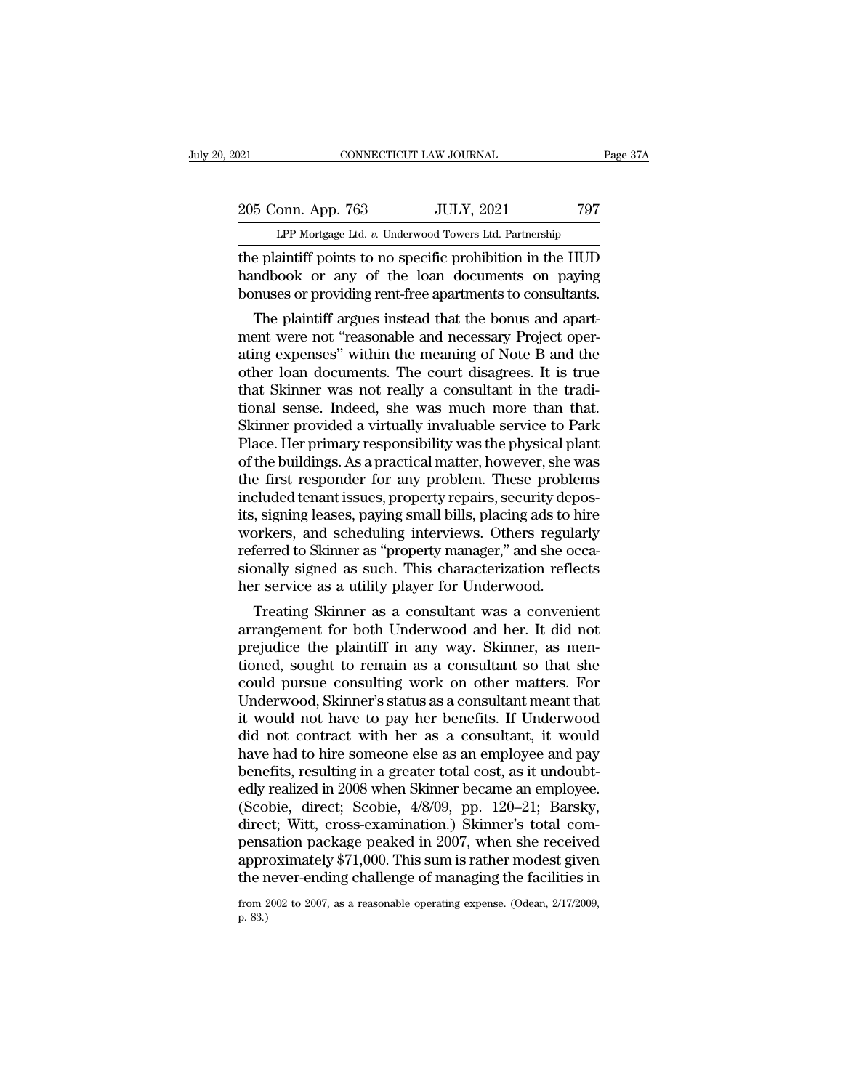# 205 Conn. App. 763 JULY, 2021 797<br>Page 37A LPP Mortgage Ltd. v. Underwood Towers Ltd. Partnership CONNECTICUT LAW JOURNAL Page 37A<br>
205 Conn. App. 763 JULY, 2021 797<br>
LPP Mortgage Ltd. *v.* Underwood Towers Ltd. Partnership<br>
the plaintiff points to no specific prohibition in the HUD

The plaintiff points of the loan documents to consultants<br>
the plaintiff points to no specific prohibition in the HUD<br>
the plaintiff points to no specific prohibition in the HUD<br>
handbook or any of the loan documents on pa 205 Conn. App. 763 JULY, 2021 797<br>LPP Mortgage Ltd. v. Underwood Towers Ltd. Partnership<br>the plaintiff points to no specific prohibition in the HUD<br>handbook or any of the loan documents on paying<br>bonuses or providing rent-205 Conn. App. 763 JULY, 2021 797<br>LPP Mortgage Ltd. v. Underwood Towers Ltd. Partnership<br>the plaintiff points to no specific prohibition in the HUD<br>handbook or any of the loan documents on paying<br>bonuses or providing rent- $5$  Conn. App. 763 JULY, 2021 797<br>LPP Mortgage Ltd.  $v$ . Underwood Towers Ltd. Partnership<br>e plaintiff points to no specific prohibition in the HUD<br>ndbook or any of the loan documents on paying<br>nuses or providing rent-fre

LPP Mortgage Ltd. v. Underwood Towers Ltd. Partnership<br>the plaintiff points to no specific prohibition in the HUD<br>handbook or any of the loan documents on paying<br>bonuses or providing rent-free apartments to consultants.<br>Th the plaintiff points to no specific prohibition in the HUD<br>handbook or any of the loan documents on paying<br>bonuses or providing rent-free apartments to consultants.<br>The plaintiff argues instead that the bonus and apart-<br>me the plantific points to no specific profitboution in the HOD<br>handbook or any of the loan documents on paying<br>bonuses or providing rent-free apartments to consultants.<br>The plaintiff argues instead that the bonus and apart-<br> The plaintiff argues instead that the bonus and apartment were not "reasonable and necessary Project operating expenses" within the meaning of Note B and the other loan documents. The court disagrees. It is true that Skinn Followias the plaintiff argues instead that the bonus and apartment were not "reasonable and necessary Project operating expenses" within the meaning of Note B and the other loan documents. The court disagrees. It is true The plaintiff argues instead that the bonus and apartment were not "reasonable and necessary Project operating expenses" within the meaning of Note B and the other loan documents. The court disagrees. It is true that Skinn ment were not "reasonable and necessary Project operating expenses" within the meaning of Note B and the other loan documents. The court disagrees. It is true that Skinner was not really a consultant in the traditional sen ating expenses" within the meaning of Note B and the<br>other loan documents. The court disagrees. It is true<br>that Skinner was not really a consultant in the tradi-<br>tional sense. Indeed, she was much more than that.<br>Skinner p other loan documents. The court disagrees. It is true<br>that Skinner was not really a consultant in the tradi-<br>tional sense. Indeed, she was much more than that.<br>Skinner provided a virtually invaluable service to Park<br>Place. that Skinner was not really a consultant in the traditional sense. Indeed, she was much more than that.<br>Skinner provided a virtually invaluable service to Park<br>Place. Her primary responsibility was the physical plant<br>of th tional sense. Indeed, she was much more than that.<br>Skinner provided a virtually invaluable service to Park<br>Place. Her primary responsibility was the physical plant<br>of the buildings. As a practical matter, however, she was<br> Skinner provided a virtually invaluable service to Park<br>Place. Her primary responsibility was the physical plant<br>of the buildings. As a practical matter, however, she was<br>the first responder for any problem. These problems Place. Her primary responsibility was the physical plant<br>of the buildings. As a practical matter, however, she was<br>the first responder for any problem. These problems<br>included tenant issues, property repairs, security depo of the buildings. As a practical matter, however, she was<br>the first responder for any problem. These problems<br>included tenant issues, property repairs, security depos-<br>its, signing leases, paying small bills, placing ads t the first responder for any problem. These problem<br>included tenant issues, property repairs, security dep<br>its, signing leases, paying small bills, placing ads to l<br>workers, and scheduling interviews. Others regula<br>referred Ended tenant issues, property repairs, security depositions, signing leases, paying small bills, placing ads to hire orkers, and scheduling interviews. Others regularly ferred to Skinner as "property manager," and she occa rangement for both Underwood and her. It did not<br>prejuding signal property manager," and she occa-<br>sionally signed as such. This characterization reflects<br>her service as a utility player for Underwood.<br>Treating Skinner as

workers, and screduing interviews. Others regularly<br>referred to Skinner as "property manager," and she occa-<br>sionally signed as such. This characterization reflects<br>her service as a utility player for Underwood.<br>Treating S referred to skillier as property manager, and she occasionally signed as such. This characterization reflects<br>her service as a utility player for Underwood.<br>Treating Skinner as a consultant was a convenient<br>arrangement for sionally sighed as such. This characterization reflects<br>her service as a utility player for Underwood.<br>Treating Skinner as a consultant was a convenient<br>arrangement for both Underwood and her. It did not<br>prejudice the plai Treating Skinner as a consultant was a convenient<br>arrangement for both Underwood and her. It did not<br>prejudice the plaintiff in any way. Skinner, as men-<br>tioned, sought to remain as a consultant so that she<br>could pursue co Treating Skinner as a consultant was a convenient<br>arrangement for both Underwood and her. It did not<br>prejudice the plaintiff in any way. Skinner, as men-<br>tioned, sought to remain as a consultant so that she<br>could pursue co arrangement for both Underwood and her. It did not<br>prejudice the plaintiff in any way. Skinner, as men-<br>tioned, sought to remain as a consultant so that she<br>could pursue consulting work on other matters. For<br>Underwood, Ski prejudice the plaintiff in any way. Skinner, as mentioned, sought to remain as a consultant so that she<br>could pursue consulting work on other matters. For<br>Underwood, Skinner's status as a consultant meant that<br>it would not tioned, sought to remain as a consultant so that she<br>could pursue consulting work on other matters. For<br>Underwood, Skinner's status as a consultant meant that<br>it would not have to pay her benefits. If Underwood<br>did not co could pursue consulting work on other matters. For<br>Underwood, Skinner's status as a consultant meant that<br>it would not have to pay her benefits. If Underwood<br>did not contract with her as a consultant, it would<br>have had to Underwood, Skinner's status as a consultant meant that<br>it would not have to pay her benefits. If Underwood<br>did not contract with her as a consultant, it would<br>have had to hire someone else as an employee and pay<br>benefits, it would not have to pay her benefits. If Underwood<br>did not contract with her as a consultant, it would<br>have had to hire someone else as an employee and pay<br>benefits, resulting in a greater total cost, as it undoubt-<br>edly did not contract with her as a consultant, it would<br>have had to hire someone else as an employee and pay<br>benefits, resulting in a greater total cost, as it undoubt-<br>edly realized in 2008 when Skinner became an employee.<br>(S have had to hire someone else as an employee and pay<br>benefits, resulting in a greater total cost, as it undoubt-<br>edly realized in 2008 when Skinner became an employee.<br>(Scobie, direct; Scobie, 4/8/09, pp. 120–21; Barsky,<br>d benefits, resulting in a greater total cost, as it undoubtedly realized in 2008 when Skinner became an employee.<br>(Scobie, direct; Scobie, 4/8/09, pp. 120–21; Barsky, direct; Witt, cross-examination.) Skinner's total compen direct; Witt, cross-examination.) Skinner's total compensation package peaked in 2007, when she received<br>approximately \$71,000. This sum is rather modest given<br>the never-ending challenge of managing the facilities in<br>from pens<br>appr<br>the r<br>from 2<br>p. 83.)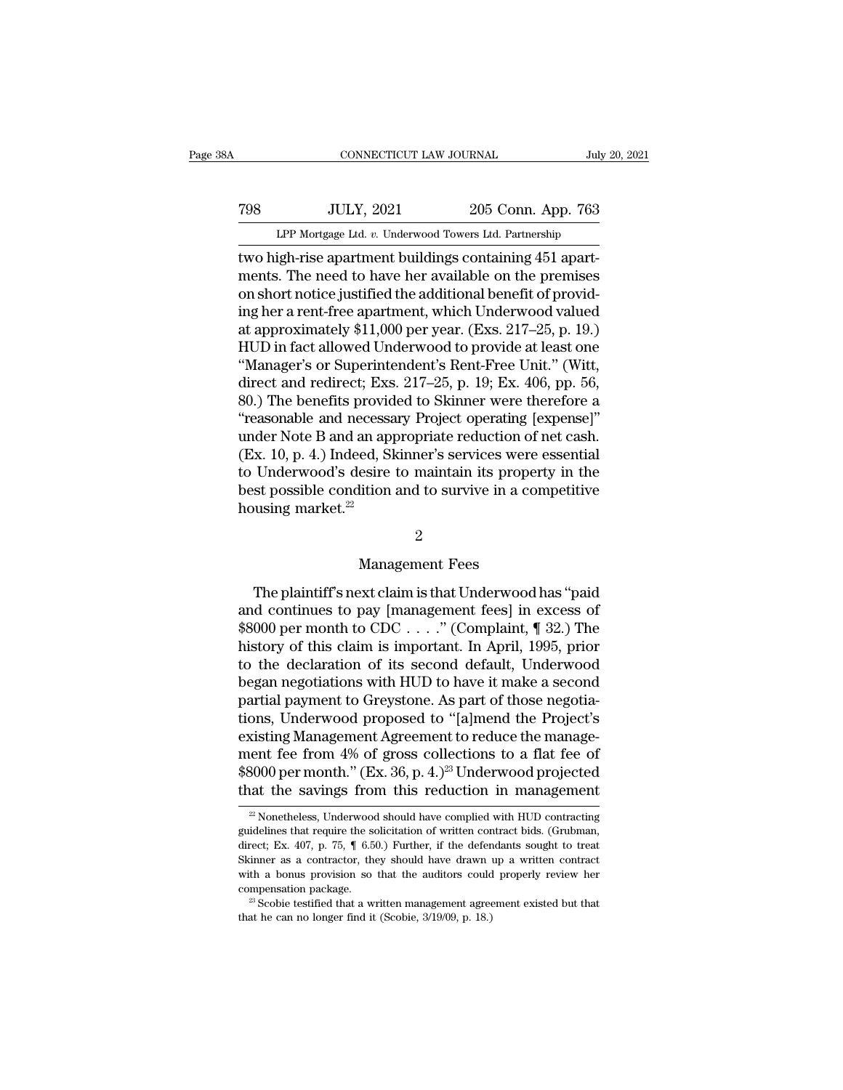# EXECUTE CONNECTICUT LAW JOURNAL July 20, 2021<br>
798 JULY, 2021 205 Conn. App. 763<br>
LPP Mortgage Ltd. v. Underwood Towers Ltd. Partnership CONNECTICUT LAW JOURNAL July 20, 2021<br>T98 JULY, 2021 205 Conn. App. 763<br>LPP Mortgage Ltd. *v.* Underwood Towers Ltd. Partnership<br>two high-rise apartment buildings containing 451 apart-

CONNECTICUT LAW JOURNAL<br>
TOP MOTER JULY, 2021 205 Conn. App. 763<br>
LPP Mortgage Ltd. v. Underwood Towers Ltd. Partnership<br>
two high-rise apartment buildings containing 451 apart-<br>
ments. The need to have her available on th TOB JULY, 2021 205 Conn. App. 763<br>
LPP Mortgage Ltd. v. Underwood Towers Ltd. Partnership<br>
two high-rise apartment buildings containing 451 apart-<br>
ments. The need to have her available on the premises<br>
on short notice jus Table 1988 UVLY, 2021 205 Conn. App. 763<br>
LPP Mortgage Ltd. v. Underwood Towers Ltd. Partnership<br>
two high-rise apartment buildings containing 451 apart-<br>
ments. The need to have her available on the premises<br>
on short no TOB IDLY, 2021 205 Conn. App. 763<br>
LPP Mortgage Ltd. v. Underwood Towers Ltd. Partnership<br>
two high-rise apartment buildings containing 451 apart-<br>
ments. The need to have her available on the premises<br>
on short notice ju LPP Mortgage Ltd. v. Underwood Towers Ltd. Partnership<br>two high-rise apartment buildings containing  $451$  apart-<br>ments. The need to have her available on the premises<br>on short notice justified the additional benefit of pr LPP Mortgage Ltd.  $v$ . Underwood Towers Ltd. Partnership<br>two high-rise apartment buildings containing 451 apart-<br>ments. The need to have her available on the premises<br>on short notice justified the additional benefit of pr two high-rise apartment buildings containing 451 apartments. The need to have her available on the premises<br>on short notice justified the additional benefit of provid-<br>ing her a rent-free apartment, which Underwood valued<br> ments. The need to have her available on the premises<br>on short notice justified the additional benefit of provid-<br>ing her a rent-free apartment, which Underwood valued<br>at approximately \$11,000 per year. (Exs. 217–25, p. 19 on short notice justified the additional benefit of provid-<br>ing her a rent-free apartment, which Underwood valued<br>at approximately \$11,000 per year. (Exs. 217–25, p. 19.)<br>HUD in fact allowed Underwood to provide at least o ing her a rent-free apartment, which Underwood valued<br>at approximately \$11,000 per year. (Exs. 217–25, p. 19.)<br>HUD in fact allowed Underwood to provide at least one<br>"Manager's or Superintendent's Rent-Free Unit." (Witt,<br>di at approximately \$11,000 per year. (Exs. 217–25, p. 19.)<br>HUD in fact allowed Underwood to provide at least one<br>"Manager's or Superintendent's Rent-Free Unit." (Witt,<br>direct and redirect; Exs. 217–25, p. 19; Ex. 406, pp. 56 HUD in fact allowed Underwood to provide at least one<br>"Manager's or Superintendent's Rent-Free Unit." (Witt,<br>direct and redirect; Exs. 217–25, p. 19; Ex. 406, pp. 56,<br>80.) The benefits provided to Skinner were therefore a<br> "Manager's or Superintendent's Rent-Free Unit." (Witt,<br>direct and redirect; Exs. 217–25, p. 19; Ex. 406, pp. 56,<br>80.) The benefits provided to Skinner were therefore a<br>"reasonable and necessary Project operating [expense] direct and redirect; Exs. 217–25, p. 19; Ex. 406, pp. 56,<br>80.) The benefits provided to Skinner were therefore a<br>"reasonable and necessary Project operating [expense]"<br>under Note B and an appropriate reduction of net cash. 80.) The benefits provid<br>"reasonable and necessa<br>under Note B and an app<br>(Ex. 10, p. 4.) Indeed, Sl<br>to Underwood's desire<br>best possible condition<br>housing market.<sup>22</sup> ed, Skinner's services were<br>esire to maintain its proper<br>lition and to survive in a cor<br>2<br>Management Fees<br>xxt claim is that Underwood

### 2

st possible condition and to survive in a competitive<br>using market.<sup>22</sup><br>2<br>The plaintiff's next claim is that Underwood has "paid<br>d continues to pay [management fees] in excess of<br>000 per month to CDC and 200 management fe From market.<sup>22</sup><br>
2<br>
Management Fees<br>
The plaintiff's next claim is that Underwood has "paid<br>
and continues to pay [management fees] in excess of<br>
\$8000 per month to CDC . . . . . " (Complaint, ¶ 32.) The<br>
history of this <sup>2</sup><br>
Management Fees<br>
The plaintiff's next claim is that Underwood has "paid<br>
and continues to pay [management fees] in excess of<br>
\$8000 per month to CDC . . . . " (Complaint, ¶ 32.) The<br>
history of this claim is important <sup>2</sup><br>Management Fees<br>The plaintiff's next claim is that Underwood has "paid<br>and continues to pay [management fees] in excess of<br>\$8000 per month to CDC . . . . " (Complaint, ¶ 32.) The<br>history of this claim is important. In Management Fees<br>
The plaintiff's next claim is that Underwood has "paid<br>
and continues to pay [management fees] in excess of<br>  $$8000$  per month to CDC . . . . " (Complaint, ¶ 32.) The<br>
history of this claim is important. The plaintiff's next claim is that Underwood has "paid<br>and continues to pay [management fees] in excess of<br>\$8000 per month to CDC  $\dots$ ." (Complaint,  $\P$  32.) The<br>history of this claim is important. In April, 1995, prior<br>t The plaintiff's next claim is that Underwood has "paid<br>and continues to pay [management fees] in excess of<br>\$8000 per month to CDC  $\ldots$ ." (Complaint, ¶ 32.) The<br>history of this claim is important. In April, 1995, prior<br>to and continues to pay [management fees] in excess of  $$8000$  per month to CDC . . . ." (Complaint, ¶ 32.) The history of this claim is important. In April, 1995, prior to the declaration of its second default, Underwood be \$8000 per month to CDC . . . ." (Complaint,  $\P$  32.) The<br>history of this claim is important. In April, 1995, prior<br>to the declaration of its second default, Underwood<br>began negotiations with HUD to have it make a second<br>p history of this claim is important. In April, 1995, prior<br>to the declaration of its second default, Underwood<br>began negotiations with HUD to have it make a second<br>partial payment to Greystone. As part of those negotia-<br>tio to the declaration of its second default, Underwood<br>began negotiations with HUD to have it make a second<br>partial payment to Greystone. As part of those negotia-<br>tions, Underwood proposed to "[a]mend the Project's<br>existing began negotiations with HUD to have it make a second<br>partial payment to Greystone. As part of those negotia-<br>tions, Underwood proposed to "[a]mend the Project's<br>existing Management Agreement to reduce the manage-<br>ment fee xisting Management Agreement to reduce the management fee from 4% of gross collections to a flat fee of  $8000$  per month." (Ex. 36, p. 4.)<sup>23</sup> Underwood projected at the savings from this reduction in management  $\frac{20}{10$ ment fee from 4% of gross collections to a flat fee of \$8000 per month." (Ex. 36, p. 4.)<sup>23</sup> Underwood projected that the savings from this reduction in management  $\frac{w}{2}$  Nonetheless, Underwood should have complied wit

<sup>\$8000</sup> per month." (Ex. 36, p. 4.)<sup>23</sup> Underwood projected that the savings from this reduction in management  $\frac{1}{2}$  Nonetheless, Underwood should have complied with HUD contracting guidelines that require the solicitat that the savings from this reduction in management  $\frac{2}{2}$  Nonetheless, Underwood should have complied with HUD contracting guidelines that require the solicitation of written contract bids. (Grubman, direct; Ex. 407, p <sup>22</sup> Nonetheless, Underwood should have complied with HUD contracting idelines that require the solicitation of written contract bids. (Grubman, irect; Ex. 407, p. 75,  $\P$  6.50.) Further, if the defendants sought to treat <sup>22</sup> Nonetheless, Underwood should have complied with HUD contracting guidelines that require the solicitation of written contract bids. (Grubman, direct; Ex. 407, p. 75,  $\parallel$  6.50.) Further, if the defendants sought to t direct; Ex. 407, p. 75,  $\P$  6.50.) Further, if the defendants sought to treat Skinner as a contractor, they should have drawn up a written contract with a bonus provision so that the auditors could properly review her com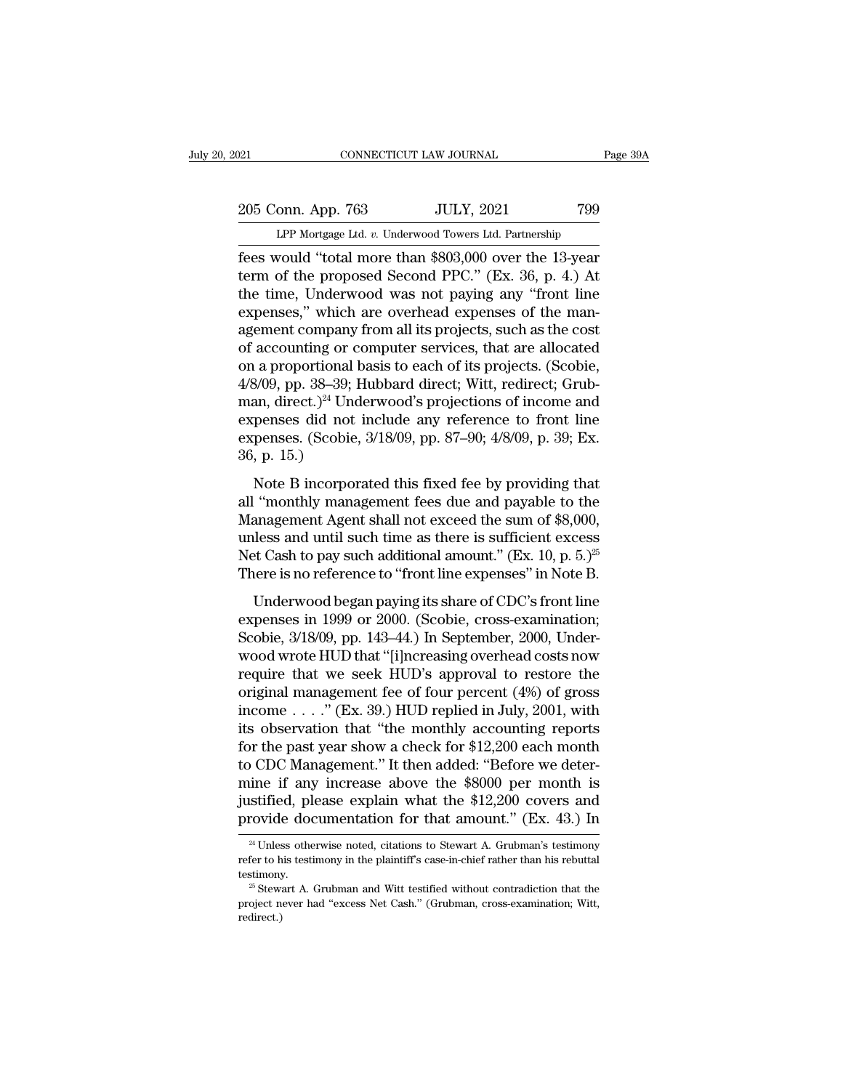# 205 Conn. App. 763 JULY, 2021 799<br>Per Mortgage Ltd. v. Underwood Towers Ltd. Partnership CONNECTICUT LAW JOURNAL Page 39A<br>
205 Conn. App. 763 JULY, 2021 799<br>
LPP Mortgage Ltd. *v.* Underwood Towers Ltd. Partnership<br>
fees would "total more than \$803,000 over the 13-year

Fage 39A<br>
1921 CONNECTICUT LAW JOURNAL Page 39A<br>
1999 LPP Mortgage Ltd. v. Underwood Towers Ltd. Partnership<br>
1999 EPP Mortgage Ltd. v. Underwood Towers Ltd. Partnership<br>
1999 Fees would "total more than \$803,000 over the 205 Conn. App. 763 JULY, 2021 799<br>
LPP Mortgage Ltd. v. Underwood Towers Ltd. Partnership<br>
fees would "total more than \$803,000 over the 13-year<br>
term of the proposed Second PPC." (Ex. 36, p. 4.) At<br>
the time, Underwood wa 205 Conn. App. 763 JULY, 2021 799<br>
LPP Mortgage Ltd. v. Underwood Towers Ltd. Partnership<br>
fees would "total more than \$803,000 over the 13-year<br>
term of the proposed Second PPC." (Ex. 36, p. 4.) At<br>
the time, Underwood wa 205 Conn. App. 763 JULY, 2021 799<br>
LPP Mortgage Ltd. v. Underwood Towers Ltd. Partnership<br>
fees would "total more than \$803,000 over the 13-year<br>
term of the proposed Second PPC." (Ex. 36, p. 4.) At<br>
the time, Underwood wa LPP Mortgage Ltd. v. Underwood Towers Ltd. Partnership<br>fees would "total more than \$803,000 over the 13-year<br>term of the proposed Second PPC." (Ex. 36, p. 4.) At<br>the time, Underwood was not paying any "front line<br>expenses, LPP Mortgage Ltd. v. Underwood Towers Ltd. Partnership<br>fees would "total more than \$803,000 over the 13-year<br>term of the proposed Second PPC." (Ex. 36, p. 4.) At<br>the time, Underwood was not paying any "front line<br>expenses fees would "total more than \$803,000 over the 13-year<br>term of the proposed Second PPC." (Ex. 36, p. 4.) At<br>the time, Underwood was not paying any "front line<br>expenses," which are overhead expenses of the man-<br>agement comp term of the proposed Second PPC." (Ex. 36, p. 4.) At<br>the time, Underwood was not paying any "front line<br>expenses," which are overhead expenses of the man-<br>agement company from all its projects, such as the cost<br>of account the time, Underwood was not paying any "front line<br>expenses," which are overhead expenses of the man-<br>agement company from all its projects, such as the cost<br>of accounting or computer services, that are allocated<br>on a pro expenses," which are overhead expenses of the man-<br>agement company from all its projects, such as the cost<br>of accounting or computer services, that are allocated<br>on a proportional basis to each of its projects. (Scobie,<br>4/ agement company from all its projects, such as the cost<br>of accounting or computer services, that are allocated<br>on a proportional basis to each of its projects. (Scobie,<br>4/8/09, pp. 38–39; Hubbard direct; Witt, redirect; Gr % of accounting or o<br>
on a proportional<br>  $4/8/09$ , pp. 38–39;<br>
man, direct.)<sup>24</sup> Une<br>
expenses did not<br>
expenses. (Scobie<br>
36, p. 15.)<br>
Note B incorpo:  $\frac{1}{8}$ /09, pp. 38–39; Hubbard direct; Witt, redirect; Grub-<br>an, direct.)<sup>24</sup> Underwood's projections of income and<br>penses did not include any reference to front line<br>penses. (Scobie, 3/18/09, pp. 87–90; 4/8/09, p. 39; all ''monthly management fees due and payable to the<br>Mann, direct.)<sup>24</sup> Underwood's projections of income and<br>expenses. (Scobie,  $3/18/09$ , pp.  $87-90$ ;  $4/8/09$ , p.  $39$ ; Ex.<br> $36$ , p.  $15$ .)<br>Note B incorporated this fixe

Examples and not include any reference to front line<br>expenses. (Scobie, 3/18/09, pp. 87–90; 4/8/09, p. 39; Ex.<br>36, p. 15.)<br>Note B incorporated this fixed fee by providing that<br>all "monthly management fees due and payable expenses and not include any reference to from the<br>expenses. (Scobie, 3/18/09, pp. 87–90; 4/8/09, p. 39; Ex.<br>36, p. 15.)<br>Note B incorporated this fixed fee by providing that<br>all "monthly management fees due and payable to Mote B incorporated this fixed fee by providing that all "monthly management fees due and payable to the Management Agent shall not exceed the sum of \$8,000, unless and until such time as there is sufficient excess Net Ca Note B incorporated this fixed fee by providing that<br>all "monthly management fees due and payable to the<br>Management Agent shall not exceed the sum of \$8,000,<br>unless and until such time as there is sufficient excess<br>Net Ca The controller in the same of CDC's fronting and<br>
"monthly management fees due and payable to the<br>
anagement Agent shall not exceed the sum of \$8,000,<br>
lless and until such time as there is sufficient excess<br>
et Cash to p Management Agent shall not exceed the sum of \$8,000,<br>unless and until such time as there is sufficient excess<br>Net Cash to pay such additional amount." (Ex. 10, p. 5.)<sup>25</sup><br>There is no reference to "front line expenses" in

Sand until such time as there is sufficient excess<br>Net Cash to pay such additional amount." (Ex. 10, p. 5.)<sup>25</sup><br>There is no reference to "front line expenses" in Note B.<br>Underwood began paying its share of CDC's front lin Met Cash to pay such additional amount." (Ex. 10, p. 5.)<sup>25</sup><br>There is no reference to "front line expenses" in Note B.<br>Underwood began paying its share of CDC's front line<br>expenses in 1999 or 2000. (Scobie, cross-examinat There is no reference to "front line expenses" in Note B.<br>
Underwood began paying its share of CDC's front line<br>
expenses in 1999 or 2000. (Scobie, cross-examination;<br>
Scobie, 3/18/09, pp. 143–44.) In September, 2000, Und Underwood began paying its share of CDC's front line<br>expenses in 1999 or 2000. (Scobie, cross-examination;<br>Scobie, 3/18/09, pp. 143–44.) In September, 2000, Under-<br>wood wrote HUD that "[i]ncreasing overhead costs now<br>requ Underwood began paying its share of CDC's front line<br>expenses in 1999 or 2000. (Scobie, cross-examination;<br>Scobie, 3/18/09, pp. 143–44.) In September, 2000, Under-<br>wood wrote HUD that "[i]ncreasing overhead costs now<br>requi expenses in 1999 or 2000. (Scobie, cross-examination;<br>Scobie, 3/18/09, pp. 143–44.) In September, 2000, Under-<br>wood wrote HUD that "[i]ncreasing overhead costs now<br>require that we seek HUD's approval to restore the<br>origina Scobie, 3/18/09, pp. 143–44.) In September, 2000, Under-<br>wood wrote HUD that "[i]ncreasing overhead costs now<br>require that we seek HUD's approval to restore the<br>original management fee of four percent (4%) of gross<br>income wood wrote HUD that "[i]ncreasing overhead costs now<br>require that we seek HUD's approval to restore the<br>original management fee of four percent  $(4\%)$  of gross<br>income . . . ." (Ex. 39.) HUD replied in July, 2001, with<br>its require that we seek HUD's approval to restore the<br>original management fee of four percent (4%) of gross<br>income . . . ." (Ex. 39.) HUD replied in July, 2001, with<br>its observation that "the monthly accounting reports<br>for t original management fee of four percent  $(4%)$  of gross<br>income . . . ." (Ex. 39.) HUD replied in July, 2001, with<br>its observation that "the monthly accounting reports<br>for the past year show a check for \$12,200 each month<br>t income . . . ." (Ex. 39.) HUD replied in July, 2001, with<br>its observation that "the monthly accounting reports<br>for the past year show a check for \$12,200 each month<br>to CDC Management." It then added: "Before we deter-<br>min mine if any increase above the \$8000 per month is<br>justified, please explain what the \$12,200 covers and<br>provide documentation for that amount." (Ex. 43.) In<br> $\frac{24 \text{ Unless otherwise noted, citations to Stewart A. Grubman's testimony}}{24 \text{ Unless otherwise noted, citations to Stewart A. Grubman's testimony}}$ 

justified, please explain what the \$12,200 covers and<br>provide documentation for that amount." (Ex. 43.) In<br> $\frac{24 \text{ Unless otherwise noted, citations to Stewart A. Grubman's testimony}}{24 \text{ The probability of the plaintiff's case-in-chief rather than his robust to the behavior of the patient.}$ <br>testimony. testimony. provide documentation for that amount." (Ex. 43.) In<br>
<sup>24</sup> Unless otherwise noted, citations to Stewart A. Grubman's testimony<br>
refer to his testimony in the plaintiff's case-in-chief rather than his rebuttal<br>
testimony.<br>  $24$  Unless otherwise noted, citations to Stewart A. Grubman's testimony

redirect.)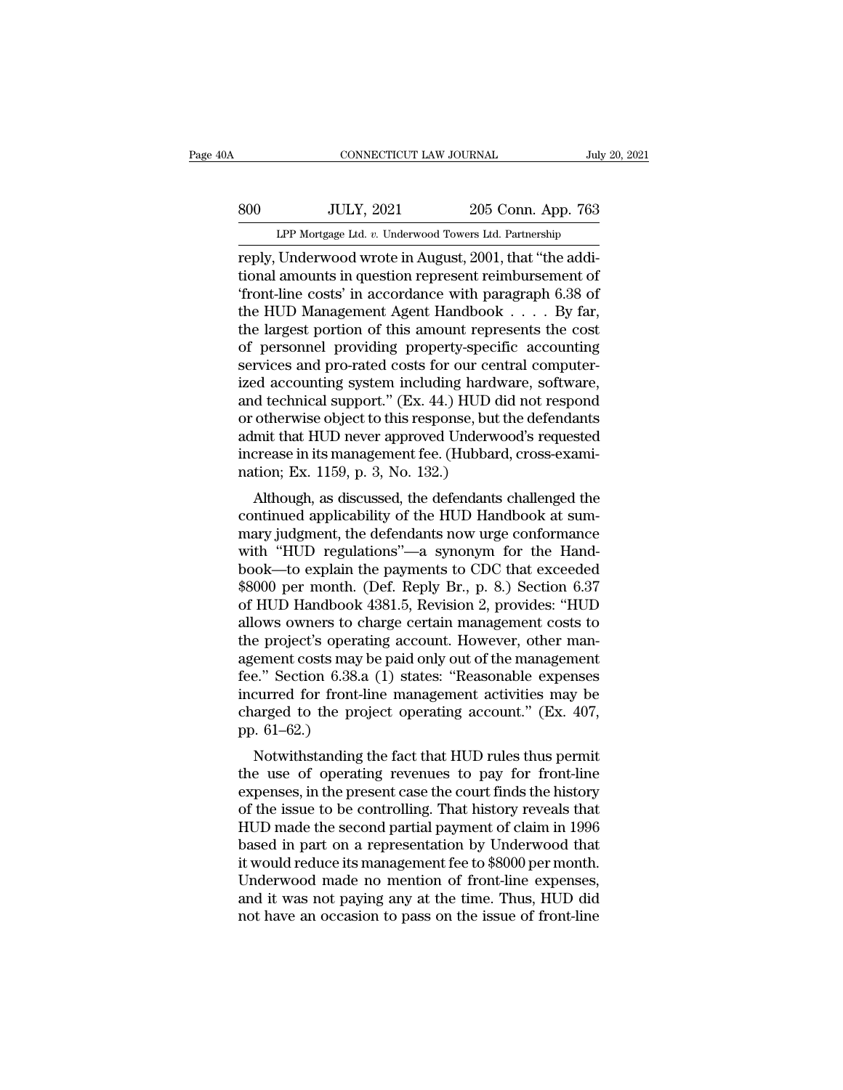# EXECUTE CONNECTICUT LAW JOURNAL July 20, 2021<br>800 JULY, 2021 205 Conn. App. 763<br>11 LPP Mortgage Ltd. v. Underwood Towers Ltd. Partnership CONNECTICUT LAW JOURNAL July 20, 2021<br>
<u>Sudy 20, 2021</u><br>
LPP Mortgage Ltd. *v.* Underwood Towers Ltd. Partnership<br>
Teply, Underwood wrote in August, 2001, that "the addi-

CONNECTICUT LAW JOURNAL<br>
SOO JULY, 2021 205 Conn. App. 763<br>
LPP Mortgage Ltd. v. Underwood Towers Ltd. Partnership<br>
reply, Underwood wrote in August, 2001, that "the addi-<br>
tional amounts in question represent reimbursemen SOO JULY, 2021 205 Conn. App. 763<br>
LPP Mortgage Ltd. v. Underwood Towers Ltd. Partnership<br>
reply, Underwood wrote in August, 2001, that "the addi-<br>
tional amounts in question represent reimbursement of<br>
"front-line costs" SOO JULY, 2021 205 Conn. App. 763<br>
LPP Mortgage Ltd. v. Underwood Towers Ltd. Partnership<br>
reply, Underwood wrote in August, 2001, that "the addi-<br>
tional amounts in question represent reimbursement of<br>
"front-line costs" SOO JULY, 2021 205 Conn. App. 763<br>
LPP Mortgage Ltd. v. Underwood Towers Ltd. Partnership<br>
reply, Underwood wrote in August, 2001, that "the addi-<br>
tional amounts in question represent reimbursement of<br>
"front-line costs" LPP Mortgage Ltd. v. Underwood Towers Ltd. Partnership<br>reply, Underwood wrote in August, 2001, that "the addi-<br>tional amounts in question represent reimbursement of<br>"front-line costs" in accordance with paragraph 6.38 of<br> LPP Mortgage Ltd.  $v$ . Underwood Towers Ltd. Partnership<br>reply, Underwood wrote in August, 2001, that "the addi-<br>tional amounts in question represent reimbursement of<br>"front-line costs" in accordance with paragraph 6.38 o reply, Underwood wrote in August, 2001, that "the additional amounts in question represent reimbursement of "front-line costs" in accordance with paragraph 6.38 of the HUD Management Agent Handbook  $\ldots$ . By far, the larg tional amounts in question represent reimbursement of<br>
"front-line costs" in accordance with paragraph  $6.38$  of<br>
the HUD Management Agent Handbook  $\ldots$ . By far,<br>
the largest portion of this amount represents the cost<br>
o "<br>
"front-line costs" in accordance with paragraph 6.38 of<br>
the HUD Management Agent Handbook . . . . By far,<br>
the largest portion of this amount represents the cost<br>
of personnel providing property-specific accounting<br>
s the HUD Management Agent Handbook . . . . By far,<br>the largest portion of this amount represents the cost<br>of personnel providing property-specific accounting<br>services and pro-rated costs for our central computer-<br>ized accou the largest portion of this amount represents the cost<br>of personnel providing property-specific accounting<br>services and pro-rated costs for our central computer-<br>ized accounting system including hardware, software,<br>and tec of personnel providing property-specific accounting<br>services and pro-rated costs for our central computer-<br>ized accounting system including hardware, software,<br>and technical support." (Ex. 44.) HUD did not respond<br>or other services and pro-rated costs for our cendized accounting system including hard<br>and technical support." (Ex. 44.) HUD dor otherwise object to this response, but<br>admit that HUD never approved Underwi<br>increase in its manageme Ex. 44.) HUD did not respond<br>dechnical support." (Ex. 44.) HUD did not respond<br>otherwise object to this response, but the defendants<br>mit that HUD never approved Underwood's requested<br>crease in its management fee. (Hubbard, and technical support. (Ex. 44.) HOD did not respond<br>or otherwise object to this response, but the defendants<br>admit that HUD never approved Underwood's requested<br>increase in its management fee. (Hubbard, cross-exami-<br>natio

or other wise object to this response, but the defendants<br>admit that HUD never approved Underwood's requested<br>increase in its management fee. (Hubbard, cross-exami-<br>nation; Ex. 1159, p. 3, No. 132.)<br>Although, as discussed, admit that HOD flever approved Onderwood's requested<br>increase in its management fee. (Hubbard, cross-exami-<br>nation; Ex. 1159, p. 3, No. 132.)<br>Although, as discussed, the defendants challenged the<br>continued applicability of mation; Ex. 1159, p. 3, No. 132.)<br>
Although, as discussed, the defendants challenged the<br>
continued applicability of the HUD Handbook at sum-<br>
mary judgment, the defendants now urge conformance<br>
with "HUD regulations"—a sy Although, as discussed, the defendants challenged the<br>continued applicability of the HUD Handbook at sum-<br>mary judgment, the defendants now urge conformance<br>with "HUD regulations"—a synonym for the Hand-<br>book—to explain th Although, as discussed, the defendants challenged the<br>continued applicability of the HUD Handbook at sum-<br>mary judgment, the defendants now urge conformance<br>with "HUD regulations"—a synonym for the Hand-<br>book—to explain th continued applicability of the HUD Handbook at sum-<br>mary judgment, the defendants now urge conformance<br>with "HUD regulations"—a synonym for the Hand-<br>book—to explain the payments to CDC that exceeded<br>\$8000 per month. (Def. mary judgment, the defendants now urge conformance<br>with "HUD regulations"—a synonym for the Hand-<br>book—to explain the payments to CDC that exceeded<br>\$8000 per month. (Def. Reply Br., p. 8.) Section 6.37<br>of HUD Handbook 4381 with "HUD regulations"—a synonym for the Hand-<br>book—to explain the payments to CDC that exceeded<br>\$8000 per month. (Def. Reply Br., p. 8.) Section 6.37<br>of HUD Handbook 4381.5, Revision 2, provides: "HUD<br>allows owners to cha book—to explain the payments to CDC that exceeded<br>\$8000 per month. (Def. Reply Br., p. 8.) Section 6.37<br>of HUD Handbook 4381.5, Revision 2, provides: "HUD<br>allows owners to charge certain management costs to<br>the project's o \$8000 per month. (Def. Reply Br., p. 8.) Section 6.37<br>of HUD Handbook 4381.5, Revision 2, provides: "HUD<br>allows owners to charge certain management costs to<br>the project's operating account. However, other man-<br>agement cos of HUD Handbook 4381.5, Revision 2, provides: "HUD<br>allows owners to charge certain management costs to<br>the project's operating account. However, other man-<br>agement costs may be paid only out of the management<br>fee." Section allows owners to charge certain management costs to<br>the project's operating account. However, other man-<br>agement costs may be paid only out of the management<br>fee." Section 6.38.a (1) states: "Reasonable expenses<br>incurred f e project's operating account. Trowever, other man-<br>ement costs may be paid only out of the management<br>e." Section 6.38.a (1) states: "Reasonable expenses<br>curred for front-line management activities may be<br>arged to the pro agement costs may be paid only out of the management<br>fee." Section 6.38.a (1) states: "Reasonable expenses<br>incurred for front-line management activities may be<br>charged to the project operating account." (Ex. 407,<br>pp. 61–62

ree. Section 0.55.a (1) states. Reasonable experises<br>incurred for front-line management activities may be<br>charged to the project operating account." (Ex. 407,<br>pp. 61–62.)<br>Notwithstanding the fact that HUD rules thus permit metured for front-life management activities may be<br>charged to the project operating account." (Ex. 407,<br>pp. 61–62.)<br>Notwithstanding the fact that HUD rules thus permit<br>the use of operating revenues to pay for front-line<br>e Final get to the project operating account.  $(Ex. 407, pp. 61–62.)$ <br>Notwithstanding the fact that HUD rules thus permit<br>the use of operating revenues to pay for front-line<br>expenses, in the present case the court finds the his pp. 01–02.)<br>Notwithstanding the fact that HUD rules thus permit<br>the use of operating revenues to pay for front-line<br>expenses, in the present case the court finds the history<br>of the issue to be controlling. That history rev Notwithstanding the fact that HUD rules thus permit<br>the use of operating revenues to pay for front-line<br>expenses, in the present case the court finds the history<br>of the issue to be controlling. That history reveals that<br>HU the use of operating revenues to pay for front-line<br>expenses, in the present case the court finds the history<br>of the issue to be controlling. That history reveals that<br>HUD made the second partial payment of claim in 1996<br>b expenses, in the present case the court finds the history<br>of the issue to be controlling. That history reveals that<br>HUD made the second partial payment of claim in 1996<br>based in part on a representation by Underwood that<br>i of the issue to be controlling. That history reveals that HUD made the second partial payment of claim in 1996 based in part on a representation by Underwood that it would reduce its management fee to \$8000 per month. Unde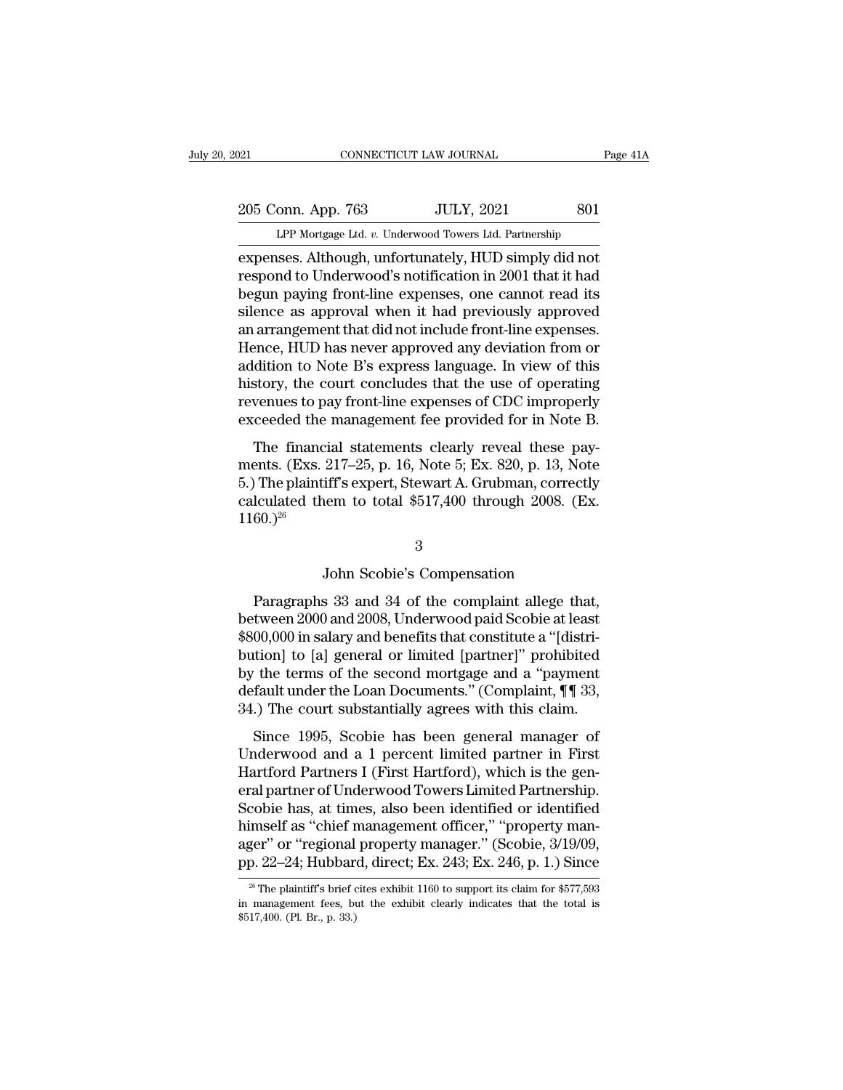# 205 Conn. App. 763 JULY, 2021 801<br>PP Mortgage Ltd. v. Underwood Towers Ltd. Partnership Experience CONNECTICUT LAW JOURNAL Page 41A<br>
205 Conn. App. 763 JULY, 2021 801<br>
LPP Mortgage Ltd. *v.* Underwood Towers Ltd. Partnership<br>
expenses. Although, unfortunately, HUD simply did not

expenses. Although, unfortunately, HUD simply did not<br>expenses. Although, unfortunately, HUD simply did not<br>respond to Underwood's notification in 2001 that it had<br>bogun poving front line expenses, one cannot read its 205 Conn. App. 763 JULY, 2021 801<br>LPP Mortgage Ltd. v. Underwood Towers Ltd. Partnership<br>expenses. Although, unfortunately, HUD simply did not<br>respond to Underwood's notification in 2001 that it had<br>begun paying front-line 205 Conn. App. 763 JULY, 2021 801<br>LPP Mortgage Ltd. v. Underwood Towers Ltd. Partnership<br>expenses. Although, unfortunately, HUD simply did not<br>respond to Underwood's notification in 2001 that it had<br>begun paying front-line 205 Conn. App. 763 JULY, 2021 801<br>
LPP Mortgage Ltd. v. Underwood Towers Ltd. Partnership<br>
expenses. Although, unfortunately, HUD simply did not<br>
respond to Underwood's notification in 2001 that it had<br>
begun paying front-LPP Mortgage Ltd. *v.* Underwood Towers Ltd. Partnership<br>expenses. Although, unfortunately, HUD simply did not<br>respond to Underwood's notification in 2001 that it had<br>begun paying front-line expenses, one cannot read its<br>s LPP Mortgage Ltd. v. Underwood Towers Ltd. Partnership<br>expenses. Although, unfortunately, HUD simply did not<br>respond to Underwood's notification in 2001 that it had<br>begun paying front-line expenses, one cannot read its<br>sil expenses. Although, unfortunately, HUD simply did not<br>respond to Underwood's notification in 2001 that it had<br>begun paying front-line expenses, one cannot read its<br>silence as approval when it had previously approved<br>an arr respond to Underwood's notification in 2001 that it had<br>begun paying front-line expenses, one cannot read its<br>silence as approval when it had previously approved<br>an arrangement that did not include front-line expenses.<br>Hen begun paying front-line expenses, one cannot read its<br>silence as approval when it had previously approved<br>an arrangement that did not include front-line expenses.<br>Hence, HUD has never approved any deviation from or<br>additio silence as approval when it had previously approved<br>an arrangement that did not include front-line expenses.<br>Hence, HUD has never approved any deviation from or<br>addition to Note B's express language. In view of this<br>histor Financial statements clearly reveal these pay-<br>The financial statements chemical statement of this<br>story, the court concludes that the use of operating<br>venues to pay front-line expenses of CDC improperly<br>ceeded the manage reflucts, HOD has never approved any deviation from or<br>addition to Note B's express language. In view of this<br>history, the court concludes that the use of operating<br>revenues to pay front-line expenses of CDC improperly<br>ex

maturion to 100c B 5 express magnage. In view of ans<br>history, the court concludes that the use of operating<br>revenues to pay front-line expenses of CDC improperly<br>exceeded the management fee provided for in Note B.<br>The fin revenues to pay front-line expenses of CDC improperly<br>exceeded the management fee provided for in Note B.<br>The financial statements clearly reveal these pay-<br>ments. (Exs. 217–25, p. 16, Note 5; Ex. 820, p. 13, Note<br>5.) The  $1160.$ <sup>26</sup> 217–25, p. 16, Note 5; Ex. 820, p. 13, Not<br>iff's expert, Stewart A. Grubman, correctl<br>tem to total \$517,400 through 2008. (E:<br>3<br>John Scobie's Compensation<br>s 33 and 34 of the complaint allege tha

## 3

Paragraphs 33 and 34 of the complaint allege that,<br>  $(2008)^{26}$ <br>  $\footnotesize$  John Scobie's Compensation<br>
Paragraphs 33 and 34 of the complaint allege that,<br>
tween 2000 and 2008, Underwood paid Scobie at least<br>
00.000 in selec  $(1160.)^{26}$ <br>3<br>John Scobie's Compensation<br>Paragraphs 33 and 34 of the complaint allege that,<br>between 2000 and 2008, Underwood paid Scobie at least<br>\$800,000 in salary and benefits that constitute a "[distri-<br>bution] to [a] <sup>3</sup><br>
3<br>
John Scobie's Compensation<br>
Paragraphs 33 and 34 of the complaint allege that,<br>
between 2000 and 2008, Underwood paid Scobie at least<br>
\$800,000 in salary and benefits that constitute a "[distri-<br>
bution] to [a] gen 3<br>
bohn Scobie's Compensation<br>
Paragraphs 33 and 34 of the complaint allege that,<br>
between 2000 and 2008, Underwood paid Scobie at least<br>
\$800,000 in salary and benefits that constitute a "[distri-<br>
bution] to [a] general John Scobie's Compensation<br>Paragraphs 33 and 34 of the complaint allege that,<br>between 2000 and 2008, Underwood paid Scobie at least<br> $$800,000$  in salary and benefits that constitute a "[distri-<br>bution] to [a] general or l Paragraphs 33 and 34 of the complaint allege that,<br>between 2000 and 2008, Underwood paid Scobie at least<br> $$800,000$  in salary and benefits that constitute a "[distri-<br>bution] to [a] general or limited [partner]" prohibite Paragraphs 33 and 34 of the complaint allege that,<br>between 2000 and 2008, Underwood paid Scobie at least<br>\$800,000 in salary and benefits that constitute a "[distri-<br>bution] to [a] general or limited [partner]" prohibited<br>b  $(00,000)$  in salary and benefits that constitute a "[distri-<br>tion] to [a] general or limited [partner]" prohibited<br>the terms of the second mortgage and a "payment<br>fault under the Loan Documents." (Complaint,  $\P$   $\P$  33,<br> bution] to [a] general or limited [partner]" prohibited<br>by the terms of the second mortgage and a "payment<br>default under the Loan Documents." (Complaint, ¶¶ 33,<br>34.) The court substantially agrees with this claim.<br>Since 19

budding to [a] general of inflated [partner] profits<br>to by the terms of the second mortgage and a "payment<br>default under the Loan Documents." (Complaint, ¶¶ 33,<br>34.) The court substantially agrees with this claim.<br>Since 19 by the terms of the second mortgage and a payment<br>default under the Loan Documents." (Complaint, ¶¶ 33,<br>34.) The court substantially agrees with this claim.<br>Since 1995, Scobie has been general manager of<br>Underwood and a 1 34.) The court substantially agrees with this claim.<br>
Since 1995, Scobie has been general manager of<br>
Underwood and a 1 percent limited partner in First<br>
Hartford Partners I (First Hartford), which is the general partner Since 1995, Scobie has been general manager of<br>Underwood and a 1 percent limited partner in First<br>Hartford Partners I (First Hartford), which is the general partner of Underwood Towers Limited Partnership.<br>Scobie has, at Since 1995, Scobie has been general manager of<br>Underwood and a 1 percent limited partner in First<br>Hartford Partners I (First Hartford), which is the general partner of Underwood Towers Limited Partnership.<br>Scobie has, at t Underwood and a 1 percent limited partner in First<br>Hartford Partners I (First Hartford), which is the gen-<br>eral partner of Underwood Towers Limited Partnership.<br>Scobie has, at times, also been identified or identified<br>hims Scobie has, at times, also been identified or identified<br>himself as "chief management officer," "property man-<br>ager" or "regional property manager." (Scobie, 3/19/09,<br>pp. 22–24; Hubbard, direct; Ex. 243; Ex. 246, p. 1.) S himself as "chief management officer," "property manager" or "regional property manager." (Scobie, 3/19/09, pp. 22–24; Hubbard, direct; Ex. 243; Ex. 246, p. 1.) Since  $\frac{1}{20}$  The plaintiff's brief cites exhibit 1160 to

ager" or "regional<br>pp. 22–24; Hubbar<br><sup>26</sup> The plaintiff's brief of<br>in management fees, bi<br>\$517,400. (Pl. Br., p. 33.)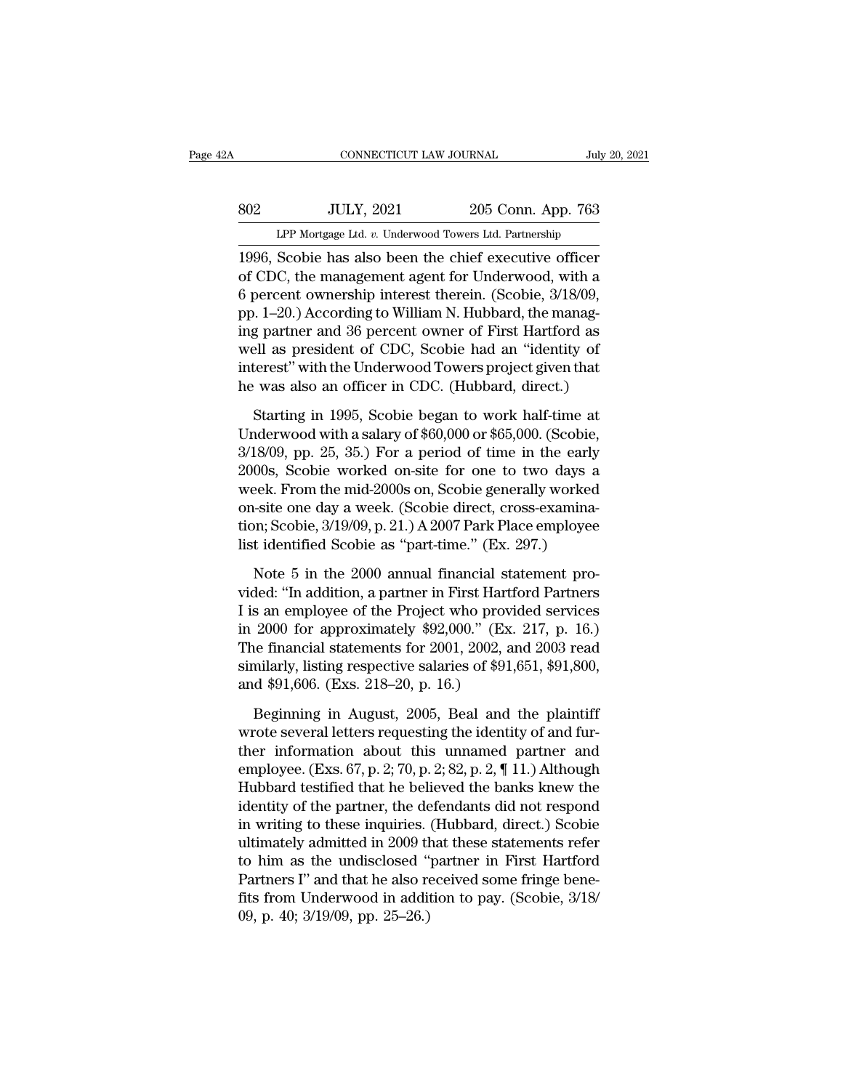# EXECUTE CONNECTICUT LAW JOURNAL July 20, 2021<br>802 JULY, 2021 205 Conn. App. 763<br>11 LPP Mortgage Ltd. v. Underwood Towers Ltd. Partnership CONNECTICUT LAW JOURNAL July 20, 2021<br>
205 Conn. App. 763<br>
LPP Mortgage Ltd. *v.* Underwood Towers Ltd. Partnership<br>
1996, Scobie has also been the chief executive officer

CONNECTICUT LAW JOURNAL July 20, 2021<br>
1996, Scobie has also been the chief executive officer<br>
1996, Scobie has also been the chief executive officer<br>
1996, Scobie has also been the chief executive officer<br>
1996, Scobie ha Sof CDC, the management agent for Underwood, with a<br>
term of CDC, the management agent for Underwood, with a<br>
the management agent for Underwood, with a<br>
the management agent for Underwood, with a<br>
the management agent for 802 JULY, 2021 205 Conn. App. 763<br>
LPP Mortgage Ltd. v. Underwood Towers Ltd. Partnership<br>
1996, Scobie has also been the chief executive officer<br>
of CDC, the management agent for Underwood, with a<br>
6 percent ownership int SO2 ULLY, 2021 205 Conn. App. 763<br>
LPP Mortgage Ltd. v. Underwood Towers Ltd. Partnership<br>
1996, Scobie has also been the chief executive officer<br>
of CDC, the management agent for Underwood, with a<br>
6 percent ownership int LPP Mortgage Ltd. v. Underwood Towers Ltd. Partnership<br>1996, Scobie has also been the chief executive officer<br>of CDC, the management agent for Underwood, with a<br>6 percent ownership interest therein. (Scobie, 3/18/09,<br>pp. 1 Let mongage Ltd. v. Underwood Towers Ltd. Fartnersing<br>1996, Scobie has also been the chief executive officer<br>of CDC, the management agent for Underwood, with a<br>6 percent ownership interest therein. (Scobie, 3/18/09,<br>pp. 1 1996, Scobie has also been the chief executive officer<br>of CDC, the management agent for Underwood, with a<br>6 percent ownership interest therein. (Scobie, 3/18/09,<br>pp. 1–20.) According to William N. Hubbard, the manag-<br>ing p of CDC, the management agent for Underwood, with a<br>6 percent ownership interest therein. (Scobie, 3/18/09,<br>pp. 1–20.) According to William N. Hubbard, the manag-<br>ing partner and 36 percent owner of First Hartford as<br>well a 9. 1–20.) According to William N. Hubbard, the manag-<br>g partner and 36 percent owner of First Hartford as<br>ell as president of CDC, Scobie had an "identity of<br>terest" with the Underwood Towers project given that<br>was also a ing partner and 36 percent owner of First Hartford as<br>well as president of CDC, Scobie had an "identity of<br>interest" with the Underwood Towers project given that<br>he was also an officer in CDC. (Hubbard, direct.)<br>Starting i

well as president of CDC, Scobie had an "identity of<br>interest" with the Underwood Towers project given that<br>he was also an officer in CDC. (Hubbard, direct.)<br>Starting in 1995, Scobie began to work half-time at<br>Underwood wi interest" with the Underwood Towers project given that<br>he was also an officer in CDC. (Hubbard, direct.)<br>Starting in 1995, Scobie began to work half-time at<br>Underwood with a salary of \$60,000 or \$65,000. (Scobie,<br>3/18/09, he was also an officer in CDC. (Hubbard, direct.)<br>Starting in 1995, Scobie began to work half-time at<br>Underwood with a salary of  $$60,000$  or  $$65,000$ . (Scobie,<br> $3/18/09$ , pp. 25, 35.) For a period of time in the early<br>Starting in 1995, Scobie began to work half-time at Underwood with a salary of \$60,000 or \$65,000. (Scobie,  $3/18/09$ , pp. 25, 35.) For a period of time in the early 2000s, Scobie worked on-site for one to two days a week Starting in 1995, Scobie began to work half-time at<br>Underwood with a salary of \$60,000 or \$65,000. (Scobie,<br>3/18/09, pp. 25, 35.) For a period of time in the early<br>2000s, Scobie worked on-site for one to two days a<br>week. F Underwood with a salary of \$60,000 or \$65,000. (Scobie, 3/18/09, pp. 25, 35.) For a period of time in the early 2000s, Scobie worked on-site for one to two days a week. From the mid-2000s on, Scobie generally worked on-sit 00s, Scobie worked on-site for one to two days a<br>eek. From the mid-2000s on, Scobie generally worked<br>isite one day a week. (Scobie direct, cross-examina-<br>on; Scobie,  $3/19/09$ , p. 21.) A 2007 Park Place employee<br>it identi week. From the mid-2000s on, Scobie generally worked<br>on-site one day a week. (Scobie direct, cross-examina-<br>tion; Scobie, 3/19/09, p. 21.) A 2007 Park Place employee<br>list identified Scobie as "part-time." (Ex. 297.)<br>Note

on-site one day a week. (Scobie direct, cross-examination; Scobie, 3/19/09, p. 21.) A 2007 Park Place employee<br>list identified Scobie as "part-time." (Ex. 297.)<br>Note 5 in the 2000 annual financial statement pro-<br>vided: "In tion; Scobie,  $3/19/09$ , p. 21.) A 2007 Park Place employee<br>list identified Scobie as "part-time." (Ex. 297.)<br>Note 5 in the 2000 annual financial statement pro-<br>vided: "In addition, a partner in First Hartford Partners<br>I list identified Scobie as "part-time." (Ex. 297.)<br>
Note 5 in the 2000 annual financial statement pro-<br>
vided: "In addition, a partner in First Hartford Partners<br>
I is an employee of the Project who provided services<br>
in 2 Note 5 in the 2000 annual financial statement provided: "In addition, a partner in First Hartford Partners I is an employee of the Project who provided services in 2000 for approximately \$92,000." (Ex. 217, p. 16.) The fin Note 5 in the 2000 annual financial st<br>vided: "In addition, a partner in First Hart!<br>I is an employee of the Project who provi<br>in 2000 for approximately \$92,000." (Ex.<br>The financial statements for 2001, 2002, a<br>similarly, s an employee of the Project who provided services<br>2000 for approximately \$92,000." (Ex. 217, p. 16.)<br>he financial statements for 2001, 2002, and 2003 read<br>milarly, listing respective salaries of \$91,651, \$91,800,<br>d \$91,60 in 2000 for approximately \$92,000." (Ex. 217, p. 16.)<br>The financial statements for 2001, 2002, and 2003 read<br>similarly, listing respective salaries of \$91,651, \$91,800,<br>and \$91,606. (Exs. 218–20, p. 16.)<br>Beginning in Augu

The financial statements for 2001, 2002, and 2003 read<br>similarly, listing respective salaries of \$91,651, \$91,800,<br>and \$91,606. (Exs. 218–20, p. 16.)<br>Beginning in August, 2005, Beal and the plaintiff<br>wrote several letters similarly, listing respective salaries of \$91,651, \$91,800,<br>and \$91,606. (Exs. 218–20, p. 16.)<br>Beginning in August, 2005, Beal and the plaintiff<br>wrote several letters requesting the identity of and fur-<br>ther information ab and \$91,606. (Exs. 218–20, p. 16.)<br>Beginning in August, 2005, Beal and the plaintiff<br>wrote several letters requesting the identity of and fur-<br>ther information about this unnamed partner and<br>employee. (Exs. 67, p. 2; 70, Beginning in August, 2005, Beal and the plaintiff<br>wrote several letters requesting the identity of and fur-<br>ther information about this unnamed partner and<br>employee. (Exs. 67, p. 2; 70, p. 2; 82, p. 2, ¶ 11.) Although<br>Hub Beginning in August, 2005, Beal and the plaintiff<br>wrote several letters requesting the identity of and fur-<br>ther information about this unnamed partner and<br>employee. (Exs. 67, p. 2; 70, p. 2; 82, p. 2, ¶ 11.) Although<br>Hub wrote several letters requesting the identity of and fur-<br>ther information about this unnamed partner and<br>employee. (Exs. 67, p. 2; 70, p. 2; 82, p. 2, ¶ 11.) Although<br>Hubbard testified that he believed the banks knew the<br> ther information about this unnamed partner and<br>employee. (Exs. 67, p. 2; 70, p. 2; 82, p. 2, ¶ 11.) Although<br>Hubbard testified that he believed the banks knew the<br>identity of the partner, the defendants did not respond<br>in employee. (Exs. 67, p. 2; 70, p. 2; 82, p. 2, ¶ 11.) Although<br>Hubbard testified that he believed the banks knew the<br>identity of the partner, the defendants did not respond<br>in writing to these inquiries. (Hubbard, direct.) Hubbard testified that he believed the banks knew the<br>identity of the partner, the defendants did not respond<br>in writing to these inquiries. (Hubbard, direct.) Scobie<br>ultimately admitted in 2009 that these statements refer identity of the partner, the de<br>in writing to these inquiries.<br>ultimately admitted in 2009 th<br>to him as the undisclosed "<br>Partners I" and that he also re<br>fits from Underwood in addii<br>09, p. 40; 3/19/09, pp. 25–26.)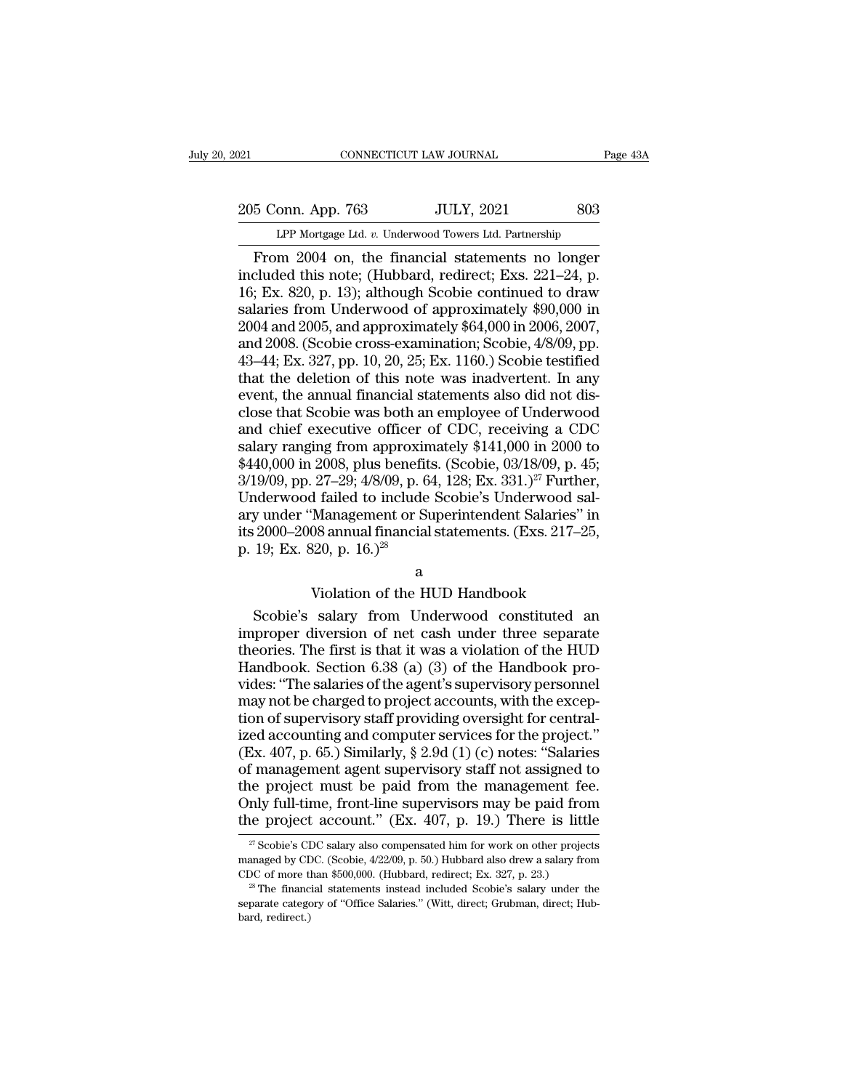205 Conn. App. 763 JULY, 2021 803<br>Per Mortgage Ltd. v. Underwood Towers Ltd. Partnership CONNECTICUT LAW JOURNAL Pa<br>
onn. App. 763 JULY, 2021 803<br>
LPP Mortgage Ltd. *v.* Underwood Towers Ltd. Partnership<br>
m 2004 on the financial statements no longer

CONNECTICUT LAW JOURNAL Page 43A<br>
5 Conn. App. 763 JULY, 2021 803<br>
LPP Mortgage Ltd. v. Underwood Towers Ltd. Partnership<br>
From 2004 on, the financial statements no longer<br>
cluded this note; (Hubbard, redirect; Exs. 221–24 205 Conn. App. 763 JULY, 2021 803<br>
LPP Mortgage Ltd. v. Underwood Towers Ltd. Partnership<br>
From 2004 on, the financial statements no longer<br>
included this note; (Hubbard, redirect; Exs. 221–24, p.<br>
16; Ex. 820, p. 13); alt 205 Conn. App. 763 JULY, 2021 803<br>
LPP Mortgage Ltd. v. Underwood Towers Ltd. Partnership<br>
From 2004 on, the financial statements no longer<br>
included this note; (Hubbard, redirect; Exs. 221–24, p.<br>
16; Ex. 820, p. 13); alt 205 Conn. App. 763 JULY, 2021 803<br>
LPP Mortgage Ltd. v. Underwood Towers Ltd. Partnership<br>
From 2004 on, the financial statements no longer<br>
included this note; (Hubbard, redirect; Exs. 221–24, p.<br>
16; Ex. 820, p. 13); alt LPP Mortgage Ltd. v. Underwood Towers Ltd. Partnership<br>
From 2004 on, the financial statements no longer<br>
included this note; (Hubbard, redirect; Exs. 221–24, p.<br>
16; Ex. 820, p. 13); although Scobie continued to draw<br>
sa LPP Mortgage Ltd.  $v$ . Underwood Towers Ltd. Partnership<br>
From 2004 on, the financial statements no longer<br>
included this note; (Hubbard, redirect; Exs. 221–24, p.<br>
16; Ex. 820, p. 13); although Scobie continued to draw<br> From 2004 on, the financial statements no longer<br>included this note; (Hubbard, redirect; Exs. 221–24, p.<br>16; Ex. 820, p. 13); although Scobie continued to draw<br>salaries from Underwood of approximately \$90,000 in<br>2004 and 2 included this note; (Hubbard, redirect; Exs. 221–24, p. 16; Ex. 820, p. 13); although Scobie continued to draw salaries from Underwood of approximately \$90,000 in 2004 and 2005, and approximately \$64,000 in 2006, 2007, an 16; Ex. 820, p. 13); although Scobie continued to draw<br>salaries from Underwood of approximately \$90,000 in<br>2004 and 2005, and approximately \$64,000 in 2006, 2007,<br>and 2008. (Scobie cross-examination; Scobie,  $4/8/09$ , pp. salaries from Underwood of approximately \$90,000 in<br>2004 and 2005, and approximately \$64,000 in 2006, 2007,<br>and 2008. (Scobie cross-examination; Scobie, 4/8/09, pp.<br>43–44; Ex. 327, pp. 10, 20, 25; Ex. 1160.) Scobie testifi 2004 and 2005, and approximately  $$64,000$  in 2006, 2007,<br>and 2008. (Scobie cross-examination; Scobie,  $4/8/09$ , pp.<br>43–44; Ex. 327, pp. 10, 20, 25; Ex. 1160.) Scobie testified<br>that the deletion of this note was inadverte and 2008. (Scobie cross-examination; Scobie,  $4/8/09$ , pp.<br>43–44; Ex. 327, pp. 10, 20, 25; Ex. 1160.) Scobie testified<br>that the deletion of this note was inadvertent. In any<br>event, the annual financial statements also did 43–44; Ex. 327, pp. 10, 20, 25; Ex. 1160.) Scobie testified<br>that the deletion of this note was inadvertent. In any<br>event, the annual financial statements also did not dis-<br>close that Scobie was both an employee of Underwo that the deletion of this note was inadvertent. In any<br>event, the annual financial statements also did not dis-<br>close that Scobie was both an employee of Underwood<br>and chief executive officer of CDC, receiving a CDC<br>salar event, the annual financial statements also did not disclose that Scobie was both an employee of Underwood and chief executive officer of CDC, receiving a CDC salary ranging from approximately \$141,000 in 2000 to \$440,000 close that Scobie was both an employee of Underwood<br>and chief executive officer of CDC, receiving a CDC<br>salary ranging from approximately \$141,000 in 2000 to<br>\$440,000 in 2008, plus benefits. (Scobie, 03/18/09, p. 45;<br>3/19/ and chief executive officer of CDC, receiving a CDC salary ranging from approximately \$141,000 in 2000 to \$440,000 in 2008, plus benefits. (Scobie, 03/18/09, p. 45; 3/19/09, pp. 27–29; 4/8/09, p. 64, 128; Ex. 331.)<sup>27</sup> Fu salary ranging from approxim<br>\$440,000 in 2008, plus benefit<br>\$440,000 in 2008, plus benefit<br> $3/19/09$ , pp. 27–29; 4/8/09, p. 6<br>Underwood failed to include<br>ary under "Management or St<br>its 2000–2008 annual financial<br>p. 19; E  $27-29$ ;  $478/09$ , p. 04, 128; Ex. 331.)<sup>2</sup>. Furtner,<br>if failed to include Scobie's Underwood sal-<br>Management or Superintendent Salaries" in<br>08 annual financial statements. (Exs. 217–25,<br>20, p. 16.)<sup>28</sup><br>a<br>Wiolation of the Moreover and the method is substituted and the substituted and the HUD Handbook<br>Scobie's salary from Underwood constituted and proper diversion of the HUD Handbook<br>Scobie's salary from Underwood constituted and proper div

## a

in the 2000–2008 annual financial statements. (Exs. 217–25,<br>p. 19; Ex. 820, p. 16.)<sup>28</sup><br>a<br>Violation of the HUD Handbook<br>Scobie's salary from Underwood constituted an<br>improper diversion of net cash under three separate<br>the theories. The first is that is that is that is that is that is that is that is that is that it was a violation of the HUD Handbook<br>different increases a violation of net cash under three separate<br>theories. The first is th a<br>
Wiolation of the HUD Handbook<br>
Scobie's salary from Underwood constituted an<br>
improper diversion of net cash under three separate<br>
theories. The first is that it was a violation of the HUD<br>
Handbook. Section 6.38 (a) (3 a<br>Violation of the HUD Handbook<br>Scobie's salary from Underwood constituted an<br>improper diversion of net cash under three separate<br>theories. The first is that it was a violation of the HUD<br>Handbook. Section 6.38 (a) (3) of Violation of the HUD Handbook<br>Scobie's salary from Underwood constituted an<br>improper diversion of net cash under three separate<br>theories. The first is that it was a violation of the HUD<br>Handbook. Section 6.38 (a) (3) of th Scobie's salary from Underwood constituted an<br>improper diversion of net cash under three separate<br>theories. The first is that it was a violation of the HUD<br>Handbook. Section 6.38 (a) (3) of the Handbook pro-<br>vides: "The s improper diversion of net cash under three separate<br>theories. The first is that it was a violation of the HUD<br>Handbook. Section 6.38 (a) (3) of the Handbook pro-<br>vides: "The salaries of the agent's supervisory personnel<br>m mapper and start in the case and start into separate theories. The first is that it was a violation of the HUD Handbook. Section 6.38 (a) (3) of the Handbook provides: "The salaries of the agent's supervisory personnel may Handbook. Section 6.38 (a) (3) of the Handbook provides: "The salaries of the agent's supervisory personnel<br>may not be charged to project accounts, with the excep-<br>tion of supervisory staff providing oversight for central Frances: "The salaries of the agent's supervisory personnel<br>may not be charged to project accounts, with the excep-<br>tion of supervisory staff providing oversight for central-<br>ized accounting and computer services for the The started to project accounts, with the exception of supervisory staff providing oversight for central-<br>ized accounting and computer services for the project."<br>(Ex. 407, p. 65.) Similarly, § 2.9d (1) (c) notes: "Salarie the project accounting oversight for central-<br>ized accounting and computer services for the project."<br>(Ex. 407, p. 65.) Similarly, § 2.9d (1) (c) notes: "Salaries<br>of management agent supervisory staff not assigned to<br>the of management agent supervisory staff not assigned to<br>the project must be paid from the management fee.<br>Only full-time, front-line supervisors may be paid from<br>the project account." (Ex. 407, p. 19.) There is little<br> $\frac{2$ the project must be paid from the management fee.<br>Only full-time, front-line supervisors may be paid from<br>the project account." (Ex. 407, p. 19.) There is little<br> $\frac{\pi}{2}$ Scobie's CDC salary also compensated him for work

Only full-time, front-line supervisors may be paid from<br>the project account." (Ex. 407, p. 19.) There is little<br> $\frac{1}{27}$  Scobie's CDC salary also compensated him for work on other projects<br>managed by CDC. (Scobie, 4/22/  $27$  Scobie's CDC salary also compensated him for work on other projects managed by CDC. (Scobie, 4/22/09, p. 50.) Hubbard also drew a salary from

the project account." (Ex. 407, p. 19.) There is little  $\frac{27}{7}$  Scobie's CDC salary also compensated him for work on other projects managed by CDC. (Scobie, 4/22/09, p. 50.) Hubbard also drew a salary from CDC of more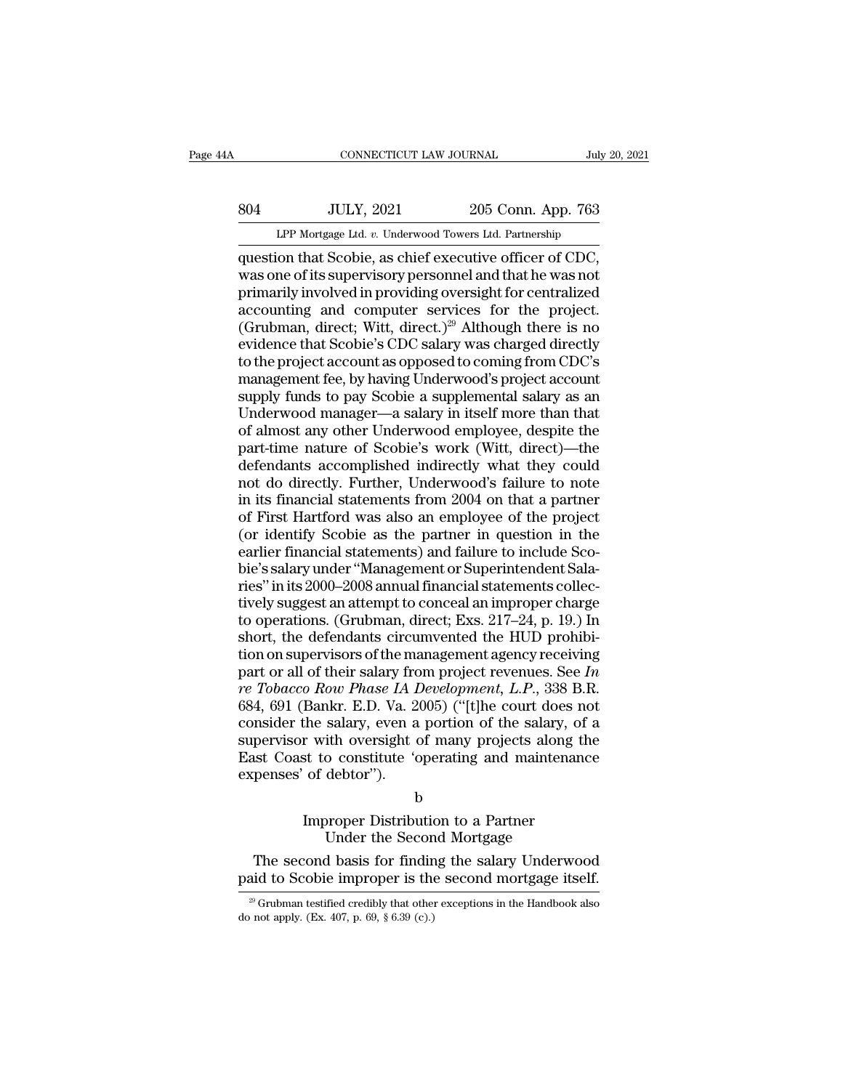# EXECUTE CONNECTICUT LAW JOURNAL July 20, 2021<br>804 JULY, 2021 205 Conn. App. 763<br>11 LPP Mortgage Ltd. v. Underwood Towers Ltd. Partnership CONNECTICUT LAW JOURNAL July 20, 2021<br>
205 Conn. App. 763<br>
LPP Mortgage Ltd. *v.* Underwood Towers Ltd. Partnership<br>
question that Scobie, as chief executive officer of CDC,

CONNECTICUT LAW JOURNAL July 20, 2<br>
SO4 JULY, 2021 205 Conn. App. 763<br>
LPP Mortgage Ltd. v. Underwood Towers Ltd. Partnership<br>
question that Scobie, as chief executive officer of CDC,<br>
was one of its supervisory personnel WH, 2021 205 Conn. App. 763<br>
LPP Mortgage Ltd. v. Underwood Towers Ltd. Partnership<br>
question that Scobie, as chief executive officer of CDC,<br>
was one of its supervisory personnel and that he was not<br>
primarily involved in 804 JULY, 2021 205 Conn. App. 763<br>
LPP Mortgage Ltd. v. Underwood Towers Ltd. Partnership<br>
question that Scobie, as chief executive officer of CDC,<br>
was one of its supervisory personnel and that he was not<br>
primarily invo  $\frac{304}{\text{LPP Mortgage Ltd. }v. \text{ Underwood Tours Ltd. Partership}}$ <br>
LPP Mortgage Ltd.  $v. \text{ Underwood Tours Ltd. Partership}}$ <br>
question that Scobie, as chief executive officer of CDC,<br>
was one of its supervisory personnel and that he was not<br>
primarily involved in providing LPP Mortgage Ltd. v. Underwood Towers Ltd. Partnership<br>question that Scobie, as chief executive officer of CDC,<br>was one of its supervisory personnel and that he was not<br>primarily involved in providing oversight for centra LPP Mortgage Ltd.  $v$ . Underwood Towers Ltd. Partnership<br>question that Scobie, as chief executive officer of CDC,<br>was one of its supervisory personnel and that he was not<br>primarily involved in providing oversight for cent question that Scobie, as chief executive officer of CDC,<br>was one of its supervisory personnel and that he was not<br>primarily involved in providing oversight for centralized<br>accounting and computer services for the project.<br> was one of its supervisory personnel and that he was not<br>primarily involved in providing oversight for centralized<br>accounting and computer services for the project.<br>(Grubman, direct; Witt, direct.)<sup>29</sup> Although there is n primarily involved in providing oversight for centralized<br>accounting and computer services for the project.<br>(Grubman, direct; Witt, direct.)<sup>29</sup> Although there is no<br>evidence that Scobie's CDC salary was charged directly<br>t accounting and computer services for the project.<br>(Grubman, direct; Witt, direct.)<sup>29</sup> Although there is no<br>evidence that Scobie's CDC salary was charged directly<br>to the project account as opposed to coming from CDC's<br>mana (Grubman, direct; Witt, direct.)<sup>29</sup> Although there is no<br>evidence that Scobie's CDC salary was charged directly<br>to the project account as opposed to coming from CDC's<br>management fee, by having Underwood's project account<br> evidence that Scobie's CDC salary was charged directly<br>to the project account as opposed to coming from CDC's<br>management fee, by having Underwood's project account<br>supply funds to pay Scobie a supplemental salary as an<br>Und to the project account as opposed to coming from CDC's<br>management fee, by having Underwood's project account<br>supply funds to pay Scobie a supplemental salary as an<br>Underwood manager—a salary in itself more than that<br>of alm management fee, by having Underwood's project account<br>supply funds to pay Scobie a supplemental salary as an<br>Underwood manager—a salary in itself more than that<br>of almost any other Underwood employee, despite the<br>part-time supply funds to pay Scobie a supplemental salary as an Underwood manager—a salary in itself more than that of almost any other Underwood employee, despite the part-time nature of Scobie's work (Witt, direct)—the defendants Underwood manager—a salary in itself more than that<br>of almost any other Underwood employee, despite the<br>part-time nature of Scobie's work (Witt, direct)—the<br>defendants accomplished indirectly what they could<br>not do directl of almost any other Underwood employee, despite the<br>part-time nature of Scobie's work (Witt, direct)—the<br>defendants accomplished indirectly what they could<br>not do directly. Further, Underwood's failure to note<br>in its finan part-time nature of Scobie's work (Witt, direct)—the<br>defendants accomplished indirectly what they could<br>not do directly. Further, Underwood's failure to note<br>in its financial statements from 2004 on that a partner<br>of First defendants accomplished indirectly what they could<br>not do directly. Further, Underwood's failure to note<br>in its financial statements from 2004 on that a partner<br>of First Hartford was also an employee of the project<br>(or ide not do directly. Further, Underwood's failure to note<br>
in its financial statements from 2004 on that a partner<br>
of First Hartford was also an employee of the project<br>
(or identify Scobie as the partner in question in the<br> in its financial statements from 2004 on that a partner<br>of First Hartford was also an employee of the project<br>(or identify Scobie as the partner in question in the<br>earlier financial statements) and failure to include Sco-<br> of First Hartford was also an employee of the project<br>(or identify Scobie as the partner in question in the<br>earlier financial statements) and failure to include Sco-<br>bie's salary under "Management or Superintendent Sala-<br>r (or identify Scobie as the partner in question in the earlier financial statements) and failure to include Scobie's salary under "Management or Superintendent Salaries" in its 2000–2008 annual financial statements collect earlier financial statements) and failure to include Sco-<br>bie's salary under "Management or Superintendent Sala-<br>ries" in its 2000–2008 annual financial statements collec-<br>tively suggest an attempt to conceal an improper bie's salary under "Management or Superintendent Sala-<br>ries" in its 2000–2008 annual financial statements collec-<br>tively suggest an attempt to conceal an improper charge<br>to operations. (Grubman, direct; Exs. 217–24, p. 19. ries" in its 2000–2008 annual financial statements collectively suggest an attempt to conceal an improper charge<br>to operations. (Grubman, direct; Exs. 217–24, p. 19.) In<br>short, the defendants circumvented the HUD prohibi-<br> tively suggest an attempt to conceal an improper charge<br>to operations. (Grubman, direct; Exs. 217–24, p. 19.) In<br>short, the defendants circumvented the HUD prohibi-<br>tion on supervisors of the management agency receiving<br>pa to operations. (Grubman, direct; Exs. 217–24, p. 19.) In<br>short, the defendants circumvented the HUD prohibi-<br>tion on supervisors of the management agency receiving<br>part or all of their salary from project revenues. See In short, the defendants circumvented the HUD prohibition on supervisors of the management agency receiving<br>part or all of their salary from project revenues. See In<br>re Tobacco Row Phase IA Development, L.P., 338 B.R.<br>684, 6 tion on supervisors of the management agency receiving<br>part or all of their salary from project revenues. See In<br>re Tobacco Row Phase IA Development, L.P., 338 B.R.<br>684, 691 (Bankr. E.D. Va. 2005) ("[t]he court does not<br>c part or all of their salary fro<br> *re Tobacco Row Phase IA 1*<br>
684, 691 (Bankr. E.D. Va. 2<br>
consider the salary, even a<br>
supervisor with oversight c<br>
East Coast to constitute 'c<br>
expenses' of debtor"). Bankr. E.D. va. 2009) (Type court does he<br>the salary, even a portion of the salary, of<br>r with oversight of many projects along the<br>st to constitute 'operating and maintenance<br>of debtor").<br>b<br>Improper Distribution to a Partn salary, even a portion of the salary, of<br>th oversight of many projects along to<br>constitute 'operating and maintenar<br>debtor'').<br>b<br>proper Distribution to a Partner<br>Under the Second Mortgage<br>d basis for finding the salary Und The second basis for finding and maintenance<br>penses' of debtor").<br>
b<br>
Improper Distribution to a Partner<br>
Under the Second Mortgage<br>
The second basis for finding the salary Underwood<br>
id to Scobie improper is the second mo

b

expenses' of debtor").<br>
b<br>
Improper Distribution to a Partner<br>
Under the Second Mortgage<br>
The second basis for finding the salary Underwood<br>
paid to Scobie improper is the second mortgage itself.<br>
<sup>29</sup> Grubman testified cr Improper Distribution to a Partner<br>
Under the Second Mortgage<br>
The second basis for finding the salary Underwood<br>
aid to Scobie improper is the second mortgage itself.<br>
<sup>29</sup> Grubman testified credibly that other exceptions Under the Second basis for findir paid to Scobie improper is the  $\frac{20}{20}$  Grubman testified credibly that other do not apply. (Ex. 407, p. 69, § 6.39 (c).)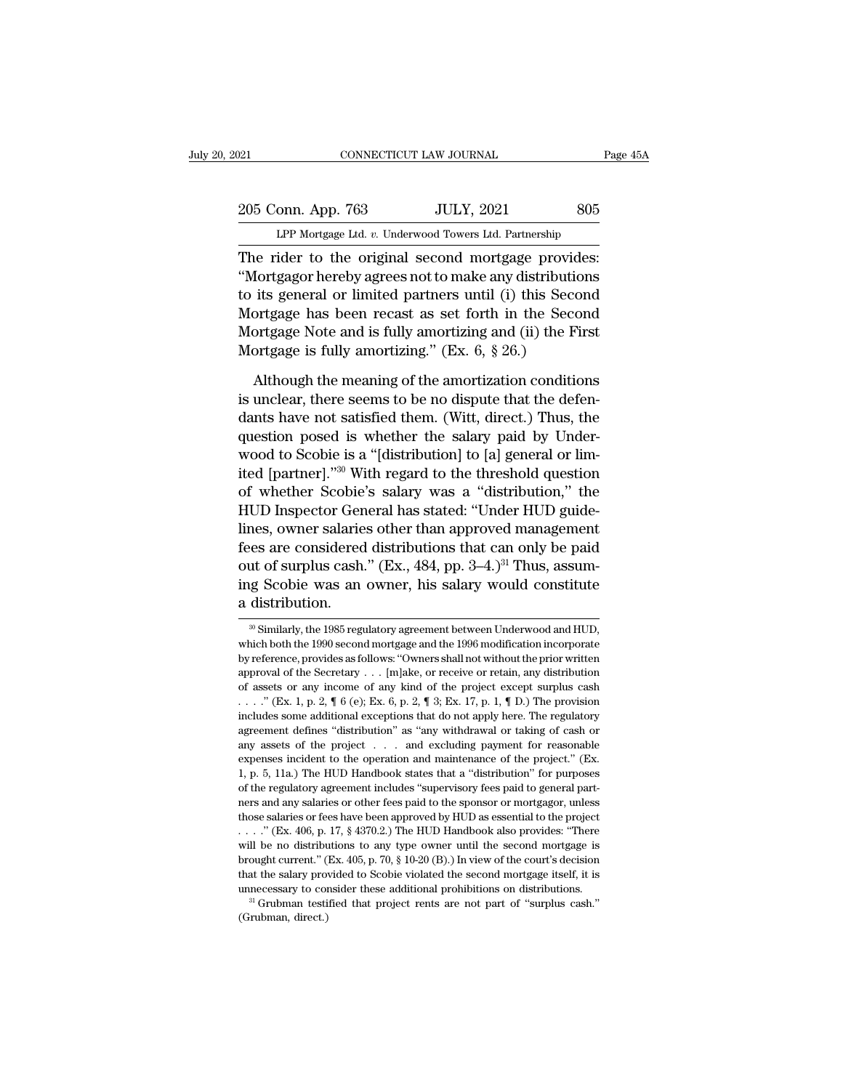# 205 Conn. App. 763 JULY, 2021 805<br>
LPP Mortgage Ltd. v. Underwood Towers Ltd. Partnership CONNECTICUT LAW JOURNAL Page 45A<br>
205 Conn. App. 763 JULY, 2021 805<br>
LPP Mortgage Ltd. *v.* Underwood Towers Ltd. Partnership<br>
The rider to the original second mortgage provides:

The rider to the original second mortgage provides:<br>
The rider to the original second mortgage provides:<br>
The rider to the original second mortgage provides:<br>
"Mortgagor hereby agrees not to make any distributions<br>
to its 205 Conn. App. 763 JULY, 2021 805<br>
LPP Mortgage Ltd. v. Underwood Towers Ltd. Partnership<br>
The rider to the original second mortgage provides:<br>
"Mortgagor hereby agrees not to make any distributions<br>
to its general or limi 205 Conn. App. 763 JULY, 2021 805<br>
LPP Mortgage Ltd. v. Underwood Towers Ltd. Partnership<br>
The rider to the original second mortgage provides:<br>
"Mortgagor hereby agrees not to make any distributions<br>
to its general or limi 205 Conn. App. 763 JULY, 2021 805<br>
LPP Mortgage Ltd. v. Underwood Towers Ltd. Partnership<br>
The rider to the original second mortgage provides:<br>
"Mortgagor hereby agrees not to make any distributions<br>
to its general or lim LPP Mortgage Ltd. v. Underwood Towers Ltd. Partnership<br>The rider to the original second mortgage provides:<br>"Mortgagor hereby agrees not to make any distributions<br>to its general or limited partners until (i) this Second<br>Mor The rider to the original second mortgage provid<br>
"Mortgagor hereby agrees not to make any distributio<br>
to its general or limited partners until (i) this Second<br>
Mortgage has been recast as set forth in the Second<br>
Mortga fortgagor hereby agrees not to make any distributions<br>its general or limited partners until (i) this Second<br>ortgage has been recast as set forth in the Second<br>ortgage Note and is fully amortizing and (ii) the First<br>ortgag to its general or limited partners until (i) this Second<br>Mortgage has been recast as set forth in the Second<br>Mortgage Note and is fully amortizing and (ii) the First<br>Mortgage is fully amortizing." (Ex. 6, § 26.)<br>Although t

Mortgage has been recast as set forth in the Second<br>Mortgage Note and is fully amortizing and (ii) the First<br>Mortgage is fully amortizing." (Ex. 6, § 26.)<br>Although the meaning of the amortization conditions<br>is unclear, the Mortgage Note and is fully amortizing and (ii) the First<br>Mortgage is fully amortizing." (Ex. 6, § 26.)<br>Although the meaning of the amortization conditions<br>is unclear, there seems to be no dispute that the defen-<br>dants hav Mortgage is fully amortizing." (Ex. 6, § 26.)<br>Although the meaning of the amortization conditions<br>is unclear, there seems to be no dispute that the defen-<br>dants have not satisfied them. (Witt, direct.) Thus, the<br>question Although the meaning of the amortization conditions<br>is unclear, there seems to be no dispute that the defen-<br>dants have not satisfied them. (Witt, direct.) Thus, the<br>question posed is whether the salary paid by Under-<br>woo Although the meaning of the amortization conditions<br>is unclear, there seems to be no dispute that the defen-<br>dants have not satisfied them. (Witt, direct.) Thus, the<br>question posed is whether the salary paid by Under-<br>wood is unclear, there seems to be no dispute that the defendants have not satisfied them. (Witt, direct.) Thus, the question posed is whether the salary paid by Underwood to Scobie is a "[distribution] to [a] general or limite dants have not satisfied them. (Witt, direct.) Thus, the<br>question posed is whether the salary paid by Under-<br>wood to Scobie is a "[distribution] to [a] general or lim-<br>ited [partner]."<sup>30</sup> With regard to the threshold que question posed is whether the salary paid by Under-<br>wood to Scobie is a "[distribution] to [a] general or lim-<br>ited [partner]."<sup>30</sup> With regard to the threshold question<br>of whether Scobie's salary was a "distribution," the wood to Scobie is a "[distribution] to [a] general or lim-<br>ited [partner]."<sup>30</sup> With regard to the threshold question<br>of whether Scobie's salary was a "distribution," the<br>HUD Inspector General has stated: "Under HUD guideited [partner]."<sup>30</sup> With regard to the threshold question<br>of whether Scobie's salary was a "distribution," the<br>HUD Inspector General has stated: "Under HUD guide-<br>lines, owner salaries other than approved management<br>fees of whether Scobie<br>HUD Inspector Ger<br>lines, owner salarie<br>fees are considered<br>out of surplus cash.<br>ing Scobie was an<br>a distribution.<br>with similarly, the 1985 regu fees are considered distributions that can only be paid<br>out of surplus cash." (Ex., 484, pp. 3–4.)<sup>31</sup> Thus, assum-<br>ing Scobie was an owner, his salary would constitute<br>a distribution.<br> $\frac{1}{20}$  Similarly, the 1985 regul out of surplus cash." (Ex., 484, pp. 3–4.)<sup>31</sup> Thus, assuming Scobie was an owner, his salary would constitute<br>a distribution.<br><sup>30</sup> Similarly, the 1985 regulatory agreement between Underwood and HUD, which both the 1990 se

ing Scobie was an owner, his salary would constitute<br>a distribution.<br> $\frac{1}{20}$  Similarly, the 1985 regulatory agreement between Underwood and HUD,<br>which both the 1990 second mortgage and the 1996 modification incorporate a distribution.<br>
<sup>30</sup> Similarly, the 1985 regulatory agreement between Underwood and HUD, which both the 1990 second mortgage and the 1996 modification incorporate by reference, provides as follows: "Owners shall not with  $\frac{1}{\sqrt{2}}$  assumed of any set and the 1985 regulatory agreement between Underwood and HUD, which both the 1990 second mortgage and the 1996 modification incorporate by reference, provides as follows: "Owners shall not w <sup>30</sup> Similarly, the 1985 regulatory agreement between Underwood and HUD, which both the 1990 second mortgage and the 1996 modification incorporate by reference, provides as follows: "Owners shall not without the prior wri which both the 1990 second mortgage and the 1996 modification incorporate<br>by reference, provides as follows: "Owners shall not without the prior written<br>approval of the Secretary . . . [m]ake, or receive or retain, any di by reference, provides as follows: "Owners shall not without the prior written approval of the Secretary . . . [m]ake, or receive or retain, any distribution of assets or any income of any kind of the project except surpl approval of the Secretary ... [m]ake, or receive or retain, any distribution of assets or any income of any kind of the project except surplus cash ... ." (Ex. 1, p. 2, ¶ 6 (e); Ex. 6, p. 2, ¶ 3; Ex. 17, p. 1, ¶ D.) The p expenses incident to the operation and maintenance of the project  $\alpha$  and  $\alpha$ ... (Ex. 1, p. 2,  $\P$  6 (e); Ex. 6, p. 2,  $\P$  3; Ex. 17, p. 1,  $\P$  D.) The provision includes some additional exceptions that do not apply her 1, w. " (Ex. 1, p. 2,  $\P$  6 (e); Ex. 6, p. 2,  $\P$  3; Ex. 17, p. 1,  $\P$  D.) The provision includes some additional exceptions that do not apply here. The regulatory agreement defines "distribution" as "any withdrawal or ta of the regulatory agreement defines "distribution" as "any withdrawal or taking of cash or any assets of the project . . . and excluding payment for reasonable expenses incident to the operation and maintenance of the pro agreement defines "distribution" as "any withdrawal or taking of cash or any assets of the project . . . . and excluding payment for reasonable expenses incident to the operation and maintenance of the project." (Ex. 1, p. any assets of the project . . . . and excluding payment for reasonable expenses incident to the operation and maintenance of the project." (Ex. 1, p. 5, 11a.) The HUD Handbook states that a "distribution" for purposes of expenses incident to the operation and maintenance of the project." (Ex.<br>1, p. 5, 11a.) The HUD Handbook states that a "distribution" for purposes<br>of the regulatory agreement includes "supervisory fees paid to general part 1, p. 5, 11a.) The HUD Handbook states that a "distribution" for purposes of the regulatory agreement includes "supervisory fees paid to general partners and any salaries or other fees paid to the sponsor or mortgagor, un brought current.'' (Ex. 405, p. 70, § 10-20 (B).) In view of the court's decision that the salaries or fees have been approved by HUD as essential to the project ...." (Ex. 406, p. 17, § 4370.2.) The HUD Handbook also pro of the regulatory agreement includes "supervisory fees paid to general partners and any salaries or other fees paid to the sponsor or mortgagor, unless those salaries or fees have been approved by HUD as essential to the those salaries or fees have been approved by HUD as essential to the project . . . ." (Ex. 406, p. 17, § 4370.2.) The HUD Handbook also provides: "There will be no distributions to any type owner until the second mortgage will be no distributions to any type owner until the second mortgage is brought current." (Ex. 405, p. 70, § 10-20 (B).) In view of the court's decision that the salary provided to Scobie violated the second mortgage itse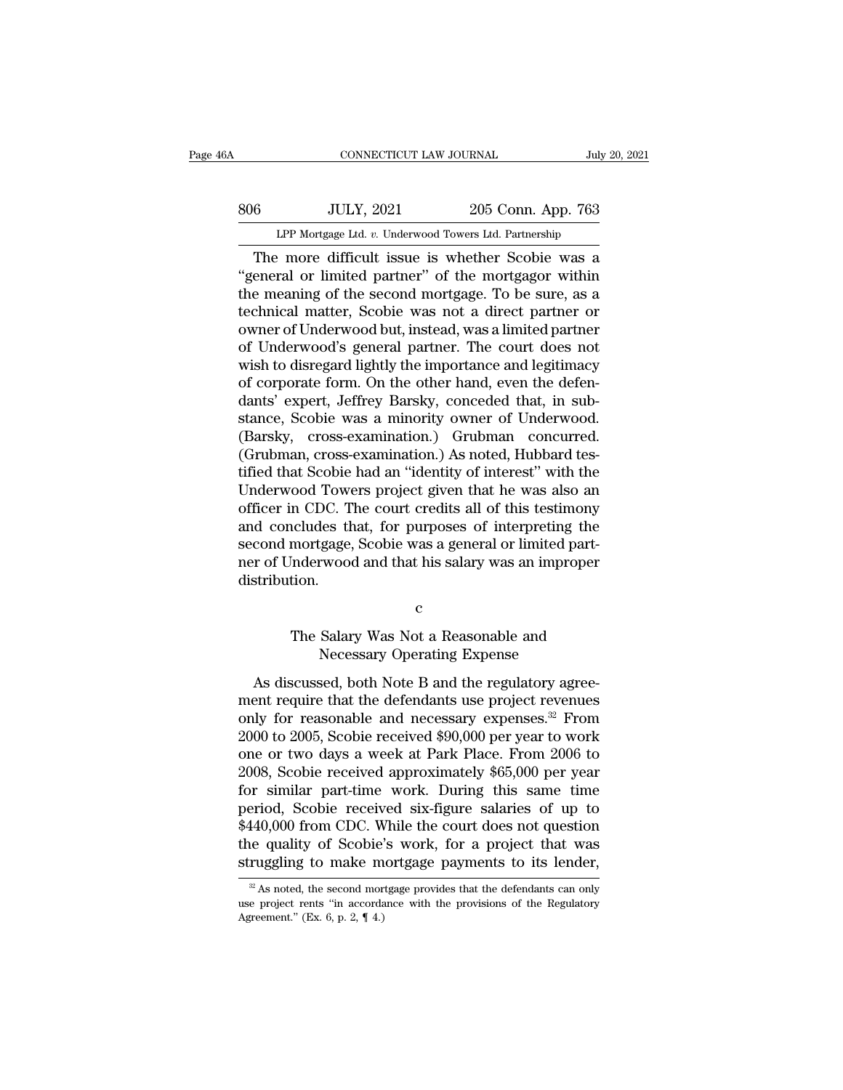# EXECUTE CONNECTICUT LAW JOURNAL July 20, 2021<br>806 JULY, 2021 205 Conn. App. 763<br>LPP Mortgage Ltd. v. Underwood Towers Ltd. Partnership CONNECTICUT LAW JOURNAL July 20, 2021<br> **EXECUTE:** 16 JULY, 2021 205 Conn. App. 763<br>
LPP Mortgage Ltd. *v.* Underwood Towers Ltd. Partnership<br>
The more difficult issue is whether Scobie was a

CONNECTICUT LAW JOURNAL July 20, 2021<br>
6 JULY, 2021 205 Conn. App. 763<br>
LPP Mortgage Ltd. v. Underwood Towers Ltd. Partnership<br>
The more difficult issue is whether Scobie was a<br>
eneral or limited partner" of the mortgagor SO6 JULY, 2021 205 Conn. App. 763<br>
LPP Mortgage Ltd. v. Underwood Towers Ltd. Partnership<br>
The more difficult issue is whether Scobie was a<br>
"general or limited partner" of the mortgagor within<br>
the meaning of the second m  $t = \frac{1}{\text{MP Mortgage Ltd. } v. \text{ Underwood Towers Ltd. Parthership}}$ <br>The more difficult issue is whether Scobie was a "general or limited partner" of the mortgagor within the meaning of the second mortgage. To be sure, as a technical matter, Scobie was n  $\frac{1}{2000}$  JULY, 2021 205 Conn. App. 763<br>
LPP Mortgage Ltd. v. Underwood Towers Ltd. Partnership<br>
The more difficult issue is whether Scobie was a<br>
"general or limited partner" of the mortgagor within<br>
the meaning of th LPP Mortgage Ltd. v. Underwood Towers Ltd. Partnership<br>
The more difficult issue is whether Scobie was a<br>
"general or limited partner" of the mortgagor within<br>
the meaning of the second mortgage. To be sure, as a<br>
technic LPP Mortgage Ltd.  $v$ . Underwood Towers Ltd. Partnership<br>
The more difficult issue is whether Scobie was a<br>
"general or limited partner" of the mortgagor within<br>
the meaning of the second mortgage. To be sure, as a<br>
techn The more difficult issue is whether Scobie was a<br>"general or limited partner" of the mortgagor within<br>the meaning of the second mortgage. To be sure, as a<br>technical matter, Scobie was not a direct partner or<br>owner of Under "general or limited partner" of the mortgagor within<br>the meaning of the second mortgage. To be sure, as a<br>technical matter, Scobie was not a direct partner or<br>owner of Underwood's general partner. The court does not<br>wish t the meaning of the second mortgage. To be sure, as a<br>technical matter, Scobie was not a direct partner or<br>owner of Underwood but, instead, was a limited partner<br>of Underwood's general partner. The court does not<br>wish to di technical matter, Scobie was not a direct partner or<br>owner of Underwood but, instead, was a limited partner<br>of Underwood's general partner. The court does not<br>wish to disregard lightly the importance and legitimacy<br>of corp owner of Underwood but, instead, was a limited partner<br>of Underwood's general partner. The court does not<br>wish to disregard lightly the importance and legitimacy<br>of corporate form. On the other hand, even the defen-<br>dants' of Underwood's general partner. The court does not<br>wish to disregard lightly the importance and legitimacy<br>of corporate form. On the other hand, even the defen-<br>dants' expert, Jeffrey Barsky, conceded that, in sub-<br>stance, wish to disregard lightly the importance and legitimacy<br>of corporate form. On the other hand, even the defen-<br>dants' expert, Jeffrey Barsky, conceded that, in sub-<br>stance, Scobie was a minority owner of Underwood.<br>(Barsky, of corporate form. On the other hand, even the defendants' expert, Jeffrey Barsky, conceded that, in substance, Scobie was a minority owner of Underwood.<br>(Barsky, cross-examination.) Grubman concurred.<br>(Grubman, cross-exam dants' expert, Jeffrey Barsky, conceded that, in substance, Scobie was a minority owner of Underwood.<br>(Barsky, cross-examination.) Grubman concurred.<br>(Grubman, cross-examination.) As noted, Hubbard testified that Scobie ha stance, Scobie was a minority owner of Underwood.<br>(Barsky, cross-examination.) Grubman concurred.<br>(Grubman, cross-examination.) As noted, Hubbard tes-<br>tified that Scobie had an "identity of interest" with the<br>Underwood Tow (Barsky, cross-examination.) Grubman concurred.<br>(Grubman, cross-examination.) As noted, Hubbard tes-<br>tified that Scobie had an "identity of interest" with the<br>Underwood Towers project given that he was also an<br>officer in C (Grubman, cross-examination.) As noted, Hubbard tes-<br>tified that Scobie had an "identity of interest" with the<br>Underwood Towers project given that he was also an<br>officer in CDC. The court credits all of this testimony<br>and distribution. net that, for purposes of interpreting the<br>mortgage, Scobie was a general or limited part-<br>inderwood and that his salary was an improper<br>tion.<br>C<br>The Salary Was Not a Reasonable and<br>Necessary Operating Expense gage, Scobie was a general or limited par<br>rwood and that his salary was an improp<br>c<br>Salary Was Not a Reasonable and<br>Necessary Operating Expense<br>sed, both Note B and the regulatory agre

c and the contract of  $\sim$ 

stribution.<br>
C<br>
The Salary Was Not a Reasonable and<br>
Necessary Operating Expense<br>
As discussed, both Note B and the regulatory agree-<br>
The require that the defendants use project revenues<br>
and necessary ayons see From c<br>
The Salary Was Not a Reasonable and<br>
Necessary Operating Expense<br>
As discussed, both Note B and the regulatory agree-<br>
ment require that the defendants use project revenues<br>
only for reasonable and necessary expenses.<sup>3</sup> c<br>The Salary Was Not a Reasonable and<br>Necessary Operating Expense<br>As discussed, both Note B and the regulatory agree-<br>ment require that the defendants use project revenues<br>only for reasonable and necessary expenses.<sup>32</sup> Fr The Salary Was Not a Reasonable and<br>
Necessary Operating Expense<br>
As discussed, both Note B and the regulatory agree-<br>
ment require that the defendants use project revenues<br>
only for reasonable and necessary expenses.<sup>32</sup> Ne salary was root a reasonable and<br>Necessary Operating Expense<br>As discussed, both Note B and the regulatory agree-<br>ment require that the defendants use project revenues<br>only for reasonable and necessary expenses.<sup>32</sup> From As discussed, both Note B and the regulatory agreement require that the defendants use project revenues<br>only for reasonable and necessary expenses.<sup>32</sup> From<br>2000 to 2005, Scobie received \$90,000 per year to work<br>one or tw As discussed, both Note B and the regulatory agreement require that the defendants use project revenues<br>only for reasonable and necessary expenses.<sup>32</sup> From<br>2000 to 2005, Scobie received \$90,000 per year to work<br>one or tw ment require that the defendants use project revenues<br>only for reasonable and necessary expenses.<sup>32</sup> From<br>2000 to 2005, Scobie received \$90,000 per year to work<br>one or two days a week at Park Place. From 2006 to<br>2008, Sco only for reasonable and necessary expenses.<sup>32</sup> From 2000 to 2005, Scobie received \$90,000 per year to work<br>one or two days a week at Park Place. From 2006 to<br>2008, Scobie received approximately \$65,000 per year<br>for simila 2000 to 2005, Scobie received \$90,000 per year to work<br>one or two days a week at Park Place. From 2006 to<br>2008, Scobie received approximately \$65,000 per year<br>for similar part-time work. During this same time<br>period, Scobi one or two days a week at Park Place. From 2006 to 2008, Scobie received approximately \$65,000 per year for similar part-time work. During this same time period, Scobie received six-figure salaries of up to \$440,000 from eriod, Scobie received six-figure salaries of up to 140,000 from CDC. While the court does not question is a project that was ruggling to make mortgage payments to its lender,  $\frac{1}{2}$  As noted, the second mortgage provid \$440,000 from CDC. While the court does not question<br>the quality of Scobie's work, for a project that was<br>struggling to make mortgage payments to its lender,<br> $\frac{1}{2}$ As noted, the second mortgage provides that the defend

the quality of Scobie'<br>struggling to make m<br> $\frac{1}{x}$  As noted, the second mor<br>use project rents "in accorda<br>Agreement." (Ex. 6, p. 2, ¶ 4.)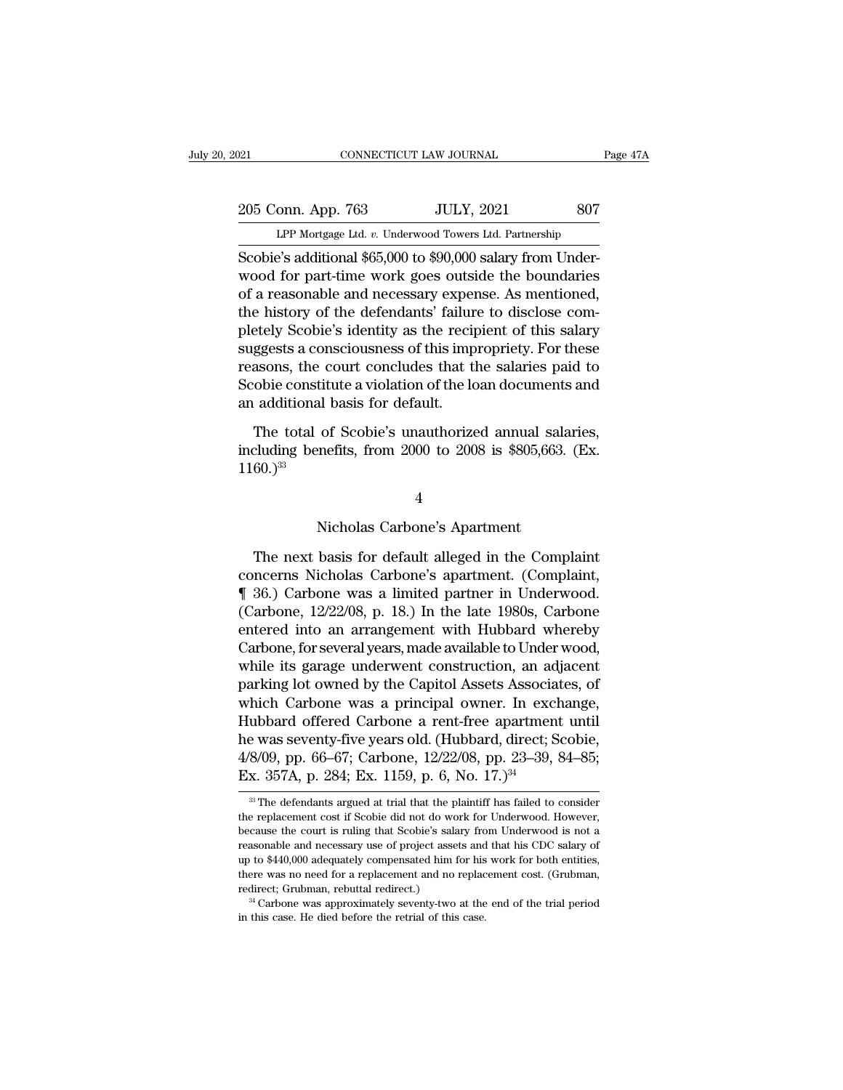EXECUTE DE TO PARAL PAGE 17A<br>
205 Conn. App. 763 JULY, 2021 807<br>
LPP Mortgage Ltd. *v.* Underwood Towers Ltd. Partnership<br>
Scobie's additional \$65,000 to \$90,000 salary from Under-Scobie's additional \$65,000 to \$90,000 salary from Under-<br>Scobie's additional \$65,000 to \$90,000 salary from Under-<br>Scobie's additional \$65,000 to \$90,000 salary from Under-<br>wood for part-time work goes outside the boundar 205 Conn. App. 763 JULY, 2021 807<br>
LPP Mortgage Ltd. v. Underwood Towers Ltd. Partnership<br>
Scobie's additional \$65,000 to \$90,000 salary from Underwood for part-time work goes outside the boundaries<br>
of a reasonable and ne 205 Conn. App. 763 JULY, 2021 807<br>
LPP Mortgage Ltd. v. Underwood Towers Ltd. Partnership<br>
Scobie's additional \$65,000 to \$90,000 salary from Underwood for part-time work goes outside the boundaries<br>
of a reasonable and ne 205 Conn. App. 763 JULY, 2021 807<br>
LPP Mortgage Ltd. v. Underwood Towers Ltd. Partnership<br>
Scobie's additional \$65,000 to \$90,000 salary from Underwood for part-time work goes outside the boundaries<br>
of a reasonable and ne LPP Mortgage Ltd. v. Underwood Towers Ltd. Partnership<br>Scobie's additional \$65,000 to \$90,000 salary from Underwood for part-time work goes outside the boundaries<br>of a reasonable and necessary expense. As mentioned,<br>the hi LPF Mortgage Ltd.  $v$ . Underwood Towers Ltd. Partnership<br>Scobie's additional \$65,000 to \$90,000 salary from Under-<br>wood for part-time work goes outside the boundaries<br>of a reasonable and necessary expense. As mentioned,<br>t Scobie's additional \$65,000 to \$90,000 salary from Under-<br>wood for part-time work goes outside the boundaries<br>of a reasonable and necessary expense. As mentioned,<br>the history of the defendants' failure to disclose com-<br>ple wood for part-time work goes outside the boundaries<br>of a reasonable and necessary expense. As mentioned,<br>the history of the defendants' failure to disclose com-<br>pletely Scobie's identity as the recipient of this salary<br>sug of a reasonable and necessary expert<br>the history of the defendants' failur<br>pletely Scobie's identity as the recip<br>suggests a consciousness of this imp<br>reasons, the court concludes that tl<br>Scobie constitute a violation of t etely Scobie's identity as the recipient of this salary<br>ggests a consciousness of this impropriety. For these<br>asons, the court concludes that the salaries paid to<br>obie constitute a violation of the loan documents and<br>addit suggests a consciousness of this impropriety. For these reasons, the court concludes that the salaries paid to Scobie constitute a violation of the loan documents and an additional basis for default.<br>The total of Scobie's

 $1160.$ <sup>33</sup> of Scobie's unauthorized annual salament<br>mefits, from 2000 to 2008 is \$805,663.<br>4<br>Nicholas Carbone's Apartment<br>basis for default alleged in the Comp

4

cluding benefits, from 2000 to 2008 is \$805,663. (Ex.<br>
60.)<sup>33</sup><br>
4<br>
Nicholas Carbone's Apartment<br>
The next basis for default alleged in the Complaint<br>
ncerns Nicholas Carbone's apartment. (Complaint,<br>  $(36)$  Carbone was a 1160.)<sup>33</sup><br>
4<br>
Nicholas Carbone's Apartment<br>
The next basis for default alleged in the Complaint<br>
concerns Nicholas Carbone's apartment. (Complaint,<br> **[** 36.) Carbone was a limited partner in Underwood.<br>
(Carbone, 12/22/0 <sup>4</sup><br>
Nicholas Carbone's Apartment<br>
The next basis for default alleged in the Complaint<br>
concerns Nicholas Carbone's apartment. (Complaint,<br>
¶ 36.) Carbone was a limited partner in Underwood.<br>
(Carbone, 12/22/08, p. 18.) In <sup>4</sup><br>Nicholas Carbone's Apartment<br>The next basis for default alleged in the Complaint<br>concerns Nicholas Carbone's apartment. (Complaint,<br>¶ 36.) Carbone was a limited partner in Underwood.<br>(Carbone, 12/22/08, p. 18.) In the Nicholas Carbone's Apartment<br>The next basis for default alleged in the Complaint<br>concerns Nicholas Carbone's apartment. (Complaint,<br>¶ 36.) Carbone was a limited partner in Underwood.<br>(Carbone, 12/22/08, p. 18.) In the late The next basis for default alleged in the Complaint<br>concerns Nicholas Carbone's apartment. (Complaint,<br>¶ 36.) Carbone was a limited partner in Underwood.<br>(Carbone, 12/22/08, p. 18.) In the late 1980s, Carbone<br>entered into The next basis for default alleged in the Complaint<br>concerns Nicholas Carbone's apartment. (Complaint,<br>¶ 36.) Carbone was a limited partner in Underwood.<br>(Carbone, 12/22/08, p. 18.) In the late 1980s, Carbone<br>entered into concerns Nicholas Carbone's apartment. (Complaint,<br>
¶ 36.) Carbone was a limited partner in Underwood.<br>
(Carbone, 12/22/08, p. 18.) In the late 1980s, Carbone<br>
entered into an arrangement with Hubbard whereby<br>
Carbone, for  $\P$  36.) Carbone was a limited partner in Underwood.<br>(Carbone, 12/22/08, p. 18.) In the late 1980s, Carbone<br>entered into an arrangement with Hubbard whereby<br>Carbone, for several years, made available to Under wood,<br>while (Carbone, 12/22/08, p. 18.) In the late 1980s, Carbone<br>entered into an arrangement with Hubbard whereby<br>Carbone, for several years, made available to Under wood,<br>while its garage underwent construction, an adjacent<br>parkin entered into an arrangement with Hubbard whereby<br>Carbone, for several years, made available to Under wood,<br>while its garage underwent construction, an adjacent<br>parking lot owned by the Capitol Assets Associates, of<br>which C Carbone, for several years, made available to Under wood,<br>while its garage underwent construction, an adjacent<br>parking lot owned by the Capitol Assets Associates, of<br>which Carbone was a principal owner. In exchange,<br>Hubbar while its garage underwent construction, an ad<br>parking lot owned by the Capitol Assets Associa<br>which Carbone was a principal owner. In exc.<br>Hubbard offered Carbone a rent-free apartmen<br>he was seventy-five years old. (Hubba ubbard offered Carbone a rent-free apartment until<br>
2 was seventy-five years old. (Hubbard, direct; Scobie,<br>
3/09, pp. 66–67; Carbone,  $12/22/08$ , pp. 23–39, 84–85;<br>
x. 357A, p. 284; Ex. 1159, p. 6, No. 17.)<sup>34</sup><br>
<sup>33</sup> The the was seventy-five years old. (Hubbard, direct; Scobie,  $4/8/09$ , pp. 66–67; Carbone,  $12/22/08$ , pp. 23–39, 84–85; Ex. 357A, p. 284; Ex. 1159, p. 6, No. 17.)<sup>34</sup><br><sup>33</sup> The defendants argued at trial that the plaintiff h

<sup>4/8/09,</sup> pp. 66–67; Carbone, 12/22/08, pp. 23–39, 84–85;<br>Ex. 357A, p. 284; Ex. 1159, p. 6, No. 17.)<sup>34</sup><br><sup>38</sup> The defendants argued at trial that the plaintiff has failed to consider<br>the replacement cost if Scobie did not d Ex. 357A, p. 284; Ex. 1159, p. 6, No. 17.)<sup>34</sup><br><sup>33</sup> The defendants argued at trial that the plaintiff has failed to consider the replacement cost if Scobie did not do work for Underwood. However, because the court is ruli EX. 397A,  $\mu$ . 204, EX. 1199,  $\mu$ . 0, 100. 17.)<br>
<sup>33</sup> The defendants argued at trial that the plaintiff has failed to consider<br>
the replacement cost if Scobie did not do work for Underwood. However,<br>
because the court i  $\degree$  The defendants argued at trial that the plaintiff has failed to consider<br>the replacement cost if Scobie did not do work for Underwood. However,<br>because the court is ruling that Scobie's salary from Underwood is not a the replacement cost if Scobie did not do work for Underwood. However, because the court is ruling that Scobie's salary from Underwood is not a reasonable and necessary use of project assets and that his CDC salary of up <sup>2</sup> Carbone was approximately seventy-two at the end of the trial period was approximately compensated him for his work for both entities, sere was no need for a replacement and no replacement cost. (Grubman, direct; Grub reasonable and necessary use of project assets and that his CDC salary of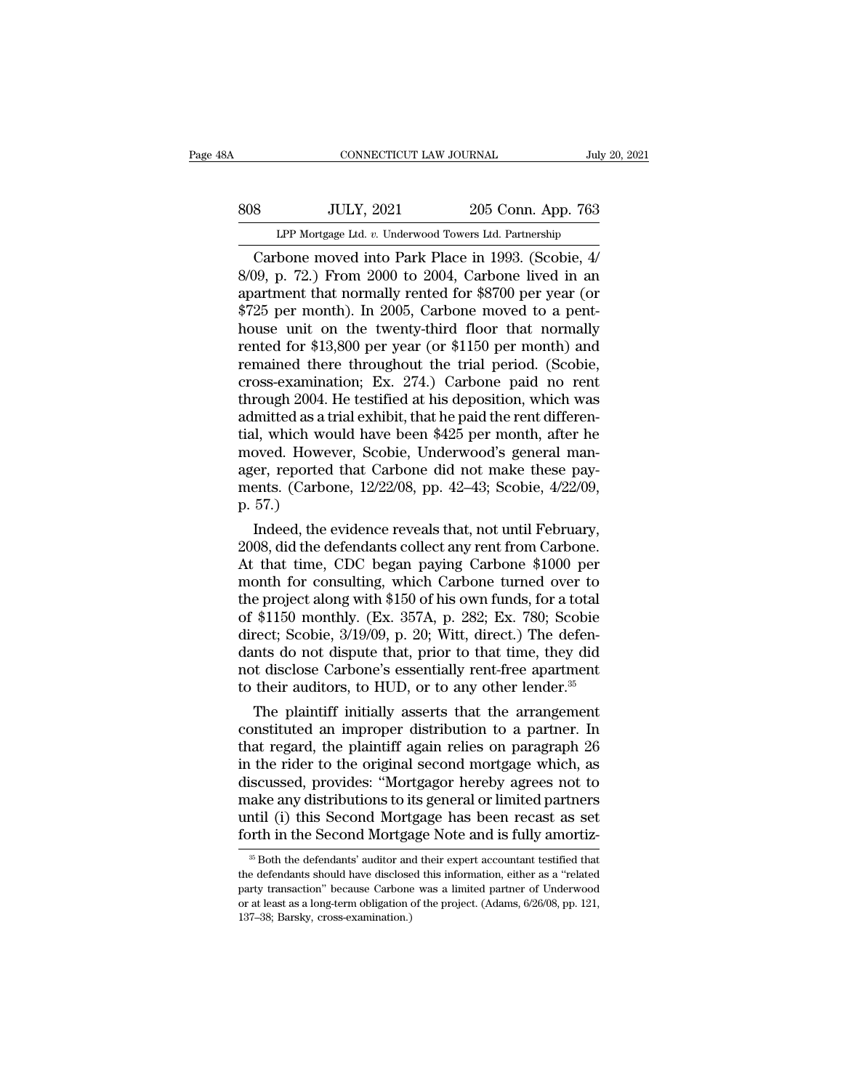| ЗA  | CONNECTICUT LAW JOURNAL                                |                    | July 20, 2021 |
|-----|--------------------------------------------------------|--------------------|---------------|
| 808 | <b>JULY, 2021</b>                                      | 205 Conn. App. 763 |               |
|     | LPP Mortgage Ltd. v. Underwood Towers Ltd. Partnership |                    |               |
|     | Carbone moved into Park Place in 1993 (Scobie 4/       |                    |               |

CONNECTICUT LAW JOURNAL July 20, 20<br>
Sandbone Mortgage Ltd. v. Underwood Towers Ltd. Partnership<br>
Carbone moved into Park Place in 1993. (Scobie, 4/<br>
199, p. 72.) From 2000 to 2004, Carbone lived in an<br>
artmont that normal 808 JULY, 2021 205 Conn. App. 763<br>
LPP Mortgage Ltd. v. Underwood Towers Ltd. Partnership<br>
Carbone moved into Park Place in 1993. (Scobie, 4/<br>
8/09, p. 72.) From 2000 to 2004, Carbone lived in an<br>
apartment that normally r apartment that normally rented for \$8700 per year (or \$725 per month). In 2005, Carbone moved to a pent-<br>between that normally rented for \$8700 per year (or \$725 per month). In 2005, Carbone moved to a pent-<br>between unit o SOS UPP Mortgage Ltd. v. Underwood Towers Ltd. Partnership<br>
Carbone moved into Park Place in 1993. (Scobie, 4/<br>
8/09, p. 72.) From 2000 to 2004, Carbone lived in an<br>
apartment that normally rented for \$8700 per year (or<br>
\$ LPP Mortgage Ltd. v. Underwood Towers Ltd. Partnership<br>Carbone moved into Park Place in 1993. (Scobie, 4/<br>8/09, p. 72.) From 2000 to 2004, Carbone lived in an<br>apartment that normally rented for \$8700 per year (or<br>\$725 per LPP Mortgage Ltd. v. Underwood Towers Ltd. Partnership<br>Carbone moved into Park Place in 1993. (Scobie, 4/<br>8/09, p. 72.) From 2000 to 2004, Carbone lived in an<br>apartment that normally rented for \$8700 per year (or<br>\$725 per Carbone moved into Park Place in 1993. (Scobie,  $4/8/09$ , p. 72.) From 2000 to 2004, Carbone lived in an apartment that normally rented for \$8700 per year (or \$725 per month). In 2005, Carbone moved to a penthouse unit on 8/09, p. 72.) From 2000 to 2004, Carbone lived in an apartment that normally rented for \$8700 per year (or \$725 per month). In 2005, Carbone moved to a penthouse unit on the twenty-third floor that normally rented for \$13, apartment that normally rented for \$8700 per year (or \$725 per month). In 2005, Carbone moved to a penthouse unit on the twenty-third floor that normally rented for \$13,800 per year (or \$1150 per month) and remained there \$725 per month). In 2005, Carbone moved to a penthouse unit on the twenty-third floor that normally rented for \$13,800 per year (or \$1150 per month) and remained there throughout the trial period. (Scobie, cross-examinatio house unit on the twenty-third floor that normally<br>rented for \$13,800 per year (or \$1150 per month) and<br>remained there throughout the trial period. (Scobie,<br>cross-examination; Ex. 274.) Carbone paid no rent<br>through 2004. H rented for \$13,800 per year (or \$1150 per month) and<br>remained there throughout the trial period. (Scobie,<br>cross-examination; Ex. 274.) Carbone paid no rent<br>through 2004. He testified at his deposition, which was<br>admitted remained there throughout the trial period. (Scobie, cross-examination; Ex. 274.) Carbone paid no rent through 2004. He testified at his deposition, which was admitted as a trial exhibit, that he paid the rent differential cross-examination; Ex. 274.) Carbone paid no rent<br>through 2004. He testified at his deposition, which was<br>admitted as a trial exhibit, that he paid the rent differen-<br>tial, which would have been \$425 per month, after he<br>mo through 2004.<br>
admitted as a t<br>
tial, which wo<br>
moved. Howe<br>
ager, reported<br>
ments. (Carbo<br>
p. 57.)<br>
Indeed, the e mutted as a trial exhibit, that he paid the rent differendl, which would have been \$425 per month, after he oved. However, Scobie, Underwood's general maner, reported that Carbone did not make these payents. (Carbone, 12/2 tial, which would have been \$425 per month, after he<br>moved. However, Scobie, Underwood's general man-<br>ager, reported that Carbone did not make these pay-<br>ments. (Carbone, 12/22/08, pp. 42–43; Scobie, 4/22/09,<br>p. 57.)<br>Indee

moved. However, Scoble, Underwood's general manager, reported that Carbone did not make these pay-<br>ments. (Carbone, 12/22/08, pp. 42–43; Scobie, 4/22/09,<br>p. 57.)<br>Indeed, the evidence reveals that, not until February,<br>2008, ager, reported that Carbone did not make these pay-<br>ments. (Carbone, 12/22/08, pp. 42–43; Scobie, 4/22/09,<br>p. 57.)<br>Indeed, the evidence reveals that, not until February,<br>2008, did the defendants collect any rent from Carb ments. (Carbone, 12/22/08, pp. 42–43; Scoble, 4/22/09,<br>p. 57.)<br>Indeed, the evidence reveals that, not until February,<br>2008, did the defendants collect any rent from Carbone.<br>At that time, CDC began paying Carbone \$1000 per p. 57.)<br>Indeed, the evidence reveals that, not until February,<br>2008, did the defendants collect any rent from Carbone.<br>At that time, CDC began paying Carbone \$1000 per<br>month for consulting, which Carbone turned over to<br>the Indeed, the evidence reveals that, not until February, 2008, did the defendants collect any rent from Carbone.<br>At that time, CDC began paying Carbone \$1000 per month for consulting, which Carbone turned over to the project 2008, did the defendants collect any rent from Carbone.<br>At that time, CDC began paying Carbone \$1000 per<br>month for consulting, which Carbone turned over to<br>the project along with \$150 of his own funds, for a total<br>of \$1150 At that time, CDC began paying Carbone \$1000 per<br>month for consulting, which Carbone turned over to<br>the project along with \$150 of his own funds, for a total<br>of \$1150 monthly. (Ex. 357A, p. 282; Ex. 780; Scobie<br>direct; Sco month for consulting, which Carbone turned over to<br>the project along with \$150 of his own funds, for a total<br>of \$1150 monthly. (Ex. 357A, p. 282; Ex. 780; Scobie<br>direct; Scobie, 3/19/09, p. 20; Witt, direct.) The defen-<br>d e project along with \$150 of his own funds, for a total<br>\$1150 monthly. (Ex. 357A, p. 282; Ex. 780; Scobie<br>rect; Scobie, 3/19/09, p. 20; Witt, direct.) The defen-<br>nts do not dispute that, prior to that time, they did<br>t dis of \$1150 monthly. (Ex. 357A, p. 282; Ex. 780; Scoble<br>direct; Scobie, 3/19/09, p. 20; Witt, direct.) The defen-<br>dants do not dispute that, prior to that time, they did<br>not disclose Carbone's essentially rent-free apartment<br>

direct; Scobie, 3/19/09, p. 20; Witt, direct.) The defendants do not dispute that, prior to that time, they did<br>not disclose Carbone's essentially rent-free apartment<br>to their auditors, to HUD, or to any other lender.<sup>35</sup><br> dants do not dispute that, prior to that time, they did<br>not disclose Carbone's essentially rent-free apartment<br>to their auditors, to HUD, or to any other lender.<sup>35</sup><br>The plaintiff initially asserts that the arrangement<br>con not disclose Carbone's essentially rent-free apartment<br>to their auditors, to HUD, or to any other lender.<sup>35</sup><br>The plaintiff initially asserts that the arrangement<br>constituted an improper distribution to a partner. In<br>that to their auditors, to HUD, or to any other lender.<sup>35</sup><br>The plaintiff initially asserts that the arrangement<br>constituted an improper distribution to a partner. In<br>that regard, the plaintiff again relies on paragraph 26<br>in t The plaintiff initially asserts that the arrangement<br>constituted an improper distribution to a partner. In<br>that regard, the plaintiff again relies on paragraph 26<br>in the rider to the original second mortgage which, as<br>disc constituted an improper distribution to a partner. In that regard, the plaintiff again relies on paragraph 26 in the rider to the original second mortgage which, as discussed, provides: "Mortgagor hereby agrees not to mak iscussed, provides: "Mortgagor hereby agrees not to ake any distributions to its general or limited partners intil (i) this Second Mortgage has been recast as set orth in the Second Mortgage Note and is fully amortiz<sup>35</sup> B make any distributions to its general or limited partners<br>until (i) this Second Mortgage has been recast as set<br>forth in the Second Mortgage Note and is fully amortiz-<br><sup>35</sup> Both the defendants' auditor and their expert acc

until (i) this Second Mortgage has been recast as set<br>forth in the Second Mortgage Note and is fully amortiz-<br><sup>36</sup> Both the defendants' auditor and their expert accountant testified that<br>the defendants should have disclose forth in the Second Mortgage Note and is fully amortiz-<br><sup>35</sup> Both the defendants' auditor and their expert accountant testified that<br>the defendants should have disclosed this information, either as a "related<br>party transac <sup>35</sup> Both the defendants' auditor and<br><sup>35</sup> Both the defendants' auditor and<br>the defendants should have disclose<br>party transaction" because Carbone<br>or at least as a long-term obligation of<br>137–38; Barsky, cross-examination.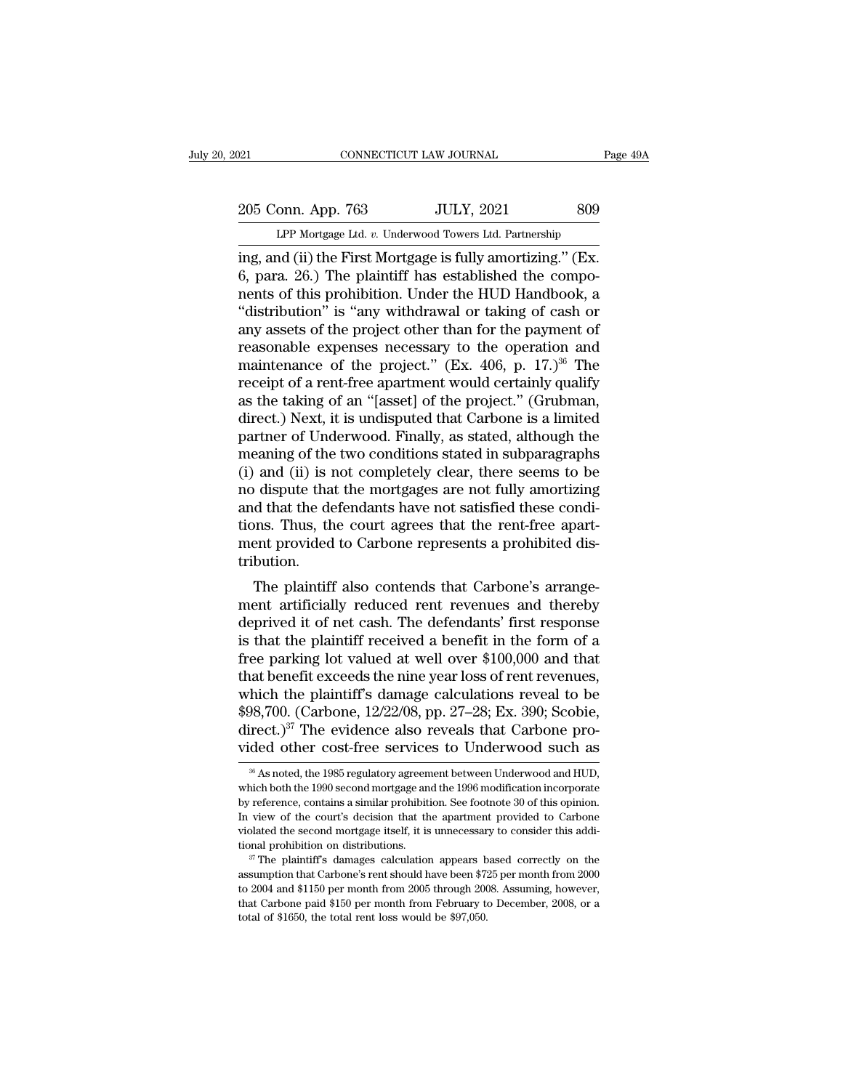# 205 Conn. App. 763 JULY, 2021 809<br>
LPP Mortgage Ltd. v. Underwood Towers Ltd. Partnership 021 CONNECTICUT LAW JOURNAL Page 49A<br>
205 Conn. App. 763 JULY, 2021 809<br>
LPP Mortgage Ltd. *v.* Underwood Towers Ltd. Partnership<br>
ing, and (ii) the First Mortgage is fully amortizing." (Ex.

ing, and (ii) the First Mortgage is fully, 2021<br>
The Mortgage Ltd. v. Underwood Towers Ltd. Partnership<br>
1993<br>
The First Mortgage is fully amortizing.'' (Ex.<br>
6, para. 26.) The plaintiff has established the compo-<br>
nonts o 205 Conn. App. 763 JULY, 2021 809<br>
LPP Mortgage Ltd. v. Underwood Towers Ltd. Partnership<br>
ing, and (ii) the First Mortgage is fully amortizing." (Ex.<br>
6, para. 26.) The plaintiff has established the compo-<br>
nents of this 205 Conn. App. 763 JULY, 2021 809<br>
LPP Mortgage Ltd. v. Underwood Towers Ltd. Partnership<br>
ing, and (ii) the First Mortgage is fully amortizing." (Ex.<br>
6, para. 26.) The plaintiff has established the compo-<br>
nents of this 205 Conn. App. 763 JULY, 2021 809<br>
LPP Mortgage Ltd. v. Underwood Towers Ltd. Partnership<br>
ing, and (ii) the First Mortgage is fully amortizing." (Ex.<br>
6, para. 26.) The plaintiff has established the compo-<br>
nents of this LPP Mortgage Ltd. v. Underwood Towers Ltd. Partnership<br>ing, and (ii) the First Mortgage is fully amortizing." (Ex.<br>6, para. 26.) The plaintiff has established the compo-<br>nents of this prohibition. Under the HUD Handbook, LPP Mortgage Ltd. v. Underwood Towers Ltd. Partnership<br>ing, and (ii) the First Mortgage is fully amortizing." (Ex.<br>6, para. 26.) The plaintiff has established the compo-<br>nents of this prohibition. Under the HUD Handbook, ing, and (ii) the First Mortgage is fully amortizing." (Ex.<br>6, para. 26.) The plaintiff has established the compo-<br>nents of this prohibition. Under the HUD Handbook, a<br>"distribution" is "any withdrawal or taking of cash or 6, para. 26.) The plaintiff has established the components of this prohibition. Under the HUD Handbook, a "distribution" is "any withdrawal or taking of cash or any assets of the project other than for the payment of reas nents of this prohibition. Under the HUD Handbook, a<br>"distribution" is "any withdrawal or taking of cash or<br>any assets of the project other than for the payment of<br>reasonable expenses necessary to the operation and<br>mainten "distribution" is "any withdrawal or taking of cash or<br>any assets of the project other than for the payment of<br>reasonable expenses necessary to the operation and<br>maintenance of the project." (Ex. 406, p.  $17.$ )<sup>36</sup> The<br>re any assets of the project other than for the payment of<br>reasonable expenses necessary to the operation and<br>maintenance of the project." (Ex. 406, p. 17.)<sup>36</sup> The<br>receipt of a rent-free apartment would certainly qualify<br>as reasonable expenses necessary to the operation and<br>maintenance of the project." (Ex. 406, p. 17.)<sup>36</sup> The<br>receipt of a rent-free apartment would certainly qualify<br>as the taking of an "[asset] of the project." (Grubman,<br>dir maintenance of the project." (Ex. 406, p. 17.)<sup>36</sup> The<br>receipt of a rent-free apartment would certainly qualify<br>as the taking of an "[asset] of the project." (Grubman,<br>direct.) Next, it is undisputed that Carbone is a limi receipt of a rent-free apartment would certainly qualify<br>as the taking of an "[asset] of the project." (Grubman,<br>direct.) Next, it is undisputed that Carbone is a limited<br>partner of Underwood. Finally, as stated, although as the taking of an "[asset] of the project." (Grubman, direct.) Next, it is undisputed that Carbone is a limited partner of Underwood. Finally, as stated, although the meaning of the two conditions stated in subparagraphs direct.) Next, it is undisputed that Carbone is a limited<br>partner of Underwood. Finally, as stated, although the<br>meaning of the two conditions stated in subparagraphs<br>(i) and (ii) is not completely clear, there seems to be partner of Underwood. Finally, as stated, although the meaning of the two conditions stated in subparagraphs (i) and (ii) is not completely clear, there seems to be no dispute that the mortgages are not fully amortizing an tribution. Figure 1.1 The plaintiff also contends that Carbone's arrange-<br>The plaintiff also contends that the rent-free apart-<br>the plaintiff also contends that Carbone's arrange-<br>the plaintiff also contends that Carbone's arrange-<br> ment artificially reduced rent revenues and there is that the plaintiff received a bondination.<br>Thus, the court agrees that the rent-free apartment provided to Carbone represents a prohibited distribution.<br>The plaintiff al

and that the defendants have not satisfied these condi-<br>tions. Thus, the court agrees that the rent-free apart-<br>ment provided to Carbone represents a prohibited dis-<br>tribution.<br>The plaintiff also contends that Carbone's ar ions. Thus, the court agrees that the fent-free apartment provided to Carbone represents a prohibited distribution.<br>The plaintiff also contends that Carbone's arrangement artificially reduced rent revenues and thereby<br>depr free parking in the plaintiff also contends that Carbone's arrangement artificially reduced rent revenues and thereby<br>deprived it of net cash. The defendants' first response<br>is that the plaintiff received a benefit in the The plaintiff also contends that Carbone's arrangement artificially reduced rent revenues and thereby<br>deprived it of net cash. The defendants' first response<br>is that the plaintiff received a benefit in the form of a<br>free The plaintiff also contends that Carbone's arrange-<br>ment artificially reduced rent revenues and thereby<br>deprived it of net cash. The defendants' first response<br>is that the plaintiff received a benefit in the form of a<br>fre ment artificially reduced rent revenues and thereby<br>deprived it of net cash. The defendants' first response<br>is that the plaintiff received a benefit in the form of a<br>free parking lot valued at well over \$100,000 and that<br>t deprived it of net cash. The defendants' first response<br>is that the plaintiff received a benefit in the form of a<br>free parking lot valued at well over \$100,000 and that<br>that benefit exceeds the nine year loss of rent reve is that the plaintiff received a benefit in the form of a<br>free parking lot valued at well over \$100,000 and that<br>that benefit exceeds the nine year loss of rent revenues,<br>which the plaintiff's damage calculations reveal t thich the plaintiff's damage calculations reveal to be 98,700. (Carbone, 12/22/08, pp. 27–28; Ex. 390; Scobie, irect.)<sup>37</sup> The evidence also reveals that Carbone proded other cost-free services to Underwood such as  $\frac{36}{$ \$98,700. (Carbone, 12/22/08, pp. 27–28; Ex. 390; Scobie,<br>direct.)<sup>37</sup> The evidence also reveals that Carbone pro-<br>vided other cost-free services to Underwood such as<br> $*$  As noted, the 1985 regulatory agreement between Und

direct.)<sup>37</sup> The evidence also reveals that Carbone provided other cost-free services to Underwood such as  $*$   $*$  As noted, the 1985 regulatory agreement between Underwood and HUD, which both the 1990 second mortgage and in view of the content of the services to Underwood such as<br>
<sup>36</sup> As noted, the 1985 regulatory agreement between Underwood and HUD,<br>
which both the 1990 second mortgage and the 1996 modification incorporate<br>
by reference,  $^{36}$  As noted, the 1985 regulatory agreement between Underwood and HUD, which both the 1990 second mortgage and the 1996 modification incorporate by reference, contains a similar prohibition. See footnote 30 of this opi <sup>36</sup> As noted, the 1985 regulatory agreement between Underwood and HUD, which both the 1990 second mortgage and the 1996 modification incorporate by reference, contains a similar prohibition. See footnote 30 of this opini by reference, contains a similar prohibition. See footnote 30 of this opinion.<br>In view of the court's decision that the apartment provided to Carbone<br>violated the second mortgage itself, it is unnecessary to consider this

In view of the court's decision that the apartment provided to Carbone violated the second mortgage itself, it is unnecessary to consider this additional prohibition on distributions.<br><sup>37</sup> The plaintiff's damages calculat that Carbone paid steelf, it is unnecessary to consider this additional prohibition on distributions.<br>
<sup>37</sup> The plaintiff's damages calculation appears based correctly on the assumption that Carbone's rent should have bee <sup>37</sup> The plaintiff's damages calculation appears based correctly on the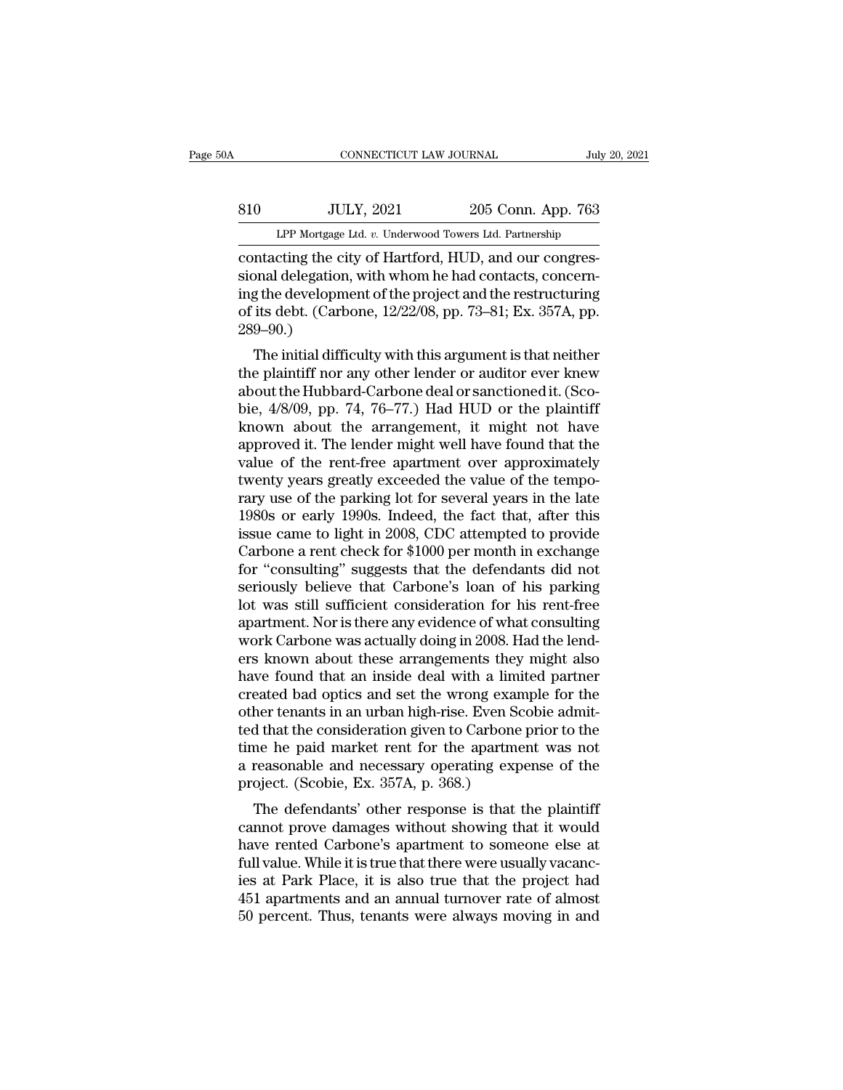# EXECUTE CONNECTICUT LAW JOURNAL July 20, 2021<br>810 JULY, 2021 205 Conn. App. 763<br>LPP Mortgage Ltd. v. Underwood Towers Ltd. Partnership CONNECTICUT LAW JOURNAL July 20, 2021<br> **EXECUTE:** SUBSET AND MORE TO ULY, 2021<br>
LPP Mortgage Ltd. *v.* Underwood Towers Ltd. Partnership<br>
Contacting the city of Hartford, HUD, and our congres-

CONNECTICUT LAW JOURNAL<br>
S10 JULY, 2021 205 Conn. App. 763<br>
LPP Mortgage Ltd. v. Underwood Towers Ltd. Partnership<br>
contacting the city of Hartford, HUD, and our congres-<br>
sional delegation, with whom he had contacts, conc Sional Mulletter and Sional App. 763<br>
LPP Mortgage Ltd. v. Underwood Towers Ltd. Partnership<br>
contacting the city of Hartford, HUD, and our congressional delegation, with whom he had contacts, concern-<br>
ing the development S10 JULY, 2021 205 Conn. App. 763<br>
LPP Mortgage Ltd. v. Underwood Towers Ltd. Partnership<br>
contacting the city of Hartford, HUD, and our congres-<br>
sional delegation, with whom he had contacts, concerning the development of S10 JULY, 2021 205 Conn. App. 763<br>
LPP Mortgage Ltd. v. Underwood Towers Ltd. Partnership<br>
contacting the city of Hartford, HUD, and our congres-<br>
sional delegation, with whom he had contacts, concern-<br>
ing the development 289–90.) Intacting the city of Hartford, HUD, and our congres-<br>
Initial delegation, with whom he had contacts, concern-<br>
In the development of the project and the restructuring<br>
its debt. (Carbone, 12/22/08, pp. 73–81; Ex. 357A, pp contacting the city of Hartford, HOD, and our congressional delegation, with whom he had contacts, concerning the development of the project and the restructuring of its debt. (Carbone,  $12/22/08$ , pp. 73–81; Ex. 357A, pp

sional delegation, whit whold he had contacts, concerning<br>the development of the project and the restructuring<br>of its debt. (Carbone, 12/22/08, pp. 73–81; Ex. 357A, pp.<br>289–90.)<br>The initial difficulty with this argument is Ing the development of the project and the restructuring<br>of its debt. (Carbone, 12/22/08, pp. 73–81; Ex. 357A, pp.<br>289–90.)<br>The initial difficulty with this argument is that neither<br>the plaintiff nor any other lender or au of its debt. (Carbone, 12/22/06, pp. 75–61, Ex. 357A, pp. 289–90.)<br>289–90.)<br>The initial difficulty with this argument is that neither<br>the plaintiff nor any other lender or auditor ever knew<br>about the Hubbard-Carbone deal The initial difficulty with this argument is that neither<br>the plaintiff nor any other lender or auditor ever knew<br>about the Hubbard-Carbone deal or sanctioned it. (Sco-<br>bie,  $4/8/09$ , pp. 74, 76–77.) Had HUD or the plaint The initial difficulty with this argument is that neither<br>the plaintiff nor any other lender or auditor ever knew<br>about the Hubbard-Carbone deal or sanctioned it. (Sco-<br>bie, 4/8/09, pp. 74, 76–77.) Had HUD or the plaintiff the plaintiff nor any other lender or auditor ever knew<br>about the Hubbard-Carbone deal or sanctioned it. (Sco-<br>bie, 4/8/09, pp. 74, 76–77.) Had HUD or the plaintiff<br>known about the arrangement, it might not have<br>approved i about the Hubbard-Carbone deal or sanctioned it. (Scobie, 4/8/09, pp. 74, 76–77.) Had HUD or the plaintiff known about the arrangement, it might not have approved it. The lender might well have found that the value of the bie, 4/8/09, pp. 74, 76–77.) Had HUD or the plaintiff<br>known about the arrangement, it might not have<br>approved it. The lender might well have found that the<br>value of the rent-free apartment over approximately<br>twenty years g known about the arrangement, it might not have<br>approved it. The lender might well have found that the<br>value of the rent-free apartment over approximately<br>twenty years greatly exceeded the value of the tempo-<br>rary use of th approved it. The lender might well have found that the<br>value of the rent-free apartment over approximately<br>twenty years greatly exceeded the value of the tempo-<br>rary use of the parking lot for several years in the late<br>198 value of the rent-free apartment over approximately<br>twenty years greatly exceeded the value of the tempo-<br>rary use of the parking lot for several years in the late<br>1980s or early 1990s. Indeed, the fact that, after this<br>is twenty years greatly exceeded the value of the tempo-<br>rary use of the parking lot for several years in the late<br>1980s or early 1990s. Indeed, the fact that, after this<br>issue came to light in 2008, CDC attempted to provide<br> rary use of the parking lot for several years in the late<br>1980s or early 1990s. Indeed, the fact that, after this<br>issue came to light in 2008, CDC attempted to provide<br>Carbone a rent check for \$1000 per month in exchange<br>f 1980s or early 1990s. Indeed, the fact that, after this<br>issue came to light in 2008, CDC attempted to provide<br>Carbone a rent check for \$1000 per month in exchange<br>for "consulting" suggests that the defendants did not<br>seri issue came to light in 2008, CDC attempted to provide<br>Carbone a rent check for \$1000 per month in exchange<br>for "consulting" suggests that the defendants did not<br>seriously believe that Carbone's loan of his parking<br>lot was Carbone a rent check for \$1000 per month in exchange<br>for "consulting" suggests that the defendants did not<br>seriously believe that Carbone's loan of his parking<br>lot was still sufficient consideration for his rent-free<br>apart for "consulting" suggests that the defendants did not<br>seriously believe that Carbone's loan of his parking<br>lot was still sufficient consideration for his rent-free<br>apartment. Nor is there any evidence of what consulting<br>wo seriously believe that Carbone's loan of his parking<br>lot was still sufficient consideration for his rent-free<br>apartment. Nor is there any evidence of what consulting<br>work Carbone was actually doing in 2008. Had the lend-<br>e lot was still sufficient consideration for his rent-free<br>apartment. Nor is there any evidence of what consulting<br>work Carbone was actually doing in 2008. Had the lend-<br>ers known about these arrangements they might also<br>hav apartment. Nor is there any evidence of what consulting<br>work Carbone was actually doing in 2008. Had the lend-<br>ers known about these arrangements they might also<br>have found that an inside deal with a limited partner<br>create work Carbone was actually doing in 2008. Had the lend-<br>ers known about these arrangements they might also<br>have found that an inside deal with a limited partner<br>created bad optics and set the wrong example for the<br>other te ers known about these arrangements they might also<br>have found that an inside deal with a limited partner<br>created bad optics and set the wrong example for the<br>other tenants in an urban high-rise. Even Scobie admit-<br>ted that have found that an inside deal with a limicreated bad optics and set the wrong exame other tenants in an urban high-rise. Even Scotled that the consideration given to Carbone time he paid market rent for the apartme a reas eated bad optics and set the wrong example for the<br>her tenants in an urban high-rise. Even Scobie admit-<br>d that the consideration given to Carbone prior to the<br>ne he paid market rent for the apartment was not<br>reasonable an outer tenants in an urban high-rise. Even Scobe admitted that the consideration given to Carbone prior to the<br>time he paid market rent for the apartment was not<br>a reasonable and necessary operating expense of the<br>project.

have the paid market rent for the apartment was not<br>a reasonable and necessary operating expense of the<br>project. (Scobie, Ex. 357A, p. 368.)<br>The defendants' other response is that the plaintiff<br>cannot prove damages without full value and market rent for the apartment was not<br>a reasonable and necessary operating expense of the<br>project. (Scobie, Ex. 357A, p. 368.)<br>The defendants' other response is that the plaintiff<br>cannot prove damages withou a reasonable and necessary operating experise of the<br>project. (Scobie, Ex. 357A, p. 368.)<br>The defendants' other response is that the plaintiff<br>cannot prove damages without showing that it would<br>have rented Carbone's apartm project. (Scoble, Ex. 351A, p. 368.)<br>The defendants' other response is that the plaintiff<br>cannot prove damages without showing that it would<br>have rented Carbone's apartment to someone else at<br>full value. While it is true t The defendants' other response is that the plaintiff<br>cannot prove damages without showing that it would<br>have rented Carbone's apartment to someone else at<br>full value. While it is true that there were usually vacanc-<br>ies at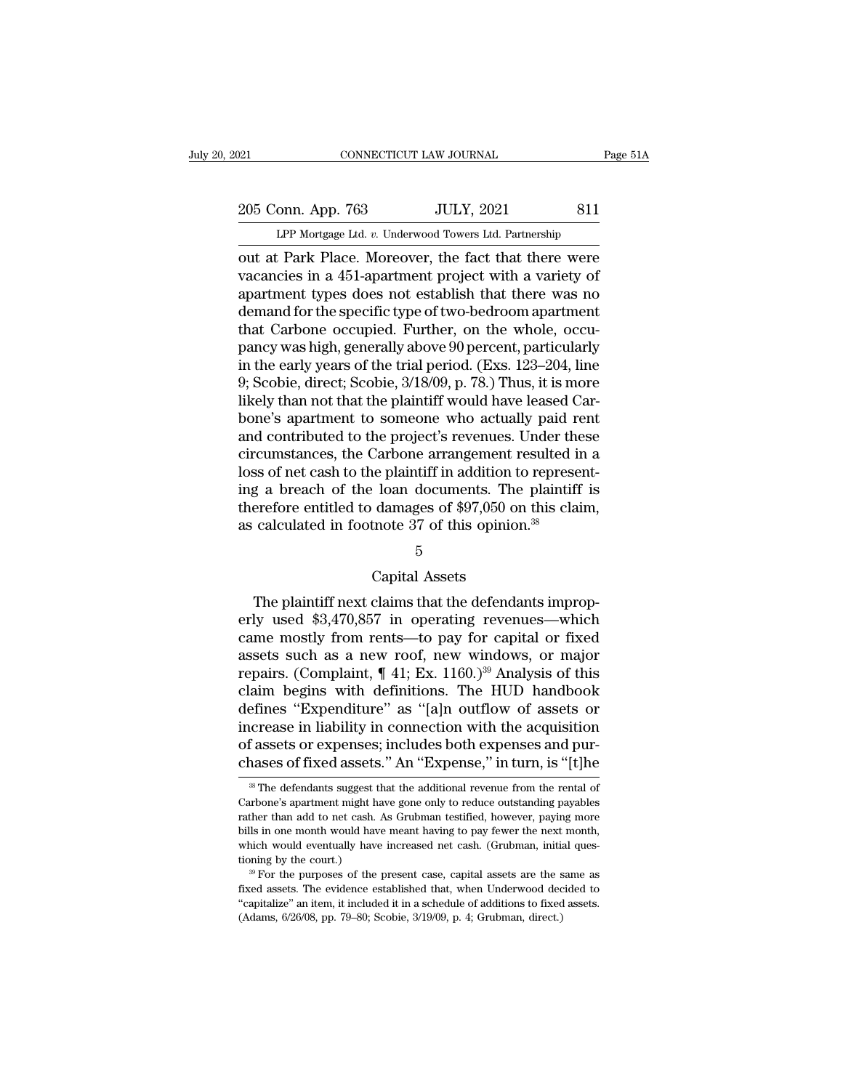# 205 Conn. App. 763 JULY, 2021 811<br>
LPP Mortgage Ltd. v. Underwood Towers Ltd. Partnership CONNECTICUT LAW JOURNAL Page 51A<br>
205 Conn. App. 763 JULY, 2021 811<br>
LPP Mortgage Ltd. *v.* Underwood Towers Ltd. Partnership<br>
out at Park Place. Moreover, the fact that there were

out at Park Place. Moreover, the fact that there were<br>vacancies in a 451-apartment project with a variety of<br>property the fact that there were<br>vacancies in a 451-apartment project with a variety of<br>programment times does n 205 Conn. App. 763 JULY, 2021 811<br>
LPP Mortgage Ltd. v. Underwood Towers Ltd. Partnership<br>
out at Park Place. Moreover, the fact that there were<br>
vacancies in a 451-apartment project with a variety of<br>
apartment types does 205 Conn. App. 763 JULY, 2021 811<br>
LPP Mortgage Ltd. v. Underwood Towers Ltd. Partnership<br>
out at Park Place. Moreover, the fact that there were<br>
vacancies in a 451-apartment project with a variety of<br>
apartment types does 205 Conn. App. 763 JULY, 2021 811<br>
LPP Mortgage Ltd. v. Underwood Towers Ltd. Partnership<br>
out at Park Place. Moreover, the fact that there were<br>
vacancies in a 451-apartment project with a variety of<br>
apartment types does LPP Mortgage Ltd. *v.* Underwood Towers Ltd. Partnership<br>
out at Park Place. Moreover, the fact that there were<br>
vacancies in a 451-apartment project with a variety of<br>
apartment types does not establish that there was no<br> LPP Mortgage Ltd.  $v$ . Underwood Towers Ltd. Partnership<br>
out at Park Place. Moreover, the fact that there were<br>
vacancies in a 451-apartment project with a variety of<br>
apartment types does not establish that there was no out at Park Place. Moreover, the fact that there were vacancies in a 451-apartment project with a variety of apartment types does not establish that there was no demand for the specific type of two-bedroom apartment that C vacancies in a 451-apartment project with a variety of<br>apartment types does not establish that there was no<br>demand for the specific type of two-bedroom apartment<br>that Carbone occupied. Further, on the whole, occu-<br>pancy wa apartment types does not establish that there was no<br>demand for the specific type of two-bedroom apartment<br>that Carbone occupied. Further, on the whole, occu-<br>pancy was high, generally above 90 percent, particularly<br>in the demand for the specific type of two-bedroom apartment<br>that Carbone occupied. Further, on the whole, occu-<br>pancy was high, generally above 90 percent, particularly<br>in the early years of the trial period. (Exs. 123–204, line that Carbone occupied. Further, on the whole, occupancy was high, generally above 90 percent, particularly<br>in the early years of the trial period. (Exs. 123–204, line<br>9; Scobie, direct; Scobie, 3/18/09, p. 78.) Thus, it is pancy was high, generally above 90 percent, particularly<br>in the early years of the trial period. (Exs. 123–204, line<br>9; Scobie, direct; Scobie, 3/18/09, p. 78.) Thus, it is more<br>likely than not that the plaintiff would hav in the early years of the trial period. (Exs. 123–204, line 9; Scobie, direct; Scobie,  $3/18/09$ , p. 78.) Thus, it is more likely than not that the plaintiff would have leased Carbone's apartment to someone who actually p 9; Scobie, direct; Scobie, 3/18/09, p. 78.) Thus, it is more<br>likely than not that the plaintiff would have leased Car-<br>bone's apartment to someone who actually paid rent<br>and contributed to the project's revenues. Under th likely than not that the plaintiff would have leased Carbone's apartment to someone who actually paid rent<br>and contributed to the project's revenues. Under these<br>circumstances, the Carbone arrangement resulted in a<br>loss of bone's apartment to someone who actually paid read contributed to the project's revenues. Under the circumstances, the Carbone arrangement resulted is loss of net cash to the plaintiff in addition to represe ing a breach Ne plaintiff in addition to:<br>Ioan documents. The<br>damages of \$97,050 on<br>tnote 37 of this opinion<br>5<br>Capital Assets<br>claims that the defendai g a breach of the loan documents. The plaintiff is<br>erefore entitled to damages of \$97,050 on this claim,<br>calculated in footnote 37 of this opinion.<sup>38</sup><br>5<br>Capital Assets<br>The plaintiff next claims that the defendants improp-

## 5

therefore entitled to damages of  $$97,050$  on this claim,<br>as calculated in footnote 37 of this opinion.<sup>38</sup><br> $5$ <br>Capital Assets<br>The plaintiff next claims that the defendants improp-<br>erly used  $$3,470,857$  in operating reve  $\frac{5}{5}$  Capital Assets<br>The plaintiff next claims that the defendants improp-<br>erly used \$3,470,857 in operating revenues—which<br>came mostly from rents—to pay for capital or fixed<br>assets such as a new roof, new windows, or 5<br>Capital Assets<br>The plaintiff next claims that the defendants improp-<br>erly used \$3,470,857 in operating revenues—which<br>came mostly from rents—to pay for capital or fixed<br>assets such as a new roof, new windows, or major<br>r Capital Assets<br>The plaintiff next claims that the defendants improp-<br>erly used \$3,470,857 in operating revenues—which<br>came mostly from rents—to pay for capital or fixed<br>assets such as a new roof, new windows, or major<br>rep Capital Assets<br>
The plaintiff next claims that the defendants improp-<br>
erly used \$3,470,857 in operating revenues—which<br>
came mostly from rents—to pay for capital or fixed<br>
assets such as a new roof, new windows, or major The plaintiff next claims that the defendants improperly used \$3,470,857 in operating revenues—which<br>came mostly from rents—to pay for capital or fixed<br>assets such as a new roof, new windows, or major<br>repairs. (Complaint, erly used \$3,470,857 in operating revenues—which<br>came mostly from rents—to pay for capital or fixed<br>assets such as a new roof, new windows, or major<br>repairs. (Complaint, ¶ 41; Ex. 1160.)<sup>39</sup> Analysis of this<br>claim begins w came mostly from rents—to pay for capital or fixed<br>assets such as a new roof, new windows, or major<br>repairs. (Complaint,  $\P$  41; Ex. 1160.)<sup>39</sup> Analysis of this<br>claim begins with definitions. The HUD handbook<br>defines "Exp assets such as a new roof, new windows, or major<br>repairs. (Complaint,  $\P$  41; Ex. 1160.)<sup>39</sup> Analysis of this<br>claim begins with definitions. The HUD handbook<br>defines "Expenditure" as "[a]n outflow of assets or<br>increase in efines "Expenditure" as "[a]n outflow of assets or<br>crease in liability in connection with the acquisition<br>f assets or expenses; includes both expenses and pur-<br>nases of fixed assets." An "Expense," in turn, is "[t]he<br><sup>38</sup> increase in liability in connection with the acquisition<br>of assets or expenses; includes both expenses and pur-<br>chases of fixed assets." An "Expense," in turn, is "[t]he<br><sup>38</sup> The defendants suggest that the additional reve

of assets or expenses; includes both expenses and purchases of fixed assets." An "Expense," in turn, is "[t]he  $\frac{1}{2}$  The defendants suggest that the additional revenue from the rental of Carbone's apartment might have chases of fixed assets." An "Expense," in turn, is "[t]he  $\frac{1}{\pi}$  The defendants suggest that the additional revenue from the rental of Carbone's apartment might have gone only to reduce outstanding payables rather tha CHASES OF HXECT ASSELS. ATT EXPENSE, IT ULTH, IS [UJIE<br>
<sup>38</sup> The defendants suggest that the additional revenue from the rental of<br>
Carbone's apartment might have gone only to reduce outstanding payables<br>
rather than add t <sup>38</sup> The defendants suggest t<br>Carbone's apartment might has<br>trather than add to net cash.<br>bills in one month would hav<br>which would eventually have<br>tioning by the court.)<br><sup>39</sup> For the purposes of the The purposes of the present case, capital assets are the same assets. The evidence of the present cash. As Grubman testified, however, paying more lls in one month would have meant having to pay fewer the next month, inch extracted assets. The evidence established that, when Underwood decided to "capitalize" an item, which would have meant having to pay fewer the next month, which would eventually have increased net cash. (Grubman, initial rather than add to net cash. As Grubman testified, however, paying more bills in one month would have meant having to pay fewer the next month, which would eventually have increased net cash. (Grubman, initial questioning which would eventually have increased net cash. (Grubman, initial ques-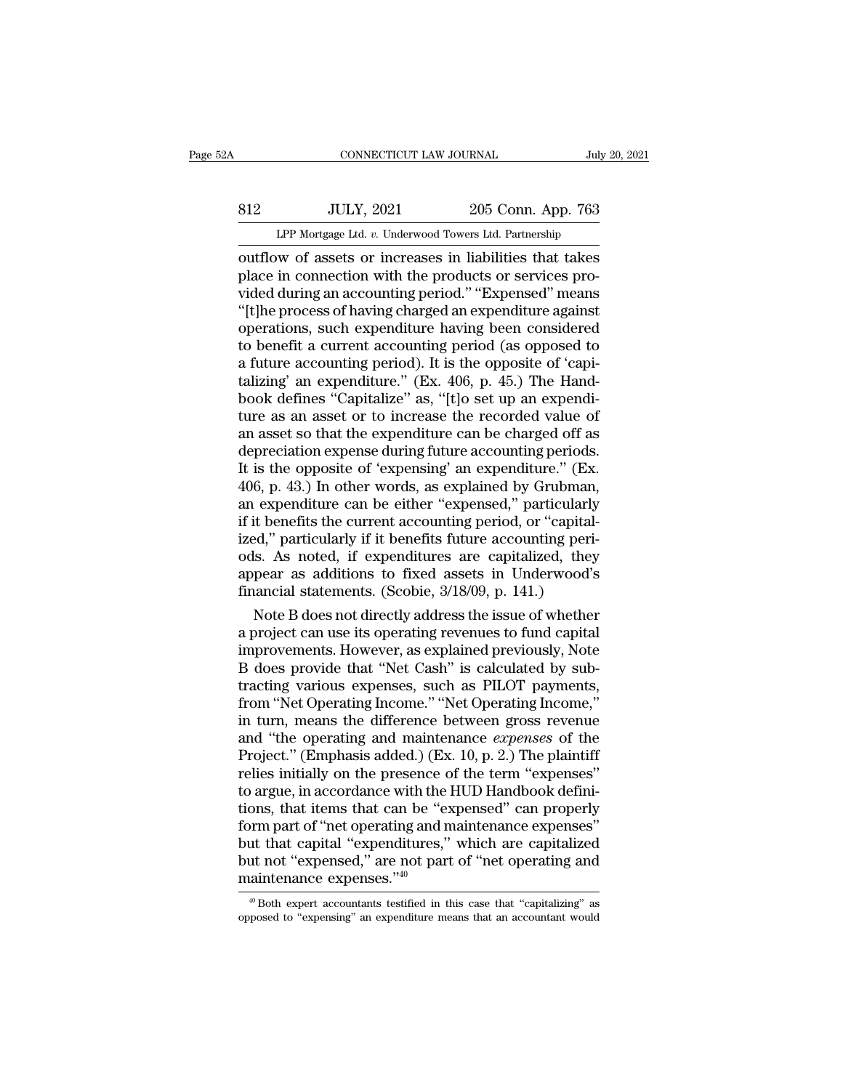# EXECUTE CONNECTICUT LAW JOURNAL July 20, 2021<br>812 JULY, 2021 205 Conn. App. 763<br>LPP Mortgage Ltd. v. Underwood Towers Ltd. Partnership CONNECTICUT LAW JOURNAL July 20, 2021<br> **EXECUTE:** JULY, 2021 205 Conn. App. 763<br>
LPP Mortgage Ltd. *v.* Underwood Towers Ltd. Partnership<br>
outflow of assets or increases in liabilities that takes

CONNECTICUT LAW JOURNAL July 20, 2021<br>
SI2 JULY, 2021 205 Conn. App. 763<br>
LPP Mortgage Ltd. v. Underwood Towers Ltd. Partnership<br>
outflow of assets or increases in liabilities that takes<br>
place in connection with the produ Solution Marketter and Solution With the products or services pro-<br>
plance in connection with the products or services pro-<br>
place in connection with the products or services pro-<br>
plancy or services pro-<br>
it the process o vided an experimental and the products are the products or services provided during an accounting period.'' "Expensed" means<br>
"The process of having period.'' "Expensed" means<br>
"The process of having charged an expenditure S12 JULY, 2021 205 Conn. App. 763<br>
LPP Mortgage Ltd. v. Underwood Towers Ltd. Partnership<br>
outflow of assets or increases in liabilities that takes<br>
place in connection with the products or services pro-<br>
vided during an a LPP Mortgage Ltd. v. Underwood Towers Ltd. Partnership<br>
outflow of assets or increases in liabilities that takes<br>
place in connection with the products or services pro-<br>
vided during an accounting period." "Expensed" mean LPP Mortgage Ltd.  $v$ . Underwood Towers Ltd. Partnership<br>
outflow of assets or increases in liabilities that takes<br>
place in connection with the products or services pro-<br>
vided during an accounting period." "Expensed" me outflow of assets or increases in liabilities that takes<br>place in connection with the products or services pro-<br>vided during an accounting period." "Expensed" means<br>"[t]he process of having charged an expenditure against<br>o place in connection with the products or services provided during an accounting period." "Expensed" means "[t]he process of having charged an expenditure against operations, such expenditure having been considered to benef vided during an accounting period." "Expensed" means<br>"[t]he process of having charged an expenditure against<br>operations, such expenditure having been considered<br>to benefit a current accounting period (as opposed to<br>a futur "[t]he process of having charged an expenditure against<br>operations, such expenditure having been considered<br>to benefit a current accounting period (as opposed to<br>a future accounting period). It is the opposite of 'capi-<br>t operations, such expenditure having been considered<br>to benefit a current accounting period (as opposed to<br>a future accounting period). It is the opposite of 'capi-<br>talizing' an expenditure." (Ex. 406, p. 45.) The Hand-<br>boo to benefit a current accounting period (as opposed to<br>a future accounting period). It is the opposite of 'capi-<br>talizing' an expenditure." (Ex. 406, p. 45.) The Hand-<br>book defines "Capitalize" as, "[t]o set up an expendia future accounting period). It is the opposite of 'capitalizing' an expenditure." (Ex. 406, p. 45.) The Handbook defines "Capitalize" as, "[t]o set up an expenditure as an asset or to increase the recorded value of an ass talizing' an expenditure." (Ex. 406, p. 45.) The Handbook defines "Capitalize" as, "[t]o set up an expenditure as an asset or to increase the recorded value of an asset so that the expenditure can be charged off as depreci book defines "Capitalize" as, "[t]o set up an expenditure as an asset or to increase the recorded value of<br>an asset so that the expenditure can be charged off as<br>depreciation expense during future accounting periods.<br>It is ture as an asset or to increase the recorded value of<br>an asset so that the expenditure can be charged off as<br>depreciation expense during future accounting periods.<br>It is the opposite of 'expensing' an expenditure." (Ex.<br>40 an asset so that the expenditure can be charged off as<br>depreciation expense during future accounting periods.<br>It is the opposite of 'expensing' an expenditure." (Ex.<br>406, p. 43.) In other words, as explained by Grubman,<br>an depreciation expense during future accounting periods.<br>It is the opposite of 'expensing' an expenditure." (Ex.<br>406, p. 43.) In other words, as explained by Grubman,<br>an expenditure can be either "expensed," particularly<br>if It is the opposite of 'expensing' an expenditure." (Ex.<br>406, p. 43.) In other words, as explained by Grubman,<br>an expenditure can be either "expensed," particularly<br>if it benefits the current accounting period, or "capital-406, p. 43.) In other words, as explained by Grubman,<br>an expenditure can be either "expensed," particularly<br>if it benefits the current accounting period, or "capital-<br>ized," particularly if it benefits future accounting pe expenditure can be either "expensed," particularly<br>it benefits the current accounting period, or "capital-<br>ed," particularly if it benefits future accounting peri-<br>ls. As noted, if expenditures are capitalized, they<br>pear a it it benefits the current accounting period, or "capital-<br>ized," particularly if it benefits future accounting peri-<br>ods. As noted, if expenditures are capitalized, they<br>appear as additions to fixed assets in Underwood's<br>

ized," particularly if it benefits future accounting peri-<br>ods. As noted, if expenditures are capitalized, they<br>appear as additions to fixed assets in Underwood's<br>financial statements. (Scobie, 3/18/09, p. 141.)<br>Note B doe ods. As noted, if expenditures are capitalized, they<br>appear as additions to fixed assets in Underwood's<br>financial statements. (Scobie, 3/18/09, p. 141.)<br>Note B does not directly address the issue of whether<br>a project can u appear as additions to fixed assets in Underwood's<br>financial statements. (Scobie, 3/18/09, p. 141.)<br>Note B does not directly address the issue of whether<br>a project can use its operating revenues to fund capital<br>improvement financial statements. (Scobie, 3/18/09, p. 141.)<br>
Note B does not directly address the issue of whether<br>
a project can use its operating revenues to fund capital<br>
improvements. However, as explained previously, Note<br>
B doe Note B does not directly address the issue of whether<br>a project can use its operating revenues to fund capital<br>improvements. However, as explained previously, Note<br>B does provide that "Net Cash" is calculated by sub-<br>trac a project can use its operating revenues to fund capital<br>improvements. However, as explained previously, Note<br>B does provide that "Net Cash" is calculated by sub-<br>tracting various expenses, such as PILOT payments,<br>from "Ne improvements. However, as explained previously, Note<br>B does provide that "Net Cash" is calculated by subtracting various expenses, such as PILOT payments,<br>from "Net Operating Income." "Net Operating Income,"<br>in turn, means B does provide that "Net Cash" is calculated by subtracting various expenses, such as PILOT payments,<br>from "Net Operating Income." "Net Operating Income,"<br>in turn, means the difference between gross revenue<br>and "the operat tracting various expenses, such as PILOT payments,<br>from "Net Operating Income." "Net Operating Income,"<br>in turn, means the difference between gross revenue<br>and "the operating and maintenance *expenses* of the<br>Project." (E from "Net Operating Income." "Net Operating Income,"<br>in turn, means the difference between gross revenue<br>and "the operating and maintenance *expenses* of the<br>Project." (Emphasis added.) (Ex. 10, p. 2.) The plaintiff<br>relies in turn, means the difference between gross revenue<br>and "the operating and maintenance *expenses* of the<br>Project." (Emphasis added.) (Ex. 10, p. 2.) The plaintiff<br>relies initially on the presence of the term "expenses"<br>to and "the operating and maintenance *expenses* of the<br>Project." (Emphasis added.) (Ex. 10, p. 2.) The plaintiff<br>relies initially on the presence of the term "expenses"<br>to argue, in accordance with the HUD Handbook defini-<br> Project." (Emphasis added.) (Ex. 10, p. 2.) The plaintiff<br>relies initially on the presence of the term "expenses"<br>to argue, in accordance with the HUD Handbook defini-<br>tions, that items that can be "expensed" can properly<br> relies initially on the presence  $\alpha$  to argue, in accordance with the tions, that items that can be "e form part of "net operating and r but that capital "expenditures," but not "expensed," are not par maintenance expens both part of "net operating and maintenance expenses"<br>ut that capital "expenditures," which are capitalized<br>ut not "expensed," are not part of "net operating and<br>aintenance expenses."<sup>40</sup><br><sup>40</sup> Both expert accountants test but that capital "expenditures," which are capitalized<br>but not "expensed," are not part of "net operating and<br>maintenance expenses."<sup>40</sup><br> $\frac{40}{10}$ Both expert accountants testified in this case that "capitalizing" as<br>opp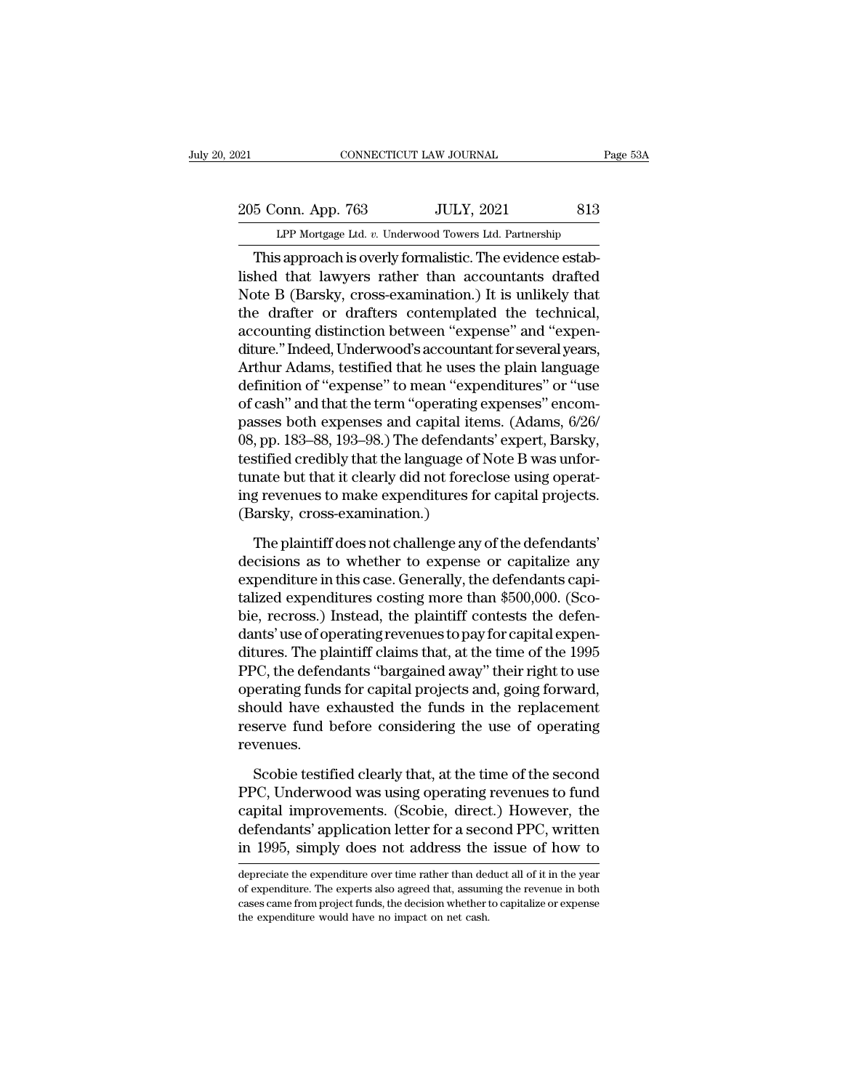# 205 Conn. App. 763 JULY, 2021 813<br>
LPP Mortgage Ltd. v. Underwood Towers Ltd. Partnership Equal CONNECTICUT LAW JOURNAL Page 53A<br>
205 Conn. App. 763 JULY, 2021 813<br>
LPP Mortgage Ltd. *v.* Underwood Towers Ltd. Partnership<br>
This approach is overly formalistic. The evidence estab-

CONNECTICUT LAW JOURNAL<br>
5 Conn. App. 763 JULY, 2021 813<br>
LPP Mortgage Ltd. v. Underwood Towers Ltd. Partnership<br>
This approach is overly formalistic. The evidence estab-<br>
hed that lawyers rather than accountants drafted<br> 205 Conn. App. 763 JULY, 2021 813<br>
LPP Mortgage Ltd. v. Underwood Towers Ltd. Partnership<br>
This approach is overly formalistic. The evidence established that lawyers rather than accountants drafted<br>
Note B (Barsky, cross-e 205 Conn. App. 763 JULY, 2021 813<br>
LPP Mortgage Ltd. v. Underwood Towers Ltd. Partnership<br>
This approach is overly formalistic. The evidence established that lawyers rather than accountants drafted<br>
Note B (Barsky, cross-e 205 Conn. App. 763 JULY, 2021 813<br>
LPP Mortgage Ltd. v. Underwood Towers Ltd. Partnership<br>
This approach is overly formalistic. The evidence established that lawyers rather than accountants drafted<br>
Note B (Barsky, cross-e LPP Mortgage Ltd. v. Underwood Towers Ltd. Partnership<br>
This approach is overly formalistic. The evidence estab-<br>
lished that lawyers rather than accountants drafted<br>
Note B (Barsky, cross-examination.) It is unlikely that This approach is overly formalistic. The evidence established that lawyers rather than accountants drafted<br>Note B (Barsky, cross-examination.) It is unlikely that<br>the drafter or drafters contemplated the technical,<br>accoun This approach is overly formalistic. The evidence established that lawyers rather than accountants drafted<br>Note B (Barsky, cross-examination.) It is unlikely that<br>the drafter or drafters contemplated the technical,<br>account lished that lawyers rather than accountants drafted<br>Note B (Barsky, cross-examination.) It is unlikely that<br>the drafter or drafters contemplated the technical,<br>accounting distinction between "expense" and "expen-<br>diture." Note B (Barsky, cross-examination.) It is unlikely that<br>the drafter or drafters contemplated the technical,<br>accounting distinction between "expense" and "expen-<br>diture." Indeed, Underwood's accountant for several years,<br>Ar the drafter or drafters contemplated the technical,<br>accounting distinction between "expense" and "expenditure." Indeed, Underwood's accountant for several years,<br>Arthur Adams, testified that he uses the plain language<br>defi accounting distinction between "expense" and "expenditure." Indeed, Underwood's accountant for several years,<br>Arthur Adams, testified that he uses the plain language<br>definition of "expense" to mean "expenditures" or "use<br>o diture." Indeed, Underwood's accountant for several years,<br>Arthur Adams, testified that he uses the plain language<br>definition of "expense" to mean "expenditures" or "use<br>of cash" and that the term "operating expenses" enco Arthur Adams, testified that he uses the plain language<br>definition of "expense" to mean "expenditures" or "use<br>of cash" and that the term "operating expenses" encom-<br>passes both expenses and capital items. (Adams, 6/26/<br>08 definition of "expense" to mean "expenditures" or "use<br>of cash" and that the term "operating expenses" encom-<br>passes both expenses and capital items. (Adams, 6/26/<br>08, pp. 183–88, 193–98.) The defendants' expert, Barsky,<br>t of cash" and that the term "operating e<br>passes both expenses and capital ite<br>08, pp. 183–88, 193–98.) The defendan<br>testified credibly that the language of<br>tunate but that it clearly did not forec<br>ing revenues to make expen , pp. 183–88, 193–98.) The defendants' expert, Barsky,<br>stified credibly that the language of Note B was unfor-<br>nate but that it clearly did not foreclose using operat-<br>g revenues to make expenditures for capital projects. testified credibly that the language of Note B was unfor-<br>tunate but that it clearly did not foreclose using operat-<br>ing revenues to make expenditures for capital projects.<br>(Barsky, cross-examination.)<br>The plaintiff does n

tunate but that it clearly did not foreclose using operating revenues to make expenditures for capital projects.<br>(Barsky, cross-examination.)<br>The plaintiff does not challenge any of the defendants'<br>decisions as to whether ing revenues to make expenditures for capital projects.<br>
(Barsky, cross-examination.)<br>
The plaintiff does not challenge any of the defendants'<br>
decisions as to whether to expense or capitalize any<br>
expenditure in this case (Barsky, cross-examination.)<br>
The plaintiff does not challenge any of the defendants'<br>
decisions as to whether to expense or capitalize any<br>
expenditure in this case. Generally, the defendants capi-<br>
talized expenditures The plaintiff does not challenge any of the defendants'<br>decisions as to whether to expense or capitalize any<br>expenditure in this case. Generally, the defendants capi-<br>talized expenditures costing more than \$500,000. (Sco-<br> The plaintiff does not challenge any of the defendants'<br>decisions as to whether to expense or capitalize any<br>expenditure in this case. Generally, the defendants capi-<br>talized expenditures costing more than \$500,000. (Sco-<br> decisions as to whether to expense or capitalize any<br>expenditure in this case. Generally, the defendants capi-<br>talized expenditures costing more than \$500,000. (Sco-<br>bie, recross.) Instead, the plaintiff contests the defen expenditure in this case. Generally, the defendants capitalized expenditures costing more than \$500,000. (Scobie, recross.) Instead, the plaintiff contests the defendants' use of operating revenues to pay for capital expen talized expenditures costing more than \$500,000. (Sco-<br>bie, recross.) Instead, the plaintiff contests the defen-<br>dants' use of operating revenues to pay for capital expen-<br>ditures. The plaintiff claims that, at the time of bie, recross.) Instead, the plaintiff contests the defendants' use of operating revenues to pay for capital expenditures. The plaintiff claims that, at the time of the 1995 PPC, the defendants "bargained away" their right revenues. PC, the defendants "bargained away" their right to use<br>erating funds for capital projects and, going forward,<br>ould have exhausted the funds in the replacement<br>serve fund before considering the use of operating<br>venues.<br>Scob operating funds for capital projects and, going forward,<br>should have exhausted the funds in the replacement<br>reserve fund before considering the use of operating<br>revenues.<br>Scobie testified clearly that, at the time of the s

should have exhausted the funds in the replacement<br>reserve fund before considering the use of operating<br>revenues.<br>Scobie testified clearly that, at the time of the second<br>PPC, Underwood was using operating revenues to fund reserve fund before considering the use of operating<br>revenues.<br>Scobie testified clearly that, at the time of the second<br>PPC, Underwood was using operating revenues to fund<br>capital improvements. (Scobie, direct.) However, t in 1995, simply does not address the issue of the second<br>deprecise to fund capital improvements. (Scobie, direct.) However, the<br>defendants' application letter for a second PPC, written<br>in 1995, simply does not address the PPC, Underwood was using operating revenues to fund<br>capital improvements. (Scobie, direct.) However, the<br>defendants' application letter for a second PPC, written<br>in 1995, simply does not address the issue of how to<br>depreci capital improvements. (Scobie, direct.) However, the<br>defendants' application letter for a second PPC, written<br>in 1995, simply does not address the issue of how to<br>depreciate the expenditure over time rather than deduct all

defendants' application letter for a second PPC, written<br>in 1995, simply does not address the issue of how to<br>depreciate the expenditure over time rather than deduct all of it in the year<br>of expenditure. The experts also a in 1995, simply does not address the issue of how to<br>depreciate the expenditure over time rather than deduct all of it in the year<br>of expenditure. The experts also agreed that, assuming the revenue in both<br>cases came from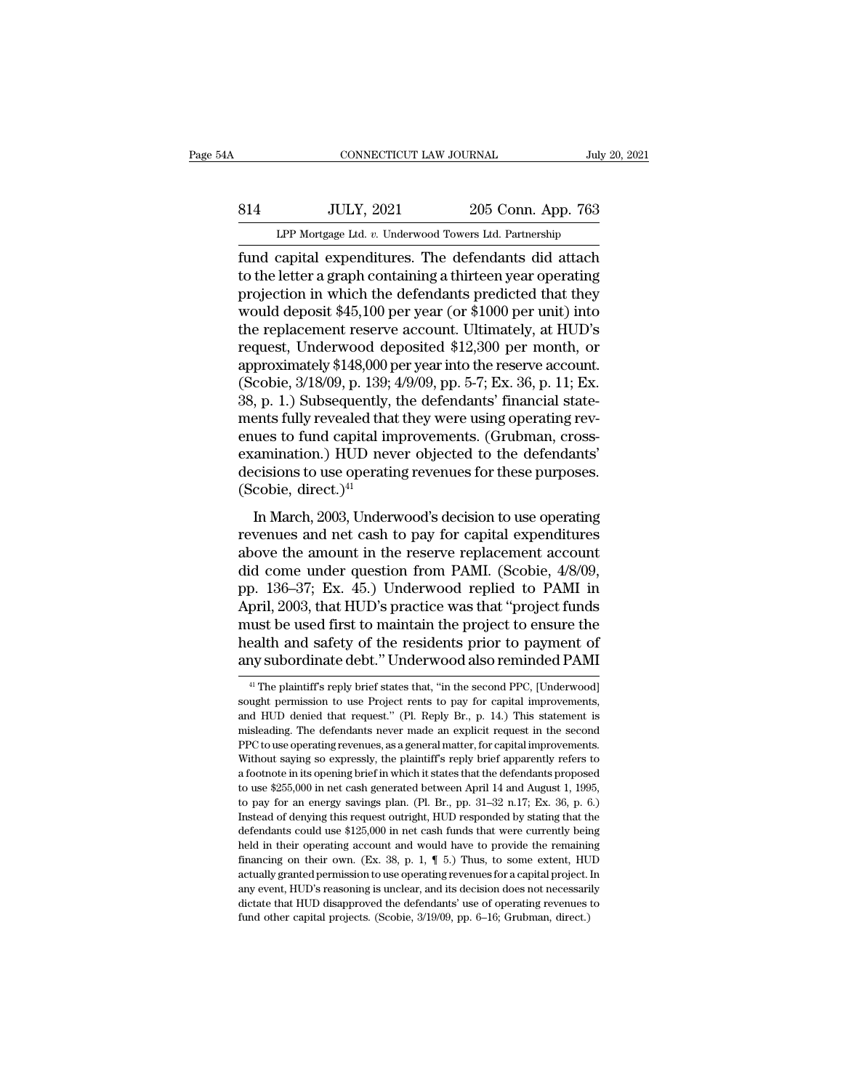# EXECUTE CONNECTICUT LAW JOURNAL July 20, 2021<br>814 JULY, 2021 205 Conn. App. 763<br>LPP Mortgage Ltd. v. Underwood Towers Ltd. Partnership CONNECTICUT LAW JOURNAL July 20, 2021<br>
205 Conn. App. 763<br>
LPP Mortgage Ltd. *v.* Underwood Towers Ltd. Partnership<br>
fund capital expenditures. The defendants did attach

Fund capital expenditures. The defendants did attach<br>
fund capital expenditures. The defendants did attach<br>
to the letter a graph containing a thirteen year operating<br>
projection in which the defendants prodicted that they S14 JULY, 2021 205 Conn. App. 763<br>
LPP Mortgage Ltd. v. Underwood Towers Ltd. Partnership<br>
fund capital expenditures. The defendants did attach<br>
to the letter a graph containing a thirteen year operating<br>
projection in whi 814 JULY, 2021 205 Conn. App. 763<br>
LPP Mortgage Ltd. v. Underwood Towers Ltd. Partnership<br>
fund capital expenditures. The defendants did attach<br>
to the letter a graph containing a thirteen year operating<br>
projection in wh S14 JULY, 2021 205 Conn. App. 763<br>
LPP Mortgage Ltd. v. Underwood Towers Ltd. Partnership<br>
fund capital expenditures. The defendants did attach<br>
to the letter a graph containing a thirteen year operating<br>
projection in whi LPP Mortgage Ltd. v. Underwood Towers Ltd. Partnership<br>fund capital expenditures. The defendants did attach<br>to the letter a graph containing a thirteen year operating<br>projection in which the defendants predicted that they LPP Mortgage Ltd. v. Underwood Towers Ltd. Partnership<br>fund capital expenditures. The defendants did attach<br>to the letter a graph containing a thirteen year operating<br>projection in which the defendants predicted that they fund capital expenditures. The defendants did attach<br>to the letter a graph containing a thirteen year operating<br>projection in which the defendants predicted that they<br>would deposit \$45,100 per year (or \$1000 per unit) into to the letter a graph containing a thirteen year operating<br>projection in which the defendants predicted that they<br>would deposit \$45,100 per year (or \$1000 per unit) into<br>the replacement reserve account. Ultimately, at HUD' projection in which the defendants predicted that they<br>would deposit \$45,100 per year (or \$1000 per unit) into<br>the replacement reserve account. Ultimately, at HUD's<br>request, Underwood deposited \$12,300 per month, or<br>approx would deposit \$45,100 per year (or \$1000 per unit) into<br>the replacement reserve account. Ultimately, at HUD's<br>request, Underwood deposited \$12,300 per month, or<br>approximately \$148,000 per year into the reserve account.<br>(Sc the replacement reserve account. Ultimately, at HUD's<br>request, Underwood deposited \$12,300 per month, or<br>approximately \$148,000 per year into the reserve account.<br>(Scobie, 3/18/09, p. 139; 4/9/09, pp. 5-7; Ex. 36, p. 11; E request, Underwood deposited \$12,300 per month, or<br>approximately \$148,000 per year into the reserve account.<br>(Scobie, 3/18/09, p. 139; 4/9/09, pp. 5-7; Ex. 36, p. 11; Ex.<br>38, p. 1.) Subsequently, the defendants' financial approximately \$148,000 per year into the reserve account.<br>(Scobie, 3/18/09, p. 139; 4/9/09, pp. 5-7; Ex. 36, p. 11; Ex.<br>38, p. 1.) Subsequently, the defendants' financial state-<br>ments fully revealed that they were using o (Scobie, 3/18/09, p. 139;<br>38, p. 1.) Subsequently,<br>ments fully revealed tha<br>enues to fund capital in<br>examination.) HUD nev<br>decisions to use operatii<br>(Scobie, direct.)<sup>41</sup><br>In March, 2003, Under Fig. 1.) Subsequently, the detendants infiancial state-<br>
ents fully revealed that they were using operating rev-<br>
ues to fund capital improvements. (Grubman, cross-<br>
amination.) HUD never objected to the defendants'<br>
cisi revenues to fund capital improvements. (Grubman, cross-<br>examination.) HUD never objected to the defendants'<br>decisions to use operating revenues for these purposes.<br>(Scobie, direct.)<sup>41</sup><br>In March, 2003, Underwood's decision

examination.) HUD never objected to the defendants'<br>decisions to use operating revenues for these purposes.<br>(Scobie, direct.)<sup>41</sup><br>In March, 2003, Underwood's decision to use operating<br>revenues and net cash to pay for capi decisions to use operating revenues for these purposes.<br>
(Scobie, direct.)<sup>41</sup><br>
In March, 2003, Underwood's decision to use operating<br>
revenues and net cash to pay for capital expenditures<br>
above the amount in the reserve (Scobie, direct.)<sup>41</sup><br>(Scobie, direct.)<sup>41</sup><br>In March, 2003, Underwood's decision to use operating<br>revenues and net cash to pay for capital expenditures<br>above the amount in the reserve replacement account<br>did come under qu In March, 2003, Underwood's decision to use operating<br>revenues and net cash to pay for capital expenditures<br>above the amount in the reserve replacement account<br>did come under question from PAMI. (Scobie, 4/8/09,<br>pp. 136–37 In March, 2003, Underwood's decision to use operating<br>revenues and net cash to pay for capital expenditures<br>above the amount in the reserve replacement account<br>did come under question from PAMI. (Scobie, 4/8/09,<br>pp. 136–37 revenues and net cash to pay for capital expenditures<br>above the amount in the reserve replacement account<br>did come under question from PAMI. (Scobie, 4/8/09,<br>pp. 136–37; Ex. 45.) Underwood replied to PAMI in<br>April, 2003, t above the amount in the reserve replacement account<br>did come under question from PAMI. (Scobie, 4/8/09,<br>pp. 136–37; Ex. 45.) Underwood replied to PAMI in<br>April, 2003, that HUD's practice was that "project funds<br>must be use pril, 2003, that HUD's practice was that "project funds<br>ust be used first to maintain the project to ensure the<br>ealth and safety of the residents prior to payment of<br>ny subordinate debt." Underwood also reminded PAMI<br><sup>41</sup> must be used first to maintain the project to ensure the<br>health and safety of the residents prior to payment of<br>any subordinate debt." Underwood also reminded PAMI<br><sup>41</sup> The plaintiff's reply brief states that, "in the seco

health and safety of the residents prior to payment of<br>any subordinate debt.'' Underwood also reminded PAMI<br><sup>41</sup> The plaintiff's reply brief states that, "in the second PPC, [Underwood]<br>sought permission to use Project ren may subordinate debt." Underwood also reminded PAMI<br>
<sup>41</sup> The plaintiff's reply brief states that, "in the second PPC, [Underwood]<br>
sought permission to use Project rents to pay for capital improvements,<br>
and HUD denied th any subordinate debt. Chuer wood also reminded I AMI<br>
<sup>41</sup> The plaintiff's reply brief states that, "in the second PPC, [Underwood]<br>
sought permission to use Project rents to pay for capital improvements,<br>
and HUD denied t <sup>41</sup> The plaintiff's reply brief states that, "in the second PPC, [Underwood] sought permission to use Project rents to pay for capital improvements, and HUD denied that request." (Pl. Reply Br., p. 14.) This statement is a footnote paramission to use Project rents to pay for capital improvements, and HUD denied that request." (Pl. Reply Br., p. 14.) This statement is misleading. The defendants never made an explicit request in the second P and HUD denied that request." (Pl. Reply Br., p. 14.) This statement is misleading. The defendants never made an explicit request in the second PPC to use operating revenues, as a general matter, for capital improvements. misleading. The defendants never made an explicit request in the second<br>PPC to use operating revenues, as a general matter, for capital improvements.<br>Without saying so expressly, the plaintiff's reply brief apparently refe PPC to use operating revenues, as a general matter, for capital improvements.<br>Without saying so expressly, the plaintiff's reply brief apparently refers to<br>a footnote in its opening brief in which it states that the defend Without saying so expressly, the plaintiff's reply brief apparently refers to a footnote in its opening brief in which it states that the defendants proposed to use \$255,000 in net cash generated between April 14 and Augu a footnote in its opening brief in which it states that the defendants proposed to use \$255,000 in net cash generated between April 14 and August 1, 1995, to pay for an energy savings plan. (Pl. Br., pp. 31–32 n.17; Ex. 3 to use \$255,000 in net cash generated between April 14 and August 1, 1995, to pay for an energy savings plan. (Pl. Br., pp. 31–32 n.17; Ex. 36, p. 6.) Instead of denying this request outright, HUD responded by stating tha to pay for an energy savings plan. (Pl. Br., pp. 31–32 n.17; Ex. 36, p. 6.)<br>Instead of denying this request outright, HUD responded by stating that the<br>defendants could use \$125,000 in net cash funds that were currently b Instead of denying this request outright, HUD responded by stating that the defendants could use \$125,000 in net cash funds that were currently being held in their operating account and would have to provide the remaining defendants could use \$125,000 in net cash funds that were currently being<br>defendants could use \$125,000 in net cash funds that were currently being<br>financing on their own. (Ex. 38, p. 1, ¶ 5.) Thus, to some extent, HUD<br>ac defendants could use \$125,000 in net cash funds that were currently being<br>held in their operating account and would have to provide the remaining<br>financing on their own. (Ex. 38, p. 1,  $\P$  5.) Thus, to some extent, HUD<br>ac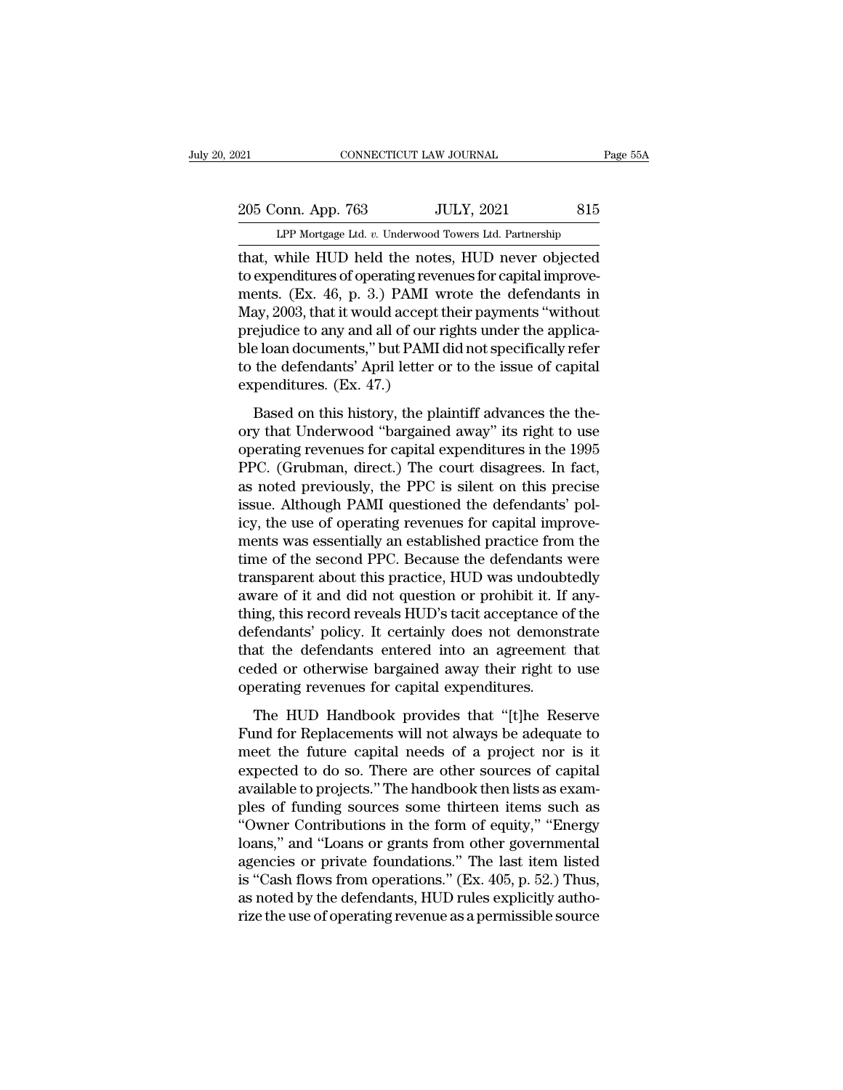# 205 Conn. App. 763 JULY, 2021 815<br>
LPP Mortgage Ltd. v. Underwood Towers Ltd. Partnership

CONNECTICUT LAW JOURNAL Page 55A<br>
205 Conn. App. 763 JULY, 2021 815<br>
LPP Mortgage Ltd. *v.* Underwood Towers Ltd. Partnership<br>
that, while HUD held the notes, HUD never objected That, while HUD held the notes, HUD never objected<br>that, while HUD held the notes, HUD never objected<br>to expenditures of operating revenues for capital improve-<br>ments. (Ey. 46, p. 2.) BAMI wrote the defendants in 205 Conn. App. 763 JULY, 2021 815<br>
LPP Mortgage Ltd. v. Underwood Towers Ltd. Partnership<br>
that, while HUD held the notes, HUD never objected<br>
to expenditures of operating revenues for capital improve-<br>
ments. (Ex. 46, p. 205 Conn. App. 763 JULY, 2021 815<br>
LPP Mortgage Ltd. v. Underwood Towers Ltd. Partnership<br>
that, while HUD held the notes, HUD never objected<br>
to expenditures of operating revenues for capital improve-<br>
ments. (Ex. 46, p. 205 Conn. App. 763 JULY, 2021 815<br>
LPP Mortgage Ltd. v. Underwood Towers Ltd. Partnership<br>
that, while HUD held the notes, HUD never objected<br>
to expenditures of operating revenues for capital improve-<br>
ments. (Ex. 46, p. LPP Mortgage Ltd. v. Underwood Towers Ltd. Partnership<br>that, while HUD held the notes, HUD never objected<br>to expenditures of operating revenues for capital improve-<br>ments. (Ex. 46, p. 3.) PAMI wrote the defendants in<br>May, LPP Mortgage Ltd.  $v$ . Underwood Towers Ltd. Partnership<br>that, while HUD held the notes, HUD never objected<br>to expenditures of operating revenues for capital improve-<br>ments. (Ex. 46, p. 3.) PAMI wrote the defendants in<br>Ma that, while HUD held the notes, HUD never objected<br>to expenditures of operating revenues for capital improve-<br>ments. (Ex. 46, p. 3.) PAMI wrote the defendants in<br>May, 2003, that it would accept their payments "without<br>prej to expenditures of operating reve<br>ments. (Ex. 46, p. 3.) PAMI w<br>May, 2003, that it would accept t<br>prejudice to any and all of our r<br>ble loan documents," but PAMI<br>to the defendants' April letter c<br>expenditures. (Ex. 47.)<br>Ba Based on this history, the plaintiff advances the the-<br>plaintiff advanced only and all of our rights under the applica-<br>e loan documents," but PAMI did not specifically refer<br>the defendants' April letter or to the issue of prejudice to any and all of our rights under the applica-<br>prejudice to any and all of our rights under the applica-<br>ble loan documents," but PAMI did not specifically refer<br>to the defendants' April letter or to the issue o

prigmate team, that is applied and to the loan documents," but PAMI did not specifically refer<br>to the defendants' April letter or to the issue of capital<br>expenditures. (Ex. 47.)<br>Based on this history, the plaintiff advance Frame Calculary, The Calculary Premium of the defendants' April letter or to the issue of capital<br>expenditures. (Ex. 47.)<br>Based on this history, the plaintiff advances the the-<br>ory that Underwood "bargained away" its right as a measurement of the measure of the measurement<br>assed on this history, the plaintiff advances the the-<br>ory that Underwood "bargained away" its right to use<br>operating revenues for capital expenditures in the 1995<br>PPC. (G Based on this history, the plaintiff advances the theory that Underwood "bargained away" its right to use operating revenues for capital expenditures in the 1995 PPC. (Grubman, direct.) The court disagrees. In fact, as not Based on this history, the plaintiff advances the theory that Underwood "bargained away" its right to use operating revenues for capital expenditures in the 1995 PPC. (Grubman, direct.) The court disagrees. In fact, as not ory that Underwood "bargained away" its right to use<br>operating revenues for capital expenditures in the 1995<br>PPC. (Grubman, direct.) The court disagrees. In fact,<br>as noted previously, the PPC is silent on this precise<br>issu operating revenues for capital expenditures in the 1995<br>PPC. (Grubman, direct.) The court disagrees. In fact,<br>as noted previously, the PPC is silent on this precise<br>issue. Although PAMI questioned the defendants' pol-<br>icy, PPC. (Grubman, direct.) The court disagrees. In fact,<br>as noted previously, the PPC is silent on this precise<br>issue. Although PAMI questioned the defendants' pol-<br>icy, the use of operating revenues for capital improve-<br>ment as noted previously, the PPC is silent on this precise<br>issue. Although PAMI questioned the defendants' pol-<br>icy, the use of operating revenues for capital improve-<br>ments was essentially an established practice from the<br>tim issue. Although PAMI questioned the defendants' policy, the use of operating revenues for capital improvements was essentially an established practice from the time of the second PPC. Because the defendants were transparen icy, the use of operating revenues for capital improvements was essentially an established practice from the time of the second PPC. Because the defendants were transparent about this practice, HUD was undoubtedly aware of ments was essentially an established practice from the<br>time of the second PPC. Because the defendants were<br>transparent about this practice, HUD was undoubtedly<br>aware of it and did not question or prohibit it. If any-<br>thing time of the second PPC. Because the defendants were<br>transparent about this practice, HUD was undoubtedly<br>aware of it and did not question or prohibit it. If any-<br>thing, this record reveals HUD's tacit acceptance of the<br>def transparent about this practice, HUD was undoub<br>aware of it and did not question or prohibit it. If<br>thing, this record reveals HUD's tacit acceptance of<br>defendants' policy. It certainly does not demons<br>that the defendants ing, this record reveals HUD's tacit acceptance of the fendants' policy. It certainly does not demonstrate at the defendants entered into an agreement that ded or otherwise bargained away their right to use erating revenue defendants' policy. It certainly does not demonstrate<br>that the defendants entered into an agreement that<br>ceded or otherwise bargained away their right to use<br>operating revenues for capital expenditures.<br>The HUD Handbook pr

that the defendants entered into an agreement that<br>ceded or otherwise bargained away their right to use<br>operating revenues for capital expenditures.<br>The HUD Handbook provides that "[t]he Reserve<br>Fund for Replacements will ceded or otherwise bargained away their right to use<br>operating revenues for capital expenditures.<br>The HUD Handbook provides that "[t]he Reserve<br>Fund for Replacements will not always be adequate to<br>meet the future capital n operating revenues for capital expenditures.<br>
The HUD Handbook provides that "[t]he Reserve<br>
Fund for Replacements will not always be adequate to<br>
meet the future capital needs of a project nor is it<br>
expected to do so. Th The HUD Handbook provides that "[t]he Reserve<br>Fund for Replacements will not always be adequate to<br>meet the future capital needs of a project nor is it<br>expected to do so. There are other sources of capital<br>available to pro The HUD Handbook provides that "[t]he Reserve<br>Fund for Replacements will not always be adequate to<br>meet the future capital needs of a project nor is it<br>expected to do so. There are other sources of capital<br>available to pro Fund for Replacements will not always be adequate to<br>meet the future capital needs of a project nor is it<br>expected to do so. There are other sources of capital<br>available to projects." The handbook then lists as exam-<br>ples meet the future capital needs of a project nor is it<br>expected to do so. There are other sources of capital<br>available to projects.'' The handbook then lists as exam-<br>ples of funding sources some thirteen items such as<br>"Owne expected to do so. There are other sources of capital<br>available to projects." The handbook then lists as exam-<br>ples of funding sources some thirteen items such as<br>"Owner Contributions in the form of equity," "Energy<br>loans, available to projects." The handbook then lists as examples of funding sources some thirteen items such as "Owner Contributions in the form of equity," "Energy loans," and "Loans or grants from other governmental agencies ples of funding sources some thirteen items such as<br>"Owner Contributions in the form of equity," "Energy<br>loans," and "Loans or grants from other governmental<br>agencies or private foundations." The last item listed<br>is "Cash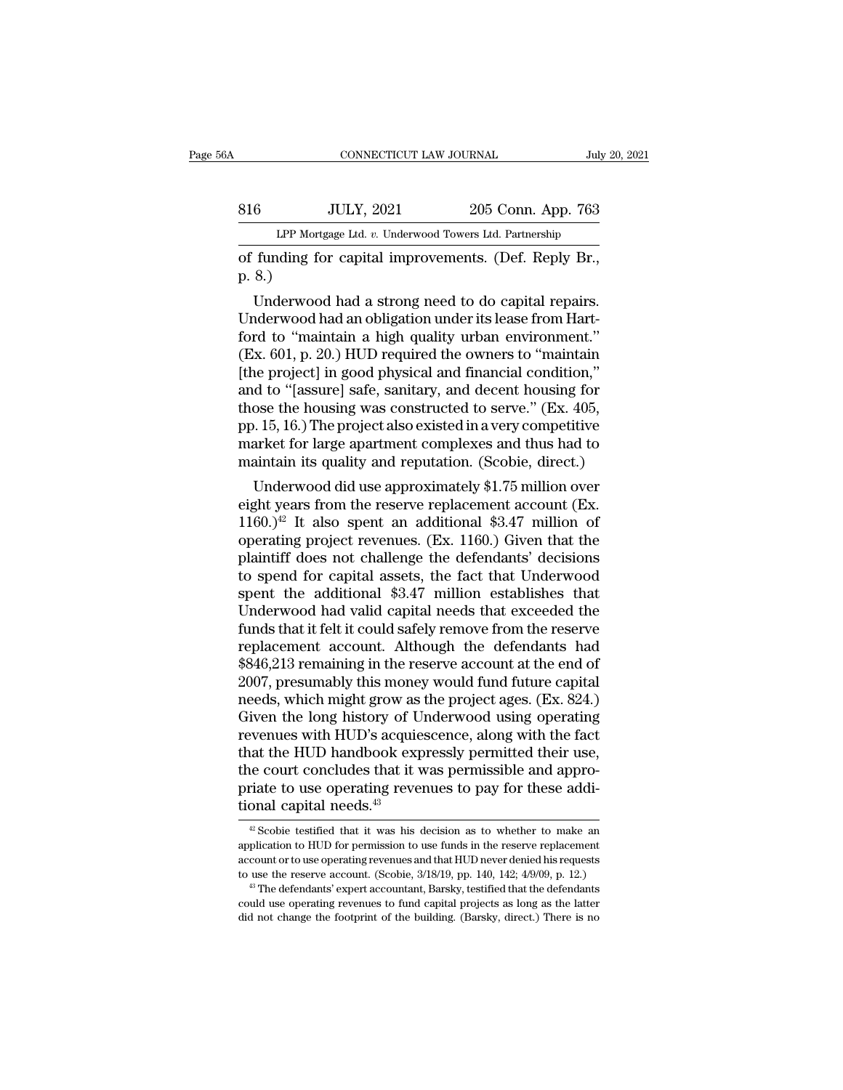# EXECUTE CONNECTICUT LAW JOURNAL July 20, 2021<br>816 JULY, 2021 205 Conn. App. 763<br>LPP Mortgage Ltd. v. Underwood Towers Ltd. Partnership CONNECTICUT LAW JOURNAL July 20, 2021<br>
1999 Mortgage Ltd. *v.* Underwood Towers Ltd. Partnership<br>
1999 Mortgage Ltd. *v.* Underwood Towers Ltd. Partnership<br>
1999 Of funding for capital improvements. (Def. Reply Br.,

CONNECTICUT LAW JOURNAL July 20, 2<br>
816 JULY, 2021 205 Conn. App. 763<br>
LPP Mortgage Ltd. v. Underwood Towers Ltd. Partnership<br>
of funding for capital improvements. (Def. Reply Br.,<br>
p. 8.) 816<br>
LPP Morts<br>
of funding fo<br>
p. 8.)<br>
Underwood

 $\frac{U_L}{V}$ ,  $\frac{1}{2021}$   $\frac{205 \text{ Conn.} \text{ App. 763}}{205 \text{ Conn.} \text{ App. 763}}$ <br>  $\frac{1}{2021}$  funding for capital improvements. (Def. Reply Br., 8.)<br>
Underwood had a strong need to do capital repairs.<br>
Inderwood had an obligation u  $\frac{\text{JULY, 2021}}{\text{LPP Mortgage Ltd. } v. \text{ Underwood Tours Ltd. Partership}}$ <br>
of funding for capital improvements. (Def. Reply Br.,<br>
p. 8.)<br>
Underwood had a strong need to do capital repairs.<br>
Underwood had an obligation under its lease from Hart-<br>
ford t LPP Mortgage Ltd. v. Underwood Towers Ltd. Partnership<br>
of funding for capital improvements. (Def. Reply Br.,<br>
p. 8.)<br>
Underwood had a strong need to do capital repairs.<br>
Underwood had an obligation under its lease from Ha (Def. Reply Br.,<br>
p. 8.)<br>
Underwood had a strong need to do capital repairs.<br>
Underwood had an obligation under its lease from Hart-<br>
ford to "maintain a high quality urban environment."<br>
(Ex. 601, p. 20.) HUD required the (bel. Reply Br.,<br>p. 8.)<br>Underwood had a strong need to do capital repairs.<br>Underwood had an obligation under its lease from Hart-<br>ford to "maintain a high quality urban environment."<br>(Ex. 601, p. 20.) HUD required the owne p. 8.)<br>Underwood had a strong need to do capital repairs.<br>Underwood had an obligation under its lease from Hart-<br>ford to "maintain a high quality urban environment."<br>(Ex. 601, p. 20.) HUD required the owners to "maintain<br> Underwood had a strong need to do capital repairs.<br>Underwood had an obligation under its lease from Hart-<br>ford to "maintain a high quality urban environment."<br>(Ex. 601, p. 20.) HUD required the owners to "maintain<br>[the pro Underwood had an obligation under its lease from Hart-<br>ford to "maintain a high quality urban environment."<br>(Ex. 601, p. 20.) HUD required the owners to "maintain<br>[the project] in good physical and financial condition,"<br>an ford to "maintain a high quality urban environment."<br>(Ex. 601, p. 20.) HUD required the owners to "maintain<br>[the project] in good physical and financial condition,"<br>and to "[assure] safe, sanitary, and decent housing for<br>t (Ex. 601, p. 20.) HUD required the owners to "maintain [the project] in good physical and financial condition," and to "[assure] safe, sanitary, and decent housing for those the housing was constructed to serve." (Ex. 405, de project] in good physical and inflancial condition,<br>d to "[assure] safe, sanitary, and decent housing for<br>ose the housing was constructed to serve." (Ex. 405,<br>. 15, 16.) The project also existed in a very competitive<br>a and to [assure] safe, santlary, and decent housing for<br>those the housing was constructed to serve." (Ex. 405,<br>pp. 15, 16.) The project also existed in a very competitive<br>market for large apartment complexes and thus had t

those the housing was constructed to serve. (Ex. 405, pp. 15, 16.) The project also existed in a very competitive market for large apartment complexes and thus had to maintain its quality and reputation. (Scobie, direct.) pp. 15, 10.) The project also existed in a very competitive<br>market for large apartment complexes and thus had to<br>maintain its quality and reputation. (Scobie, direct.)<br>Underwood did use approximately \$1.75 million over<br>ei market for large apartment complexes and thus had to<br>maintain its quality and reputation. (Scobie, direct.)<br>Underwood did use approximately \$1.75 million over<br>eight years from the reserve replacement account (Ex.<br>1160.)<sup>4</sup> thanking its quality and reputation. (Scobie, direct.)<br>
Underwood did use approximately \$1.75 million over<br>
eight years from the reserve replacement account (Ex.<br>
1160.)<sup>42</sup> It also spent an additional \$3.47 million of<br>
o Underwood did use approximately \$1.75 million over<br>eight years from the reserve replacement account (Ex.<br>1160.)<sup>42</sup> It also spent an additional \$3.47 million of<br>operating project revenues. (Ex. 1160.) Given that the<br>plain eight years from the reserve replacement account (Ex. 1160.)<sup>42</sup> It also spent an additional \$3.47 million of operating project revenues. (Ex. 1160.) Given that the plaintiff does not challenge the defendants' decisions t 1160.)<sup>42</sup> It also spent an additional \$3.47 million of operating project revenues. (Ex. 1160.) Given that the plaintiff does not challenge the defendants' decisions to spend for capital assets, the fact that Underwood sp operating project revenues. (Ex. 1160.) Given that the<br>plaintiff does not challenge the defendants' decisions<br>to spend for capital assets, the fact that Underwood<br>spent the additional \$3.47 million establishes that<br>Underwo plaintiff does not challenge the defendants' decisions<br>to spend for capital assets, the fact that Underwood<br>spent the additional \$3.47 million establishes that<br>Underwood had valid capital needs that exceeded the<br>funds that to spend for capital assets, the fact that Underwood<br>spent the additional \$3.47 million establishes that<br>Underwood had valid capital needs that exceeded the<br>funds that it felt it could safely remove from the reserve<br>replac spent the additional \$3.47 million establishes that<br>Underwood had valid capital needs that exceeded the<br>funds that it felt it could safely remove from the reserve<br>replacement account. Although the defendants had<br>\$846,213 r Underwood had valid capital needs that exceeded the<br>funds that it felt it could safely remove from the reserve<br>replacement account. Although the defendants had<br>\$846,213 remaining in the reserve account at the end of<br>2007, funds that it felt it could safely remove from the reserve<br>replacement account. Although the defendants had<br>\$846,213 remaining in the reserve account at the end of<br>2007, presumably this money would fund future capital<br>need replacement account. Although the defendants had<br>\$846,213 remaining in the reserve account at the end of<br>2007, presumably this money would fund future capital<br>needs, which might grow as the project ages. (Ex. 824.)<br>Given t  $$846,213$  remaining in the reserve account at the end of 2007, presumably this money would fund future capital needs, which might grow as the project ages. (Ex. 824.) Given the long history of Underwood using operating r 2007, presumably this money would fund future capital<br>needs, which might grow as the project ages. (Ex. 824.)<br>Given the long history of Underwood using operating<br>revenues with HUD's acquiescence, along with the fact<br>that t needs, which might grow as<br>Given the long history of U<br>revenues with HUD's acquie<br>that the HUD handbook exp<br>the court concludes that it v<br>priate to use operating reve<br>tional capital needs.<sup>43</sup> at the HUD handbook expressly permitted their use,<br>ne court concludes that it was permissible and appro-<br>riate to use operating revenues to pay for these addi-<br>onal capital needs.<sup>43</sup><br> $\frac{42}$  Scobie testified that it was the court concludes that it was permissible and appropriate to use operating revenues to pay for these additional capital needs.<sup>43</sup><br> $\frac{40}{\pi}$  Scobie testified that it was his decision as to whether to make an applicati

priate to use operating revenues to pay for these additional capital needs.<sup>43</sup><br> $\triangleq$  Scobie testified that it was his decision as to whether to make an application to HUD for permission to use funds in the reserve replac tional capital needs.<sup>43</sup><br>
<sup>*a*</sup> Scobie testified that it was his decision as to whether to make an application to HUD for permission to use funds in the reserve replacement account or to use operating revenues and that H <sup>42</sup> Scobie testified that it was his decision as to whether to make an plication to HUD for permission to use funds in the reserve replacement count or to use operating revenues and that HUD never denied his requests use <sup>42</sup> Scobie testified that it was his decision as to whether to make an application to HUD for permission to use funds in the reserve replacement account or to use operating revenues and that HUD never denied his requests application to HUD for permission to use funds in the reserve replacement account or to use operating revenues and that HUD never denied his requests to use the reserve account. (Scobie,  $3/18/19$ , pp. 140, 142;  $4/9/09$ ,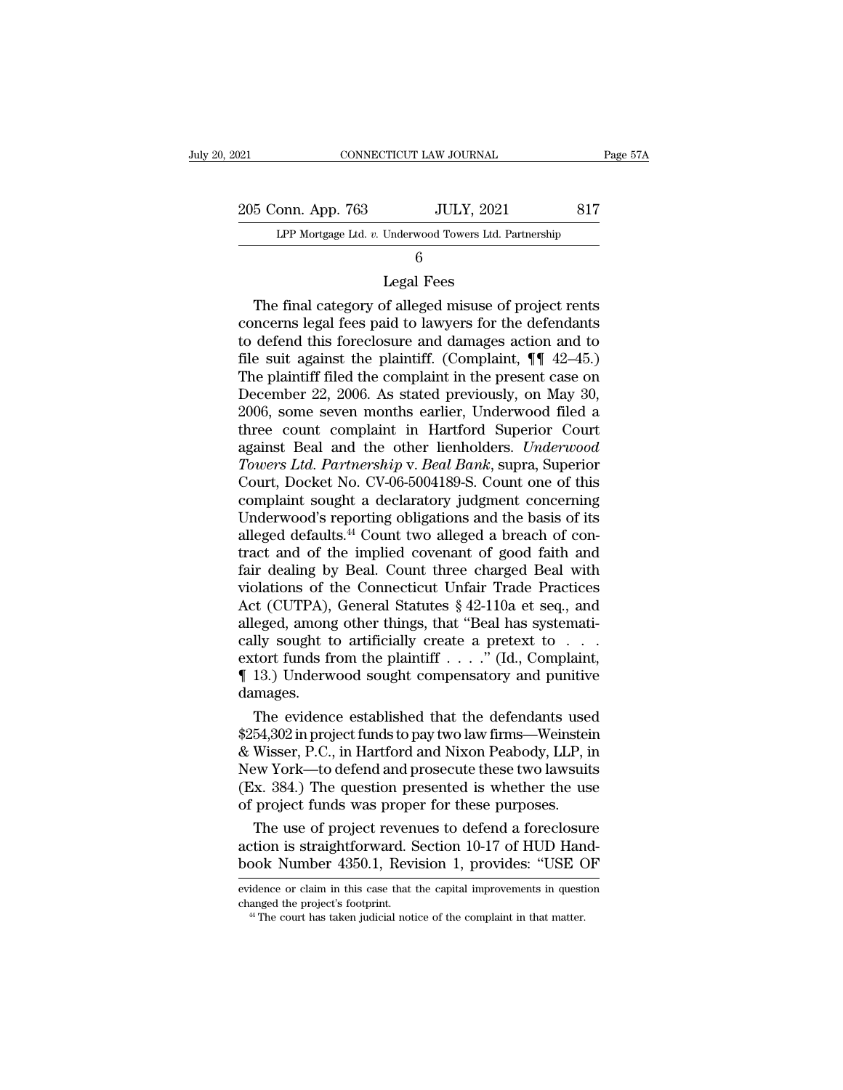| 021 |                    | CONNECTICUT LAW JOURNAL                                | Page 57A |
|-----|--------------------|--------------------------------------------------------|----------|
|     | 205 Conn. App. 763 | <b>JULY, 2021</b>                                      | 817      |
|     |                    | LPP Mortgage Ltd. v. Underwood Towers Ltd. Partnership |          |
|     |                    | 6                                                      |          |
|     |                    | Legal Fees                                             |          |
|     |                    | The final category of alleged misuse of project rents  |          |

## 6

5 Conn. App. 763 JULY, 2021 817<br>
LPP Mortgage Ltd. v. Underwood Towers Ltd. Partnership<br>
6<br>
Legal Fees<br>
The final category of alleged misuse of project rents<br>
ncerns legal fees paid to lawyers for the defendants<br>
defend th 205 Conn. App. 763 JULY, 2021 817<br>
LPP Mortgage Ltd. v. Underwood Towers Ltd. Partnership<br>
6<br>
Legal Fees<br>
The final category of alleged misuse of project rents<br>
concerns legal fees paid to lawyers for the defendants<br>
to d LPP Mortgage Ltd.  $v$ . Underwood Towers Ltd. Partnership<br>  $6$ <br>
Legal Fees<br>
The final category of alleged misuse of project rents<br>
concerns legal fees paid to lawyers for the defendants<br>
to defend this foreclosure and dama filed by the plaintiff. The final category of alleged misuse of project rents<br>concerns legal fees paid to lawyers for the defendants<br>to defend this foreclosure and damages action and to<br>file suit against the plaintiff. (C Legal Fees<br>
The final category of alleged misuse of project rents<br>
concerns legal fees paid to lawyers for the defendants<br>
to defend this foreclosure and damages action and to<br>
file suit against the plaintiff. (Complaint, Legal Fees<br>
The final category of alleged misuse of project rents<br>
concerns legal fees paid to lawyers for the defendants<br>
to defend this foreclosure and damages action and to<br>
file suit against the plaintiff. (Complaint, The final category of alleged misuse of project rents<br>concerns legal fees paid to lawyers for the defendants<br>to defend this foreclosure and damages action and to<br>file suit against the plaintiff. (Complaint,  $\P$   $42-45$ .)<br>T concerns legal fees paid to lawyers for the defendants<br>to defend this foreclosure and damages action and to<br>file suit against the plaintiff. (Complaint,  $\P\P$  42–45.)<br>The plaintiff filed the complaint in the present case o to defend this foreclosure and damages action and to<br>file suit against the plaintiff. (Complaint, ¶¶ 42–45.)<br>The plaintiff filed the complaint in the present case on<br>December 22, 2006. As stated previously, on May 30,<br>2006 file suit against the plaintiff. (Complaint, ¶¶ 42–45.)<br>The plaintiff filed the complaint in the present case on<br>December 22, 2006. As stated previously, on May 30,<br>2006, some seven months earlier, Underwood filed a<br>three The plaintiff filed the complaint in the present case on<br>December 22, 2006. As stated previously, on May 30,<br>2006, some seven months earlier, Underwood filed a<br>three count complaint in Hartford Superior Court<br>against Beal December 22, 2006. As stated previously, on May 30,<br>2006, some seven months earlier, Underwood filed a<br>three count complaint in Hartford Superior Court<br>against Beal and the other lienholders. *Underwood*<br>Towers Ltd. Partne 2006, some seven months earlier, Underwood filed a<br>three count complaint in Hartford Superior Court<br>against Beal and the other lienholders. *Underwood*<br>Towers Ltd. Partnership v. Beal Bank, supra, Superior<br>Court, Docket No three count complaint in Hartford Superior Court against Beal and the other lienholders. *Underwood Towers Ltd. Partnership v. Beal Bank*, supra, Superior Court, Docket No. CV-06-5004189-S. Count one of this complaint soug against Beal and the other lienholders. *Underwood*<br>Towers Ltd. Partnership v. Beal Bank, supra, Superior<br>Court, Docket No. CV-06-5004189-S. Count one of this<br>complaint sought a declaratory judgment concerning<br>Underwood's Towers Ltd. Partnership v. Beal Bank, supra, Superior<br>Court, Docket No. CV-06-5004189-S. Count one of this<br>complaint sought a declaratory judgment concerning<br>Underwood's reporting obligations and the basis of its<br>alleged d Court, Docket No. CV-06-5004189-S. Count one of this<br>complaint sought a declaratory judgment concerning<br>Underwood's reporting obligations and the basis of its<br>alleged defaults.<sup>44</sup> Count two alleged a breach of con-<br>tract complaint sought a declaratory judgment concerning<br>
Underwood's reporting obligations and the basis of its<br>
alleged defaults.<sup>44</sup> Count two alleged a breach of con-<br>
tract and of the implied covenant of good faith and<br>
fai Underwood's reporting obligations and the basis of its<br>alleged defaults.<sup>44</sup> Count two alleged a breach of con-<br>tract and of the implied covenant of good faith and<br>fair dealing by Beal. Count three charged Beal with<br>viola alleged defaults.<sup>44</sup> Count two alleged a breach of contract and of the implied covenant of good faith and fair dealing by Beal. Count three charged Beal with violations of the Connecticut Unfair Trade Practices Act (CUTP tract and of the implied covenant of good faith and<br>fair dealing by Beal. Count three charged Beal with<br>violations of the Connecticut Unfair Trade Practices<br>Act (CUTPA), General Statutes § 42-110a et seq., and<br>alleged, amo fair dealing by Beal. Count three charged Beal with<br>violations of the Connecticut Unfair Trade Practices<br>Act (CUTPA), General Statutes  $\S$  42-110a et seq., and<br>alleged, among other things, that "Beal has systemati-<br>cally damages. The evidence established that the defendants used alleged, among other things, that "Beal has systemati-<br>cally sought to artificially create a pretext to . . .<br>extort funds from the plaintiff . . . ." (Id., Complaint,<br>¶ 13.) Underwood sought compensatory and punitive<br>dama

cally sought to artificially create a pretext to . . . .<br>extort funds from the plaintiff . . . . ." (Id., Complaint,<br> $\P$  13.) Underwood sought compensatory and punitive<br>damages.<br>The evidence established that the defendant extort funds from the plaintiff  $\ldots$  ." (Id., Complaint,<br>  $\P$  13.) Underwood sought compensatory and punitive<br>
damages.<br>
The evidence established that the defendants used<br>
\$254,302 in project funds to pay two law firms—W || 13.) Underwood sought compensatory and punitive<br>damages.<br>
The evidence established that the defendants used<br>
\$254,302 in project funds to pay two law firms—Weinstein<br>
& Wisser, P.C., in Hartford and Nixon Peabody, LLP, damages.<br>The evidence established that the defendants use<br>\$254,302 in project funds to pay two law firms—Weinstein<br>& Wisser, P.C., in Hartford and Nixon Peabody, LLP, in<br>New York—to defend and prosecute these two lawsuit<br>( The evidence established that the defendants used<br>54,302 in project funds to pay two law firms—Weinstein<br>Wisser, P.C., in Hartford and Nixon Peabody, LLP, in<br>ew York—to defend and prosecute these two lawsuits<br>x. 384.) The \$254,302 in project funds to pay two law firms—Weinstein & Wisser, P.C., in Hartford and Nixon Peabody, LLP, in New York—to defend and prosecute these two lawsuits (Ex. 384.) The question presented is whether the use of pr & Wisser, P.C., in Hartford and Nixon Peabody, LLP, in<br>New York—to defend and prosecute these two lawsuits<br>(Ex. 384.) The question presented is whether the use<br>of project funds was proper for these purposes.<br>The use of pro

or project runds was proper for diese purposes.<br>The use of project revenues to defend a foreclosure<br>action is straightforward. Section 10-17 of HUD Hand-<br>book Number 4350.1, Revision 1, provides: "USE OF<br>evidence or claim The use of project revenues to defend a foreclosu<br>action is straightforward. Section 10-17 of HUD Han<br>book Number 4350.1, Revision 1, provides: "USE C<br>evidence or claim in this case that the capital improvements in questi<br>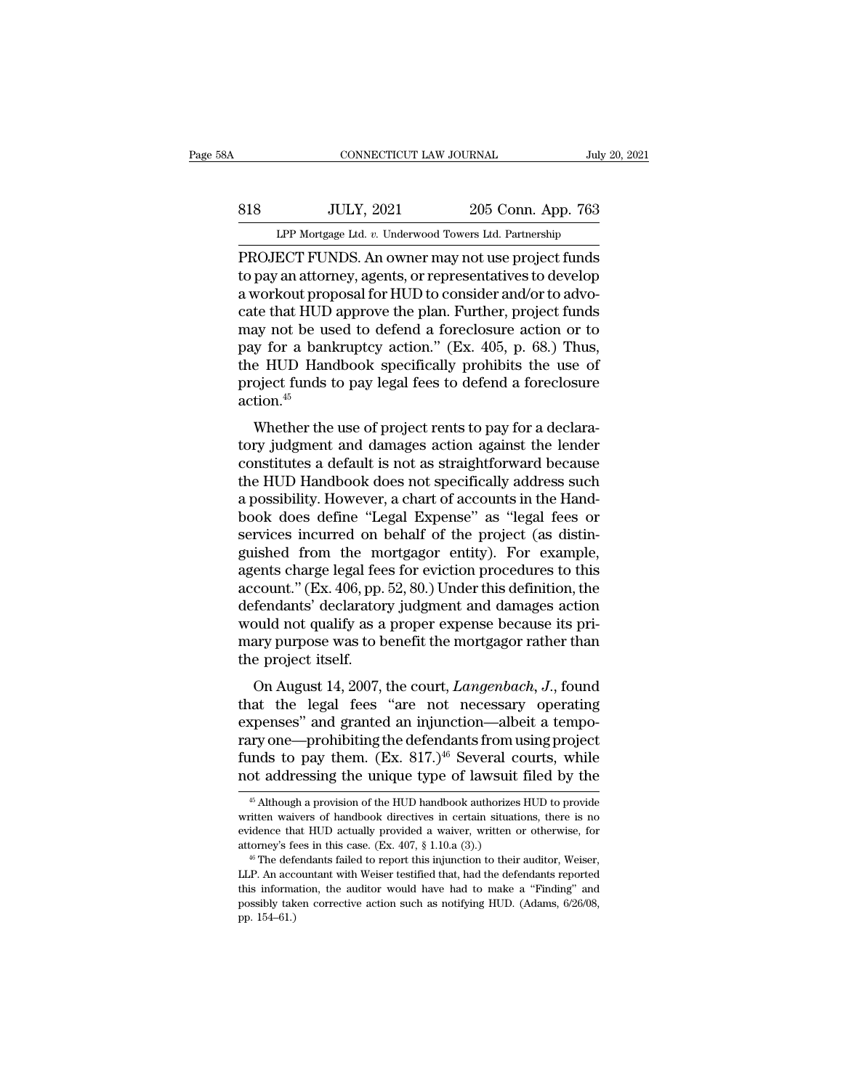# EXECUTE CONNECTICUT LAW JOURNAL July 20, 2021<br>818 JULY, 2021 205 Conn. App. 763<br>LPP Mortgage Ltd. v. Underwood Towers Ltd. Partnership CONNECTICUT LAW JOURNAL July 20, 2021<br>
<u>SI8</u> JULY, 2021 205 Conn. App. 763<br>
LPP Mortgage Ltd. *v.* Underwood Towers Ltd. Partnership<br>
PROJECT FUNDS. An owner may not use project funds

CONNECTICUT LAW JOURNAL<br>
SI8 JULY, 2021 205 Conn. App. 763<br>
LPP Mortgage Ltd. v. Underwood Towers Ltd. Partnership<br>
PROJECT FUNDS. An owner may not use project funds<br>
to pay an attorney, agents, or representatives to devel S18 JULY, 2021 205 Conn. App. 763<br>
LPP Mortgage Ltd. v. Underwood Towers Ltd. Partnership<br>
PROJECT FUNDS. An owner may not use project funds<br>
to pay an attorney, agents, or representatives to develop<br>
a workout proposal fo 818 JULY, 2021 205 Conn. App. 763<br>LPP Mortgage Ltd. v. Underwood Towers Ltd. Partnership<br>PROJECT FUNDS. An owner may not use project funds<br>to pay an attorney, agents, or representatives to develop<br>a workout proposal for HU 818 LPP Mortgage Ltd. v. Underwood Towers Ltd. Partnership<br>
PROJECT FUNDS. An owner may not use project funds<br>
to pay an attorney, agents, or representatives to develop<br>
a workout proposal for HUD to consider and/or to ad LPP Mortgage Ltd. v. Underwood Towers Ltd. Partnership<br>
PROJECT FUNDS. An owner may not use project funds<br>
to pay an attorney, agents, or representatives to develop<br>
a workout proposal for HUD to consider and/or to advo-<br> LPP Mortgage Ltd. v. Underwood Towers Ltd. Partnership<br>PROJECT FUNDS. An owner may not use project funds<br>to pay an attorney, agents, or representatives to develop<br>a workout proposal for HUD to consider and/or to advo-<br>cate PROJECT FUNDS. An owner may not use project funds<br>to pay an attorney, agents, or representatives to develop<br>a workout proposal for HUD to consider and/or to advo-<br>cate that HUD approve the plan. Further, project funds<br>may to pay an attorney, agents, or representatives to develop<br>a workout proposal for HUD to consider and/or to advo-<br>cate that HUD approve the plan. Further, project funds<br>may not be used to defend a foreclosure action or to<br>p action.<sup>45</sup> E that HCD approve the plant. Further, project runds<br>ay not be used to defend a foreclosure action or to<br>y for a bankruptcy action." (Ex. 405, p. 68.) Thus,<br>e HUD Handbook specifically prohibits the use of<br>oject funds to p thay not be used to defend a foreclosure action of to<br>pay for a bankruptcy action." (Ex. 405, p. 68.) Thus,<br>the HUD Handbook specifically prohibits the use of<br>project funds to pay legal fees to defend a foreclosure<br>action

pay for a bankruptcy action. (Ex. 409, p. 66.) Thus,<br>the HUD Handbook specifically prohibits the use of<br>project funds to pay legal fees to defend a foreclosure<br>action.<sup>45</sup><br>Whether the use of project rents to pay for a decl the HUD Handbook specifically promotes the disc of<br>project funds to pay legal fees to defend a foreclosure<br>action.<sup>45</sup><br>Whether the use of project rents to pay for a declara-<br>tory judgment and damages action against the len project rands to pay regariees to determ a forecrosure<br>action.<sup>45</sup><br>Whether the use of project rents to pay for a declara-<br>tory judgment and damages action against the lender<br>constitutes a default is not as straightforward Whether the use of project rents to pay for a declara-<br>tory judgment and damages action against the lender<br>constitutes a default is not as straightforward because<br>the HUD Handbook does not specifically address such<br>a possi Whether the use of project rents to pay for a declara-<br>tory judgment and damages action against the lender<br>constitutes a default is not as straightforward because<br>the HUD Handbook does not specifically address such<br>a possi tory judgment and damages action against the lender<br>constitutes a default is not as straightforward because<br>the HUD Handbook does not specifically address such<br>a possibility. However, a chart of accounts in the Hand-<br>book constitutes a default is not as straightforward because<br>the HUD Handbook does not specifically address such<br>a possibility. However, a chart of accounts in the Hand-<br>book does define "Legal Expense" as "legal fees or<br>servic the HUD Handbook does not specifically address such<br>a possibility. However, a chart of accounts in the Hand-<br>book does define "Legal Expense" as "legal fees or<br>services incurred on behalf of the project (as distin-<br>guished a possibility. However, a chart of accounts in the Handbook does define "Legal Expense" as "legal fees or<br>services incurred on behalf of the project (as distinguished from the mortgagor entity). For example,<br>agents charge book does define "Legal Expense" as "legal fees or<br>services incurred on behalf of the project (as distin-<br>guished from the mortgagor entity). For example,<br>agents charge legal fees for eviction procedures to this<br>account." services incurred on behalf of the project (as distinguished from the mortgagor entity). For example, agents charge legal fees for eviction procedures to this account." (Ex. 406, pp. 52, 80.) Under this definition, the def guished from the magents charge legal fee<br>account." (Ex. 406, pp.<br>defendants' declarator<br>would not qualify as a<br>mary purpose was to b<br>the project itself.<br>On August 14, 2007, ents charge legal lees for eviction procedures to this<br>count." (Ex. 406, pp. 52, 80.) Under this definition, the<br>fendants' declaratory judgment and damages action<br>puld not qualify as a proper expense because its pri-<br>ary p decount. (E.A. 400, pp. 52, 60.) onder this definition, the<br>defendants' declaratory judgment and damages action<br>would not qualify as a proper expense because its pri-<br>mary purpose was to benefit the mortgagor rather than<br>t

would not qualify as a proper expense because its pri-<br>mary purpose was to benefit the mortgagor rather than<br>the project itself.<br>On August 14, 2007, the court, *Langenbach*, *J*., found<br>that the legal fees "are not necess would not quality as a proper experise because its pri-<br>mary purpose was to benefit the mortgagor rather than<br>the project itself.<br>On August 14, 2007, the court, *Langenbach*, *J*., found<br>that the legal fees "are not neces funds to be the funds of the more project itself.<br>
On August 14, 2007, the court, *Langenbach*, *J*., found<br>
that the legal fees "are not necessary operating<br>
expenses" and granted an injunction—albeit a tempo-<br>
rary one— On August 14, 2007, the court, *Langenbach*, *J*., found<br>that the legal fees "are not necessary operating<br>expenses" and granted an injunction—albeit a tempo-<br>rary one—prohibiting the defendants from using project<br>funds to xpenses" and granted an injunction—albeit a tempotry one—prohibiting the defendants from using project<br>unds to pay them. (Ex. 817.)<sup>46</sup> Several courts, while<br>ot addressing the unique type of lawsuit filed by the<br> $\frac{45}{10$ rary one—prohibiting the defendants from using project<br>funds to pay them. (Ex. 817.)<sup>46</sup> Several courts, while<br>not addressing the unique type of lawsuit filed by the<br> $\frac{45}{5}$  Although a provision of the HUD handbook aut

funds to pay them. (Ex. 817.)<sup>46</sup> Several courts, while<br>not addressing the unique type of lawsuit filed by the<br> $^{46}$  Although a provision of the HUD handbook authorizes HUD to provide<br>written waivers of handbook directiv not addressing the unique type of lawsuit filed by the  $\frac{45}{6}$  Although a provision of the HUD handbook authorizes HUD to provide written waivers of handbook directives in certain situations, there is no evidence that <sup>46</sup> Although a provision of the HUD handbook authorizes HUD to provide<br><sup>45</sup> Although a provision of the HUD handbook authorizes HUD to provide<br>itten waivers of handbook directives in certain situations, there is no<br>idenc <sup>45</sup> Although a provision of the HUD handbook authorizes HUD to provide written waivers of handbook directives in certain situations, there is no evidence that HUD actually provided a waiver, written or otherwise, for att attorney's fees in this case. (Ex. 407,  $§$  1.10.a (3).)

written waivers of handbook directives in certain situations, there is no evidence that HUD actually provided a waiver, written or otherwise, for attorney's fees in this case. (Ex. 407, § 1.10.a (3).)  $^{46}$  The defendant evidence that HUD actually provided a waiver, written or otherwise, for attorney's fees in this case. (Ex. 407, § 1.10.a (3).)<br><sup>46</sup> The defendants failed to report this injunction to their auditor, Weiser, LLP. An account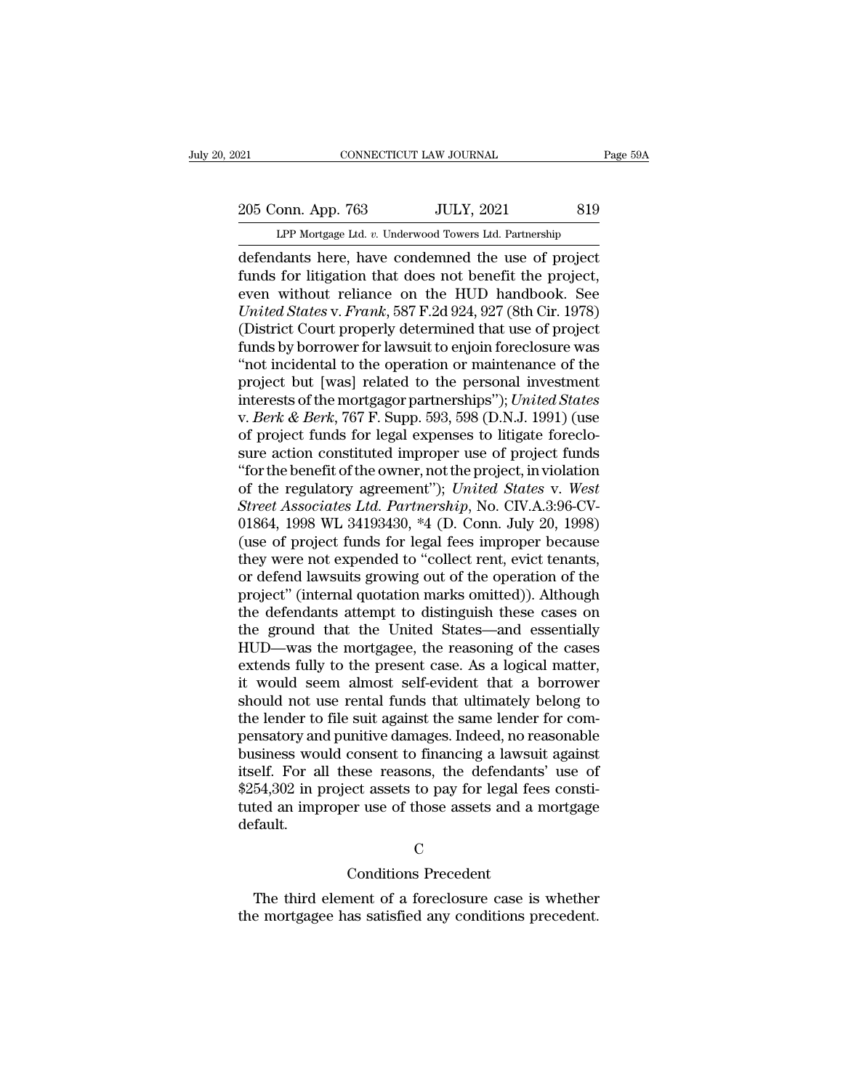# 205 Conn. App. 763 JULY, 2021 819<br>
LPP Mortgage Ltd. v. Underwood Towers Ltd. Partnership CONNECTICUT LAW JOURNAL Page 59A<br>
205 Conn. App. 763 JULY, 2021 819<br>
LPP Mortgage Ltd. *v.* Underwood Towers Ltd. Partnership<br>
defendants here, have condemned the use of project

CONNECTICUT LAW JOURNAL Page 59/<br>
205 Conn. App. 763 JULY, 2021 819<br>
LPP Mortgage Ltd. v. Underwood Towers Ltd. Partnership<br>
defendants here, have condemned the use of project<br>
funds for litigation that does not benefit th Funds for litigation that does not benefit the project<br>
Turp Mortgage Ltd. v. Underwood Towers Ltd. Partnership<br>
defendants here, have condemned the use of project<br>
funds for litigation that does not benefit the project,<br> 205 Conn. App. 763 JULY, 2021 819<br>
LPP Mortgage Ltd. v. Underwood Towers Ltd. Partnership<br>
defendants here, have condemned the use of project<br>
funds for litigation that does not benefit the project,<br>
even without reliance *UNITER 1005* Conn. App. 763<br> *UPP Mortgage Ltd. v. Underwood Towers Ltd. Partnership*<br> *defendants here, have condemned the use of project*<br> *Funds for litigation that does not benefit the project*<br> *even without reliance* LPP Mortgage Ltd. v. Underwood Towers Ltd. Partnership<br>defendants here, have condemned the use of project<br>funds for litigation that does not benefit the project,<br>even without reliance on the HUD handbook. See<br>United States LPP Mortgage Ltd.  $v$ . Underwood Towers Ltd. Partnership<br>defendants here, have condemned the use of project<br>funds for litigation that does not benefit the project,<br>even without reliance on the HUD handbook. See<br>*United St* defendants here, have condemned the use of project<br>funds for litigation that does not benefit the project,<br>even without reliance on the HUD handbook. See<br>*United States* v. *Frank*, 587 F.2d 924, 927 (8th Cir. 1978)<br>(Distr funds for litigation that does not benefit the project,<br>even without reliance on the HUD handbook. See<br>*United States* v. *Frank*, 587 F.2d 924, 927 (8th Cir. 1978)<br>(District Court properly determined that use of project<br> even without reliance on the HUD handbook. See<br>
United States v. Frank, 587 F.2d 924, 927 (8th Cir. 1978)<br>
(District Court properly determined that use of project<br>
funds by borrower for lawsuit to enjoin foreclosure was<br>
" United States v. *Frank*, 587 F.2d 924, 927 (8th Cir. 1978)<br>(District Court properly determined that use of project<br>funds by borrower for lawsuit to enjoin foreclosure was<br>"not incidental to the operation or maintenance of (District Court properly determined that use of project<br>funds by borrower for lawsuit to enjoin foreclosure was<br>"not incidental to the operation or maintenance of the<br>project but [was] related to the personal investment<br>in funds by borrower for lawsuit to enjoin foreclosure was<br>
"not incidental to the operation or maintenance of the<br>
project but [was] related to the personal investment<br>
interests of the mortgagor partnerships"); *United Sta* "not incidental to the operation or maintenance of the<br>project but [was] related to the personal investment<br>interests of the mortgagor partnerships"); *United States*<br>v. *Berk & Berk*, 767 F. Supp. 593, 598 (D.N.J. 1991) project but [was] related to the personal investment<br>interests of the mortgagor partnerships"); *United States*<br>v. *Berk & Berk*, 767 F. Supp. 593, 598 (D.N.J. 1991) (use<br>of project funds for legal expenses to litigate for interests of the mortgagor partnerships"); *United States* v. *Berk & Berk*, 767 F. Supp. 593, 598 (D.N.J. 1991) (use of project funds for legal expenses to litigate foreclosure action constituted improper use of project f v. *Berk & Berk*, 767 F. Supp. 593, 598 (D.N.J. 1991) (use<br>of project funds for legal expenses to litigate foreclo-<br>sure action constituted improper use of project funds<br>"for the benefit of the owner, not the project, in v of project funds for legal expenses to litigate foreclosure action constituted improper use of project funds<br>"for the benefit of the owner, not the project, in violation<br>of the regulatory agreement"); *United States v. Wes* sure action constituted improper use of project funds<br>"for the benefit of the owner, not the project, in violation<br>of the regulatory agreement"); United States v. West<br>Street Associates Ltd. Partnership, No. CIV.A.3:96-CV-"for the benefit of the owner, not the project, in violation<br>of the regulatory agreement"); United States v. West<br>Street Associates Ltd. Partnership, No. CIV.A.3:96-CV-<br>01864, 1998 WL 34193430, \*4 (D. Conn. July 20, 1998) of the regulatory agreement"); United States v. West<br>Street Associates Ltd. Partnership, No. CIV.A.3:96-CV-<br>01864, 1998 WL 34193430, \*4 (D. Conn. July 20, 1998)<br>(use of project funds for legal fees improper because<br>they we Street Associates Ltd. Partnership, No. CIV.A.3:96-CV-01864, 1998 WL 34193430, \*4 (D. Conn. July 20, 1998)<br>(use of project funds for legal fees improper because<br>they were not expended to "collect rent, evict tenants,<br>or de 01864, 1998 WL 34193430,  $*4$  (D. Conn. July 20, 1998)<br>(use of project funds for legal fees improper because<br>they were not expended to "collect rent, evict tenants,<br>or defend lawsuits growing out of the operation of the<br>p (use of project funds for legal fees improper because<br>they were not expended to "collect rent, evict tenants,<br>or defend lawsuits growing out of the operation of the<br>project" (internal quotation marks omitted)). Although<br>th they were not expended to "collect rent, evict tenants,<br>or defend lawsuits growing out of the operation of the<br>project" (internal quotation marks omitted)). Although<br>the defendants attempt to distinguish these cases on<br>the or defend lawsuits growing out of the operation of the project" (internal quotation marks omitted)). Although<br>the defendants attempt to distinguish these cases on<br>the ground that the United States—and essentially<br>HUD—was t project" (internal quotation marks omitted)). Although<br>the defendants attempt to distinguish these cases on<br>the ground that the United States—and essentially<br>HUD—was the mortgagee, the reasoning of the cases<br>extends fully the defendants attempt to distinguish these cases on<br>the ground that the United States—and essentially<br>HUD—was the mortgagee, the reasoning of the cases<br>extends fully to the present case. As a logical matter,<br>it would seem the ground that the United States—and essentially<br>HUD—was the mortgagee, the reasoning of the cases<br>extends fully to the present case. As a logical matter,<br>it would seem almost self-evident that a borrower<br>should not use r HUD—was the mortgagee, the reasoning of the cases<br>extends fully to the present case. As a logical matter,<br>it would seem almost self-evident that a borrower<br>should not use rental funds that ultimately belong to<br>the lender t extends fully to the present case. As a logical matter,<br>it would seem almost self-evident that a borrower<br>should not use rental funds that ultimately belong to<br>the lender to file suit against the same lender for com-<br>pensa it would seem almost self-evident that a borrower<br>should not use rental funds that ultimately belong to<br>the lender to file suit against the same lender for com-<br>pensatory and punitive damages. Indeed, no reasonable<br>busines should not use rental funds that ultimately belong to<br>the lender to file suit against the same lender for com-<br>pensatory and punitive damages. Indeed, no reasonable<br>business would consent to financing a lawsuit against<br>its default. nese reasons, the defendant<br>ect assets to pay for legal fe<br>er use of those assets and a<br>C<br>Conditions Precedent<br>nent of a foreclosure case is 54,302 in project assets to pay for legal fees constited an improper use of those assets and a mortgage fault.<br>
C<br>
C<br>
C<br>
C<br>
The third element of a foreclosure case is whether<br>
e mortgagee has satisfied any conditions prece

## C<sub>c</sub>

tuted an improper use of those assets and a mortgage<br>default.<br>C<br>C<br>The third element of a foreclosure case is whether<br>the mortgagee has satisfied any conditions precedent.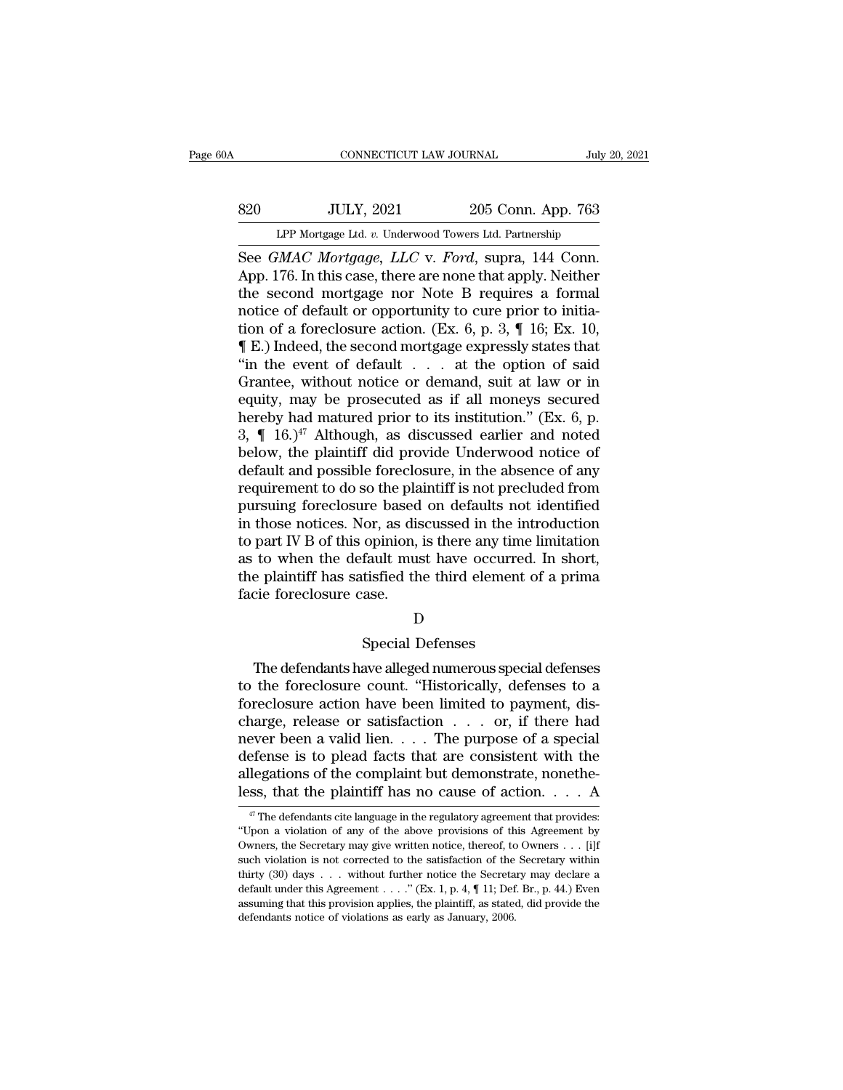# EXECUTE CONNECTICUT LAW JOURNAL July 20, 2021<br>820 JULY, 2021 205 Conn. App. 763<br>LPP Mortgage Ltd. v. Underwood Towers Ltd. Partnership CONNECTICUT LAW JOURNAL July 20, 2021<br>
205 Conn. App. 763<br>
LPP Mortgage Ltd. *v.* Underwood Towers Ltd. Partnership<br>
See *GMAC Mortgage*, *LLC* v. *Ford*, supra, 144 Conn.

CONNECTICUT LAW JOURNAL<br>
See *GMAC Mortgage, LLC* v. *Ford*, supra, 144 Conn.<br>
App. 176. In this case, there are none that apply. Neither<br>
the second mortgage, new Note B, requires a formal SEREE APP Mortgage Ltd. v. Underwood Towers Ltd. Partnership<br>
See GMAC Mortgage, LLC v. Ford, supra, 144 Conn.<br>
App. 176. In this case, there are none that apply. Neither<br>
the second mortgage nor Note B requires a formal<br> 820 JULY, 2021 205 Conn. App. 763<br>
LPP Mortgage Ltd. v. Underwood Towers Ltd. Partnership<br>
See *GMAC Mortgage*, *LLC* v. *Ford*, supra, 144 Conn.<br>
App. 176. In this case, there are none that apply. Neither<br>
the second mor S20 JULY, 2021 205 Conn. App. 763<br>
LPP Mortgage Ltd. v. Underwood Towers Ltd. Partnership<br>
See *GMAC Mortgage*, *LLC* v. *Ford*, supra, 144 Conn.<br>
App. 176. In this case, there are none that apply. Neither<br>
the second mor LPP Mortgage Ltd. v. Underwood Towers Ltd. Partnership<br>See *GMAC Mortgage*, *LLC* v. *Ford*, supra, 144 Conn.<br>App. 176. In this case, there are none that apply. Neither<br>the second mortgage nor Note B requires a formal<br>not LPP Mortgage Ltd. v. Underwood Towers Ltd. Partnership<br>
See *GMAC Mortgage*, *LLC* v. *Ford*, supra, 144 Conn.<br>
App. 176. In this case, there are none that apply. Neither<br>
the second mortgage nor Note B requires a formal<br> See *GMAC Mortgage, LLC* v. *Ford*, supra, 144 Conn.<br>App. 176. In this case, there are none that apply. Neither<br>the second mortgage nor Note B requires a formal<br>notice of default or opportunity to cure prior to initia-<br>ti App. 176. In this case, there are none that apply. Neither<br>the second mortgage nor Note B requires a formal<br>notice of default or opportunity to cure prior to initia-<br>tion of a foreclosure action. (Ex. 6, p. 3,  $\P$  16; Ex. the second mortgage nor Note B requires a formal<br>notice of default or opportunity to cure prior to initia-<br>tion of a foreclosure action. (Ex. 6, p. 3,  $\P$  16; Ex. 10,<br> $\P$  E.) Indeed, the second mortgage expressly states t notice of default or opportunity to cure prior to initiation of a foreclosure action. (Ex. 6, p. 3,  $\P$  16; Ex. 10,  $\P$  E.) Indeed, the second mortgage expressly states that "in the event of default . . . at the option of tion of a foreclosure action. (Ex. 6, p. 3,  $\P$  16; Ex. 10,<br>  $\P$  E.) Indeed, the second mortgage expressly states that<br>
"in the event of default . . . at the option of said<br>
Grantee, without notice or demand, suit at law **The E.)** Indeed, the second mortgage expressly states that<br>
"in the event of default . . . . at the option of said<br>
Grantee, without notice or demand, suit at law or in<br>
equity, may be prosecuted as if all moneys secured "in the event of default  $\dots$  at the option of said Grantee, without notice or demand, suit at law or in equity, may be prosecuted as if all moneys secured hereby had matured prior to its institution." (Ex. 6, p. 3,  $\P$  1 Grantee, without notice or demand, suit at law or in equity, may be prosecuted as if all moneys secured<br>hereby had matured prior to its institution." (Ex. 6, p.<br>3,  $\P$  16.)<sup>47</sup> Although, as discussed earlier and noted<br>bel equity, may be prosecuted as if all moneys secured<br>hereby had matured prior to its institution." (Ex. 6, p.<br>3,  $\P$  16.)<sup>47</sup> Although, as discussed earlier and noted<br>below, the plaintiff did provide Underwood notice of<br>def hereby had matured prior to its institution." (Ex. 6, p.<br>3,  $\P$  16.)<sup>47</sup> Although, as discussed earlier and noted<br>below, the plaintiff did provide Underwood notice of<br>default and possible foreclosure, in the absence of an 3,  $\P$  16.)<sup>47</sup> Although, as discussed earlier and noted<br>below, the plaintiff did provide Underwood notice of<br>default and possible foreclosure, in the absence of any<br>requirement to do so the plaintiff is not precluded fro below, the plaintiff did provide Underwood notice of<br>default and possible foreclosure, in the absence of any<br>requirement to do so the plaintiff is not precluded from<br>pursuing foreclosure based on defaults not identified<br>in default and possible foreclosure, in the absence of any<br>requirement to do so the plaintiff is not precluded from<br>pursuing foreclosure based on defaults not identified<br>in those notices. Nor, as discussed in the introduction requirement to do so the pla<br>pursuing foreclosure based<br>in those notices. Nor, as dis<br>to part IV B of this opinion,<br>as to when the default mus<br>the plaintiff has satisfied th<br>facie foreclosure case. opinion, is there any time<br>fault must have occurred.<br>tisfied the third element c<br>ase.<br>D<br>Special Defenses to when the default must have occurred. In short,<br>e plaintiff has satisfied the third element of a prima<br>cie foreclosure case.<br>D<br>Special Defenses<br>The defendants have alleged numerous special defenses<br>the foreclosure count.

## D<sub>D</sub>

the plaintiff has satisfied the third element of a prima<br>facie foreclosure case.<br>D<br>Special Defenses<br>The defendants have alleged numerous special defenses<br>to the foreclosure count. "Historically, defenses to a<br>foreclosure a facie foreclosure case.<br>
D<br>
Special Defenses<br>
The defendants have alleged numerous special defenses<br>
to the foreclosure count. "Historically, defenses to a<br>
foreclosure action have been limited to payment, dis-<br>
charge, re D<br>
Special Defenses<br>
The defendants have alleged numerous special defenses<br>
to the foreclosure count. "Historically, defenses to a<br>
foreclosure action have been limited to payment, dis-<br>
charge, release or satisfaction . . Special Defenses<br>The defendants have alleged numerous special defenses<br>to the foreclosure count. "Historically, defenses to a<br>foreclosure action have been limited to payment, dis-<br>charge, release or satisfaction  $\dots$  or, Special Defenses<br>
to the foreclosure count. "Historically, defenses to a<br>
foreclosure action have been limited to payment, dis-<br>
charge, release or satisfaction . . . or, if there had<br>
never been a valid lien. . . . The pu The defendants have alleged numerous special defenses<br>to the foreclosure count. "Historically, defenses to a<br>foreclosure action have been limited to payment, dis-<br>charge, release or satisfaction  $\dots$  or, if there had<br>neve to the foreclosure count. "Historically, defenses to a foreclosure action have been limited to payment, discharge, release or satisfaction . . . . or, if there had never been a valid lien. . . . The purpose of a special d ever been a valid lien. . . . The purpose of a special efense is to plead facts that are consistent with the legations of the complaint but demonstrate, nonethess, that the plaintiff has no cause of action. . . . A  $\pi$  T defense is to plead facts that are consistent with the allegations of the complaint but demonstrate, nonetheless, that the plaintiff has no cause of action. . . . A  $\frac{47}{47}$  The defendants cite language in the regulato

allegations of the complaint but demonstrate, nonethe-<br>less, that the plaintiff has no cause of action. . . . A<br> $\frac{47}{47}$  The defendants cite language in the regulatory agreement that provides:<br>"Upon a violation of any different violation is of the complement via definition in the secretive section. The same of action is the secretary of the satisfaction of this Agreement by Owners, the Secretary may give written notice, thereof, to Own The defendants cite language in the regulatory agreement that provides:<br>
"The defendants cite language in the regulatory agreement that provides:<br>
"Upon a violation of any of the above provisions of this Agreement by<br>
Own <sup>47</sup> The defendants cite language in the regulatory agreement that provides:<br>"Upon a violation of any of the above provisions of this Agreement by<br>Owners, the Secretary may give written notice, thereof, to Owners . . . [i "Upon a violation of any of the above provisions of this Agreement by Owners, the Secretary may give written notice, thereof, to Owners . . . [i]f such violation is not corrected to the satisfaction of the Secretary withi "Upon a violation of any of the above provisions of this Agreement by Owners, the Secretary may give written notice, thereof, to Owners . . . [i]f such violation is not corrected to the satisfaction of the Secretary withi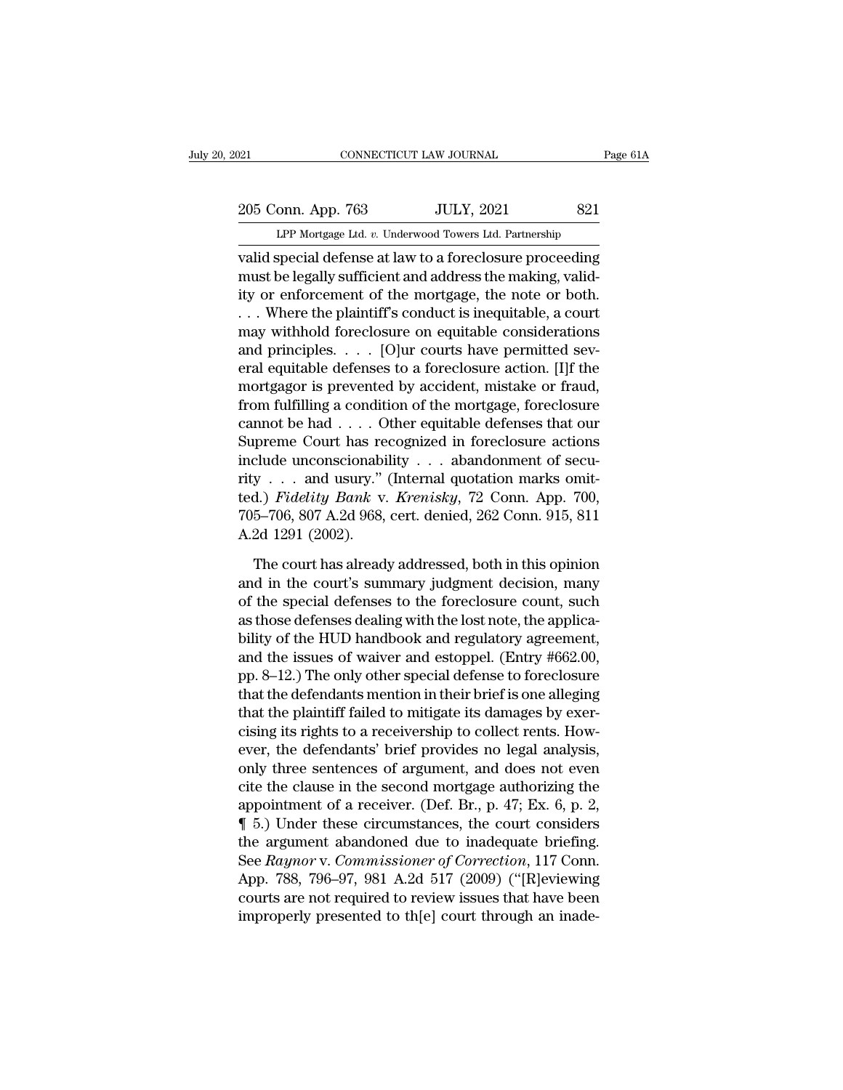205 Conn. App. 763 JULY, 2021 821<br>PP Mortgage Ltd. v. Underwood Towers Ltd. Partnership

O21 CONNECTICUT LAW JOURNAL Page 61A<br>
205 Conn. App. 763 JULY, 2021 821<br>
LPP Mortgage Ltd. *v.* Underwood Towers Ltd. Partnership<br>
valid special defense at law to a foreclosure proceeding valid special defense at law to a foreclosure proceeding<br>
valid special defense at law to a foreclosure proceeding<br>
valid special defense at law to a foreclosure proceeding<br>
must be legally sufficient and address the makin 205 Conn. App. 763 JULY, 2021 821<br>
LPP Mortgage Ltd. v. Underwood Towers Ltd. Partnership<br>
valid special defense at law to a foreclosure proceeding<br>
must be legally sufficient and address the making, valid-<br>
ity or enforce 205 Conn. App. 763 JULY, 2021 821<br>
LPP Mortgage Ltd. v. Underwood Towers Ltd. Partnership<br>
valid special defense at law to a foreclosure proceeding<br>
must be legally sufficient and address the making, valid-<br>
ity or enforce 205 Conn. App. 763 JULY, 2021 821<br>
LPP Mortgage Ltd. v. Underwood Towers Ltd. Partnership<br>
valid special defense at law to a foreclosure proceeding<br>
must be legally sufficient and address the making, valid-<br>
ity or enforc LPP Mortgage Ltd.  $v$ . Underwood Towers Ltd. Partnership<br>
valid special defense at law to a foreclosure proceeding<br>
must be legally sufficient and address the making, valid-<br>
ity or enforcement of the mortgage, the note o Let morgage Ltd. *v.* onderwood rowes Ltd. Farmership<br>valid special defense at law to a foreclosure proceeding<br>must be legally sufficient and address the making, valid-<br>ity or enforcement of the mortgage, the note or both valid special defense at law to a foreclosure proceeding<br>must be legally sufficient and address the making, valid-<br>ity or enforcement of the mortgage, the note or both.<br>... Where the plaintiff's conduct is inequitable, a c must be legally sufficient and address the making, valid-<br>ity or enforcement of the mortgage, the note or both.<br>... Where the plaintiff's conduct is inequitable, a court<br>may withhold foreclosure on equitable considerations ity or enforcement of the mortgage, the note or both.<br>
... Where the plaintiff's conduct is inequitable, a court<br>
may withhold foreclosure on equitable considerations<br>
and principles. . . . [O]ur courts have permitted sev-... Where the plaintiff's conduct is inequitable, a court<br>may withhold foreclosure on equitable considerations<br>and principles. . . . [O]ur courts have permitted sev-<br>eral equitable defenses to a foreclosure action. [I]f t may withhold foreclosure on equitable considerations<br>and principles. . . . [O]ur courts have permitted sev-<br>eral equitable defenses to a foreclosure action. [I]f the<br>mortgagor is prevented by accident, mistake or fraud,<br>f and principles. . . . [O]ur courts have permitted several equitable defenses to a foreclosure action. [I]f the mortgagor is prevented by accident, mistake or fraud, from fulfilling a condition of the mortgage, foreclosure eral equitable defenses to a foreclosure action. [1]f the<br>mortgagor is prevented by accident, mistake or fraud,<br>from fulfilling a condition of the mortgage, foreclosure<br>cannot be had . . . . Other equitable defenses that mortgagor is prevented by accident, mistake or fraud,<br>from fulfilling a condition of the mortgage, foreclosure<br>cannot be had . . . . Other equitable defenses that our<br>Supreme Court has recognized in foreclosure actions<br>inc from fulfilling a condition of the mortgage, foreclosure<br>cannot be had . . . . Other equitable defenses that our<br>Supreme Court has recognized in foreclosure actions<br>include unconscionability . . . abandonment of secu-<br>rit cannot be had  $\dots$  . O<br>Supreme Court has re<br>include unconscionabi<br>rity  $\dots$  and usury."<br>ted.) *Fidelity Bank* v.<br>705–706, 807 A.2d 968,<br>A.2d 1291 (2002).<br>The court has alread clude unconscionability . . . abandonment of secu-<br>y . . . and usury." (Internal quotation marks omit-<br>d.) *Fidelity Bank v. Krenisky*, 72 Conn. App. 700,<br>5–706, 807 A.2d 968, cert. denied, 262 Conn. 915, 811<br>2d 1291 (200 rity . . . and usury." (Internal quotation marks omit-<br>ted.) *Fidelity Bank* v. *Krenisky*, 72 Conn. App. 700,<br>705–706, 807 A.2d 968, cert. denied, 262 Conn. 915, 811<br>A.2d 1291 (2002).<br>The court has already addressed, both

ted.) *Fidelity Bank* v. *Krenisky*, 72 Conn. App. 700,<br>705–706, 807 A.2d 968, cert. denied, 262 Conn. 915, 811<br>A.2d 1291 (2002).<br>The court has already addressed, both in this opinion<br>and in the court's summary judgment de 705–706, 807 A.2d 968, cert. denied, 262 Conn. 915, 811<br>A.2d 1291 (2002).<br>The court has already addressed, both in this opinion<br>and in the court's summary judgment decision, many<br>of the special defenses to the foreclosure A.2d 1291 (2002).<br>The court has already addressed, both in this opinion<br>and in the court's summary judgment decision, many<br>of the special defenses to the foreclosure count, such<br>as those defenses dealing with the lost not The court has already addressed, both in this opinion<br>and in the court's summary judgment decision, many<br>of the special defenses to the foreclosure count, such<br>as those defenses dealing with the lost note, the applica-<br>bil The court has already addressed, both in this opinion<br>and in the court's summary judgment decision, many<br>of the special defenses to the foreclosure count, such<br>as those defenses dealing with the lost note, the applica-<br>bil and in the court's summary judgment decision, many<br>of the special defenses to the foreclosure count, such<br>as those defenses dealing with the lost note, the applica-<br>bility of the HUD handbook and regulatory agreement,<br>and of the special defenses to the foreclosure count, such<br>as those defenses dealing with the lost note, the applica-<br>bility of the HUD handbook and regulatory agreement,<br>and the issues of waiver and estoppel. (Entry #662.00,<br> as those defenses dealing with the lost note, the applica-<br>bility of the HUD handbook and regulatory agreement,<br>and the issues of waiver and estoppel. (Entry #662.00,<br>pp. 8–12.) The only other special defense to foreclosur bility of the HUD handbook and regulatory agreement,<br>and the issues of waiver and estoppel. (Entry #662.00,<br>pp. 8–12.) The only other special defense to foreclosure<br>that the defendants mention in their brief is one allegin and the issues of waiver and estoppel. (Entry #662.00,<br>pp. 8–12.) The only other special defense to foreclosure<br>that the defendants mention in their brief is one alleging<br>that the plaintiff failed to mitigate its damages pp. 8–12.) The only other special defense to foreclosure<br>that the defendants mention in their brief is one alleging<br>that the plaintiff failed to mitigate its damages by exer-<br>cising its rights to a receivership to collect that the defendants mention in their brief is one alleging<br>that the plaintiff failed to mitigate its damages by exer-<br>cising its rights to a receivership to collect rents. How-<br>ever, the defendants' brief provides no legal that the plaintiff failed to mitigate its damages by exercising its rights to a receivership to collect rents. However, the defendants' brief provides no legal analysis, only three sentences of argument, and does not even cising its rights to a receivership to collect rents. However, the defendants' brief provides no legal analysis,<br>only three sentences of argument, and does not even<br>cite the clause in the second mortgage authorizing the<br>a ever, the defendants' brief provides no legal analysis,<br>only three sentences of argument, and does not even<br>cite the clause in the second mortgage authorizing the<br>appointment of a receiver. (Def. Br., p. 47; Ex. 6, p. 2,<br>¶ only three sentences of argument, and does not even<br>cite the clause in the second mortgage authorizing the<br>appointment of a receiver. (Def. Br., p. 47; Ex. 6, p. 2,<br>¶ 5.) Under these circumstances, the court considers<br>the cite the clause in the second mortgage authorizing the<br>appointment of a receiver. (Def. Br., p. 47; Ex. 6, p. 2,<br>  $\P$  5.) Under these circumstances, the court considers<br>
the argument abandoned due to inadequate briefing.<br> appointment of a receiver. (Def. Br., p. 47; Ex. 6, p. 2,  $\P$  5.) Under these circumstances, the court considers the argument abandoned due to inadequate briefing. See *Raynor* v. *Commissioner of Correction*, 117 Conn. A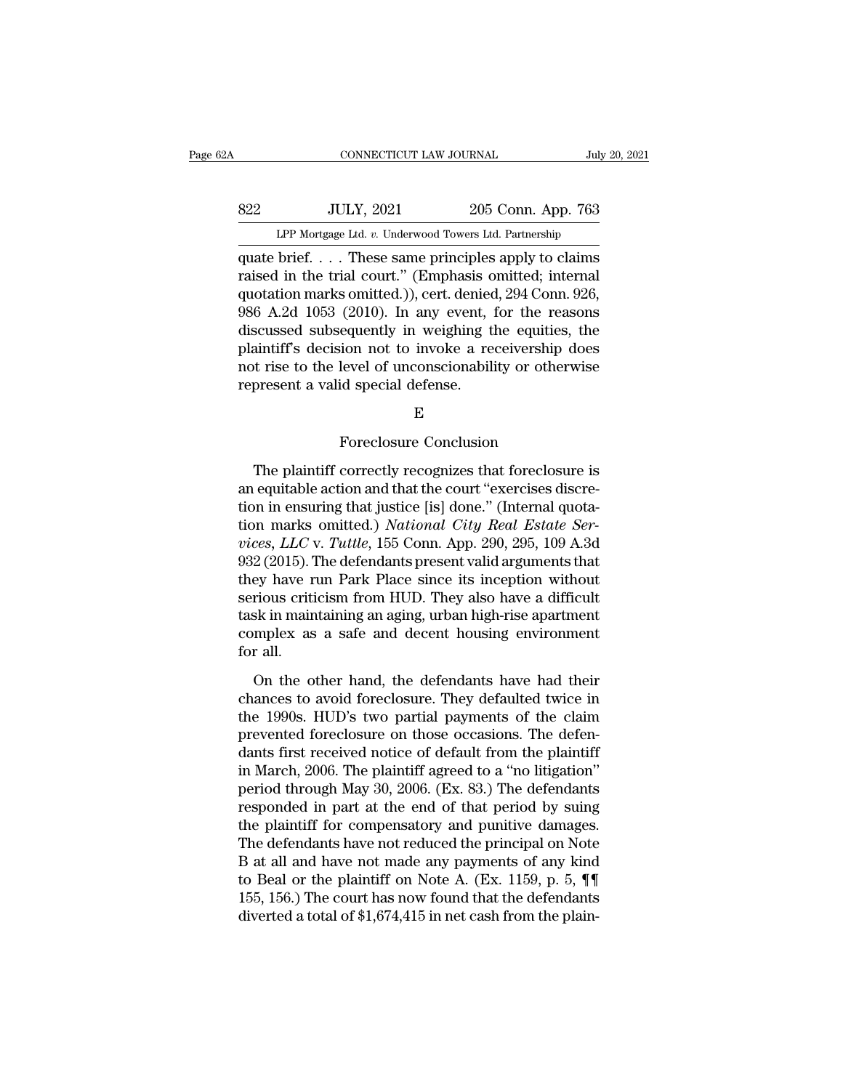| Ά           | CONNECTICUT LAW JOURNAL                                |                                       | July 20, 2021 |
|-------------|--------------------------------------------------------|---------------------------------------|---------------|
|             |                                                        |                                       |               |
| 822         | <b>JULY, 2021</b>                                      | 205 Conn. App. 763                    |               |
|             | LPP Mortgage Ltd. v. Underwood Towers Ltd. Partnership |                                       |               |
| muate brief |                                                        | These same principles apply to claims |               |

CONNECTICUT LAW JOURNAL July 20, 2021<br>
Separate brief. . . . These same principles apply to claims<br>
cluster brief. . . . These same principles apply to claims<br>
raised in the trial court." (Emphasis omitted; internal<br>
custo 822 JULY, 2021 205 Conn. App. 763<br>
LPP Mortgage Ltd. v. Underwood Towers Ltd. Partnership<br>
quate brief.... These same principles apply to claims<br>
raised in the trial court." (Emphasis omitted; internal<br>
quotation marks omi S22 JULY, 2021 205 Conn. App. 763<br>
LPP Mortgage Ltd. v. Underwood Towers Ltd. Partnership<br>
quate brief. . . . These same principles apply to claims<br>
raised in the trial court." (Emphasis omitted; internal<br>
quotation marks S22 JULY, 2021 205 Conn. App. 763<br>
LPP Mortgage Ltd. v. Underwood Towers Ltd. Partnership<br>
quate brief.... These same principles apply to claims<br>
raised in the trial court." (Emphasis omitted; internal<br>
quotation marks omi LPP Mortgage Ltd. v. Underwood Towers Ltd. Partnership<br>quate brief. . . . These same principles apply to claims<br>raised in the trial court." (Emphasis omitted; internal<br>quotation marks omitted.)), cert. denied, 294 Conn. 9 LPF Mortgage Ltd.  $v$ . Underwood Towers Ltd. Partnership<br>quate brief.... These same principles apply to claims<br>raised in the trial court." (Emphasis omitted; internal<br>quotation marks omitted.)), cert. denied, 294 Conn. 92 quate brief. . . . These same principles apply to claims<br>raised in the trial court." (Emphasis omitted; internal<br>quotation marks omitted.)), cert. denied, 294 Conn. 926,<br>986 A.2d 1053 (2010). In any event, for the reasons<br> raised in the trial court." (Emphasis of<br>quotation marks omitted.)), cert. denied<br>986 A.2d 1053 (2010). In any event, if<br>discussed subsequently in weighing the<br>plaintiff's decision not to invoke a re-<br>not rise to the level equently in weighing the equities,<br>ion not to invoke a receivership devel of unconscionability or other<br>id special defense.<br>E<br>Foreclosure Conclusion<br>correctly recognizes that foreclosui

E

of the level of unconscionability or otherwise<br>present a valid special defense.<br> $E$ <br>Foreclosure Conclusion<br>The plaintiff correctly recognizes that foreclosure is<br>equitable action and that the court "exercises discre-<br>in in represent a valid special defense.<br>
E<br>
Foreclosure Conclusion<br>
The plaintiff correctly recognizes that foreclosure is<br>
an equitable action and that the court "exercises discre-<br>
tion in ensuring that justice [is] done." (I E<br>
Foreclosure Conclusion<br>
The plaintiff correctly recognizes that foreclosure is<br>
an equitable action and that the court "exercises discre-<br>
tion in ensuring that justice [is] done." (Internal quota-<br>
tion marks omitted.) E<br>
Foreclosure Conclusion<br>
The plaintiff correctly recognizes that foreclosure is<br>
an equitable action and that the court "exercises discre-<br>
tion in ensuring that justice [is] done." (Internal quota-<br>
tion marks omitted.) Foreclosure Conclusion<br> *The plaintiff correctly recognizes that foreclosure is*<br>
an equitable action and that the court "exercises discre-<br>
tion in ensuring that justice [is] done." (Internal quota-<br>
tion marks omitted.) The plaintiff correctly recognizes that foreclosure is<br>an equitable action and that the court "exercises discre-<br>tion in ensuring that justice [is] done." (Internal quota-<br>tion marks omitted.) National City Real Estate Ser The plaintiff correctly recognizes that foreclosure is<br>an equitable action and that the court "exercises discre-<br>tion in ensuring that justice [is] done." (Internal quota-<br>tion marks omitted.) *National City Real Estate Se* an equitable action and that the court "exercises discretion in ensuring that justice [is] done." (Internal quotation marks omitted.) *National City Real Estate Services, LLC* v. *Tuttle*, 155 Conn. App. 290, 295, 109 A.3d tion in ensuring that justice [is] done." (Internal quotation marks omitted.) *National City Real Estate Services, LLC* v. *Tuttle*, 155 Conn. App. 290, 295, 109 A.3d 932 (2015). The defendants present valid arguments that tion marks omitted.) *National City Real Estate Services, LLC* v. *Tuttle*, 155 Conn. App. 290, 295, 109 A.3d 932 (2015). The defendants present valid arguments that they have run Park Place since its inception without ser  $vices, LLC$ <br>932 (2015). I<br>they have r<br>serious criti<br>task in main<br>complex as<br>for all. On the o Example in Factor is inception without<br>rious criticism from HUD. They also have a difficult<br>sk in maintaining an aging, urban high-rise apartment<br>mplex as a safe and decent housing environment<br>r all.<br>On the other hand, the Exercise criticism from HUD. They also have a difficult<br>task in maintaining an aging, urban high-rise apartment<br>complex as a safe and decent housing environment<br>for all.<br>On the other hand, the defendants have had their<br>cha

task in maintaining an aging, urban high-rise apartment<br>complex as a safe and decent housing environment<br>for all.<br>On the other hand, the defendants have had their<br>chances to avoid foreclosure. They defaulted twice in<br>the 1 prevented as a safe and decent housing environment<br>for all.<br>On the other hand, the defendants have had their<br>chances to avoid foreclosure. They defaulted twice in<br>the 1990s. HUD's two partial payments of the claim<br>prevente for all.<br>
On the other hand, the defendants have had their<br>
chances to avoid foreclosure. They defaulted twice in<br>
the 1990s. HUD's two partial payments of the claim<br>
prevented foreclosure on those occasions. The defen-<br> For anti-<br>
On the other hand, the defendants have had their<br>
chances to avoid foreclosure. They defaulted twice in<br>
the 1990s. HUD's two partial payments of the claim<br>
prevented foreclosure on those occasions. The defen-<br> On the other hand, the defendants have had their<br>chances to avoid foreclosure. They defaulted twice in<br>the 1990s. HUD's two partial payments of the claim<br>prevented foreclosure on those occasions. The defen-<br>dants first rec chances to avoid foreclosure. They defaulted twice in<br>the 1990s. HUD's two partial payments of the claim<br>prevented foreclosure on those occasions. The defen-<br>dants first received notice of default from the plaintiff<br>in Mar the 1990s. HUD's two partial payments of the claim<br>prevented foreclosure on those occasions. The defen-<br>dants first received notice of default from the plaintiff<br>in March, 2006. The plaintiff agreed to a "no litigation"<br>pe prevented foreclosure on those occasions. The defendants first received notice of default from the plaintiff<br>in March, 2006. The plaintiff agreed to a "no litigation"<br>period through May 30, 2006. (Ex. 83.) The defendants<br> dants first received notice of default from the plaintiff<br>in March, 2006. The plaintiff agreed to a "no litigation"<br>period through May 30, 2006. (Ex. 83.) The defendants<br>responded in part at the end of that period by suing in March, 2006. The plaintiff agreed to a "no litigation"<br>period through May 30, 2006. (Ex. 83.) The defendants<br>responded in part at the end of that period by suing<br>the plaintiff for compensatory and punitive damages.<br>The period through May 30, 2006. (Ex. 83.) The defendants<br>responded in part at the end of that period by suing<br>the plaintiff for compensatory and punitive damages.<br>The defendants have not reduced the principal on Note<br>B at al responded in part at the end of that period by suing<br>the plaintiff for compensatory and punitive damages.<br>The defendants have not reduced the principal on Note<br>B at all and have not made any payments of any kind<br>to Beal o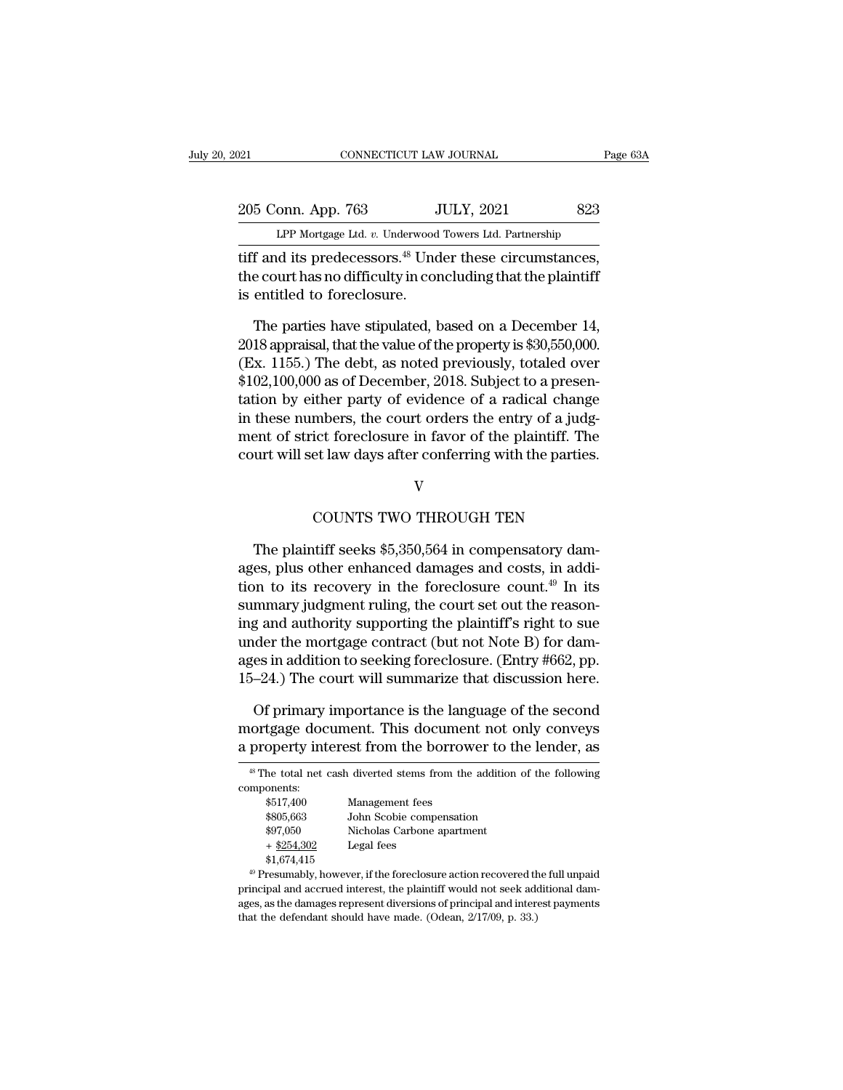| 021                        | CONNECTICUT LAW JOURNAL                                                                                                             | Page 63A |
|----------------------------|-------------------------------------------------------------------------------------------------------------------------------------|----------|
| 205 Conn. App. 763         | <b>JULY, 2021</b>                                                                                                                   | 823      |
|                            | LPP Mortgage Ltd. v. Underwood Towers Ltd. Partnership                                                                              |          |
| ic optitled to feroglecure | tiff and its predecessors. <sup>48</sup> Under these circumstances,<br>the court has no difficulty in concluding that the plaintiff |          |

205 Conn. App. 763 JULY, 2021 823<br>
LPP Mortgage Ltd. v. Underwood Towers Ltd. Partnership<br>
tiff and its predecessors.<sup>48</sup> Under these circumstances,<br>
the court has no difficulty in concluding that the plaintiff<br>
is entitle  $\frac{205 \text{ Conn. App. 763}}{\text{LPP Mortage Ltd. } v. \text{ Underwood}}$ <br>tiff and its predecessors.<sup>48</sup> Underwood<br>the court has no difficulty in cor<br>is entitled to foreclosure.<br>The parties have stipulated. If The parties have stipulated, based on a December 14,  $\frac{155}{100}$  The parties have stipulated, based on a December 14,  $\frac{1155}{100}$  The debt of parties have stipulated, based on a December 14,  $\frac{1155}{100}$  The debt o

LPP Mortgage Ltd.  $v$ . Underwood Towers Ltd. Partnership<br>tiff and its predecessors.<sup>48</sup> Under these circumstances,<br>the court has no difficulty in concluding that the plaintiff<br>is entitled to foreclosure.<br>The parties have tiff and its predecessors.<sup>48</sup> Under these circumstances,<br>the court has no difficulty in concluding that the plaintiff<br>is entitled to foreclosure.<br>The parties have stipulated, based on a December 14,<br>2018 appraisal, that t the court has no difficulty in concluding that the plaintiff<br>is entitled to foreclosure.<br>The parties have stipulated, based on a December 14,<br>2018 appraisal, that the value of the property is \$30,550,000.<br>(Ex. 1155.) The d is entitled to foreclosure.<br>
The parties have stipulated, based on a December 14,<br>
2018 appraisal, that the value of the property is \$30,550,000.<br>
(Ex. 1155.) The debt, as noted previously, totaled over<br>
\$102,100,000 as of The parties have stipulated, based on a December 14,<br>2018 appraisal, that the value of the property is \$30,550,000.<br>(Ex. 1155.) The debt, as noted previously, totaled over<br>\$102,100,000 as of December, 2018. Subject to a pr The parties have stipulated, based on a December 14,<br>2018 appraisal, that the value of the property is \$30,550,000.<br>(Ex. 1155.) The debt, as noted previously, totaled over<br>\$102,100,000 as of December, 2018. Subject to a pr 2018 appraisal, that the value of the property is  $\$30,550,000$ .<br>(Ex. 1155.) The debt, as noted previously, totaled over<br> $\$102,100,000$  as of December, 2018. Subject to a presentation by either party of evidence of a radi Examples the court orders the entry of a judg-<br>mbers, the court orders the entry of a judg-<br>ict foreclosure in favor of the plaintiff. The<br>et law days after conferring with the parties.<br>V<br>COUNTS TWO THROUGH TEN<br>tiff seeks

## V

Find of strict foreclosure in favor of the plaintiff. The urt will set law days after conferring with the parties.<br>V<br>COUNTS TWO THROUGH TEN<br>The plaintiff seeks \$5,350,564 in compensatory dam-<br>es, plus other enhanced damage court will set law days after conferring with the parties.<br>V<br>COUNTS TWO THROUGH TEN<br>The plaintiff seeks \$5,350,564 in compensatory damages, plus other enhanced damages and costs, in addi-<br>tion to its recovery in the forecl V<br>COUNTS TWO THROUGH TEN<br>The plaintiff seeks \$5,350,564 in compensatory dam-<br>ages, plus other enhanced damages and costs, in addi-<br>tion to its recovery in the foreclosure count.<sup>49</sup> In its<br>summary judgment ruling, the cour COUNTS TWO THROUGH TEN<br>The plaintiff seeks \$5,350,564 in compensatory dam-<br>ages, plus other enhanced damages and costs, in addi-<br>tion to its recovery in the foreclosure count.<sup>49</sup> In its<br>summary judgment ruling, the court COUNTS TWO THROUGH TEN<br>The plaintiff seeks \$5,350,564 in compensatory dam-<br>ages, plus other enhanced damages and costs, in addi-<br>tion to its recovery in the foreclosure count.<sup>49</sup> In its<br>summary judgment ruling, the court The plaintiff seeks \$5,350,564 in compensatory damages, plus other enhanced damages and costs, in addition to its recovery in the foreclosure count.<sup>49</sup> In its summary judgment ruling, the court set out the reasoning and The plaintiff seeks \$5,350,564 in compensatory damages, plus other enhanced damages and costs, in addition to its recovery in the foreclosure count.<sup>49</sup> In its summary judgment ruling, the court set out the reasoning and ages, plus other enhanced damages and costs, in addition to its recovery in the foreclosure count.<sup>49</sup> In its summary judgment ruling, the court set out the reasoning and authority supporting the plaintiff's right to sue u mmary judgment ruling, the court set out the reason-<br>g and authority supporting the plaintiff's right to sue<br>der the mortgage contract (but not Note B) for dam-<br>es in addition to seeking foreclosure. (Entry #662, pp.<br>–24.) ing and authority supporting the plaintiff's right to sue<br>under the mortgage contract (but not Note B) for dam-<br>ages in addition to seeking foreclosure. (Entry #662, pp.<br>15–24.) The court will summarize that discussion her under the mortgage contract (but not Note B) for damages in addition to seeking foreclosure. (Entry #662, pp. 15–24.) The court will summarize that discussion here.<br>Of primary importance is the language of the second mortg

Of primary importance is the language of the second mortgage document. This document not only conveys a property interest from the borrower to the lender, as

|               | <sup>48</sup> The total net cash diverted stems from the addition of the following     |
|---------------|----------------------------------------------------------------------------------------|
| components:   |                                                                                        |
| \$517,400     | Management fees                                                                        |
| \$805,663     | John Scobie compensation                                                               |
| \$97,050      | Nicholas Carbone apartment                                                             |
| $+$ \$254,302 | Legal fees                                                                             |
| \$1,674,415   |                                                                                        |
|               | <sup>49</sup> Presumably, however, if the foreclosure action recovered the full unpaid |
|               | principal and accrued interest, the plaintiff would not seek additional dam-           |
|               | ages, as the damages represent diversions of principal and interest payments           |
|               | that the defendant should have made. (Odean, 2/17/09, p. 33.)                          |

 $+$  \$254,302 Legal fees<br>\$1,674,415<br>\$1,674,415<br>\$1,674,415<br>\$Presumably, however, if the foreclosure action recovered the<br>principal and accrued interest, the plaintiff would not seek adaptes, as the damages represent diversi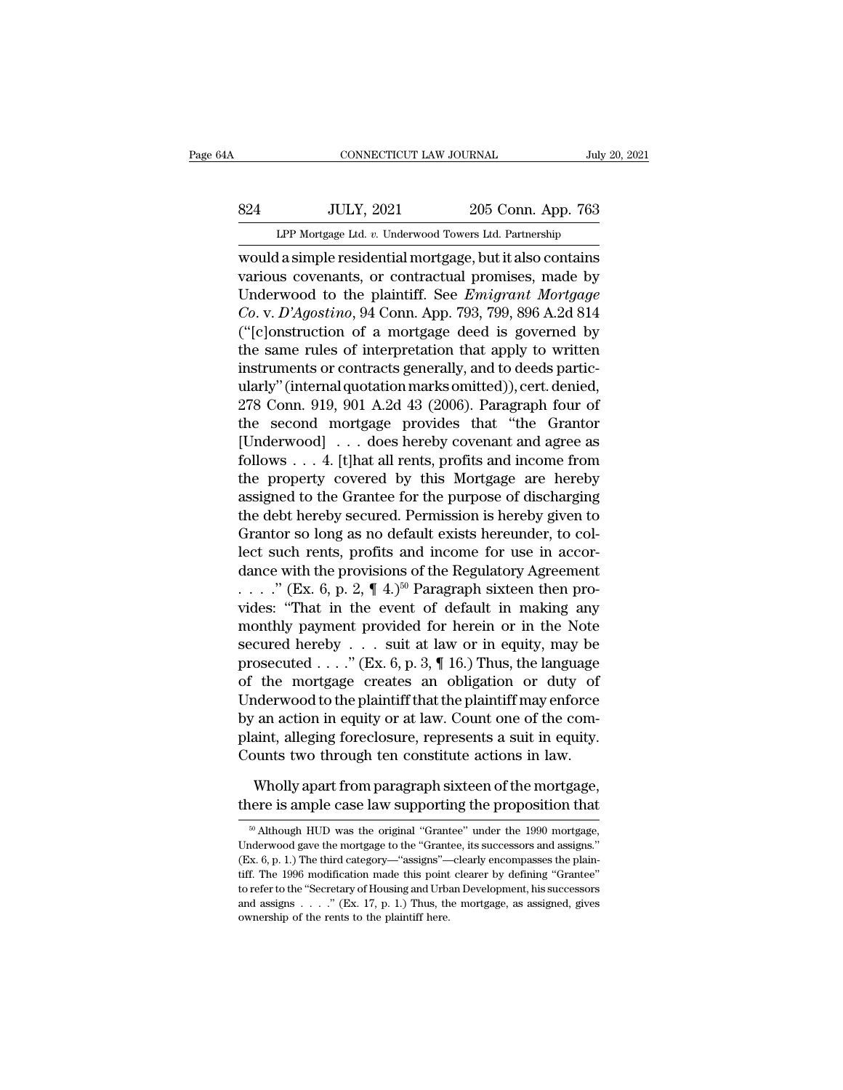# EXECUTE CONNECTICUT LAW JOURNAL July 20, 2021<br>824 JULY, 2021 205 Conn. App. 763<br>LPP Mortgage Ltd. v. Underwood Towers Ltd. Partnership CONNECTICUT LAW JOURNAL July 20, 2021<br>
205 Conn. App. 763<br>
LPP Mortgage Ltd. *v.* Underwood Towers Ltd. Partnership<br>
would a simple residential mortgage, but it also contains

CONNECTICUT LAW JOURNAL July 20, 2021<br>
S24 JULY, 2021 205 Conn. App. 763<br>
LPP Mortgage Ltd. v. Underwood Towers Ltd. Partnership<br>
would a simple residential mortgage, but it also contains<br>
various covenants, or contractual Various Covenants, or contractual promises, made by<br>
various covenants, or contractual promises, made by<br>
various covenants, or contractual promises, made by<br>
Underwood to the plaintiff. See *Emigrant Mortgage*<br>
Ce y D'Ago S24 JULY, 2021 205 Conn. App. 763<br>
LPP Mortgage Ltd. v. Underwood Towers Ltd. Partnership<br>
would a simple residential mortgage, but it also contains<br>
various covenants, or contractual promises, made by<br>
Underwood to the pl *Co. Betwere State Webler 2005 Conn. App. 763*<br>*CPP Mortgage Ltd. v. Underwood Towers Ltd. Partnership*<br>**Co.** *v. D'Agostino*, or *contractual promises*, made by<br>*Co. v. D'Agostino*, 94 Conn. App. 793, 799, 896 A.2d 814<br>(" LPP Mortgage Ltd. v. Underwood Towers Ltd. Partnership<br>
would a simple residential mortgage, but it also contains<br>
various covenants, or contractual promises, made by<br>
Underwood to the plaintiff. See *Emigrant Mortgage*<br>
C Let mongage Lat. *i*. Underwood Towers Lat. Farmership<br>would a simple residential mortgage, but it also contains<br>various covenants, or contractual promises, made by<br>Underwood to the plaintiff. See *Emigrant Mortgage*<br> $Co. v$ would a simple residential mortgage, but it also contains<br>various covenants, or contractual promises, made by<br>Underwood to the plaintiff. See *Emigrant Mortgage*<br> $Co. v. D'Agostino, 94$  Conn. App. 793, 799, 896 A.2d 814<br>("[c]onst various covenants, or contractual promises, made by<br>Underwood to the plaintiff. See *Emigrant Mortgage*<br>Co. v. D'Agostino, 94 Conn. App. 793, 799, 896 A.2d 814<br>("[c]onstruction of a mortgage deed is governed by<br>the same ru Underwood to the plaintiff. See *Emigrant Mortgage*<br>Co. v. D'Agostino, 94 Conn. App. 793, 799, 896 A.2d 814<br>("[c]onstruction of a mortgage deed is governed by<br>the same rules of interpretation that apply to written<br>instrume Co. v. D'Agostino, 94 Conn. App. 793, 799, 896 A.2d 814<br>("[c]onstruction of a mortgage deed is governed by<br>the same rules of interpretation that apply to written<br>instruments or contracts generally, and to deeds partic-<br>ul ("[c]onstruction of a mortgage deed is governed by<br>the same rules of interpretation that apply to written<br>instruments or contracts generally, and to deeds partic-<br>ularly" (internal quotation marks omitted)), cert. denied, the same rules of interpretation that apply to written<br>instruments or contracts generally, and to deeds partic-<br>ularly" (internal quotation marks omitted)), cert. denied,<br>278 Conn. 919, 901 A.2d 43 (2006). Paragraph four o instruments or contracts generally, and to deeds partic-<br>ularly" (internal quotation marks omitted)), cert. denied,<br>278 Conn. 919, 901 A.2d 43 (2006). Paragraph four of<br>the second mortgage provides that "the Grantor<br>[Under ularly" (internal quotation marks omitted)), cert. denied,<br>278 Conn. 919, 901 A.2d 43 (2006). Paragraph four of<br>the second mortgage provides that "the Grantor<br>[Underwood] . . . does hereby covenant and agree as<br>follows . . 278 Conn. 919, 901 A.2d 43 (2006). Paragraph four of<br>the second mortgage provides that "the Grantor<br>[Underwood]  $\ldots$  does hereby covenant and agree as<br>follows  $\ldots$  4. [t]hat all rents, profits and income from<br>the proper the second mortgage provides that "the Grantor [Underwood]  $\ldots$  does hereby covenant and agree as follows  $\ldots$  4. [t]hat all rents, profits and income from the property covered by this Mortgage are hereby assigned to th [Underwood] . . . does hereby covenant and agree as<br>follows . . . 4. [t]hat all rents, profits and income from<br>the property covered by this Mortgage are hereby<br>assigned to the Grantee for the purpose of discharging<br>the de follows . . . 4. [t]hat all rents, profits and income from<br>the property covered by this Mortgage are hereby<br>assigned to the Grantee for the purpose of discharging<br>the debt hereby secured. Permission is hereby given to<br>Gra the property covered by this Mortgage are hereby<br>assigned to the Grantee for the purpose of discharging<br>the debt hereby secured. Permission is hereby given to<br>Grantor so long as no default exists hereunder, to col-<br>lect s assigned to the Grantee for the purpose of discharging<br>the debt hereby secured. Permission is hereby given to<br>Grantor so long as no default exists hereunder, to col-<br>lect such rents, profits and income for use in accor-<br>d the debt hereby secured. Permission is hereby given to<br>Grantor so long as no default exists hereunder, to col-<br>lect such rents, profits and income for use in accor-<br>dance with the provisions of the Regulatory Agreement<br> $\$ Grantor so long as no default exists hereunder, to collect such rents, profits and income for use in accordance with the provisions of the Regulatory Agreement . . . . " (Ex. 6, p. 2,  $\P$  4.)<sup>50</sup> Paragraph sixteen then pr lect such rents, profits and income for use in accordance with the provisions of the Regulatory Agreement . . . . ." (Ex. 6, p. 2,  $\P$  4.)<sup>50</sup> Paragraph sixteen then provides: "That in the event of default in making any m dance with the provisions of the Regulatory Agreement<br>
...." (Ex. 6, p. 2,  $\P$  4.)<sup>50</sup> Paragraph sixteen then pro-<br>
vides: "That in the event of default in making any<br>
monthly payment provided for herein or in the Note<br>
s Underwood to the plaintiff that the plaintiff may encode<br>wides: "That in the event of default in making any<br>monthly payment provided for herein or in the Note<br>secured hereby . . . suit at law or in equity, may be<br>prosecut vides: "That in the event of default in making any<br>monthly payment provided for herein or in the Note<br>secured hereby  $\ldots$  suit at law or in equity, may be<br>prosecuted  $\ldots$ ." (Ex. 6, p. 3, ¶ 16.) Thus, the language<br>of the monthly payment provided for herein or in the Note<br>secured hereby  $\ldots$  suit at law or in equity, may be<br>prosecuted  $\ldots$ ." (Ex. 6, p. 3, ¶ 16.) Thus, the language<br>of the mortgage creates an obligation or duty of<br>Underwoo secured hereby  $\ldots$  suit at law or in equity, may be prosecuted  $\ldots$ ." (Ex. 6, p. 3, ¶ 16.) Thus, the language of the mortgage creates an obligation or duty of Underwood to the plaintiff that the plaintiff may enforce b the mortgage creates an obligation or duty of<br>nderwood to the plaintiff that the plaintiff may enforce<br>an action in equity or at law. Count one of the com-<br>aint, alleging foreclosure, represents a suit in equity.<br>wholly ap Underwood to the plaintiff that the plaintiff may enforce<br>by an action in equity or at law. Count one of the com-<br>plaint, alleging foreclosure, represents a suit in equity.<br>Counts two through ten constitute actions in law

ounts two through ten constitute actions in law.<br>Wholly apart from paragraph sixteen of the mortgage,<br>tere is ample case law supporting the proposition that<br><sup>50</sup> Although HUD was the original "Grantee" under the 1990 mortg

Wholly apart from paragraph sixteen of the mortgage, there is ample case law supporting the proposition that  $\frac{1}{100}$  Mathough HUD was the original "Grantee" under the 1990 mortgage, Underwood gave the mortgage to the Wholly apart from paragraph sixteen of the mortgage, there is ample case law supporting the proposition that  $\frac{10}{100}$  Although HUD was the original "Grantee" under the 1990 mortgage, Underwood gave the mortgage to the there is ample case law supporting the proposition that<br>
<sup>50</sup> Although HUD was the original "Grantee" under the 1990 mortgage,<br>
Underwood gave the mortgage to the "Grantee, its successors and assigns."<br>
(Ex. 6, p. 1.) The <sup>50</sup> Although HUD was the original "Grantee" under the 1990 mortgage, Underwood gave the mortgage to the "Grantee, its successors and assigns." (Ex. 6, p. 1.) The third category—"assigns"—clearly encompasses the plaintiff <sup>50</sup> Although HUD was the original "Grantee" under the 1990 mortgage, Underwood gave the mortgage to the "Grantee, its successors and assigns." (Ex. 6, p. 1.) The third category—"assigns"—clearly encompasses the plaintiff Underwood gave the mortgage to the "Grantee, its successors and assigns." (Ex. 6, p. 1.) The third category—"assigns"—clearly encompasses the plaintiff. The 1996 modification made this point clearer by defining "Grantee"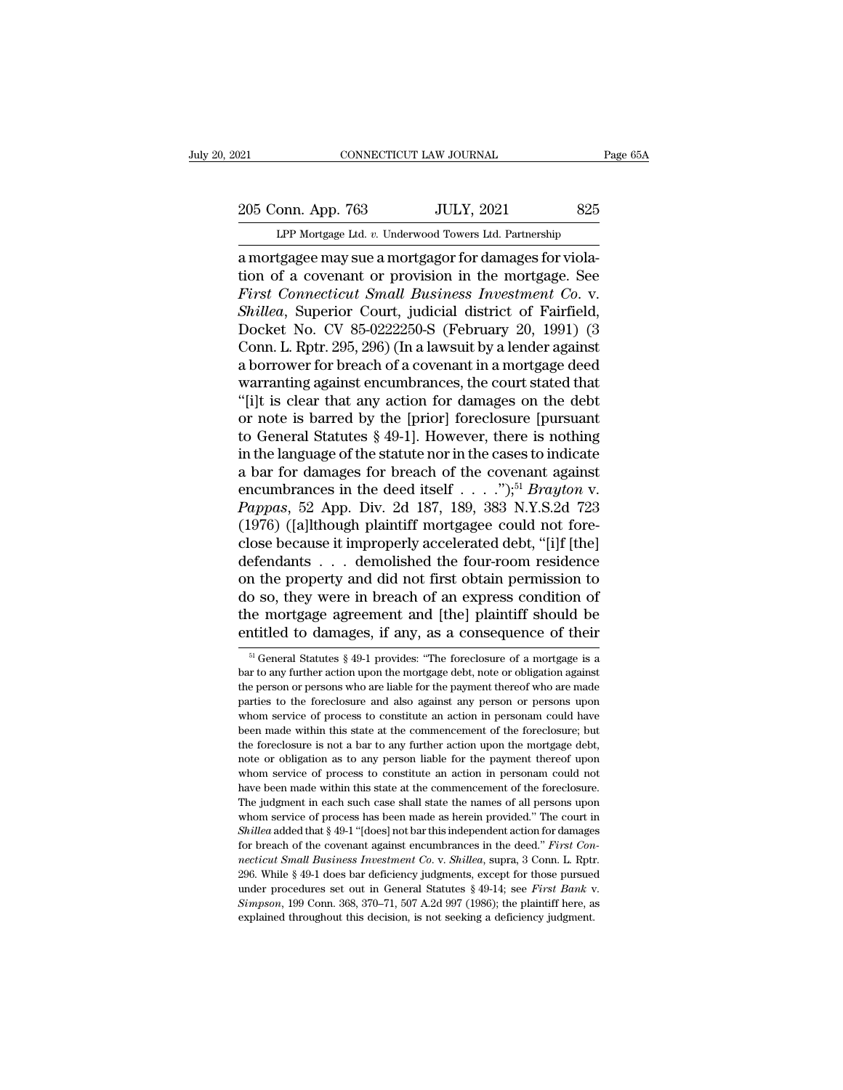205 Conn. App. 763 JULY, 2021 825<br>PP Mortgage Ltd. v. Underwood Towers Ltd. Partnership

CONNECTICUT LAW JOURNAL Page 65A<br>
205 Conn. App. 763 JULY, 2021 825<br>
LPP Mortgage Ltd. *v.* Underwood Towers Ltd. Partnership<br>
a mortgagee may sue a mortgagor for damages for violacONNECTICUT LAW JOURNAL<br>
205 Conn. App. 763 JULY, 2021 825<br>
LPP Mortgage Ltd. v. Underwood Towers Ltd. Partnership<br>
a mortgagee may sue a mortgagor for damages for viola-<br>
tion of a covenant or provision in the mortgage. S 205 Conn. App. 763 JULY, 2021 825<br>
LPP Mortgage Ltd. v. Underwood Towers Ltd. Partnership<br>
a mortgagee may sue a mortgagor for damages for viola-<br>
tion of a covenant or provision in the mortgage. See<br>
First Connecticut Sma 205 Conn. App. 763 JULY, 2021 825<br> *First Connection a* wear a mortgager for damages for violation of a covenant or provision in the mortgage. See<br> *First Connecticut Small Business Investment Co. v.*<br> *Shillea*, Superior 205 Conn. App. 763 JULY, 2021 825<br> **LPP Mortgage Ltd. v. Underwood Towers Ltd. Partnership**<br> **a mortgagee may sue a mortgagor for damages for viola-**<br>
tion of a covenant or provision in the mortgage. See<br> *First Connecticu* LPP Mortgage Ltd. v. Underwood Towers Ltd. Partnership<br>a mortgagee may sue a mortgagor for damages for viola-<br>tion of a covenant or provision in the mortgage. See<br>First Connecticut Small Business Investment Co. v.<br>Shillea, LPP Mortgage Ltd. v. Underwood Towers Ltd. Partnership<br>
a mortgagee may sue a mortgagor for damages for viola-<br>
tion of a covenant or provision in the mortgage. See<br>
First Connecticut Small Business Investment Co. v.<br>
Shil a mortgagee may sue a mortgagor for damages for violation of a covenant or provision in the mortgage. See<br>First Connecticut Small Business Investment Co. v.<br>Shillea, Superior Court, judicial district of Fairfield,<br>Docket N tion of a covenant or provision in the mortgage. See<br>First Connecticut Small Business Investment Co. v.<br>Shillea, Superior Court, judicial district of Fairfield,<br>Docket No. CV 85-0222250-S (February 20, 1991) (3<br>Conn. L. Rp First Connecticut Small Business Investment Co. v.<br>
Shillea, Superior Court, judicial district of Fairfield,<br>
Docket No. CV 85-0222250-S (February 20, 1991) (3<br>
Conn. L. Rptr. 295, 296) (In a lawsuit by a lender against<br>
a Shillea, Superior Court, judicial district of Fairfield,<br>Docket No. CV 85-0222250-S (February 20, 1991) (3<br>Conn. L. Rptr. 295, 296) (In a lawsuit by a lender against<br>a borrower for breach of a covenant in a mortgage deed<br>w Docket No. CV 85-0222250-S (February 20, 1991) (3<br>Conn. L. Rptr. 295, 296) (In a lawsuit by a lender against<br>a borrower for breach of a covenant in a mortgage deed<br>warranting against encumbrances, the court stated that<br>"[i Conn. L. Rptr. 295, 296) (In a lawsuit by a lender against<br>a borrower for breach of a covenant in a mortgage deed<br>warranting against encumbrances, the court stated that<br>"[i]t is clear that any action for damages on the de a borrower for breach of a covenant in a mortgage deed<br>warranting against encumbrances, the court stated that<br>"[i]t is clear that any action for damages on the debt<br>or note is barred by the [prior] foreclosure [pursuant<br>t warranting against encumbrances, the court stated that<br>"[i]t is clear that any action for damages on the debt<br>or note is barred by the [prior] foreclosure [pursuant<br>to General Statutes § 49-1]. However, there is nothing<br>in "[i]t is clear that any action for damages on the debt<br>or note is barred by the [prior] foreclosure [pursuant<br>to General Statutes  $\S 49-1$ ]. However, there is nothing<br>in the language of the statute nor in the cases to ind or note is barred by the [prior] foreclosure [pursuant<br>to General Statutes § 49-1]. However, there is nothing<br>in the language of the statute nor in the cases to indicate<br>a bar for damages for breach of the covenant agains to General Statutes § 49-1]. However, there is nothing<br>in the language of the statute nor in the cases to indicate<br>a bar for damages for breach of the covenant against<br>encumbrances in the deed itself . . . . ");<sup>51</sup> *Bray* in the language of the statute nor in the cases to indicate<br>a bar for damages for breach of the covenant against<br>encumbrances in the deed itself . . . . "),<sup>51</sup> *Brayton v.*<br>*Pappas*, 52 App. Div. 2d 187, 189, 383 N.Y.S.2 a bar for damages for breach of the covenant against<br>encumbrances in the deed itself  $\ldots$  .");<sup>51</sup> *Brayton* v.<br>*Pappas*, 52 App. Div. 2d 187, 189, 383 N.Y.S.2d 723<br>(1976) ([a]lthough plaintiff mortgagee could not fore-<br> encumbrances in the deed itself . . . . ");<sup>51</sup> *Brayton* v.<br>*Pappas*, 52 App. Div. 2d 187, 189, 383 N.Y.S.2d 723<br>(1976) ([a]lthough plaintiff mortgagee could not fore-<br>close because it improperly accelerated debt, "[i]f Pappas, 52 App. Div. 2d 187, 189, 383 N.Y.S.2d 723<br>(1976) ([a]lthough plaintiff mortgagee could not fore-<br>close because it improperly accelerated debt, "[i]f [the]<br>defendants . . . demolished the four-room residence<br>on the (1976) ([a]lthough plaintiff mortgagee could not fore-<br>close because it improperly accelerated debt, "[i]f [the]<br>defendants . . . demolished the four-room residence<br>on the property and did not first obtain permission to<br>d In the property and did not first obtain permission to<br>
51 So, they were in breach of an express condition of<br>
161 General Statutes § 49-1 provides: "The foreclosure of a mortgage is a<br>  $\frac{51}{10}$  General Statutes § 49-1 do so, they were in breach of an express condition of<br>the mortgage agreement and [the] plaintiff should be<br>entitled to damages, if any, as a consequence of their<br> $\frac{1}{10}$  General Statutes § 49-1 provides: "The foreclosu

the mortgage agreement and [the] plaintiff should be entitled to damages, if any, as a consequence of their  $\frac{5!}{10}$  General Statutes  $\frac{8}{9}$ 49-1 provides: "The foreclosure of a mortgage is a bar to any further actio entitled to damages, if any, as a consequence of their<br>
<sup>51</sup> General Statutes § 49-1 provides: "The foreclosure of a mortgage is a<br>
bar to any further action upon the mortgage debt, note or obligation against<br>
the person  $\frac{1}{10}$  General Statutes § 49-1 provides: "The foreclosure of a mortgage is a bar to any further action upon the mortgage debt, note or obligation against the person or persons who are liable for the payment thereof wh <sup>51</sup> General Statutes  $\S$  49-1 provides: "The foreclosure of a mortgage is a bar to any further action upon the mortgage debt, note or obligation against the person or persons who are liable for the payment thereof who ar For the foreclosure is not a bar to any further action upon the mortgage debt, note or obligation against the person or persons who are liable for the payment thereof who are made parties to the foreclosure and also agains be the person or persons who are liable for the payment thereof who are made parties to the foreclosure and also against any person or persons upon whom service of process to constitute an action in personam could have bee parties to the foreclosure and also against any person or persons upon<br>parties to the foreclosure and also against any person or persons upon<br>whom service of process to constitute an action in personam could have<br>been made prediction is evidence whom service of process to constitute an action in personan could have been made within this state at the commencement of the foreclosure; but the foreclosure is not a bar to any further action upon been made within this state at the commencement of the foreclosure; but<br>the foreclosure is not a bar to any further action upon the mortgage debt,<br>note or obligation as to any person liable for the payment thereof upon<br>who the foreclosure is not a bar to any further action upon the mortgage debt, note or obligation as to any person liable for the payment thereof upon whom service of process to constitute an action in personam could not have note or obligation as to any person liable for the payment thereof upon<br>whom service of process to constitute an action in personam could not<br>have been made within this state at the commencement of the foreclosure.<br>The jud From service of process to constitute an action in personam could not<br>whom service of process to constitute an action in personam could not<br>have been made within this state at the commencement of the foreclosure.<br>The judgm *next* been made within this state at the commencement of the foreclosure.<br>The judgment in each such case shall state the names of all persons upon<br>whom service of process has been made as herein provided." The court in<br>Sh The judgment in each such case shall state the names of all persons upon<br>The judgment in each such case shall state the names of all persons upon<br>whom service of process has been made as herein provided." The court in<br>Shi In Shillea added that § 49-1 "(loes) not bar this independent action for damages for breach of the covenant against encumbrances in the deed." *First Connecticut Small Business Investment Co. v. Shillea*, supra, 3 Conn. L. Shillea added that § 49-1 "[does] not bar this independent action for damages<br>for breach of the covenant against encumbrances in the deed." First Con-<br>necticut Small Business Investment Co. v. Shillea, supra, 3 Conn. L. R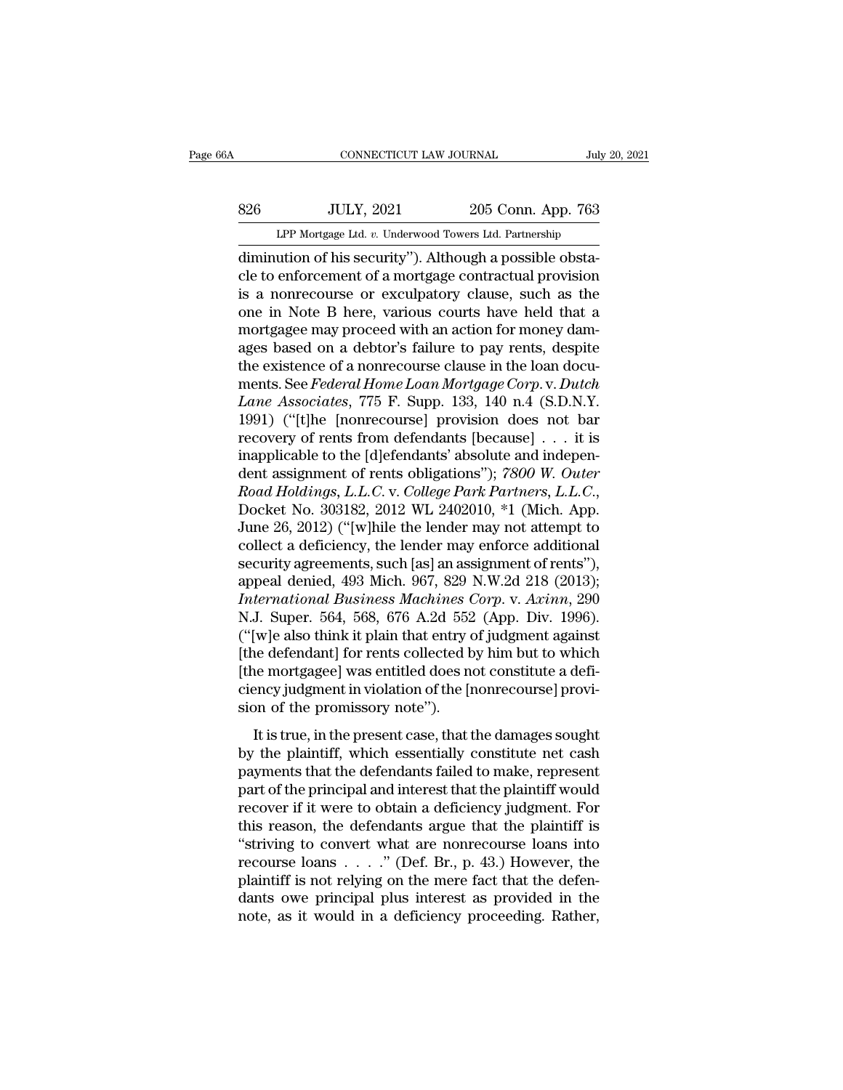# EXECUTE CONNECTICUT LAW JOURNAL July 20, 2021<br>826 JULY, 2021 205 Conn. App. 763<br>LPP Mortgage Ltd. v. Underwood Towers Ltd. Partnership CONNECTICUT LAW JOURNAL July 20, 2021<br>
205 Conn. App. 763<br>
LPP Mortgage Ltd. *v.* Underwood Towers Ltd. Partnership<br>
diminution of his security"). Although a possible obsta-

CONNECTICUT LAW JOURNAL<br>
S26 JULY, 2021 205 Conn. App. 763<br>
LPP Mortgage Ltd. v. Underwood Towers Ltd. Partnership<br>
diminution of his security''). Although a possible obsta-<br>
cle to enforcement of a mortgage contractual pr S26 JULY, 2021 205 Conn. App. 763<br>
LPP Mortgage Ltd. v. Underwood Towers Ltd. Partnership<br>
diminution of his security"). Although a possible obstacle to enforcement of a mortgage contractual provision<br>
is a nonrecourse or  $\frac{326}{LPP \text{ Mortgage Ltd. } v. \text{ Underwood Tours Ltd. Partership}}$ <br>
LPP Mortgage Ltd.  $v.$  Underwood Towers Ltd. Partnership<br>
diminution of his security"). Although a possible obstacle to enforcement of a mortgage contractual provision<br>
is a nonrecourse  $\frac{\text{JULY, 2021}}{\text{LPP Mortrage Ltd. } v. \text{ Underwood Tours Ltd. Parthership}}$ <br>
diminution of his security"). Although a possible obstacle to enforcement of a mortgage contractual provision<br>
is a nonrecourse or exculpatory clause, such as the<br>
one in Note B LPP Mortgage Ltd. *v.* Underwood Towers Ltd. Partnership<br>diminution of his security"). Although a possible obstacle to enforcement of a mortgage contractual provision<br>is a nonrecourse or exculpatory clause, such as the<br>one LPP Mortgage Ltd.  $v$ . Underwood Towers Ltd. Partnership<br>diminution of his security"). Although a possible obsta-<br>cle to enforcement of a mortgage contractual provision<br>is a nonrecourse or exculpatory clause, such as the<br> diminution of his security"). Although a possible obstacle to enforcement of a mortgage contractual provision<br>is a nonrecourse or exculpatory clause, such as the<br>one in Note B here, various courts have held that a<br>mortgag cle to enforcement of a mortgage contractual provision<br>is a nonrecourse or exculpatory clause, such as the<br>one in Note B here, various courts have held that a<br>mortgagee may proceed with an action for money dam-<br>ages based is a nonrecourse or exculpatory clause, such as the<br>one in Note B here, various courts have held that a<br>mortgagee may proceed with an action for money dam-<br>ages based on a debtor's failure to pay rents, despite<br>the existen one in Note B here, various courts have held that a<br>mortgagee may proceed with an action for money dam-<br>ages based on a debtor's failure to pay rents, despite<br>the existence of a nonrecourse clause in the loan docu-<br>ments. mortgagee may proceed with an action for money dam-<br>ages based on a debtor's failure to pay rents, despite<br>the existence of a nonrecourse clause in the loan docu-<br>ments. See *Federal Home Loan Mortgage Corp.* v. *Dutch*<br>*L* ages based on a debtor's failure to pay rents, despite<br>the existence of a nonrecourse clause in the loan docu-<br>ments. See *Federal Home Loan Mortgage Corp*. v. *Dutch*<br>*Lane Associates*, 775 F. Supp. 133, 140 n.4 (S.D.N.Y the existence of a nonrecourse clause in the loan documents. See *Federal Home Loan Mortgage Corp.* v*. Dutch*<br>*Lane Associates*, 775 F. Supp. 133, 140 n.4 (S.D.N.Y.<br>1991) ("[t]he [nonrecourse] provision does not bar<br>recov ments. See *Federal Home Loan Mortgage Corp.* v. *Dutch*<br>*Lane Associates*, 775 F. Supp. 133, 140 n.4 (S.D.N.Y.<br>1991) ("[t]he [nonrecourse] provision does not bar<br>recovery of rents from defendants [because] . . . it is<br>ina 1991) ("[t]he [nonrecourse] provision does not bar<br>recovery of rents from defendants [because] . . . it is<br>inapplicable to the [d]efendants' absolute and indepen-<br>dent assignment of rents obligations"); 7800 W. Outer<br>Road recovery of rents from defendants [because] . . . it is<br>inapplicable to the [d]efendants' absolute and indepen-<br>dent assignment of rents obligations"); 7800 W. Outer<br>Road Holdings, L.L.C. v. College Park Partners, L.L.C., inapplicable to the [d]efendants' absolute and independent assignment of rents obligations"); 7800 W. Outer Road Holdings, L.L.C. v. College Park Partners, L.L.C., Docket No. 303182, 2012 WL 2402010, \*1 (Mich. App. June 26 dent assignment of rents obligations"); 7800 W. Outer<br>Road Holdings, L.L.C. v. College Park Partners, L.L.C.,<br>Docket No. 303182, 2012 WL 2402010, \*1 (Mich. App.<br>June 26, 2012) ("[w]hile the lender may not attempt to<br>collec *Road Holdings, L.L.C.* v. *College Park Partners, L.L.C.*,<br>Docket No. 303182, 2012 WL 2402010, \*1 (Mich. App.<br>June 26, 2012) ("[w]hile the lender may not attempt to<br>collect a deficiency, the lender may enforce additional<br> Docket No. 303182, 2012 WL 2402010, \*1 (Mich. App.<br>June 26, 2012) ("[w]hile the lender may not attempt to<br>collect a deficiency, the lender may enforce additional<br>security agreements, such [as] an assignment of rents"),<br>app June 26, 2012) ("[w]hile the lender may not attempt to collect a deficiency, the lender may enforce additional security agreements, such [as] an assignment of rents"), appeal denied, 493 Mich. 967, 829 N.W.2d 218 (2013); collect a deficiency, the lender may enforce additional<br>security agreements, such [as] an assignment of rents"),<br>appeal denied, 493 Mich. 967, 829 N.W.2d 218 (2013);<br>International Business Machines Corp. v. Axinn, 290<br>N.J. security agreements, such [as] an assignment of rents"),<br>appeal denied, 493 Mich. 967, 829 N.W.2d 218 (2013);<br>International Business Machines Corp. v. Axinn, 290<br>N.J. Super. 564, 568, 676 A.2d 552 (App. Div. 1996).<br>("[w]e appeal denied, 493 Mich. 967, 829 N.W.2d 218 (2013);<br>International Business Machines Corp. v. Axinn, 290<br>N.J. Super. 564, 568, 676 A.2d 552 (App. Div. 1996).<br>("[w]e also think it plain that entry of judgment against<br>[the d International Business Machines (<br>N.J. Super. 564, 568, 676 A.2d 552<br>("[w]e also think it plain that entry of<br>the defendant] for rents collected b<br>[the mortgagee] was entitled does not<br>ciency judgment in violation of the [ It is true, in the present case, that the damages sought<br>in the predicted by the present case of the providence of the providency<br>in the promissory note").<br>It is true, in the present case, that the damages sought<br>the plai ( $\mu$ ) complementary of Jaughtent against<br>
[the defendant] for rents collected by him but to which<br>
[the mortgagee] was entitled does not constitute a defi-<br>
ciency judgment in violation of the [nonrecourse] provi-<br>
sion

[the mortgagee] was entitled does not constitute a deficiency judgment in violation of the [nonrecourse] provision of the promissory note").<br>It is true, in the present case, that the damages sought by the plaintiff, which part of the promissory was entrared about the bandwide a defined details of the promissory note").<br>It is true, in the present case, that the damages sought<br>by the plaintiff, which essentially constitute net cash<br>payments t recisely jaughtent in violation of the profit scoulse provided in the promissory note").<br>It is true, in the present case, that the damages sought<br>by the plaintiff, which essentially constitute net cash<br>payments that the de It is true, in the present case, that the damages sought<br>by the plaintiff, which essentially constitute net cash<br>payments that the defendants failed to make, represent<br>part of the principal and interest that the plaintiff It is true, in the present case, that the damages sought<br>by the plaintiff, which essentially constitute net cash<br>payments that the defendants failed to make, represent<br>part of the principal and interest that the plaintiff by the plaintiff, which essentially constitute net cash<br>payments that the defendants failed to make, represent<br>part of the principal and interest that the plaintiff would<br>recover if it were to obtain a deficiency judgment. payments that the defendants failed to make, represent<br>part of the principal and interest that the plaintiff would<br>recover if it were to obtain a deficiency judgment. For<br>this reason, the defendants argue that the plaintif part of the principal and interest that the plaintiff would<br>recover if it were to obtain a deficiency judgment. For<br>this reason, the defendants argue that the plaintiff is<br>"striving to convert what are nonrecourse loans i recover if it were to obtain a deficiency judgment. For<br>this reason, the defendants argue that the plaintiff is<br>"striving to convert what are nonrecourse loans into<br>recourse loans  $\dots$ ." (Def. Br., p. 43.) However, the<br>pl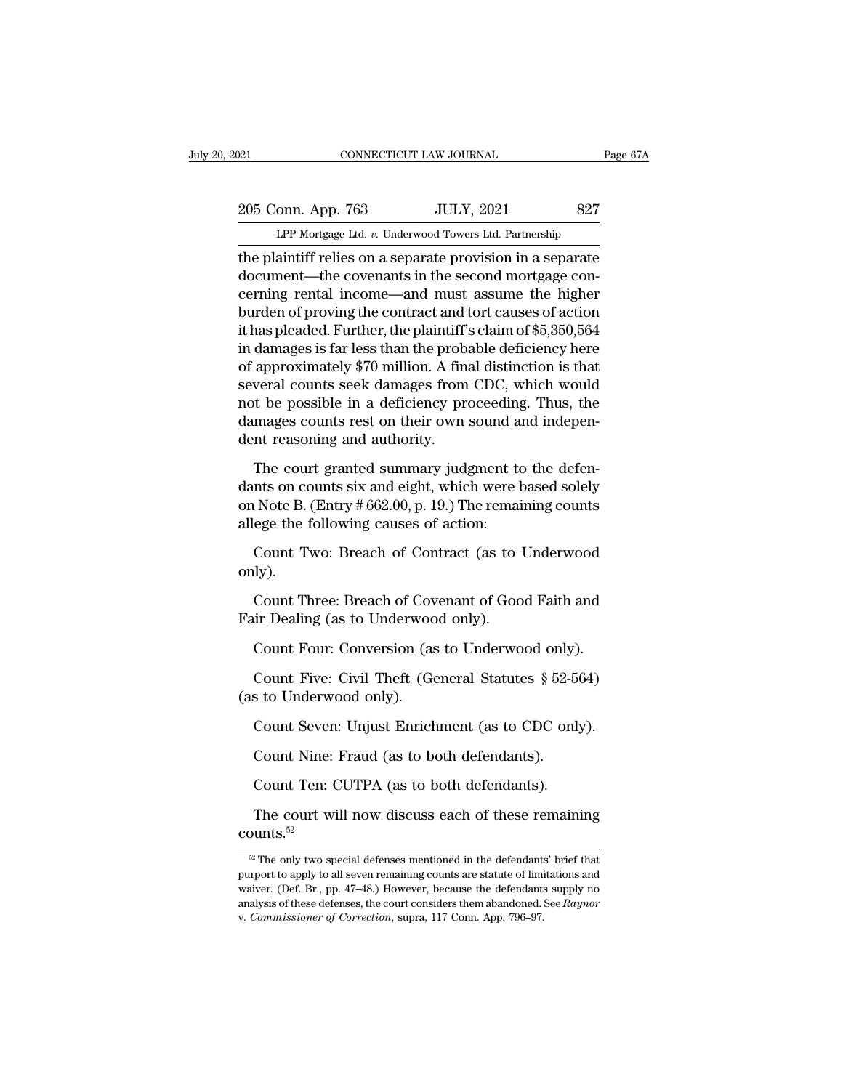205 Conn. App. 763 JULY, 2021 827<br>Per Mortgage Ltd. v. Underwood Towers Ltd. Partnership CONNECTICUT LAW JOURNAL Page 67A<br>
205 Conn. App. 763 JULY, 2021 827<br>
LPP Mortgage Ltd. *v.* Underwood Towers Ltd. Partnership<br>
the plaintiff relies on a separate provision in a separate

The plaintiff relies on a separate provision in a separate<br>document—the covenants in the second mortgage con-<br>arming rental income, and must assume the bigher 205 Conn. App. 763 JULY, 2021 827<br>
LPP Mortgage Ltd. v. Underwood Towers Ltd. Partnership<br>
the plaintiff relies on a separate provision in a separate<br>
document—the covenants in the second mortgage con-<br>
cerning rental inco 205 Conn. App. 763 JULY, 2021 827<br>
LPP Mortgage Ltd. v. Underwood Towers Ltd. Partnership<br>
the plaintiff relies on a separate provision in a separate<br>
document—the covenants in the second mortgage con-<br>
cerning rental inc 205 Conn. App. 763 JULY, 2021 827<br>
LPP Mortgage Ltd. v. Underwood Towers Ltd. Partnership<br>
the plaintiff relies on a separate provision in a separate<br>
document—the covenants in the second mortgage con-<br>
cerning rental inco LPP Mortgage Ltd. v. Underwood Towers Ltd. Partnership<br>the plaintiff relies on a separate provision in a separate<br>document—the covenants in the second mortgage con-<br>cerning rental income—and must assume the higher<br>burden LPF Mortgage Ltd.  $v$ . Underwood Towers Ltd. Partnership<br>the plaintiff relies on a separate provision in a separate<br>document—the covenants in the second mortgage con-<br>cerning rental income—and must assume the higher<br>burde the plaintiff relies on a separate provision in a separate<br>document—the covenants in the second mortgage con-<br>cerning rental income—and must assume the higher<br>burden of proving the contract and tort causes of action<br>it has document—the covenants in the second mortgage concerning rental income—and must assume the higher<br>burden of proving the contract and tort causes of action<br>it has pleaded. Further, the plaintiff's claim of \$5,350,564<br>in dam cerning rental income—and must assume the higher<br>burden of proving the contract and tort causes of action<br>it has pleaded. Further, the plaintiff's claim of \$5,350,564<br>in damages is far less than the probable deficiency her burden of proving the contract and tort causes of action<br>it has pleaded. Further, the plaintiff's claim of \$5,350,564<br>in damages is far less than the probable deficiency here<br>of approximately \$70 million. A final distincti it has pleaded. Further, the plaintiff'<br>in damages is far less than the probs<br>of approximately \$70 million. A fina<br>several counts seek damages from<br>not be possible in a deficiency pro<br>damages counts rest on their own<br>dent approximately \$70 million. A final distinction is that<br>veral counts seek damages from CDC, which would<br>t be possible in a deficiency proceeding. Thus, the<br>mages counts rest on their own sound and indepen-<br>nt reasoning and First counts seek damages from CDC, which would<br>not be possible in a deficiency proceeding. Thus, the<br>damages counts rest on their own sound and indepen-<br>dent reasoning and authority.<br>The court granted summary judgment to

not be possible in a deficiency proceeding. Thus, the<br>damages counts rest on their own sound and indepen-<br>dent reasoning and authority.<br>The court granted summary judgment to the defen-<br>dants on counts six and eight, which damages counts rest on their own sound a<br>dent reasoning and authority.<br>The court granted summary judgment to<br>dants on counts six and eight, which were l<br>on Note B. (Entry # 662.00, p. 19.) The remai<br>allege the following ca In reasoning and authority.<br>The court granted summary judgment to the defen-<br>nts on counts six and eight, which were based solely<br>a Note B. (Entry # 662.00, p. 19.) The remaining counts<br>ege the following causes of action:<br> Ints on counts six and eight, which were based solely<br>
Note B. (Entry # 662.00, p. 19.) The remaining counts<br>
ege the following causes of action:<br>
Count Two: Breach of Contract (as to Underwood<br>
uly).<br>
Count Three: Breach

only).

on Note B. (Entry # 002.00, p. 19.) The remainallege the following causes of action:<br>Count Two: Breach of Contract (as to 1<br>only).<br>Count Three: Breach of Covenant of Goo<br>Fair Dealing (as to Underwood only).<br>Count Four: Con Count Two: Breach of Contract (as to Underwood<br>ly).<br>Count Three: Breach of Covenant of Good Faith and<br>ir Dealing (as to Underwood only).<br>Count Four: Conversion (as to Underwood only).<br>Count Five: Civil Theft (General Statu ly).<br>Count Three: Breach of Covenant of Good Faith and<br>ir Dealing (as to Underwood only).<br>Count Four: Conversion (as to Underwood only).<br>Count Five: Civil Theft (General Statutes § 52-564)<br>s to Underwood only).

Count Three: Breach of Cov<br>Fair Dealing (as to Underwoo<br>Count Four: Conversion (as<br>Count Five: Civil Theft (Ge<br>(as to Underwood only).<br>Count Seven: Unjust Enrich ir Dealing (as to Underwood only).<br>Count Four: Conversion (as to Underwood only).<br>Count Five: Civil Theft (General Statutes § 52-564)<br>s to Underwood only).<br>Count Seven: Unjust Enrichment (as to CDC only).<br>Count Nine: Fraud Count Four: Conversion (as to Underwood only)<br>Count Five: Civil Theft (General Statutes § 52-5<br>s to Underwood only).<br>Count Seven: Unjust Enrichment (as to CDC onl<br>Count Nine: Fraud (as to both defendants).<br>Count Ten: CUTPA Count Five: Civil Theft (General Statutes § 52-56<br>
s to Underwood only).<br>
Count Seven: Unjust Enrichment (as to CDC only<br>
Count Nine: Fraud (as to both defendants).<br>
Count Ten: CUTPA (as to both defendants).<br>
The court wil

Count Seven: Unjust Enrichment (as to CDC only).<br>Count Nine: Fraud (as to both defendants).<br>Count Ten: CUTPA (as to both defendants).<br>The court will now discuss each of these remaining unts.<sup>52</sup> counts.<sup>52</sup>

Count Ten: CUTPA (as to both defendants).<br>The court will now discuss each of these remaining<br>bunts.<sup>52</sup><br><sup>52</sup> The only two special defenses mentioned in the defendants' brief that<br>rport to apply to all seven remaining coun The court will now discuss each of these remaining<br>counts.<sup>52</sup><br><sup>82</sup> The only two special defenses mentioned in the defendants' brief that<br>purport to apply to all seven remaining counts are statute of limitations and<br>waive The court will now discuss each of these remaining<br>  $\frac{\infty}{100}$  The only two special defenses mentioned in the defendants' brief that<br>
purport to apply to all seven remaining counts are statute of limitations and<br>
waiver counts.<sup>52</sup><br><sup>a2</sup> The only two special defenses mentioned in the defendants' brief that<br>purport to apply to all seven remaining counts are statute of limitations and<br>waiver. (Def. Br., pp. 47–48.) However, because the defe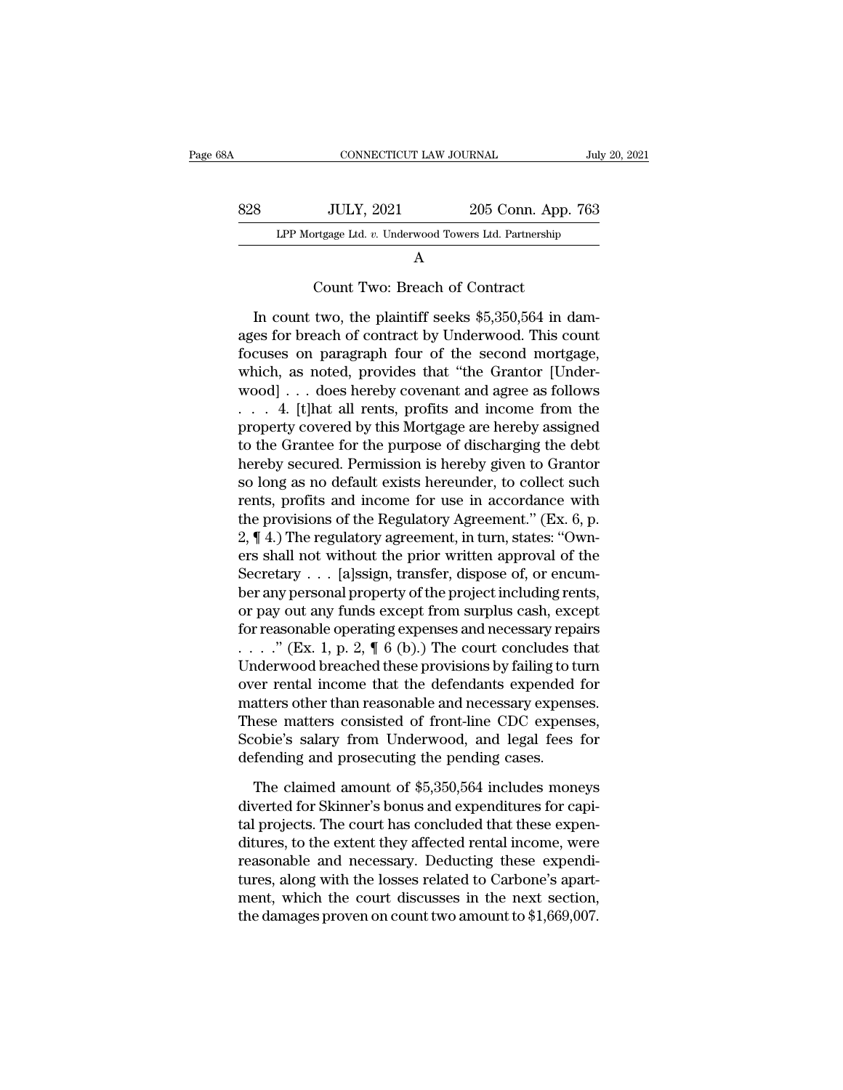| 38A | CONNECTICUT LAW JOURNAL                                |                                                       | July 20, 2021 |  |
|-----|--------------------------------------------------------|-------------------------------------------------------|---------------|--|
|     |                                                        |                                                       |               |  |
| 828 | <b>JULY, 2021</b>                                      | 205 Conn. App. 763                                    |               |  |
|     |                                                        |                                                       |               |  |
|     | LPP Mortgage Ltd. v. Underwood Towers Ltd. Partnership |                                                       |               |  |
|     | A                                                      |                                                       |               |  |
|     | Count Two: Breach of Contract                          |                                                       |               |  |
|     |                                                        | In count two, the plaintiff seeks \$5,350,564 in dam- |               |  |
|     |                                                        | ages for breach of contract by Underwood. This count  |               |  |
|     |                                                        | foguros on personable four of the second meriode      |               |  |

LPP Mortgage Ltd. v. Underwood Towers Ltd. Partnership<br>
A<br>
Count Two: Breach of Contract<br>
In count two, the plaintiff seeks \$5,350,564 in dam-<br>
ages for breach of contract by Underwood. This count<br>
focuses on paragraph fou Focus<br>
Focus Exercise on paragraph four of Contract<br>
In count two, the plaintiff seeks \$5,350,564 in dam-<br>
ages for breach of contract by Underwood. This count<br>
focuses on paragraph four of the second mortgage,<br>
which, as A<br>
Count Two: Breach of Contract<br>
In count two, the plaintiff seeks \$5,350,564 in dam-<br>
ages for breach of contract by Underwood. This count<br>
focuses on paragraph four of the second mortgage,<br>
which, as noted, provides tha Count Two: Breach of Contract<br>In count two, the plaintiff seeks \$5,350,564 in dam-<br>ages for breach of contract by Underwood. This count<br>focuses on paragraph four of the second mortgage,<br>which, as noted, provides that "the In count two, the plaintiff seeks \$5,350,564 in damages for breach of contract by Underwood. This count focuses on paragraph four of the second mortgage, which, as noted, provides that "the Grantor [Underwood] . . . does In count two, the plaintiff seeks \$5,350,564 in dam-<br>ages for breach of contract by Underwood. This count<br>focuses on paragraph four of the second mortgage,<br>which, as noted, provides that "the Grantor [Under-<br>wood] . . . d ages for breach of contract by Underwood. This count<br>focuses on paragraph four of the second mortgage,<br>which, as noted, provides that "the Grantor [Under-<br>wood] . . . does hereby covenant and agree as follows<br>. . . . 4. [t focuses on paragraph four of the second mortgage,<br>which, as noted, provides that "the Grantor [Under-<br>wood] . . . does hereby covenant and agree as follows<br>. . . . 4. [t]hat all rents, profits and income from the<br>property which, as noted, provides that "the Grantor [Under-<br>wood] . . . does hereby covenant and agree as follows<br>. . . . 4. [t]hat all rents, profits and income from the<br>property covered by this Mortgage are hereby assigned<br>to t wood] . . . does hereby covenant and agree as follows<br>
. . . 4. [t]hat all rents, profits and income from the<br>
property covered by this Mortgage are hereby assigned<br>
to the Grantee for the purpose of discharging the debt<br> . . . . 4. [t]hat all rents, profits and income from the<br>property covered by this Mortgage are hereby assigned<br>to the Grantee for the purpose of discharging the debt<br>hereby secured. Permission is hereby given to Grantor<br>s property covered by this Mortgage are hereby assigned<br>to the Grantee for the purpose of discharging the debt<br>hereby secured. Permission is hereby given to Grantor<br>so long as no default exists hereunder, to collect such<br>ren to the Grantee for the purpose of discharging the debt<br>hereby secured. Permission is hereby given to Grantor<br>so long as no default exists hereunder, to collect such<br>rents, profits and income for use in accordance with<br>the hereby secured. Permission is hereby given to Grantor<br>so long as no default exists hereunder, to collect such<br>rents, profits and income for use in accordance with<br>the provisions of the Regulatory Agreement." (Ex. 6, p.<br>2, so long as no default exists hereunder, to collect such<br>rents, profits and income for use in accordance with<br>the provisions of the Regulatory Agreement." (Ex. 6, p.<br>2, ¶ 4.) The regulatory agreement, in turn, states: "Ownrents, profits and income for use in accordance with<br>the provisions of the Regulatory Agreement." (Ex. 6, p.<br>2, ¶ 4.) The regulatory agreement, in turn, states: "Own-<br>ers shall not without the prior written approval of th the provisions of the Regulatory Agreement." (Ex. 6, p.<br>2,  $\P$  4.) The regulatory agreement, in turn, states: "Own-<br>ers shall not without the prior written approval of the<br>Secretary . . . [a]ssign, transfer, dispose of, o 2,  $\P$  4.) The regulatory agreement, in turn, states: "Owners shall not without the prior written approval of the Secretary . . . [a]ssign, transfer, dispose of, or encumber any personal property of the project including ers shall not without the prior written approval of the<br>Secretary . . . [a]ssign, transfer, dispose of, or encum-<br>ber any personal property of the project including rents,<br>or pay out any funds except from surplus cash, ex Secretary  $\ldots$  [a]ssign, transfer, dispose of, or encum-<br>ber any personal property of the project including rents,<br>or pay out any funds except from surplus cash, except<br>for reasonable operating expenses and necessary rep ber any personal property of the project including rents,<br>or pay out any funds except from surplus cash, except<br>for reasonable operating expenses and necessary repairs<br> $\ldots$ ." (Ex. 1, p. 2, ¶ 6 (b).) The court concludes th or pay out any funds except from surplus cash, except<br>for reasonable operating expenses and necessary repairs<br> $\ldots$   $\ldots$  " (Ex. 1, p. 2, ¶ 6 (b).) The court concludes that<br>Underwood breached these provisions by failing t for reasonable operating expenses and necessary repairs<br>  $\ldots$  ." (Ex. 1, p. 2, ¶ 6 (b).) The court concludes that<br>
Underwood breached these provisions by failing to turn<br>
over rental income that the defendants expended f  $\ldots$   $\ldots$  " (Ex. 1, p. 2, ¶ 6 (b).) The court concludes t<br>Underwood breached these provisions by failing to t<br>over rental income that the defendants expended<br>matters other than reasonable and necessary expens<br>These matt Frem that the defendants expended for atters other than reasonable and necessary expenses.<br>Resementers consisted of front-line CDC expenses, obie's salary from Underwood, and legal fees for fending and prosecuting the pend matters other than reasonable and necessary expenses.<br>These matters consisted of front-line CDC expenses,<br>Scobie's salary from Underwood, and legal fees for<br>defending and prosecuting the pending cases.<br>The claimed amount o

These matters consisted of front-line CDC expenses,<br>Scobie's salary from Underwood, and legal fees for<br>defending and prosecuting the pending cases.<br>The claimed amount of \$5,350,564 includes moneys<br>diverted for Skinner's bo Scobie's salary from Underwood, and legal fees for<br>defending and prosecuting the pending cases.<br>The claimed amount of \$5,350,564 includes moneys<br>diverted for Skinner's bonus and expenditures for capi-<br>tal projects. The cou defending and prosecuting the pending cases.<br>The claimed amount of \$5,350,564 includes moneys<br>diverted for Skinner's bonus and expenditures for capi-<br>tal projects. The court has concluded that these expendi-<br>tures, to the The claimed amount of \$5,350,564 includes moneys<br>diverted for Skinner's bonus and expenditures for capi-<br>tal projects. The court has concluded that these expenditures, to the extent they affected rental income, were<br>reaso The claimed amount of  $$5,350,564$  includes moneys<br>diverted for Skinner's bonus and expenditures for capi-<br>tal projects. The court has concluded that these expenditures, to the extent they affected rental income, were<br>rea diverted for Skinner's bonus and expenditures for capital projects. The court has concluded that these expenditures, to the extent they affected rental income, were reasonable and necessary. Deducting these expenditures, a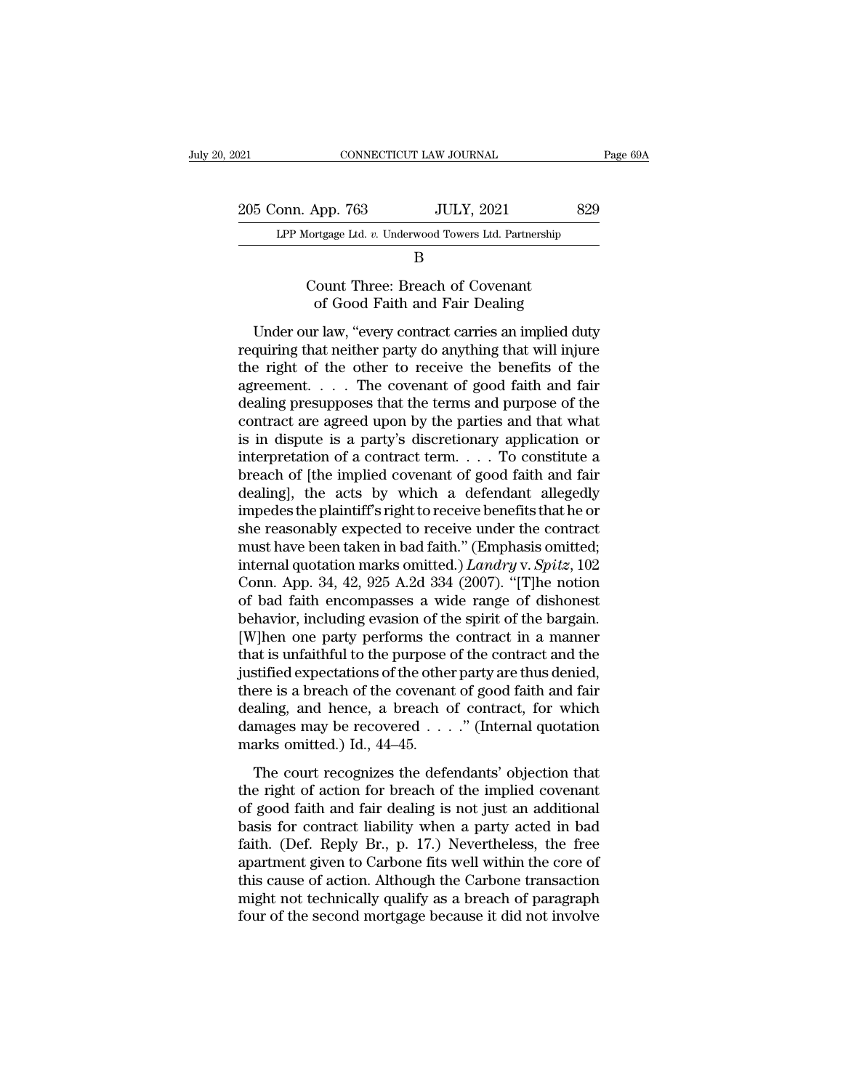| 021                | CONNECTICUT LAW JOURNAL                                | Page 69A |
|--------------------|--------------------------------------------------------|----------|
| 205 Conn. App. 763 | <b>JULY, 2021</b>                                      | 829      |
|                    | LPP Mortgage Ltd. v. Underwood Towers Ltd. Partnership |          |
|                    |                                                        |          |

## B

# App. 763 JULY, 2021<br>
Iortgage Ltd. v. Underwood Towers Ltd. Partnership<br>
B<br>
Count Three: Breach of Covenant<br>
of Good Faith and Fair Dealing App. 763 JULY, 2021 82<br>
<u>ITER EXECUTE SERVICE BROWN BOOM BOOM:</u><br>
B<br>
Sount Three: Breach of Covenant<br>
of Good Faith and Fair Dealing<br>
r law, "every contract carries an implied dut

LPP Mortgage Ltd. v. Underwood Towers Ltd. Partnership<br>
B<br>
Count Three: Breach of Covenant<br>
of Good Faith and Fair Dealing<br>
Under our law, "every contract carries an implied duty<br>
quiring that neither party do anything tha ERT MORGAGE EXIT. ET CONCRETE THE REFLUENCE THE COUNTERT THE COUNTERT STATE COUNTERT OF THE UPPEND OF THE COUNTERT OF THE COUNTERTY OF THE COUNTERTY OF THE COUNTERTY OF THE COUNTERTY OF THE COUNTERTY OF THE COUNTERTY OF TH B<br>
Count Three: Breach of Covenant<br>
of Good Faith and Fair Dealing<br>
Under our law, "every contract carries an implied duty<br>
requiring that neither party do anything that will injure<br>
the right of the other to receive the b Count Three: Breach of Covenant<br>of Good Faith and Fair Dealing<br>Under our law, "every contract carries an implied duty<br>requiring that neither party do anything that will injure<br>the right of the other to receive the benefits Under our law, "every contract carries an implied duty<br>requiring that neither party do anything that will injure<br>the right of the other to receive the benefits of the<br>agreement.... The covenant of good faith and fair<br>deal Under our law, "every contract carries an implied duty<br>requiring that neither party do anything that will injure<br>the right of the other to receive the benefits of the<br>agreement.... The covenant of good faith and fair<br>deal Under our law, "every contract carries an implied duty<br>requiring that neither party do anything that will injure<br>the right of the other to receive the benefits of the<br>agreement.... The covenant of good faith and fair<br>deal requiring that neither party do anything that will injure<br>the right of the other to receive the benefits of the<br>agreement. . . . The covenant of good faith and fair<br>dealing presupposes that the terms and purpose of the<br>co the right of the other to receive the benefits of the agreement. . . . The covenant of good faith and fair dealing presupposes that the terms and purpose of the contract are agreed upon by the parties and that what is in agreement. . . . The covenant of good faith and fair<br>dealing presupposes that the terms and purpose of the<br>contract are agreed upon by the parties and that what<br>is in dispute is a party's discretionary application or<br>inte dealing presupposes that the terms and purpose of the contract are agreed upon by the parties and that what<br>is in dispute is a party's discretionary application or<br>interpretation of a contract term. . . . To constitute a<br>b contract are agreed upon by the parties and that what<br>is in dispute is a party's discretionary application or<br>interpretation of a contract term. . . . To constitute a<br>breach of [the implied covenant of good faith and fair is in dispute is a party's discretionary application or<br>interpretation of a contract term.... To constitute a<br>breach of [the implied covenant of good faith and fair<br>dealing], the acts by which a defendant allegedly<br>impede interpretation of a contract term. . . . To constitute a<br>breach of [the implied covenant of good faith and fair<br>dealing], the acts by which a defendant allegedly<br>impedes the plaintiff's right to receive benefits that he or breach of [the implied covenant of good faith and fair<br>dealing], the acts by which a defendant allegedly<br>impedes the plaintiff's right to receive benefits that he or<br>she reasonably expected to receive under the contract<br>mu dealing], the acts by which a defendant allegedly<br>impedes the plaintiff's right to receive benefits that he or<br>she reasonably expected to receive under the contract<br>must have been taken in bad faith." (Emphasis omitted;<br>in impedes the plaintiff's right to receive benefits that he or<br>she reasonably expected to receive under the contract<br>must have been taken in bad faith." (Emphasis omitted;<br>internal quotation marks omitted.) *Landry* v. *Spit* she reasonably expected to receive under the contract<br>must have been taken in bad faith." (Emphasis omitted;<br>internal quotation marks omitted.) *Landry* v. *Spitz*, 102<br>Conn. App. 34, 42, 925 A.2d 334 (2007). "[T]he notion must have been taken in bad faith." (Emphasis omitted;<br>internal quotation marks omitted.) *Landry* v. *Spitz*, 102<br>Conn. App. 34, 42, 925 A.2d 334 (2007). "[T]he notion<br>of bad faith encompasses a wide range of dishonest<br>be internal quotation marks omitted.) *Landry v. Spitz*, 102<br>Conn. App. 34, 42, 925 A.2d 334 (2007). "[T]he notion<br>of bad faith encompasses a wide range of dishonest<br>behavior, including evasion of the spirit of the bargain.<br>[ Conn. App. 34, 42, 925 A.2d 334 (2007). "[T]he notion<br>of bad faith encompasses a wide range of dishonest<br>behavior, including evasion of the spirit of the bargain.<br>[W]hen one party performs the contract in a manner<br>that is of bad faith encompasses a wide range of dishonest<br>behavior, including evasion of the spirit of the bargain.<br>[W]hen one party performs the contract in a manner<br>that is unfaithful to the purpose of the contract and the<br>jus behavior, including evasion of the spirit of the bargain.<br>[W]hen one party performs the contract in a manner<br>that is unfaithful to the purpose of the contract and the<br>justified expectations of the other party are thus deni [W]hen one party performs the contract in a manner<br>that is unfaithful to the purpose of the contract and the<br>justified expectations of the other party are thus denied,<br>there is a breach of the covenant of good faith and f stified expectations of the other party are thus denied,<br>stified expectations of the other party are thus denied,<br>ere is a breach of the covenant of good faith and fair<br>aling, and hence, a breach of contract, for which<br>ma there is a breach of the covenant of good faith and fair<br>dealing, and hence, a breach of contract, for which<br>damages may be recovered  $\ldots$ ." (Internal quotation<br>marks omitted.) Id., 44–45.<br>The court recognizes the defend

dealing, and hence, a breach of contract, for which<br>damages may be recovered . . . ." (Internal quotation<br>marks omitted.) Id., 44–45.<br>The court recognizes the defendants' objection that<br>the right of action for breach of t damages may be recovered  $\ldots$ ." (Internal quotation<br>marks omitted.) Id., 44–45.<br>The court recognizes the defendants' objection that<br>the right of action for breach of the implied covenant<br>of good faith and fair dealing is marks omitted.) Id.,  $44-45$ .<br>The court recognizes the defendants' objection that<br>the right of action for breach of the implied covenant<br>of good faith and fair dealing is not just an additional<br>basis for contract liabilit The court recognizes the defendants' objection that<br>the right of action for breach of the implied covenant<br>of good faith and fair dealing is not just an additional<br>basis for contract liability when a party acted in bad<br>fai The court recognizes the defendants' objection that<br>the right of action for breach of the implied covenant<br>of good faith and fair dealing is not just an additional<br>basis for contract liability when a party acted in bad<br>fai the right of action for breach of the implied covenant<br>of good faith and fair dealing is not just an additional<br>basis for contract liability when a party acted in bad<br>faith. (Def. Reply Br., p. 17.) Nevertheless, the free<br> of good faith and fair dealing is not just an additional<br>basis for contract liability when a party acted in bad<br>faith. (Def. Reply Br., p. 17.) Nevertheless, the free<br>apartment given to Carbone fits well within the core of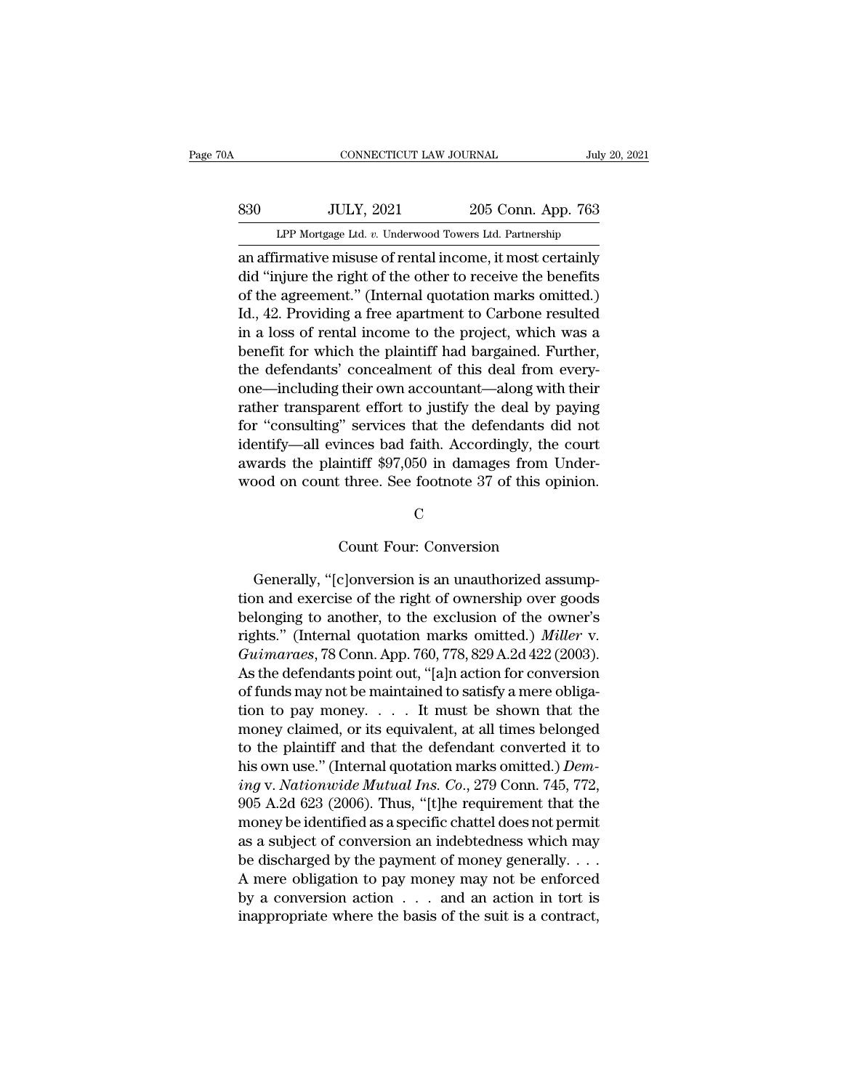# EXECUTE CONNECTICUT LAW JOURNAL July 20, 2021<br>
830 JULY, 2021 205 Conn. App. 763<br>
LPP Mortgage Ltd. v. Underwood Towers Ltd. Partnership CONNECTICUT LAW JOURNAL July 20, 2021<br>
205 Conn. App. 763<br>
LPP Mortgage Ltd. *v.* Underwood Towers Ltd. Partnership<br>
an affirmative misuse of rental income, it most certainly

CONNECTICUT LAW JOURNAL July 20, 2021<br>
330 JULY, 2021 205 Conn. App. 763<br>
LPP Mortgage Ltd. v. Underwood Towers Ltd. Partnership<br>
an affirmative misuse of rental income, it most certainly<br>
did "injure the right of the othe  $\begin{array}{c|c} \text{330} & \text{JULY, 2021} & \text{205 Conn. App. 763} \\ \text{LPP Mortgage Ltd. } v. \text{ Underwood Tours Ltd. Partership} \\ \text{an affirmative misuse of retal income, it most certainly} \\ \text{did "injure the right of the other to receive the benefits} \\ \text{of the agreement." (Internal quotation marks omitted.) \\ \text{Id. 42 Dreviding a free compartment to Cevhene resulted} \end{array}$  $\frac{1000 \text{ JULY, } 2021}{1000 \text{ LPP Mortgage Ltd. } v. \text{ Underwood Tours Ltd. Parthership}}$ <br>
an affirmative misuse of rental income, it most certainly<br>
did "injure the right of the other to receive the benefits<br>
of the agreement." (Internal quotation marks om  $330$  LPP Mortgage Ltd. v. Underwood Towers Ltd. Partnership<br>an affirmative missues of rental income, it most certainly<br>did "injure the right of the other to receive the benefits<br>of the agreement." (Internal quotation mar LPP Mortgage Ltd. v. Underwood Towers Ltd. Partnership<br>an affirmative misuse of rental income, it most certainly<br>did "injure the right of the other to receive the benefits<br>of the agreement." (Internal quotation marks omitt an affirmative misuse of rental income, it most certainly<br>an affirmative misuse of rental income, it most certainly<br>did "injure the right of the other to receive the benefits<br>of the agreement." (Internal quotation marks om an affirmative misuse of rental income, it most certainly<br>did "injure the right of the other to receive the benefits<br>of the agreement." (Internal quotation marks omitted.)<br>Id., 42. Providing a free apartment to Carbone res did "injure the right of the other to receive the benefits<br>of the agreement." (Internal quotation marks omitted.)<br>Id., 42. Providing a free apartment to Carbone resulted<br>in a loss of rental income to the project, which was of the agreement." (Internal quotation marks omitted.)<br>Id., 42. Providing a free apartment to Carbone resulted<br>in a loss of rental income to the project, which was a<br>benefit for which the plaintiff had bargained. Further,<br> Id., 42. Providing a free apartment to Carbone resulted<br>in a loss of rental income to the project, which was a<br>benefit for which the plaintiff had bargained. Further,<br>the defendants' concealment of this deal from every-<br>o in a loss of rental income to the project, which was a<br>benefit for which the plaintiff had bargained. Further,<br>the defendants' concealment of this deal from every-<br>one—including their own accountant—along with their<br>rather benefit for which the plaintiff had bargained. Further,<br>the defendants' concealment of this deal from every-<br>one—including their own accountant—along with their<br>rather transparent effort to justify the deal by paying<br>for " the defendants' concealment of this deal from every-<br>one—including their own accountant—along with their<br>rather transparent effort to justify the deal by paying<br>for "consulting" services that the defendants did not<br>identif Finces bad faith. Accordingly, the count<br>four: three. See footnote 37 of this opin<br>Count Four: Conversion<br>Count Four: Conversion

## C<sub>c</sub>

France See footnote 37 of this opinion.<br>C<br>C<br>C inter-see footnote 37 of this opinion.<br>C<br>C inter-sion is an unauthorized assump-<br>on and exercise of the right of ownership over goods<br>longing to enother to the evolution of the  $\footnotesize$  C<br>C C Count Four: Conversion<br>Generally, "[c]onversion is an unauthorized assumption and exercise of the right of ownership over goods<br>belonging to another, to the exclusion of the owner's<br>rights." (Internal quotati C<br>
count Four: Conversion<br>
Generally, "[c]onversion is an unauthorized assump-<br>
tion and exercise of the right of ownership over goods<br>
belonging to another, to the exclusion of the owner's<br>
rights." (Internal quotation m Count Four: Conversion<br>Generally, "[c]onversion is an unauthorized assump-<br>tion and exercise of the right of ownership over goods<br>belonging to another, to the exclusion of the owner's<br>rights." (Internal quotation marks omi **Generally, "[c]onversion is an unauthorized assumption and exercise of the right of ownership over goods belonging to another, to the exclusion of the owner's rights." (Internal quotation marks omitted.)** *Miller* **v.** *Guim* Generally, "[c]onversion is an unauthorized assumption and exercise of the right of ownership over goods<br>belonging to another, to the exclusion of the owner's<br>rights." (Internal quotation marks omitted.) *Miller* v.<br>*Guima* Generally, "[c]onversion is an unauthorized assumption and exercise of the right of ownership over goods<br>belonging to another, to the exclusion of the owner's<br>rights." (Internal quotation marks omitted.) *Miller v.*<br>*Guim* tion and exercise of the right of ownership over goods<br>belonging to another, to the exclusion of the owner's<br>rights." (Internal quotation marks omitted.) *Miller* v.<br>*Guimaraes*, 78 Conn. App. 760, 778, 829 A.2d 422 (2003 belonging to another, to the exclusion of the owner's<br>rights." (Internal quotation marks omitted.) *Miller* v.<br>*Guimaraes*, 78 Conn. App. 760, 778, 829 A.2d 422 (2003).<br>As the defendants point out, "[a]n action for conver rights." (Internal quotation marks omitted.) *Muler* v.<br> *Guimaraes*, 78 Conn. App. 760, 778, 829 A.2d 422 (2003).<br>
As the defendants point out, "[a]n action for conversion<br>
of funds may not be maintained to satisfy a mer *Gurmaraes, 78* Conn. App. 760, 778, 829 A.2d 422 (2003).<br>As the defendants point out, "[a]n action for conversion<br>of funds may not be maintained to satisfy a mere obliga-<br>tion to pay money.... It must be shown that the<br>mo As the defendants point out, "[a]n action for conversion<br>of funds may not be maintained to satisfy a mere obliga-<br>tion to pay money. . . . It must be shown that the<br>money claimed, or its equivalent, at all times belonged<br>t of funds may not be maintained to satisfy a mere obligation to pay money. . . . . It must be shown that the money claimed, or its equivalent, at all times belonged to the plaintiff and that the defendant converted it to h tion to pay money. . . . . It must be shown that the<br>money claimed, or its equivalent, at all times belonged<br>to the plaintiff and that the defendant converted it to<br>his own use." (Internal quotation marks omitted.)  $Dem$ money claimed, or its equivalent, at all times belonged<br>to the plaintiff and that the defendant converted it to<br>his own use." (Internal quotation marks omitted.)  $Dem-$ <br> $ing$  v. Nationwide Mutual Ins. Co., 279 Conn. 745, 772, to the plaintiff and that the defendant converted it to<br>his own use." (Internal quotation marks omitted.) *Dem-*<br>ing v. Nationwide Mutual Ins. Co., 279 Conn. 745, 772,<br>905 A.2d 623 (2006). Thus, "[t]he requirement that th ms own use." (internal quotation marks omitted.) *Dem*-<br>ing v. Nationwide Mutual Ins. Co., 279 Conn. 745, 772,<br>905 A.2d 623 (2006). Thus, "[t]he requirement that the<br>money be identified as a specific chattel does not perm *ing v. Nationwide Mutual Ins.* Co., 279 Conn. 745, 772, 905 A.2d 623 (2006). Thus, "[t]he requirement that the money be identified as a specific chattel does not permit as a subject of conversion an indebtedness which ma 905 A.2d 623 (2006). Thus, "[t]ne requirement that the money be identified as a specific chattel does not permit as a subject of conversion an indebtedness which may be discharged by the payment of money generally.  $\dots$  A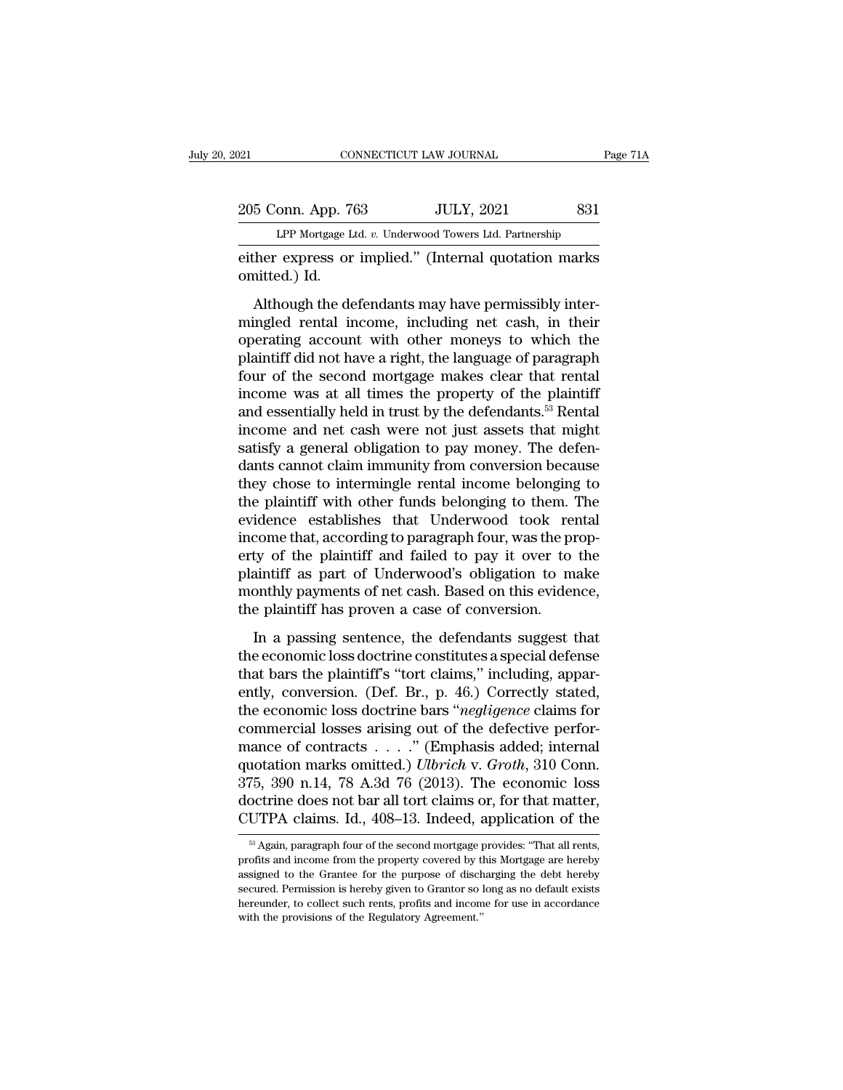205 Conn. App. 763 JULY, 2021 831<br>PP Mortgage Ltd. v. Underwood Towers Ltd. Partnership CONNECTICUT LAW JOURNAL Page 71A<br>
205 Conn. App. 763 JULY, 2021 831<br>
LPP Mortgage Ltd. *v.* Underwood Towers Ltd. Partnership<br>
either express or implied." (Internal quotation marks

either express or implied.'' (Internal quotation marks)<br>
either express or implied.'' (Internal quotation marks)<br>
either express or implied.'' (Internal quotation marks)<br>
either express or implied.'' (Internal quotation ma 205 Conn. App. 70<br>
LPP Mortgage L<br>
either express or<br>
omitted.) Id.<br>
Although the de

<sup>5</sup> Conn. App. 763 JULY, 2021 831<br>
LPP Mortgage Ltd. v. Underwood Towers Ltd. Partnership<br>
her express or implied." (Internal quotation marks<br>
inter-<br>
Although the defendants may have permissibly inter-<br>
ingled rental inco 205 Conn. App. 763 JULY, 2021 831<br>
LPP Mortgage Ltd. v. Underwood Towers Ltd. Partnership<br>
either express or implied." (Internal quotation marks<br>
omitted.) Id.<br>
Although the defendants may have permissibly inter-<br>
mingled LPP Mortgage Ltd.  $v$ . Underwood Towers Ltd. Partnership<br>
either express or implied." (Internal quotation marks<br>
omitted.) Id.<br>
Although the defendants may have permissibly inter-<br>
mingled rental income, including net cas either express or implied." (Internal quotation marks<br>omitted.) Id.<br>Although the defendants may have permissibly inter-<br>mingled rental income, including net cash, in their<br>operating account with other moneys to which the<br>p omitted.) Id.<br>
Although the defendants may have permissibly inter-<br>
mingled rental income, including net cash, in their<br>
operating account with other moneys to which the<br>
plaintiff did not have a right, the language of pa Although the defendants may have permissibly inter-<br>mingled rental income, including net cash, in their<br>operating account with other moneys to which the<br>plaintiff did not have a right, the language of paragraph<br>four of th Although the defendants may have permissibly inter-<br>mingled rental income, including net cash, in their<br>operating account with other moneys to which the<br>plaintiff did not have a right, the language of paragraph<br>four of th mingled rental income, including net cash, in their<br>operating account with other moneys to which the<br>plaintiff did not have a right, the language of paragraph<br>four of the second mortgage makes clear that rental<br>income was operating account with other moneys to which the plaintiff did not have a right, the language of paragraph four of the second mortgage makes clear that rental income was at all times the property of the plaintiff and essen plaintiff did not have a right, the language of paragraph<br>four of the second mortgage makes clear that rental<br>income was at all times the property of the plaintiff<br>and essentially held in trust by the defendants.<sup>53</sup> Renta four of the second mortgage makes clear that rental<br>income was at all times the property of the plaintiff<br>and essentially held in trust by the defendants.<sup>53</sup> Rental<br>income and net cash were not just assets that might<br>sati income was at all times the property of the plaintiff<br>and essentially held in trust by the defendants.<sup>53</sup> Rental<br>income and net cash were not just assets that might<br>satisfy a general obligation to pay money. The defen-<br>da and essentially held in trust by the defendants.<sup>53</sup> Rental<br>income and net cash were not just assets that might<br>satisfy a general obligation to pay money. The defen-<br>dants cannot claim immunity from conversion because<br>they income and net cash were not just assets that might<br>satisfy a general obligation to pay money. The defen-<br>dants cannot claim immunity from conversion because<br>they chose to intermingle rental income belonging to<br>the plainti satisfy a general obligation to pay money. The defendants cannot claim immunity from conversion because<br>they chose to intermingle rental income belonging to<br>the plaintiff with other funds belonging to them. The<br>evidence es dants cannot claim immunity from conversion because<br>they chose to intermingle rental income belonging to<br>the plaintiff with other funds belonging to them. The<br>evidence establishes that Underwood took rental<br>income that, ac they chose to intermingle rental income belonging to<br>the plaintiff with other funds belonging to them. The<br>evidence establishes that Underwood took rental<br>income that, according to paragraph four, was the prop-<br>erty of the the plaintiff with other funds belonging to them.<br>
evidence establishes that Underwood took relation<br>
income that, according to paragraph four, was the prover<br>
erty of the plaintiff and failed to pay it over to<br>
plaintiff Examples and charmood took remain<br>come that, according to paragraph four, was the prop-<br>ty of the plaintiff and failed to pay it over to the<br>aintiff as part of Underwood's obligation to make<br>onthly payments of net cash. Ba the economic loss doctrine constitutes a special defense that bars the plaintiff as part of Underwood's obligation to make<br>monthly payments of net cash. Based on this evidence,<br>the plaintiff has proven a case of conversio

erty of the plaintiff and failed to pay it over to the plaintiff as part of Underwood's obligation to make monthly payments of net cash. Based on this evidence, the plaintiff has proven a case of conversion.<br>In a passing s monthly payments of net cash. Based on this evidence,<br>the plaintiff has proven a case of conversion.<br>In a passing sentence, the defendants suggest that<br>the economic loss doctrine constitutes a special defense<br>that bars the the plaintiff has proven a case of conversion.<br>
In a passing sentence, the defendants suggest that<br>
the economic loss doctrine constitutes a special defense<br>
that bars the plaintiff's "tort claims," including, appar-<br>
entl commercial losses arising out of the defective performance of contracts  $\dots$ ." (Emphasis added; internal quotation marks omitted.) *Ulbrich* v. *Groth*, 310 Conn. In a passing sentence, the defendants suggest that<br>the economic loss doctrine constitutes a special defense<br>that bars the plaintiff's "tort claims," including, appar-<br>ently, conversion. (Def. Br., p. 46.) Correctly stated the economic loss doctrine constitutes a special defense<br>that bars the plaintiff's "tort claims," including, appar-<br>ently, conversion. (Def. Br., p. 46.) Correctly stated,<br>the economic loss doctrine bars "*negligence* clai that bars the plaintiff's "tort claims," including, apparently, conversion. (Def. Br., p. 46.) Correctly stated, the economic loss doctrine bars "*negligence* claims for commercial losses arising out of the defective perf ently, conversion. (Def. Br., p. 46.) Correctly stated,<br>the economic loss doctrine bars "*negligence* claims for<br>commercial losses arising out of the defective perfor-<br>mance of contracts . . . . . " (Emphasis added; inter the economic loss doctrine bars "*negligence* claims for<br>commercial losses arising out of the defective perfor-<br>mance of contracts . . . . . " (Emphasis added; internal<br>quotation marks omitted.) *Ulbrich* v. *Groth*, 310 375, 390 n.14, 78 A.3d 76 (2013). The economic loss<br>doctrine does not bar all tort claims or, for that matter,<br>CUTPA claims. Id., 408–13. Indeed, application of the<br> $\frac{1}{100}$  Again, paragraph four of the second mortgage 375, 390 n.14, 78 A.3d 76 (2013). The economic loss<br>doctrine does not bar all tort claims or, for that matter,<br>CUTPA claims. Id., 408–13. Indeed, application of the<br> $\frac{1}{100}$  Again, paragraph four of the second mortgage

doctrine does not bar all tort claims or, for that matter,<br>CUTPA claims. Id., 408–13. Indeed, application of the<br><sup>83</sup> Again, paragraph four of the second mortgage provides: "That all rents,<br>profits and income from the prop CUTPA claims. Id., 408–13. Indeed, application of the  $\frac{1}{100}$  Again, paragraph four of the second mortgage provides: "That all rents, profits and income from the property covered by this Mortgage are hereby assigned t  $\frac{1}{100}$  and  $\frac{1}{100}$  and  $\frac{1}{100}$  and  $\frac{1}{100}$  and  $\frac{1}{100}$  and income from the property covered by this Mortgage are hereby assigned to the Grantee for the purpose of discharging the debt hereby secured.  $\approx$  Again, paragraph four of the second mortgage profits and income from the property covered by the assigned to the Grantee for the purpose of discreented. Permission is hereby given to Grantor so hereunder, to collect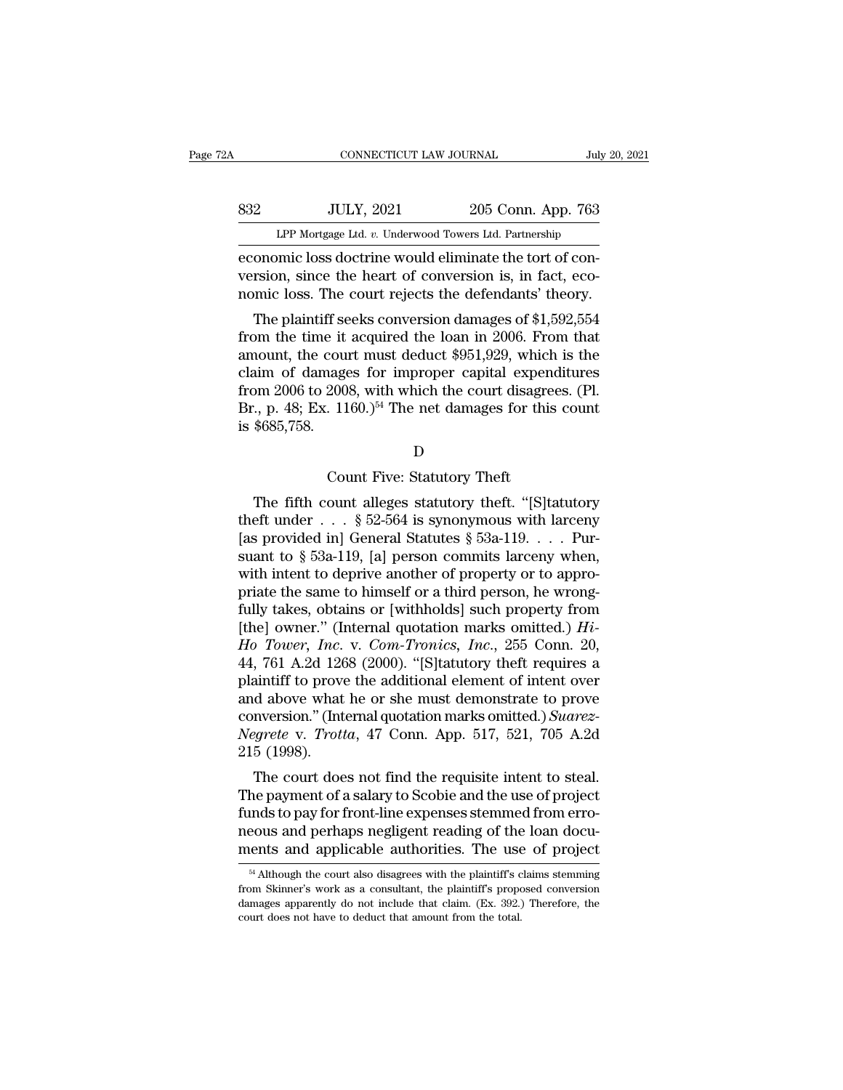| Ά   | CONNECTICUT LAW JOURNAL                                                     |                    | July 20, 2021 |
|-----|-----------------------------------------------------------------------------|--------------------|---------------|
|     |                                                                             |                    |               |
| 832 | <b>JULY, 2021</b><br>LPP Mortgage Ltd. v. Underwood Towers Ltd. Partnership | 205 Conn. App. 763 |               |
|     | economic loss doctrine would eliminate the tort of con-                     |                    |               |

EXECUTE CONNECTICUT LAW JOURNAL<br>
EXECUTE LOSS CONN. App. 763<br>
LPP Mortgage Ltd. v. Underwood Towers Ltd. Partnership<br>
economic loss doctrine would eliminate the tort of con-<br>
version, since the heart of conversion is, in f version, since the heart of conversion, since the heart of conversion, since the heart of conversion is, in fact, eco-<br>nomic loss doctrine would eliminate the tort of conversion, since the heart of conversion is, in fact, S32 JULY, 2021 205 Conn. App. 763<br>LPP Mortgage Ltd. v. Underwood Towers Ltd. Partnership<br>economic loss doctrine would eliminate the tort of con-<br>version, since the heart of conversion is, in fact, eco-<br>nomic loss. The cour  $\frac{10 \text{ U L}}{2021}$   $\frac{205 \text{ Conn. App. 763}}{205 \text{ Conn. App. 763}}$ <br>
LPP Mortgage Ltd. *v.* Underwood Towers Ltd. Partnership<br>
conomic loss doctrine would eliminate the tort of con-<br>
rsion, since the heart of conversion is, in fact,

LPP Mortgage Ltd. v. Underwood Towers Ltd. Partnership<br>economic loss doctrine would eliminate the tort of con-<br>version, since the heart of conversion is, in fact, eco-<br>nomic loss. The court rejects the defendants' theory.<br> economic loss doctrine would eliminate the tort of conversion, since the heart of conversion is, in fact, eco-<br>nomic loss. The court rejects the defendants' theory.<br>The plaintiff seeks conversion damages of \$1,592,554<br>from economic loss doctrine would emitinate the tort of conversion, since the heart of conversion is, in fact, eco-<br>nomic loss. The court rejects the defendants' theory.<br>The plaintiff seeks conversion damages of \$1,592,554<br>fro version, since the heart of conversion is, in fact, eco-<br>nomic loss. The court rejects the defendants' theory.<br>The plaintiff seeks conversion damages of \$1,592,554<br>from the time it acquired the loan in 2006. From that<br>amo The plaintiff seeks conversion damages of \$1,592,554 from the time it acquired the loan in 2006. From that amount, the court must deduct \$951,929, which is the claim of damages for improper capital expenditures from 2006 The plaintiff se<br>from the time it<br>amount, the cou<br>claim of damage<br>from 2006 to 200<br>Br., p. 48; Ex. 11<br>is \$685,758. reages for improper capital expensions, with which the court disagree is also in this metal damages for this count Five: Statutory Theft count alleges statutory theft. "[S] take om 2006 to 2008, with which the court disagrees. (PI.<br>
., p. 48; Ex. 1160.)<sup>54</sup> The net damages for this count:<br>
\$685,758.<br>
D<br>
Count Five: Statutory Theft<br>
The fifth count alleges statutory theft. "[S]tatutory<br>
eft under

D<sub>D</sub>

Br., p. 48; Ex. 1160.)<sup>34</sup> The net damages for this count<br>is \$685,758.<br>D<br>Count Five: Statutory Theft<br>The fifth count alleges statutory theft. "[S]tatutory<br>theft under . . . § 52-564 is synonymous with larceny<br>[as provided Is \$685,758.<br>
D<br>
Count Five: Statutory Theft<br>
The fifth count alleges statutory theft. "[S]tatutory<br>
theft under . . . § 52-564 is synonymous with larceny<br>
[as provided in] General Statutes § 53a-119. . . . Pur-<br>
suant to D<br>
Count Five: Statutory Theft<br>
The fifth count alleges statutory theft. "[S]<br>
theft under . . . § 52-564 is synonymous with larceny<br>
[as provided in] General Statutes § 53a-119. . . . Pur-<br>
suant to § 53a-119, [a] person Count Five: Statutory Theft<br>The fifth count alleges statutory theft. "[S]tatutory<br>theft under . . . § 52-564 is synonymous with larceny<br>[as provided in] General Statutes § 53a-119. . . . Pur-<br>suant to § 53a-119, [a] perso For the same to himself or a third person in the same to himself or the specifical person commits lareeny (as provided in General Statutes § 53a-119. . . . Pursuant to § 53a-119, [a] person commits lareeny when, with inte The fifth count alleges statutory theft. "[S]tatutory<br>theft under . . . § 52-564 is synonymous with larceny<br>[as provided in] General Statutes § 53a-119. . . . Pur-<br>suant to § 53a-119, [a] person commits larceny when,<br>with theft under . . . § 52-564 is synonymous with larceny<br>[as provided in] General Statutes § 53a-119. . . . Pur-<br>suant to § 53a-119, [a] person commits larceny when,<br>with intent to deprive another of property or to appro-<br>pr [as provided in] General Statutes § 53a-119. . . . Pursuant to § 53a-119, [a] person commits larceny when, with intent to deprive another of property or to appropriate the same to himself or a third person, he wrong-fully suant to § 53a-119, [a] person commits larceny when,<br>with intent to deprive another of property or to appro-<br>priate the same to himself or a third person, he wrong-<br>fully takes, obtains or [withholds] such property from<br>[ with intent to deprive another of property or to appropriate the same to himself or a third person, he wrong-<br>fully takes, obtains or [withholds] such property from<br>[the] owner." (Internal quotation marks omitted.)  $Hi$ -<br>priate the same to himself or a third person, he wrong-<br>fully takes, obtains or [withholds] such property from<br>[the] owner." (Internal quotation marks omitted.)  $Hi$ -<br> $Ho\ Tower$ ,  $Twoer$ ,  $Inc$ ,  $V$ ,  $Com\_Tronics$ ,  $Inc$ ,  $255$  Conn. 20,<br>4 fully takes, obtains or [withholds] such property from [the] owner." (Internal quotation marks omitted.) *Hi-Ho Tower, Inc.* v. *Com-Tronics, Inc.*, 255 Conn. 20, 44, 761 A.2d 1268 (2000). "[S] tatutory the ft requires a p [the] owner." (Internal quotation marks omitted.) *Hi-Ho Tower, Inc.* v. *Com-Tronics, Inc.*, 255 Conn. 20, 44, 761 A.2d 1268 (2000). "[S]tatutory theft requires a plaintiff to prove the additional element of intent over a Ho Tower, Inc.<br>44, 761 A.2d 126<br>plaintiff to prove<br>and above what<br>conversion." (Int<br>Negrete v. Trott<br>215 (1998).<br>The court doe  $\frac{1}{1208}$  (2000). [Splaturely then requires a saintiff to prove the additional element of intent over d above what he or she must demonstrate to prove nversion." (Internal quotation marks omitted.) Suarez-<br>grete v. Tro plantif to prove the additional element of intent over<br>and above what he or she must demonstrate to prove<br>conversion." (Internal quotation marks omitted.) Suarez-<br>Negrete v. Trotta, 47 Conn. App. 517, 521, 705 A.2d<br>215 (19

and above what he of she must demonstrate to prove<br>conversion." (Internal quotation marks omitted.) Suarez-<br>Negrete v. Trotta, 47 Conn. App. 517, 521, 705 A.2d<br>215 (1998).<br>The court does not find the requisite intent to st neonversion. (Internal quotation marks onlited.) *suarez-Negrete* v. *Trotta*, 47 Conn. App. 517, 521, 705 A.2d 215 (1998).<br>The court does not find the requisite intent to steal.<br>The payment of a salary to Scobie and the u megrete v. *Frotta*, 47 Colui. App. 517, 521, 705 A.2d 215 (1998).<br>
The court does not find the requisite intent to steal.<br>
The payment of a salary to Scobie and the use of project<br>
funds to pay for front-line expenses ste the payment of a salary to Scobie and the use of project<br>unds to pay for front-line expenses stemmed from erro-<br>eous and perhaps negligent reading of the loan docu-<br>ents and applicable authorities. The use of project<br><sup>54</sup> funds to pay for front-line expenses stemmed from erro-<br>neous and perhaps negligent reading of the loan docu-<br>ments and applicable authorities. The use of project<br> $\frac{54 \text{ Although the court also disagrees with the plaintiff's claims stemming}$ <br>from Skinner's work as a consultan

neous and perhaps negligent reading of the loan documents and applicable authorities. The use of project  $\frac{1000}{\text{N}}$  Although the court also disagrees with the plaintiff's claims stemming from Skinner's work as a consu ments and applicable authorities. The use<br>
<sup>54</sup> Although the court also disagrees with the plaintiff's c<br>
from Skinner's work as a consultant, the plaintiff's propo<br>
damages apparently do not include that claim. (Ex. 392.)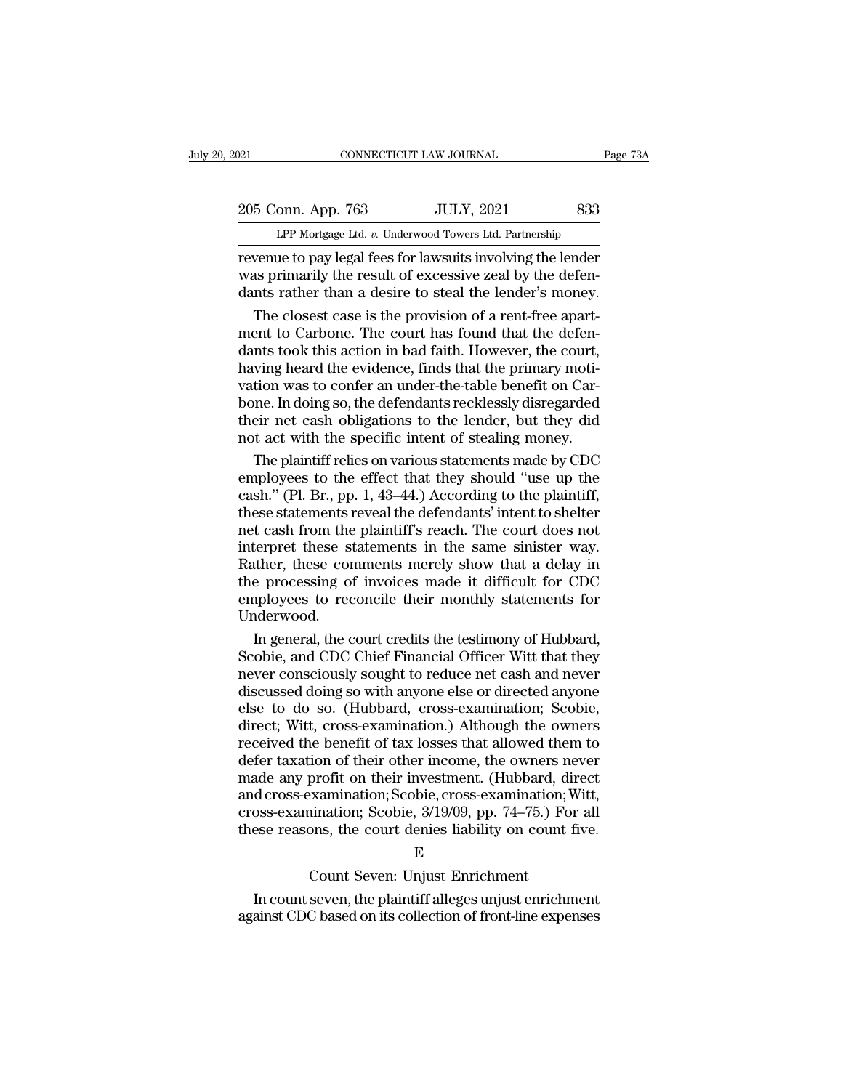205 Conn. App. 763 JULY, 2021 833<br>Per Mortgage Ltd. v. Underwood Towers Ltd. Partnership CONNECTICUT LAW JOURNAL Pa<br>
onn. App. 763 JULY, 2021 833<br>
LPP Mortgage Ltd. *v.* Underwood Towers Ltd. Partnership<br>
ue to nav legal fees for lawsuits involving the lender

revenue to pay legal fees for lawsuits involving the lender<br>was primarily the result of excessive zeal by the defendants rather than a desire to stall the lender's money 205 Conn. App. 763 JULY, 2021 833<br>LPP Mortgage Ltd. v. Underwood Towers Ltd. Partnership<br>revenue to pay legal fees for lawsuits involving the lender<br>was primarily the result of excessive zeal by the defen-<br>dants rather tha 205 Conn. App. 763 JULY, 2021 833<br>
LPP Mortgage Ltd. v. Underwood Towers Ltd. Partnership<br>
revenue to pay legal fees for lawsuits involving the lender<br>was primarily the result of excessive zeal by the defen-<br>
dants rather 5 Conn. App. 763 JULY, 2021 833<br>LPP Mortgage Ltd. v. Underwood Towers Ltd. Partnership<br>venue to pay legal fees for lawsuits involving the lender<br>as primarily the result of excessive zeal by the defen-<br>nts rather than a des

LPP Mortgage Ltd.  $v$ . Underwood Towers Ltd. Partnership<br>revenue to pay legal fees for lawsuits involving the lender<br>was primarily the result of excessive zeal by the defen-<br>dants rather than a desire to steal the lender' Througage Edd: b. Chackwood Towers Edd: Farlinciship<br>revenue to pay legal fees for lawsuits involving the lender<br>was primarily the result of excessive zeal by the defen-<br>dants rather than a desire to steal the lender's mon revenue to pay legal fees for lawsuits involving the lender<br>was primarily the result of excessive zeal by the defen-<br>dants rather than a desire to steal the lender's money.<br>The closest case is the provision of a rent-free was primarily the result of excessive zeal by the defendants rather than a desire to steal the lender's money.<br>The closest case is the provision of a rent-free apartment to Carbone. The court has found that the defendants dants rather than a desire to steal the lender's money.<br>The closest case is the provision of a rent-free apart-<br>ment to Carbone. The court has found that the defen-<br>dants took this action in bad faith. However, the court,<br> The closest case is the provision of a rent-free apart-<br>ment to Carbone. The court has found that the defen-<br>dants took this action in bad faith. However, the court,<br>having heard the evidence, finds that the primary moti-<br> ment to Carbone. The court has found that the defendants took this action in bad faith. However, the court, having heard the evidence, finds that the primary motivation was to confer an under-the-table benefit on Carbone. nts took this action in bad faith. However, the court,<br>ving heard the evidence, finds that the primary moti-<br>tion was to confer an under-the-table benefit on Car-<br>ne. In doing so, the defendants recklessly disregarded<br>eir having heard the evidence, finds that the primary motivation was to confer an under-the-table benefit on Car-<br>bone. In doing so, the defendants recklessly disregarded<br>their net cash obligations to the lender, but they did<br>

vation was to confer an under-the-table benefit on Car-<br>bone. In doing so, the defendants recklessly disregarded<br>their net cash obligations to the lender, but they did<br>not act with the specific intent of stealing money.<br>Th bone. In doing so, the defendants recklessly disregarded<br>their net cash obligations to the lender, but they did<br>not act with the specific intent of stealing money.<br>The plaintiff relies on various statements made by CDC<br>emp their net cash obligations to the lender, but they did<br>not act with the specific intent of stealing money.<br>The plaintiff relies on various statements made by CDC<br>employees to the effect that they should "use up the<br>cash." not act with the specific intent of stealing money.<br>
The plaintiff relies on various statements made by CDC<br>
employees to the effect that they should "use up the<br>
cash." (Pl. Br., pp. 1, 43–44.) According to the plaintiff, The plaintiff relies on various statements made by CDC<br>employees to the effect that they should "use up the<br>cash." (Pl. Br., pp. 1, 43–44.) According to the plaintiff,<br>these statements reveal the defendants' intent to shel employees to the effect that they should "use up the cash." (Pl. Br., pp. 1, 43–44.) According to the plaintiff, these statements reveal the defendants' intent to shelter net cash from the plaintiff's reach. The court does cash." (Pl. Br., pp. 1, 43–44.) According to the plaintiff,<br>these statements reveal the defendants' intent to shelter<br>net cash from the plaintiff's reach. The court does not<br>interpret these statements in the same sinister Underwood. It cash from the plaintiff's reach. The court does not<br>terpret these statements in the same sinister way.<br>ther, these comments merely show that a delay in<br>e processing of invoices made it difficult for CDC<br>ployees to recon interpret these statements in the same sinister way.<br>Rather, these comments merely show that a delay in<br>the processing of invoices made it difficult for CDC<br>employees to reconcile their monthly statements for<br>Underwood.<br>In

Rather, these comments merely show that a delay in<br>the processing of invoices made it difficult for CDC<br>employees to reconcile their monthly statements for<br>Underwood.<br>In general, the court credits the testimony of Hubbard, the processing of invoices made it difficult for CDC<br>employees to reconcile their monthly statements for<br>Underwood.<br>In general, the court credits the testimony of Hubbard,<br>Scobie, and CDC Chief Financial Officer Witt that employees to reconcile their monthly statements for<br>Underwood.<br>In general, the court credits the testimony of Hubbard,<br>Scobie, and CDC Chief Financial Officer Witt that they<br>never consciously sought to reduce net cash and Underwood.<br>
In general, the court credits the testimony of Hubbard,<br>
Scobie, and CDC Chief Financial Officer Witt that they<br>
never consciously sought to reduce net cash and never<br>
discussed doing so with anyone else or dir In general, the court credits the testimony of Hubbard,<br>Scobie, and CDC Chief Financial Officer Witt that they<br>never consciously sought to reduce net cash and never<br>discussed doing so with anyone else or directed anyone<br>el Scobie, and CDC Chief Financial Officer Witt that they<br>never consciously sought to reduce net cash and never<br>discussed doing so with anyone else or directed anyone<br>else to do so. (Hubbard, cross-examination; Scobie,<br>direct never consciously sought to reduce net cash and never<br>discussed doing so with anyone else or directed anyone<br>else to do so. (Hubbard, cross-examination; Scobie,<br>direct; Witt, cross-examination.) Although the owners<br>receive discussed doing so with anyone else or directed anyone<br>else to do so. (Hubbard, cross-examination; Scobie,<br>direct; Witt, cross-examination.) Although the owners<br>received the benefit of tax losses that allowed them to<br>defer else to do so. (Hubbard, cross-examination; Scobie,<br>direct; Witt, cross-examination.) Although the owners<br>received the benefit of tax losses that allowed them to<br>defer taxation of their other income, the owners never<br>made direct; Witt, cross-examination.) Although the owners<br>received the benefit of tax losses that allowed them to<br>defer taxation of their other income, the owners never<br>made any profit on their investment. (Hubbard, direct<br>and From Schotter Higher, the owners in<br>profit on their investment. (Hubbard, di<br>examination; Scobie, 3/19/09, pp. 74–75.) For<br>principles, 3/19/09, pp. 74–75.) For<br>principles in Count 1<br>E<br>Count Seven: Unjust Enrichment<br>seven, In count seven, Scobie, Conserved, Witt,<br>
In countation; Scobie, 3/19/09, pp. 74–75.) For all<br>
In count seven, the plaintiff alleges unjust enrichment<br>
In count seven, the plaintiff alleges unjust enrichment<br>
In count seve cross-examination; Scobie,  $3/19/09$ , pp. 74–75.) For all<br>these reasons, the court denies liability on count five.<br> $E$ <br>Count Seven: Unjust Enrichment<br>In count seven, the plaintiff alleges unjust enrichment<br>against CDC bas

## E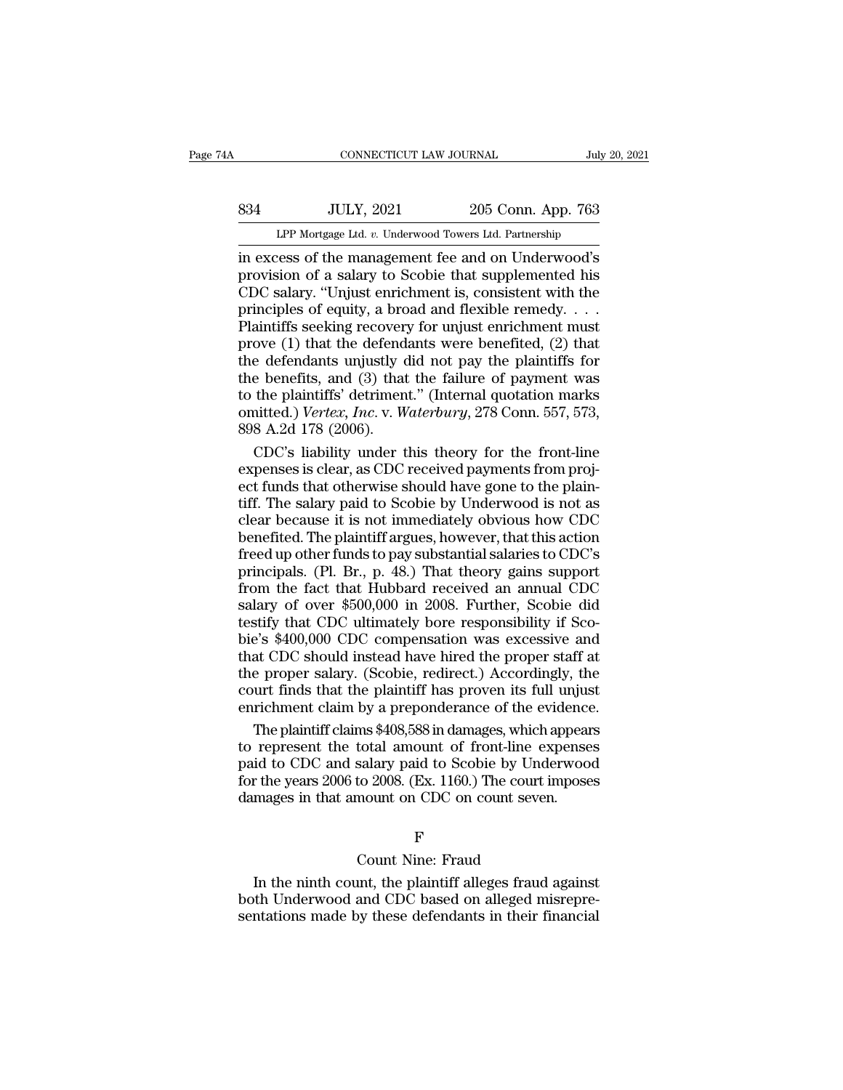# EXECUTE CONNECTICUT LAW JOURNAL July 20, 2021<br>1983 JULY, 2021 205 Conn. App. 763<br>11 LPP Mortgage Ltd. v. Underwood Towers Ltd. Partnership CONNECTICUT LAW JOURNAL July 20, 2021<br>
205 Conn. App. 763<br>
LPP Mortgage Ltd. *v.* Underwood Towers Ltd. Partnership<br>
in excess of the management fee and on Underwood's

CONNECTICUT LAW JOURNAL July 20, 2021<br>
S34 JULY, 2021 205 Conn. App. 763<br>
LPP Mortgage Ltd. v. Underwood Towers Ltd. Partnership<br>
in excess of the management fee and on Underwood's<br>
provision of a salary to Scobie that sup S34 JULY, 2021 205 Conn. App. 763<br>
LPP Mortgage Ltd. v. Underwood Towers Ltd. Partnership<br>
in excess of the management fee and on Underwood's<br>
provision of a salary to Scobie that supplemented his<br>
CDC salary. "Unjust enri CDC salary. ''Unjust enrichment is, consistent with the  $\frac{334}{\text{LPP Mortgage Ltd. } v. \text{ Underwood Tours Ltd. Partership}}$ <br>
in excess of the management fee and on Underwood's<br>
provision of a salary to Scobie that supplemented his<br>
CDC salary. "Unjust enrichment is, consistent with the<br>
principles of equity, LPP Mortgage Ltd. v. Underwood Towers Ltd. Partnership<br>in excess of the management fee and on Underwood's<br>provision of a salary to Scobie that supplemented his<br>CDC salary. "Unjust enrichment is, consistent with the<br>princi LPP Mortgage Ltd.  $v$ . Underwood Towers Ltd. Partnership<br>in excess of the management fee and on Underwood's<br>provision of a salary to Scobie that supplemented his<br>CDC salary. "Unjust enrichment is, consistent with the<br>prin in excess of the management fee and on Underwood's<br>provision of a salary to Scobie that supplemented his<br>CDC salary. "Unjust enrichment is, consistent with the<br>principles of equity, a broad and flexible remedy....<br>Plainti provision of a salary to Scobie that supplemented his<br>CDC salary. "Unjust enrichment is, consistent with the<br>principles of equity, a broad and flexible remedy....<br>Plaintiffs seeking recovery for unjust enrichment must<br>pro CDC salary. "Unjust enrichment is, consistent with the principles of equity, a broad and flexible remedy....<br>Plaintiffs seeking recovery for unjust enrichment must<br>prove (1) that the defendants were benefited, (2) that<br>th principles of equity, a broad and flexible remedy.  $\ldots$  Plaintiffs seeking recovery for unjust enrichment must<br>prove (1) that the defendants were benefited, (2) that<br>the defendants unjustly did not pay the plaintiffs for Plaintiffs seeking recover<br>prove (1) that the defend<br>the defendants unjustly the benefits, and (3) that<br>to the plaintiffs' detrimen<br>omitted.) Vertex, Inc. v. W<br>898 A.2d 178 (2006).<br>CDC's liability under t ove (1) that the defendants were benefited, (2) that<br>e defendants unjustly did not pay the plaintiffs for<br>e benefits, and (3) that the failure of payment was<br>the plaintiffs' detriment." (Internal quotation marks<br>aitted.) the defendants unjustly did not pay the plaintiffs for<br>the benefits, and (3) that the failure of payment was<br>to the plaintiffs' detriment." (Internal quotation marks<br>omitted.) *Vertex, Inc.* v. *Waterbury*, 278 Conn. 557,

the benefits, and (3) that the failure of payment was<br>to the plaintiffs' detriment." (Internal quotation marks<br>omitted.) Vertex, Inc. v. Waterbury, 278 Conn. 557, 573,<br>898 A.2d 178 (2006).<br>CDC's liability under this theor to the plaintiffs' detriment." (Internal quotation marks<br>omitted.) Vertex, Inc. v. Waterbury, 278 Conn. 557, 573,<br>898 A.2d 178 (2006).<br>CDC's liability under this theory for the front-line<br>expenses is clear, as CDC received omitted.) *Vertex, Inc.* v. *Waterbury*, 278 Conn. 557, 573,<br>898 A.2d 178 (2006).<br>CDC's liability under this theory for the front-line<br>expenses is clear, as CDC received payments from proj-<br>ect funds that otherwise should 898 A.2d 178 (2006).<br>
CDC's liability under this theory for the front-line<br>
expenses is clear, as CDC received payments from proj-<br>
ect funds that otherwise should have gone to the plain-<br>
tiff. The salary paid to Scobie CDC's liability under this theory for the front-line<br>expenses is clear, as CDC received payments from proj-<br>ect funds that otherwise should have gone to the plain-<br>tiff. The salary paid to Scobie by Underwood is not as<br>cle expenses is clear, as CDC received payments from project funds that otherwise should have gone to the plain-<br>tiff. The salary paid to Scobie by Underwood is not as<br>clear because it is not immediately obvious how CDC<br>benefi ext funds that otherwise should have gone to the plain-<br>tiff. The salary paid to Scobie by Underwood is not as<br>clear because it is not immediately obvious how CDC<br>benefited. The plaintiff argues, however, that this action<br> First The salary paid to Scobie by Underwood is not as<br>clear because it is not immediately obvious how CDC<br>benefited. The plaintiff argues, however, that this action<br>freed up other funds to pay substantial salaries to CDC' that The sease it is not immediately obvious how CDC<br>clear because it is not immediately obvious how CDC<br>benefited. The plaintiff argues, however, that this action<br>freed up other funds to pay substantial salaries to CDC's<br> benefited. The plaintiff argues, however, that this action<br>freed up other funds to pay substantial salaries to CDC's<br>principals. (Pl. Br., p. 48.) That theory gains support<br>from the fact that Hubbard received an annual CDC Freed up other funds to pay substantial salaries to CDC's<br>principals. (Pl. Br., p. 48.) That theory gains support<br>from the fact that Hubbard received an annual CDC<br>salary of over \$500,000 in 2008. Further, Scobie did<br>testi From the fact that Hubbard received an annual CDC<br>principals. (Pl. Br., p. 48.) That theory gains support<br>from the fact that Hubbard received an annual CDC<br>salary of over \$500,000 in 2008. Further, Scobie did<br>testify that from the fact that Hubbard received an annual CDC<br>salary of over \$500,000 in 2008. Further, Scobie did<br>testify that CDC ultimately bore responsibility if Sco-<br>bie's \$400,000 CDC compensation was excessive and<br>that CDC sho enrichment claim 800,000 in 2008. Further, Scobie did<br>testify that CDC ultimately bore responsibility if Sco-<br>bie's \$400,000 CDC compensation was excessive and<br>that CDC should instead have hired the proper staff at<br>the pro stify that CDC ultimately bore responsibility if Sco-<br>e's \$400,000 CDC compensation was excessive and<br>at CDC should instead have hired the proper staff at<br>e proper salary. (Scobie, redirect.) Accordingly, the<br>urt finds tha bie's \$400,000 CDC compensation was excessive and<br>that CDC should instead have hired the proper staff at<br>the proper salary. (Scobie, redirect.) Accordingly, the<br>court finds that the plaintiff has proven its full unjust<br>enr

that CDC should instead have hired the proper staff at<br>the proper salary. (Scobie, redirect.) Accordingly, the<br>court finds that the plaintiff has proven its full unjust<br>enrichment claim by a preponderance of the evidence.<br> the proper salary. (Scobie, redirect.) Accordingly, the court finds that the plaintiff has proven its full unjust enrichment claim by a preponderance of the evidence.<br>The plaintiff claims \$408,588 in damages, which appears court finds that the plaintiff has proven its full unjus<br>enrichment claim by a preponderance of the evidence<br>The plaintiff claims \$408,588 in damages, which appear<br>to represent the total amount of front-line expense<br>paid t total amount of front-line expanding salary paid to Scobie by Unde<br>to 2008. (Ex. 1160.) The court in<br>mount on CDC on count seven.<br>F<br>Count Nine: Fraud<br>unt, the plaintiff alleges fraud a

## F<sup>1</sup>

In the years 2006 to 2008. (Ex. 1160.) The court imposes<br>
mages in that amount on CDC on count seven.<br>
F<br>
Count Nine: Fraud<br>
In the ninth count, the plaintiff alleges fraud against<br>
th Underwood and CDC based on alleged mi both Underwood and CDC on count seven.<br>
F<br>
Count Nine: Fraud<br>
In the ninth count, the plaintiff alleges fraud against<br>
both Underwood and CDC based on alleged misrepre-<br>
sentations made by these defendants in their financi seems and these defendants of the sensitive of the server.<br>F<br>Count Nine: Fraud<br>In the ninth count, the plaintiff alleges fraud against<br>both Underwood and CDC based on alleged misrepre-<br>sentations made by these defendants i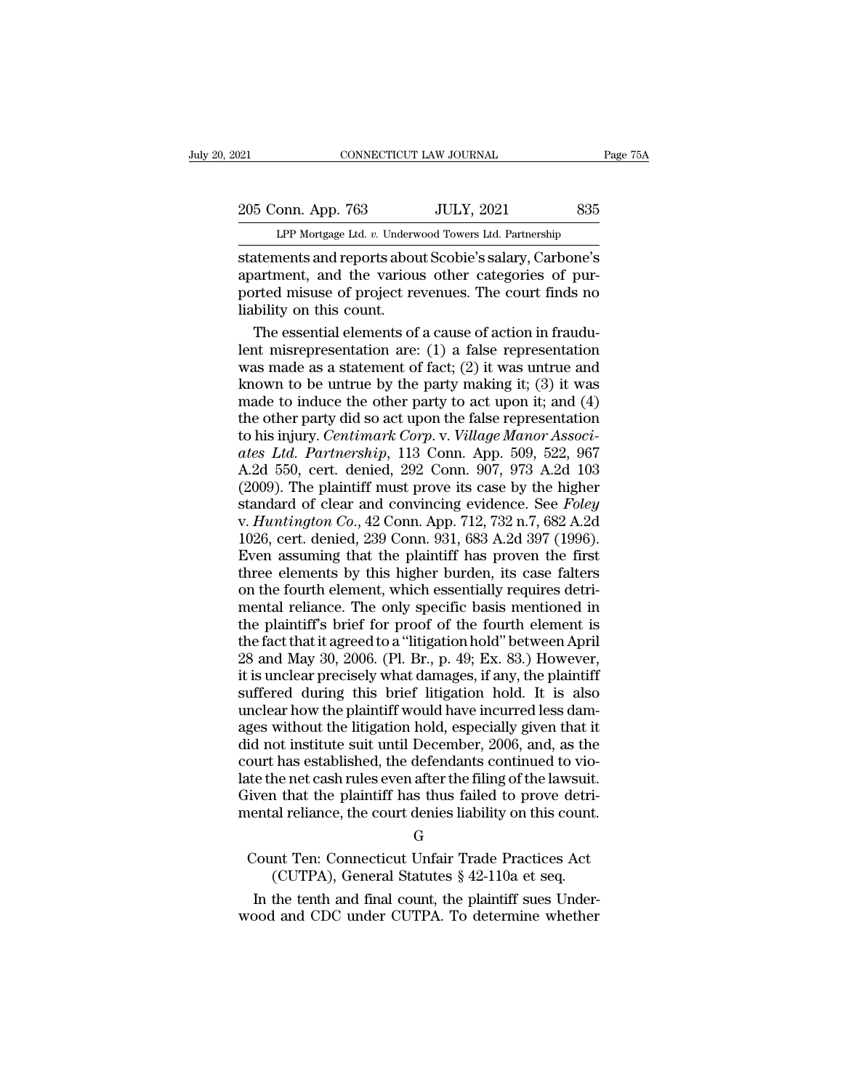# 205 Conn. App. 763 JULY, 2021 835<br>PP Mortgage Ltd. v. Underwood Towers Ltd. Partnership EXECUTE DE TO PARAL PAGE 75A<br>
205 Conn. App. 763 JULY, 2021 835<br>
LPP Mortgage Ltd. *v.* Underwood Towers Ltd. Partnership<br>
statements and reports about Scobie's salary, Carbone's

Statements and reports about Scobie's salary, Carbone's<br>about Scobie's salary, Carbone's<br>apartments and reports about Scobie's salary, Carbone's<br>apartment, and the various other categories of pur-<br>norted misuse of project 205 Conn. App. 763 JULY, 2021 835<br>
LPP Mortgage Ltd. v. Underwood Towers Ltd. Partnership<br>
statements and reports about Scobie's salary, Carbone's<br>
apartment, and the various other categories of pur-<br>
ported misuse of proj 205 Conn. App. 763 JULY, 2021 835<br>
LPP Mortgage Ltd. v. Underwood Towers Ltd. Partnership<br>
statements and reports about Scobie's salary, Carbone's<br>
apartment, and the various other categories of pur-<br>
ported misuse of proj 205 Conn. App. 763<br>
LPP Mortgage Ltd. v. Underw<br>
statements and reports abou<br>
apartment, and the variou<br>
ported misuse of project re<br>
liability on this count.<br>
The essential elements of LPP Mortgage Ltd.  $v$ . Underwood Towers Ltd. Partnership<br>attements and reports about Scobie's salary, Carbone's<br>artment, and the various other categories of pur-<br>priced misuse of project revenues. The court finds no<br>bilit Let mongage and *i*. Charawood Towers Edd. Farmership<br>statements and reports about Scobie's salary, Carbone's<br>apartment, and the various other categories of pur-<br>ported misuse of project revenues. The court finds no<br>liabi

statements and reports about Scobie's salary, Carbone's<br>apartment, and the various other categories of pur-<br>ported misuse of project revenues. The court finds no<br>liability on this count.<br>The essential elements of a cause o apartment, and the various other categories of pur-<br>ported misuse of project revenues. The court finds no<br>liability on this count.<br>The essential elements of a cause of action in fraudu-<br>lent misrepresentation are: (1) a fa ported misuse of project revenues. The court finds no<br>liability on this count.<br>The essential elements of a cause of action in fraudu-<br>lent misrepresentation are: (1) a false representation<br>was made as a statement of fact; liability on this count.<br>
The essential elements of a cause of action in fraudu-<br>
lent misrepresentation are: (1) a false representation<br>
was made as a statement of fact; (2) it was untrue and<br>
known to be untrue by the p The essential elements of a cause of action in fraudu-<br>lent misrepresentation are: (1) a false representation<br>was made as a statement of fact; (2) it was untrue and<br>known to be untrue by the party making it; (3) it was<br>mad lent misrepresentation are: (1) a false representation<br>was made as a statement of fact; (2) it was untrue and<br>known to be untrue by the party making it; (3) it was<br>made to induce the other party to act upon it; and (4)<br>the was made as a statement of fact; (2) it was untrue and<br>known to be untrue by the party making it; (3) it was<br>made to induce the other party to act upon it; and (4)<br>the other party did so act upon the false representation<br> known to be untrue by the party making it; (3) it was<br>made to induce the other party to act upon it; and (4)<br>the other party did so act upon the false representation<br>to his injury. *Centimark Corp.* v. *Village Manor Asso* made to induce the other party to act upon it; and (4)<br>the other party did so act upon the false representation<br>to his injury. *Centimark Corp.* v. *Village Manor Associ-<br>ates Ltd. Partnership*, 113 Conn. App. 509, 522, 96 the other party did so act upon the false representation<br>to his injury. *Centimark Corp.* v. *Village Manor Associates Ltd. Partnership*, 113 Conn. App. 509, 522, 967<br>A.2d 550, cert. denied, 292 Conn. 907, 973 A.2d 103<br>(20 to his injury. *Centimark Corp.* v. *Village Manor Associates Ltd. Partnership*, 113 Conn. App. 509, 522, 967<br>A.2d 550, cert. denied, 292 Conn. 907, 973 A.2d 103<br>(2009). The plaintiff must prove its case by the higher<br>stan ates Ltd. Partnership, 113 Conn. App. 509, 522, 967<br>A.2d 550, cert. denied, 292 Conn. 907, 973 A.2d 103<br>(2009). The plaintiff must prove its case by the higher<br>standard of clear and convincing evidence. See Foley<br>v. Huntin A.2d 550, cert. denied, 292 Conn. 907, 973 A.2d 103 (2009). The plaintiff must prove its case by the higher standard of clear and convincing evidence. See *Foley* v. *Huntington Co.*, 42 Conn. App. 712, 732 n.7, 682 A.2d (2009). The plaintiff must prove its case by the higher standard of clear and convincing evidence. See *Foley* v. *Huntington Co.*, 42 Conn. App. 712, 732 n.7, 682 A.2d 1026, cert. denied, 239 Conn. 931, 683 A.2d 397 (199 standard of clear and convincing evidence. See *Foley*<br>v. *Huntington Co.*, 42 Conn. App. 712, 732 n.7, 682 A.2d<br>1026, cert. denied, 239 Conn. 931, 683 A.2d 397 (1996).<br>Even assuming that the plaintiff has proven the first v. *Huntington Co.*, 42 Conn. App. 712, 732 n.7, 682 A.2d 1026, cert. denied, 239 Conn. 931, 683 A.2d 397 (1996).<br>Even assuming that the plaintiff has proven the first three elements by this higher burden, its case falter 1026, cert. denied, 239 Conn. 931, 683 A.2d 397 (1996).<br>Even assuming that the plaintiff has proven the first<br>three elements by this higher burden, its case falters<br>on the fourth element, which essentially requires detri-Even assuming that the plaintiff has proven the first<br>three elements by this higher burden, its case falters<br>on the fourth element, which essentially requires detri-<br>mental reliance. The only specific basis mentioned in<br>th three elements by this higher burden, its case falters<br>on the fourth element, which essentially requires detri-<br>mental reliance. The only specific basis mentioned in<br>the plaintiff's brief for proof of the fourth element is on the fourth element, which essentially requires detri-<br>mental reliance. The only specific basis mentioned in<br>the plaintiff's brief for proof of the fourth element is<br>the fact that it agreed to a "litigation hold" between mental reliance. The only specific basis mentioned in<br>the plaintiff's brief for proof of the fourth element is<br>the fact that it agreed to a "litigation hold" between April<br>28 and May 30, 2006. (Pl. Br., p. 49; Ex. 83.) How the plaintiff's brief for proof of the fourth element is<br>the fact that it agreed to a "litigation hold" between April<br>28 and May 30, 2006. (Pl. Br., p. 49; Ex. 83.) However,<br>it is unclear precisely what damages, if any, th the fact that it agreed to a "litigation hold" between April<br>28 and May 30, 2006. (Pl. Br., p. 49; Ex. 83.) However,<br>it is unclear precisely what damages, if any, the plaintiff<br>suffered during this brief litigation hold. I 28 and May 30, 2006. (Pl. Br., p. 49; Ex. 83.) However,<br>it is unclear precisely what damages, if any, the plaintiff<br>suffered during this brief litigation hold. It is also<br>unclear how the plaintiff would have incurred less it is unclear precisely what damages, if any, the plaintiff<br>suffered during this brief litigation hold. It is also<br>unclear how the plaintiff would have incurred less dam-<br>ages without the litigation hold, especially given suffered during this brief litigation hold. It is also<br>unclear how the plaintiff would have incurred less dam-<br>ages without the litigation hold, especially given that it<br>did not institute suit until December, 2006, and, as unclear how the plaintiff would have incurred less damages without the litigation hold, especially given that it did not institute suit until December, 2006, and, as the court has established, the defendants continued to v In the institute suit until December, 2000, and, as the<br>ourt has established, the defendants continued to vio-<br>the net cash rules even after the filing of the lawsuit.<br>liven that the plaintiff has thus failed to prove detr The example of the defendants continued to vio-<br>the net cash rules even after the filing of the lawsuit.<br>1 that the plaintiff has thus failed to prove detri-<br>al reliance, the court denies liability on this count.<br> $G$ <br>that Final reliance, the court denies liability on this count.<br>  $G$ <br>
Count Ten: Connecticut Unfair Trade Practices Act<br>
(CUTPA), General Statutes  $\S$  42-110a et seq.<br>
In the tenth and final count, the plaintiff sues Under-<br>
Do

G

mental reliance, the court denies liability on this count.<br>
G<br>
Count Ten: Connecticut Unfair Trade Practices Act<br>
(CUTPA), General Statutes § 42-110a et seq.<br>
In the tenth and final count, the plaintiff sues Under-<br>
wood a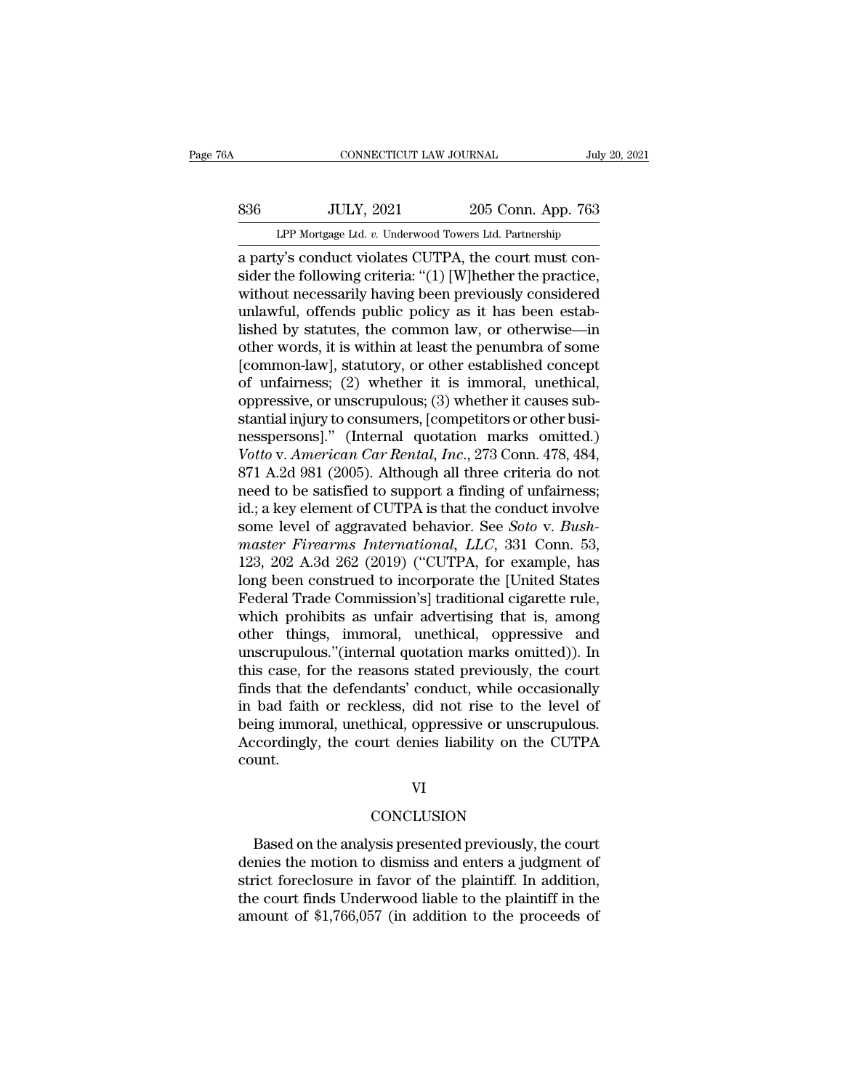# EXECUTE CONNECTICUT LAW JOURNAL July 20, 2021<br>
836 JULY, 2021 205 Conn. App. 763<br>
LPP Mortgage Ltd. v. Underwood Towers Ltd. Partnership CONNECTICUT LAW JOURNAL July 20, 2021<br>
205 Conn. App. 763<br>
LPP Mortgage Ltd. *v.* Underwood Towers Ltd. Partnership<br>
a party's conduct violates CUTPA, the court must con-

CONNECTICUT LAW JOURNAL<br>
S36 JULY, 2021 205 Conn. App. 763<br>
LPP Mortgage Ltd. v. Underwood Towers Ltd. Partnership<br>
a party's conduct violates CUTPA, the court must con-<br>
sider the following criteria: "(1) [W]hether the pr Sider Mulletteria: ''(1) [W]hether the practice,<br>
the following criteria: ''(1) [W]hether the practice,<br>
without necessarily having been previously considered<br>
unlawful, offonds public policy as it has been ostable  $\noindent\hfill\text{S36}\quad\text{JULY, 2021}\quad\text{205 Conn. App. 763}\quad\text{LPP Mortgage Ltd. }v.\text{Underwood Towers Ltd. Partnership}\n\hfill\text{a party's conduct violates CUTPA, the court must consider the following criteria: "(1) [W]hether the practice, without necessarily having been previously considered unlawful, offends public policy as it has been established by statistics, the common law, or otherwise, in\n$  $\frac{1000 \text{ JULY, } 2021}{1000 \text{ LPP Mortgage Ltd. } v. \text{ Underwood Tours Ltd. Partnership}}$ <br>
a party's conduct violates CUTPA, the court must consider the following criteria: "(1) [W]hether the practice, without necessarily having been previously considered un LPP Mortgage Ltd. v. Underwood Towers Ltd. Partnership<br>a party's conduct violates CUTPA, the court must consider the following criteria: "(1) [W]hether the practice,<br>without necessarily having been previously considered<br>u LPP Mortgage Ltd.  $v$ . Underwood Towers Ltd. Partnership<br>
a party's conduct violates CUTPA, the court must con-<br>
sider the following criteria: "(1) [W]hether the practice,<br>
without necessarily having been previously consi a party's conduct violates CUTPA, the court must consider the following criteria: "(1) [W]hether the practice, without necessarily having been previously considered unlawful, offends public policy as it has been establishe sider the following criteria: "(1) [W]hether the practice,<br>without necessarily having been previously considered<br>unlawful, offends public policy as it has been estab-<br>lished by statutes, the common law, or otherwise—in<br>oth without necessarily having been previously considered<br>unlawful, offends public policy as it has been estab-<br>lished by statutes, the common law, or otherwise—in<br>other words, it is within at least the penumbra of some<br>[commo unlawful, offends public policy as it has been established by statutes, the common law, or otherwise—in other words, it is within at least the penumbra of some [common-law], statutory, or other established concept of unfai lished by statutes, the common law, or otherwise—in<br>other words, it is within at least the penumbra of some<br>[common-law], statutory, or other established concept<br>of unfairness; (2) whether it is immoral, unethical,<br>oppress other words, it is within at least the penumbra of some<br>[common-law], statutory, or other established concept<br>of unfairness; (2) whether it is immoral, unethical,<br>oppressive, or unscrupulous; (3) whether it causes sub-<br>sta [common-law], statutory, or other established concept<br>of unfairness; (2) whether it is immoral, unethical,<br>oppressive, or unscrupulous; (3) whether it causes sub-<br>stantial injury to consumers, [competitors or other busi-<br> of unfairness; (2) whether it is immoral, unethical,<br>oppressive, or unscrupulous; (3) whether it causes sub-<br>stantial injury to consumers, [competitors or other busi-<br>nesspersons]." (Internal quotation marks omitted.)<br>Vot % oppressive, or unscrupulous; (3) whether it causes substantial injury to consumers, [competitors or other businesspersons]." (Internal quotation marks omitted.)<br>Votto v. American Car Rental, Inc., 273 Conn. 478, 484, 87 stantial injury to consumers, [competitors or other businesspersons]." (Internal quotation marks omitted.)<br>Votto v. *American Car Rental*, *Inc.*, 273 Conn. 478, 484,<br>871 A.2d 981 (2005). Although all three criteria do not resspersons]." (Internal quotation marks omitted.)<br> *Votto* v. *American Car Rental*, *Inc.*, 273 Conn. 478, 484,<br>
871 A.2d 981 (2005). Although all three criteria do not<br>
need to be satisfied to support a finding of unfai Votto v. American Car Rental, Inc., 273 Conn. 478, 484,<br>871 A.2d 981 (2005). Although all three criteria do not<br>need to be satisfied to support a finding of unfairness;<br>id.; a key element of CUTPA is that the conduct invol 871 A.2d 981 (2005). Although all three criteria do not<br>need to be satisfied to support a finding of unfairness;<br>id.; a key element of CUTPA is that the conduct involve<br>some level of aggravated behavior. See *Soto* v. *Bus* need to be satisfied to support a finding of unfairness;<br>id.; a key element of CUTPA is that the conduct involve<br>some level of aggravated behavior. See *Soto* v. *Bush-<br>master Firearms International*, *LLC*, 331 Conn. 53,<br> id.; a key element of CUTPA is that the conduct involve<br>some level of aggravated behavior. See *Soto* v. *Bush-<br>master Firearms International, LLC*, 331 Conn. 53,<br>123, 202 A.3d 262 (2019) ("CUTPA, for example, has<br>long bee some level of aggravated behavior. See *Soto* v. *Bush-<br>master Firearms International*, *LLC*, 331 Conn. 53,<br>123, 202 A.3d 262 (2019) ("CUTPA, for example, has<br>long been construed to incorporate the [United States<br>Federal master Firearms International, LLC, 331 Conn. 53,<br>123, 202 A.3d 262 (2019) ("CUTPA, for example, has<br>long been construed to incorporate the [United States<br>Federal Trade Commission's] traditional cigarette rule,<br>which prohi 123, 202 A.3d 262 (2019) ("CUTPA, for example, has<br>long been construed to incorporate the [United States<br>Federal Trade Commission's] traditional cigarette rule,<br>which prohibits as unfair advertising that is, among<br>other th long been construed to incorporate the [United States<br>Federal Trade Commission's] traditional cigarette rule,<br>which prohibits as unfair advertising that is, among<br>other things, immoral, unethical, oppressive and<br>unscrupulo Federal Trade Commission's] traditional cigarette rule,<br>which prohibits as unfair advertising that is, among<br>other things, immoral, unethical, oppressive and<br>unscrupulous."(internal quotation marks omitted)). In<br>this case, which prohibits as unfair advertising that is, among<br>other things, immoral, unethical, oppressive and<br>unscrupulous."(internal quotation marks omitted)). In<br>this case, for the reasons stated previously, the court<br>finds that other things, immoral, unethical, oppressive and<br>unscrupulous."(internal quotation marks omitted)). In<br>this case, for the reasons stated previously, the court<br>finds that the defendants' conduct, while occasionally<br>in bad f count.

### VI

### **CONCLUSION**

Exercise of the court denies liability on the CUTPA<br>
unt.<br>
VI<br>
CONCLUSION<br>
Based on the analysis presented previously, the court<br>
nies the motion to dismiss and enters a judgment of<br>
rict forcelesure in favor of the plaint ount.<br>
VI<br>
CONCLUSION<br>
Based on the analysis presented previously, the court<br>
denies the motion to dismiss and enters a judgment of<br>
strict foreclosure in favor of the plaintiff. In addition,<br>
the court finds Underwood lia VI<br>CONCLUSION<br>Based on the analysis presented previously, the court<br>denies the motion to dismiss and enters a judgment of<br>strict foreclosure in favor of the plaintiff. In addition,<br>the court finds Underwood liable to the p VI<br>CONCLUSION<br>Based on the analysis presented previously, the court<br>denies the motion to dismiss and enters a judgment of<br>strict foreclosure in favor of the plaintiff. In addition,<br>the court finds Underwood liable to the p CONCLUSION<br>Based on the analysis presented previously, the court<br>denies the motion to dismiss and enters a judgment of<br>strict foreclosure in favor of the plaintiff. In addition,<br>the court finds Underwood liable to the plai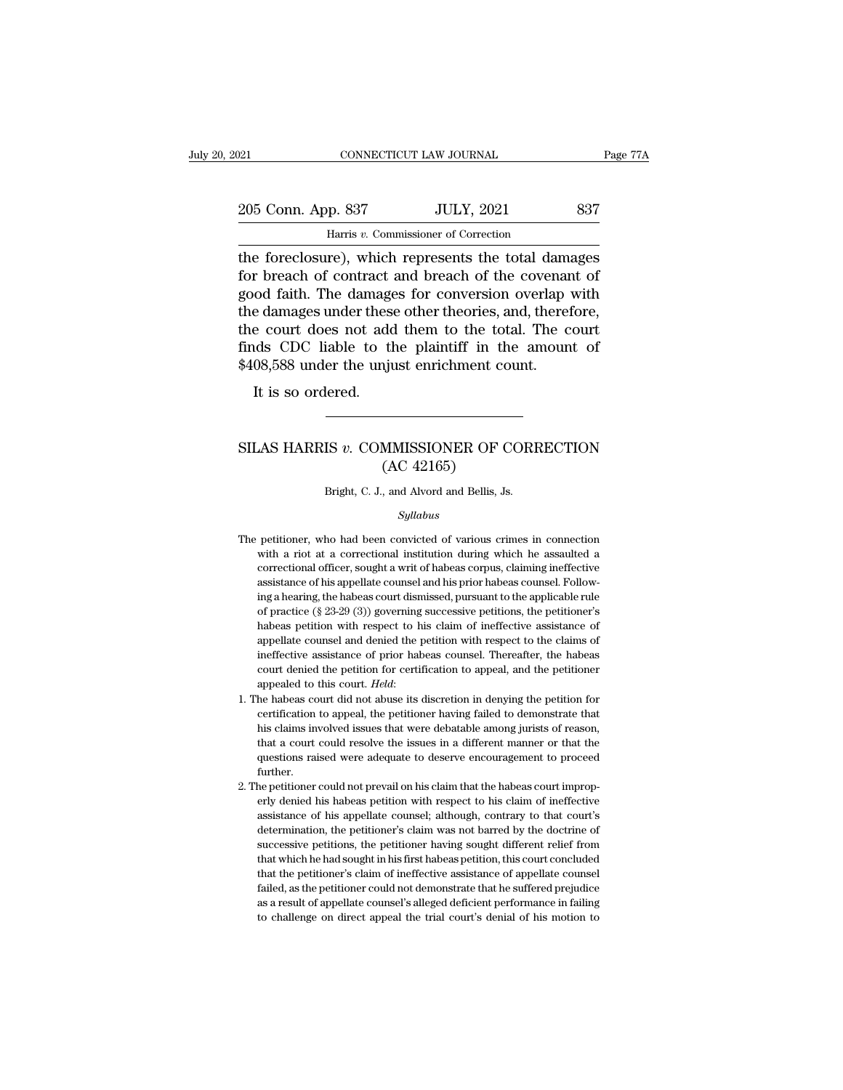| 121 |                    | CONNECTICUT LAW JOURNAL                             | Page 77A |
|-----|--------------------|-----------------------------------------------------|----------|
|     |                    |                                                     |          |
|     | 205 Conn. App. 837 | <b>JULY, 2021</b>                                   | 837      |
|     |                    | Harris v. Commissioner of Correction                |          |
|     |                    | the foreclosure) which represents the total damages |          |

The foreclosure), which represents the total damages<br>
the foreclosure), which represents the total damages<br>
for breach of contract and breach of the covenant of<br>
the foreclosure), which represents the total damages<br>
for br 205 Conn. App. 837 JULY, 2021 837<br>
Harris v. Commissioner of Correction<br>
the foreclosure), which represents the total damages<br>
for breach of contract and breach of the covenant of<br>
good faith. The damages for conversion ov 205 Conn. App. 837 JULY, 2021 837<br>
Harris v. Commissioner of Correction<br>
the foreclosure), which represents the total damages<br>
for breach of contract and breach of the covenant of<br>
good faith. The damages for conversion o 205 Conn. App. 837 JULY, 2021 837<br>
Harris  $v$ . Commissioner of Correction<br>
the foreclosure), which represents the total damages<br>
for breach of contract and breach of the covenant of<br>
good faith. The damages for conversion Harris v. Commissioner of Correction<br>the foreclosure), which represents the total damages<br>for breach of contract and breach of the covenant of<br>good faith. The damages for conversion overlap with<br>the damages under these oth Harris v. Commissioner of Correction<br>the foreclosure), which represents the total damages<br>for breach of contract and breach of the covenant of<br>good faith. The damages for conversion overlap with<br>the damages under these oth the foreclosure), which represents the total dam<br>for breach of contract and breach of the covenar<br>good faith. The damages for conversion overlap<br>the damages under these other theories, and, there<br>the court does not add the It is so ordered.<br>It is so ordered.<br>It is so ordered.<br>It is so ordered. finds CDC liable to the plaintiff in the amount of \$408,588 under the unjust enrichment count.<br>It is so ordered.<br>SILAS HARRIS *v*. COMMISSIONER OF CORRECTION (AC 42165)

### matter in the production of the spin star and spin set of the MMISSIONER OF C<br>(AC 42165)<br>and Alvord and Bellis, Js. SILAS HARRIS  $v$ . COMMISSIONER OF CORRECTION<br>(AC 42165)<br>Bright, C. J., and Alvord and Bellis, Js.

### *Syllabus*

- ( $\text{AC } 42165$ )<br>Bright, C. J., and Alvord and Bellis, Js.<br>Syllabus<br>The petitioner, who had been convicted of various crimes in connection<br>with a riot at a correctional institution during which he assaulted a Bright, C. J., and Alvord and Bellis, Js.<br>Syllabus<br>petitioner, who had been convicted of various crimes in connection<br>with a riot at a correctional institution during which he assaulted a<br>correctional officer, sought a wri Bright, C. J., and Alvord and Bellis, Js.<br>
Syllabus<br>
petitioner, who had been convicted of various crimes in connection<br>
with a riot at a correctional institution during which he assaulted a<br>
correctional officer, sought a Syllabus<br>petitioner, who had been convicted of various crimes in connection<br>with a riot at a correctional institution during which he assaulted a<br>correctional officer, sought a writ of habeas corpus, claiming ineffective<br>a sylabous<br>petitioner, who had been convicted of various crimes in connection<br>with a riot at a correctional institution during which he assaulted a<br>correctional officer, sought a writ of habeas corpus, claiming ineffective<br>a petitioner, who had been convicted of various crimes in connection<br>with a riot at a correctional institution during which he assaulted a<br>correctional officer, sought a writ of habeas corpus, claiming ineffective<br>assistance with a riot at a correctional institution during which he assaulted a correctional officer, sought a writ of habeas corpus, claiming ineffective assistance of his appellate counsel and his prior habeas counsel. Following correctional officer, sought a writ of habeas corpus, claiming ineffective assistance of his appellate counsel and his prior habeas counsel. Following a hearing, the habeas court dismissed, pursuant to the applicable rule assistance of his appellate counsel and his prior habeas counsel. Following a hearing, the habeas court dismissed, pursuant to the applicable rule of practice (§  $23-29$  (3)) governing successive petitions, the petitioner ing a hearing, the habeas court dismissed, pursuant to the applicable rule of practice (§ 23-29 (3)) governing successive petitions, the petitioner's habeas petition with respect to his claim of ineffective assistance of % of practice (§ 23-29 (3)) governing successive petitions, the petitioner's habeas petition with respect to his claim of ineffective assistance of appellate counsel and denied the petition with respect to the claims of i appellate counsel and denied the petition with respect to the claims of ineffective assistance of prior habeas counsel. Thereafter, the habeas court denied the petition for certification to appeal, and the petitioner appea
- ineffective assistance of prior habeas counsel. Thereafter, the habeas court denied the petition for certification to appeal, and the petitioner appealed to this court. *Held*:<br>he habeas court did not abuse its discretion court denied the petition for certification to appeal, and the petitioner appealed to this court. *Held*:<br>he habeas court did not abuse its discretion in denying the petition for certification to appeal, the petitioner hav appealed to this court. *Held:*<br>he habeas court did not abuse its discretion in denying the petition for<br>certification to appeal, the petitioner having failed to demonstrate that<br>his claims involved issues that were debata further. certification to appeal, the petitioner having failed to demonstrate that<br>his claims involved issues that were debatable among jurists of reason,<br>that a court could resolve the issues in a different manner or that the<br>ques his claims involved issues that were debatable among jurists of reason, that a court could resolve the issues in a different manner or that the questions raised were adequate to deserve encouragement to proceed further.<br>He
- that a court could resolve the issues in a different manner or that the questions raised were adequate to deserve encouragement to proceed further.<br>He petitioner could not prevail on his claim that the habeas court imprope questions raised were adequate to deserve encouragement to proceed further.<br>the petitioner could not prevail on his claim that the habeas court improperly denied his habeas petition with respect to his claim of ineffective further.<br>Successive petitioner could not prevail on his claim that the habeas court improp-<br>erly denied his habeas petition with respect to his claim of ineffective<br>assistance of his appellate counsel; although, contrary t the petitioner could not prevail on his claim that the habeas court improperly denied his habeas petition with respect to his claim of ineffective assistance of his appellate counsel; although, contrary to that court's det erly denied his habeas petition with respect to his claim of ineffective assistance of his appellate counsel; although, contrary to that court's determination, the petitioner's claim was not barred by the doctrine of succe assistance of his appellate counsel; although, contrary to that court's determination, the petitioner's claim was not barred by the doctrine of successive petitions, the petitioner having sought different relief from that determination, the petitioner's claim was not barred by the doctrine of successive petitions, the petitioner having sought different relief from that which he had sought in his first habeas petition, this court concluded t determination, the petitioner's claim was not barred by the doctrine of successive petitions, the petitioner having sought different relief from that which he had sought in his first habeas petition, this court concluded t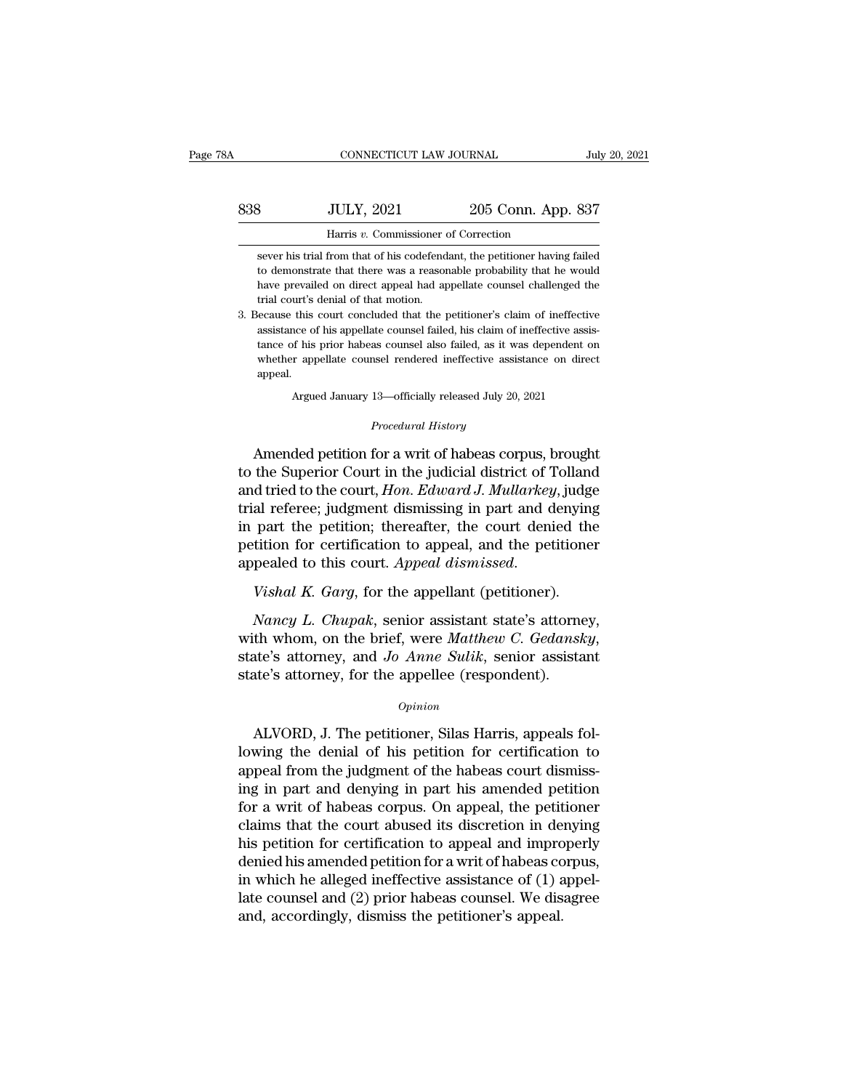| A   | CONNECTICUT LAW JOURNAL                                                                                                                            |                    | July 20, 2021 |
|-----|----------------------------------------------------------------------------------------------------------------------------------------------------|--------------------|---------------|
| 838 | <b>JULY, 2021</b>                                                                                                                                  | 205 Conn. App. 837 |               |
|     | Harris v. Commissioner of Correction                                                                                                               |                    |               |
|     | sever his trial from that of his codefendant, the petitioner having failed<br>to demonstrate that there was a reasonable probability that he would |                    |               |

JULY, 2021 205 Conn. App. 837<br>Harris v. Commissioner of Correction<br>sever his trial from that of his codefendant, the petitioner having failed<br>to demonstrate that there was a reasonable probability that he would<br>have prevai  $\frac{33}{2021}$   $\frac{205}{205}$  Conn. App. 837<br>
Harris v. Commissioner of Correction<br>
sever his trial from that of his codefendant, the petitioner having failed<br>
to demonstrate that there was a reasonable probability that he Harris v. Commissioner<br>sever his trial from that of his codefend<br>to demonstrate that there was a reason<br>have prevailed on direct appeal had ap<br>trial court's denial of that motion.<br>lecause this court concluded that the p Harris v. Commissioner of Correction<br>sever his trial from that of his codefendant, the petitioner having failed<br>to demonstrate that there was a reasonable probability that he would<br>have prevailed on direct appeal had appel sever his trial from that of his codefendant, the petitioner having failed<br>to demonstrate that there was a reasonable probability that he would<br>have prevailed on direct appeal had appellate counsel challenged the<br>trial cou

to demonstrate that there was a reasonable probability that he would<br>have prevailed on direct appeal had appellate counsel challenged the<br>trial court's denial of that motion.<br>lecause this court concluded that the petitione have prevailed on direct appeal had appellate counsel challenged the<br>trial court's denial of that motion.<br>3. Because this court concluded that the petitioner's claim of ineffective<br>assistance of his appellate counsel faile appeal. this court concluded that the petitioner's claim of ineffective<br>ce of his appellate counsel failed, his claim of ineffective assis<br>of his prior habeas counsel also failed, as it was dependent or<br>r appellate counsel rendere as counsel also failed, as it was<br> *Procedural History*<br> *Procedural History*<br> **Procedural History**<br> **Procedural History** 

tance of his prior habeas counsel also failed, as it was dependent on<br>whether appellate counsel rendered ineffective assistance on direct<br>appeal.<br>Argued January 13—officially released July 20, 2021<br>*Procedural History*<br>Ame whether appellate coursel rendered ineffective assistance on direct<br>appeal.<br>Argued January 13—officially released July 20, 2021<br>*Procedural History*<br>Amended petition for a writ of habeas corpus, brought<br>to the Superior Cou Argued January 13—officially released July 20, 2021<br>*Procedural History*<br>Amended petition for a writ of habeas corpus, brought<br>to the Superior Court in the judicial district of Tolland<br>and tried to the court, *Hon. Edward* Argued January 13—officially released July 20, 2021<br>
Procedural History<br>
Amended petition for a writ of habeas corpus, brought<br>
to the Superior Court in the judicial district of Tolland<br>
and tried to the court, *Hon. Edwar Procedural History*<br>
Amended petition for a writ of habeas corpus, brought<br>
to the Superior Court in the judicial district of Tolland<br>
and tried to the court, *Hon. Edward J. Mullarkey*, judge<br>
trial referee; judgment dis Amended petition for a writ of habeas corpus, brought<br>to the Superior Court in the judicial district of Tolland<br>and tried to the court, *Hon. Edward J. Mullarkey*, judge<br>trial referee; judgment dismissing in part and denyi Amended petition for a writ of habeas corpus, brough<br>to the Superior Court in the judicial district of Tolland<br>and tried to the court, *Hon. Edward J. Mullarkey*, judg<br>trial referee; judgment dismissing in part and denyin; al referee; judgment dismissing in part and denying<br>part the petition; thereafter, the court denied the<br>tition for certification to appeal, and the petitioner<br>pealed to this court. Appeal dismissed.<br>Vishal K. Garg, for the

m part the petition; thereafter, the court denied the<br>petition for certification to appeal, and the petitioner<br>appealed to this court. Appeal dismissed.<br>Vishal K. Garg, for the appellant (petitioner).<br>Nancy L. Chupak, seni appealed to this court. Appeal assmissed.<br>
Vishal K. Garg, for the appellant (petitioner).<br>
Nancy L. Chupak, senior assistant state's attorne<br>
with whom, on the brief, were Matthew C. Gedansk<br>
state's attorney, and Jo Anne Nancy L. Chupak, senior assistant state's attorney,<br>th whom, on the brief, were *Matthew C. Gedansky*,<br>ate's attorney, and *Jo Anne Sulik*, senior assistant<br>te's attorney, for the appellee (respondent).<br> $o$ <sub>*opinion*<br>ALVO</sub>

### *Opinion*

with whom, on the brief, were *matthew* C. Geaansky,<br>state's attorney, and *Jo Anne Sulik*, senior assistant<br>state's attorney, for the appellee (respondent).<br>*Opinion*<br>ALVORD, J. The petitioner, Silas Harris, appeals fol-<br> state's attorney, and *Jo Anne Sutuk*, senior assistant state's attorney, for the appellee (respondent).<br>  $\frac{opinion}{\text{Division}}$ <br>
ALVORD, J. The petitioner, Silas Harris, appeals following the denial of his petition for certificat state's attorney, for the appenee (respondent).<br> *Opinion*<br> **ALVORD, J. The petitioner, Silas Harris, appeals fol-<br>
lowing the denial of his petition for certification to<br>
appeal from the judgment of the habeas court dismi** opinion<br>ALVORD, J. The petitioner, Silas Harris, appeals fol-<br>lowing the denial of his petition for certification to<br>appeal from the judgment of the habeas court dismiss-<br>ing in part and denying in part his amended petitio ALVORD, J. The petitioner, Silas Harris, appeals fol-<br>lowing the denial of his petition for certification to<br>appeal from the judgment of the habeas court dismiss-<br>ing in part and denying in part his amended petition<br>for a ALVORD, J. The petitioner, Silas Harris, appeals fol-<br>lowing the denial of his petition for certification to<br>appeal from the judgment of the habeas court dismiss-<br>ing in part and denying in part his amended petition<br>for a lowing the denial of his petition for certification to<br>appeal from the judgment of the habeas court dismiss-<br>ing in part and denying in part his amended petition<br>for a writ of habeas corpus. On appeal, the petitioner<br>clai appeal from the judgment of the habeas court dismissing in part and denying in part his amended petition<br>for a writ of habeas corpus. On appeal, the petitioner<br>claims that the court abused its discretion in denying<br>his pet ing in part and denying in part his amended petition<br>for a writ of habeas corpus. On appeal, the petitioner<br>claims that the court abused its discretion in denying<br>his petition for certification to appeal and improperly<br>den for a writ of habeas corpus. On appeal, the petit<br>claims that the court abused its discretion in de<br>his petition for certification to appeal and impro<br>denied his amended petition for a writ of habeas co<br>in which he allege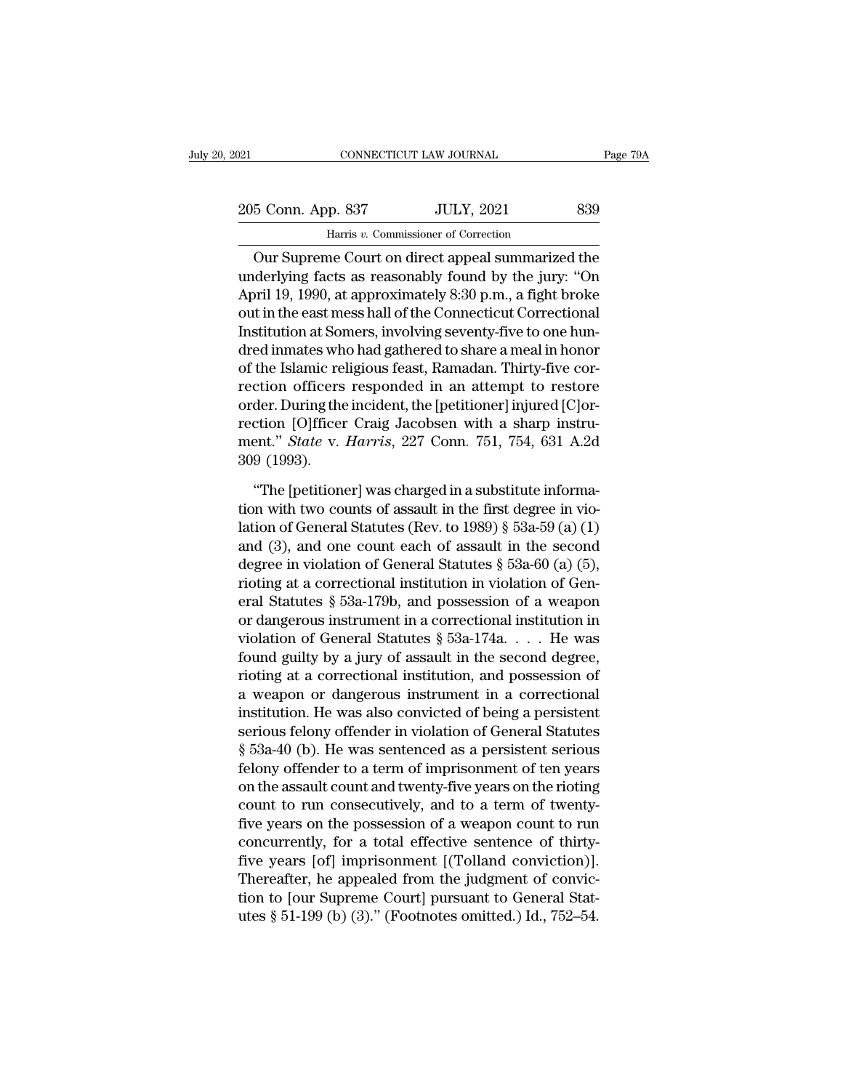205 Conn. App. 837 JULY, 2021 839<br>
205 Conn. App. 837 JULY, 2021 839 Harris *v.* Commissioner of Correction

CONNECTICUT LAW JOURNAL Page 79A<br>
5 Conn. App. 837 JULY, 2021 839<br>
Harris v. Commissioner of Correction<br>
Our Supreme Court on direct appeal summarized the<br>
derlying facts as reasonably found by the jury: "On 205 Conn. App. 837 JULY, 2021 839<br>
Harris v. Commissioner of Correction<br>
Our Supreme Court on direct appeal summarized the<br>
underlying facts as reasonably found by the jury: "On<br>
April 19, 1990, at approximately 8:30 p.m., 205 Conn. App. 837 JULY, 2021 839<br>
Harris v. Commissioner of Correction<br>
Our Supreme Court on direct appeal summarized the<br>
underlying facts as reasonably found by the jury: "On<br>
April 19, 1990, at approximately 8:30 p.m. 205 Conn. App. 837 JULY, 2021 839<br>
Harris v. Commissioner of Correction<br>
Our Supreme Court on direct appeal summarized the<br>
underlying facts as reasonably found by the jury: "On<br>
April 19, 1990, at approximately 8:30 p.m., Harris v. Commissioner of Correction<br>
Our Supreme Court on direct appeal summarized the<br>
underlying facts as reasonably found by the jury: "On<br>
April 19, 1990, at approximately 8:30 p.m., a fight broke<br>
out in the east mes Dur Supreme Court on direct appeal summarized the<br>underlying facts as reasonably found by the jury: "On<br>April 19, 1990, at approximately 8:30 p.m., a fight broke<br>out in the east mess hall of the Connecticut Correctional<br>I Our Supreme Court on direct appeal summarized the<br>underlying facts as reasonably found by the jury: "On<br>April 19, 1990, at approximately 8:30 p.m., a fight broke<br>out in the east mess hall of the Connecticut Correctional<br>In underlying facts as reasonably found by the jury: "On<br>April 19, 1990, at approximately 8:30 p.m., a fight broke<br>out in the east mess hall of the Connecticut Correctional<br>Institution at Somers, involving seventy-five to one April 19, 1990, at approximately 8:30 p.m., a fight broke<br>out in the east mess hall of the Connecticut Correctional<br>Institution at Somers, involving seventy-five to one hun-<br>dred inmates who had gathered to share a meal i out in the east mess hall of the Connecticut Correctional<br>Institution at Somers, involving seventy-five to one hun-<br>dred inmates who had gathered to share a meal in honor<br>of the Islamic religious feast, Ramadan. Thirty-fiv Institution at Somers, involving seventy-five to one hun-<br>dred inmates who had gathered to share a meal in honor<br>of the Islamic religious feast, Ramadan. Thirty-five cor-<br>rection officers responded in an attempt to restore dred inmates wh<br>of the Islamic re<br>rection officers<br>order. During the<br>rection [O]fficer<br>ment." *State* v.<br>309 (1993).<br>"The [petition ction officers responded in an attempt to restore<br>
der. During the incident, the [petitioner] injured [C]or-<br>
ction [O]fficer Craig Jacobsen with a sharp instru-<br>
ent." *State* v. *Harris*, 227 Conn. 751, 754, 631 A.2d<br>
9 order. During the incident, the [petitioner] injured [C]or-<br>rection [O]fficer Craig Jacobsen with a sharp instru-<br>ment." *State* v. *Harris*, 227 Conn. 751, 754, 631 A.2d<br>309 (1993).<br>"The [petitioner] was charged in a sub

rection [O]fficer Craig Jacobsen with a sharp instrument." *State v. Harris*, 227 Conn. 751, 754, 631 A.2d<br>309 (1993).<br>"The [petitioner] was charged in a substitute informa-<br>tion with two counts of assault in the first de ment." *State* v. *Harris*, 227 Conn. 751, 754, 631 A.2d<br>309 (1993).<br>"The [petitioner] was charged in a substitute informa-<br>tion with two counts of assault in the first degree in vio-<br>lation of General Statutes (Rev. to 1 309 (1993).<br>
"The [petitioner] was charged in a substitute informa-<br>
tion with two counts of assault in the first degree in violation of General Statutes (Rev. to 1989) § 53a-59 (a) (1)<br>
and (3), and one count each of ass "The [petitioner] was charged in a substitute informa-<br>tion with two counts of assault in the first degree in vio-<br>lation of General Statutes (Rev. to 1989) § 53a-59 (a) (1)<br>and (3), and one count each of assault in the s "The [petitioner] was charged in a substitute informa-<br>tion with two counts of assault in the first degree in vio-<br>lation of General Statutes (Rev. to 1989) § 53a-59 (a) (1)<br>and (3), and one count each of assault in the s tion with two counts of assault in the first degree in vio-<br>lation of General Statutes (Rev. to 1989) § 53a-59 (a) (1)<br>and (3), and one count each of assault in the second<br>degree in violation of General Statutes § 53a-60 lation of General Statutes (Rev. to 1989) § 53a-59 (a) (1)<br>and (3), and one count each of assault in the second<br>degree in violation of General Statutes § 53a-60 (a) (5),<br>rioting at a correctional institution in violation and (3), and one count each of assault in the second<br>degree in violation of General Statutes § 53a-60 (a) (5),<br>rioting at a correctional institution in violation of Gen-<br>eral Statutes § 53a-179b, and possession of a weapo degree in violation of General Statutes § 53a-60 (a) (5),<br>rioting at a correctional institution in violation of General Statutes § 53a-179b, and possession of a weapon<br>or dangerous instrument in a correctional institution rioting at a correctional institution in violation of General Statutes § 53a-179b, and possession of a weapon<br>or dangerous instrument in a correctional institution in<br>violation of General Statutes § 53a-174a.... He was<br>fo eral Statutes § 53a-179b, and possession of a weapon<br>or dangerous instrument in a correctional institution in<br>violation of General Statutes § 53a-174a.... He was<br>found guilty by a jury of assault in the second degree,<br>rio or dangerous instrument in a correctional institution in<br>violation of General Statutes  $\S$  53a-174a.... He was<br>found guilty by a jury of assault in the second degree,<br>rioting at a correctional institution, and possession violation of General Statutes § 53a-174a.... He was<br>found guilty by a jury of assault in the second degree,<br>rioting at a correctional institution, and possession of<br>a weapon or dangerous instrument in a correctional<br>insti found guilty by a jury of assault in the second degree,<br>rioting at a correctional institution, and possession of<br>a weapon or dangerous instrument in a correctional<br>institution. He was also convicted of being a persistent<br>s rioting at a correctional institution, and possession of<br>a weapon or dangerous instrument in a correctional<br>institution. He was also convicted of being a persistent<br>serious felony offender in violation of General Statutes<br> a weapon or dangerous instrument in a correctional<br>institution. He was also convicted of being a persistent<br>serious felony offender in violation of General Statutes<br>§ 53a-40 (b). He was sentenced as a persistent serious<br>fe institution. He was also convicted of being a persistent<br>serious felony offender in violation of General Statutes<br>§ 53a-40 (b). He was sentenced as a persistent serious<br>felony offender to a term of imprisonment of ten year serious felony offender in violation of General Statutes<br>§ 53a-40 (b). He was sentenced as a persistent serious<br>felony offender to a term of imprisonment of ten years<br>on the assault count and twenty-five years on the rioti § 53a-40 (b). He was sentenced as a persistent serious<br>felony offender to a term of imprisonment of ten years<br>on the assault count and twenty-five years on the rioting<br>count to run consecutively, and to a term of twenty-<br>f felony offender to a term of imprisonment of ten years<br>on the assault count and twenty-five years on the rioting<br>count to run consecutively, and to a term of twenty-<br>five years on the possession of a weapon count to run<br>c on the assault count and twenty-five years on the rioting<br>count to run consecutively, and to a term of twenty-<br>five years on the possession of a weapon count to run<br>concurrently, for a total effective sentence of thirty-<br>f count to run consecutively, and to a term of twenty-<br>five years on the possession of a weapon count to run<br>concurrently, for a total effective sentence of thirty-<br>five years [of] imprisonment [(Tolland conviction)].<br>Therea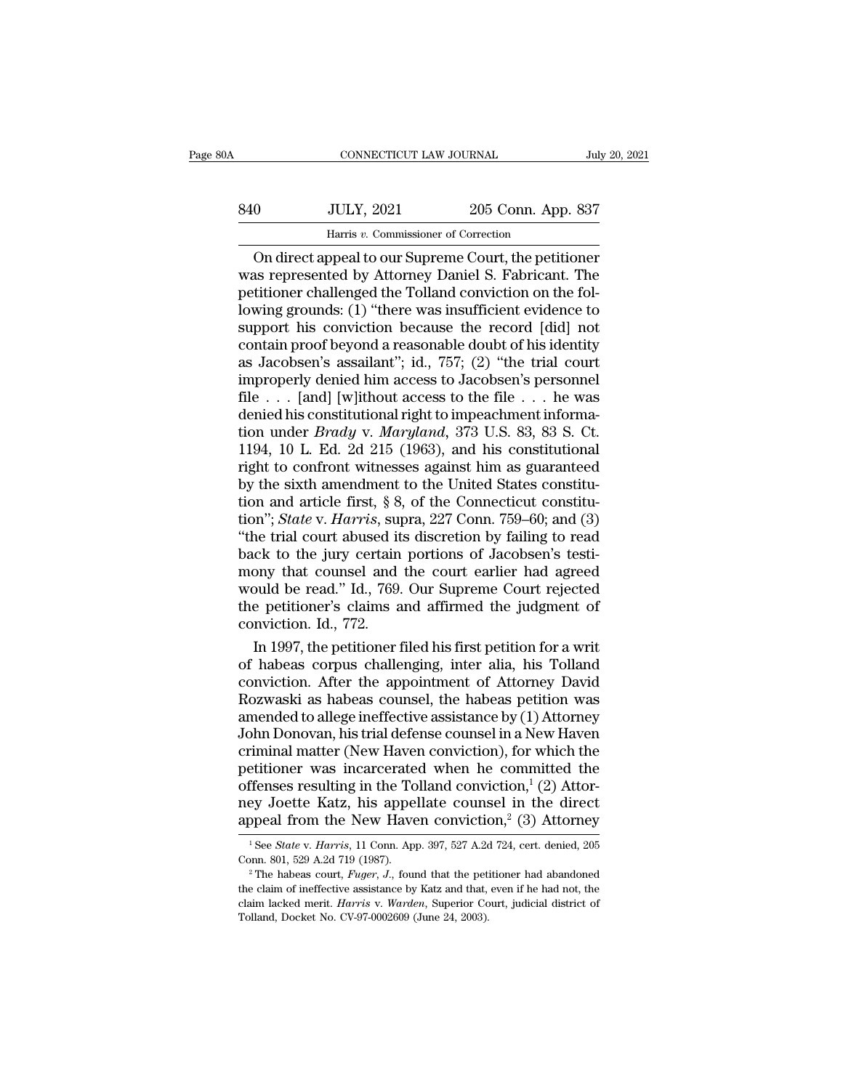# CONNECTICUT LAW JOURNAL July 20, 2021<br>840 JULY, 2021 205 Conn. App. 837<br>Harris v. Commissioner of Correction CONNECTICUT LAW JOURNAL<br>JULY, 2021 205 Conn. App<br>Harris *v.* Commissioner of Correction<br>Speed to our Supreme Court, the petit

CONNECTICUT LAW JOURNAL July 20, 2021<br>
On JULY, 2021 205 Conn. App. 837<br>
Harris v. Commissioner of Correction<br>
On direct appeal to our Supreme Court, the petitioner<br>
as represented by Attorney Daniel S. Fabricant. The<br>
tit was represented by Attorney Daniel S. Fabricant. The Beta Books and Books and Books and Books and Books and Books and Convictioner of Correction on direct appeal to our Supreme Court, the petitioner<br>was represented by Attorney Daniel S. Fabricant. The petitioner challenged t S40 JULY, 2021 205 Conn. App. 837<br>
Harris v. Commissioner of Correction<br>
On direct appeal to our Supreme Court, the petitioner<br>
was represented by Attorney Daniel S. Fabricant. The<br>
petitioner challenged the Tolland convic Suppose the record of Correction<br>
On direct appeal to our Supreme Court, the petitioner<br>
was represented by Attorney Daniel S. Fabricant. The<br>
petitioner challenged the Tolland conviction on the fol-<br>
lowing grounds: (1) Harris v. Commissioner of Correction<br>
On direct appeal to our Supreme Court, the petitioner<br>
was represented by Attorney Daniel S. Fabricant. The<br>
petitioner challenged the Tolland conviction on the fol-<br>
lowing grounds: ( On direct appeal to our Supreme Court, the petitioner<br>was represented by Attorney Daniel S. Fabricant. The<br>petitioner challenged the Tolland conviction on the fol-<br>lowing grounds: (1) "there was insufficient evidence to<br>su was represented by Attorney Daniel S. Fabricant. The<br>petitioner challenged the Tolland conviction on the fol-<br>lowing grounds: (1) "there was insufficient evidence to<br>support his conviction because the record [did] not<br>con petitioner challenged the Tolland conviction on the fol-<br>lowing grounds: (1) "there was insufficient evidence to<br>support his conviction because the record [did] not<br>contain proof beyond a reasonable doubt of his identity<br>a lowing grounds: (1) "there was insufficient evidence to support his conviction because the record [did] not contain proof beyond a reasonable doubt of his identity as Jacobsen's assailant"; id., 757; (2) "the trial court support his conviction because the record [did] not<br>contain proof beyond a reasonable doubt of his identity<br>as Jacobsen's assailant"; id., 757; (2) "the trial court<br>improperly denied him access to Jacobsen's personnel<br>file contain proof beyond a reasonable doubt of his identity<br>as Jacobsen's assailant"; id., 757; (2) "the trial court<br>improperly denied him access to Jacobsen's personnel<br>file . . . [and] [w]ithout access to the file . . . he as Jacobsen's assailant"; id., 757; (2) "the trial court<br>improperly denied him access to Jacobsen's personnel<br>file . . . [and] [w]ithout access to the file . . . he was<br>denied his constitutional right to impeachment infor improperly denied him access to Jacobsen's personnel<br>file . . . [and] [w]ithout access to the file . . . he was<br>denied his constitutional right to impeachment informa-<br>tion under *Brady* v. *Maryland*, 373 U.S. 83, 83 S. file  $\ldots$  [and] [w]ithout access to the file  $\ldots$  he was<br>denied his constitutional right to impeachment informa-<br>tion under *Brady* v. *Maryland*, 373 U.S. 83, 83 S. Ct.<br>1194, 10 L. Ed. 2d 215 (1963), and his constituti denied his constitutional right to impeachment information under *Brady* v. *Maryland*, 373 U.S. 83, 83 S. Ct. 1194, 10 L. Ed. 2d 215 (1963), and his constitutional right to confront witnesses against him as guaranteed by tion under *Brady* v. *Maryland*, 373 U.S. 83, 83 S. Ct.<br>1194, 10 L. Ed. 2d 215 (1963), and his constitutional<br>right to confront witnesses against him as guaranteed<br>by the sixth amendment to the United States constitu-<br>ti 1194, 10 L. Ed. 2d 215 (1963), and his constitutional<br>right to confront witnesses against him as guaranteed<br>by the sixth amendment to the United States constitu-<br>tion and article first, § 8, of the Connecticut constitu-<br>t right to confront witnesses against him as guaranteed<br>by the sixth amendment to the United States constitu-<br>tion and article first, § 8, of the Connecticut constitu-<br>tion"; *State* v. *Harris*, supra, 227 Conn. 759–60; an by the sixth amendment to the United States constitu-<br>tion and article first, § 8, of the Connecticut constitu-<br>tion"; *State* v. *Harris*, supra, 227 Conn. 759–60; and (3)<br>"the trial court abused its discretion by failing tion and article first,  $\S 8$ , of the Connecticut constitution"; *State* v. *Harris*, supra, 227 Conn. 759–60; and (3) "the trial court abused its discretion by failing to read back to the jury certain portions of Jacobse tion"; *State* v. *Harris*, supra, 227 Conn. 759–60; and (3)<br>"the trial court abused its discretion by failing to read<br>back to the jury certain portions of Jacobsen's testi-<br>mony that counsel and the court earlier had agr in 1997, the petitioner filed his first petitioner and the court earlier had agreed bould be read." Id., 769. Our Supreme Court rejected e petitioner's claims and affirmed the judgment of nviction. Id., 772. In 1997, the p back to the jury certain portions of Jacobsen's testi-<br>mony that counsel and the court earlier had agreed<br>would be read." Id., 769. Our Supreme Court rejected<br>the petitioner's claims and affirmed the judgment of<br>conviction

mony that counsel and the court earlier had agreed<br>would be read." Id., 769. Our Supreme Court rejected<br>the petitioner's claims and affirmed the judgment of<br>conviction. Id., 772.<br>In 1997, the petitioner filed his first pet would be read." Id., 769. Our Supreme Court rejected<br>the petitioner's claims and affirmed the judgment of<br>conviction. Id., 772.<br>In 1997, the petitioner filed his first petition for a writ<br>of habeas corpus challenging, inte the petitioner's claims and affirmed the judgment of<br>conviction. Id., 772.<br>In 1997, the petitioner filed his first petition for a writ<br>of habeas corpus challenging, inter alia, his Tolland<br>conviction. After the appointment conviction. Id., 772.<br>In 1997, the petitioner filed his first petition for a writ<br>of habeas corpus challenging, inter alia, his Tolland<br>conviction. After the appointment of Attorney David<br>Rozwaski as habeas counsel, the ha In 1997, the petitioner filed his first petition for a writ<br>of habeas corpus challenging, inter alia, his Tolland<br>conviction. After the appointment of Attorney David<br>Rozwaski as habeas counsel, the habeas petition was<br>ame of habeas corpus challenging, inter alia, his Tolland<br>conviction. After the appointment of Attorney David<br>Rozwaski as habeas counsel, the habeas petition was<br>amended to allege ineffective assistance by (1) Attorney<br>John D conviction. After the appointment of Attorney David<br>Rozwaski as habeas counsel, the habeas petition was<br>amended to allege ineffective assistance by (1) Attorney<br>John Donovan, his trial defense counsel in a New Haven<br>crimi Rozwaski as habeas counsel, the habeas petition was<br>amended to allege ineffective assistance by (1) Attorney<br>John Donovan, his trial defense counsel in a New Haven<br>criminal matter (New Haven conviction), for which the<br>pet amended to allege ineffective assistance by (1) Attorney<br>John Donovan, his trial defense counsel in a New Haven<br>criminal matter (New Haven conviction), for which the<br>petitioner was incarcerated when he committed the<br>offen etitioner was incarcerated when he committed the<br>ffenses resulting in the Tolland conviction,<sup>1</sup> (2) Attor-<br>ey Joette Katz, his appellate counsel in the direct<br>ppeal from the New Haven conviction,<sup>2</sup> (3) Attorney<br><sup>1</sup>See *S* offenses resulting in the Tolland conviction,<sup>1</sup> (2) Attorney Joette Katz, his appellate counsel in the direct appeal from the New Haven conviction,<sup>2</sup> (3) Attorney  $\frac{1}{1}$  See *State* v. *Harris*, 11 Conn. App. 397, 52

the claim of the claim of ineffective assistance by Katz and that, even if he had not, the claim of ineffective assistance by Katz and that, even if he had not, the claim lacked merit. *Harris* v. *Warden*, Superior Court appear front the New Haven Conviction," (3) Attorney<br>
<sup>1</sup> See *State* v. *Harris*, 11 Conn. App. 397, 527 A.2d 724, cert. denied, 205<br>
Conn. 801, 529 A.2d 719 (1987).<br>
<sup>2</sup> The habeas court, *Fuger*, *J.*, found that the pe <sup>1</sup> See *State* v. *Harris*, 11 Conn. App. 397, 527 A.2c Conn. 801, 529 A.2d 719 (1987).<br><sup>2</sup> The habeas court, *Fuger*, *J*., found that the pet the claim of ineffective assistance by Katz and that, claim lacked merit. *H*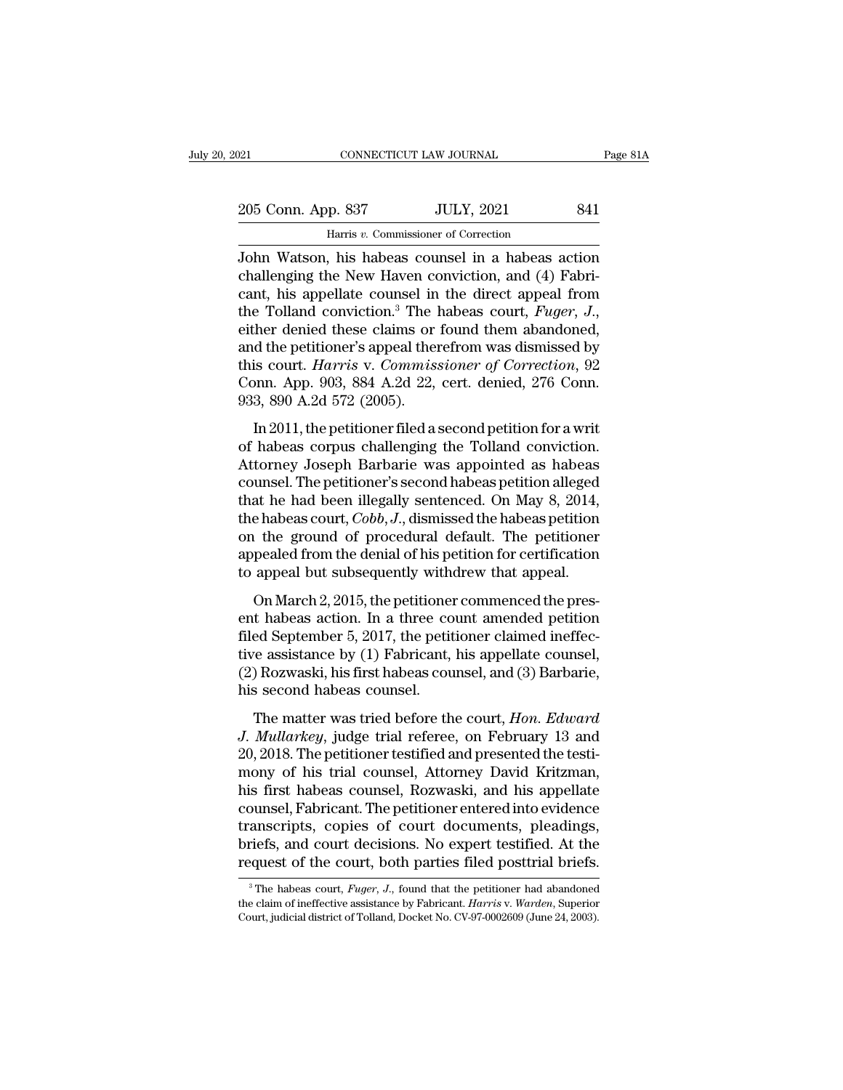| 121 |                    | CONNECTICUT LAW JOURNAL                            | Page 81A |
|-----|--------------------|----------------------------------------------------|----------|
|     |                    |                                                    |          |
|     | 205 Conn. App. 837 | <b>JULY, 2021</b>                                  | 841      |
|     |                    | Harris v. Commissioner of Correction               |          |
|     |                    | John Watson, his habeas counsel in a habeas action |          |

Page 81A<br>
205 Conn. App. 837 JULY, 2021 841<br>
Harris v. Commissioner of Correction<br>
John Watson, his habeas counsel in a habeas action<br>
challenging the New Haven conviction, and (4) Fabri-205 Conn. App. 837 JULY, 2021 841<br>
Harris v. Commissioner of Correction<br>
John Watson, his habeas counsel in a habeas action<br>
challenging the New Haven conviction, and (4) Fabri-<br>
cant, his appellate counsel in the direct a 205 Conn. App. 837 JULY, 2021 841<br>
Harris v. Commissioner of Correction<br>
John Watson, his habeas counsel in a habeas action<br>
challenging the New Haven conviction, and (4) Fabricant, his appellate counsel in the direct app 205 Conn. App. 837 JULY, 2021 841<br>
Harris *v*. Commissioner of Correction<br>
John Watson, his habeas counsel in a habeas action<br>
challenging the New Haven conviction, and (4) Fabri-<br>
cant, his appellate counsel in the direct Harris v. Commissioner of Correction<br>John Watson, his habeas counsel in a habeas action<br>challenging the New Haven conviction, and (4) Fabri-<br>cant, his appellate counsel in the direct appeal from<br>the Tolland conviction.<sup>3</sup> John Watson, his habeas counsel in a habeas action<br>challenging the New Haven conviction, and (4) Fabri-<br>cant, his appellate counsel in the direct appeal from<br>the Tolland conviction.<sup>3</sup> The habeas court, *Fuger*, *J.*,<br>eith challenging the New Haven conviction, and (4) Fabricant, his appellate counsel in the direct appeal from<br>the Tolland conviction.<sup>3</sup> The habeas court, *Fuger*, *J.*,<br>either denied these claims or found them abandoned,<br>and cant, his appellate counsel in the direct appeal from<br>the Tolland conviction.<sup>3</sup> The habeas court, *Fuger*, *J.*,<br>either denied these claims or found them abandoned,<br>and the petitioner's appeal therefrom was dismissed by<br> The referred at the petitioner. The hasces court,  $I$  ager,  $\dot{\theta}$ .,  $\dot{\theta}$ .,  $\dot{\theta}$ .,  $\dot{\theta}$ .,  $\dot{\theta}$ .,  $\dot{\theta}$  are denivered at the petitioner's appeal therefrom was dismissed by is court. *Harris v. Commissioner o* Early deficioner's appeal therefrom was dismissed by<br>this court. *Harris* v. *Commissioner of Correction*, 92<br>Conn. App. 903, 884 A.2d 22, cert. denied, 276 Conn.<br>933, 890 A.2d 572 (2005).<br>In 2011, the petitioner filed a s

this court. *Harris* v. *Commissioner of Correction*, 92<br>Conn. App. 903, 884 A.2d 22, cert. denied, 276 Conn.<br>933, 890 A.2d 572 (2005).<br>In 2011, the petitioner filed a second petition for a writ<br>of habeas corpus challengi counsel. The petitioner's second tensor of the periodic connection,  $\overline{c}$  connection. App. 903, 884 A.2d 22, cert. denied, 276 Conn.<br>933, 890 A.2d 572 (2005).<br>In 2011, the petitioner filed a second petition for a writ<br> 933, 890 A.2d 572 (2005).<br>In 2011, the petitioner filed a second petition for a writ<br>of habeas corpus challenging the Tolland conviction.<br>Attorney Joseph Barbarie was appointed as habeas<br>counsel. The petitioner's second h In 2011, the petitioner filed a second petition for a writ<br>of habeas corpus challenging the Tolland conviction.<br>Attorney Joseph Barbarie was appointed as habeas<br>counsel. The petitioner's second habeas petition alleged<br>that In 2011, the petitioner filed a second petition for a writ<br>of habeas corpus challenging the Tolland conviction.<br>Attorney Joseph Barbarie was appointed as habeas<br>counsel. The petitioner's second habeas petition alleged<br>tha of habeas corpus challenging the Tolland conviction.<br>Attorney Joseph Barbarie was appointed as habeas<br>counsel. The petitioner's second habeas petition alleged<br>that he had been illegally sentenced. On May 8, 2014,<br>the habea Attorney Joseph Barbarie was appointed as habeas<br>counsel. The petitioner's second habeas petition alleged<br>that he had been illegally sentenced. On May 8, 2014,<br>the habeas court, *Cobb*, *J*., dismissed the habeas petition<br> anse. The perfactor 3 second hascele perfactor integed<br>at he had been illegally sentenced. On May 8, 2014,<br>e habeas court, *Cobb*, *J*., dismissed the habeas petition<br>the ground of procedural default. The petitioner<br>peale the habeas court,  $Cobb, J$ , dismissed the habeas petition<br>on the ground of procedural default. The petitioner<br>appealed from the denial of his petition for certification<br>to appeal but subsequently withdrew that appeal.<br>On Ma

on the ground of procedural default. The petitioner<br>appealed from the denial of his petition for certification<br>to appeal but subsequently withdrew that appeal.<br>On March 2, 2015, the petitioner commenced the pres-<br>ent habe on the ground of procedural dentail. The perficultion<br>appealed from the denial of his petition for certification<br>to appeal but subsequently withdrew that appeal.<br>On March 2, 2015, the petitioner commenced the pres-<br>ent hab (2) Rozwaski, his first habeas counsel, and (3) Barbarie, the second habeas action. In a three count amended petition filed September 5, 2017, the petitioner claimed ineffective assistance by (1) Fabricant, his appellate c on March 2, 2015, the petitionent habeas action. In a three cofiled September 5, 2017, the petitive assistance by (1) Fabricant, (2) Rozwaski, his first habeas counsel.<br>The matter was tried before the matter was tried befo ormater 2, 2010, are peralismer commenced are present habeas action. In a three count amended petition ed September 5, 2017, the petitioner claimed ineffective assistance by (1) Fabricant, his appellate counsel,  $Ros$  Rozwa *Hullarkey*, *Mullarkey*, judge trial referee, on February 13 and 20, 2018. The petitioner claimed ineffective assistance by (1) Fabricant, his appellate counsel, (2) Rozwaski, his first habeas counsel, and (3) Barbarie, h

med september 9, 2011, the petitioner elamica memoritive assistance by (1) Fabricant, his appellate counsel, (2) Rozwaski, his first habeas counsel, and (3) Barbarie, his second habeas counsel.<br>The matter was tried before The matter by  $\langle 1 \rangle$  and  $\langle 3 \rangle$  and  $\langle 3 \rangle$  Barbarie,<br>
(2) Rozwaski, his first habeas counsel, and  $\langle 3 \rangle$  Barbarie,<br>
his second habeas counsel.<br>
The matter was tried before the court, *Hon. Edward*<br>
J. *Mullarkey*, The matter was tried before the court, *Hon. Edward*<br>*J. Mullarkey*, judge trial referee, on February 13 and<br>20, 2018. The petitioner testified and presented the testi-<br>mony of his trial counsel, Attorney David Kritzman,<br> The matter was tried before the court, *Hon. Edward*<br>J. *Mullarkey*, judge trial referee, on February 13 and<br>20, 2018. The petitioner testified and presented the testi-<br>mony of his trial counsel, Attorney David Kritzman,<br>h The matter was tried before the court, *Hon. Edward*<br>J. *Mullarkey*, judge trial referee, on February 13 and<br>20, 2018. The petitioner testified and presented the testi-<br>mony of his trial counsel, Attorney David Kritzman,<br>h J. Mullarkey, judge trial referee, on February 13 and 20, 2018. The petitioner testified and presented the testimony of his trial counsel, Attorney David Kritzman, his first habeas counsel, Rozwaski, and his appellate coun 20, 2018. The petitioner testified and presented the testi-<br>mony of his trial counsel, Attorney David Kritzman,<br>his first habeas counsel, Rozwaski, and his appellate<br>counsel, Fabricant. The petitioner entered into evidenc bursel, Fabricant. The petitioner entered into evidence<br>anscripts, copies of court documents, pleadings,<br>riefs, and court decisions. No expert testified. At the<br>quest of the court, both parties filed posttrial briefs.<br><sup>3</sup>T transcripts, copies of court documents, pleadings,<br>briefs, and court decisions. No expert testified. At the<br>request of the court, both parties filed posttrial briefs.<br><sup>3</sup>The habeas court, *Fuger*, *J.*, found that the peti

briefs, and court decisions. No expert testified. At the request of the court, both parties filed posttrial briefs.<br><sup>3</sup> The habeas court, *Fuger*, *J*., found that the petitioner had abandoned the claim of ineffective assi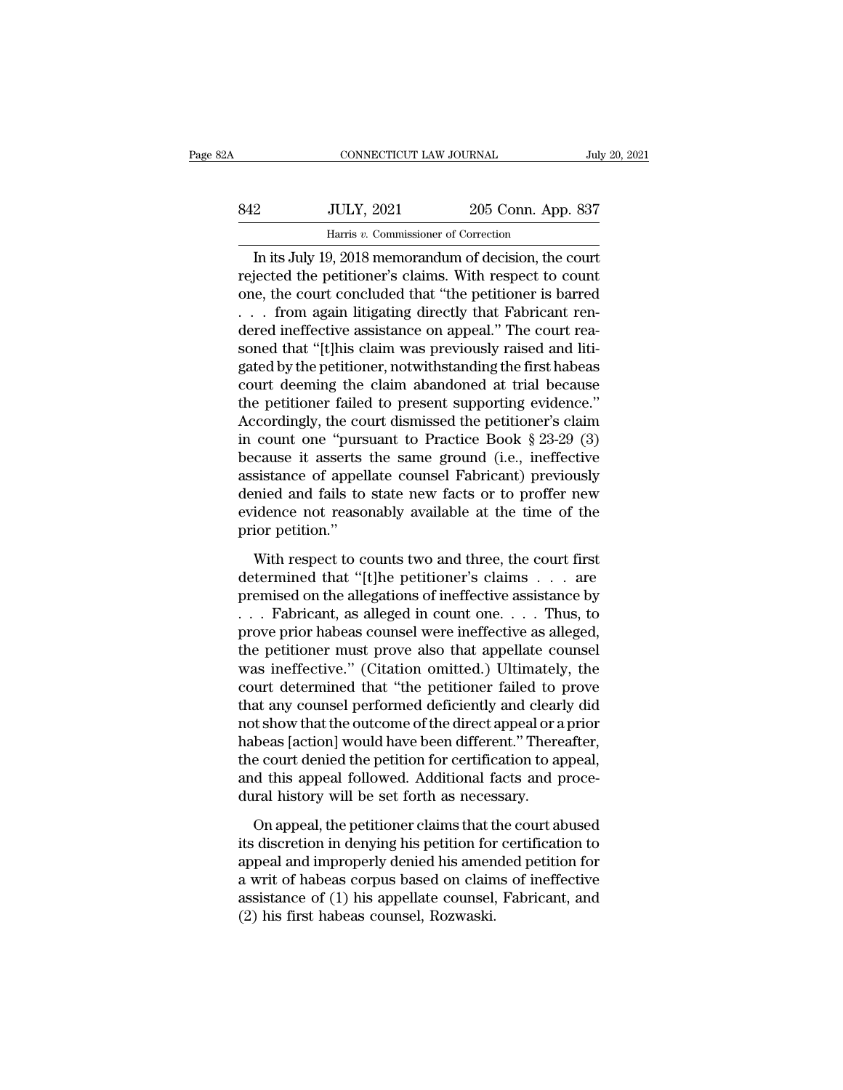| ľΑ  | CONNECTICUT LAW JOURNAL                                |                    | July 20, 2021 |
|-----|--------------------------------------------------------|--------------------|---------------|
| 842 | <b>JULY, 2021</b>                                      | 205 Conn. App. 837 |               |
|     | Harris v. Commissioner of Correction                   |                    |               |
|     | In its July 19, 2018 memorandum of decision, the court |                    |               |

CONNECTICUT LAW JOURNAL July 20, 2021<br>
2015 Conn. App. 837<br>
Harris v. Commissioner of Correction<br>
In its July 19, 2018 memorandum of decision, the court<br>
jected the petitioner's claims. With respect to count<br>
is a sourt co Final State Microsofted the petitioner's claims. With respect to count<br>one, the court concluded that "the petitioner's claims. With respect to count<br>one, the court concluded that "the petitioner is barred<br>from again litiga  $\begin{array}{c|c} \text{342} & \text{JULY, 2021} & \text{205 Conn. App. 837} \\ \hline \text{Harris } v. \text{ Commissioner of Correction} \\ \hline \text{In its July 19, 2018 memorandum of decision, the court} \\ \text{rejected the performance's claims. With respect to count one, the court concluded that "the pertinent is barred . . . from again litigating directly that Fabricant ren-  
deroding effective resistance on among! "The court role.} \end{array}$ 842 JULY, 2021 205 Conn. App. 837<br>
Harris v. Commissioner of Correction<br>
In its July 19, 2018 memorandum of decision, the court<br>
rejected the petitioner's claims. With respect to count<br>
one, the court concluded that "the p Harris v. Commissioner of Correction<br>In its July 19, 2018 memorandum of decision, the court<br>rejected the petitioner's claims. With respect to count<br>one, the court concluded that "the petitioner is barred<br>... from again lit From that is solutionary in the columns of decision, the court<br>rejected the petitioner's claims. With respect to count<br>one, the court concluded that "the petitioner is barred<br> $\ldots$  from again litigating directly that Fabr In its July 19, 2018 memorandum of decision, the court<br>rejected the petitioner's claims. With respect to count<br>one, the court concluded that "the petitioner is barred<br> $\dots$  from again litigating directly that Fabricant ren rejected the petitioner's claims. With respect to count<br>one, the court concluded that "the petitioner is barred<br> $\ldots$  from again litigating directly that Fabricant ren-<br>dered ineffective assistance on appeal." The court r one, the court concluded that "the petitioner is barred<br>  $\ldots$  from again litigating directly that Fabricant ren-<br>
dered ineffective assistance on appeal." The court rea-<br>
soned that "[t]his claim was previously raised an ... from again litigating directly that Fabricant rendered ineffective assistance on appeal." The court reasoned that "[t]his claim was previously raised and litigated by the petitioner, notwithstanding the first habeas c dered ineffective assistance on appeal." The court reasoned that "[t]his claim was previously raised and litigated by the petitioner, notwithstanding the first habeas court deening the claim abandoned at trial because the soned that "[t]his claim was previously raised and litigated by the petitioner, notwithstanding the first habeas<br>court deeming the claim abandoned at trial because<br>the petitioner failed to present supporting evidence."<br>Acc gated by the petitioner, notwithstanding the first habeas<br>court deeming the claim abandoned at trial because<br>the petitioner failed to present supporting evidence."<br>Accordingly, the court dismissed the petitioner's claim<br>in court deeming the claim abandoned at trial because<br>the petitioner failed to present supporting evidence."<br>Accordingly, the court dismissed the petitioner's claim<br>in count one "pursuant to Practice Book § 23-29 (3)<br>because the petitioner failed to present supporting evidence."<br>Accordingly, the court dismissed the petitioner's claim<br>in count one "pursuant to Practice Book § 23-29 (3)<br>because it asserts the same ground (i.e., ineffective<br>assis Accordingly, the co<br>in count one "purs<br>because it asserts<br>assistance of appel<br>denied and fails to<br>evidence not reaso<br>prior petition."<br>With respect to c cause it asserts the same ground (i.e., ineffective<br>sistance of appellate counsel Fabricant) previously<br>mied and fails to state new facts or to proffer new<br>idence not reasonably available at the time of the<br>ior petition." assistance of appellate counsel Fabricant) previously<br>denied and fails to state new facts or to proffer new<br>evidence not reasonably available at the time of the<br>prior petition."<br>With respect to counts two and three, the co

denied and fails to state new facts or to proffer new<br>evidence not reasonably available at the time of the<br>prior petition."<br>With respect to counts two and three, the court first<br>determined that "[t]he petitioner's claims evidence not reasonably available at the time of the<br>prior petition."<br>With respect to counts two and three, the court first<br>determined that "[t]he petitioner's claims . . . are<br>premised on the allegations of ineffective a prior petition."<br>
With respect to counts two and three, the court first<br>
determined that "[t]he petitioner's claims . . . are<br>
premised on the allegations of ineffective assistance by<br>
. . . Fabricant, as alleged in count With respect to counts two and three, the court first<br>determined that "[t]he petitioner's claims . . . are<br>premised on the allegations of ineffective assistance by<br> $\ldots$  . Fabricant, as alleged in count one. . . . Thus, t With respect to counts two and three, the court first<br>determined that "[t]he petitioner's claims . . . are<br>premised on the allegations of ineffective assistance by<br> $\dots$  Fabricant, as alleged in count one.  $\dots$  Thus, to<br>pr determined that "[t]he petitioner's claims . . . are<br>premised on the allegations of ineffective assistance by<br>. . . Fabricant, as alleged in count one. . . . Thus, to<br>prove prior habeas counsel were ineffective as alleged, premised on the allegations of ineffective assistance by<br>
. . . Fabricant, as alleged in count one. . . . Thus, to<br>
prove prior habeas counsel were ineffective as alleged,<br>
the petitioner must prove also that appellate cou . . . . Fabricant, as alleged in count one. . . . Thus, to<br>prove prior habeas counsel were ineffective as alleged,<br>the petitioner must prove also that appellate counsel<br>was ineffective." (Citation omitted.) Ultimately, th prove prior habeas counsel were ineffective as alleged,<br>the petitioner must prove also that appellate counsel<br>was ineffective.'' (Citation omitted.) Ultimately, the<br>court determined that "the petitioner failed to prove<br>tha the petitioner must prove also that appellate counsel<br>was ineffective." (Citation omitted.) Ultimately, the<br>court determined that "the petitioner failed to prove<br>that any counsel performed deficiently and clearly did<br>not s was ineffective." (Citation omitted.) Ultimately, the<br>court determined that "the petitioner failed to prove<br>that any counsel performed deficiently and clearly did<br>not show that the outcome of the direct appeal or a prior<br>h court determined that "the petitioner failed to j<br>that any counsel performed deficiently and clear<br>not show that the outcome of the direct appeal or a<br>habeas [action] would have been different." There<br>the court denied the t show that the outcome of the direct appeal or a prior<br>beas [action] would have been different." Thereafter,<br>e court denied the petition for certification to appeal,<br>d this appeal followed. Additional facts and proce-<br>ral habeas [action] would have been different." Thereafter,<br>the court denied the petition for certification to appeal,<br>and this appeal followed. Additional facts and proce-<br>dural history will be set forth as necessary.<br>On appe

the court denied the petition for certification to appeal,<br>and this appeal followed. Additional facts and proce-<br>dural history will be set forth as necessary.<br>On appeal, the petitioner claims that the court abused<br>its disc and this appeal followed. Additional facts and proce-<br>dural history will be set forth as necessary.<br>On appeal, the petitioner claims that the court abused<br>its discretion in denying his petition for certification to<br>appeal dural history will be set forth as necessary.<br>
On appeal, the petitioner claims that the court abused<br>
its discretion in denying his petition for certification to<br>
appeal and improperly denied his amended petition for<br>
a w On appeal, the petitioner claims that the its discretion in denying his petition for appeal and improperly denied his amen<br>a writ of habeas corpus based on claim<br>assistance of (1) his appellate counsel,<br>(2) his first habea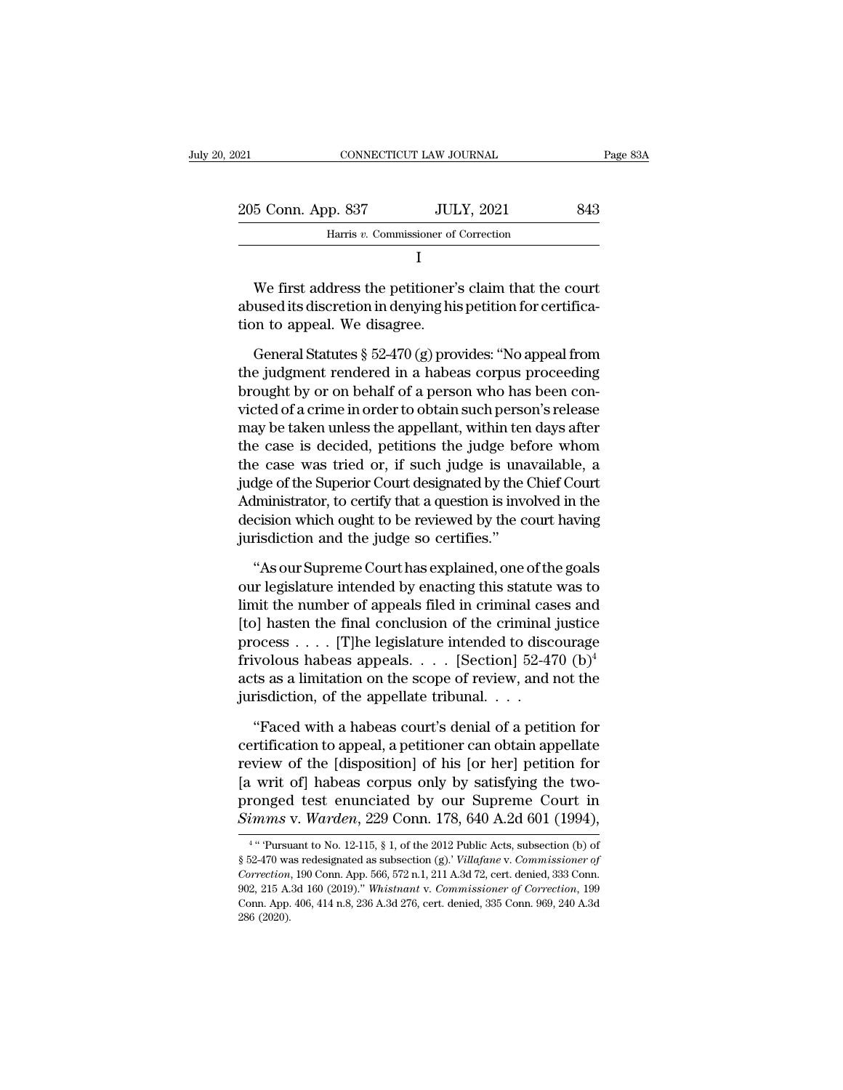| 2021                                                                                                                                                   | CONNECTICUT LAW JOURNAL              | Page 83A |
|--------------------------------------------------------------------------------------------------------------------------------------------------------|--------------------------------------|----------|
| 205 Conn. App. 837                                                                                                                                     | <b>JULY, 2021</b>                    | 843      |
|                                                                                                                                                        | Harris v. Commissioner of Correction |          |
|                                                                                                                                                        |                                      |          |
| We first address the petitioner's claim that the court<br>abused its discretion in denying his petition for certifica-<br>tion to appeal. We disagree. |                                      |          |
| General Statutes $\S 52-470$ (g) provides: "No appeal from                                                                                             |                                      |          |

I<br>We first address the petitioner's claim that the court<br>used its discretion in denying his petition for certifica-<br>on to appeal. We disagree.<br>General Statutes § 52-470 (g) provides: "No appeal from<br>e judgment rendered in

<sup>1</sup><br>We first address the petitioner's claim that the court<br>abused its discretion in denying his petition for certifica-<br>tion to appeal. We disagree.<br>General Statutes § 52-470 (g) provides: "No appeal from<br>the judgment rend We first address the petitioner's claim that the court<br>abused its discretion in denying his petition for certifica-<br>tion to appeal. We disagree.<br>General Statutes  $\S~52-470$  (g) provides: "No appeal from<br>the judgment rende abused its discretion in denying his petition for certifica-<br>tion to appeal. We disagree.<br>General Statutes § 52-470 (g) provides: "No appeal from<br>the judgment rendered in a habeas corpus proceeding<br>brought by or on behalf tion to appeal. We disagree.<br>
General Statutes  $\S$  52-470 (g) provides: "No appeal from<br>
the judgment rendered in a habeas corpus proceeding<br>
brought by or on behalf of a person who has been con-<br>
victed of a crime in ord General Statutes  $\S$  52-470 (g) provides: "No appeal from<br>the judgment rendered in a habeas corpus proceeding<br>brought by or on behalf of a person who has been con-<br>victed of a crime in order to obtain such person's releas General Statutes § 52-470 (g) provides: "No appeal from<br>the judgment rendered in a habeas corpus proceeding<br>brought by or on behalf of a person who has been con-<br>victed of a crime in order to obtain such person's release<br> the judgment rendered in a habeas corpus proceeding<br>brought by or on behalf of a person who has been con-<br>victed of a crime in order to obtain such person's release<br>may be taken unless the appellant, within ten days after<br> brought by or on behalf of a person who has been con-<br>victed of a crime in order to obtain such person's release<br>may be taken unless the appellant, within ten days after<br>the case is decided, petitions the judge before whom victed of a crime in order to obtain such person's release<br>may be taken unless the appellant, within ten days after<br>the case is decided, petitions the judge before whom<br>the case was tried or, if such judge is unavailable, may be taken unless the appellant, within ter<br>the case is decided, petitions the judge bef<br>the case was tried or, if such judge is una<br>judge of the Superior Court designated by the (<br>Administrator, to certify that a questi e case was tried or, if such judge is unavailable, a<br>dge of the Superior Court designated by the Chief Court<br>lministrator, to certify that a question is involved in the<br>cision which ought to be reviewed by the court having judge of the Superior Court designated by the Chief Court<br>Administrator, to certify that a question is involved in the<br>decision which ought to be reviewed by the court having<br>jurisdiction and the judge so certifies."<br>"As o

Administrator, to certify that a question is involved in the<br>decision which ought to be reviewed by the court having<br>jurisdiction and the judge so certifies."<br>"As our Supreme Court has explained, one of the goals<br>our legis decision which ought to be reviewed by the court having<br>jurisdiction and the judge so certifies."<br>"As our Supreme Court has explained, one of the goals<br>our legislature intended by enacting this statute was to<br>limit the nu jurisdiction and the judge so certifies."<br>
"As our Supreme Court has explained, one of the goals<br>
our legislature intended by enacting this statute was to<br>
limit the number of appeals filed in criminal cases and<br>
[to] has "As our Supreme Court has explained, one of the goals<br>our legislature intended by enacting this statute was to<br>limit the number of appeals filed in criminal cases and<br>[to] hasten the final conclusion of the criminal justi "As our Supreme Court has explained, one of the goals<br>our legislature intended by enacting this statute was to<br>limit the number of appeals filed in criminal cases and<br>[to] hasten the final conclusion of the criminal justi our legislature intended by enacting this statute<br>limit the number of appeals filed in criminal cas<br>[to] hasten the final conclusion of the criminal<br>process . . . . [T]he legislature intended to disc<br>frivolous habeas appe b) hasten the final conclusion of the criminal justice<br>
ocess . . . . [T]he legislature intended to discourage<br>
volous habeas appeals. . . . [Section] 52-470 (b)<sup>4</sup><br>
ts as a limitation on the scope of review, and not the<br> process  $\dots$  [T]he legislature intended to discourage<br>frivolous habeas appeals.  $\dots$  [Section] 52-470 (b)<sup>4</sup><br>acts as a limitation on the scope of review, and not the<br>jurisdiction, of the appellate tribunal.  $\dots$ <br>"Faced wi

frivolous habeas appeals. . . . [Section] 52-470 (b)<sup>4</sup><br>acts as a limitation on the scope of review, and not the<br>jurisdiction, of the appellate tribunal. . . .<br>"Faced with a habeas court's denial of a petition for<br>certifi acts as a limitation on the scope of review, and not the<br>jurisdiction, of the appellate tribunal. . . .<br>"Faced with a habeas court's denial of a petition for<br>certification to appeal, a petitioner can obtain appellate<br>revi jurisdiction, of the appellate tribunal. . . .<br>
"Faced with a habeas court's denial of a petition for<br>
certification to appeal, a petitioner can obtain appellate<br>
review of the [disposition] of his [or her] petition for<br>
[ "Faced with a habeas court's denial of a petition for certification to appeal, a petitioner can obtain appellate review of the [disposition] of his [or her] petition for [a writ of] habeas corpus only by satisfying the two The View of the [disposition] of his [or ner] petition for writ of] habeas corpus only by satisfying the two-<br>onged test enunciated by our Supreme Court in mms v. Warden, 229 Conn. 178, 640 A.2d 601 (1994),<br>"Pursuant to N [a writ of] habeas corpus only by satisfying the two-<br>pronged test enunciated by our Supreme Court in<br>Simms v. Warden, 229 Conn. 178, 640 A.2d 601 (1994),<br><sup>4</sup> "Pursuant to No. 12-115, § 1, of the 2012 Public Acts, subsecti

 $4 \cdot \cdot \cdot \mathbf{D}_{\mathbf{u}\mathbf{w}}$ pronged test enunciated by our Supreme Court in<br> *Simms* v. *Warden*, 229 Conn. 178, 640 A.2d 601 (1994),<br>
<sup>4</sup> "Pursuant to No. 12-115, § 1, of the 2012 Public Acts, subsection (b) of<br>
§ 52-470 was redesignated as subsecti Simms v. Warden, 229 Conn. 178, 640 A.2d 601 (1994),<br>
<sup>4</sup> "Pursuant to No. 12-115, § 1, of the 2012 Public Acts, subsection (b) of<br>
§ 52-470 was redesignated as subsection (g).'Villafane v. *Commissioner of*<br> *Correction*, CONTRES V. WEITHER,  $223$  COIII. 110, 040 A.2d 001 (1334),<br>
<sup>4</sup> "Pursuant to No. 12-115, § 1, of the 2012 Public Acts, subsection (b) of<br>
§ 52-470 was redesignated as subsection (g). *Villafane v. Commissioner of*<br>
Correc <sup>4</sup> " Pursu<br>§ 52-470 wa<br>§ 52-470 wa<br>*Correction*<br>902, 215 A.<br>Conn. App.<br>286 (2020).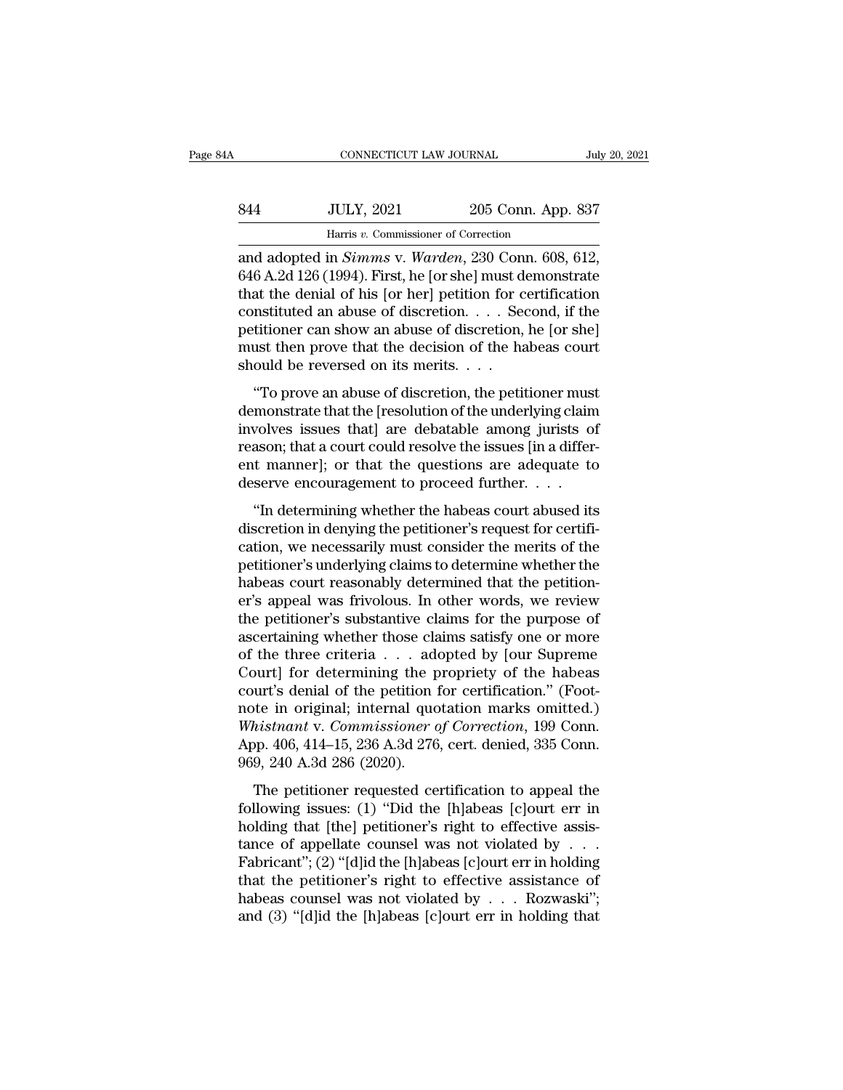| A   | CONNECTICUT LAW JOURNAL                        |                    | July 20, 2021 |
|-----|------------------------------------------------|--------------------|---------------|
| 844 | <b>JULY, 2021</b>                              | 205 Conn. App. 837 |               |
|     | Harris v. Commissioner of Correction           |                    |               |
|     | and adopted in Simms y Warden 230 Conn 608 612 |                    |               |

connectricut LAW JOURNAL July 20, 2<br> **and adopted in** *Simms* v. *Warden*, 230 Conn. 608, 612,<br>
646 A.2d 126 (1994). First, he [or she] must demonstrate 844 JULY, 2021 205 Conn. App. 837<br>
Harris v. Commissioner of Correction<br>
and adopted in *Simms* v. *Warden*, 230 Conn. 608, 612,<br>646 A.2d 126 (1994). First, he [or she] must demonstrate<br>
that the denial of his [or her] pet 844 JULY, 2021 205 Conn. App. 837<br>
Harris v. Commissioner of Correction<br>
and adopted in *Simms* v. *Warden*, 230 Conn. 608, 612,<br>
646 A.2d 126 (1994). First, he [or she] must demonstrate<br>
that the denial of his [or her] p 844 JULY, 2021 205 Conn. App. 837<br>
Harris v. Commissioner of Correction<br>
and adopted in *Simms* v. *Warden*, 230 Conn. 608, 612,<br>
646 A.2d 126 (1994). First, he [or she] must demonstrate<br>
that the denial of his [or her] p Harris v. Commissioner of Correction<br>and adopted in *Simms* v. *Warden*, 230 Conn. 608, 612,<br>646 A.2d 126 (1994). First, he [or she] must demonstrate<br>that the denial of his [or her] petition for certification<br>constituted Harris v. Commissioner of Correction<br>and adopted in *Simms* v. Warden, 230 Conn. 608, 612,<br>646 A.2d 126 (1994). First, he [or she] must demonstrate<br>that the denial of his [or her] petition for certification<br>constituted an and adopted in *Simms* v. *Warden*, 230 Conn. 608, 612, 646 A.2d 126 (1994). First, he [or she] must demonstrate that the denial of his [or her] petition for certification constituted an abuse of discretion. . . . Second, at the denial of his [or her] petition for certification<br>at the denial of his [or her] petition for certification<br>mstituted an abuse of discretion, . . . . Second, if the<br>titioner can show an abuse of discretion, he [or s constituted an abuse of discretion.  $\ldots$  Second, if the petitioner can show an abuse of discretion, he [or she]<br>must then prove that the decision of the habeas court<br>should be reversed on its merits.  $\ldots$ <br>"To prove an a

petitioner can show an abuse of discretion.  $\ldots$  become, in the petitioner can show an abuse of discretion, he [or she] must then prove that the decision of the habeas court should be reversed on its merits.  $\ldots$  "To pr permust then prove that the decision of the habeas court<br>should be reversed on its merits. . . .<br>"To prove an abuse of discretion, the petitioner must<br>demonstrate that the [resolution of the underlying claim<br>involves issue should be reversed on its merits. . . .<br>"To prove an abuse of discretion, the petitioner must<br>demonstrate that the [resolution of the underlying claim<br>involves issues that] are debatable among jurists of<br>reason; that a co "To prove an abuse of discretion, the petitioner must<br>demonstrate that the [resolution of the underlying claim<br>involves issues that] are debatable among jurists of<br>reason; that a court could resolve the issues [in a diffe To prove an abase or absencency, are performed inaction monstrate that the [resolution of the underlying claim volves issues that] are debatable among jurists of asson; that a court could resolve the issues [in a differ-<br> discretion in deniancy issues that] are debatable among jurists of<br>reason; that a court could resolve the issues [in a differ-<br>ent manner]; or that the questions are adequate to<br>deserve encouragement to proceed further....

reason; that a court could resolve the issues  $\overline{c}$  in a different manner]; or that the questions are adequate to deserve encouragement to proceed further.  $\overline{c}$ ...<br>"In determining whether the habeas court abused it petition, and a court could resorve are issues [in a direct<br>ent manner]; or that the questions are adequate to<br>deserve encouragement to proceed further. . . .<br>"In determining whether the habeas court abused its<br>discretion deserve encouragement to proceed further....<br>
"In determining whether the habeas court abused its<br>
discretion in denying the petitioner's request for certifi-<br>
cation, we necessarily must consider the merits of the<br>
petit "In determining whether the habeas court abused its<br>discretion in denying the petitioner's request for certifi-<br>cation, we necessarily must consider the merits of the<br>petitioner's underlying claims to determine whether th "In determining whether the habeas court abused its<br>discretion in denying the petitioner's request for certifi-<br>cation, we necessarily must consider the merits of the<br>petitioner's underlying claims to determine whether the discretion in denying the petitioner's request for certification, we necessarily must consider the merits of the petitioner's underlying claims to determine whether the habeas court reasonably determined that the petitione cation, we necessarily must consider the merits of the<br>petitioner's underlying claims to determine whether the<br>habeas court reasonably determined that the petition-<br>er's appeal was frivolous. In other words, we review<br>the petitioner's underlying claims to determine whether the<br>habeas court reasonably determined that the petition-<br>er's appeal was frivolous. In other words, we review<br>the petitioner's substantive claims for the purpose of<br>asce habeas court reasonably determined that the petition-<br>er's appeal was frivolous. In other words, we review<br>the petitioner's substantive claims for the purpose of<br>ascertaining whether those claims satisfy one or more<br>of the er's appeal was frivolous. In other words, we review<br>the petitioner's substantive claims for the purpose of<br>ascertaining whether those claims satisfy one or more<br>of the three criteria  $\dots$  adopted by [our Supreme<br>Court] f the petitioner's substantive claims for the purpose of<br>ascertaining whether those claims satisfy one or more<br>of the three criteria . . . adopted by [our Supreme<br>Court] for determining the propriety of the habeas<br>court's de ascertaining whether those claims satisfy one or more<br>of the three criteria . . . adopted by [our Supreme<br>Court] for determining the propriety of the habeas<br>court's denial of the petition for certification." (Foot-<br>note in of the three criteria . . . ade<br>Court] for determining the p<br>court's denial of the petition i<br>note in original; internal quo<br>Whistnant v. Commissioner c<br>App. 406, 414–15, 236 A.3d 276<br>969, 240 A.3d 286 (2020).<br>The petition of the petition for certification." (Foot-<br>the in original; internal quotation marks omitted.)<br>histnant v. Commissioner of Correction, 199 Conn.<br>pp. 406, 414–15, 236 A.3d 276, cert. denied, 335 Conn.<br>9, 240 A.3d 286 (2020) following internal quotation marks omitted.)<br>mote in original; internal quotation marks omitted.)<br>Whistnant v. Commissioner of Correction, 199 Conn.<br>App. 406, 414–15, 236 A.3d 276, cert. denied, 335 Conn.<br>969, 240 A.3d 286

*Holding that the petitioner of Correction, 199 Conn.*<br>App. 406, 414–15, 236 A.3d 276, cert. denied, 335 Conn.<br>969, 240 A.3d 286 (2020).<br>The petitioner requested certification to appeal the<br>following issues: (1) "Did the App. 406, 414–15, 236 A.3d 276, cert. denied, 335 Conn.<br>969, 240 A.3d 286 (2020).<br>The petitioner requested certification to appeal the<br>following issues: (1) "Did the [h]abeas [c]ourt err in<br>holding that [the] petitioner's Fabricant''; (2) ''[d]id the [h]abeas [c]ourt err in holding that [the] petitioner's right to effective assistance of appellate counsel was not violated by . . . Fabricant''; (2) "[d]id the [h]abeas [c]ourt err in holding The petitioner requested certification to appeal the following issues: (1) "Did the [h]abeas [c]ourt err in holding that [the] petitioner's right to effective assistance of appellate counsel was not violated by  $\dots$  Fabri The petitioner requested certification to appeal the following issues: (1) "Did the [h]abeas [c]ourt err in holding that [the] petitioner's right to effective assistance of appellate counsel was not violated by . . . Fabr following issues: (1) "Did the [h]abeas [c]ourt err in holding that [the] petitioner's right to effective assistance of appellate counsel was not violated by . . . Fabricant"; (2) "[d]id the [h]abeas [c]ourt err in holdin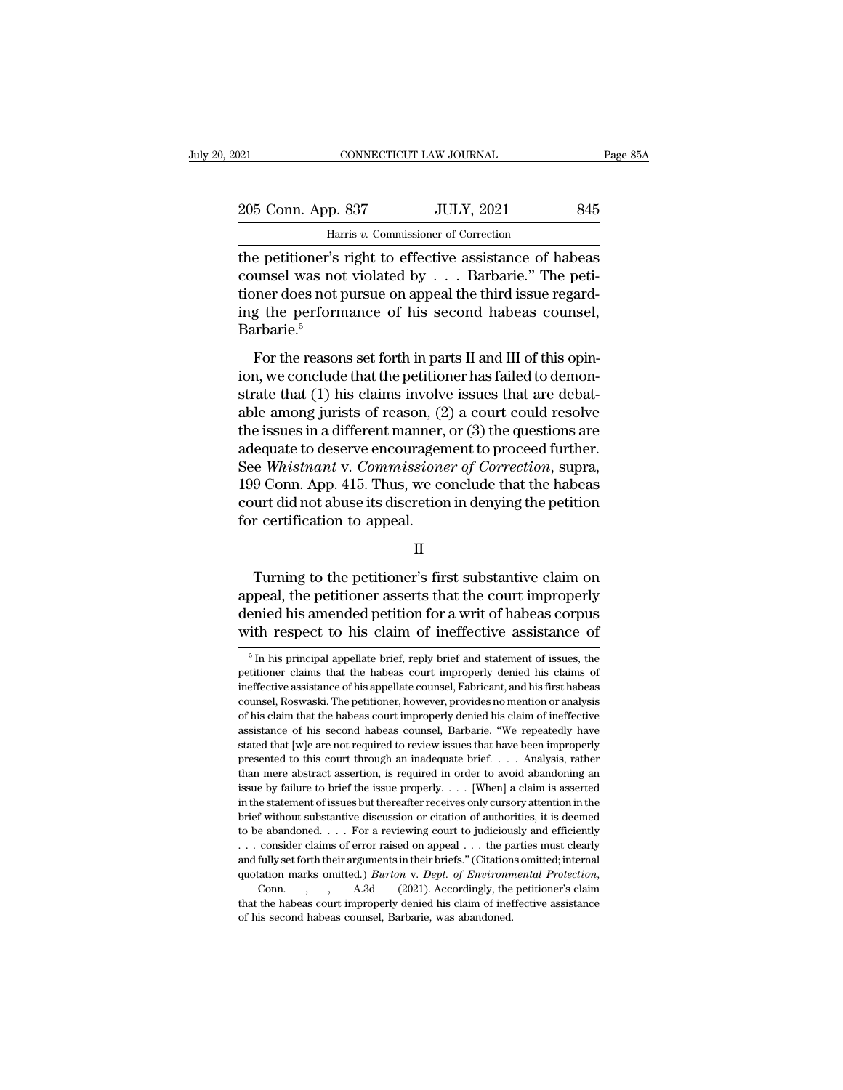# 205 Conn. App. 837 JULY, 2021 845<br>
205 Conn. App. 837 JULY, 2021 845 CONNECTICUT LAW JOURNAL<br>P. 837 JULY, 2021<br>Harris *v.* Commissioner of Correction<br>'s right to effective assistance of ha

The petitioner's right to effective assistance of habeas<br>
the petitioner's right to effective assistance of habeas<br>
the petitioner's right to effective assistance of habeas<br>
counsel was not violated by . . . Barbarie." The 205 Conn. App. 837 JULY, 2021 845<br>
Harris v. Commissioner of Correction<br>
the petitioner's right to effective assistance of habeas<br>
counsel was not violated by . . . Barbarie.'' The peti-<br>
tioner does not pursue on appeal t 205 Conn. App. 837 JULY, 2021 845<br>
Harris v. Commissioner of Correction<br>
the petitioner's right to effective assistance of habeas<br>
counsel was not violated by . . . Barbarie." The peti-<br>
tioner does not pursue on appeal t 205 Conn. App. 837 JULY, 2021 845<br>
Harris v. Commissioner of Correction<br>
the petitioner's right to effective assistance of habeas<br>
counsel was not violated by . . . Barbarie." The peti-<br>
tioner does not pursue on appeal t Barbarie.<sup>5</sup> For the reasons set for the petitioner's right to effective assistance of habeas unsel was not violated by  $\ldots$ . Barbarie." The petitioner does not pursue on appeal the third issue regarding the performance of his second For the performance of his second habeas counsel was not violated by  $\ldots$ . Barbarie." The petitioner does not pursue on appeal the third issue regarding the performance of his second habeas counsel, Barbarie.<sup>5</sup><br>For the

strate that the visitate  $\sigma$ ,  $\sigma$ . The strate is the visitation of the performance of his second habeas counsel,<br>Barbarie.<sup>5</sup><br>For the reasons set forth in parts II and III of this opin-<br>ion, we conclude that the petitio able among the performance of his second habeas counsel,<br>Barbarie.<sup>5</sup><br>For the reasons set forth in parts II and III of this opin-<br>ion, we conclude that the petitioner has failed to demon-<br>strate that (1) his claims involv Barbarie.<sup>5</sup><br>For the reasons set forth in parts II and III of this opin-<br>ion, we conclude that the petitioner has failed to demon-<br>strate that (1) his claims involve issues that are debat-<br>able among jurists of reason, (2 For the reasons set forth in parts II and III of this opin-<br>ion, we conclude that the petitioner has failed to demon-<br>strate that (1) his claims involve issues that are debat-<br>able among jurists of reason, (2) a court cou For the reasons set forth in parts II and III of this opin-<br>ion, we conclude that the petitioner has failed to demon-<br>strate that (1) his claims involve issues that are debat-<br>able among jurists of reason, (2) a court coul ion, we conclude that the petitioner has failed to demonstrate that (1) his claims involve issues that are debatable among jurists of reason, (2) a court could resolve the issues in a different manner, or (3) the question strate that (1) his claims involve issues that are debat-<br>able among jurists of reason, (2) a court could resolve<br>the issues in a different manner, or (3) the questions are<br>adequate to deserve encouragement to proceed furt able among jurists of reason, (2<br>the issues in a different manner,<br>adequate to deserve encouragen<br>See *Whistnant v. Commissione*<br>199 Conn. App. 415. Thus, we co<br>court did not abuse its discretior<br>for certification to appea EV Whistnant v. Commissioner of Correction, supra,<br>
9 Conn. App. 415. Thus, we conclude that the habeas<br>
urt did not abuse its discretion in denying the petition<br>
r certification to appeal.<br>
II<br>
Turning to the petitioner's

### II

199 Conn. App. 415. Thus, we conclude that the habeas<br>
court did not abuse its discretion in denying the petition<br>
for certification to appeal.<br>
II<br>
Turning to the petitioner's first substantive claim on<br>
appeal, the petit court did not abuse its discretion in denying the petition<br>for certification to appeal.<br>II<br>Turning to the petitioner's first substantive claim on<br>appeal, the petitioner asserts that the court improperly<br>denied his amended II<br>II<br>Turning to the petitioner's first substantive claim on<br>appeal, the petitioner asserts that the court improperly<br>denied his amended petition for a writ of habeas corpus<br>with respect to his claim of ineffective assista Turning to the petitioner's first substantive claim on appeal, the petitioner asserts that the court improperly denied his amended petition for a writ of habeas corpus with respect to his claim of ineffective assistance o appeal, the petitioner asserts that the court improperly<br>denied his amended petition for a writ of habeas corpus<br>with respect to his claim of ineffective assistance of<br> $\frac{1}{100}$  in his principal appellate brief, reply b

denied his amended petition for a writ of habeas corpus<br>with respect to his claim of ineffective assistance of<br> $\frac{1}{\pi}$  in his principal appellate brief, reply brief and statement of issues, the<br>petitioner claims that t with respect to his claim of ineffective assistance of  $\frac{1}{100}$   $\frac{1}{100}$   $\frac{1}{100}$   $\frac{1}{100}$   $\frac{1}{100}$   $\frac{1}{100}$   $\frac{1}{100}$   $\frac{1}{100}$   $\frac{1}{100}$   $\frac{1}{100}$   $\frac{1}{100}$   $\frac{1}{100}$   $\frac{1}{100}$   $\frac{1}{100}$ <sup>5</sup> In his principal appellate brief, reply brief and statement of issues, the petitioner claims that the habeas court improperly denied his claims of ineffective assistance of his appellate counsel, Fabricant, and his fir <sup>5</sup> In his principal appellate brief, reply brief and statement of issues, the petitioner claims that the habeas court improperly denied his claims of ineffective assistance of his appellate counsel, Fabricant, and his fi in the principal appearance of his appearance of the habeas court improperly denied his claims of ineffective assistance of his appellate counsel, Fabricant, and his first habeas counsel, Roswaski. The petitioner, however, preflective assistance of his appellate counsel, Fabricant, and his first habeas counsel, Roswaski. The petitioner, however, provides no mention or analysis of his claim that the habeas court improperly denied his claim of counsel, Roswaski. The petitioner, however, provides no mention or analysis of his claim that the habeas court improperly denied his claim of ineffective assistance of his second habeas counsel, Barbarie. "We repeatedly ha of his claim that the habeas court improperly denied his claim of ineffective assistance of his second habeas counsel, Barbarie. "We repeatedly have stated that [w]e are not required to review issues that have been improp assistance of his second habeas counsel, Barbarie. "We repeatedly have stated that [w]e are not required to review issues that have been improperly presented to this court through an inadequate brief. . . . Analysis, rathe stated that [w] e are not required to review issues that have been improperly presented to this court through an inadequate brief. . . . Analysis, rather than mere abstract assertion, is required in order to avoid abandon presented to this court through an inadequate brief. . . . Analysis, rather than mere abstract assertion, is required in order to avoid abandoning an issue by failure to brief the issue properly. . . . [When] a claim is a Frame and more abstract assertion, is required in order to avoid abandoning an issue by failure to brief the issue properly. . . . [When] a claim is asserted in the statement of issues but thereafter receives only cursory than mere abstract assertion, is required in order to avoid abandoning an issue by failure to brief the issue properly. . . . [When] a claim is asserted in the statement of issues but thereafter receives only cursory atte guotation marks omitted.) *Burton* v. *Dept. of Burtonics, it* is deemed to be abandoned. . . . For a reviewing court to judiciously and efficiently . . . consider claims of error raised on appeal . . . the parties must cl the habeas court in Ford are viewing court to judiciously and efficiently<br>  $\ldots$  consider claims of error raised on appeal  $\ldots$  the parties must clearly<br>
and fully set forth their arguments in their briefs." (Citations o ... consider claims of error raised on appeal ... the parties must clearly and fully set forth their arguments in their briefs." (Citations omitted; internal quotation marks omitted.) *Burton* v. *Dept. of Environmental P*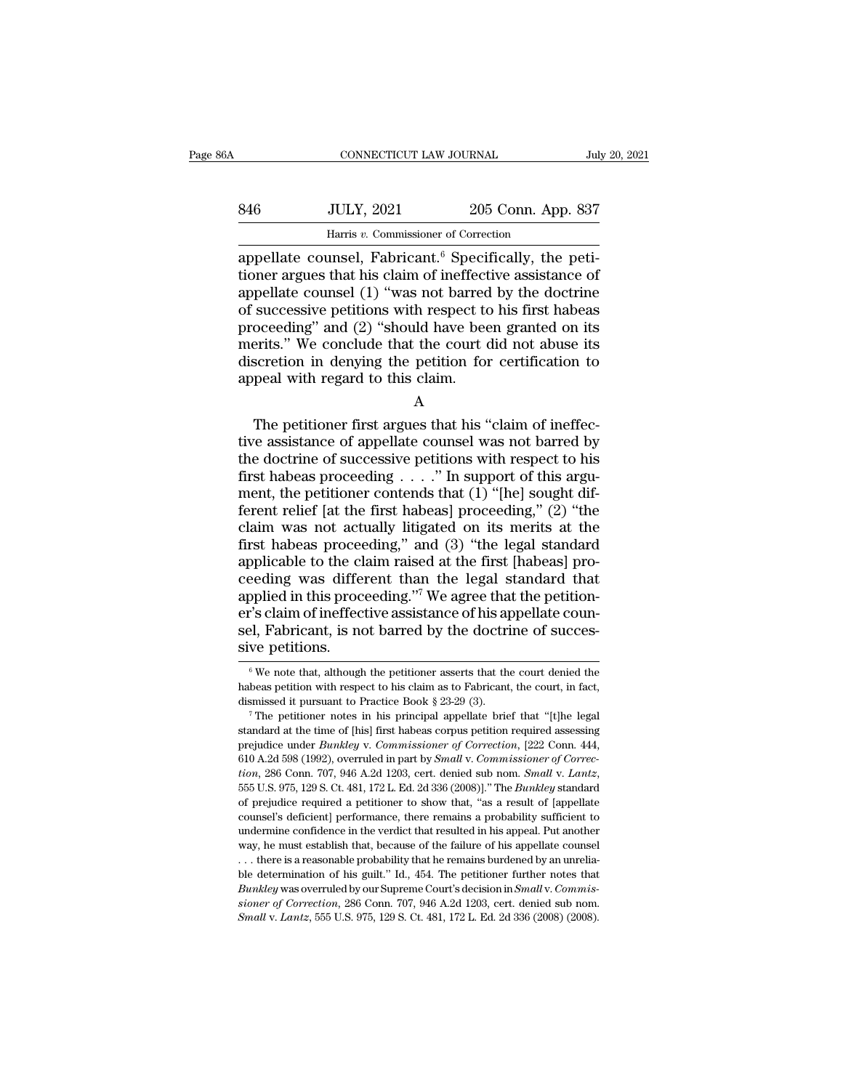| 6A  | CONNECTICUT LAW JOURNAL              |                    | July 20, 2021 |
|-----|--------------------------------------|--------------------|---------------|
| 846 | <b>JULY, 2021</b>                    | 205 Conn. App. 837 |               |
|     | Harris v. Commissioner of Correction |                    |               |

CONNECTICUT LAW JOURNAL<br>
Harris *v.* Commissioner of Correction<br>
appellate counsel, Fabricant.<sup>6</sup> Specifically, the peti-<br>
tioner argues that his claim of ineffective assistance of<br>
appellate counsel (1) "was not barred by SEREG MULY, 2021 205 Conn. App. 837<br>
Harris v. Commissioner of Correction<br>
appellate counsel, Fabricant.<sup>6</sup> Specifically, the petitioner argues that his claim of ineffective assistance of<br>
appellate counsel (1) "was not ba 846 JULY, 2021 205 Conn. App. 837<br>
Harris v. Commissioner of Correction<br>
appellate counsel, Fabricant.<sup>6</sup> Specifically, the peti-<br>
tioner argues that his claim of ineffective assistance of<br>
appellate counsel (1) "was not  $\frac{100 \text{ JULY, } 2021}{1000 \text{ Harris } v. \text{ Commissioner of Correction}}$ <br>  $\frac{1000 \text{ Harris } v. \text{ Commissioner of Correction}}{2000 \text{ appellate} }$ <br>  $\frac{1000 \text{ mJy}}{1000 \text{ mJy}}$  appellate counsel, Fabricant.<sup>6</sup> Specifically, the petitioner argues that his claim of ineffective assistan From the scale, the set of Correction<br>appellate counsel, Fabricant.<sup>6</sup> Specifically, the peti-<br>tioner argues that his claim of ineffective assistance of<br>appellate counsel (1) "was not barred by the doctrine<br>of successive Harris v. Commissioner of Correction<br>
appellate counsel, Fabricant.<sup>6</sup> Specifically, the peti-<br>
tioner argues that his claim of ineffective assistance of<br>
appellate counsel (1) "was not barred by the doctrine<br>
of successi appellate counsel, Fabricant.<sup>6</sup> Specifically, the petitioner argues that his claim of ineffective assistance of appellate counsel (1) "was not barred by the doctrine of successive petitions with respect to his first habea tioner argues that his claim of ineffect<br>appellate counsel  $(1)$  "was not barred<br>of successive petitions with respect to<br>proceeding" and  $(2)$  "should have bee<br>merits." We conclude that the court of<br>discretion in denying successive petitions with respect to his first habeas<br>oceeding" and (2) "should have been granted on its<br>erits." We conclude that the court did not abuse its<br>scretion in denying the petition for certification to<br>peal with proceeding and  $(2)$  should have been granted on its<br>merits." We conclude that the court did not abuse its<br>discretion in denying the petition for certification to<br>appeal with regard to this claim.<br>A<br>The petitioner first a

A

the doctrine of successive petition for certification to<br>appeal with regard to this claim.<br>A<br>The petitioner first argues that his "claim of ineffec-<br>tive assistance of appellate counsel was not barred by<br>the doctrine of s discretion in denying the petition for certification to<br>appeal with regard to this claim.<br>A<br>The petitioner first argues that his "claim of ineffec-<br>tive assistance of appellate counsel was not barred by<br>the doctrine of su A<br>
The petitioner first argues that his "claim of ineffec-<br>
tive assistance of appellate counsel was not barred by<br>
the doctrine of successive petitions with respect to his<br>
first habeas proceeding . . . . " In support of A<br>
The petitioner first argues that his "claim of ineffec-<br>
tive assistance of appellate counsel was not barred by<br>
the doctrine of successive petitions with respect to his<br>
first habeas proceeding . . . . " In support of The petitioner first argues that his "claim of ineffec-<br>tive assistance of appellate counsel was not barred by<br>the doctrine of successive petitions with respect to his<br>first habeas proceeding  $\ldots$ ." In support of this ar tive assistance of appellate counsel was not barred by<br>the doctrine of successive petitions with respect to his<br>first habeas proceeding . . . . " In support of this argu-<br>ment, the petitioner contends that (1) "[he] sought the doctrine of successive petitions with respect to his<br>first habeas proceeding . . . ." In support of this argu-<br>ment, the petitioner contends that (1) "[he] sought dif-<br>ferent relief [at the first habeas] proceeding," first habeas proceeding  $\dots$ ." In support of this argument, the petitioner contends that (1) "[he] sought different relief [at the first habeas] proceeding," (2) "the claim was not actually litigated on its merits at the ment, the petitioner contends that  $(1)$  "[he] sought different relief [at the first habeas] proceeding,"  $(2)$  "the claim was not actually litigated on its merits at the first habeas proceeding," and  $(3)$  "the legal sta ferent relief [at the first habeas] proceeding," (2) "the claim was not actually litigated on its merits at the first habeas proceeding," and (3) "the legal standard applicable to the claim raised at the first [habeas] pr claim was not actually litigated on its merits at the first habeas proceeding," and  $(3)$  "the legal standard applicable to the claim raised at the first [habeas] proceeding was different than the legal standard that appl first habeas proceer<br>applicable to the cl<br>ceeding was differ<br>applied in this procer's claim of ineffec<br>sel, Fabricant, is no<br>sive petitions. pplied in this proceeding."<sup>7</sup> We agree that the petition-<br>"'s claim of ineffective assistance of his appellate coun-<br>el, Fabricant, is not barred by the doctrine of succes-<br>we petitions.<br> $\frac{6}{9}$  We note that, although er's claim of ineffective assistance of his appellate counsel, Fabricant, is not barred by the doctrine of successive petitions.<br>  $\overline{\phantom{a}}$  We note that, although the petitioner asserts that the court denied the habeas

sel, Fabricant, is not barred by the doctrine of successive petitions.<br>  $\sqrt[6]{\begin{array}{r} \hline \text{We note that, although the patient asserts that the court denied the} \text{habeas}\text{~pettion with respect to his claim as to Fabricant, the court, in fact,} \text{dissmised it pursuit to Practice Book § 23-29 (3).} \end{array}}$ <br>  $\sqrt[7]{\begin{array}{r} \hline \text{The pertinent to Practice Books groups}\text{~pettion required assessing} \end{array}}$ 

SIVE PELLIOHS.<br>
<sup>6</sup> We note that, although the petitioner asserts that the court denied the habeas petition with respect to his claim as to Fabricant, the court, in fact, dismissed it pursuant to Practice Book § 23-29 (3) <sup>6</sup> We note that, although the petitioner asserts that the court denied the habeas petition with respect to his claim as to Fabricant, the court, in fact, dismissed it pursuant to Practice Book § 23-29 (3). <sup>7</sup> The petiti Fraction with respect to his claim as to Fabricat, the court, in fact, dismissed it pursuant to Practice Book § 23-29 (3).<br><sup>7</sup> The petitioner notes in his principal appellate brief that "[t]he legal standard at the time of *tion*, 286 Conn. 707, 946 A.2d 1203, cert. denied sub nom. *Small* v. *Lantz*, 555 U.S. 975, 129 S. Ct. 481, 172 L. Ed. 2d 336 (2008)]. <sup>7</sup> The *Bunkley* v. *Commissioner of Correction*, 1222 Conn. 444, 610 A.2d 598 (1992 standard at the time of [his] first habeas corpus petition required assessing<br>prejudice under *Bunkley* v. *Commissioner of Correction*, [222 Conn. 444,<br>610 A.2d 598 (1992), overruled in part by *Small v. Commissioner of* prejudice under *Bunkley* v. *Commissioner of Correction*, [222 Conn. 444, 610 A.2d 598 (1992), overruled in part by *Small v. Commissioner of Correction*, 286 Conn. 707, 946 A.2d 1203, cert. denied sub nom. *Small v. Lant* 610 A.2d 598 (1992), overruled in part by *Small v. Commissioner of Correction*, 286 Conn. 707, 946 A.2d 1203, cert. denied sub nom. *Small v. Lantz*, 555 U.S. 975, 129 S. Ct. 481, 172 L. Ed. 2d 336 (2008)]." The *Bunkley tion*, 286 Conn. 707, 946 A.2d 1203, cert. denied sub nom. *Small v. Lantz*, 555 U.S. 975, 129 S. Ct. 481, 172 L. Ed. 2d 336 (2008)]." The *Bunkley* standard of prejudice required a petitioner to show that, "as a result 555 U.S. 975, 129 S. Ct. 481, 172 L. Ed. 2d 336 (2008)]." The *Bunkley* standard of prejudice required a petitioner to show that, "as a result of [appellate counsel's deficient] performance, there remains a probability su of prejudice required a petitioner to show that, "as a result of [appellate counsel's deficient] performance, there remains a probability sufficient to undermine confidence in the verdict that resulted in his appell. Put undermine confidence in the verdict that resulted in his appeal. Put another *Way*, he must establish that, because of the failure of his appellate counsel

*Bunklering* counsel's deficient] performance, there remains a probability sufficient to undermine confidence in the verdict that resulted in his appell are way, he must establish that, because of the failure of his appell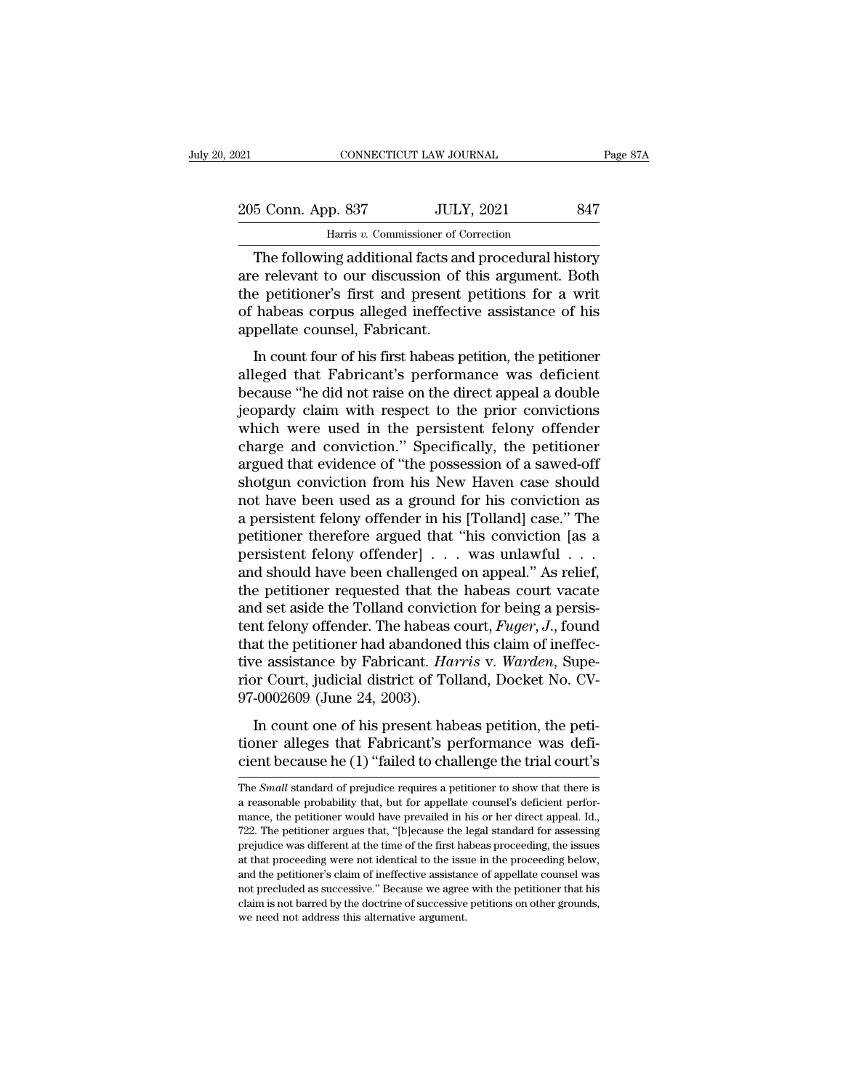| 021                | CONNECTICUT LAW JOURNAL                               | Page 87A |
|--------------------|-------------------------------------------------------|----------|
| 205 Conn. App. 837 | <b>JULY, 2021</b>                                     | 847      |
|                    | Harris v. Commissioner of Correction                  |          |
|                    | The following additional facts and procedural history |          |

CONNECTICUT LAW JOURNAL Page 87A<br>
5 Conn. App. 837 JULY, 2021 847<br>
Harris v. Commissioner of Correction<br>
The following additional facts and procedural history<br>
e relevant to our discussion of this argument. Both 205 Conn. App. 837 JULY, 2021 847<br>
Harris v. Commissioner of Correction<br>
The following additional facts and procedural history<br>
are relevant to our discussion of this argument. Both<br>
the petitioner's first and present pet 205 Conn. App. 837 JULY, 2021 847<br>
Harris  $v$ . Commissioner of Correction<br>
The following additional facts and procedural history<br>
are relevant to our discussion of this argument. Both<br>
the petitioner's first and present p 205 Conn. App. 837 JULY, 2021 847<br>
Harris v. Commissioner of Correction<br>
The following additional facts and procedural history<br>
are relevant to our discussion of this argument. Both<br>
the petitioner's first and present peti Harris v. Commissioner of C<br>
Harris v. Commissioner of C<br>
The following additional facts an<br>
are relevant to our discussion of<br>
the petitioner's first and present<br>
of habeas corpus alleged ineffecti<br>
appellate counsel, Fab The following additional facts and procedural history<br>
e relevant to our discussion of this argument. Both<br>
e petitioner's first and present petitions for a writ<br>
habeas corpus alleged ineffective assistance of his<br>
pellat The following additional racts and procedural ristory<br>are relevant to our discussion of this argument. Both<br>the petitioner's first and present petitions for a writ<br>of habeas corpus alleged ineffective assistance of his<br>app

are rerevant to our discussion or rins argument. Bout<br>the petitioner's first and present petitions for a writ<br>of habeas corpus alleged ineffective assistance of his<br>appellate counsel, Fabricant.<br>In count four of his first Fraction S instantant present perfections for a wind<br>of habeas corpus alleged ineffective assistance of his<br>appellate counsel, Fabricant.<br>In count four of his first habeas petition, the petitioner<br>alleged that Fabricant's or nascas corpas ancged increasive assistance of its<br>appellate counsel, Fabricant.<br>In count four of his first habeas petition, the petitioner<br>alleged that Fabricant's performance was deficient<br>because "he did not raise on In count four of his first habeas petition, the petitioner<br>alleged that Fabricant's performance was deficient<br>because "he did not raise on the direct appeal a double<br>jeopardy claim with respect to the prior convictions<br>whi In count four of his first habeas petition, the petitioner<br>alleged that Fabricant's performance was deficient<br>because "he did not raise on the direct appeal a double<br>jeopardy claim with respect to the prior convictions<br>whi alleged that Fabricant's performance was deficient<br>because "he did not raise on the direct appeal a double<br>jeopardy claim with respect to the prior convictions<br>which were used in the persistent felony offender<br>charge and c because "he did not raise on the direct appeal a double<br>jeopardy claim with respect to the prior convictions<br>which were used in the persistent felony offender<br>charge and conviction." Specifically, the petitioner<br>argued tha jeopardy claim with respect to the prior convictions<br>which were used in the persistent felony offender<br>charge and conviction." Specifically, the petitioner<br>argued that evidence of "the possession of a sawed-off<br>shotgun con which were used in the persistent felony offender<br>charge and conviction." Specifically, the petitioner<br>argued that evidence of "the possession of a sawed-off<br>shotgun conviction from his New Haven case should<br>not have been charge and conviction." Specifically, the petitioner<br>argued that evidence of "the possession of a sawed-off<br>shotgun conviction from his New Haven case should<br>not have been used as a ground for his conviction as<br>a persisten argued that evidence of "the possession of a sawed-off<br>shotgun conviction from his New Haven case should<br>not have been used as a ground for his conviction as<br>a persistent felony offender in his [Tolland] case." The<br>petitio shotgun conviction from his New Haven case should<br>not have been used as a ground for his conviction as<br>a persistent felony offender in his [Tolland] case." The<br>petitioner therefore argued that "his conviction [as a<br>persis not have been used as a ground for his conviction as<br>a persistent felony offender in his [Tolland] case." The<br>petitioner therefore argued that "his conviction [as a<br>persistent felony offender] . . . was unlawful . . .<br>and a persistent felony offender in his [Tolland] case." The<br>petitioner therefore argued that "his conviction [as a<br>persistent felony offender] . . . was unlawful . . .<br>and should have been challenged on appeal." As relief,<br>th petitioner therefore argued that "his conviction [as a<br>persistent felony offender] . . . was unlawful . . .<br>and should have been challenged on appeal." As relief,<br>the petitioner requested that the habeas court vacate<br>and persistent felony offender] . . . was unlawful . . .<br>and should have been challenged on appeal." As relief,<br>the petitioner requested that the habeas court vacate<br>and set aside the Tolland conviction for being a persis-<br>ten and should have been challenged on appeal." As relief,<br>the petitioner requested that the habeas court vacate<br>and set aside the Tolland conviction for being a persis-<br>tent felony offender. The habeas court, *Fuger*, J., fou the petitioner requested that the<br>and set aside the Tolland convict<br>tent felony offender. The habeas<br>that the petitioner had abandone<br>tive assistance by Fabricant. Ha<br>rior Court, judicial district of To<br>97-0002609 (June 24 In felony offender. The habeas court, *Fuger*, *J.*, found<br>at the petitioner had abandoned this claim of ineffec-<br>re assistance by Fabricant. *Harris v. Warden*, Supe-<br>pr Court, judicial district of Tolland, Docket No. CVthat the petitioner had abandoned this claim of ineffec-<br>tive assistance by Fabricant. *Harris* v. *Warden*, Supe-<br>rior Court, judicial district of Tolland, Docket No. CV-<br>97-0002609 (June 24, 2003).<br>In count one of his pr tive assistance by Fabricant. *Harris* v. *Warden*, Superior Court, judicial district of Tolland, Docket No. CV-<br>97-0002609 (June 24, 2003).<br>In count one of his present habeas petition, the peti-<br>tioner alleges that Fabric

In count one of his present habeas petition, the petitioner alleges that Fabricant's performance was deficient because he (1) "failed to challenge the trial court's The *Small* standard of prejudice requires a petitioner t In count one of his present habeas petition, the petitioner alleges that Fabricant's performance was deficient because he  $(1)$  "failed to challenge the trial court's The *Small* standard of prejudice requires a petitione

tioner alleges that Fabricant's performance was deficient because he  $(1)$  "failed to challenge the trial court's The *Small* standard of prejudice requires a petitioner to show that there is a reasonable probability that **Example 122.** The *Small* standard of prejudice requires a petitioner to show that there is a reasonable probability that, but for appellate counsel's deficient performance, the petitioner would have prevailed in his or The *Small* standard of prejudice requires a petitioner to show that there is<br>a reasonable probability that, but for appellate counsel's deficient perfor-<br>mance, the petitioner would have prevailed in his or her direct ap The *Small* standard of prejudice requires a petitioner to show that there is a reasonable probability that, but for appellate counsel's deficient performance, the petitioner would have prevailed in his or her direct appea and the petitioner's daint of appellate counsel's deficient performance, the petitioner would have prevailed in his or her direct appeal. Id., 722. The petitioner argues that, "[b]ecause the legal standard for assessing pr a mance, the petitioner would have prevailed in his or her direct appeal. Id., 722. The petitioner argues that, "[b]ecause the legal standard for assessing prejudice was different at the time of the first habeas proceeding Faster, and performance of a performance of  $722$ . The petitioner argues that, "[b]ecause the legal standard for assessing prejudice was different at the time of the first habeas proceeding, the issues at that proceeding prejudice was different at the time of the first habeas proceeding, the issues at that proceeding were not identical to the issue in the proceeding below, and the petitioner's claim of ineffective assistance of appellate c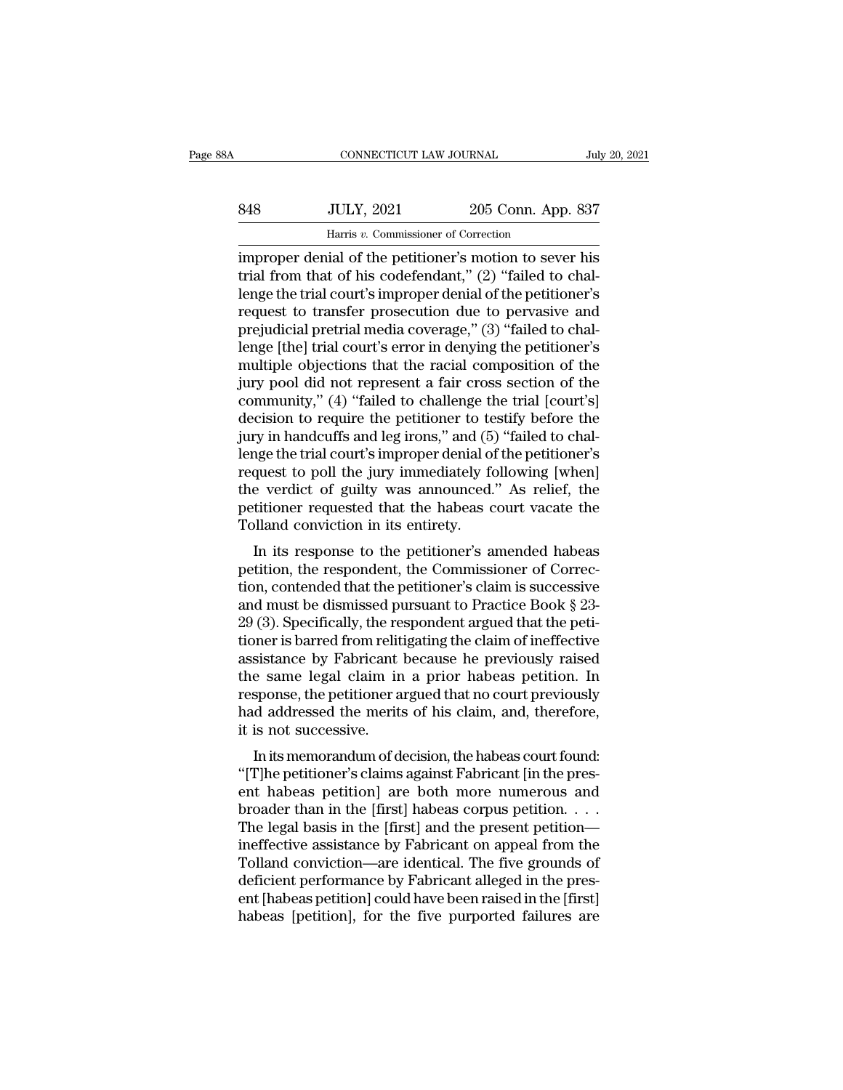|     | CONNECTICUT LAW JOURNAL                                 |                    | July 20, 2021 |
|-----|---------------------------------------------------------|--------------------|---------------|
|     |                                                         |                    |               |
| 848 | <b>JULY, 2021</b>                                       | 205 Conn. App. 837 |               |
|     | Harris v. Commissioner of Correction                    |                    |               |
|     | improper denial of the petitioner's motion to sever his |                    |               |

CONNECTICUT LAW JOURNAL July 20, 2021<br>
SA8 JULY, 2021 205 Conn. App. 837<br>
Harris v. Commissioner of Correction<br>
improper denial of the petitioner's motion to sever his<br>
trial from that of his codefendant," (2) "failed to c SAS JULY, 2021 205 Conn. App. 837<br>
Harris v. Commissioner of Correction<br>
improper denial of the petitioner's motion to sever his<br>
trial from that of his codefendant,'' (2) "failed to chal-<br>
lenge the trial court's improper 848 JULY, 2021 205 Conn. App. 837<br>
Harris v. Commissioner of Correction<br>
improper denial of the petitioner's motion to sever his<br>
trial from that of his codefendant," (2) "failed to chal-<br>
lenge the trial court's improper 848 JULY, 2021 205 Conn. App. 837<br>
Harris v. Commissioner of Correction<br>
improper denial of the petitioner's motion to sever his<br>
trial from that of his codefendant," (2) "failed to chal-<br>
lenge the trial court's improper For the period of the period of the period of the period improper denial of the petitioner's motion to sever his trial from that of his codefendant," (2) "failed to chal-<br>lenge the trial court's improper denial of the pet Harris v. Commissioner of Correction<br>
improper denial of the petitioner's motion to sever his<br>
trial from that of his codefendant," (2) "failed to chal-<br>
lenge the trial court's improper denial of the petitioner's<br>
request improper denial of the petitioner's motion to sever his<br>trial from that of his codefendant," (2) "failed to chal-<br>lenge the trial court's improper denial of the petitioner's<br>request to transfer prosecution due to pervasive trial from that of his codefendant," (2) "failed to chal-<br>lenge the trial court's improper denial of the petitioner's<br>request to transfer prosecution due to pervasive and<br>prejudicial pretrial media coverage," (3) "failed t lenge the trial court's improper denial of the petitioner's<br>request to transfer prosecution due to pervasive and<br>prejudicial pretrial media coverage," (3) "failed to chal-<br>lenge [the] trial court's error in denying the pe request to transfer prosecution due to pervasive and<br>prejudicial pretrial media coverage," (3) "failed to chal-<br>lenge [the] trial court's error in denying the petitioner's<br>multiple objections that the racial composition of prejudicial pretrial media coverage," (3) "failed to chal-<br>lenge [the] trial court's error in denying the petitioner's<br>multiple objections that the racial composition of the<br>jury pool did not represent a fair cross section lenge [the] trial court's error in denying the petitioner's<br>multiple objections that the racial composition of the<br>jury pool did not represent a fair cross section of the<br>community," (4) "failed to challenge the trial [cou multiple objections that the racial composition of the<br>jury pool did not represent a fair cross section of the<br>community," (4) "failed to challenge the trial [court's]<br>decision to require the petitioner to testify before t jury pool did not represent a fair cross section of the community," (4) "failed to challenge the trial [court's] decision to require the petitioner to testify before the jury in handcuffs and leg irons," and (5) "failed to community," (4) "failed to challenge the trial [court's]<br>decision to require the petitioner to testify before the<br>jury in handcuffs and leg irons," and (5) "failed to chal-<br>lenge the trial court's improper denial of the pe decision to require the petitioner to te<br>jury in handcuffs and leg irons," and (5)<br>lenge the trial court's improper denial of<br>request to poll the jury immediately fo<br>the verdict of guilty was announced.<br>petitioner requeste If  $\mu$  is in halter that the profiles, and (3) Taked to change the trial court's improper denial of the petitioner's quest to poll the jury immediately following [when] a verdict of guilty was announced." As relief, the lenge the trial court's improper denial of the petitioner's<br>request to poll the jury immediately following [when]<br>the verdict of guilty was announced." As relief, the<br>petitioner requested that the habeas court vacate the<br>

request to poir the jury inhitedately following [when]<br>the verdict of guilty was announced." As relief, the<br>petitioner requested that the habeas court vacate the<br>Tolland conviction in its entirety.<br>In its response to the the vertuct of guity was announced. As fener, the<br>petitioner requested that the habeas court vacate the<br>Tolland conviction in its entirety.<br>In its response to the petitioner's amended habeas<br>petition, the respondent, the C petitioner requested that the nabeas court vacate the<br>Tolland conviction in its entirety.<br>In its respondent, the Commissioner of Correc-<br>tion, contended that the petitioner's claim is successive<br>and must be dismissed pursu I is the period of the period of the period of the period of the period of Correction, contended that the peritioner's claim is successive<br>and must be dismissed pursuant to Practice Book  $\S$  23-<br>29 (3). Specifically, the In its response to the petitioner's amended habeas<br>petition, the respondent, the Commissioner of Correction, contended that the petitioner's claim is successive<br>and must be dismissed pursuant to Practice Book § 23-<br>29 (3). petition, the respondent, the Commissioner of Correction, contended that the petitioner's claim is successive<br>and must be dismissed pursuant to Practice Book § 23-<br>29 (3). Specifically, the respondent argued that the petit tion, contended that the petitioner's claim is successive<br>and must be dismissed pursuant to Practice Book § 23-<br>29 (3). Specifically, the respondent argued that the peti-<br>tioner is barred from relitigating the claim of ine and must be dismissed pursuant to Practice Book  $\S 23-29$  (3). Specifically, the respondent argued that the petitioner is barred from relitigating the claim of ineffective assistance by Fabricant because he previously rai 29 (3). Specifically, the re<br>tioner is barred from relit<br>assistance by Fabricant<br>the same legal claim in<br>response, the petitioner a<br>had addressed the merits<br>it is not successive.<br>In its memorandum of d Mer is barred nonfrentigating the claim of memecive<br>sistance by Fabricant because he previously raised<br>e same legal claim in a prior habeas petition. In<br>sponse, the petitioner argued that no court previously<br>d addressed th assistance by Fabricant because he previously raised<br>the same legal claim in a prior habeas petition. In<br>response, the petitioner argued that no court previously<br>had addressed the merits of his claim, and, therefore,<br>it is

the same legal claim in a prior habeas petition. In<br>response, the petitioner argued that no court previously<br>had addressed the merits of his claim, and, therefore,<br>it is not successive.<br>In its memorandum of decision, the h response, the pethoder argued that ho court previously<br>had addressed the merits of his claim, and, therefore,<br>it is not successive.<br>In its memorandum of decision, the habeas court found:<br>"[T]he petitioner's claims against In the legal basis in the first cannot appear and the Telland conviction.<br>The legal basis in the present habeas petitioner's claims against Fabricant [in the present habeas petition] are both more numerous and broader than It is not successive.<br>
In its memorandum of decision, the habeas court found:<br>
"[T]he petitioner's claims against Fabricant [in the pres-<br>
ent habeas petition] are both more numerous and<br>
broader than in the [first] habeas In its memorandum of decision, the habeas court found:<br>"[T]he petitioner's claims against Fabricant [in the present habeas petition] are both more numerous and<br>broader than in the [first] habeas corpus petition—<br>ineffecti "[T]he petitioner's claims against Fabricant [in the present habeas petition] are both more numerous and broader than in the [first] habeas corpus petition.....<br>The legal basis in the [first] and the present petition—inef ent habeas petition] are both more numerous and<br>broader than in the [first] habeas corpus petition.....<br>The legal basis in the [first] and the present petition—<br>ineffective assistance by Fabricant on appeal from the<br>Tolla broader than in the [first] habeas corpus petition.  $\dots$  The legal basis in the [first] and the present petition—ineffective assistance by Fabricant on appeal from the Tolland conviction—are identical. The five grounds of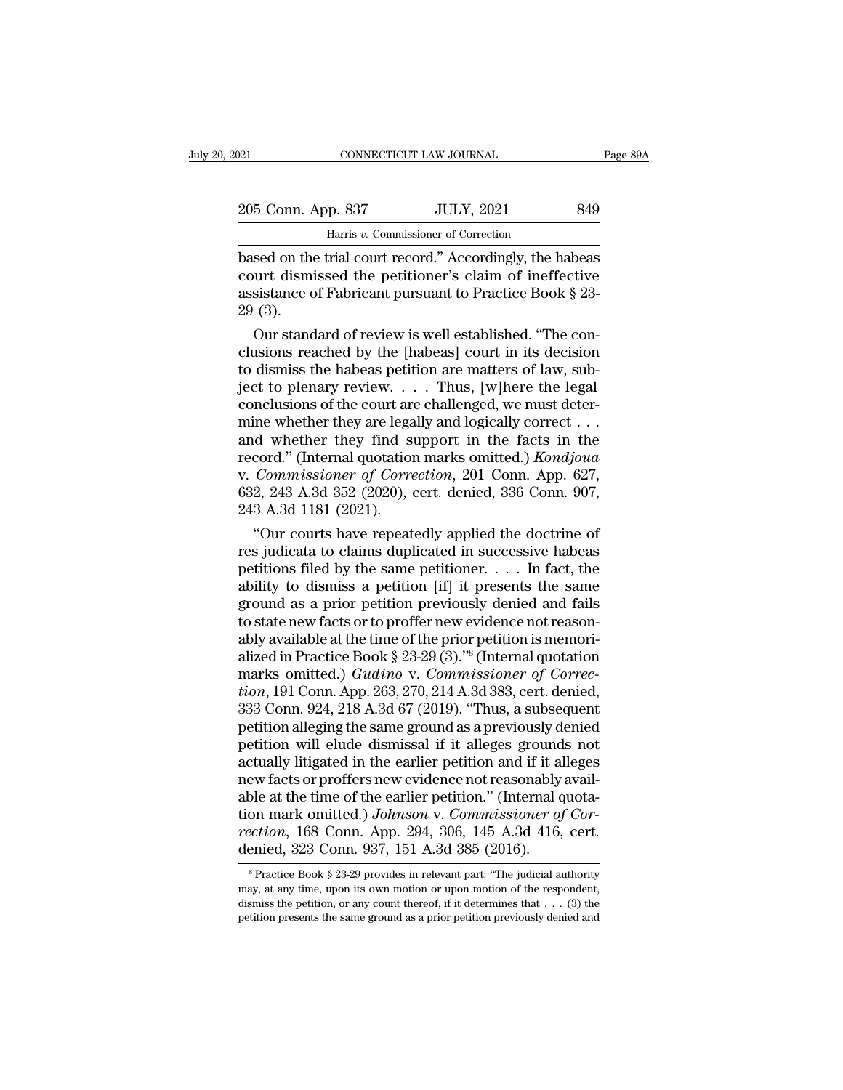| 021                | CONNECTICUT LAW JOURNAL                                  |                   | Page 89A |
|--------------------|----------------------------------------------------------|-------------------|----------|
| 205 Conn. App. 837 |                                                          | <b>JULY, 2021</b> | 849      |
|                    | Harris v. Commissioner of Correction                     |                   |          |
|                    | hased on the trial court record," Accordingly the habeas |                   |          |

based on the trial court record.'' Accordingly, the habeas<br>
based on the trial court record.'' Accordingly, the habeas<br>
court dismissed the petitioner's claim of ineffective<br>
assistance of Fabricant pursuant to Practice Bo 205 Conn. App. 837 JULY, 2021 849<br>
Harris v. Commissioner of Correction<br>
based on the trial court record." Accordingly, the habeas<br>
court dismissed the petitioner's claim of ineffective<br>
assistance of Fabricant pursuant to 205 Conn. App. 837 JULY, 2021 849<br>
Harris v. Commissioner of Correction<br>
based on the trial court record." Accordingly, the habeas<br>
court dismissed the petitioner's claim of ineffective<br>
assistance of Fabricant pursuant t 205 Conn. A<br>based on the<br>court dismi<br>assistance c<br>29 (3).<br>Our stand Harris v. Commissioner of Correction<br>
sed on the trial court record." Accordingly, the habeas<br>
uurt dismissed the petitioner's claim of ineffective<br>
sistance of Fabricant pursuant to Practice Book § 23-<br>
(3).<br>
Our standar mans commission of conceasing<br>based on the trial court record." Accordingly, the habeas<br>court dismissed the petitioner's claim of ineffective<br>assistance of Fabricant pursuant to Practice Book § 23-<br>29 (3).<br>Our standard of

based on the trial court record." Accordingly, the habeas<br>court dismissed the petitioner's claim of ineffective<br>assistance of Fabricant pursuant to Practice Book § 23-<br>29 (3).<br>Our standard of review is well established. " court dismissed the petitioner's claim of ineffective<br>assistance of Fabricant pursuant to Practice Book § 23-<br>29 (3).<br>Our standard of review is well established. "The con-<br>clusions reached by the [habeas] court in its dec assistance of Fabricant pursuant to Practice Book § 23-<br>29 (3).<br>Our standard of review is well established. "The conclusions reached by the [habeas] court in its decision<br>to dismiss the habeas petition are matters of law, 29 (3).<br>
Our standard of review is well established. "The conclusions reached by the [habeas] court in its decision<br>
to dismiss the habeas petition are matters of law, sub-<br>
ject to plenary review. . . . Thus, [w]here the Our standard of review is well established. "The conclusions reached by the [habeas] court in its decision<br>to dismiss the habeas petition are matters of law, sub-<br>ject to plenary review. . . . Thus, [w]here the legal<br>conc clusions reached by the [habeas] court in its decision<br>to dismiss the habeas petition are matters of law, sub-<br>ject to plenary review....Thus, [w]here the legal<br>conclusions of the court are challenged, we must deter-<br>mine to dismiss the habeas petition are matters of law, sub-<br>ject to plenary review. . . . Thus, [w]here the legal<br>conclusions of the court are challenged, we must deter-<br>mine whether they are legally and logically correct . . is ject to plenary review. . . . Thus, [w]here the legal conclusions of the court are challenged, we must determine whether they are legally and logically correct . . . and whether they find support in the facts in the rec conclusions of the court are<br>mine whether they are lega<br>and whether they find strecord." (Internal quotation<br>v. Commissioner of Corre<br>632, 243 A.3d 352 (2020), c<br>243 A.3d 1181 (2021).<br>"Our courts have repeat The whether they are legally and logically correct . . .<br>
d whether they find support in the facts in the<br>
cord." (Internal quotation marks omitted.) *Kondjoua*<br> *Commissioner of Correction*, 201 Conn. App. 627,<br>
2, 243 A and whether they find support in the facts in the<br>record." (Internal quotation marks omitted.) *Kondjoua*<br>v. *Commissioner of Correction*, 201 Conn. App. 627,<br>632, 243 A.3d 352 (2020), cert. denied, 336 Conn. 907,<br>243 A.3

record." (Internal quotation marks omitted.) Kondjoua<br>v. Commissioner of Correction, 201 Conn. App. 627,<br>632, 243 A.3d 352 (2020), cert. denied, 336 Conn. 907,<br>243 A.3d 1181 (2021).<br>"Our courts have repeatedly applied the v. Commissioner of Correction, 201 Conn. App. 627,<br>632, 243 A.3d 352 (2020), cert. denied, 336 Conn. 907,<br>243 A.3d 1181 (2021).<br>"Our courts have repeatedly applied the doctrine of<br>res judicata to claims duplicated in succe 632, 243 A.3d 352 (2020), cert. denied, 336 Conn. 907,<br>243 A.3d 1181 (2021).<br>"Our courts have repeatedly applied the doctrine of<br>res judicata to claims duplicated in successive habeas<br>petitions filed by the same petitione 243 A.3d 1181 (2021).<br>
"Our courts have repeatedly applied the doctrine of<br>
res judicata to claims duplicated in successive habeas<br>
petitions filed by the same petitioner. . . . In fact, the<br>
ability to dismiss a petition "Our courts have repeatedly applied the doctrine of<br>res judicata to claims duplicated in successive habeas<br>petitions filed by the same petitioner. . . . In fact, the<br>ability to dismiss a petition [if] it presents the same res judicata to claims duplicated in successive habeas<br>petitions filed by the same petitioner. . . . In fact, the<br>ability to dismiss a petition [if] it presents the same<br>ground as a prior petition previously denied and fa petitions filed by the same petitioner. . . . In fact, the ability to dismiss a petition [if] it presents the same ground as a prior petition previously denied and fails to state new facts or to proffer new evidence not re ability to dismiss a petition [if] it presents the same<br>ground as a prior petition previously denied and fails<br>to state new facts or to proffer new evidence not reason-<br>ably available at the time of the prior petition is m ground as a prior petition previously denied and fails<br>to state new facts or to proffer new evidence not reason-<br>ably available at the time of the prior petition is memori-<br>alized in Practice Book § 23-29 (3)."<sup>8</sup> (Interna to state new facts or to proffer new evidence not reasonably available at the time of the prior petition is memorialized in Practice Book § 23-29 (3)."<sup>8</sup> (Internal quotation marks omitted.) *Gudino* v. *Commissioner of Co* ably available at the time of the prior petition is memori-<br>alized in Practice Book § 23-29 (3)."<sup>8</sup> (Internal quotation<br>marks omitted.) *Gudino* v. *Commissioner of Correc-<br>tion*, 191 Conn. App. 263, 270, 214 A.3d 383, ce alized in Practice Book § 23-29 (3)."<sup>8</sup> (Internal quotation<br>marks omitted.) *Gudino* v. *Commissioner of Correction*, 191 Conn. App. 263, 270, 214 A.3d 383, cert. denied,<br>333 Conn. 924, 218 A.3d 67 (2019). "Thus, a subse marks omitted.)  $Gudino$  v.  $Commissioner$  of  $Correc-  
tion, 191 Conn. App. 263, 270, 214 A.3d 383, cert. denied, 333 Conn. 924, 218 A.3d 67 (2019). "Thus, a subsequent  
petition alleging the same ground as a previously denied  
petition will elude dismissed if it alleles grounds not  
actually litigated in the earlier pettition and if it alleles  
new facts or proffers new evidence not reasonably avail-  
able at the time of the earlier pettiton." (Internal quota-  
tion mark omitted). *Johnson* v. *Commissioner* of Cor$ tion, 191 Conn. App. 263, 270, 214 A.3d 383, cert. denied, 333 Conn. 924, 218 A.3d 67 (2019). "Thus, a subsequent petition alleging the same ground as a previously denied petition will elude dismissal if it alleges grounds 333 Conn. 924, 218 A.3d 67 (2019). "Thus, a subsequent<br>petition alleging the same ground as a previously denied<br>petition will elude dismissal if it alleges grounds not<br>actually litigated in the earlier petition and if it a petition alleging the same ground as a previously denied<br>petition will elude dismissal if it alleges grounds not<br>actually litigated in the earlier petition and if it alleges<br>new facts or proffers new evidence not reasonabl petition will elude dismissal if it alleges ground<br>actually litigated in the earlier petition and if it al<br>new facts or proffers new evidence not reasonably<br>able at the time of the earlier petition." (Internal q<br>tion mark ble at the time of the earlier petition." (Internal quota-<br>on mark omitted.) Johnson v. Commissioner of Cor-<br>ection, 168 Conn. App. 294, 306, 145 A.3d 416, cert.<br>enied, 323 Conn. 937, 151 A.3d 385 (2016).<br><sup>8</sup> Practice Book tion mark omitted.) Johnson v. Commissioner of Correction, 168 Conn. App. 294, 306, 145 A.3d 416, cert.<br>denied, 323 Conn. 937, 151 A.3d 385 (2016).<br><sup>8</sup> Practice Book § 23-29 provides in relevant part: "The judicial author

rection, 168 Conn. App. 294, 306, 145 A.3d 416, cert.<br>denied, 323 Conn. 937, 151 A.3d 385 (2016).<br><sup>8</sup> Practice Book § 23-29 provides in relevant part: "The judicial authority<br>may, at any time, upon its own motion or upon petition, 100 Column 11pp. 25 1, 300, 115 11.50 110, Cert.<br>denied, 323 Conn. 937, 151 A.3d 385 (2016).<br><sup>8</sup> Practice Book § 23-29 provides in relevant part: "The judicial authority<br>may, at any time, upon its own motion or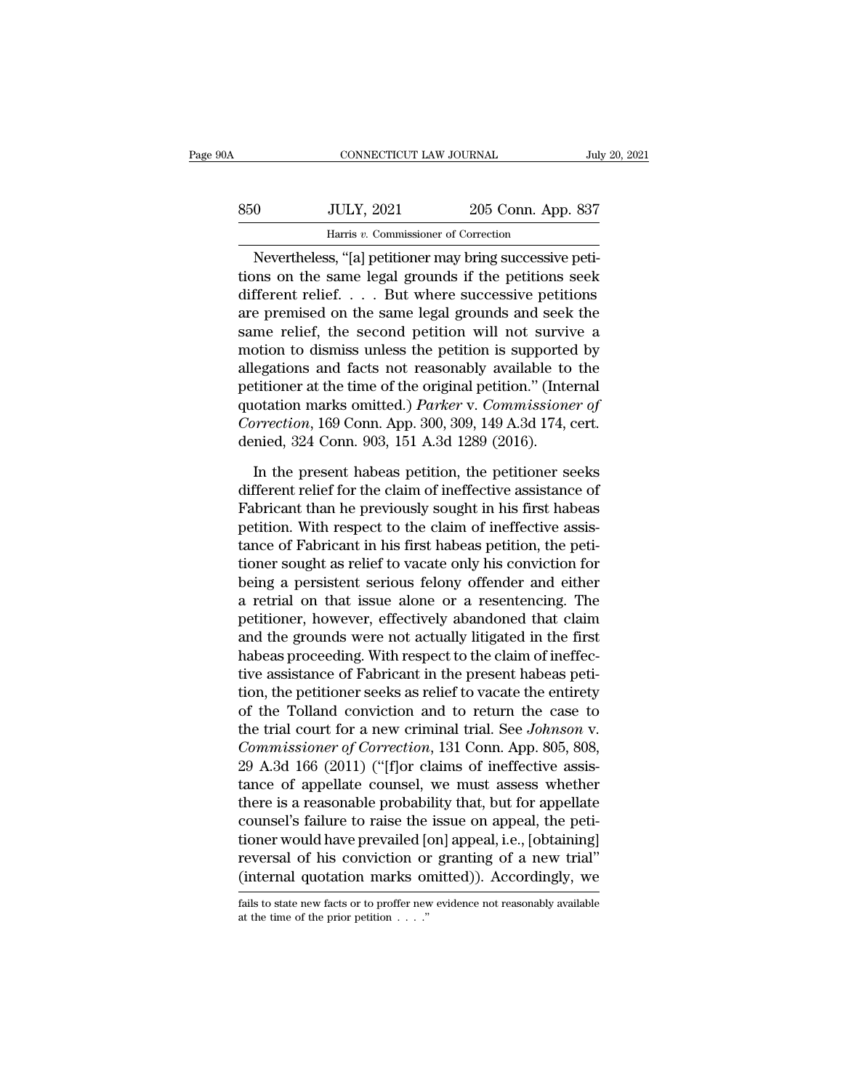| 0A  | CONNECTICUT LAW JOURNAL                                 |                    | July 20, 2021 |
|-----|---------------------------------------------------------|--------------------|---------------|
| 850 | <b>JULY, 2021</b>                                       | 205 Conn. App. 837 |               |
|     | Harris v. Commissioner of Correction                    |                    |               |
|     | Nevertheless "[a] netitioner may bring successive neti- |                    |               |

CONNECTICUT LAW JOURNAL<br>
0 JULY, 2021 205 Conn. App. 837<br>
Harris v. Commissioner of Correction<br>
Nevertheless, "[a] petitioner may bring successive peti-<br>
ons on the same legal grounds if the petitions seek<br>
fragant reliaf S50 JULY, 2021 205 Conn. App. 837<br>
Harris v. Commissioner of Correction<br>
Nevertheless, "[a] petitioner may bring successive petitions on the same legal grounds if the petitions seek<br>
different relief. . . . But where succe  $\begin{array}{c|c} \text{350} & \text{JULY, 2021} & \text{205 Conn. App. 837} \\ \hline \text{Harris } v. \text{ Commissioner of Correction} \\ \hline \text{Nevertheless, "[a] pettioner may bring successive petitions on the same legal grounds if the petitions seek different relief. . . . But where successive petitions are premised on the same legal grounds and seek the same relief, the second partition will not surprise.} \end{array}$  $\frac{350}{2021}$  205 Conn. App. 837<br>
Harris v. Commissioner of Correction<br>
Nevertheless, "[a] petitioner may bring successive petitions on the same legal grounds if the petitions seek<br>
different relief.... But where success Harris v. Commissioner of Correction<br>
Nevertheless, "[a] petitioner may bring successive peti-<br>
tions on the same legal grounds if the petitions seek<br>
different relief. . . . But where successive petitions<br>
are premised o Movertheless, "[a] petitioner may bring successive petitions on the same legal grounds if the petitions seek different relief.... But where successive petitions are premised on the same legal grounds and seek the same rel Nevertheless, "[a] petitioner may bring successive petitions on the same legal grounds if the petitions seek different relief. . . . But where successive petitions are premised on the same legal grounds and seek the same tions on the same legal grounds if the petitions seek<br>different relief.... But where successive petitions<br>are premised on the same legal grounds and seek the<br>same relief, the second petition will not survive a<br>motion to d different relief. . . . But where successive petitions<br>are premised on the same legal grounds and seek the<br>same relief, the second petition will not survive a<br>motion to dismiss unless the petition is supported by<br>allegatio are premised on the same legal grounds and seek the<br>same relief, the second petition will not survive a<br>motion to dismiss unless the petition is supported by<br>allegations and facts not reasonably available to the<br>petitioner same relief, the second petition will not survi-<br>motion to dismiss unless the petition is supporte-<br>allegations and facts not reasonably available to<br>petitioner at the time of the original petition." (Inter-<br>quotation mark egations and facts not reasonably available to the<br>titioner at the time of the original petition." (Internal<br>otation marks omitted.) *Parker* v. Commissioner of<br>prection, 169 Conn. App. 300, 309, 149 A.3d 174, cert.<br>nied, petitioner at the time of the original petition." (Internal<br>quotation marks omitted.) *Parker* v. Commissioner of<br>Correction, 169 Conn. App. 300, 309, 149 A.3d 174, cert.<br>denied, 324 Conn. 903, 151 A.3d 1289 (2016).<br>In the

quotation marks omitted.) *Parker* v. *Commissioner of*<br>Correction, 169 Conn. App. 300, 309, 149 A.3d 174, cert.<br>denied, 324 Conn. 903, 151 A.3d 1289 (2016).<br>In the present habeas petition, the petitioner seeks<br>different r Correction, 169 Conn. App. 300, 309, 149 A.3d 174, cert.<br>denied, 324 Conn. 903, 151 A.3d 1289 (2016).<br>In the present habeas petition, the petitioner seeks<br>different relief for the claim of ineffective assistance of<br>Fabrica denied, 324 Conn. 903, 151 A.3d 1289 (2016).<br>In the present habeas petition, the petitioner seeks<br>different relief for the claim of ineffective assistance of<br>Fabricant than he previously sought in his first habeas<br>petition In the present habeas petition, the petitioner seeks<br>different relief for the claim of ineffective assistance of<br>Fabricant than he previously sought in his first habeas<br>petition. With respect to the claim of ineffective as In the present habeas petition, the petitioner seeks<br>different relief for the claim of ineffective assistance of<br>Fabricant than he previously sought in his first habeas<br>petition. With respect to the claim of ineffective as different relief for the claim of ineffective assistance of<br>Fabricant than he previously sought in his first habeas<br>petition. With respect to the claim of ineffective assis-<br>tance of Fabricant in his first habeas petition, Fabricant than he previously sought in his first habeas<br>petition. With respect to the claim of ineffective assis-<br>tance of Fabricant in his first habeas petition, the peti-<br>tioner sought as relief to vacate only his convic petition. With respect to the claim of ineffective assistance of Fabricant in his first habeas petition, the petitioner sought as relief to vacate only his conviction for being a persistent serious felony offender and eith tance of Fabricant in his first habeas petition, the petitioner sought as relief to vacate only his conviction for being a persistent serious felony offender and either a retrial on that issue alone or a resentencing. The tioner sought as relief to vacate only his conviction for<br>being a persistent serious felony offender and either<br>a retrial on that issue alone or a resentencing. The<br>petitioner, however, effectively abandoned that claim<br>and being a persistent serious felony offender and either<br>a retrial on that issue alone or a resentencing. The<br>petitioner, however, effectively abandoned that claim<br>and the grounds were not actually litigated in the first<br>habe a retrial on that issue alone or a resentencing. The<br>petitioner, however, effectively abandoned that claim<br>and the grounds were not actually litigated in the first<br>habeas proceeding. With respect to the claim of ineffec-<br> petitioner, however, effectively abandoned that claim<br>and the grounds were not actually litigated in the first<br>habeas proceeding. With respect to the claim of ineffec-<br>tive assistance of Fabricant in the present habeas pet and the grounds were not actually litigated in the first<br>habeas proceeding. With respect to the claim of ineffec-<br>tive assistance of Fabricant in the present habeas peti-<br>tion, the petitioner seeks as relief to vacate the habeas proceeding. With respect to the claim of ineffective assistance of Fabricant in the present habeas petition, the petitioner seeks as relief to vacate the entirety of the Tolland conviction and to return the case to tive assistance of Fabricant in the present habeas petition, the petitioner seeks as relief to vacate the entirety of the Tolland conviction and to return the case to the trial court for a new criminal trial. See *Johnson* tion, the petitioner seeks as relief to vacate the entirety<br>of the Tolland conviction and to return the case to<br>the trial court for a new criminal trial. See Johnson v.<br>Commissioner of Correction, 131 Conn. App. 805, 808,<br> of the Tolland conviction and to return the case to<br>the trial court for a new criminal trial. See *Johnson* v.<br>*Commissioner of Correction*, 131 Conn. App. 805, 808,<br>29 A.3d 166 (2011) ("[f]or claims of ineffective assis-<br> the trial court for a new criminal trial. See *Johnson* v.<br>Commissioner of Correction, 131 Conn. App. 805, 808,<br>29 A.3d 166 (2011) ("[f]or claims of ineffective assis-<br>tance of appellate counsel, we must assess whether<br>the Commissioner of Correction, 131 Conn. App. 805, 808,<br>29 A.3d 166 (2011) ("[f]or claims of ineffective assis-<br>tance of appellate counsel, we must assess whether<br>there is a reasonable probability that, but for appellate<br>coun 29 A.3d 166 (2011) ("[f]or claims of ineffective assistance of appellate counsel, we must assess whether there is a reasonable probability that, but for appellate counsel's failure to raise the issue on appeal, the petitio counsel's failure to raise the issue on appeal, the petitioner would have prevailed [on] appeal, i.e., [obtaining] reversal of his conviction or granting of a new trial" (internal quotation marks omitted)). Accordingly, w (internal quotation marks omitted)). Accordingly, we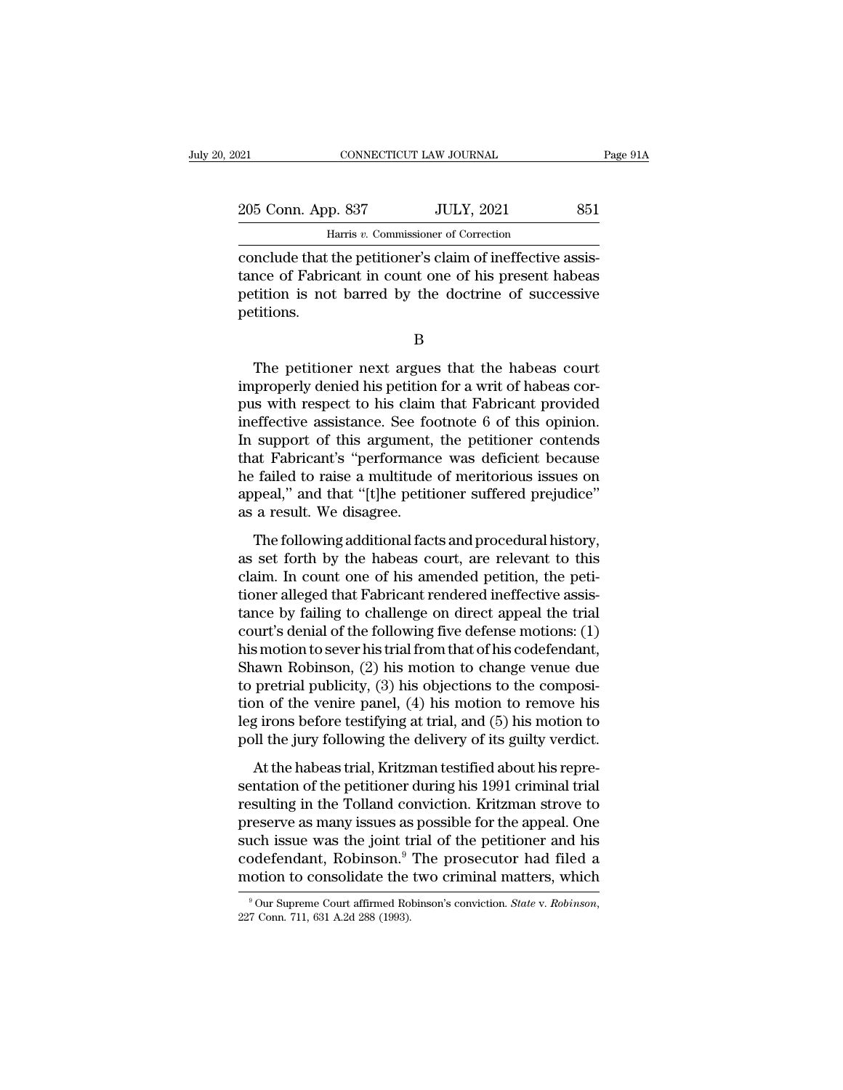| 121 |                    | CONNECTICUT LAW JOURNAL                                    | Page 91A |
|-----|--------------------|------------------------------------------------------------|----------|
|     |                    |                                                            |          |
|     | 205 Conn. App. 837 | <b>JULY, 2021</b>                                          | 851      |
|     |                    | Harris v. Commissioner of Correction                       |          |
|     |                    | conclude that the petitioner's claim of ineffective assis- |          |

connectricut LAW JOURNAL<br>
205 Conn. App. 837 JULY, 2021 851<br>
Harris v. Commissioner of Correction<br>
conclude that the petitioner's claim of ineffective assis-<br>
tance of Fabricant in count one of his present habeas 205 Conn. App. 837 JULY, 2021 851<br>
Harris v. Commissioner of Correction<br>
conclude that the petitioner's claim of ineffective assis-<br>
tance of Fabricant in count one of his present habeas<br>
petitions is not barred by the doc 205 Conn. App. 837 JULY, 2021 851<br>
Harris v. Commissioner of Correction<br>
conclude that the petitioner's claim of ineffective assis-<br>
tance of Fabricant in count one of his present habeas<br>
petition is not barred by the doc petitions. nclude that the petitioner's claim of ineffective assis-<br>nce of Fabricant in count one of his present habeas<br>tition is not barred by the doctrine of successive<br>titions.<br>B<br>The petitioner next argues that the habeas court<br>pr

B

tance of Fabricant in count one of his present habeas<br>petition is not barred by the doctrine of successive<br>petitions.<br>B<br>The petitioner next argues that the habeas court<br>improperly denied his petition for a writ of habeas c petition is not barred by the doctrine of successive<br>petitions.<br>B<br>The petitioner next argues that the habeas court<br>improperly denied his petition for a writ of habeas cor-<br>pus with respect to his claim that Fabricant provi B<br>
B<br>
The petitioner next argues that the habeas court<br>
improperly denied his petition for a writ of habeas cor-<br>
pus with respect to his claim that Fabricant provided<br>
ineffective assistance. See footnote 6 of this opinio B<br>
In the petitioner next argues that the habeas court<br>
improperly denied his petition for a writ of habeas cor-<br>
pus with respect to his claim that Fabricant provided<br>
ineffective assistance. See footnote 6 of this opinio The petitioner next argues that the habeas court<br>
improperly denied his petition for a writ of habeas cor-<br>
pus with respect to his claim that Fabricant provided<br>
ineffective assistance. See footnote 6 of this opinion.<br>
In The petitioner next argues that the habeas court<br>improperly denied his petition for a writ of habeas cor-<br>pus with respect to his claim that Fabricant provided<br>ineffective assistance. See footnote 6 of this opinion.<br>In sup improperly denied his petition for a writ of habeas corpus with respect to his claim that Fabricant provided ineffective assistance. See footnote 6 of this opinion. In support of this argument, the petitioner contends that pus with respect to his claim<br>ineffective assistance. See footh<br>In support of this argument,<br>that Fabricant's "performanc<br>he failed to raise a multitude<br>appeal," and that "[t]he petiti<br>as a result. We disagree.<br>The followi Support of this argument, the petitioner contends<br>at Fabricant's "performance was deficient because<br>failed to raise a multitude of meritorious issues on<br>peal," and that "[t]he petitioner suffered prejudice"<br>a result. We di In suppose of this algorithm, the perficient because<br>that Fabricant's "performance was deficient because<br>he failed to raise a multitude of meritorious issues on<br>appeal," and that "[t]he petitioner suffered prejudice"<br>as a

Fortunated was deriver to detail to the failed to raise a multitude of meritorious issues on appeal," and that "[t]he petitioner suffered prejudice" as a result. We disagree.<br>The following additional facts and procedural h the random of that "[t]he petitioner suffered prejudice"<br>as a result. We disagree.<br>The following additional facts and procedural history,<br>as set forth by the habeas court, are relevant to this<br>claim. In count one of his am the following additional facts and procedural history,<br>as a result. We disagree.<br>The following additional facts and procedural history,<br>as set forth by the habeas court, are relevant to this<br>claim. In count one of his amen The following additional facts and procedural history,<br>as set forth by the habeas court, are relevant to this<br>claim. In count one of his amended petition, the peti-<br>tioner alleged that Fabricant rendered ineffective assis The following additional facts and procedural history,<br>as set forth by the habeas court, are relevant to this<br>claim. In count one of his amended petition, the peti-<br>tioner alleged that Fabricant rendered ineffective assis as set forth by the habeas court, are relevant to this<br>claim. In count one of his amended petition, the peti-<br>tioner alleged that Fabricant rendered ineffective assis-<br>tance by failing to challenge on direct appeal the tri claim. In count one of his amended petition, the petitioner alleged that Fabricant rendered ineffective assistance by failing to challenge on direct appeal the trial court's denial of the following five defense motions: (1 tioner alleged that Fabricant rendered ineffective assistance by failing to challenge on direct appeal the trial<br>court's denial of the following five defense motions: (1)<br>his motion to sever his trial from that of his code tance by failing to challenge on direct appeal the trial<br>court's denial of the following five defense motions: (1)<br>his motion to sever his trial from that of his codefendant,<br>Shawn Robinson, (2) his motion to change venue court's denial of the following five defense motions: (1)<br>his motion to sever his trial from that of his codefendant,<br>Shawn Robinson, (2) his motion to change venue due<br>to pretrial publicity, (3) his objections to the comp At the habeas trial, and the hand state of the concrete paral, a<br>payr Robinson, (2) his motion to change venue due<br>pretrial publicity, (3) his objections to the composi-<br>on of the venire panel, (4) his motion to remove hi shawn results of, (2) his model to enarge vends are<br>to pretrial publicity, (3) his objections to the composi-<br>tion of the venire panel, (4) his motion to remove his<br>leg irons before testifying at trial, and (5) his motion

resulting functions, (c) and objects the tom composition of the venire panel, (4) his motion to remove his leg irons before testifying at trial, and (5) his motion to poll the jury following the delivery of its guilty ver beg irons before testifying at trial, and (5) his motion to<br>poll the jury following the delivery of its guilty verdict.<br>At the habeas trial, Kritzman testified about his repre-<br>sentation of the petitioner during his 1991 such settle essatying as that, and (b) his modern to<br>poll the jury following the delivery of its guilty verdict.<br>At the habeas trial, Kritzman testified about his repre-<br>sentation of the petitioner during his 1991 crimina At the habeas trial, Kritzman testified about his representation of the petitioner during his 1991 criminal trial resulting in the Tolland conviction. Kritzman strove to preserve as many issues as possible for the appeal. At the habeas trial, Kritzman testified about his representation of the petitioner during his 1991 criminal trial<br>resulting in the Tolland conviction. Kritzman strove to<br>preserve as many issues as possible for the appeal. preserve as many issues as possible for the appeal. One such issue was the joint trial of the petitioner and his codefendant, Robinson.<sup>9</sup> The prosecutor had filed a motion to consolidate the two criminal matters, which  $\$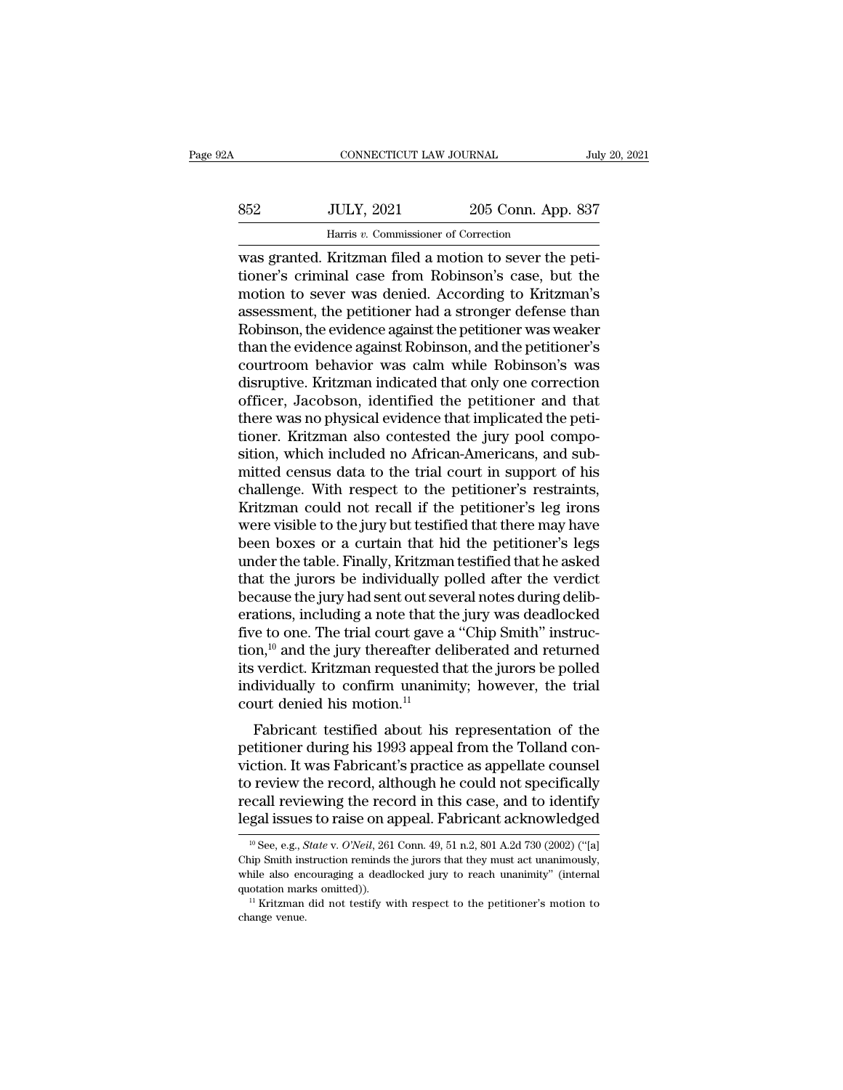| Α   | CONNECTICUT LAW JOURNAL                                |                    | July 20, 2021 |
|-----|--------------------------------------------------------|--------------------|---------------|
| 852 | <b>JULY, 2021</b>                                      | 205 Conn. App. 837 |               |
|     | Harris v. Commissioner of Correction                   |                    |               |
|     | was granted Kritzman filed a motion to sever the neti- |                    |               |

CONNECTICUT LAW JOURNAL<br>
S52 JULY, 2021 205 Conn. App. 837<br>
Harris v. Commissioner of Correction<br>
was granted. Kritzman filed a motion to sever the peti-<br>
tioner's criminal case from Robinson's case, but the<br>
motion to sev SE2 JULY, 2021 205 Conn. App. 837<br>
Harris v. Commissioner of Correction<br>
was granted. Kritzman filed a motion to sever the petitioner's criminal case from Robinson's case, but the<br>
motion to sever was denied. According to  $\frac{352}{1000}$  JULY, 2021 205 Conn. App. 837<br>
Harris v. Commissioner of Correction<br>
was granted. Kritzman filed a motion to sever the peti-<br>
tioner's criminal case from Robinson's case, but the<br>
motion to sever was denied  $\begin{array}{ll} \text{352} & \text{JULY, 2021} & \text{205 Conn. App. 837} \\ \hline \text{Harris } v. \text{ Commissioner of Correction} \\ \text{was granted. Kritzman filed a motion to sever the peti-  
tioner's criminal case from Robinson's case, but the  
motion to sever was denied. According to Kritzman's  
assessment, the petitioner had a stronger defense than  
Robinson, the evidence against the petitioner was weaker  
than the evidence against Robinson, and the notificationer's$ Harris v. Commissioner of Correction<br>was granted. Kritzman filed a motion to sever the peti-<br>tioner's criminal case from Robinson's case, but the<br>motion to sever was denied. According to Kritzman's<br>assessment, the petitio Harris v. Commissioner of Correction<br>
was granted. Kritzman filed a motion to sever the peti-<br>
tioner's criminal case from Robinson's case, but the<br>
motion to sever was denied. According to Kritzman's<br>
assessment, the peti was granted. Kritzman filed a motion to sever the petitioner's criminal case from Robinson's case, but the motion to sever was denied. According to Kritzman's assessment, the petitioner had a stronger defense than Robinson tioner's criminal case from Robinson's case, but the<br>motion to sever was denied. According to Kritzman's<br>assessment, the petitioner had a stronger defense than<br>Robinson, the evidence against the petitioner was weaker<br>than motion to sever was denied. According to Kritzman's<br>assessment, the petitioner had a stronger defense than<br>Robinson, the evidence against the petitioner was weaker<br>than the evidence against Robinson, and the petitioner's<br>c assessment, the petitioner had a stronger defense than<br>Robinson, the evidence against the petitioner was weaker<br>than the evidence against Robinson, and the petitioner's<br>courtroom behavior was calm while Robinson's was<br>disr Robinson, the evidence against the petitioner was weaker<br>than the evidence against Robinson, and the petitioner's<br>courtroom behavior was calm while Robinson's was<br>disruptive. Kritzman indicated that only one correction<br>off than the evidence against Robinson, and the petitioner's<br>courtroom behavior was calm while Robinson's was<br>disruptive. Kritzman indicated that only one correction<br>officer, Jacobson, identified the petitioner and that<br>there courtroom behavior was calm while Robinson's was<br>disruptive. Kritzman indicated that only one correction<br>officer, Jacobson, identified the petitioner and that<br>there was no physical evidence that implicated the peti-<br>tioner disruptive. Kritzman indicated that only one correction<br>officer, Jacobson, identified the petitioner and that<br>there was no physical evidence that implicated the peti-<br>tioner. Kritzman also contested the jury pool compo-<br>si officer, Jacobson, identified the petitioner and that<br>there was no physical evidence that implicated the peti-<br>tioner. Kritzman also contested the jury pool compo-<br>sition, which included no African-Americans, and sub-<br>mitt there was no physical evidence that implicated the petitioner. Kritzman also contested the jury pool composition, which included no African-Americans, and submitted census data to the trial court in support of his challeng tioner. Kritzman also contested the jury pool composition, which included no African-Americans, and sub-<br>mitted census data to the trial court in support of his<br>challenge. With respect to the petitioner's restraints,<br>Kritz sition, which included no African-Americans, and sub-<br>mitted census data to the trial court in support of his<br>challenge. With respect to the petitioner's restraints,<br>Kritzman could not recall if the petitioner's leg irons<br> mitted census data to the trial court in support of his challenge. With respect to the petitioner's restraints, Kritzman could not recall if the petitioner's leg irons were visible to the jury but testified that there may challenge. With respect to the petitioner's restraints,<br>Kritzman could not recall if the petitioner's leg irons<br>were visible to the jury but testified that there may have<br>been boxes or a curtain that hid the petitioner's l Kritzman could not recall if the petitioner's leg irons<br>were visible to the jury but testified that there may have<br>been boxes or a curtain that hid the petitioner's legs<br>under the table. Finally, Kritzman testified that he were visible to the jury but testified that there may have<br>been boxes or a curtain that hid the petitioner's legs<br>under the table. Finally, Kritzman testified that he asked<br>that the jurors be individually polled after the been boxes or a curtain that hid the petitioner's legs<br>under the table. Finally, Kritzman testified that he asked<br>that the jurys be individually polled after the verdict<br>because the jury had sent out several notes during d under the table. Finally, Kritzman testified that he asked<br>that the jurors be individually polled after the verdict<br>because the jury had sent out several notes during delib-<br>erations, including a note that the jury was dea that the jurors be individually polled after the verdict<br>because the jury had sent out several notes during delib-<br>erations, including a note that the jury was deadlocked<br>five to one. The trial court gave a "Chip Smith" i because the jury had sent out severations, including a note that th<br>five to one. The trial court gave  $\varepsilon$ <br>tion,<sup>10</sup> and the jury thereafter de<br>its verdict. Kritzman requested th<br>individually to confirm unanimi<br>court den Fabricant testified about his representation of the triangle parameter of the function,<sup>10</sup> and the jury thereafter deliberated and returned verdict. Kritzman requested that the jurors be polled dividually to confirm unan more to one. The that court gave a chip sinual instruction,<sup>10</sup> and the jury thereafter deliberated and returned<br>its verdict. Kritzman requested that the jurors be polled<br>individually to confirm unanimity; however, the tr

Fraction, and the jury therefore denoerated and returned<br>its verdict. Kritzman requested that the jurors be polled<br>individually to confirm unanimity; however, the trial<br>court denied his motion.<sup>11</sup><br>Fabricant testified abo to reflect that the juriors be police individually to confirm unanimity; however, the trial court denied his motion.<sup>11</sup><br>Fabricant testified about his representation of the petitioner during his 1993 appeal from the Tolla recourt denied his motion.<sup>11</sup><br>Fabricant testified about his representation of the<br>petitioner during his 1993 appeal from the Tolland con-<br>viction. It was Fabricant's practice as appellate counsel<br>to review the record, alt Fabricant testified about his representation of the<br>petitioner during his 1993 appeal from the Tolland con-<br>viction. It was Fabricant's practice as appellate counsel<br>to review the record, although he could not specificall ction. It was Fabricant's practice as appellate counsel<br>o review the record, although he could not specifically<br>ecall reviewing the record in this case, and to identify<br>gal issues to raise on appeal. Fabricant acknowledged to review the record, although he could not specifically<br>recall reviewing the record in this case, and to identify<br>legal issues to raise on appeal. Fabricant acknowledged<br> $\frac{10 \text{ See, e.g., State v. O'Neil, } 261 \text{ Conn. } 49, 51 \text{ n.2, } 80$ 

recall reviewing the record in this case, and to identify legal issues to raise on appeal. Fabricant acknowledged<br> $\frac{10 \text{ See, e.g., State v. O'Neil, } 261 \text{ Conn. } 49, 51 \text{ n.2, } 801 \text{ A.2d } 730 \text{ (2002) ("[a] Chip Smith instruction reminds the jurors that they must act unanimously, while also encouraged a deadlocked jury to reach unanimity" (internal$ degal issues to raise on appeal. Fabricant acknowledged<br>  $\frac{10}{10}$  See, e.g., *State v. O'Neil*, 261 Conn. 49, 51 n.2, 801 A.2d 730 (2002) ("[a]<br>
Chip Smith instruction reminds the jurors that they must act unanimously,  $^{10}$  See, e.g., *State v. O'Neil*, 261 Conn. 49, 51 n.2, 801 A.2d 730 (2002) ("[a] Chip Smith instruction reminds the jurors that they must act unanimously, while also encouraging a deadlocked jury to reach unanimity" (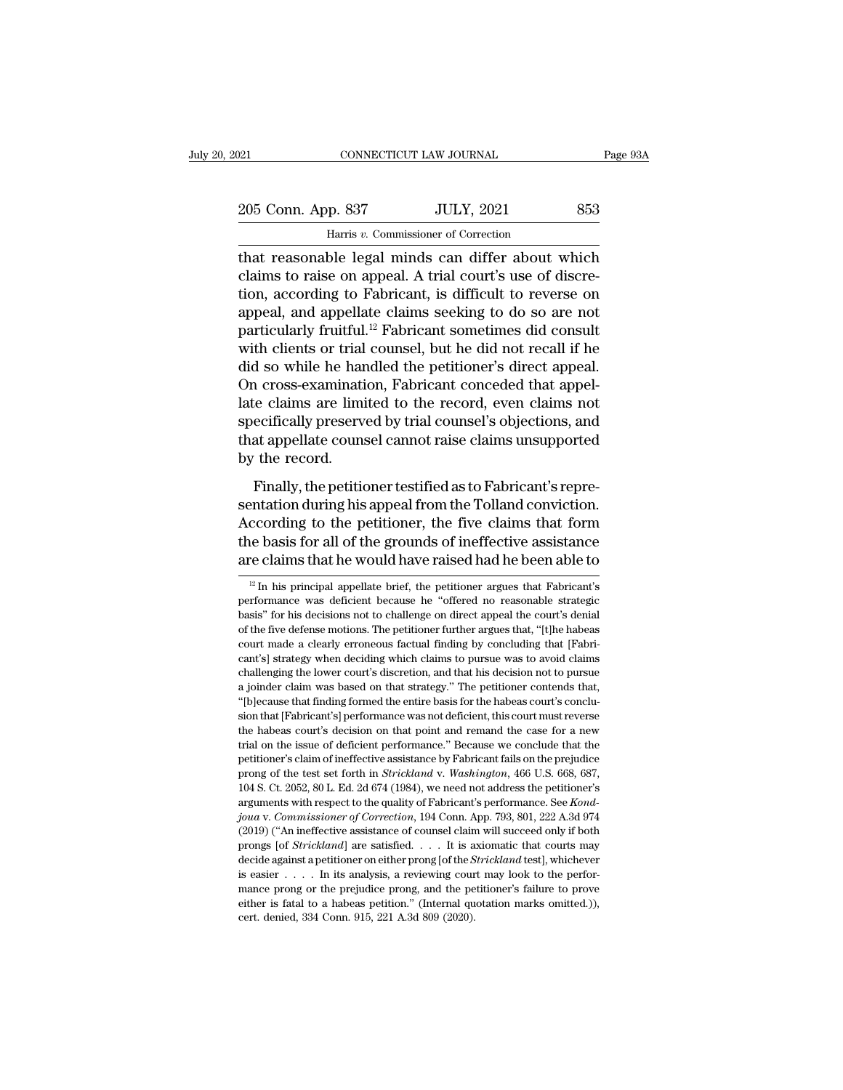| 121 |                    | CONNECTICUT LAW JOURNAL                            | Page 93A |
|-----|--------------------|----------------------------------------------------|----------|
|     |                    |                                                    |          |
|     | 205 Conn. App. 837 | <b>JULY, 2021</b>                                  | 853      |
|     |                    | Harris v. Commissioner of Correction               |          |
|     |                    | that reasonable legal minds can differ about which |          |

The reasonable legal minds can differ about which<br>that reasonable legal minds can differ about which<br>claims to raise on appeal. A trial court's use of discretion according to Ephricant is difficult to reverse on 205 Conn. App. 837 JULY, 2021 853<br>
Harris v. Commissioner of Correction<br>
that reasonable legal minds can differ about which<br>
claims to raise on appeal. A trial court's use of discre-<br>
tion, according to Fabricant, is diffi 205 Conn. App. 837 JULY, 2021 853<br>
Harris v. Commissioner of Correction<br>
that reasonable legal minds can differ about which<br>
claims to raise on appeal. A trial court's use of discre-<br>
tion, according to Fabricant, is diff 205 Conn. App. 837 JULY, 2021 853<br>
Harris v. Commissioner of Correction<br>
that reasonable legal minds can differ about which<br>
claims to raise on appeal. A trial court's use of discre-<br>
tion, according to Fabricant, is diff Harris v. Commissioner of Correction<br>that reasonable legal minds can differ about which<br>claims to raise on appeal. A trial court's use of discre-<br>tion, according to Fabricant, is difficult to reverse on<br>appeal, and appell marks v. Commissioner of Correction<br>that reasonable legal minds can differ about which<br>claims to raise on appeal. A trial court's use of discre-<br>tion, according to Fabricant, is difficult to reverse on<br>appeal, and appella that reasonable legal minds can differ about which<br>claims to raise on appeal. A trial court's use of discre-<br>tion, according to Fabricant, is difficult to reverse on<br>appeal, and appellate claims seeking to do so are not<br>pa claims to raise on appeal. A trial court's use of discretion, according to Fabricant, is difficult to reverse on appeal, and appellate claims seeking to do so are not particularly fruitful.<sup>12</sup> Fabricant sometimes did cons tion, according to Fabricant, is difficult to reverse on<br>appeal, and appellate claims seeking to do so are not<br>particularly fruitful.<sup>12</sup> Fabricant sometimes did consult<br>with clients or trial counsel, but he did not recall appeal, and appellate claims seeking to do so are not<br>particularly fruitful.<sup>12</sup> Fabricant sometimes did consult<br>with clients or trial counsel, but he did not recall if he<br>did so while he handled the petitioner's direct ap particularly fruitful.<sup>12</sup> Fabricant sometimes did consult<br>with clients or trial counsel, but he did not recall if he<br>did so while he handled the petitioner's direct appeal.<br>On cross-examination, Fabricant conceded that ap with clients or trial<br>did so while he har<br>On cross-examinati<br>late claims are limi<br>specifically preserv<br>that appellate couns<br>by the record.<br>Finally, the petitic In cross-examination, Fabricant conceded that appel-<br>The claims are limited to the record, even claims not<br>ecifically preserved by trial counsel's objections, and<br>at appellate counsel cannot raise claims unsupported<br>the re late claims are limited to the record, even claims not<br>specifically preserved by trial counsel's objections, and<br>that appellate counsel cannot raise claims unsupported<br>by the record.<br>Finally, the petitioner testified as to

specifically preserved by trial counsel's objections, and<br>that appellate counsel cannot raise claims unsupported<br>by the record.<br>Finally, the petitioner testified as to Fabricant's repre-<br>sentation during his appeal from th that appellate counsel cannot raise claims unsupported<br>by the record.<br>Finally, the petitioner testified as to Fabricant's repre-<br>sentation during his appeal from the Tolland conviction.<br>According to the petitioner, the fiv by the record.<br>Finally, the petitioner testified as to Fabricant's representation during his appeal from the Tolland conviction.<br>According to the petitioner, the five claims that form<br>the basis for all of the grounds of i sentation during his appeal from the Tolland conviction.<br>According to the petitioner, the five claims that form<br>the basis for all of the grounds of ineffective assistance<br>are claims that he would have raised had he been a According to the petitioner, the five claims that form<br>the basis for all of the grounds of ineffective assistance<br>are claims that he would have raised had he been able to<br> $\frac{12 \text{ In}}{2 \text{ In}}$  his principal appellate brief,

the basis for all of the grounds of ineffective assistance<br>are claims that he would have raised had he been able to<br> $\frac{12 \text{ In}}{\text{In}}$  his principal appellate brief, the petitioner argues that Fabricant's<br>performance was d are claims that he would have raised had he been able to  $\frac{12 \text{ In}}{12 \text{ In}}$  his principal appellate brief, the petitioner argues that Fabricant's performance was deficient because he "offered no reasonable strategic bas  $\frac{12 \text{ In}}{2 \text{ In}}$  his principal appellate brief, the petitioner argues that Fabricant's performance was deficient because he "offered no reasonable strategic basis" for his decisions not to challenge on direct appeal th <sup>12</sup> In his principal appellate brief, the petitioner argues that Fabricant's performance was deficient because he "offered no reasonable strategic basis" for his decisions not to challenge on direct appeal the court's de performance was deficient because he "offered no reasonable strategic basis" for his decisions not to challenge on direct appeal the court's denial of the five defense motions. The petitioner further argues that, "[t]he ha basis" for his decisions not to challenge on direct appeal the court's denial of the five defense motions. The petitioner further argues that, "[t]he habeas court made a clearly erroneous factual finding by concluding that of the five defense motions. The petitioner further argues that, "[t]he habeas court made a clearly erroneous factual finding by concluding that [Fabricant's] strategy when deciding which claims to pursue was to avoid clai structure and a clearly erroneous factual finding by concluding that [Fabricant's] strategy when deciding which claims to pursue was to avoid claims challenging the lower court's discretion, and that his decision not to pu cant's] strategy when deciding which claims to pursue was to avoid claims<br>challenging the lower court's discretion, and that his decision not to pursue<br>a joinder claim was based on that strategy." The petitioner contends t etable performance of the issue of deficient of and that his decision not to pursue<br>a joinder claim was based on that strategy." The petitioner contends that,<br>"[b]ecause that finding formed the entire basis for the habeas a ionder claim was based on that strategy." The petitioner contends that, "(b)ecause that finding formed the entire basis for the habeas court's conclusion that [Fabricant's] performance was not deficient, this court must <sup>2</sup> (b) ecause that finding formed the entire basis for the habeas court's conclusion that [Fabricant's] performance was not deficient, this court must reverse the habeas court's decision on that point and remand the case 104 Islam and Teachington and the case of deficient, this court must reverse the habeas court's decision on that point and remand the case for a new trial on the issue of deficient performance." Because we conclude that th the habeas court's decision on that point and remand the case for a new trial on the issue of deficient performance." Because we conclude that the petitioner's claim of ineffective assistance by Fabricant fails on the prej are in the issue of deficient performance." Because we conclude that the petitioner's claim of ineffective assistance by Fabricant fails on the prejudice prong of the test set forth in *Strickland* v. *Washington*, 466 U.S petitioner's claim of ineffective assistance by Fabricant fails on the prejudice<br>prong of the test set forth in *Strickland* v. Washington, 466 U.S. 668, 687,<br>104 S. Ct. 2052, 80 L. Ed. 2d 674 (1984), we need not address t prong of the test set forth in *Strickland* v. *Washington*, 466 U.S. 668, 687, 104 S. Ct. 2052, 80 L. Ed. 2d 674 (1984), we need not address the petitioner's arguments with respect to the quality of Fabricant's performanc 104 S. Ct. 2052, 80 L. Ed. 2d 674 (1984), we need not address the petitioner's arguments with respect to the quality of Fabricant's performance. See *Kondjoua* v. *Commissioner of Correction*, 194 Conn. App. 793, 801, 222 arguments with respect to the quality of Fabricant's performance. See Kond-<br>joua v. Commissioner of Correction, 194 Conn. App. 793, 801, 222 A.3d 974<br>(2019) ("An ineffective assistance of counsel claim will succeed only i mance prong or the prejudice prong, and the petitioner's failure proves either is failure prompt (2019) ("An ineffective assistance of counsel claim will succeed only if both prongs [of *Strickland*] are satisfied. . . . (2019) ("An ineffective assistance of counsel claim will succeed only if both prongs [of *Strickland*] are satisfied. . . . . It is axiomatic that courts may decide against a petitioner on either prong [of the *Strickland* prongs [of Strickland] are satisfied. . . . It is axiomatic that courts may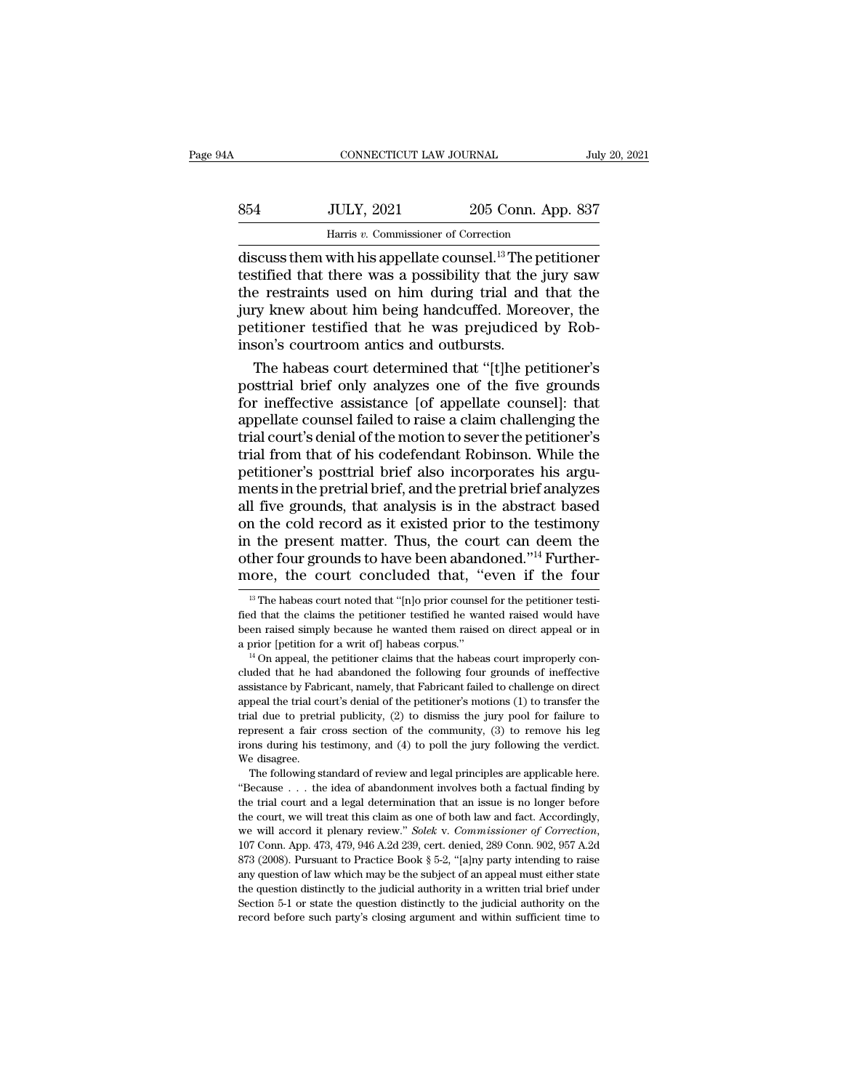|     | CONNECTICUT LAW JOURNAL                                               |                    | July 20, 2021 |
|-----|-----------------------------------------------------------------------|--------------------|---------------|
|     |                                                                       |                    |               |
| 854 | <b>JULY, 2021</b>                                                     | 205 Conn. App. 837 |               |
|     | Harris v. Commissioner of Correction                                  |                    |               |
|     | discuss them with his appellate counsel. <sup>13</sup> The petitioner |                    |               |

CONNECTICUT LAW JOURNAL July 20, 2021<br>
854 JULY, 2021 205 Conn. App. 837<br>
Harris v. Commissioner of Correction<br>
discuss them with his appellate counsel.<sup>13</sup> The petitioner<br>
testified that there was a possibility that the j S54 JULY, 2021 205 Conn. App. 837<br>
Harris v. Commissioner of Correction<br>
discuss them with his appellate counsel.<sup>13</sup> The petitioner<br>
testified that there was a possibility that the jury saw<br>
the restraints used on him dur  $\begin{array}{r} \text{354} & \text{JULY, } 2021 & 205 \text{ Conn. App. } 837 \\ \text{Harris } v. \text{ Commissioner of Correction} \end{array}$  discuss them with his appellate counsel.<sup>13</sup> The petitioner testified that there was a possibility that the jury saw the restraints used on him during  $$\text{JULY, 2021}$$  205 Conn. App. 837<br>
Harris v. Commissioner of Correction<br>
discuss them with his appellate counsel.<sup>13</sup> The petitioner<br>
testified that there was a possibility that the jury saw<br>
the restraints used on him d Frame is a contribution of Correction<br>discuss them with his appellate counsel.<sup>13</sup> The petitioner<br>testified that there was a possibility that the jury saw<br>the restraints used on him during trial and that the<br>jury knew abo Harris  $v$ . Commissioner of Correction<br>discuss them with his appellate counsel.<sup>13</sup> The p<br>testified that there was a possibility that the<br>the restraints used on him during trial and<br>jury knew about him being handcuffed. M scuss them with his appellate counsel.<sup>13</sup> The petitioner<br>stified that there was a possibility that the jury saw<br>e restraints used on him during trial and that the<br>ty knew about him being handcuffed. Moreover, the<br>titioner testified that there was a possibility that the jury saw<br>the restraints used on him during trial and that the<br>jury knew about him being handcuffed. Moreover, the<br>petitioner testified that he was prejudiced by Rob-<br>inson's

the restraints used on him during trial and that the<br>jury knew about him being handcuffed. Moreover, the<br>petitioner testified that he was prejudiced by Rob-<br>inson's courtroom antics and outbursts.<br>The habeas court determin jury knew about him being handcuffed. Moreover, the<br>petitioner testified that he was prejudiced by Rob-<br>inson's courtroom antics and outbursts.<br>The habeas court determined that "[t]he petitioner's<br>posttrial brief only anal petitioner testified that he was prejudiced by Robinson's courtroom antics and outbursts.<br>The habeas court determined that "[t]he petitioner's<br>posttrial brief only analyzes one of the five grounds<br>for ineffective assistanc inson's courtroom antics and outbursts.<br>The habeas court determined that "[t]he petitioner's<br>posttrial brief only analyzes one of the five grounds<br>for ineffective assistance [of appellate counsel]: that<br>appellate counsel f The habeas court determined that "[t]he petitioner's<br>posttrial brief only analyzes one of the five grounds<br>for ineffective assistance [of appellate counsel]: that<br>appellate counsel failed to raise a claim challenging the<br>t posttrial brief only analyzes one of the five grounds<br>for ineffective assistance [of appellate counsel]: that<br>appellate counsel failed to raise a claim challenging the<br>trial court's denial of the motion to sever the petiti for ineffective assistance [of appellate counsel]: that<br>appellate counsel failed to raise a claim challenging the<br>trial court's denial of the motion to sever the petitioner's<br>trial from that of his codefendant Robinson. Wh appellate counsel failed to raise a claim challenging the<br>trial court's denial of the motion to sever the petitioner's<br>trial from that of his codefendant Robinson. While the<br>petitioner's posttrial brief also incorporates h trial court's denial of the motion to sever the petitioner's<br>trial from that of his codefendant Robinson. While the<br>petitioner's posttrial brief also incorporates his argu-<br>ments in the pretrial brief, and the pretrial bri trial from that of his codefendant Robinson. While the petitioner's posttrial brief also incorporates his arguments in the pretrial brief, and the pretrial brief analyzes all five grounds, that analysis is in the abstract petitioner's posttrial brief also incorporates his arguments in the pretrial brief, and the pretrial brief analyzes all five grounds, that analysis is in the abstract based on the cold record as it existed prior to the tes In the cold record as it existed prior to the testimony<br>
1 the present matter. Thus, the court can deem the<br>
ther four grounds to have been abandoned."<sup>14</sup> Further-<br>
10 ore, the court concluded that, "even if the four<br>
<sup>1</sup> in the present matter. Thus, the court can deem the other four grounds to have been abandoned."<sup>14</sup> Furthermore, the court concluded that, "even if the four  $\frac{13}{12}$  The habeas court noted that "[n]o prior counsel for

The trial court and a legal determination that an issue is no longer before that and a legal principles are applicable here.<br>The following standard of review and legal principles are applicable here.<br>"Because . . . the id the court, we will stead of review and legal principles are applicable here.<br>We disagree.<br>The following standard of review and legal principles are applicable here.<br>"Because  $\ldots$  the idea of abandomment involves both a f We disagree.<br>
The following standard of review and legal principles are applicable here.<br>
"Because . . . the idea of abandonment involves both a factual finding by<br>
the trial court and a legal determination that an issue i "Because  $\ldots$  the idea of abandomment involves both a factual finding by the trial court and a legal determination that an issue is no longer before the court, we will treat this claim as one of both law and fact. Accord the trial court and a legal determination that an issue is no longer before the court, we will treat this claim as one of both law and fact. Accordingly, we will accord it plenary review." *Solek v. Commissioner of Correc* the court, we will treat this claim as one of both law and fact. Accordingly, we will accord it plenary review." *Solek v. Commissioner of Correction*, 107 Conn. App. 473, 479, 946 A.2d 239, cert. denied, 289 Conn. 902, 9 we will accord it plenary review." Solek v. Commissioner of Correction,<br>the will accord it plenary review." Solek v. Commissioner of Correction,<br>107 Conn. App. 473, 479, 946 A.2d 239, cert. denied, 289 Conn. 902, 957 A.2d<br> we will accord it plenary review." Solek v. Commissioner of Correction, 107 Conn. App. 473, 479, 946 A.2d 239, cert. denied, 289 Conn. 902, 957 A.2d 873 (2008). Pursuant to Practice Book § 5-2, "[a]ny party intending to r

other four grounds to have been abandoned."<sup>14</sup> Furthermore, the court concluded that, "even if the four  $\overline{B}$ " The habeas court noted that "[n]o prior counsel for the petitioner testified that the claims the petitioner more, the court concluded that, "even if the four  $\frac{1}{18}$  The habeas court noted that "[n]o prior counsel for the petitioner testified that the claims the petitioner testified he wanted raised would have been raised si

<sup>&</sup>lt;sup>13</sup> The habeas court noted that "[n]o prior counsel for the petitioner testified that the claims the petitioner testified he wanted raised would have been raised simply because he wanted them raised on direct appeal or i fied that the claims the petitioner testified he wanted raised would have been raised simply because he wanted them raised on direct appeal or in a prior [petition for a writ of] habeas corpus."<br> $^{14}$  On appeal, the peti been raised simply because he wanted them raised on direct appeal or in<br>a prior [petition for a writ of] habeas corpus."<br><sup>14</sup> On appeal, the petitioner claims that the habeas court improperly con-<br>cluded that he had abando a prior [petition for a writ of] habeas corpus."<br>
<sup>14</sup> On appeal, the petitioner claims that the habeas court improperly concluded that he had abandoned the following four grounds of ineffective assistance by Fabricant, n <sup>14</sup> On appeal, the petitioner claims that the habeas court improperly concluded that he had abandoned the following four grounds of ineffective assistance by Fabricant, namely, that Fabricant failed to challenge on direc included that he had abandoned the following four grounds of ineffective assistance by Fabricant, namely, that Fabricant failed to challenge on direct appeal the trial court's denial of the petitioner's motions (1) to tran % assistance by Fabricant, namely, that Fabricant failed to challenge on direct appeal the trial court's denial of the petitioner's motions (1) to transfer the trial due to pretrial publicity, (2) to dismiss the jury pool peal the trial court's denial of the petitioner's motions (1) to transfer the al due to pretrial publicity, (2) to dismiss the jury pool for failure to present a fair cross section of the community, (3) to remove his leg o Expect and the unit of the interval due to pretrial publicity, (2) to dismiss the jury pool for failure to represent a fair cross section of the community, (3) to remove his leg irons during his testimony, and (4) to poll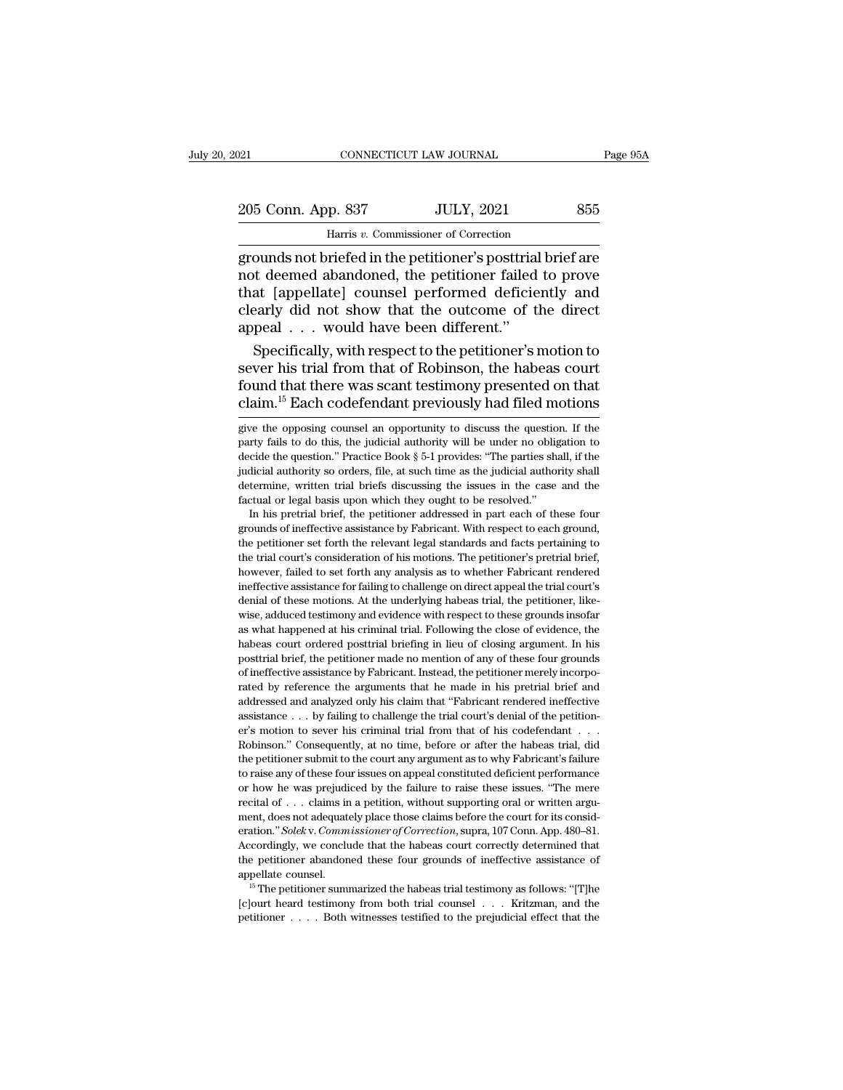# 205 Conn. App. 837 JULY, 2021 855<br>
205 Conn. App. 837 JULY, 2021 855 CONNECTICUT LAW JOURNAL<br>P. 837 JULY, 2021<br>Harris *v.* Commissioner of Correction<br>riefed in the netitioner's nosttrial brie

Page 95A<br>
205 Conn. App. 837 JULY, 2021 855<br>
Harris v. Commissioner of Correction<br>
grounds not briefed in the petitioner's posttrial brief are<br>
not deemed abandoned, the petitioner failed to prove<br>
that [appellate] counsel 205 Conn. App. 837 JULY, 2021 855<br>
Harris v. Commissioner of Correction<br>
grounds not briefed in the petitioner's posttrial brief are<br>
not deemed abandoned, the petitioner failed to prove<br>
that [appellate] counsel performed  $\begin{tabular}{ c c c c} \multicolumn{1}{c|}{205}\text{Conn. App. 837} & \text{JULY, 2021} & \text{855} \\\hline \text{Harris }v.\text{ Commissioner of Correction} \\\text{ grounds not briefed in the performance's posttrial brief are not deemed abandoned, the petitioner failed to prove that [appellate] \text{counds performed definitely and clearly did not show that the outcome of the direct model. } & \text{would have been different?} \end{tabular}$ 205 Conn. App. 837 JULY, 2021 855<br>
Harris v. Commissioner of Correction<br>
grounds not briefed in the petitioner's posttrial brief are<br>
not deemed abandoned, the petitioner failed to prove<br>
that [appellate] counsel performed France Cornection<br>
Harris v. Commissioner of Correction<br>
grounds not briefed in the petitioner's posttrial<br>
not deemed abandoned, the petitioner failed<br>
that [appellate] counsel performed deficie<br>
clearly did not show that mans v. commissioner of conceduration<br>ounds not briefed in the petitioner's posttrial brief are<br>t deemed abandoned, the petitioner failed to prove<br>at [appellate] counsel performed deficiently and<br>early did not show that th grounds not briefed in the petitioner's posttrial brief are<br>not deemed abandoned, the petitioner failed to prove<br>that [appellate] counsel performed deficiently and<br>clearly did not show that the outcome of the direct<br>appeal

not deemed abandoned, the petitioner failed to prove<br>that [appellate] counsel performed deficiently and<br>clearly did not show that the outcome of the direct<br>appeal . . . would have been different."<br>Specifically, with respec that [appellate] counsel performed deficiently and<br>clearly did not show that the outcome of the direct<br>appeal  $\ldots$  would have been different."<br>Specifically, with respect to the petitioner's motion to<br>sever his trial from Specifically, with respect to the petitioner's motion to<br>sever his trial from that of Robinson, the habeas court<br>found that there was scant testimony presented on that<br>claim.<sup>15</sup> Each codefendant previously had filed motio sever his trial from that of Robinson, the habeas court<br>found that there was scant testimony presented on that<br>claim.<sup>15</sup> Each codefendant previously had filed motions<br>give the opposing counsel an opportunity to discuss th

indicial authority so orders, file, at such time as the judicial authority shall<br>determine, written trial briefs discussing the issues in the case and the<br>factual or legal basis upon which they ought to be resolved."<br>In hi determine, written trial briefs discussing the issues in the case and the factual or legal basis upon which they ought to be resolved." In his pretrial brief, the petitioner addressed in part each of these four grounds of factual or legal basis upon which they ought to be resolved."<br>In his pretrial brief, the petitioner addressed in part each of these four<br>grounds of ineffective assistance by Fabricant. With respect to each ground,<br>the peti In his pretrial brief, the petitioner addressed in part each of these four<br>grounds of ineffective assistance by Fabricant. With respect to each ground,<br>the petitioner set forth the relevant legal standards and facts pertai grounds of ineffective assistance by Fabricant. With respect to each ground, the petitioner set forth the relevant legal standards and facts pertaining to the trial court's consideration of his motions. The petitioner's pr the petitioner set forth the relevant legal standards and facts pertaining to the trial court's consideration of his motions. The petitioner's pretrial brief, however, failed to set forth any analysis as to whether Fabrica the trial court's consideration of his motions. The petitioner's pretrial brief, the trial court's consideration of his motions. The petitioner's pretrial brief, however, failed to set forth any analysis as to whether Fabr however, failed to set forth any analysis as to whether Fabricant rendeed ineffective assistance for failing to challenge on direct appeal the trial court's denial of these motions. At the underlying habeas trial, the peti ineffective assistance for failing to challenge on direct appeal the trial court's denial of these motions. At the underlying habeas trial, the petitioner, likewise, adduced testimony and evidence with respect to these gro denial of these motions. At the underlying habeas trial, the petitioner, likewise, adduced testimony and evidence with respect to these grounds insofar as what happened at his criminal trial. Following the close of evidenc wise, adduced testimony and evidence with respect to these grounds insofar as what happened at his criminal trial. Following the close of evidence, the habeas court ordered posttrial briefing in lieu of closing argument. I as what happened at his criminal trial. Following the close of evidence, the habeas court ordered posttrial briefing in lieu of closing argument. In his posttrial brief, the petitioner made no mention of any of these four habeas court ordered posttrial briefing in lieu of closing argument. In his posttrial brief, the petitioner made no mention of any of these four grounds of ineffective assistance by Fabricant. Instead, the petitioner mere posttrial brief, the petitioner made no mention of any of these four grounds of ineffective assistance by Fabricant. Instead, the petitioner merely incorporated by reference the arguments that he made in his pretrial brief for ineffective assistance by Fabricant. Instead, the petitioner merely incorporated by reference the arguments that he made in his pretrial brief and addressed and analyzed only his claim that "Fabricant rendered ineffect Fracted by reference the arguments that he made in his pretrial brief and addressed and analyzed only his claim that "Fabricant rendered ineffective assistance  $\ldots$  by failing to challenge the trial court's denial of the and any of these four issues on appear on the fractional and defective assistance . . . by failing to challenge the trial court's denial of the petitioner's motion to sever his criminal trial from that of his codefendant . assistance  $\ldots$  by failing to challenge the trial court's denial of the pettion-<br>er's motion to sever his criminal trial from that of his codefendant  $\ldots$ .<br>Robinson." Consequently, at no time, before or after the habeas er's motion to sever his criminal trial from that of his codefendant . . . . . Robinson." Consequently, at no time, before or after the habeas trial, did the petitioner submit to the court any argument as to why Fabricant' Robinson." Consequently, at no time, before or after the habeas trial, did<br>the petitioner submit to the court any argument as to why Fabricant's failure<br>to raise any of these four issues on appeal constituted deficient pe the petitioner submit to the court any argument as to why Fabricant's failure to raise any of these four issues on appeal constituted deficient performance or how he was prejudiced by the failure to raise these issues. "Th accordingly, we conclude that the habeas court correctly determined that the performance or how he was prejudiced by the failure to raise these issues. "The mere recital of . . . claims in a petition, without supporting or for how he was prejudiced by the failure to raise these issues. "The mere<br>or how he was prejudiced by the failure to raise these issues. "The mere<br>recital of  $\ldots$  claims in a petition, without supporting oral or written appear of counsels and a petition, without supporting oral or written argument, does not adequately place those claims before the court for its consideration." *Solek v. Commissioner of Correction*, supra, 107 Conn. App. Fration." *Solekv. Commissioner of Correction*, supra, 107 Conn. App. 480–81.<br>Accordingly, we conclude that the habeas court correctly determined that<br>the petitioner abandoned these four grounds of ineffective assistance eration." *Solek* v. *Commissioner of Correction*, supra, 107 Conn. App. 480–81.<br>Accordingly, we conclude that the habeas court correctly determined that<br>the petitioner abandoned these four grounds of ineffective assistan

found that there was scant testimony presented on that claim.<sup>15</sup> Each codefendant previously had filed motions give the opposing counsel an opportunity to discuss the question. If the party fails to do this, the judicial claim.<sup>15</sup> Each codefendant previously had filed motions give the opposing counsel an opportunity to discuss the question. If the party fails to do this, the judicial authority will be under no obligation to decide the qu determine, written trial briefs discussing the intervals of the party fails to do this, the judicial authority will be under no obligation to decide the question." Practice Book § 5-1 provides: "The parties shall, if the j give the opposing counsel an opportunity to discuss the question. If the party fails to do this, the judicial authority will be under no obligation to decide the question.'' Practice Book  $\S 5-1$  provides: "The parties sh In his pretrial brief, the petitioner addressed in part each of these four conditions. The quastion is crite the question." Practice Book  $\S$  5-1 provides: "The parties shall, if the dicial authority so orders, file, at s decide the question." Practice Book § 5-1 provides: "The parties shall, if the judicial authority so orders, file, at such time as the judicial authority shall determine, written trial briefs discussing the issues in the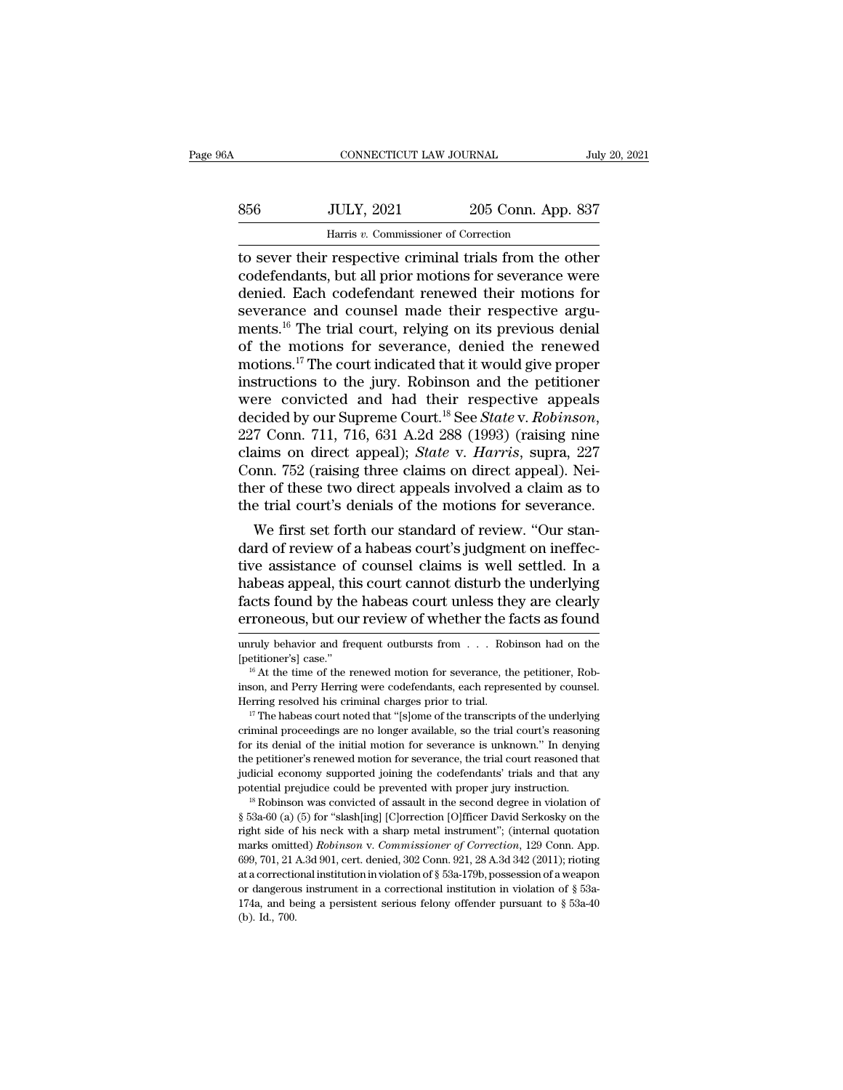| 856 | <b>JULY, 2021</b>       | 205 Conn. App. 837 |               |
|-----|-------------------------|--------------------|---------------|
| A   | CONNECTICUT LAW JOURNAL |                    | July 20, 2021 |

THE CONNECTICUT LAW JOURNAL July 20, 2021<br>
S56 JULY, 2021 205 Conn. App. 837<br>
Harris v. Commissioner of Correction<br>
The other codefendants, but all prior motions for severance were<br>
donied Each codefondant renewed their mo S56 JULY, 2021 205 Conn. App. 837<br>Harris v. Commissioner of Correction<br>to sever their respective criminal trials from the other<br>codefendants, but all prior motions for severance were<br>denied. Each codefendant renewed their  $\frac{356}{100}$  JULY, 2021 205 Conn. App. 837<br>Harris v. Commissioner of Correction<br>to sever their respective criminal trials from the other<br>codefendants, but all prior motions for severance were<br>denied. Each codefendant ren  $\begin{tabular}{ll} \bf 856 & \tt JULY, 2021 & \tt 205 Conn. App. 837 \\ \hline \end{tabular}$  <br> Harris v. Commissioner of Correction<br>to sever their respective criminal trials from the other<br>codefendants, but all prior motions for severance were<br>denied. Each cod Harris v. Commissioner of Correction<br>to sever their respective criminal trials from the other<br>codefendants, but all prior motions for severance were<br>denied. Each codefendant renewed their motions for<br>severance and counsel Harris v. Commissioner of Correction<br>to sever their respective criminal trials from the other<br>codefendants, but all prior motions for severance were<br>denied. Each codefendant renewed their motions for<br>severance and counsel to sever their respective criminal trials from the other codefendants, but all prior motions for severance were denied. Each codefendant renewed their motions for severance and counsel made their respective arguments.<sup>16</sup> codefendants, but all prior motions for severance were<br>denied. Each codefendant renewed their motions for<br>severance and counsel made their respective argu-<br>ments.<sup>16</sup> The trial court, relying on its previous denial<br>of the denied. Each codefendant renewed their motions for<br>severance and counsel made their respective argu-<br>ments.<sup>16</sup> The trial court, relying on its previous denial<br>of the motions for severance, denied the renewed<br>motions.<sup>17</sup> severance and counsel made their respective arguments.<sup>16</sup> The trial court, relying on its previous denial of the motions for severance, denied the renewed motions.<sup>17</sup> The court indicated that it would give proper instruc of the motions for severance, denied the renewed<br>motions.<sup>17</sup> The court indicated that it would give proper<br>instructions to the jury. Robinson and the petitioner<br>were convicted and had their respective appeals<br>decided by o motions.<sup>17</sup> The court indicated that it would give proper<br>instructions to the jury. Robinson and the petitioner<br>were convicted and had their respective appeals<br>decided by our Supreme Court.<sup>18</sup> See *State* v. *Robinson*,<br> instructions to the jury. Robinson and the petitioner<br>were convicted and had their respective appeals<br>decided by our Supreme Court.<sup>18</sup> See *State* v. Robinson,<br>227 Conn. 711, 716, 631 A.2d 288 (1993) (raising nine<br>claims were convicted and had their respective appeals<br>decided by our Supreme Court.<sup>18</sup> See *State* v. *Robinson*,<br>227 Conn. 711, 716, 631 A.2d 288 (1993) (raising nine<br>claims on direct appeal); *State* v. *Harris*, supra, 227<br>C cided by our supreme Court.<sup>25</sup> See *State v. Roomson*,<br>7 Conn. 711, 716, 631 A.2d 288 (1993) (raising nine<br>aims on direct appeal); *State v. Harris*, supra, 227<br>pnn. 752 (raising three claims on direct appeal). Nei-<br>er of  $227$  Conn.  $711$ ,  $716$ ,  $631$  A.2d  $288$  ( $1993$ ) (raising nine claims on direct appeal); *State* v. *Harris*, supra, 227 Conn. 752 (raising three claims on direct appeal). Neither of these two direct appeals involved a

claims on direct appeal); *State* v. *Harris*, supra, 227<br>Conn. 752 (raising three claims on direct appeal). Nei-<br>ther of these two direct appeals involved a claim as to<br>the trial court's denials of the motions for severan Conn. 752 (raising three claims on direct appeal). Neither of these two direct appeals involved a claim as to the trial court's denials of the motions for severance.<br>We first set forth our standard of review. "Our standard ther or these two direct appeais involved a claim as to<br>the trial court's denials of the motions for severance.<br>We first set forth our standard of review. "Our stan-<br>dard of review of a habeas court's judgment on ineffec-<br> the trial court's denials of the motions for severance.<br>
We first set forth our standard of review. "Our stan-<br>
dard of review of a habeas court's judgment on ineffec-<br>
tive assistance of counsel claims is well settled. In tive assistance of counsel claims is well settled. In a<br>habeas appeal, this court cannot disturb the underlying<br>facts found by the habeas court unless they are clearly<br>erroneous, but our review of whether the facts as foun habeas appeal, this court cannot disturb the underlying<br>facts found by the habeas court unless they are clearly<br>erroneous, but our review of whether the facts as found<br>unruly behavior and frequent outbursts from . . . Robi

The petitioner's renewed motion for severance, the trial court reasoned that judicial economy supported joining the codefendants' trials and that any potential prejudice could be prevented with proper jury instruction.<br>
" indicial economy supported joining the codefendants' trials and that any<br>potential prejudice could be prevented with proper jury instruction.<br><sup>18</sup> Robinson was convicted of assault in the second degree in violation of<br> $\$  between a protection procedure of the prevented with proper jury instruction.<br>
<sup>18</sup> Robinson was convicted of assault in the second degree in violation of<br>
§ 53a-60 (a) (5) for "slash[ing] [C]orrection [O]fficer David Ser <sup>18</sup> Robinson was convicted of assault in the second degree in violation of § 53a-60 (a) (5) for "slash[ing] [C]orrection [O]fficer David Serkosky on the right side of his neck with a sharp metal instrument"; (internal qu <sup>18</sup> Robinson was convicted of assault in the second degree in violation of § 53a-60 (a) (5) for "slash[ing] [C]<br>orrection [O]fficer David Serkosky on the right side of his neck with a sharp metal instrument"; (internal q right side of his neck with a sharp metal instrument"; (internal quotation marks omitted) *Robinson v. Commissioner of Correction*, 129 Conn. App. 699, 701, 21 A.3d 901, cert. denied, 302 Conn. 921, 28 A.3d 342 (2011); ri marks omitted) Robinson v. Commissioner of Correction, 129 Conn. App.

erroneous, but our review of whether the facts as found<br>unruly behavior and frequent outbursts from . . . Robinson had on the<br>[petitioner's] case."<br><sup>16</sup> At the time of the renewed motion for severance, the petitioner, Roberroneous, but our review of whether the facts as found<br>unruly behavior and frequent outbursts from . . . Robinson had on the<br>[petitioner's] case."<br><sup>16</sup> At the time of the renewed motion for severance, the petitioner, Rob-

<sup>(</sup>petitioner's) case."<br>
<sup>16</sup> At the time of the renewed motion for severance, the petitioner, Robinson, and Perry Herring were codefendants, each represented by counsel.<br>
Herring resolved his criminal charges prior to tria <sup>16</sup> At the time of the renewed motion for severance, the petitioner, Robinson, and Perry Herring were codefendants, each represented by counsel. Herring resolved his criminal charges prior to trial.<br><sup>17</sup> The habeas court inson, and Perry Herring were codefendants, each represented by counsel.<br>Herring resolved his criminal charges prior to trial.<br> $17$  The habeas court noted that "[s]ome of the transcripts of the underlying<br>criminal proceed Herring resolved his criminal charges prior to trial.<br>
<sup>17</sup> The habeas court noted that "[s]ome of the transcripts of the underlying<br>
criminal proceedings are no longer available, so the trial court's reasoning<br>
for its d <sup>17</sup> The habeas court noted that "[s]ome of the transcripts of the underlying criminal proceedings are no longer available, so the trial court's reasoning for its denial of the initial motion for severance is unknown." In for its denial of the initial motion for severance is unknown." In denying<br>the petitioner's renewed motion for severance, the trial court reasoned that<br>judicial economy supported joining the codefendants' trials and that a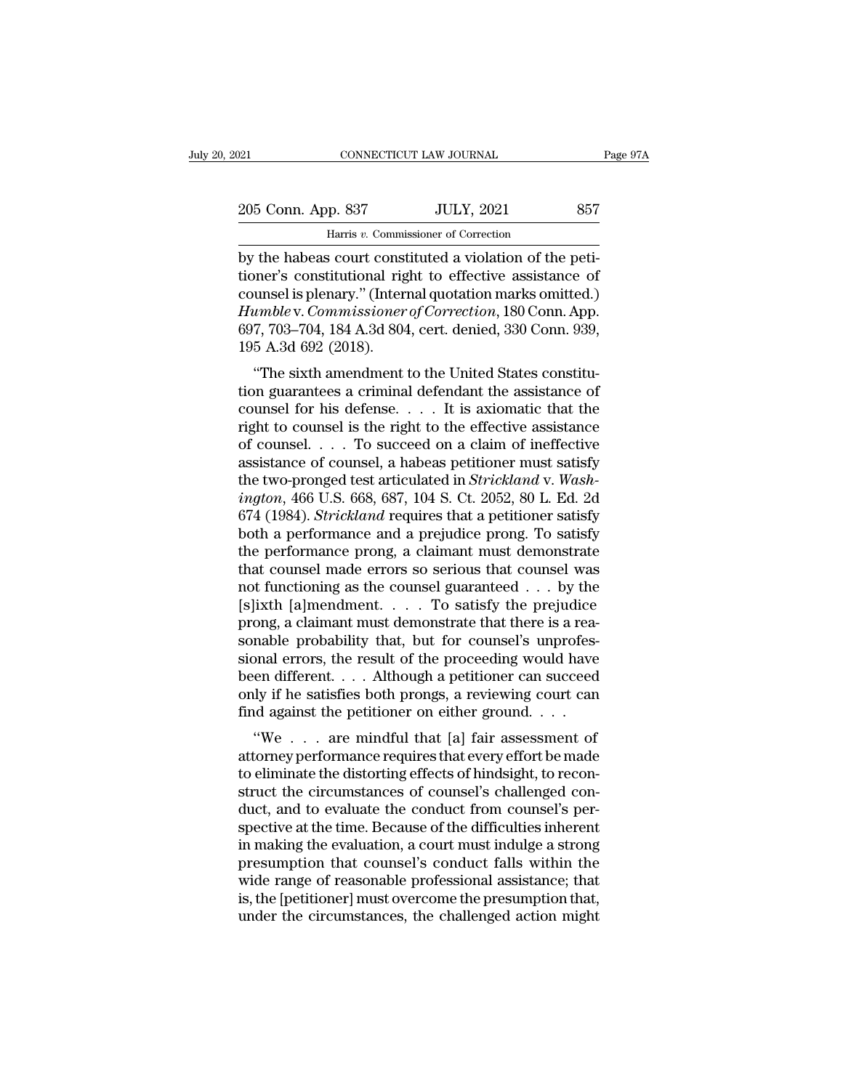CONNECTICUT LAW JOURNAL<br>P. 837 JULY, 2021<br>Harris *v.* Commissioner of Correction<br>is court constituted a violation of the by the habeas court constituted a violation of the peti-<br>
by the habeas court constituted a violation of the peti-<br>
by the habeas court constituted a violation of the peti-<br>
tioner's constitutional right to effective assis 205 Conn. App. 837 JULY, 2021 857<br>
Harris v. Commissioner of Correction<br>
by the habeas court constituted a violation of the peti-<br>
tioner's constitutional right to effective assistance of<br>
counsel is plenary." (Internal qu 205 Conn. App. 837 JULY, 2021 857<br>
Harris v. Commissioner of Correction<br>
by the habeas court constituted a violation of the peti-<br>
tioner's constitutional right to effective assistance of<br>
counsel is plenary.'' (Internal q 205 Conn. App. 837 JULY, 2021 857<br>
Harris *v*. Commissioner of Correction<br>
by the habeas court constituted a violation of the peti-<br>
tioner's constitutional right to effective assistance of<br>
counsel is plenary.'' (Internal Harris v. Commissioner of Correction<br>by the habeas court constituted a violation of the peti-<br>tioner's constitutional right to effective assistance of<br>counsel is plenary." (Internal quotation marks omitted.)<br>Humble v. Comm Harns v. Commi<br>by the habeas court const<br>tioner's constitutional rig<br>counsel is plenary." (Inter<br>Humble v. Commissioner<br>697, 703–704, 184 A.3d 804<br>195 A.3d 692 (2018).<br>"The sixth amendment the habeas court constituted a violation of the peu-<br>
hener's constitutional right to effective assistance of<br>
umble v. Commissioner of Correction, 180 Conn. App.<br>
7, 703–704, 184 A.3d 804, cert. denied, 330 Conn. 939,<br>
5 tioner's constitutional right to effective assistance of<br>counsel is plenary." (Internal quotation marks omitted.)<br>Humble v. Commissioner of Correction, 180 Conn. App.<br>697, 703–704, 184 A.3d 804, cert. denied, 330 Conn. 939

counsel is pienary. (Internal quotation marks omitted.)<br> *Humble* v. *Commissioner of Correction*, 180 Conn. App.<br>
697, 703–704, 184 A.3d 804, cert. denied, 330 Conn. 939,<br>
195 A.3d 692 (2018).<br>
"The sixth amendment to the Framore v. Commissioner of Correction, 180 Conn. App.<br>697, 703–704, 184 A.3d 804, cert. denied, 330 Conn. 939,<br>195 A.3d 692 (2018).<br>"The sixth amendment to the United States constitu-<br>tion guarantees a criminal defendant of counsel. The sixth and the United, 350 Collin. 359,<br>195 A.3d 692 (2018).<br>
"The sixth amendment to the United States constitu-<br>
tion guarantees a criminal defendant the assistance of<br>
counsel for his defense.... It is a The sixth amendment to the United States constitu-<br>
"The sixth amendment to the United States constitu-<br>
tion guarantees a criminal defendant the assistance of<br>
counsel for his defense.... It is axiomatic that the<br>
right "The sixth amendment to the United States constitution guarantees a criminal defendant the assistance of counsel for his defense. . . . It is axiomatic that the right to counsel is the right to the effective assistance of tion guarantees a criminal defendant the assistance of<br>
counsel for his defense. . . . It is axiomatic that the<br>
right to counsel is the right to the effective assistance<br>
of counsel. . . . To succeed on a claim of ineffec counsel for his defense. . . . . It is axiomatic that the<br>right to counsel is the right to the effective assistance<br>of counsel. . . . To succeed on a claim of ineffective<br>assistance of counsel, a habeas petitioner must sat right to counsel is the right to the effective assistance<br>of counsel. . . . To succeed on a claim of ineffective<br>assistance of counsel, a habeas petitioner must satisfy<br>the two-pronged test articulated in *Strickland* v. of counsel. . . . To succeed on a claim of ineffective<br>assistance of counsel, a habeas petitioner must satisfy<br>the two-pronged test articulated in *Strickland* v. Wash-<br>ington, 466 U.S. 668, 687, 104 S. Ct. 2052, 80 L. Ed. assistance of counsel, a habeas petitioner must satisfy<br>the two-pronged test articulated in *Strickland* v. Wash-<br>*ington*, 466 U.S. 668, 687, 104 S. Ct. 2052, 80 L. Ed. 2d<br>674 (1984). *Strickland* requires that a petitio the two-pronged test articulated in *Strickland* v. Wash-<br>ington, 466 U.S. 668, 687, 104 S. Ct. 2052, 80 L. Ed. 2d<br>674 (1984). *Strickland* requires that a petitioner satisfy<br>both a performance and a prejudice prong. To s *ington*, 466 U.S. 668, 687, 104 S. Ct. 2052, 80 L. Ed. 2d 674 (1984). *Strickland* requires that a petitioner satisfy both a performance and a prejudice prong. To satisfy the performance prong, a claimant must demonstrat 674 (1984). *Strickland* requires that a petitioner satisfy both a performance and a prejudice prong. To satisfy the performance prong, a claimant must demonstrate that counsel made errors so serious that counsel was not both a performance and a prejudice prong. To satisfy<br>the performance prong, a claimant must demonstrate<br>that counsel made errors so serious that counsel was<br>not functioning as the counsel guaranteed . . . by the<br>[s]ixth [a the performance prong, a claimant must demonstrate<br>that counsel made errors so serious that counsel was<br>not functioning as the counsel guaranteed  $\ldots$  by the<br>[s]ixth [a]mendment.  $\ldots$  To satisfy the prejudice<br>prong, a c that counsel made errors so serious that counsel was<br>not functioning as the counsel guaranteed . . . by the<br>[s]ixth [a]mendment. . . . . To satisfy the prejudice<br>prong, a claimant must demonstrate that there is a rea-<br>son not functioning as the counsel guaranteed . . . by the [s]ixth [a]mendment. . . . . To satisfy the prejudice prong, a claimant must demonstrate that there is a reasonable probability that, but for counsel's unprofessional [s]ixth [a]mendment. . . . To satisfy the prejudice<br>prong, a claimant must demonstrate that there is a rea-<br>sonable probability that, but for counsel's unprofes-<br>sional errors, the result of the proceeding would have<br>been ong, a claimant must demonstrate that there is a rea-<br>nable probability that, but for counsel's unprofes-<br>pnal errors, the result of the proceeding would have<br>en different....Although a petitioner can succeed<br>ly if he sati sonable probability that, but for coursers unprofessional errors, the result of the proceeding would have<br>been different. . . . Although a petitioner can succeed<br>only if he satisfies both prongs, a reviewing court can<br>fin

sional errors, the result of the proceeding would have<br>been different.... Although a petitioner can succeed<br>only if he satisfies both prongs, a reviewing court can<br>find against the petitioner on either ground....<br>"We ... been unferent. . . . . Antiough a pethroner can succeed<br>only if he satisfies both prongs, a reviewing court can<br>find against the petitioner on either ground. . . .<br>"We . . . are mindful that [a] fair assessment of<br>attorney only if he satisfies both prongs, a reviewing court can<br>find against the petitioner on either ground.  $\dots$ <br>"We  $\dots$  are mindful that [a] fair assessment of<br>attorney performance requires that every effort be made<br>to elimin spectrum and against the pertuoner on entier ground.  $\ldots$ <br>
"We  $\ldots$  are mindful that [a] fair assessment of<br>
attorney performance requires that every effort be made<br>
to eliminate the distorting effects of hindsight, to "We . . . are mindful that [a] fair assessment of attorney performance requires that every effort be made to eliminate the distorting effects of hindsight, to reconstruct the circumstances of counsel's challenged conduct, attorney performance requires that every effort be made<br>to eliminate the distorting effects of hindsight, to recon-<br>struct the circumstances of counsel's challenged con-<br>duct, and to evaluate the conduct from counsel's per to eliminate the distorting effects of hindsight, to reconstruct the circumstances of counsel's challenged conduct, and to evaluate the conduct from counsel's perspective at the time. Because of the difficulties inherent i struct the circumstances of counsel's challenged con-<br>duct, and to evaluate the conduct from counsel's per-<br>spective at the time. Because of the difficulties inherent<br>in making the evaluation, a court must indulge a strong duct, and to evaluate the conduct from counsel's per-<br>spective at the time. Because of the difficulties inherent<br>in making the evaluation, a court must indulge a strong<br>presumption that counsel's conduct falls within the<br>w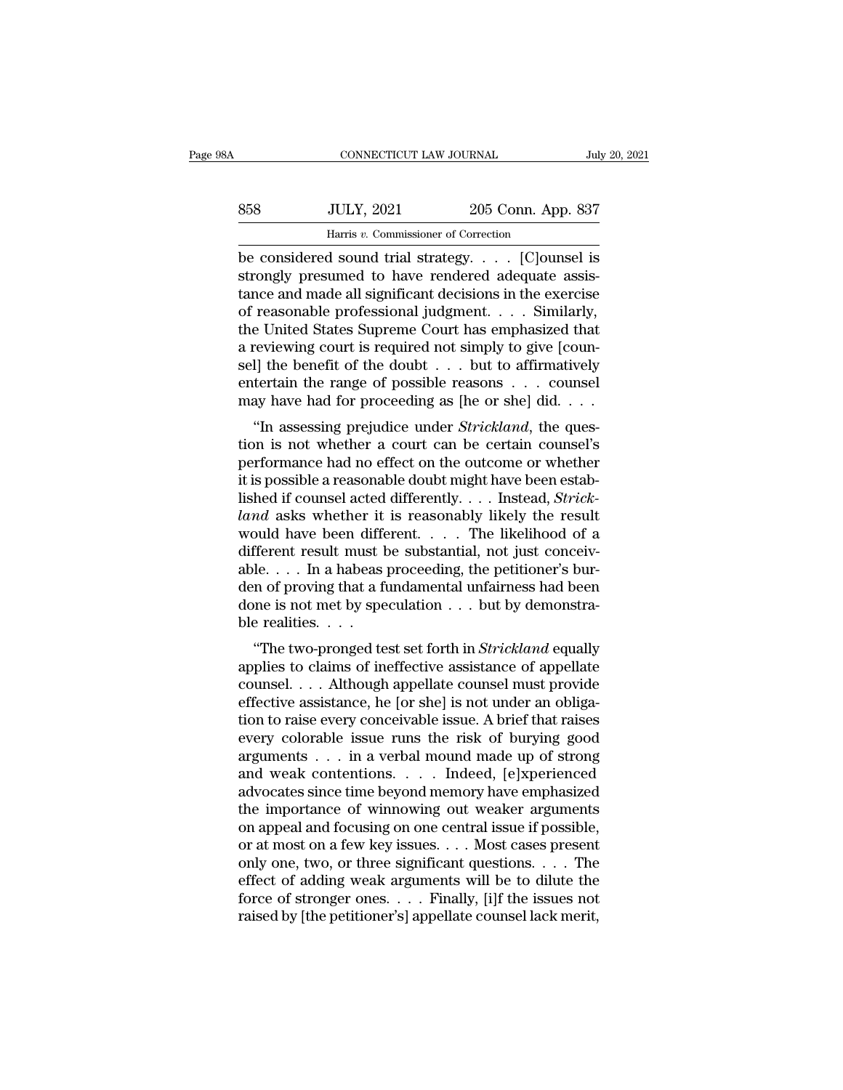| ïΑ  | CONNECTICUT LAW JOURNAL              |                    | July 20, 2021 |
|-----|--------------------------------------|--------------------|---------------|
| 858 | <b>JULY, 2021</b>                    | 205 Conn. App. 837 |               |
|     | Harris v. Commissioner of Correction |                    |               |
|     | he considered sound trial strategy   |                    | IClounsel is  |

CONNECTICUT LAW JOURNAL July 20, 2021<br>
Be considered sound trial strategy. . . . . [C]ounsel is<br>
strongly presumed to have rendered adequate assis-Stromger Strongly presumed to have rendered adequate assistance and made all significant decisions in the exercise<br>Strongly presumed to have rendered adequate assistance and made all significant decisions in the exercise<br>o  $\noindent\hfill\text{358}\quad\quad \text{JULY, 2021}\quad\quad \text{205 Conn. App. 837}\quad\quad \text{Harris } v. \text{ Commissioner of Correction}\n\text{be considered sound trial strategy. . . . [C]ounds is strongly presumed to have rendered adequate assistance and made all significant decisions in the exercise of reasonable professional judgment. . . . Similarly, the United States Supreme Court has emphasized that$  $\begin{array}{ll}\n & \text{JULY, 2021} & \text{205 Conn. App. 837}\n \hline\n & \text{Harris } v. \text{ Commissioner of Correction} \\
 \hline\n \text{be considered sound trial strategy. . . . [C]ounds is strongly presumed to have rendered adequate assistance and made all significant decisions in the exercise of reasonable professional judgment. . . . Similarly, the United States Supreme Court has emphasized that a moving court is required not simply to give for a few.$ Harris v. Commissioner of Correction<br>be considered sound trial strategy. . . . [C]ounsel is<br>strongly presumed to have rendered adequate assis-<br>tance and made all significant decisions in the exercise<br>of reasonable profess Harris v. Commissioner of Correction<br>be considered sound trial strategy. . . . . [C]ounsel is<br>strongly presumed to have rendered adequate assis-<br>tance and made all significant decisions in the exercise<br>of reasonable profe be considered sound trial strategy. . . . . [C]ounsel is<br>strongly presumed to have rendered adequate assis-<br>tance and made all significant decisions in the exercise<br>of reasonable professional judgment. . . . Similarly,<br>the strongly presumed to have rendered adequate assistance and made all significant decisions in the exercise<br>of reasonable professional judgment. . . . Similarly,<br>the United States Supreme Court has emphasized that<br>a reviewi tance and made all significant decisions in the exercise<br>of reasonable professional judgment. . . . Similarly,<br>the United States Supreme Court has emphasized that<br>a reviewing court is required not simply to give [coun-<br>se Feasonable professional judgment. . . . . Similarly,<br>
e United States Supreme Court has emphasized that<br>
reviewing court is required not simply to give [coun-<br>
I] the benefit of the doubt . . . but to affirmatively<br>
tertai a reviewing court is required not simply to give [counsel] the benefit of the doubt  $\dots$  but to affirmatively entertain the range of possible reasons  $\dots$  counsel may have had for proceeding as [he or she] did.  $\dots$  "In a

a reviewing court is required not simply to give [counsel] the benefit of the doubt  $\dots$  but to affirmatively entertain the range of possible reasons  $\dots$  counsel may have had for proceeding as [he or she] did.  $\dots$  "In a Serj the benefit of the doubt  $\ldots$  but to antifinatively entertain the range of possible reasons  $\ldots$  counsel may have had for proceeding as [he or she] did.  $\ldots$  "In assessing prejudice under *Strickland*, the questio listed if counsel acted different and state and state and state and the restion is not whether a court can be certain counsel's<br>performance had no effect on the outcome or whether<br>it is possible a reasonable doubt might ha *land* as the original as the original  $\ldots$  . <br> *lands* in assessing prejudice under *Strickland*, the question is not whether a court can be certain counsel's<br>
performance had no effect on the outcome or whether<br>
it is "In assessing prejudice under *Strickland*, the question is not whether a court can be certain counsel's<br>performance had no effect on the outcome or whether<br>it is possible a reasonable doubt might have been estab-<br>lished tion is not whether a court can be certain counsel's<br>performance had no effect on the outcome or whether<br>it is possible a reasonable doubt might have been estab-<br>lished if counsel acted differently. . . . Instead, *Strick* performance had no effect on the outcome or whether<br>it is possible a reasonable doubt might have been estab-<br>lished if counsel acted differently. . . . Instead, *Strick-*<br>*land* asks whether it is reasonably likely the res it is possible a reasonable doubt might have been established if counsel acted differently. . . . Instead, *Strick-land* asks whether it is reasonably likely the result would have been different. . . . The likelihood of a lished if counsel acted differently. . . . Instead, *Strick-land* asks whether it is reasonably likely the result would have been different. . . . The likelihood of a different result must be substantial, not just conceiv land asks whether it<br>would have been different result must k<br>able.... In a habeas<br>den of proving that a fi<br>done is not met by spe<br>ble realities....<br>"The two-pronged te The two-pronged test set forth in *Strickland* equally<br>
The two-pronged test set forth in *Strickland* equally<br>
The two-pronged test set forth in *Strickland* equally<br>
plies to claims of ineffective assistance of appellate applies to claims of substantial, not just conceivable.... In a habeas proceeding, the petitioner's burden of proving that a fundamental unfairness had been<br>done is not met by speculation ... but by demonstrable realities

able. . . . . In a habeas proceeding, the pertitoner s burden of proving that a fundamental unfairness had been<br>done is not met by speculation . . . but by demonstra-<br>ble realities. . . .<br>"The two-pronged test set forth i done is not met by speculation . . . but by demonstra-<br>ble realities. . . .<br>"The two-pronged test set forth in *Strickland* equally<br>applies to claims of ineffective assistance of appellate<br>counsel. . . . Although appellate the realities. . . .<br>
"The two-pronged test set forth in *Strickland* equally<br>
applies to claims of ineffective assistance of appellate<br>
counsel. . . . Although appellate counsel must provide<br>
effective assistance, he [or Fraction of the two-pronged test set forth in *Strickland* equally<br>applies to claims of ineffective assistance of appellate<br>counsel....Although appellate counsel must provide<br>effective assistance, he [or she] is not under "The two-pronged test set forth in *Strickland* equally<br>applies to claims of ineffective assistance of appellate<br>counsel. . . . Although appellate counsel must provide<br>effective assistance, he [or she] is not under an obl applies to claims of ineffective assistance of appellate<br>counsel. . . . Although appellate counsel must provide<br>effective assistance, he [or she] is not under an obliga-<br>tion to raise every conceivable issue. A brief that counsel. . . . Although appellate counsel must provide<br>effective assistance, he [or she] is not under an obliga-<br>tion to raise every conceivable issue. A brief that raises<br>every colorable issue runs the risk of burying go effective assistance, he [or she] is not under an obligation to raise every conceivable issue. A brief that raises<br>every colorable issue runs the risk of burying good<br>arguments . . . in a verbal mound made up of strong<br>and tion to raise every conceivable issue. A brief that raises<br>every colorable issue runs the risk of burying good<br>arguments . . . in a verbal mound made up of strong<br>and weak contentions. . . . Indeed, [e]xperienced<br>advocate every colorable issue runs the risk of burying good<br>arguments . . . in a verbal mound made up of strong<br>and weak contentions. . . . Indeed, [e]xperienced<br>advocates since time beyond memory have emphasized<br>the importance o arguments . . . in a verbal mound made up of strong<br>and weak contentions. . . . Indeed, [e]xperienced<br>advocates since time beyond memory have emphasized<br>the importance of winnowing out weaker arguments<br>on appeal and focusi and weak contentions. . . . Indeed, [e]xperienced<br>advocates since time beyond memory have emphasized<br>the importance of winnowing out weaker arguments<br>on appeal and focusing on one central issue if possible,<br>or at most on advocates since time beyond memory have emphasized<br>the importance of winnowing out weaker arguments<br>on appeal and focusing on one central issue if possible,<br>or at most on a few key issues. . . . Most cases present<br>only one the importance of winnowing out weaker arguments<br>on appeal and focusing on one central issue if possible,<br>or at most on a few key issues. . . . Most cases present<br>only one, two, or three significant questions. . . . The<br>ef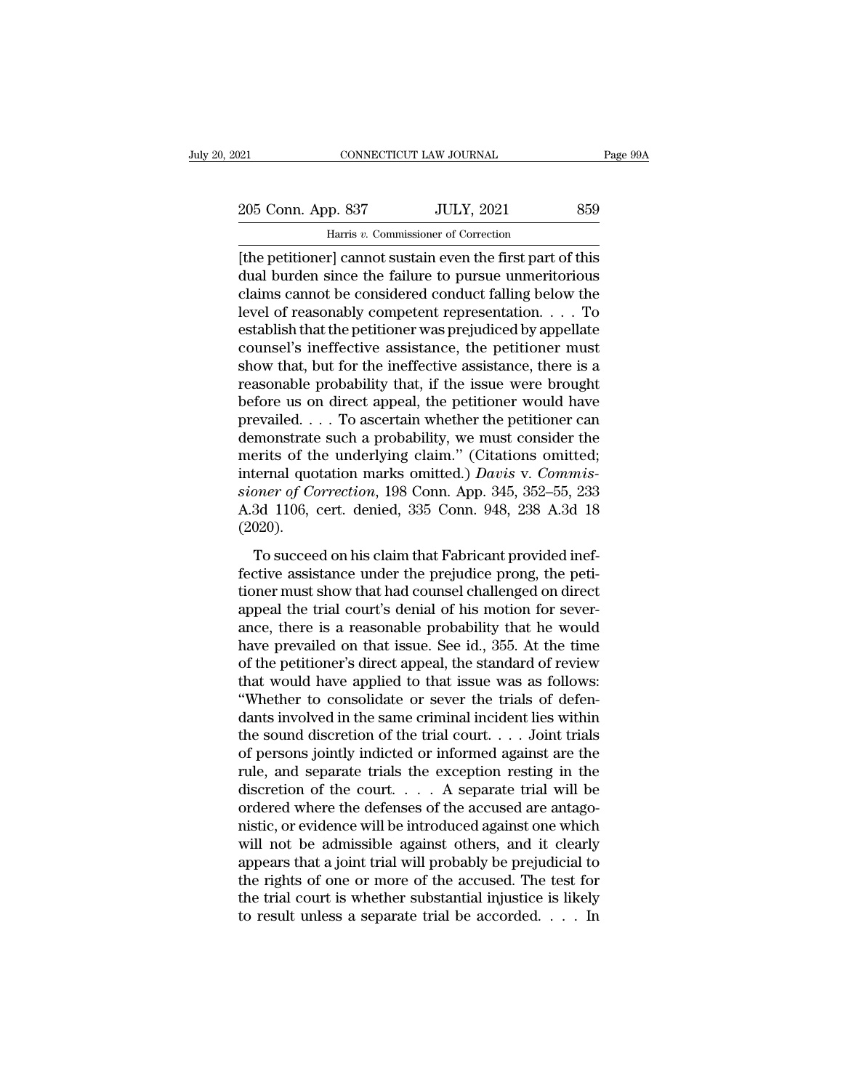205 Conn. App. 837 JULY, 2021 859<br>
205 Conn. App. 837 JULY, 2021 859<br>
<sup>205</sup> Harris v. Commissioner of Correction

Harris *v.* Commissioner of Correction EXERCTIFY DELTRET DELTRET DELTRET PART DETERMINIST PART PART OF SUBSERVIET ON THE PETITION of the petitioner] cannot sustain even the first part of this dual burden since the failure to pursue unmeritorious claims cannot b 205 Conn. App. 837 JULY, 2021 859<br>
Harris v. Commissioner of Correction<br>
[the petitioner] cannot sustain even the first part of this<br>
dual burden since the failure to pursue unmeritorious<br>
claims cannot be considered condu 205 Conn. App. 837 JULY, 2021 859<br>
Harris v. Commissioner of Correction<br>
[the petitioner] cannot sustain even the first part of this<br>
dual burden since the failure to pursue unmeritorious<br>
claims cannot be considered cond 205 Conn. App. 837 JULY, 2021 859<br>
Harris v. Commissioner of Correction<br>
[the petitioner] cannot sustain even the first part of this<br>
dual burden since the failure to pursue unmeritorious<br>
claims cannot be considered cond For the petitioner] cannot sustain even the first part of this<br>dual burden since the failure to pursue unmeritorious<br>claims cannot be considered conduct falling below the<br>level of reasonably competent representation. . . Harris v. Commissioner of Correction<br>
[the petitioner] cannot sustain even the first part of this<br>
dual burden since the failure to pursue unmeritorious<br>
claims cannot be considered conduct falling below the<br>
level of rea [the petitioner] cannot sustain even the first part of this<br>dual burden since the failure to pursue unmeritorious<br>claims cannot be considered conduct falling below the<br>level of reasonably competent representation.  $\ldots$  T dual burden since the failure to pursue unmeritorious<br>claims cannot be considered conduct falling below the<br>level of reasonably competent representation. . . . To<br>establish that the petitioner was prejudiced by appellate<br>c claims cannot be considered conduct falling below the<br>level of reasonably competent representation. . . . To<br>establish that the petitioner was prejudiced by appellate<br>counsel's ineffective assistance, the petitioner must<br> level of reasonably competent representation. . . . To<br>establish that the petitioner was prejudiced by appellate<br>counsel's ineffective assistance, the petitioner must<br>show that, but for the ineffective assistance, there i establish that the petitioner was prejudiced by appellate<br>counsel's ineffective assistance, the petitioner must<br>show that, but for the ineffective assistance, there is a<br>reasonable probability that, if the issue were brou counsel's ineffective assistance, the petitioner must<br>show that, but for the ineffective assistance, there is a<br>reasonable probability that, if the issue were brought<br>before us on direct appeal, the petitioner would have<br> show that, but for the ineffective assistance, there is a reasonable probability that, if the issue were brought before us on direct appeal, the petitioner would have prevailed. . . . To ascertain whether the petitioner ca reasonable probability that, if the issue were brought<br>before us on direct appeal, the petitioner would have<br>prevailed. . . . To ascertain whether the petitioner can<br>demonstrate such a probability, we must consider the<br>mer before us on direct appeal, the petitioner would have<br>prevailed.... To ascertain whether the petitioner can<br>demonstrate such a probability, we must consider the<br>merits of the underlying claim." (Citations omitted;<br>interna (2020). Frits of the underlying claim." (Citations omitted;<br>ternal quotation marks omitted.) *Davis v. Commis-*<br>pner of Correction, 198 Conn. App. 345, 352–55, 233<br>3d 1106, cert. denied, 335 Conn. 948, 238 A.3d 18<br>020).<br>To succeed fineral quotation marks omitted.) *Davis v. Commissioner of Correction*, 198 Conn. App. 345, 352–55, 233<br>A.3d 1106, cert. denied, 335 Conn. 948, 238 A.3d 18<br>(2020).<br>To succeed on his claim that Fabricant provided inef-<br>fec

the end of Correction, 198 Conn. App. 345, 352–55, 233<br>A.3d 1106, cert. denied, 335 Conn. 948, 238 A.3d 18<br>(2020).<br>To succeed on his claim that Fabricant provided inef-<br>fective assistance under the prejudice prong, the pet A.3d 1106, cert. denied, 335 Conn. 948, 238 A.3d 18 (2020).<br>To succeed on his claim that Fabricant provided ineffective assistance under the prejudice prong, the petitioner must show that had counsel challenged on direct These Tree, terms also seems and the prejudice properties assistance under the prejudice prong, the petitioner must show that had counsel challenged on direct appeal the trial court's denial of his motion for severance, t To succeed on his claim that Fabricant provided ineffective assistance under the prejudice prong, the petitioner must show that had counsel challenged on direct appeal the trial court's denial of his motion for severance, To succeed on his claim that Fabricant provided ineffective assistance under the prejudice prong, the petitioner must show that had counsel challenged on direct appeal the trial court's denial of his motion for severance, fective assistance under the prejudice prong, the petitioner must show that had counsel challenged on direct appeal the trial court's denial of his motion for severance, there is a reasonable probability that he would have tioner must show that had counsel challenged on direct<br>appeal the trial court's denial of his motion for sever-<br>ance, there is a reasonable probability that he would<br>have prevailed on that issue. See id., 355. At the time<br> appeal the trial court's denial of his motion for severance, there is a reasonable probability that he would<br>have prevailed on that issue. See id., 355. At the time<br>of the petitioner's direct appeal, the standard of review ance, there is a reasonable probability that he would<br>have prevailed on that issue. See id., 355. At the time<br>of the petitioner's direct appeal, the standard of review<br>that would have applied to that issue was as follows: have prevailed on that issue. See id., 355. At the time<br>of the petitioner's direct appeal, the standard of review<br>that would have applied to that issue was as follows:<br>"Whether to consolidate or sever the trials of defenof the petitioner's direct appeal, the standard of review<br>that would have applied to that issue was as follows:<br>"Whether to consolidate or sever the trials of defen-<br>dants involved in the same criminal incident lies within that would have applied to that issue was as follows:<br>
"Whether to consolidate or sever the trials of defendants involved in the same criminal incident lies within<br>
the sound discretion of the trial court. . . . Joint tri "Whether to consolidate or sever the trials of defendants involved in the same criminal incident lies within<br>the sound discretion of the trial court. . . . Joint trials<br>of persons jointly indicted or informed against are dants involved in the same criminal incident lies within<br>the sound discretion of the trial court. . . . Joint trials<br>of persons jointly indicted or informed against are the<br>rule, and separate trials the exception resting the sound discretion of the trial court. . . . Joint trials<br>of persons jointly indicted or informed against are the<br>rule, and separate trials the exception resting in the<br>discretion of the court. . . . A separate trial wi of persons jointly indicted or informed against are the<br>rule, and separate trials the exception resting in the<br>discretion of the court.... A separate trial will be<br>ordered where the defenses of the accused are antago-<br>nis rule, and separate trials the exception resting in the discretion of the court.  $\ldots$  A separate trial will be ordered where the defenses of the accused are antagonistic, or evidence will be introduced against one which w discretion of the court. . . . . A separate trial will be ordered where the defenses of the accused are antagonistic, or evidence will be introduced against one which will not be admissible against others, and it clearly ordered where the defenses of the accused are antagonistic, or evidence will be introduced against one which will not be admissible against others, and it clearly appears that a joint trial will probably be prejudicial to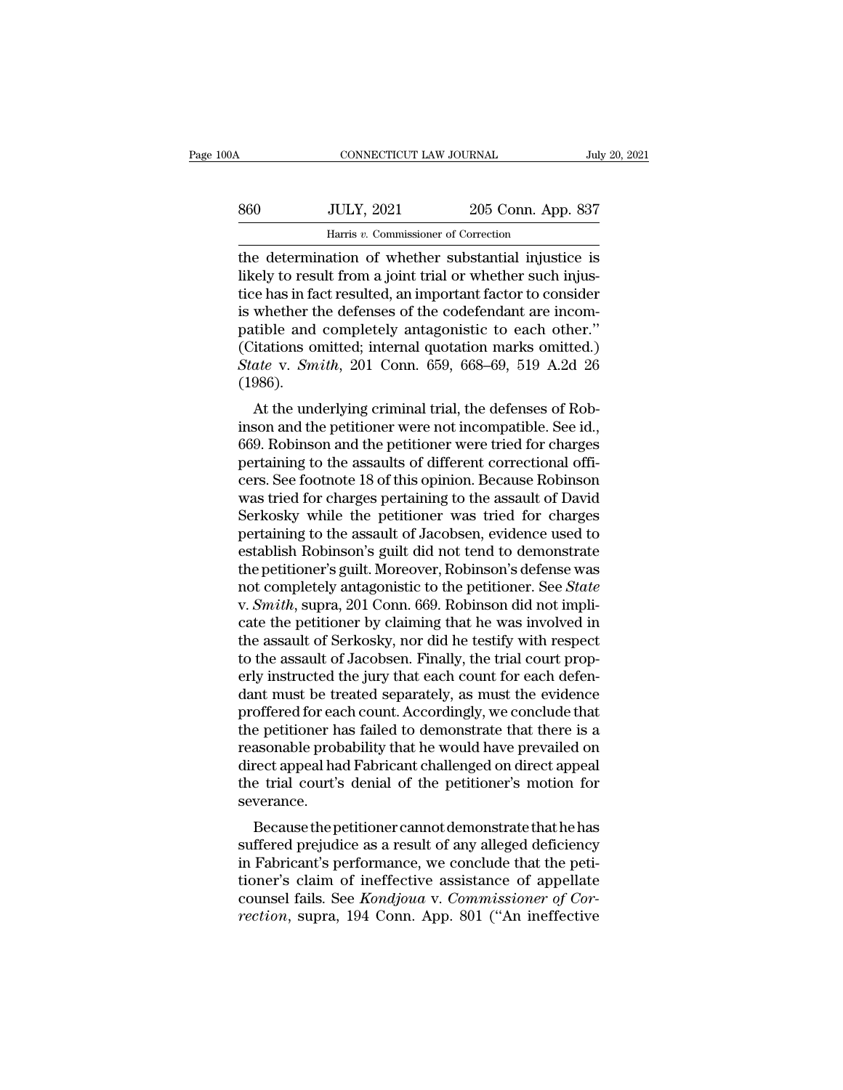| )OA | CONNECTICUT LAW JOURNAL                                                                                                                                                          |                    | July 20, 2021 |
|-----|----------------------------------------------------------------------------------------------------------------------------------------------------------------------------------|--------------------|---------------|
|     |                                                                                                                                                                                  |                    |               |
| 860 | <b>JULY, 2021</b>                                                                                                                                                                | 205 Conn. App. 837 |               |
|     | Harris v. Commissioner of Correction                                                                                                                                             |                    |               |
|     | the determination of whether substantial injustice is<br>likely to result from a joint trial or whether such injus-<br>tice has in fact resulted an important factor to consider |                    |               |

S60 JULY, 2021 205 Conn. App. 837<br>
Harris v. Commissioner of Correction<br>
the determination of whether substantial injustice is<br>
likely to result from a joint trial or whether such injus-<br>
tice has in fact resulted, an impo  $\frac{1}{205}$   $\frac{1}{205}$   $\frac{1}{205}$   $\frac{1}{205}$   $\frac{1}{205}$   $\frac{1}{205}$   $\frac{1}{205}$   $\frac{1}{205}$   $\frac{1}{205}$   $\frac{1}{205}$   $\frac{1}{205}$   $\frac{1}{205}$   $\frac{1}{205}$   $\frac{1}{205}$   $\frac{1}{205}$   $\frac{1}{205}$   $\frac{1}{205}$   $\frac{1}{205}$   $\frac{1$ S60 JULY, 2021 205 Conn. App. 837<br>
Harris v. Commissioner of Correction<br>
the determination of whether substantial injustice is<br>
likely to result from a joint trial or whether such injus-<br>
tice has in fact resulted, an impo Harris v. Commissioner of Correction<br>the determination of whether substantial injustice is<br>likely to result from a joint trial or whether such injus-<br>tice has in fact resulted, an important factor to consider<br>is whether t Harris v. Commissioner of Correction<br>
the determination of whether substantial injustice is<br>
likely to result from a joint trial or whether such injus-<br>
tice has in fact resulted, an important factor to consider<br>
is whethe the determination of whether substantial injustice is<br>likely to result from a joint trial or whether such injus-<br>tice has in fact resulted, an important factor to consider<br>is whether the defenses of the codefendant are inc (1986). Figure 1.2 and models whether the defenses of the codefendant are incom-<br>tible and completely antagonistic to each other."<br>itations omitted; internal quotation marks omitted.)<br>ate v. Smith, 201 Conn. 659, 668–69, 519 A.2d is whether the defenses of the coderendant are incompatible and completely antagonistic to each other."<br>(Citations omitted; internal quotation marks omitted.)<br> $State$  v.  $Smith$ , 201 Conn. 659, 668–69, 519 A.2d 26<br>(1986).<br>At the

patible and completely antagonistic to each other.<br>
(Citations omitted; internal quotation marks omitted.)<br> *State* v. *Smith*, 201 Conn. 659, 668–69, 519 A.2d 26<br>
(1986).<br>
At the underlying criminal trial, the defenses of State v. Smith, 201 Conn. 659, 668–69, 519 A.2d 26 (1986).<br>At the underlying criminal trial, the defenses of Robinson and the petitioner were not incompatible. See id., 669. Robinson and the petitioner were tried for char certify the underlying criminal trial, the defenses of Robinson and the petitioner were not incompatible. See id., 669. Robinson and the petitioner were tried for charges pertaining to the assaults of different correction (1360).<br>
At the underlying criminal trial, the defenses of Rob-<br>
inson and the petitioner were not incompatible. See id.,<br>
669. Robinson and the petitioner were tried for charges<br>
pertaining to the assaults of different co At the underlying criminal trial, the defenses of Robinson and the petitioner were not incompatible. See id., 669. Robinson and the petitioner were tried for charges pertaining to the assaults of different correctional off inson and the petitioner were not incompatible. See id.,<br>669. Robinson and the petitioner were tried for charges<br>pertaining to the assaults of different correctional offi-<br>cers. See footnote 18 of this opinion. Because Rob 669. Robinson and the petitioner were tried for charges<br>pertaining to the assaults of different correctional officers.<br>See footnote 18 of this opinion. Because Robinson<br>was tried for charges pertaining to the assault of Da pertaining to the assaults of different correctional officers. See footnote 18 of this opinion. Because Robinson<br>was tried for charges pertaining to the assault of David<br>Serkosky while the petitioner was tried for charges<br> cers. See footnote 18 of this opinion. Because Robinson<br>was tried for charges pertaining to the assault of David<br>Serkosky while the petitioner was tried for charges<br>pertaining to the assault of Jacobsen, evidence used to<br>e was tried for charges pertaining to the assault of David<br>Serkosky while the petitioner was tried for charges<br>pertaining to the assault of Jacobsen, evidence used to<br>establish Robinson's guilt did not tend to demonstrate<br>th Serkosky while the petitioner was tried for charges<br>pertaining to the assault of Jacobsen, evidence used to<br>establish Robinson's guilt did not tend to demonstrate<br>the petitioner's guilt. Moreover, Robinson's defense was<br>no pertaining to the assault of Jacobsen, evidence used to<br>establish Robinson's guilt did not tend to demonstrate<br>the petitioner's guilt. Moreover, Robinson's defense was<br>not completely antagonistic to the petitioner. See *St* establish Robinson's guilt did not tend to demonstrate<br>the petitioner's guilt. Moreover, Robinson's defense was<br>not completely antagonistic to the petitioner. See *State*<br>v. *Smith*, supra, 201 Conn. 669. Robinson did not the petitioner's guilt. Moreover, Robinson's defense was<br>not completely antagonistic to the petitioner. See *State*<br>v. *Smith*, supra, 201 Conn. 669. Robinson did not impli-<br>cate the petitioner by claiming that he was invo not completely antagonistic to the petitioner. See *State*<br>v. *Smith*, supra, 201 Conn. 669. Robinson did not impli-<br>cate the petitioner by claiming that he was involved in<br>the assault of Serkosky, nor did he testify with v. Smith, supra, 201 Conn. 669. Robinson did not implicate the petitioner by claiming that he was involved in the assault of Serkosky, nor did he testify with respect to the assault of Jacobsen. Finally, the trial court pr cate the petitioner by claiming that he was involved in<br>the assault of Serkosky, nor did he testify with respect<br>to the assault of Jacobsen. Finally, the trial court prop-<br>erly instructed the jury that each count for each the assault of Serkosky, nor did he testify with respect<br>to the assault of Jacobsen. Finally, the trial court prop-<br>erly instructed the jury that each count for each defen-<br>dant must be treated separately, as must the evid to the assault of Jacobsen. Finally, the trial court properly instructed the jury that each count for each defendant must be treated separately, as must the evidence proffered for each count. Accordingly, we conclude that erly instructed the jury that each count for each defen-<br>dant must be treated separately, as must the evidence<br>proffered for each count. Accordingly, we conclude that<br>the petitioner has failed to demonstrate that there is severance. onered for each count. Accordingly, we conclude that<br>e petitioner has failed to demonstrate that there is a<br>asonable probability that he would have prevailed on<br>rect appeal had Fabricant challenged on direct appeal<br>e trial the pethole rate as raneu to demonstrate that there is a<br>reasonable probability that he would have prevailed on<br>direct appeal had Fabricant challenged on direct appeal<br>the trial court's denial of the petitioner's motion fo

reasonable probability that he would have prevalled on<br>direct appeal had Fabricant challenged on direct appeal<br>the trial court's denial of the petitioner's motion for<br>severance.<br>Because the petitioner cannot demonstrate th the trial court's denial of the petitioner's motion for<br>severance.<br>Because the petitioner cannot demonstrate that he has<br>suffered prejudice as a result of any alleged deficiency<br>in Fabricant's performance, we conclude that deed and counts definal of the perfitioner ship induction for severance.<br>Because the petitioner cannot demonstrate that he has<br>suffered prejudice as a result of any alleged deficiency<br>in Fabricant's performance, we conclud Because the petitioner cannot demonstrate that he has suffered prejudice as a result of any alleged deficiency in Fabricant's performance, we conclude that the petitioner's claim of ineffective assistance of appellate coun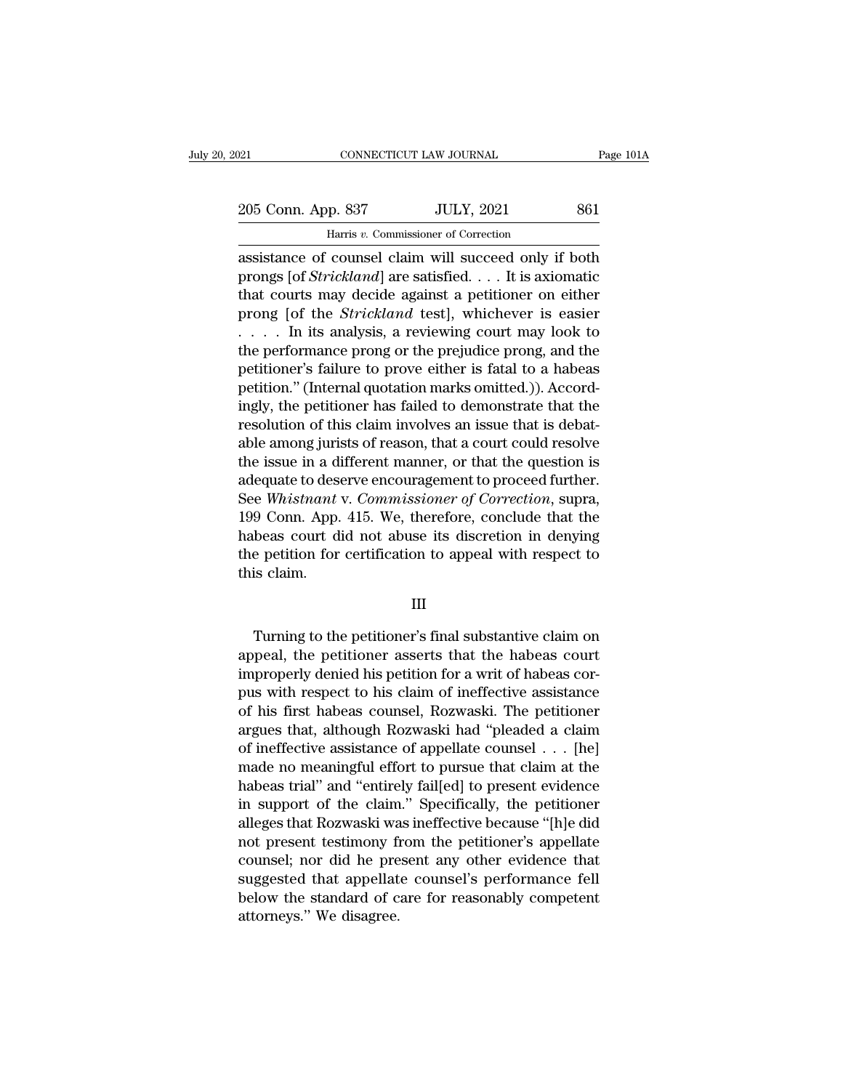205 Conn. App. 837 JULY, 2021 861<br>
Harris v. Commissioner of Correction EXECTICUT LAW JOURNAL<br>
1991 P. 837 JULY, 2021<br>
1991 Harris *v.* Commissioner of Correction<br>
1991 Claim will succeed only if

Fage 101A<br>
205 Conn. App. 837 JULY, 2021 861<br>
Harris v. Commissioner of Correction<br>
assistance of counsel claim will succeed only if both<br>
prongs [of *Strickland*] are satisfied. . . . It is axiomatic<br>
that sourts may desi 205 Conn. App. 837 JULY, 2021 861<br>
Harris *v*. Commissioner of Correction<br>
assistance of counsel claim will succeed only if both<br>
prongs [of *Strickland*] are satisfied. . . . It is axiomatic<br>
that courts may decide agains 205 Conn. App. 837 JULY, 2021 861<br>
Harris v. Commissioner of Correction<br>
assistance of coursel claim will succeed only if both<br>
prongs [of *Strickland*] are satisfied. . . . It is axiomatic<br>
that courts may decide against 205 Conn. App. 837 JULY, 2021 861<br>
Harris *v*. Commissioner of Correction<br>
assistance of counsel claim will succeed only if both<br>
prongs [of *Strickland*] are satisfied. . . . It is axiomatic<br>
that courts may decide agains Harris v. Commissioner of Correction<br>
assistance of counsel claim will succeed only if both<br>
prongs [of *Strickland*] are satisfied. . . . It is axiomatic<br>
that courts may decide against a petitioner on either<br>
prong [of The performance of counsel claim will succeed only if both<br>prongs [of *Strickland*] are satisfied. . . . It is axiomatic<br>that courts may decide against a petitioner on either<br>prong [of the *Strickland* test], whichever is assistance of counsel claim will succeed only if both<br>prongs [of *Strickland*] are satisfied. . . . It is axiomatic<br>that courts may decide against a petitioner on either<br>prong [of the *Strickland* test], whichever is easi prongs [of *Strickland*] are satisfied.... It is axiomatic<br>that courts may decide against a petitioner on either<br>prong [of the *Strickland* test], whichever is easier<br>..... In its analysis, a reviewing court may look to<br>t that courts may decide against a petitioner on either<br>prong [of the *Strickland* test], whichever is easier<br> $\dots$  in its analysis, a reviewing court may look to<br>the performance prong or the prejudice prong, and the<br>petitio prong [of the *Strickland* test], whichever is easier . . . . . In its analysis, a reviewing court may look to the performance prong or the prejudice prong, and the petitioner's failure to prove either is fatal to a habea .... In its analysis, a reviewing court may look to<br>the performance prong or the prejudice prong, and the<br>petitioner's failure to prove either is fatal to a habeas<br>petition." (Internal quotation marks omitted.)). Accord-<br> the performance prong or the prejudice prong, and the<br>petitioner's failure to prove either is fatal to a habeas<br>petition." (Internal quotation marks omitted.)). Accord-<br>ingly, the petitioner has failed to demonstrate that petitioner's failure to prove either is fatal to a habeas<br>petition." (Internal quotation marks omitted.)). Accord-<br>ingly, the petitioner has failed to demonstrate that the<br>resolution of this claim involves an issue that is petition." (Internal quotation marks omitted.)). Accordingly, the petitioner has failed to demonstrate that the resolution of this claim involves an issue that is debatable among jurists of reason, that a court could resol ingly, the petitioner has failed to demonstrate that the<br>resolution of this claim involves an issue that is debat-<br>able among jurists of reason, that a court could resolve<br>the issue in a different manner, or that the quest resolution of this claim involves an issue that is debat-<br>able among jurists of reason, that a court could resolve<br>the issue in a different manner, or that the question is<br>adequate to deserve encouragement to proceed furth able among jurists of reason, that a court could resolve<br>the issue in a different manner, or that the question is<br>adequate to deserve encouragement to proceed further.<br>See *Whistnant v. Commissioner of Correction*, supra,<br> the issue in a diadequate to dessee Whistnant<br>See Whistnant<br>199 Conn. App.<br>habeas court d<br>the petition for<br>this claim. Turning to the petitioner's final substantive claim on<br>the petition for certification to appeal with respect to<br>is claim.<br>Turning to the petitioner's final substantive claim on<br>peal, the petitioner asserts that the habeas

### III

Final contribution to appeal with respect to<br>this claim.<br>
III<br>
Turning to the petitioner's final substantive claim on<br>
appeal, the petitioner asserts that the habeas court<br>
improperly denied his petition for a writ of habe Inis claim.<br>
III<br>
Turning to the petitioner's final substantive claim on<br>
appeal, the petitioner asserts that the habeas court<br>
improperly denied his petition for a writ of habeas cor-<br>
pus with respect to his claim of ine III<br>
Turning to the petitioner's final substantive claim on<br>
appeal, the petitioner asserts that the habeas court<br>
improperly denied his petition for a writ of habeas cor-<br>
pus with respect to his claim of ineffective assi III<br>Turning to the petitioner's final substantive claim on<br>appeal, the petitioner asserts that the habeas count<br>improperly denied his petition for a writ of habeas cor-<br>pus with respect to his claim of ineffective assistan Turning to the petitioner's final substantive claim on<br>appeal, the petitioner asserts that the habeas court<br>improperly denied his petition for a writ of habeas cor-<br>pus with respect to his claim of ineffective assistance<br>o Turning to the petitioner's final substantive claim on<br>appeal, the petitioner asserts that the habeas court<br>improperly denied his petition for a writ of habeas cor-<br>pus with respect to his claim of ineffective assistance<br>o appeal, the petitioner asserts that the habeas court<br>improperly denied his petition for a writ of habeas cor-<br>pus with respect to his claim of ineffective assistance<br>of his first habeas counsel, Rozwaski. The petitioner<br>ar mproperly denied his petition for a writ of habeas corpus with respect to his claim of ineffective assistance<br>of his first habeas counsel, Rozwaski. The petitioner<br>argues that, although Rozwaski had "pleaded a claim<br>of ine pus with respect to his claim of ineffective assistance<br>of his first habeas counsel, Rozwaski. The petitioner<br>argues that, although Rozwaski had "pleaded a claim<br>of ineffective assistance of appellate counsel . . . [he]<br>ma of his first habeas counsel, Rozwaski. The petitioner<br>argues that, although Rozwaski had "pleaded a claim<br>of ineffective assistance of appellate counsel . . . [he]<br>made no meaningful effort to pursue that claim at the<br>habe argues that, although Rozwaski had "pleaded a claim<br>of ineffective assistance of appellate counsel . . . [he]<br>made no meaningful effort to pursue that claim at the<br>habeas trial" and "entirely fail[ed] to present evidence<br>i of mettective assistance of appellate counsel . . . [he]<br>made no meaningful effort to pursue that claim at the<br>habeas trial" and "entirely fail[ed] to present evidence<br>in support of the claim." Specifically, the petitioner made no meaningful effort to pursue that claim at the<br>habeas trial" and "entirely fail[ed] to present evidence<br>in support of the claim." Specifically, the petitioner<br>alleges that Rozwaski was ineffective because "[h]e did<br> habeas trial" and "entirely fail[ed] to present evidence<br>in support of the claim." Specifically, the petitioner<br>alleges that Rozwaski was ineffective because "[h]e did<br>not present testimony from the petitioner's appellate<br> in support of the claim<br>alleges that Rozwaski wa<br>not present testimony fi<br>counsel; nor did he pre<br>suggested that appellat<br>below the standard of c<br>attorneys." We disagree.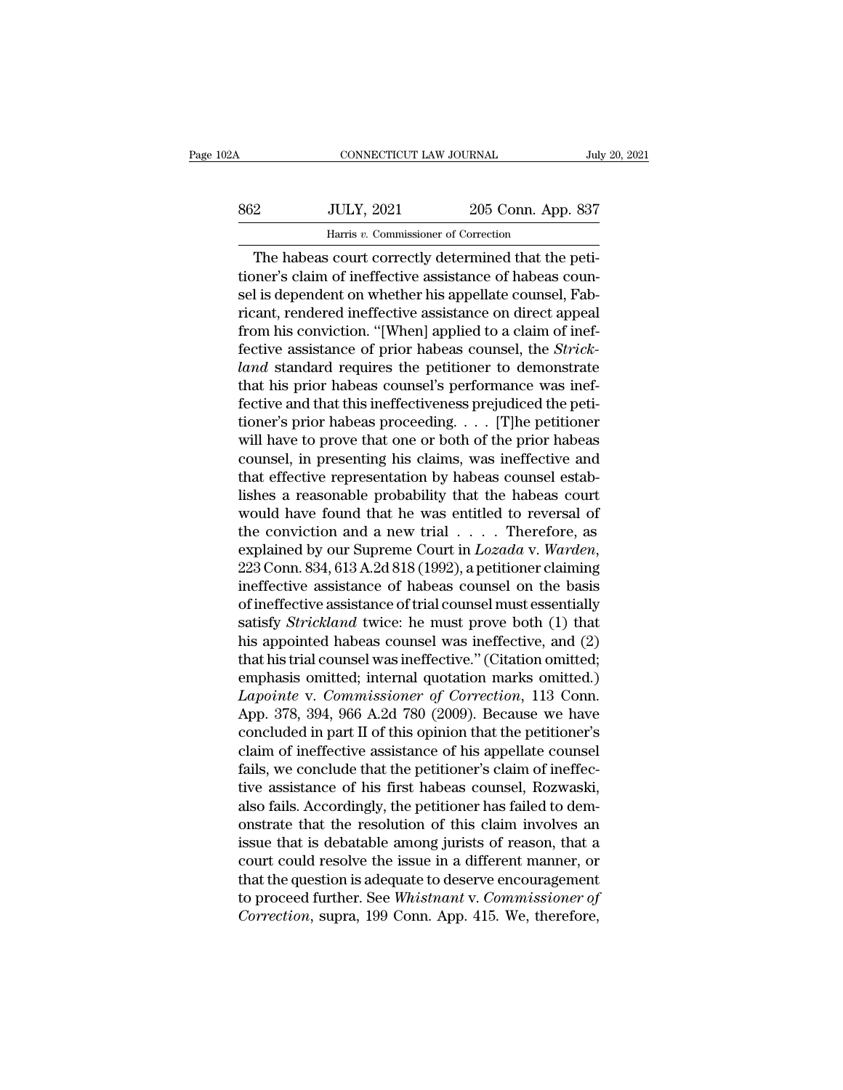| 02A | CONNECTICUT LAW JOURNAL                              |                    | July 20, 2021 |
|-----|------------------------------------------------------|--------------------|---------------|
| 862 | <b>JULY, 2021</b>                                    | 205 Conn. App. 837 |               |
|     | Harris v. Commissioner of Correction                 |                    |               |
|     | The habeas court correctly determined that the peti- |                    |               |

CONNECTICUT LAW JOURNAL<br>
205 Conn. App. 837<br>
1995 Conn. App. 837<br>
1997 Harris v. Commissioner of Correction<br>
1997 The habeas court correctly determined that the peti-<br>
1997 Selaim of ineffective assistance of habeas counti S62 JULY, 2021 205 Conn. App. 837<br>
Harris v. Commissioner of Correction<br>
The habeas court correctly determined that the petitioner's claim of ineffective assistance of habeas counsel is dependent on whether his appellate c Sel Sel Sel Sel Sel 2021<br>
Sel 205 Conn. App. 837<br>
Harris v. Commissioner of Correction<br>
The habeas court correctly determined that the peti-<br>
tioner's claim of ineffective assistance of habeas counsel<br>
is dependent on whet  $\begin{array}{r} \text{Harris } v. \text{ Commissioner of Correction} \ \hline \text{There is a common number of the image.} \end{array}$ <br>
The habeas court correctly determined that the petitioner's claim of ineffective assistance of habeas counsel is dependent on whether his appellate counsel, Fabricant, rend Harris v. Commissioner of Correction.<br>
The habeas court correctly determined that the petitioner's claim of ineffective assistance of habeas counsel is dependent on whether his appellate counsel, Fabricant, rendered ineffe Frams v. Commissioner of Conection<br>The habeas court correctly determined that the peti-<br>tioner's claim of ineffective assistance of habeas coun-<br>sel is dependent on whether his appellate counsel, Fab-<br>ricant, rendered inef The habeas court correctly determined that the petitioner's claim of ineffective assistance of habeas counsel is dependent on whether his appellate counsel, Fabricant, rendered ineffective assistance on direct appeal from tioner's claim of ineffective assistance of habeas counsel is dependent on whether his appellate counsel, Fabricant, rendered ineffective assistance on direct appeal from his conviction. "[When] applied to a claim of ineff sel is dependent on whether his appellate counsel, Fabricant, rendered ineffective assistance on direct appeal<br>from his conviction. "[When] applied to a claim of inef-<br>fective assistance of prior habeas counsel, the *Stric* ricant, rendered ineffective assistance on direct appeal<br>from his conviction. "[When] applied to a claim of inef-<br>fective assistance of prior habeas counsel, the *Strick-*<br>*land* standard requires the petitioner to demons from his conviction. "[When] applied to a claim of ineffective assistance of prior habeas counsel, the *Strick-*<br>*land* standard requires the petitioner to demonstrate<br>that his prior habeas counsel's performance was ineffective assistance of prior habeas counsel, the *Strick-land* standard requires the petitioner to demonstrate that his prior habeas counsel's performance was ineffective and that this ineffectiveness prejudiced the petiti land standard requires the petitioner to demonstrate<br>that his prior habeas counsel's performance was inef-<br>fective and that this ineffectiveness prejudiced the peti-<br>tioner's prior habeas proceeding.... [T]he petitioner<br>w that his prior habeas counsel's performance was ineffective and that this ineffectiveness prejudiced the petitioner's prior habeas proceeding. . . . [T]he petitioner will have to prove that one or both of the prior habeas fective and that this ineffectiveness prejudiced the petitioner's prior habeas proceeding. . . . [T]he petitioner will have to prove that one or both of the prior habeas counsel, in presenting his claims, was ineffective tioner's prior habeas proceeding. . . . [T]he petitioner<br>will have to prove that one or both of the prior habeas<br>counsel, in presenting his claims, was ineffective and<br>that effective representation by habeas counsel estab will have to prove that one or both of the prior habeas<br>counsel, in presenting his claims, was ineffective and<br>that effective representation by habeas counsel estab-<br>lishes a reasonable probability that the habeas court<br>wo that effective representation by habeas counsel establishes a reasonable probability that the habeas court<br>would have found that he was entitled to reversal of<br>the conviction and a new trial . . . . Therefore, as<br>explaine lishes a reasonable probability that the habeas court<br>would have found that he was entitled to reversal of<br>the conviction and a new trial . . . . Therefore, as<br>explained by our Supreme Court in  $Lozada$  v. Warden,<br>223 Conn. would have found that he was entitled to reversal of<br>the conviction and a new trial . . . . Therefore, as<br>explained by our Supreme Court in *Lozada* v. *Warden*,<br>223 Conn. 834, 613 A.2d 818 (1992), a petitioner claiming<br>in the conviction and a new trial  $\dots$ . Therefore, as<br>explained by our Supreme Court in *Lozada* v. Warden,<br>223 Conn. 834, 613 A.2d 818 (1992), a petitioner claiming<br>ineffective assistance of habeas counsel on the basis<br>of i explained by our Supreme Court in *Lozada* v. *Warden*,<br>223 Conn. 834, 613 A.2d 818 (1992), a petitioner claiming<br>ineffective assistance of habeas counsel on the basis<br>of ineffective assistance of trial counsel must essent 223 Conn. 834, 613 A.2d 818 (1992), a petitioner claiming<br>ineffective assistance of habeas counsel on the basis<br>of ineffective assistance of trial counsel must essentially<br>satisfy *Strickland* twice: he must prove both (1 ineffective assistance of habeas counsel on the basis<br>of ineffective assistance of trial counsel must essentially<br>satisfy *Strickland* twice: he must prove both (1) that<br>his appointed habeas counsel was ineffective, and (2 of ineffective assistance of trial counsel must essentially<br>satisfy *Strickland* twice: he must prove both (1) that<br>his appointed habeas counsel was ineffective, and (2)<br>that his trial counsel was ineffective." (Citation o satisfy *Strickland* twice: he must prove both (1) that<br>his appointed habeas counsel was ineffective, and (2)<br>that his trial counsel was ineffective." (Citation omitted;<br>emphasis omitted; internal quotation marks omitted.) his appointed habeas counsel was ineffective, and (2)<br>that his trial counsel was ineffective." (Citation omitted;<br>emphasis omitted; internal quotation marks omitted.)<br>Lapointe v. Commissioner of Correction, 113 Conn.<br>App. that his trial counsel was ineffective." (Citation omitted;<br>emphasis omitted; internal quotation marks omitted.)<br>Lapointe v. Commissioner of Correction, 113 Conn.<br>App. 378, 394, 966 A.2d 780 (2009). Because we have<br>conclud emphasis omitted; internal quotation marks omitted.)<br> *Lapointe* v. *Commissioner of Correction*, 113 Conn.<br>
App. 378, 394, 966 A.2d 780 (2009). Because we have<br>
concluded in part II of this opinion that the petitioner's<br> Lapointe v. Commissioner of Correction, 113 Conn.<br>App. 378, 394, 966 A.2d 780 (2009). Because we have<br>concluded in part II of this opinion that the petitioner's<br>claim of ineffective assistance of his appellate counsel<br>fail App. 378, 394, 966 A.2d 780 (2009). Because we have<br>concluded in part II of this opinion that the petitioner's<br>claim of ineffective assistance of his appellate counsel<br>fails, we conclude that the petitioner's claim of inef concluded in part II of this opinion that the petitioner's<br>claim of ineffective assistance of his appellate counsel<br>fails, we conclude that the petitioner's claim of ineffec-<br>tive assistance of his first habeas counsel, Ro claim of ineffective assistance of his appellate counsel<br>fails, we conclude that the petitioner's claim of ineffec-<br>tive assistance of his first habeas counsel, Rozwaski,<br>also fails. Accordingly, the petitioner has failed fails, we conclude that the petitioner's claim of ineffec-<br>tive assistance of his first habeas counsel, Rozwaski,<br>also fails. Accordingly, the petitioner has failed to dem-<br>onstrate that the resolution of this claim involv tive assistance of his first habeas counsel, Rozwaski, also fails. Accordingly, the petitioner has failed to demonstrate that the resolution of this claim involves an issue that is debatable among jurists of reason, that a also fails. Accordingly, the petitioner has failed to demonstrate that the resolution of this claim involves an issue that is debatable among jurists of reason, that a court could resolve the issue in a different manner, o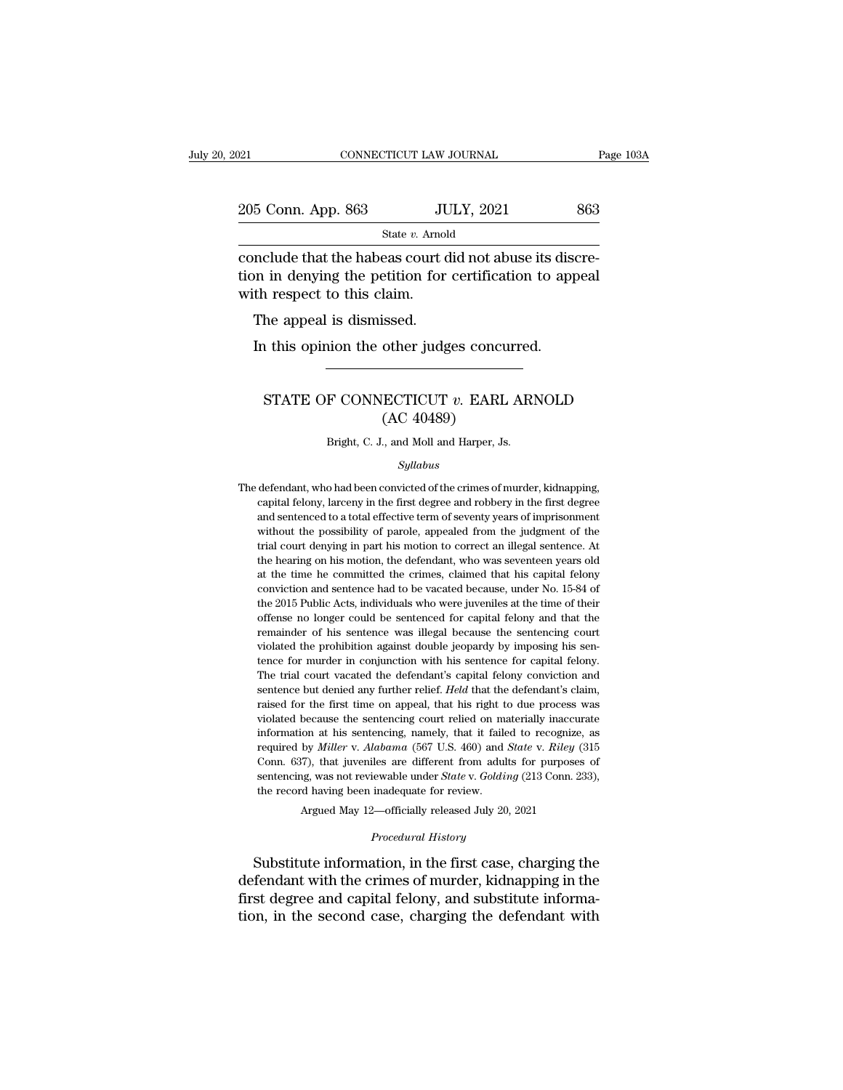| 2021                                                                                                                                               | CONNECTICUT LAW JOURNAL | Page 103A |
|----------------------------------------------------------------------------------------------------------------------------------------------------|-------------------------|-----------|
| 205 Conn. App. 863                                                                                                                                 | <b>JULY, 2021</b>       | 863       |
|                                                                                                                                                    | State v. Arnold         |           |
| conclude that the habeas court did not abuse its discre-<br>tion in denying the petition for certification to appeal<br>with rogport to this claim |                         |           |

205 Conn. App. 863 JULY, 2021 863<br>
State v. Arnold<br>
conclude that the habeas court did not abuse its discretion in denying the petition for certification to appeal<br>
with respect to this claim.  $\frac{205 \text{ Conn. App. 863}}{\text{State } v. \text{ Amol}}$ <br>
conclude that the habeas court of<br>
tion in denying the petition for<br>
with respect to this claim.<br>
The appeal is dismissed.  $\frac{5 \text{ Conn. App. 863}}{\text{state } v. \text{ Arnold}}$ <br>
mclude that the habeas court don in denying the petition for<br>
th respect to this claim.<br>
The appeal is dismissed.<br>
In this opinion the other judg State  $v$ . Arnold<br>
Include that the habeas court did not abuse its dis-<br>
in in denying the petition for certification to app<br>
th respect to this claim.<br>
The appeal is dismissed.<br>
In this opinion the other judges concurred

### n respect to this claim.<br>
he appeal is dismissed.<br> **CONNECTICUT** *v*. EARL ARNOLD<br>
STATE OF CONNECTICUT *v*. EARL ARNOLD<br>
(AC 40489) issed.<br>
other judges concu<br>
ECTICUT v. EARL<br>(AC 40489)<br>., and Moll and Harper, Js STATE OF CONNECTICUT  $v$ . EARL ARNOLD<br>(AC 40489)<br>Bright, C. J., and Moll and Harper, Js.

### *Syllabus*

The defendant, who had been convicted of the crimes of murder, kidnapping,<br>capital felony, larceny in the first degree and robbery in the first degree capital felony, larceny in the first degree and robbery in the first degree and sentenced to a total effective term of seventy years of imprisonment Bright, C. J., and Moll and Harper, Js.<br>
Syllabus<br>
defendant, who had been convicted of the crimes of murder, kidnapping,<br>
capital felony, larceny in the first degree and robbery in the first degree<br>
and sentenced to a tot *Syllabus*<br>defendant, who had been convicted of the crimes of murder, kidnapping,<br>capital felony, larceny in the first degree and robbery in the first degree<br>and sentenced to a total effective term of seventy years of impr Syllabus<br>defendant, who had been convicted of the crimes of murder, kidnapping,<br>capital felony, larceny in the first degree and robbery in the first degree<br>and sentenced to a total effective term of seventy years of impris defendant, who had been convicted of the crimes of murder, kidnapping, capital felony, larceny in the first degree and robbery in the first degree and sentenced to a total effective term of seventy years of imprisonment wi capital felony, larceny in the first degree and robbery in the first degree and sentenced to a total effective term of seventy years of imprisonment without the possibility of parole, appealed from the judgment of the tria explanation, all and sentence had the diffective term of seventy years of imprisonment without the possibility of parole, appealed from the judgment of the trial court denying in part his motion to correct an illegal sente without the possibility of parole, appealed from the judgment of the trial court denying in part his motion to correct an illegal sentence. At the hearing on his motion, the defendant, who was seventeen years old at the ti mal court denying in part his motion to correct an illegal sentence. At the hearing on his motion, the defendant, who was seventeen years old at the time he committed the crimes, claimed that his capital felony conviction remainder of his motion, the defendant, who was seventeen years old at the hearing on his motion, the defendant, who was seventeen years old at the time he committed the crimes, claimed that his capital felony conviction a the hearing on his motion, the defendant, who was seventeen years old<br>at the time he committed the crimes, claimed that his capital felony<br>conviction and sentence had to be vacated because, under No. 15-84 of<br>the 2015 Publ conviction and sentence had to be vacated because, under No. 15-84 of the 2015 Public Acts, individuals who were juveniles at the time of their offense no longer could be sentenced for capital felony and that the remainder the 2015 Public Acts, individuals who were juveniles at the time of their offense no longer could be sentenced for capital felony and that the remainder of his sentence was illegal because the sentencing court violated the offense no longer could be sentenced for capital felony and that the remainder of his sentence was illegal because the sentencing court violated the prohibition against double jeopardy by imposing his sentence for murder i remainder of his sentence was illegal because the sentencing court<br>violated the prohibition against double jeopardy by imposing his sen-<br>tence for murder in conjunction with his sentence for capital felony.<br>The trial court violated the prohibition against double jeopardy by imposing his sentence for murder in conjunction with his sentence for capital felony.<br>The trial court vacated the defendant's capital felony conviction and sentence but d Final tence for murder in conjunction with his sentence for capital felony.<br>The trial court vacated the defendant's capital felony conviction and<br>sentence but denied any further relief. *Held* that the defendant's claim,<br> The trial court vacated the defendant's capital felony conviction and sentence but denied any further relief. *Held* that the defendant's claim, raised for the first time on appeal, that his right to due process was violat sentence but denied any further relief. *Held* that the defendant's claim, raised for the first time on appeal, that his right to due process was violated because the sentencing court relied on materially inaccurate infor raised for the first time on appeal, that his right to due process was violated because the sentencing court relied on materially inaccurate information at his sentencing, namely, that it failed to recognize, as required by *Miller* v. *Alabama* (567 U.S. 460) and *State* v. *Riley* (315 Con required by *Miller v. Alabama* (567 U.S. 460) and *State v. Riley* (315 Conn. 637), that juveniles are different from adults for purposes of sentencing, was not reviewable under *State v. Golding* (213 Conn. 233), the re Conn. 637), that juveniles are different from adults for purposes of sentencing, was not reviewable under *State* v. *Golding* (213 Conn. 233), the record having been inadequate for review.<br>Argued May 12—officially release Substitute information, in the first case, charging the substitute information, and control and the first case of sentencing, was not reviewable under *State v. Golding* (213 Conn. 233), the record having been inadequate f

sentencing, was not reviewable under *State* v. *Golding* (213 Conn. 233),<br>the record having been inadequate for review.<br>Argued May 12—officially released July 20, 2021<br>*Procedural History*<br>Substitute information, in the f first degree and capital felongy and substitute information, in the first case, charging the defendant with the crimes of murder, kidnapping in the first degree and capital felony, and substitute information, in the second Argued May 12—officially released July 20, 2021<br>
Procedural History<br>
Substitute information, in the first case, charging the<br>
defendant with the crimes of murder, kidnapping in the<br>
first degree and capital felony, and sub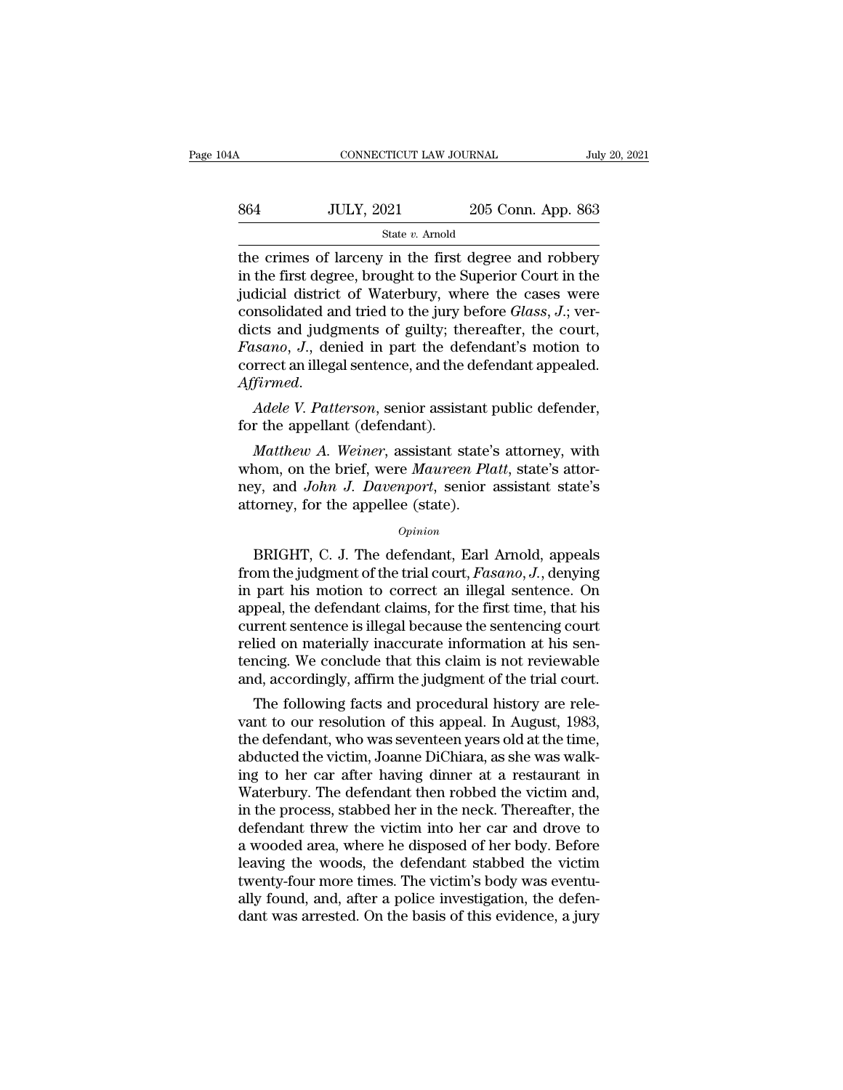| 04A | CONNECTICUT LAW JOURNAL |                    | July 20, 2021 |
|-----|-------------------------|--------------------|---------------|
| 864 | <b>JULY, 2021</b>       | 205 Conn. App. 863 |               |
|     | State v. Arnold         |                    |               |

CONNECTICUT LAW JOURNAL July 20, 2021<br>  $\frac{1}{100}$  205 Conn. App. 863<br>  $\frac{1}{100}$  State v. Arnold<br>
the crimes of larceny in the first degree and robbery<br>
in the first degree, brought to the Superior Court in the<br>
indicia  $\frac{\text{364}}{\text{State } v. \text{ Arnold}}$  and  $\frac{\text{364}}{\text{State } v. \text{ Arnold}}$  and  $\frac{\text{365}}{\text{State } v. \text{ Arnold}}$  and  $\frac{\text{366}}{\text{State } v. \text{を}}$  and  $\frac{\text{367}}{\text{State } v. \text{ } \text{67}}$  and  $\frac{\text{368}}{\text{State } v. \text{ } \text{67}}$  and  $\frac{\text{368}}{\text{State } v. \text{ } \text{67}}$  and  $\frac{\text{368}}$  $\frac{\text{364}}{\text{State } v. \text{ Amodel}}$  205 Conn. App. 863<br>
the crimes of larceny in the first degree and robbery<br>
in the first degree, brought to the Superior Court in the<br>
judicial district of Waterbury, where the cases were<br>
consolid S64 JULY, 2021 205 Conn. App. 863<br>
State *v*. Arnold<br>
the crimes of larceny in the first degree and robbery<br>
in the first degree, brought to the Superior Court in the<br>
judicial district of Waterbury, where the cases were<br> State v. Arnold<br>
the crimes of larceny in the first degree and robbery<br>
in the first degree, brought to the Superior Court in the<br>
judicial district of Waterbury, where the cases were<br>
consolidated and tried to the jury b *Fasce v. Arnold*<br> *Faste v. Arnold*<br> *Fast degree, brought to the Superior Court in the judicial district of Waterbury, where the cases were*<br>
consolidated and tried to the jury before *Glass*, *J*.; ver-<br>
dicts and judgm the crimes of larceny in the first degree and robbery<br>in the first degree, brought to the Superior Court in the<br>judicial district of Waterbury, where the cases were<br>consolidated and tried to the jury before *Glass*, *J*.; *Affirmed. Adele V. Patterson*, senior assistant public defender, for the appellant (defendant) *Affirmed. Adele V. Patterson*, senior assistant public defender, for the appellant (defendant). consondated and tried to the jury b<br>dicts and judgments of guilty; the<br>*Fasano*, J., denied in part the def<br>correct an illegal sentence, and the c<br>*Affirmed.*<br>*Adele V. Patterson*, senior assista<br>for the appellant (defenda *Mathew A.* Weined in part the defendant's motion to<br>
Firmed.<br> *Mathew A. Weiner*, senior assistant public defender,<br> *Matthew A. Weiner*, assistant state's attorney, with<br> **Matthew A. Weiner, assistant state's attorney, w** 

correct an illegal sentence, and the defendant appealed.<br>Affirmed.<br>Adele V. Patterson, senior assistant public defender,<br>for the appellant (defendant).<br>Matthew A. Weiner, assistant state's attorney, with<br>whom, on the brief Affirmed.<br> *Adele V. Patterson*, senior assistant public defender,<br>
for the appellant (defendant).<br> *Matthew A. Weiner*, assistant state's attorney, with<br>
whom, on the brief, were *Maureen Platt*, state's attor-<br>
ney, and Adele V. Patterson, senior assistant por the appellant (defendant).<br>
Matthew A. Weiner, assistant state's<br>
whom, on the brief, were Maureen Planey, and John J. Davenport, senior<br>
attorney, for the appellee (state).<br>  $o_{pinion}$ Matthew A. Weiner, assistant state's attorney, with<br>nom, on the brief, were Maureen Platt, state's attor-<br>y, and John J. Davenport, senior assistant state's<br>torney, for the appellee (state).<br> $o_{pinion}$ <br>BRIGHT, C. J. The defen

### *Opinion*

whom, on the brief, were *Maureen Platt*, state's attor-<br>ney, and *John J. Davenport*, senior assistant state's<br>attorney, for the appellee (state).<br> $opinion$ <br> $Spinon$ <br> $BRIGHT$ , C. J. The defendant, Earl Arnold, appeals<br>from the judgmen ney, and *John J. Davenport*, senior assistant state's<br>attorney, for the appellee (state).<br> $o_{pinion}$ <br>BRIGHT, C. J. The defendant, Earl Arnold, appeals<br>from the judgment of the trial court, *Fasano*, *J.*, denying<br>in part his attorney, for the appellee (state).<br>
opinion<br>
BRIGHT, C. J. The defendant, Earl Arnold, appeals<br>
from the judgment of the trial court, Fasano, J., denying<br>
in part his motion to correct an illegal sentence. On<br>
appeal, the opinion<br>
opinion<br>
BRIGHT, C. J. The defendant, Earl Arnold, appeals<br>
from the judgment of the trial court, *Fasano*, *J*., denying<br>
in part his motion to correct an illegal sentence. On<br>
appeal, the defendant claims, for t *Opmuon*<br>BRIGHT, C. J. The defendant, Earl Arnold, appeals<br>from the judgment of the trial court,  $Fasano, J.$ , denying<br>in part his motion to correct an illegal sentence. On<br>appeal, the defendant claims, for the first time, th BRIGHT, C. J. The defendant, Earl Arnold, appeals<br>from the judgment of the trial court, *Fasano*, J., denying<br>in part his motion to correct an illegal sentence. On<br>appeal, the defendant claims, for the first time, that his from the judgment of the trial court, *Fasano*, *J*., denying<br>in part his motion to correct an illegal sentence. On<br>appeal, the defendant claims, for the first time, that his<br>current sentence is illegal because the sentenc part his motion to correct an illegal sentence. On<br>peal, the defendant claims, for the first time, that his<br>rrent sentence is illegal because the sentencing court<br>lied on materially inaccurate information at his sen-<br>ncing appear, the detendant claims, for the first time, that his<br>current sentence is illegal because the sentencing court<br>relied on materially inaccurate information at his sen-<br>tencing. We conclude that this claim is not review

current sentence is liegal because the sentencing court<br>relied on materially inaccurate information at his sen-<br>tencing. We conclude that this claim is not reviewable<br>and, accordingly, affirm the judgment of the trial cour rened on materially maccurate miormation at ms sentencing. We conclude that this claim is not reviewable<br>and, accordingly, affirm the judgment of the trial court.<br>The following facts and procedural history are rele-<br>vant t tencing. we conclude that this claim is not reviewable<br>and, accordingly, affirm the judgment of the trial court.<br>The following facts and procedural history are rele-<br>vant to our resolution of this appeal. In August, 1983,<br> and, accordingly, anim the judgment of the trial court.<br>The following facts and procedural history are relevant to our resolution of this appeal. In August, 1983,<br>the defendant, who was seventeen years old at the time,<br>abd The following facts and procedural history are relevant to our resolution of this appeal. In August, 1983, the defendant, who was seventeen years old at the time, abducted the victim, Joanne DiChiara, as she was walking to vant to our resolution of this appeal. In August, 1983,<br>the defendant, who was seventeen years old at the time,<br>abducted the victim, Joanne DiChiara, as she was walk-<br>ing to her car after having dinner at a restaurant in<br>W the defendant, who was seventeen years old at the time,<br>abducted the victim, Joanne DiChiara, as she was walk-<br>ing to her car after having dinner at a restaurant in<br>Waterbury. The defendant then robbed the victim and,<br>in t abducted the victim, Joanne DiChiara, as she was walking to her car after having dinner at a restaurant in Waterbury. The defendant then robbed the victim and, in the process, stabbed her in the neck. Thereafter, the defen ing to her car after having dinner at a restaurant in Waterbury. The defendant then robbed the victim and, in the process, stabbed her in the neck. Thereafter, the defendant threw the victim into her car and drove to a woo Waterbury. The defendant then robbed the victim and,<br>in the process, stabbed her in the neck. Thereafter, the<br>defendant threw the victim into her car and drove to<br>a wooded area, where he disposed of her body. Before<br>leavin in the process, stabbed her in the neck. Thereafter, the defendant threw the victim into her car and drove to a wooded area, where he disposed of her body. Before leaving the woods, the defendant stabbed the victim twenty-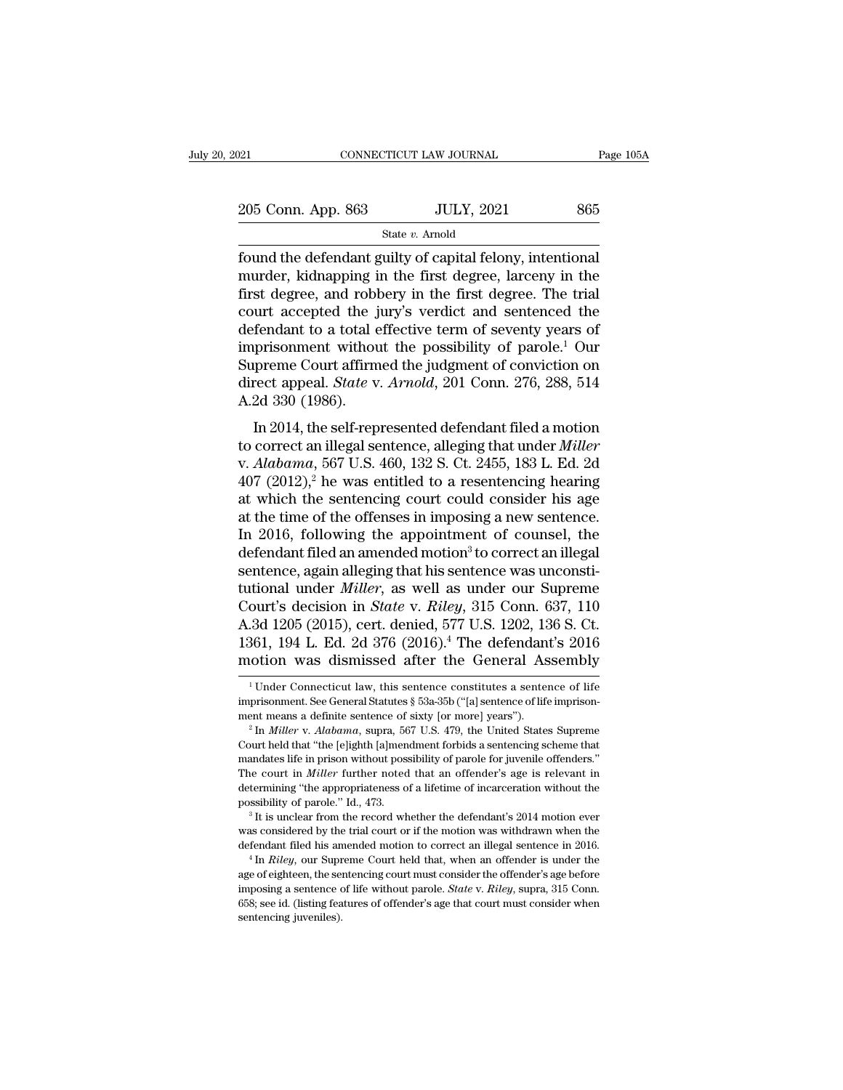| 2021               | CONNECTICUT LAW JOURNAL | Page 105A |
|--------------------|-------------------------|-----------|
| 205 Conn. App. 863 | <b>JULY, 2021</b>       | 865       |
|                    | State v. Arnold         |           |

Found the defendant guilty of capital felony, intentional<br>found the defendant guilty of capital felony, intentional<br>murder, kidnapping in the first degree, larceny in the<br>first degree and rebbers in the first degree. The 205 Conn. App. 863 JULY, 2021 865<br>
State v. Arnold<br>
found the defendant guilty of capital felony, intentional<br>
murder, kidnapping in the first degree, larceny in the<br>
first degree, and robbery in the first degree. The tri 205 Conn. App. 863 JULY, 2021 865<br>
State v. Amold<br>
found the defendant guilty of capital felony, intentional<br>
murder, kidnapping in the first degree, larceny in the<br>
first degree, and robbery in the first degree. The tria 205 Conn. App. 863 JULY, 2021 865<br>
state v. Arnold<br>
found the defendant guilty of capital felony, intentional<br>
murder, kidnapping in the first degree, larceny in the<br>
first degree, and robbery in the first degree. The tri State v. Amold<br>
found the defendant guilty of capital felony, intentional<br>
murder, kidnapping in the first degree, larceny in the<br>
first degree, and robbery in the first degree. The trial<br>
court accepted the jury's verdic state *v*. Arnold<br>
found the defendant guilty of capital felony, intentional<br>
murder, kidnapping in the first degree, larceny in the<br>
first degree, and robbery in the first degree. The trial<br>
court accepted the jury's ver found the defendant guilty of capital felony, intentional<br>murder, kidnapping in the first degree, larceny in the<br>first degree, and robbery in the first degree. The trial<br>court accepted the jury's verdict and sentenced the murder, kidnapping in the first degree, larceny in the first degree, and robbery in the first degree. The trial court accepted the jury's verdict and sentenced the defendant to a total effective term of seventy years of im first degree, and robbery in the first degree. The trial court accepted the jury's verdict and sentenced the defendant to a total effective term of seventy years of imprisonment without the possibility of parole.<sup>1</sup> Our S In a accepted the Jury's vertice and sentenced the<br>
fendant to a total effective term of seventy years of<br>
prisonment without the possibility of parole.<sup>1</sup> Our<br>
preme Court affirmed the judgment of conviction on<br>
rect app to correct an illegal sentence and the possibility of parole.<sup>1</sup> Our<br>Supreme Court affirmed the judgment of conviction on<br>direct appeal. *State* v. *Arnold*, 201 Conn. 276, 288, 514<br>A.2d 330 (1986).<br>In 2014, the self-repre

miprisonment winout the possibility of parole. Our<br>Supreme Court affirmed the judgment of conviction on<br>direct appeal. *State* v. *Arnold*, 201 Conn. 276, 288, 514<br>A.2d 330 (1986).<br>In 2014, the self-represented defendant f Bufferne Court annihed the judgment of conviction on<br>direct appeal. *State v. Arnold*, 201 Conn. 276, 288, 514<br>A.2d 330 (1986).<br>In 2014, the self-represented defendant filed a motion<br>to correct an illegal sentence, allegi A.2d 330 (1986).<br>
In 2014, the self-represented defendant filed a motion<br>
to correct an illegal sentence, alleging that under *Miller*<br>
v. *Alabama*, 567 U.S. 460, 132 S. Ct. 2455, 183 L. Ed. 2d<br>
407 (2012),<sup>2</sup> he was ent In 2014, the self-represented defendant filed a motion<br>to correct an illegal sentence, alleging that under *Miller*<br>v. *Alabama*, 567 U.S. 460, 132 S. Ct. 2455, 183 L. Ed. 2d<br>407 (2012),<sup>2</sup> he was entitled to a resentenci In 2014, the self-represented defendant filed a motion<br>to correct an illegal sentence, alleging that under *Miller*<br>v. *Alabama*, 567 U.S. 460, 132 S. Ct. 2455, 183 L. Ed. 2d<br>407 (2012),<sup>2</sup> he was entitled to a resentenci to correct an illegal sentence, alleging that under *Miller* v. *Alabama*, 567 U.S. 460, 132 S. Ct. 2455, 183 L. Ed. 2d 407 (2012),<sup>2</sup> he was entitled to a resentencing hearing at which the sentencing court could consider v. *Alabama*, 567 U.S. 460, 132 S. Ct. 2455, 183 L. Ed. 2d 407 (2012),<sup>2</sup> he was entitled to a resentencing hearing at which the sentencing court could consider his age at the time of the offenses in imposing a new senten 407 (2012),<sup>2</sup> he was entitled to a resentencing hearing<br>at which the sentencing court could consider his age<br>at the time of the offenses in imposing a new sentence.<br>In 2016, following the appointment of counsel, the<br>defe at which the sentencing court could consider his age<br>at the time of the offenses in imposing a new sentence.<br>In 2016, following the appointment of counsel, the<br>defendant filed an amended motion<sup>3</sup> to correct an illegal<br>sen at the time of the offenses in imposing a new sentence.<br>In 2016, following the appointment of counsel, the<br>defendant filed an amended motion<sup>3</sup> to correct an illegal<br>sentence, again alleging that his sentence was unconsti-In 2016, following the appointment of counsel, the<br>defendant filed an amended motion<sup>3</sup> to correct an illegal<br>sentence, again alleging that his sentence was unconsti-<br>tutional under *Miller*, as well as under our Supreme<br> defendant filed an amended motion<sup>3</sup> to correct an illegal<br>sentence, again alleging that his sentence was unconsti-<br>tutional under *Miller*, as well as under our Supreme<br>Court's decision in *State* v. *Riley*, 315 Conn. 6 ourt's decision in *State* v. *Ruey*, 315 Conn. 637, 110<br>
3d 1205 (2015), cert. denied, 577 U.S. 1202, 136 S. Ct.<br>
861, 194 L. Ed. 2d 376 (2016).<sup>4</sup> The defendant's 2016<br>
otion was dismissed after the General Assembly<br>
<sup>1</sup> A.3d 1205 (2015), cert. denied, 577 U.S. 1202, 136 S. Ct.<br>1361, 194 L. Ed. 2d 376 (2016).<sup>4</sup> The defendant's 2016<br>motion was dismissed after the General Assembly<br><sup>1</sup> Under Connecticut law, this sentence constitutes a sent

<sup>1361, 194</sup> L. Ed. 2d 376 (2016).<sup>4</sup> The defendant's 2016<br>motion was dismissed after the General Assembly<br><sup>1</sup>Under Connecticut law, this sentence constitutes a sentence of life<br>imprisonment. See General Statutes § 53a-35b ("

THOLIOIT WAS UISIHISSED AITET THE GEHETAI ASSEHIDITY<br>
<sup>1</sup> Under Connecticut law, this sentence constitutes a sentence of life<br>
imprisonment means a definite sentence of sixty [or more] years").<br>
<sup>2</sup> In *Miller* v. *Alabam* <sup>1</sup> Under Connecticut law, this sentence constitutes a sentence of life imprisonment. See General Statutes § 53a-35b ("[a] sentence of life imprisonment means a definite sentence of sixty [or more] years").<br>
<sup>2</sup> In *Mille* imprisonment. See General Statutes § 53a-35b ("[a] sentence of life imprisonment means a definite sentence of sixty [or more] years").<br><sup>2</sup> In *Miller* v. *Alabama*, supra, 567 U.S. 479, the United States Supreme Court held ment means a definite sentence of sixty [or more] years").<br>
<sup>2</sup> In *Miller* v. *Alabama*, supra, 567 U.S. 479, the United States Supreme<br>
Court held that "the [e]ighth [a]mendment forbids a sentencing scheme that<br>
mandate <sup>2</sup> In *Miller v. Alabama*, supra, 567 U.S. 479, the United States Supreme<br>Court held that "the [e]ighth [a]mendment forbids a sentencing scheme that<br>mandates life in prison without possibility of parole for juvenile offe mandates life in prison without possibility of parole for juvenile offenders."<br>The court in *Miller* further noted that an offender's age is relevant in<br>determining "the appropriateness of a lifetime of incarceration with The court in *Miller* further noted that an offender's age is relevant in determining "the appropriateness of a lifetime of incarceration without the possibility of parole." Id., 473.<br><sup>3</sup> It is unclear from the record whet

possibility of parole." Id., 473.<br>
<sup>3</sup> It is unclear from the record whether the defendant's 2014 motion ever<br>
was considered by the trial court or if the motion was withdrawn when the<br>
defendant filed his amended motion <sup>3</sup> It is unclear from the reord whether the defendant's 2014 motion ever was considered by the trial court or if the motion was withdrawn when the defendant filed his amended motion to correct an illegal sentence in 2016 was considered by the trial court or if the motion was withdrawn when the defendant filed his amended motion to correct an illegal sentence in 2016.<br>
<sup>4</sup> In *Riley*, our Supreme Court held that, when an offender is under we defendant filed his an  $4 \ln$   $Kiley$ , our Suprage of eighteen, the semimposing a sentence of  $658$ ; see id. (listing feasure sentence).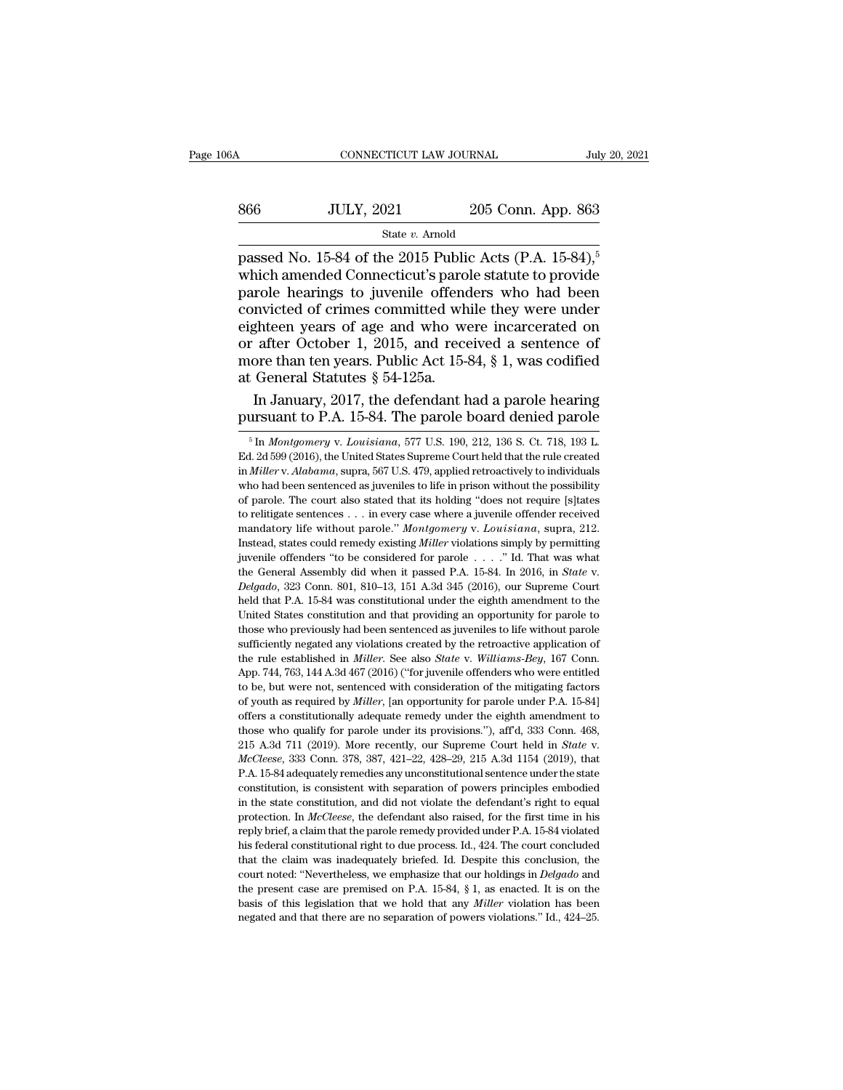### $\begin{tabular}{l l l l} \multicolumn{2}{c| l l} \multicolumn{2}{c| l} \multicolumn{2}{c| l} \multicolumn{2}{c| l} \multicolumn{2}{c| l} \multicolumn{2}{c| l} \multicolumn{2}{c| l} \multicolumn{2}{c| l} \multicolumn{2}{c| l} \multicolumn{2}{c| l} \multicolumn{2}{c| l} \multicolumn{2}{c| l} \multicolumn{2}{c| l} \multicolumn{2}{c| l} \multicolumn{2}{c| l} \multicolumn{2}{c| l} \multicolumn{2}{c| l} \multicolumn{2}{c| l} \multicolumn{2}{c| l$ State *v.* Arnold

cONNECTICUT LAW JOURNAL July 20, 202<br>
866 JULY, 2021 205 Conn. App. 863<br>
<sup>2016</sup> State v. Arnold<br>
2015 Public Acts (P.A. 15-84),<sup>5</sup><br>
2016 Which amended Connecticut's parole statute to provide<br>
parole hearings to juvenile of which amended Connecticut's parole statute to provide  $\frac{\text{SULY, 2021}}{\text{State } v. \text{ Arnold}}$ <br>  $\frac{\text{State } v. \text{ Arnold}}{\text{passed No. 15-84 of the 2015 Public} \text{Acts (P.A. 15-84)},$ <br>
which amended Connecticut's parole statute to provide<br>
parole hearings to juvenile offenders who had been<br>
convicted of crimes committed S66 JULY, 2021 205 Conn. App. 863<br>
State v. Arnold<br>
passed No. 15-84 of the 2015 Public Acts (P.A. 15-84),<sup>5</sup><br>
which amended Connecticut's parole statute to provide<br>
parole hearings to juvenile offenders who had been<br>
con Fig. 3021 200 Colut. App. 300<br>
State v. Amold<br>
passed No. 15-84 of the 2015 Public Acts (P.A. 15-84),<sup>5</sup><br>
which amended Connecticut's parole statute to provide<br>
parole hearings to juvenile offenders who had been<br>
convicte State v. Arnold<br>passed No. 15-84 of the 2015 Public Acts (P.A. 15-84),<sup>5</sup><br>which amended Connecticut's parole statute to provide<br>parole hearings to juvenile offenders who had been<br>convicted of crimes committed while they w passed No. 15-84 of the 2015 Public Acts (P.A. 15-84),<sup>5</sup><br>which amended Connecticut's parole statute to provide<br>parole hearings to juvenile offenders who had been<br>convicted of crimes committed while they were under<br>eighte which amended Connecticut's paro<br>parole hearings to juvenile offend<br>convicted of crimes committed wh<br>eighteen years of age and who we<br>or after October 1, 2015, and rece<br>more than ten years. Public Act 15-4<br>at General Statu role hearings to juvenile offenders who had been<br>nvicted of crimes committed while they were under<br>ghteen years of age and who were incarcerated on<br>after October 1, 2015, and received a sentence of<br>ore than ten years. Publ convicted of crimes committed while they were under<br>eighteen years of age and who were incarcerated on<br>or after October 1, 2015, and received a sentence of<br>more than ten years. Public Act 15-84, § 1, was codified<br>at Gener

for the main ten years. Public Act 15-84, § 1, was codified:<br>
5 General Statutes § 54-125a.<br>
In January, 2017, the defendant had a parole hearing<br>
ursuant to P.A. 15-84. The parole board denied parole<br>
<sup>5</sup> In *Montgomery*

at General Statutes § 54-125a.<br>
In January, 2017, the defendant had a parole hearing<br>
pursuant to P.A. 15-84. The parole board denied parole<br>
<sup>5</sup> In *Montgomery v. Louisiana*, 577 U.S. 190, 212, 136 S. Ct. 718, 193 L.<br>
Ed In January, 2017, the defendant had a parole hearing<br>pursuant to P.A. 15-84. The parole board denied parole<br><sup>5</sup> In *Montgomery* v. *Louisiana*, 577 U.S. 190, 212, 136 S. Ct. 718, 193 L.<br>Ed. 2d 599 (2016), the United States In Bartaday, 2011, the determinant had a parole hearing<br>pursuant to P.A. 15-84. The parole board denied parole<br><sup>5</sup> In *Montgomery* v. Louisiana, 577 U.S. 190, 212, 136 S. Ct. 718, 193 L.<br>Ed. 2d 599 (2016), the United Stat pursuant to F.A. 19-84. The parole board defiled parole  $\frac{1}{100}$  and  $\frac{1}{100}$  in *Montgomery* v. *Louisiana*, 577 U.S. 190, 212, 136 S. Ct. 718, 193 L. Ed. 2d 599 (2016), the United States Supreme Court held that th <sup>5</sup> In *Montgomery v. Louisiana*, 577 U.S. 190, 212, 136 S. Ct. 718, 193 L. Ed. 2d 599 (2016), the United States Supreme Court held that the rule created in *Miller v. Alabama*, supra, 567 U.S. 479, applied retroactively <sup>5</sup> In *Montgomery* v. *Louisiana*, 577 U.S. 190, 212, 136 S. Ct. 718, 193 L. Ed. 2d 599 (2016), the United States Supreme Court held that the rule created in *Miller* v. *Alabama*, supra, 567 U.S. 479, applied retroactiv In *Miller* v. *Alabama*, supra, 567 U.S. 479, applied retroactively to individuals who had been sentenced as juveniles to life in prison without the possibility of parole. The court also stated that its holding "does not who had been sentenced as juveniles to life in prison without the possibility of parole. The court also stated that its holding "does not require [s]tates to relitigate sentences . . . in every case where a juvenile offen of parole. The court also stated that its holding "does not require [s]tates to relitigate sentences . . . in every case where a juvenile offender received mandatory life without parole." *Montgomery v. Louisiana*, supra, mandatory life without parole." *Montgomery* v. Louisiana, supra, 212.<br>Instead, states could remedy existing *Miller* violations simply by permitting<br>juvenile offenders "to be considered for parole . . . ." Id. That was w Instead, states could remedy existing *Miller* violations simply by permitting juvenile offenders "to be considered for parole . . . ." Id. That was what the General Assembly did when it passed P.A. 15-84. In 2016, in *St* muvenile offenders "to be considered for parole . . . ." Id. That was what the General Assembly did when it passed P.A. 15-84. In 2016, in *State* v. *Delgado*, 323 Conn. 801, 810–13, 151 A.3d 345 (2016), our Supreme Court the General Assembly did when it passed P.A. 15-84. In 2016, in *State v. Delgado*, 323 Conn. 801, 810–13, 151 A.3d 345 (2016), our Supreme Court held that P.A. 15-84 was constitutional under the eighth amendment to the *the diameta* 323 Conn. 801, 810–13, 151 A.3d 345 (2016), our Supreme Court held that P.A. 15-84 was constitutional under the eighth amendment to the United States constitution and that providing an opportunity for parole held that P.A. 15-84 was constitutional under the eighth amendment to the United States constitution and that providing an opportunity for parole to those who previously had been sentenced as juveniles to life without paro United States constitution and that providing an opportunity for parole to those who previously had been sentenced as juveniles to life without parole sufficiently negated any violations created by the retroactive applica those who previously had been sentenced as juveniles to life without parole sufficiently negated any violations created by the retroactive application of the rule established in *Miller*. See also *State* v. *Williams-Bey* sufficiently negated any violations created by the retroactive application of the rule established in *Miller*. See also *State* v. *Williams-Bey*, 167 Conn. App. 744, 763, 144 A.3d 467 (2016) ("for juvenile offenders who the rule established in *Miller*. See also *State* v. *Williams-Bey*, 167 Conn.<br>App. 744, 763, 144 A.3d 467 (2016) ("for juvenile offenders who were entitled<br>to be, but were not, sentenced with consideration of the mitiga 215 A.3d 711 (2019). More recently, our Supreme Court held in *State* v. *McCleese*, 333 Conn. 378, 387, 421–22, 428–29, 215 A.3d 1154 (2019), that P.A. 15-84 adequately remedies any unconstitutional consideration of the m of youth as required by *Miller*, [an opportunity for parole under P.A. 15-84]<br>offers a constitutionally adequate remedy under the eighth amendment to<br>those who qualify for parole under its provisions."), aff'd, 333 Conn. constitution, is constitutionally adequate renedy under the eighth amendment to those who qualify for parole under its provisions."), aff'd, 333 Conn. 468, 215 A.3d 711 (2019). More recently, our Supreme Court held in *St* those who qualify for parole under its provisions."), affd, 333 Conn. 468, 215 A.3d 711 (2019). More recently, our Supreme Court held in *State* v. *McCleese*, 333 Conn. 378, 387, 421–22, 428–29, 215 A.3d 1154 (2019), tha 215 A3d 711 (2019). More recently, our Supreme Court held in *State* v.<br>*McCleese*, 333 Conn. 378, 387, 421–22, 428–29, 215 A.3d 1154 (2019), that<br>P.A. 15-84 adequately remedies any unconstitutional sentence under the stat *McCleese*, 333 Conn. 378, 387, 421–22, 428–29, 215 A.3d 1154 (2019), that P.A. 15-84 adequately remedies any unconstitutional sentence under the state constitution, is consistent with separation of powers principles embod here the state constitutional sentence under the state constitution, is consistent with separation of powers principles embodied in the state constitution, and did not violate the defendant's right to equal protection. In For constitution, is consistent with separation of powers principles embodied<br>in the state constitution, and did not violate the defendant's right to equal<br>protection. In *McCleese*, the defendant also raised, for the firs in the state constitution, and did not violate the defendant's right to equal<br>protection. In *McCleese*, the defendant also raised, for the first time in his<br>reply brief, a claim that the parole remedy provided under P.A. the protection. In *McCleese*, the defendant also raised, for the first time in his reply brief, a claim that the parole remedy provided under P.A. 15-84 violated his federal constitutional right to due process. Id., 424. reply brief, a claim that the parole remedy provided under P.A. 15-84 violated<br>his federal constitutional right to due process. Id., 424. The court concluded<br>that the claim was inadequately briefed. Id. Despite this conclu reply brief, a claim that the parole remedy provided under P.A. 15-84 violated his federal constitutional right to due process. Id., 424. The court concluded that the claim was inadequately briefed. Id. Despite this concl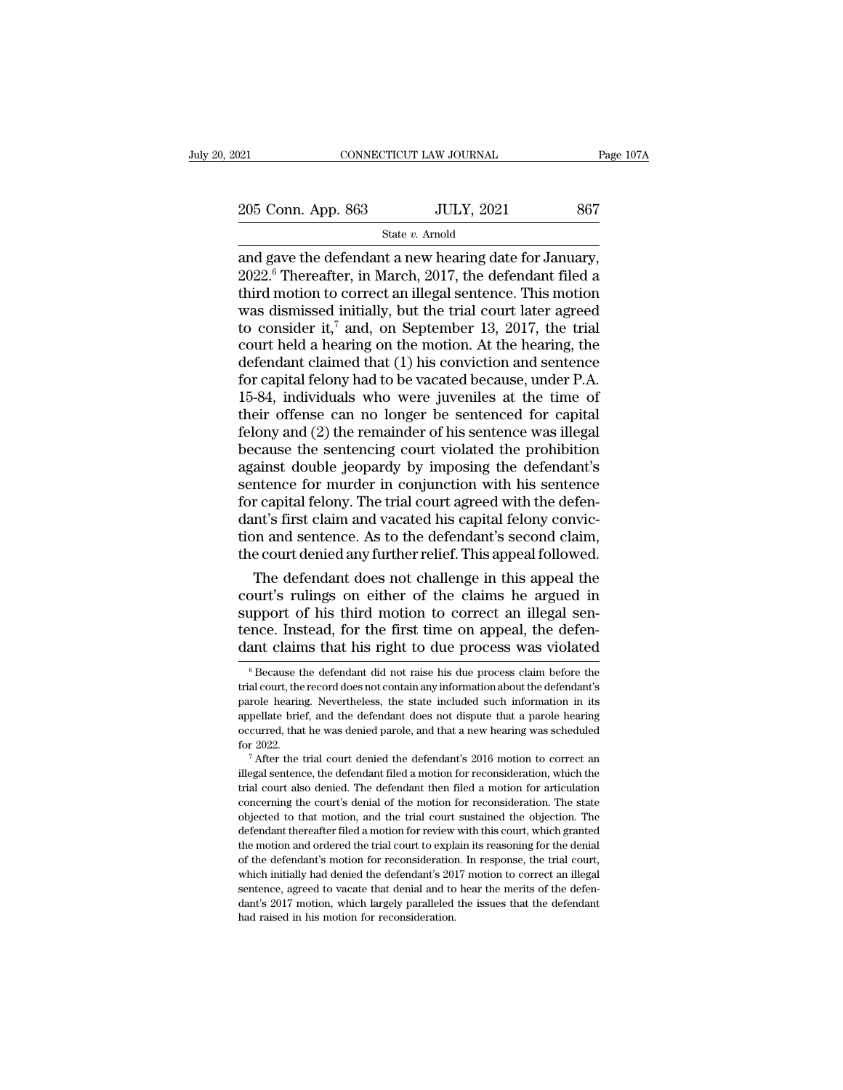21 CONNECTICUT LAW JOURNAL Page 107A<br>
205 Conn. App. 863 JULY, 2021 867<br>
State v. Arnold

State *v.* Arnold

 $\begin{array}{lll} \text{205 Conn. App. 863} & \text{JULY, 2021} & \text{867} \ \hline \text{State } v. \text{ Arnold} & \text{State } v. \text{Arnold} \ \hline \text{and gave the defendant a new hearing date for January, } \text{2022.}^6 \text{ Thereafter, in March, 2017, the defendant filed a third motion to correct an illegal sentence. This motion$ 205 Conn. App. 863 JULY, 2021 867<br>
State v. Arnold<br>
and gave the defendant a new hearing date for January,<br>
2022.<sup>6</sup> Thereafter, in March, 2017, the defendant filed a<br>
third motion to correct an illegal sentence. This mot 205 Conn. App. 863 JULY, 2021 867<br>
State v. Amold<br>
and gave the defendant a new hearing date for January,<br>
2022.<sup>6</sup> Thereafter, in March, 2017, the defendant filed a<br>
third motion to correct an illegal sentence. This moti 205 Conn. App. 863 JULY, 2021 867<br>
State v. Arnold<br>
and gave the defendant a new hearing date for January,<br>
2022.<sup>6</sup> Thereafter, in March, 2017, the defendant filed a<br>
third motion to correct an illegal sentence. This mot State v. Arnold<br>
and gave the defendant a new hearing date for January,<br>
2022.<sup>6</sup> Thereafter, in March, 2017, the defendant filed a<br>
third motion to correct an illegal sentence. This motion<br>
was dismissed initially, but t state v. Arnold<br>and gave the defendant a new hearing date for January,<br>2022.<sup>6</sup> Thereafter, in March, 2017, the defendant filed a<br>third motion to correct an illegal sentence. This motion<br>was dismissed initially, but the t and gave the defendant a new hearing date for January,<br>2022.<sup>6</sup> Thereafter, in March, 2017, the defendant filed a<br>third motion to correct an illegal sentence. This motion<br>was dismissed initially, but the trial court later  $2022.$ <sup>6</sup> Thereafter, in March,  $2017$ , the defendant filed a third motion to correct an illegal sentence. This motion was dismissed initially, but the trial court later agreed to consider it,<sup>7</sup> and, on September 13,  $2$ third motion to correct an illegal sentence. This motion<br>was dismissed initially, but the trial court later agreed<br>to consider it,<sup>7</sup> and, on September 13, 2017, the trial<br>court held a hearing on the motion. At the hearin was dismissed initially, but the trial court later agreed<br>to consider it,<sup>7</sup> and, on September 13, 2017, the trial<br>court held a hearing on the motion. At the hearing, the<br>defendant claimed that (1) his conviction and sent to consider it,<sup>7</sup> and, on September 13, 2017, the trial<br>court held a hearing on the motion. At the hearing, the<br>defendant claimed that (1) his conviction and sentence<br>for capital felony had to be vacated because, under P court held a hearing on the motion. At the hearing, the<br>defendant claimed that (1) his conviction and sentence<br>for capital felony had to be vacated because, under P.A.<br>15-84, individuals who were juveniles at the time of<br>t defendant claimed that (1) his conviction and sentence<br>for capital felony had to be vacated because, under P.A.<br>15-84, individuals who were juveniles at the time of<br>their offense can no longer be sentenced for capital<br>felo for capital felony had to be vacated because, under P.A.<br>15-84, individuals who were juveniles at the time of<br>their offense can no longer be sentenced for capital<br>felony and (2) the remainder of his sentence was illegal<br>be 15-84, individuals who were juveniles at the time of<br>their offense can no longer be sentenced for capital<br>felony and (2) the remainder of his sentence was illegal<br>because the sentencing court violated the prohibition<br>again their offense can no longer be sentenced for capital<br>felony and (2) the remainder of his sentence was illegal<br>because the sentencing court violated the prohibition<br>against double jeopardy by imposing the defendant's<br>senten felony and (2) the remainder of his sentence was illegal<br>because the sentencing court violated the prohibition<br>against double jeopardy by imposing the defendant's<br>sentence for murder in conjunction with his sentence<br>for ca because the sentencing court violated the prohibition<br>against double jeopardy by imposing the defendant's<br>sentence for murder in conjunction with his sentence<br>for capital felony. The trial court agreed with the defen-<br>dant ainst double jeopardy by imposing the defendant's<br>ntence for murder in conjunction with his sentence<br>r capital felony. The trial court agreed with the defen-<br>nt's first claim and vacated his capital felony convic-<br>n and se sentence for murder in conjunction with his sentence<br>for capital felony. The trial court agreed with the defen-<br>dant's first claim and vacated his capital felony convic-<br>tion and sentence. As to the defendant's second clai

for capital felony. The trial court agreed with the defendant's first claim and vacated his capital felony conviction and sentence. As to the defendant's second claim, the court denied any further relief. This appeal follo dant's first claim and vacated his capital felony conviction and sentence. As to the defendant's second claim, the court denied any further relief. This appeal followed.<br>The defendant does not challenge in this appeal the tion and sentence. As to the defendant's second claim,<br>the court denied any further relief. This appeal followed.<br>The defendant does not challenge in this appeal the<br>court's rulings on either of the claims he argued in<br>sup bout's rulings on either of the claims he argued in upport of his third motion to correct an illegal sen-<br>nce. Instead, for the first time on appeal, the defen-<br>ant claims that his right to due process was violated<br><sup>6</sup> Bec support of his third motion to correct an illegal sentence. Instead, for the first time on appeal, the defendant claims that his right to due process was violated  $\frac{1}{6}$  Because the defendant did not raise his due proc

tence. Instead, for the first time on appeal, the defendant claims that his right to due process was violated  $\frac{1}{6}$  Because the defendant did not raise his due process claim before the trial court, the record does not dant claims that his right to due process was violated<br>
<sup>6</sup> Because the defendant did not raise his due process claim before the<br>
trial court, the record does not contain any information about the defendant's<br>
parole heari GENTIC CLAINTIS THAT HIS TIGHT TO GUE PROCESS WAS VIOLATED  $\sigma$  Because the defendant did not raise his due process claim before the trial court, the record does not contain any information about the defendant's parole he  $^\circ$  Because the defendant did not raise his due process claim before the trial court, the record does not contain any information about the defendant's parole hearing. Nevertheless, the state included such information in increase, the state included such information in its appellate brief, and the defendant does not dispute that a parole hearing occurred, that he was denied parole, and that a new hearing was scheduled for 2022.<br><sup>7</sup> After t

papellate brief, and the defendant does not dispute that a parole hearing occurred, that he was denied parole, and that a new hearing was scheduled for 2022.<br>
<sup>7</sup> After the trial court denied the defendant's 2016 motion to concerning that he was denied parole, and that a new hearing was scheduled<br>for 2022.<br><sup>7</sup> After the trial court denied the defendant's 2016 motion to correct an<br>illegal sentence, the defendant filed a motion for reconsidera for 2022.<br>
<sup>7</sup> After the trial court denied the defendant's 2016 motion to correct an illegal sentence, the defendant filed a motion for reconsideration, which the trial court also denied. The defendant then filed a motion There is the trial court denied the defendant's 2016 motion to correct an illegal sentence, the defendant filed a motion for reconsideration, which the trial court also denied. The defendant then filed a motion for articu illegal sentence, the defendant filed a motion for reconsideration, which the trial court also denied. The defendant then filed a motion for articulation concerning the court's denial of the motion for reconsideration. The incured the defendant then filed a motion for articulation<br>trial court also denied. The defendant then filed a motion for articulation<br>concerning the court's denial of the motion for reconsideration. The state<br>objected to concerning the court's denial of the motion for reconsideration. The state objected to that motion, and the trial court sustained the objection. The defendant thereafter filed a motion for review with this court, which gra objected to that motion, and the trial court sustained the objection. The defendant thereafter filed a motion for review with this court, which granted the motion and ordered the trial court to explain its reasoning for t defendant thereafter filed a motion for review with this court, which granted the motion and ordered the trial court to explain its reasoning for the denial of the defendant's motion for reconsideration. In response, the t the motion and ordered the trial court to explane the motion and ordered the trial court to explane of the defendant's motion for reconsideration which initially had denied the defendant's 2013 sentence, agreed to vacate t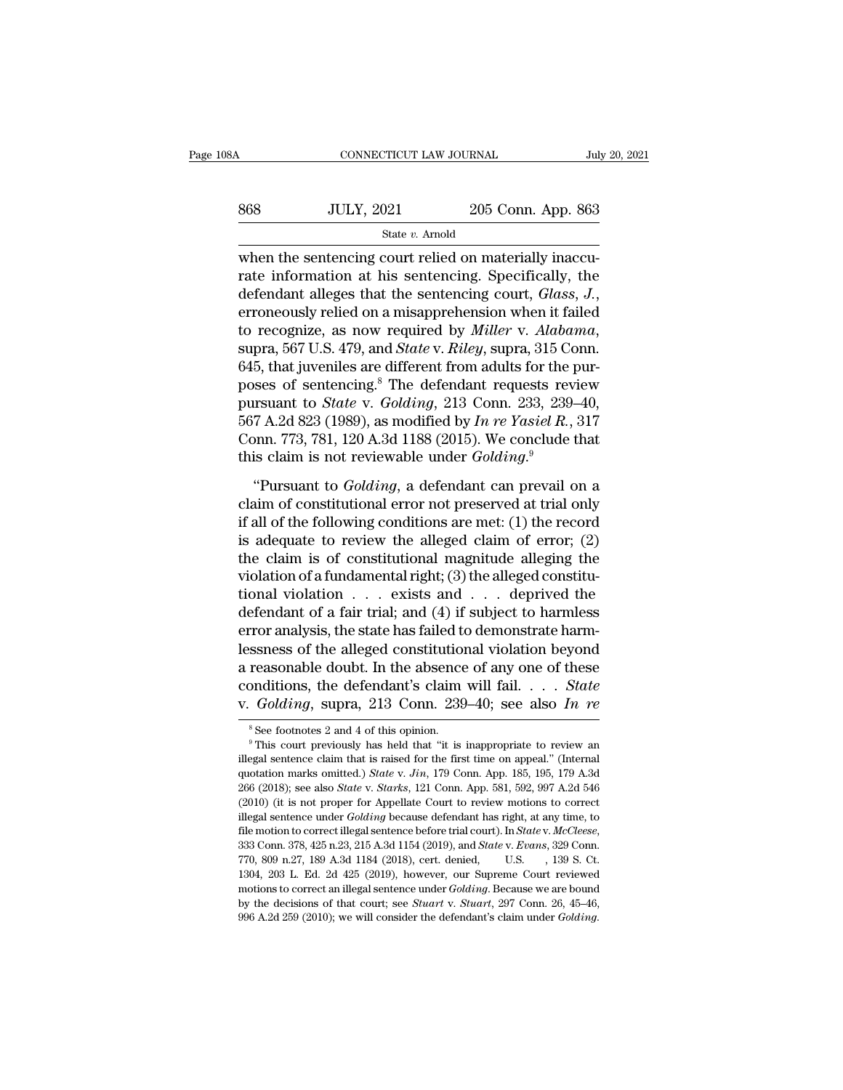| 08A | CONNECTICUT LAW JOURNAL |                    | July 20, 2021 |
|-----|-------------------------|--------------------|---------------|
| 868 | <b>JULY, 2021</b>       | 205 Conn. App. 863 |               |
|     | State $v$ . Arnold      |                    |               |

 $\begin{array}{r|l} \hline \text{COMNETICUT LAW JOURNAL} & \text{Jul} \ \hline \text{State } v. \text{ Arnold} & \text{State } v. \text{ Arnold} \ \hline \text{when the sentenceing court relied on materially inaccurate information at his sentence. Specifically, the defendant glucose that the corresponding court *Class* and *Class* is given by the system.} \hline \end{array}$ 868 JULY, 2021 205 Conn. App. 863<br>  $\frac{\text{State } v. \text{ Arnold}}{\text{State } v. \text{ Arnold}}$ <br>
when the sentencing court relied on materially inaccurate information at his sentencing. Specifically, the<br>
defendant alleges that the sentencing court, *Gl* defendant alleges that the sentencing court relied on materially inaccurate information at his sentencing. Specifically, the defendant alleges that the sentencing court, *Glass*, *J.*, erroneously relied on a misapprehensi State *v*. Arnold<br>when the sentencing court relied on materially inaccu-<br>rate information at his sentencing. Specifically, the<br>defendant alleges that the sentencing court, *Glass*, *J*.,<br>erroneously relied on a misapprehen when the sentencing court relied on materially inaccurate information at his sentencing. Specifically, the defendant alleges that the sentencing court, *Glass*, *J*., erroneously relied on a misapprehension when it failed rate information at his sentencing. Specifically, the<br>defendant alleges that the sentencing court, *Glass*, *J*.,<br>erroneously relied on a misapprehension when it failed<br>to recognize, as now required by *Miller* v. *Alabam* defendant alleges that the sentencing court, *Glass*, *J.*,<br>erroneously relied on a misapprehension when it failed<br>to recognize, as now required by *Miller* v. *Alabama*,<br>supra, 567 U.S. 479, and *State* v. *Riley*, supra, erroneously relied on a misapprehension when it failed<br>to recognize, as now required by *Miller* v. *Alabama*,<br>supra, 567 U.S. 479, and *State* v. *Riley*, supra, 315 Conn.<br>645, that juveniles are different from adults for to recognize, as now required by *Miller* v. *Alabama*, supra, 567 U.S. 479, and *State* v. *Riley*, supra, 315 Conn. 645, that juveniles are different from adults for the purposes of sentencing.<sup>8</sup> The defendant requests supra, 567 U.S. 479, and *State* v. *Riley*, supra, 315 Com 645, that juveniles are different from adults for the poses of sentencing.<sup>8</sup> The defendant requests reversions pursuant to *State* v. *Golding*, 213 Conn. 233, 2  $\gamma$ , and  $\gamma$  are thereing.<sup>8</sup> The defendant requests review<br>
in sexs of sentencing.<sup>8</sup> The defendant requests review<br>  $\gamma$  A.2d 823 (1989), as modified by *In re Yasiel R.*, 317<br>  $\gamma$ mn. 773, 781, 120 A.3d 1188 (2015). pursuant to *State* v. *Golding*, 213 Conn. 233, 239–40,<br>567 A.2d 823 (1989), as modified by *In re Yasiel R.*, 317<br>Conn. 773, 781, 120 A.3d 1188 (2015). We conclude that<br>this claim is not reviewable under *Golding*.<sup>9</sup><br>"

567 A.2d 823 (1989), as modified by *In re Yasiel R.*, 317<br>Conn. 773, 781, 120 A.3d 1188 (2015). We conclude that<br>this claim is not reviewable under *Golding*.<sup>9</sup><br>"Pursuant to *Golding*, a defendant can prevail on a<br>claim For a 2015), and 1188 (2015). We conclude that<br>this claim is not reviewable under *Golding*.<sup>9</sup><br>"Pursuant to *Golding*, a defendant can prevail on a<br>claim of constitutional error not preserved at trial only<br>if all of the this claim is not reviewable under *Golding*.<sup>9</sup><br>
"Pursuant to *Golding*, a defendant can prevail on a<br>
claim of constitutional error not preserved at trial only<br>
if all of the following conditions are met: (1) the record "Pursuant to *Golding*, a defendant can prevail on a<br>claim of constitutional error not preserved at trial only<br>if all of the following conditions are met: (1) the record<br>is adequate to review the alleged claim of error; ( "Pursuant to *Golding*, a defendant can prevail on a<br>claim of constitutional error not preserved at trial only<br>if all of the following conditions are met: (1) the record<br>is adequate to review the alleged claim of error; ( claim of constitutional error not preserved at trial only<br>if all of the following conditions are met: (1) the record<br>is adequate to review the alleged claim of error; (2)<br>the claim is of constitutional magnitude alleging if all of the following conditions are met: (1) the record<br>is adequate to review the alleged claim of error; (2)<br>the claim is of constitutional magnitude alleging the<br>violation of a fundamental right; (3) the alleged cons is adequate to review the alleged claim of error; (2)<br>the claim is of constitutional magnitude alleging the<br>violation of a fundamental right; (3) the alleged constitu-<br>tional violation  $\ldots$  exists and  $\ldots$  deprived the<br> the claim is of constitutional magnitude alleging the<br>violation of a fundamental right; (3) the alleged constitu-<br>tional violation  $\ldots$  exists and  $\ldots$  deprived the<br>defendant of a fair trial; and (4) if subject to harml violation of a fundamental right; (3) the alleged constitutional violation  $\ldots$  exists and  $\ldots$  deprived the defendant of a fair trial; and (4) if subject to harmless error analysis, the state has failed to demonstrate tional violation  $\ldots$  exists and  $\ldots$  deprived the<br>defendant of a fair trial; and (4) if subject to harmless<br>error analysis, the state has failed to demonstrate harm-<br>lessness of the alleged constitutional violation bey ssness or the alleged constitutional violation beyond<br>reasonable doubt. In the absence of any one of these<br>onditions, the defendant's claim will fail. . . . State<br> $Golding$ , supra, 213 Conn. 239–40; see also In re<br> $^8$ See foot

conditions, the defendant's claim will fail. . . . . State<br>v. Golding, supra, 213 Conn. 239–40; see also In re<br><sup>8</sup>See footnotes 2 and 4 of this opinion.<br><sup>9</sup>This court previously has held that "it is inappropriate to revie v. *Golding*, supra, 213 Conn. 239–40; see also *In re*<br><sup>8</sup> See footnotes 2 and 4 of this opinion.<br><sup>9</sup> This court previously has held that "it is inappropriate to review an illegal sentence claim that is raised for the fir 266 (2018); supplementation and this opinion.<br>
<sup>9</sup> This court previously has held that "it is inappropriate to review an illegal sentence claim that is raised for the first time on appeal." (Internal quotation marks omitte <sup>8</sup> See footnotes 2 and 4 of this opinion.<br><sup>9</sup> This court previously has held that "it is inappropriate to review an illegal sentence claim that is raised for the first time on appeal." (Internal quotation marks omitted.) <sup>9</sup> This court previously has held that "it is inappropriate to review an illegal sentence claim that is raised for the first time on appeal." (Internal quotation marks omitted.) *State v. Jin*, 179 Conn. App. 185, 195, 1 illegal sentence claim that is raised for the first time on appeal." (Internal quotation marks omitted.) *State* v. *Jin*, 179 Conn. App. 185, 195, 179 A.3d 266 (2018); see also *State* v. *Starks*, 121 Conn. App. 581, 592 266 (2018); see also *State* v. *Starks*, 121 Conn. App. 581, 592, 997 A.2d 546 (2010) (it is not proper for Appellate Court to review motions to correct illegal sentence under *Golding* because defendant has right, at an (2010) (it is not proper for Appellate Court to review motions to correct illegal sentence under *Golding* because defendant has right, at any time, to file motion to correct illegal sentence before trial court). In *Stat* illegal sentence under *Golding* because defendant has right, at any time, to file motion to correct illegal sentence before trial court). In *State* v. McCleese, 333 Conn. 378, 425 n.23, 215 A.3d 1154 (2019), and *State* file motion to correct illegal sentence before trial court). In *State* v. *McCleese*, 333 Conn. 378, 425 n.23, 215 A.3d 1154 (2019), and *State* v. *Evans*, 329 Conn. 770, 809 n.27, 189 A.3d 1184 (2018), cert. denied, U.S 333 Conn. 378, 425 n.23, 215 A.3d 1154 (2019), and *State v. Evans*, 329 Conn.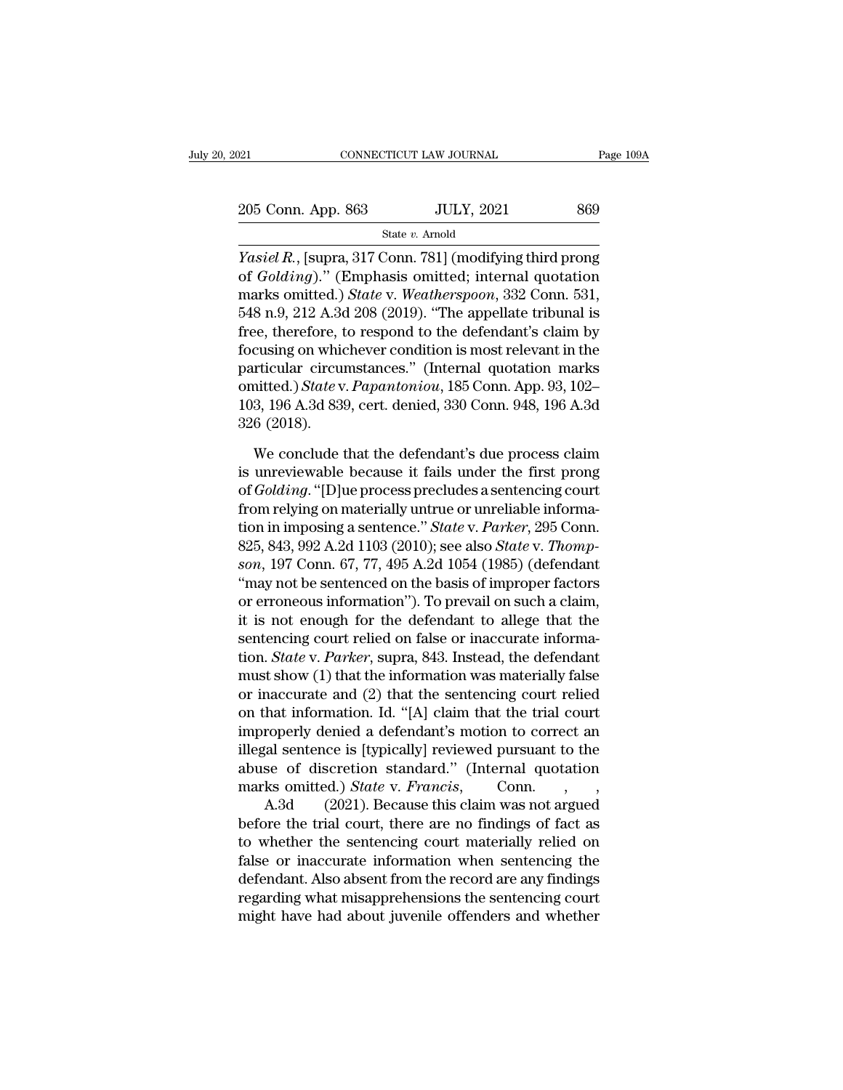| :021               | CONNECTICUT LAW JOURNAL | Page 109A |
|--------------------|-------------------------|-----------|
| 205 Conn. App. 863 | <b>JULY, 2021</b>       | 869       |
|                    | State $v$ . Arnold      |           |

Page 109A<br> *Yasiel R.*, [supra, 317 Conn. 781] (modifying third prong<br> *Yasiel R.*, [supra, 317 Conn. 781] (modifying third prong<br>
of *Golding*)." (Emphasis omitted; internal quotation<br>
merics emitted.) State v. Westhermos 205 Conn. App. 863 JULY, 2021 869<br>State *v*. Arnold<br>*Yasiel R*., [supra, 317 Conn. 781] (modifying third prong<br>of *Golding*).'' (Emphasis omitted; internal quotation<br>marks omitted.) *State* v. *Weatherspoon*, 332 Conn. 531 205 Conn. App. 863 JULY, 2021 869<br>
State v. Amold<br>
Yasiel R., [supra, 317 Conn. 781] (modifying third prong<br>
of *Golding*)." (Emphasis omitted; internal quotation<br>
marks omitted.) *State* v. *Weatherspoon*, 332 Conn. 531, 205 Conn. App. 863 JULY, 2021 869<br>
State v. Arnold<br>
Yasiel R., [supra, 317 Conn. 781] (modifying third prong<br>
of  $Golding$ )." (Emphasis omitted; internal quotation<br>
marks omitted.) *State v. Weatherspoon*, 332 Conn. 531,<br>
548 State v. Arnold<br> *Fasiel R.*, [supra, 317 Conn. 781] (modifying third prong<br>
of *Golding*)." (Emphasis omitted; internal quotation<br>
marks omitted.) *State* v. *Weatherspoon*, 332 Conn. 531,<br>
548 n.9, 212 A.3d 208 (2019). For Wasiel R., [supra, 317 Conn. 781] (modifying third prong<br>of  $Golding$ )." (Emphasis omitted; internal quotation<br>marks omitted.) *State* v. Weatherspoon, 332 Conn. 531,<br>548 n.9, 212 A.3d 208 (2019). "The appellate tribunal i *Yasiel R.*, [supra, 317 Conn. 781] (modifying third prong<br>of  $Golding$ )." (Emphasis omitted; internal quotation<br>marks omitted.) *State* v. *Weatherspoon*, 332 Conn. 531,<br>548 n.9, 212 A.3d 208 (2019). "The appellate tribunal i of *Golding*)." (Emphasis omitted; internal quotation<br>marks omitted.) *State* v. *Weatherspoon*, 332 Conn. 531,<br>548 n.9, 212 A.3d 208 (2019). "The appellate tribunal is<br>free, therefore, to respond to the defendant's claim marks omitted.) *State v. Weatherspoon*, 332 Conn. 531, 548 n.9, 212 A.3d 208 (2019). "The appellate tribunal is free, therefore, to respond to the defendant's claim by focusing on whichever condition is most relevant in t  $548$  n.9, 212 A.36<br>free, therefore, t<br>focusing on whic<br>particular circu<br>omitted.) State v<br>103, 196 A.3d 839<br>326 (2018).<br>We conclude t cusing on whichever condition is most relevant in the<br>rticular circumstances." (Internal quotation marks<br>nitted.) State v. Papantoniou, 185 Conn. App. 93, 102–<br>3, 196 A.3d 839, cert. denied, 330 Conn. 948, 196 A.3d<br>6 (2018 particular circumstances." (Internal quotation marks<br>omitted.) *State* v. *Papantoniou*, 185 Conn. App. 93, 102–<br>103, 196 A.3d 839, cert. denied, 330 Conn. 948, 196 A.3d<br>326 (2018).<br>We conclude that the defendant's due pro

omitted.) *State* v. *Papantoniou*, 185 Conn. App. 93, 102–103, 196 A.3d 839, cert. denied, 330 Conn. 948, 196 A.3d<br>326 (2018).<br>We conclude that the defendant's due process claim<br>is unreviewable because it fails under the 103, 196 A.3d 839, cert. denied, 330 Conn. 948, 196 A.3d<br>326 (2018).<br>We conclude that the defendant's due process claim<br>is unreviewable because it fails under the first prong<br>of *Golding*. "[D]ue process precludes a sente 326 (2018).<br>We conclude that the defendant's due process claim<br>is unreviewable because it fails under the first prong<br>of *Golding*. "[D]ue process precludes a sentencing court<br>from relying on materially untrue or unreliabl We conclude that the defendant's due process claim<br>is unreviewable because it fails under the first prong<br>of *Golding*. "[D]ue process precludes a sentencing court<br>from relying on materially untrue or unreliable informa-<br>t We conclude that the defendant's due process claim<br>is unreviewable because it fails under the first prong<br>of *Golding*. "[D]ue process precludes a sentencing court<br>from relying on materially untrue or unreliable informa-<br>t is unreviewable because it fails under the first prong<br>of  $Golding$ . "[D]ue process precludes a sentencing court<br>from relying on materially untrue or unreliable informa-<br>tion in imposing a sentence." *State v. Parker*, 295 Con or *Golding*. "[D]ue process precludes a sentencing court<br>from relying on materially untrue or unreliable informa-<br>tion in imposing a sentence." *State* v. *Parker*, 295 Conn.<br>825, 843, 992 A.2d 1103 (2010); see also *Sta* from relying on materially untrue or unreliable information in imposing a sentence." State v. Parker, 295 Conn.<br>825, 843, 992 A.2d 1103 (2010); see also State v. Thompson, 197 Conn. 67, 77, 495 A.2d 1054 (1985) (defendant tion in imposing a sentence." *State v. Parker*, 295 Conn.<br>825, 843, 992 A.2d 1103 (2010); see also *State v. Thompson*, 197 Conn. 67, 77, 495 A.2d 1054 (1985) (defendant<br>"may not be sentenced on the basis of improper fac 825, 843, 992 A.2d 1103 (2010); see also *State* v. *Thompson*, 197 Conn. 67, 77, 495 A.2d 1054 (1985) (defendant "may not be sentenced on the basis of improper factors or erroneous information"). To prevail on such a clai son, 197 Conn. 67, 77, 495 A.2d 1054 (1985) (defendant<br>
"may not be sentenced on the basis of improper factors<br>
or erroneous information"). To prevail on such a claim,<br>
it is not enough for the defendant to allege that th "may not be sentenced on the basis of improper factors<br>or erroneous information"). To prevail on such a claim,<br>it is not enough for the defendant to allege that the<br>sentencing court relied on false or inaccurate informa-<br> or erroneous information"). To prevail on such a claim,<br>it is not enough for the defendant to allege that the<br>sentencing court relied on false or inaccurate informa-<br>tion. *State* v. *Parker*, supra, 843. Instead, the def it is not enough for the defendant to allege that the<br>sentencing court relied on false or inaccurate informa-<br>tion. *State* v. *Parker*, supra, 843. Instead, the defendant<br>must show (1) that the information was materially sentencing court relied on false or inaccurate informa-<br>tion. *State* v. *Parker*, supra, 843. Instead, the defendant<br>must show (1) that the information was materially false<br>or inaccurate and (2) that the sentencing court tion. *State* v. *Parker*, supra, 843. Instead, the defendant<br>must show (1) that the information was materially false<br>or inaccurate and (2) that the sentencing court relied<br>on that information. Id. "[A] claim that the tri must show (1) that the information was materially false<br>or inaccurate and (2) that the sentencing court relied<br>on that information. Id. "[A] claim that the trial court<br>improperly denied a defendant's motion to correct an<br>i maccurate and (2) that the sentencing court relied<br>hat information. Id. "[A] claim that the trial court<br>roperly denied a defendant's motion to correct an<br>al sentence is [typically] reviewed pursuant to the<br>se of discretio on that information. Id. "[A] claim that the trial court<br>improperly denied a defendant's motion to correct an<br>illegal sentence is [typically] reviewed pursuant to the<br>abuse of discretion standard." (Internal quotation<br>mar

improperly denied a defendant's motion to correct an<br>illegal sentence is [typically] reviewed pursuant to the<br>abuse of discretion standard." (Internal quotation<br>marks omitted.) *State* v. *Francis*, Conn., ,<br>A.3d (2021). illegal sentence is [typically] reviewed pursuant to the<br>abuse of discretion standard." (Internal quotation<br>marks omitted.) *State* v. *Francis*, Conn.,,,<br>A.3d (2021). Because this claim was not argued<br>before the trial cou abuse of discretion standard." (Internal quotation<br>marks omitted.) *State* v. *Francis*, Conn., ,<br>A.3d (2021). Because this claim was not argued<br>before the trial court, there are no findings of fact as<br>to whether the sente marks omitted.) *State* v. *Francis*, Conn., , , , A.3d (2021). Because this claim was not argued before the trial court, there are no findings of fact as to whether the sentencing court materially relied on false or inacc A.3d (2021). Because this claim was not argued<br>before the trial court, there are no findings of fact as<br>to whether the sentencing court materially relied on<br>false or inaccurate information when sentencing the<br>defendant. Al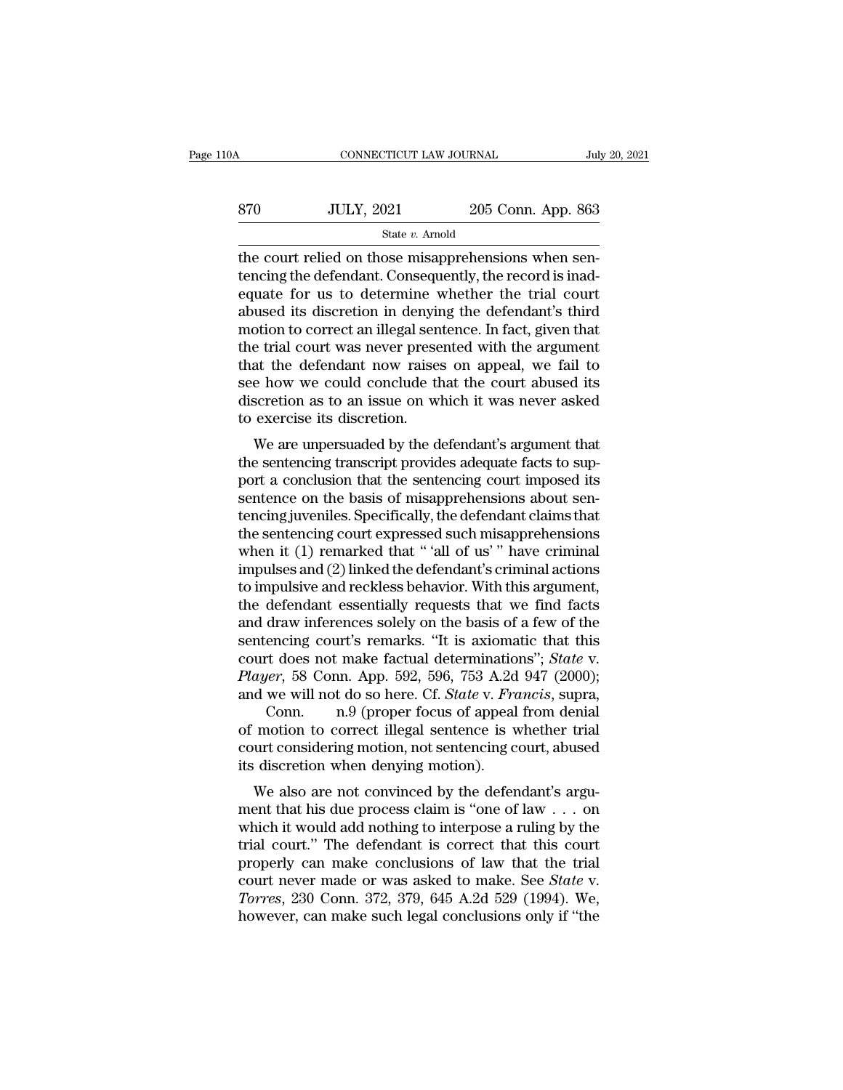| 10A | CONNECTICUT LAW JOURNAL |                    | July 20, 2021 |  |
|-----|-------------------------|--------------------|---------------|--|
| 870 | <b>JULY, 2021</b>       | 205 Conn. App. 863 |               |  |
|     | State $v$ . Arnold      |                    |               |  |

CONNECTICUT LAW JOURNAL<br>
STO JULY, 2021 205 Conn. App. 863<br>
State v. Arnold<br>
The court relied on those misapprehensions when sen-<br>
tencing the defendant. Consequently, the record is inad- $\begin{array}{r} \text{370} \\ \text{570} \\ \text{570} \\ \text{570} \\ \text{570} \\ \text{670} \\ \text{683} \\ \text{681} \\ \text{69} \\ \text{69} \\ \text{69} \\ \text{69} \\ \text{69} \\ \text{69} \\ \text{69} \\ \text{69} \\ \text{69} \\ \text{69} \\ \text{69} \\ \text{69} \\ \text{69} \\ \text{69} \\ \text{69} \\ \text{69} \\ \text{69} \\ \text{69} \\ \text{69} \\ \text{69} \\ \text{69} \\ \text$ For all the court relied on those misapprehensions when sentencing the defendant. Consequently, the record is inadequate for us to determine whether the trial court abused its discretion in denying the defendant's third m  $\begin{array}{r} \text{370} & \text{JULY, 2021} & \text{205 Conn. App. 863} \\ \text{State } v. \text{ Arnold} \\ \text{the court relied on those misapprehensions when sen-  
tencing the defendant. Consequently, the record is inad-  
equate for us to determine whether the trial court  
abused its discretion in denying the defendant's third  
motion to correct an illegal sentence. In fact, given that  
the trial court was power presented with the argument$ State v. Amold<br>
State v. Amold<br>
the court relied on those misapprehensions when sentencing the defendant. Consequently, the record is inad-<br>
equate for us to determine whether the trial court<br>
abused its discretion in den state  $v$ . Amold<br>the court relied on those misapprehensions when sen-<br>tencing the defendant. Consequently, the record is inad-<br>equate for us to determine whether the trial court<br>abused its discretion in denying the defend the court relied on those misapprehensions when sentancing the defendant. Consequently, the record is inadequate for us to determine whether the trial court abused its discretion in denying the defendant's third motion to tencing the defendant. Consequently, the record is inadequate for us to determine whether the trial court abused its discretion in denying the defendant's third motion to correct an illegal sentence. In fact, given that th equate for us to determine whether the trial court<br>abused its discretion in denying the defendant's third<br>motion to correct an illegal sentence. In fact, given that<br>the trial court was never presented with the argument<br>tha abused its discretion in denyir<br>motion to correct an illegal sen<br>the trial court was never prese<br>that the defendant now raises<br>see how we could conclude th<br>discretion as to an issue on w!<br>to exercise its discretion.<br>We are Stront to correct an megal sentence. In fact, given that<br>e trial court was never presented with the argument<br>at the defendant now raises on appeal, we fail to<br>e how we could conclude that the court abused its<br>scretion as t that the defendant now raises on appeal, we fail to<br>see how we could conclude that the court abused its<br>discretion as to an issue on which it was never asked<br>to exercise its discretion.<br>We are unpersuaded by the defendant'

Final the defendant now raises on appear, we rain to<br>see how we could conclude that the court abused its<br>discretion as to an issue on which it was never asked<br>to exercise its discretion.<br>We are unpersuaded by the defendant see now we could conclude that the court abused its<br>discretion as to an issue on which it was never asked<br>to exercise its discretion.<br>We are unpersuaded by the defendant's argument that<br>the sentencing transcript provides a the exercise its discretion.<br>
We are unpersuaded by the defendant's argument that<br>
the sentencing transcript provides adequate facts to sup-<br>
port a conclusion that the sentencing court imposed its<br>
sentence on the basis We are unpersuaded by the defendant's argument that<br>the sentencing transcript provides adequate facts to sup-<br>port a conclusion that the sentencing court imposed its<br>sentence on the basis of misapprehensions about sen-<br>te We are unpersuaded by the defendant's argument that<br>the sentencing transcript provides adequate facts to sup-<br>port a conclusion that the sentencing court imposed its<br>sentence on the basis of misapprehensions about sen-<br>ten the sentencing transcript provides adequate facts to support a conclusion that the sentencing court imposed its<br>sentence on the basis of misapprehensions about sentencing juveniles. Specifically, the defendant claims that<br> port a conclusion that the sentencing court imposed its<br>sentence on the basis of misapprehensions about sen-<br>tencing juveniles. Specifically, the defendant claims that<br>the sentencing court expressed such misapprehensions<br>w sentence on the basis of misapprehensions about sentencing juveniles. Specifically, the defendant claims that<br>the sentencing court expressed such misapprehensions<br>when it (1) remarked that " 'all of us' " have criminal<br>imp tencing juveniles. Specifically, the defendant claims that<br>the sentencing court expressed such misapprehensions<br>when it (1) remarked that " 'all of us' " have criminal<br>impulses and (2) linked the defendant's criminal actio the sentencing court expressed such misapprehensions<br>when it (1) remarked that "'all of us'" have criminal<br>impulses and (2) linked the defendant's criminal actions<br>to impulsive and reckless behavior. With this argument,<br>t when it (1) remarked that " 'all of us' " have criminal<br>impulses and (2) linked the defendant's criminal actions<br>to impulsive and reckless behavior. With this argument,<br>the defendant essentially requests that we find facts *Player*, 58 Conn. App. 592, 596, 753 A.2d 947 (2000);<br> *Player*, 59 Conn. App. 592, 596, 753 A.2d 947 (2000);<br> *Player*, 58 Conn. App. 592, 596, 753 A.2d 947 (2000);<br> *Player*, 58 Conn. App. 592, 596, 753 A.2d 947 (2000); to impulsive and reckless behavior. With this argument,<br>the defendant essentially requests that we find facts<br>and draw inferences solely on the basis of a few of the<br>sentencing court's remarks. "It is axiomatic that this<br>c defendant essentially requests that we find facts<br>draw inferences solely on the basis of a few of the<br>encing court's remarks. "It is axiomatic that this<br>rt does not make factual determinations"; *State v.<br>ler*, 58 Conn. Ap and draw inferences solely on the basis of a few of the<br>sentencing court's remarks. "It is axiomatic that this<br>court does not make factual determinations"; *State* v.<br>*Player*, 58 Conn. App. 592, 596, 753 A.2d 947 (2000);<br> sentencing court's remarks. "It is axiomatic that this<br>court does not make factual determinations"; *State* v.<br>*Player*, 58 Conn. App. 592, 596, 753 A.2d 947 (2000);<br>and we will not do so here. Cf. *State* v. *Francis*, su

court does not make factual determinatio<br> *Player*, 58 Conn. App. 592, 596, 753 A.2d<br>
and we will not do so here. Cf. *State* v. *Frc*<br>
Conn. n.9 (proper focus of appeal<br>
of motion to correct illegal sentence is v<br>
court c Let  $\mu$  be also conflict Apple 1922, 390, 753 A.2d 947 (2000),<br>d we will not do so here. Cf. *State* v. *Francis*, supra,<br>Conn. n.9 (proper focus of appeal from denial<br>motion to correct illegal sentence is whether trial<br> and we win not do so here. Cr. *State v. Frances*, supra,<br>
Conn. n.9 (proper focus of appeal from denial<br>
court considering motion, not sentencing court, abused<br>
its discretion when denying motion).<br>
We also are not convin

Fig. 1.1.9 (proper rocus of appear front definal<br>of motion to correct illegal sentence is whether trial<br>court considering motion, not sentencing court, abused<br>its discretion when denying motion).<br>We also are not convinced for motion to correct megal sentence is whether that<br>
court considering motion, not sentencing court, abused<br>
its discretion when denying motion).<br>
We also are not convinced by the defendant's argu-<br>
ment that his due pro be also are not convinced by the defendant's argument that his due process claim is "one of law . . . on<br>which it would add nothing to interpose a ruling by the<br>trial court." The defendant is correct that this court<br>prope Ke also are not convinced by the defendant's argument that his due process claim is "one of law . . . on<br>which it would add nothing to interpose a ruling by the<br>trial court." The defendant is correct that this court<br>proper We also are not convinced by the defendant's argument that his due process claim is "one of law . . . on which it would add nothing to interpose a ruling by the trial court." The defendant is correct that this court proper ment that his due process claim is "one of law  $\ldots$  on which it would add nothing to interpose a ruling by the trial court." The defendant is correct that this court properly can make conclusions of law that the trial co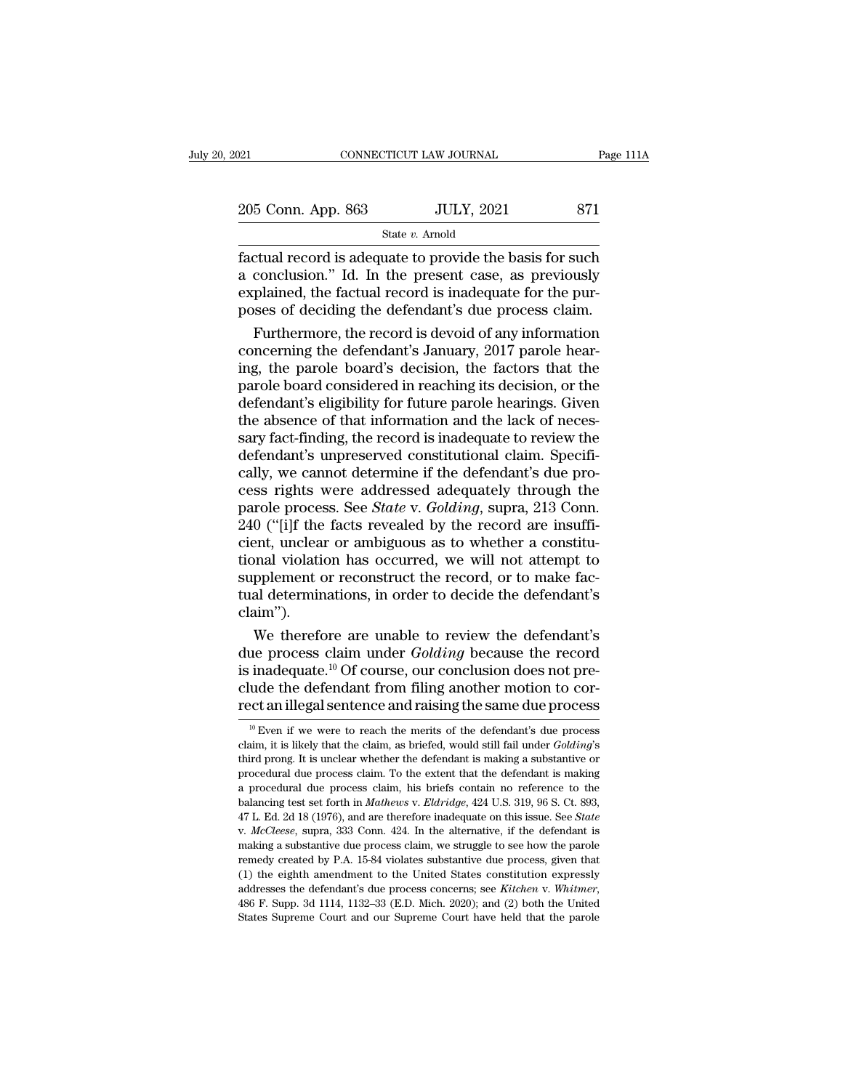| 021                | CONNECTICUT LAW JOURNAL |                   | Page 111A |  |
|--------------------|-------------------------|-------------------|-----------|--|
| 205 Conn. App. 863 |                         | <b>JULY, 2021</b> | 871       |  |
|                    | State $v$ . Arnold      |                   |           |  |

Fage 111A<br>
Fage 111A<br>  $\frac{205 \text{ Conn. App. 863}}{\text{State } v. \text{ Arnold}}$ <br>  $\frac{\text{State } v. \text{ Arnold}}{\text{factual record is adequate to provide the basis for such a conclusion." Id. In the present case, as previously explained the factual record is inadequate for the our.}$ 205 Conn. App. 863 JULY, 2021 871<br>
State v. Arnold<br>
factual record is adequate to provide the basis for such<br>
a conclusion." Id. In the present case, as previously<br>
explained, the factual record is inadequate for the pur-205 Conn. App. 863 JULY, 2021 871<br>
State v. Amold<br>
factual record is adequate to provide the basis for such<br>
a conclusion." Id. In the present case, as previously<br>
explained, the factual record is inadequate for the pur-<br> 205 Conn. App. 863 JULY, 2021 871<br>
State v. Arnold<br>
factual record is adequate to provide the basis for such<br>
a conclusion." Id. In the present case, as previously<br>
explained, the factual record is inadequate for the pur-State v. Arnold<br>
State v. Arnold<br>
Conclusion." Id. In the present case, as previously<br>
plained, the factual record is inadequate for the pur-<br>
ses of deciding the defendant's due process claim.<br>
Furthermore, the record is Factual record is adequate to provide the basis for such<br>a conclusion." Id. In the present case, as previously<br>explained, the factual record is inadequate for the pur-<br>poses of deciding the defendant's due process claim.<br>F

factual record is adequate to provide the basis for such<br>a conclusion." Id. In the present case, as previously<br>explained, the factual record is inadequate for the pur-<br>poses of deciding the defendant's due process claim.<br>F a conclusion." Id. In the present case, as previously<br>explained, the factual record is inadequate for the pur-<br>poses of deciding the defendant's due process claim.<br>Furthermore, the record is devoid of any information<br>conce explained, the factual record is inadequate for the pur-<br>poses of deciding the defendant's due process claim.<br>Furthermore, the record is devoid of any information<br>concerning the defendant's January, 2017 parole hear-<br>ing, poses of deciding the defendant's due process claim.<br>Furthermore, the record is devoid of any information<br>concerning the defendant's January, 2017 parole hear-<br>ing, the parole board's decision, the factors that the<br>parole Furthermore, the record is devoid of any information<br>concerning the defendant's January, 2017 parole hear-<br>ing, the parole board's decision, the factors that the<br>parole board considered in reaching its decision, or the<br>def concerning the defendant's January, 2017 parole hear-<br>ing, the parole board's decision, the factors that the<br>parole board considered in reaching its decision, or the<br>defendant's eligibility for future parole hearings. Give ing, the parole board's decision, the factors that the parole board considered in reaching its decision, or the defendant's eligibility for future parole hearings. Given the absence of that information and the lack of nece parole board considered in reaching its decision, or the<br>defendant's eligibility for future parole hearings. Given<br>the absence of that information and the lack of neces-<br>sary fact-finding, the record is inadequate to revie defendant's eligibility for future parole hearings. Given<br>the absence of that information and the lack of neces-<br>sary fact-finding, the record is inadequate to review the<br>defendant's unpreserved constitutional claim. Speci the absence of that information and the lack of necessary fact-finding, the record is inadequate to review the defendant's unpreserved constitutional claim. Specifically, we cannot determine if the defendant's due process sary fact-finding, the record is inadequate to review the defendant's unpreserved constitutional claim. Specifically, we cannot determine if the defendant's due process rights were addressed adequately through the parole p defendant's unpreserved constitutional claim. Specifically, we cannot determine if the defendant's due process rights were addressed adequately through the parole process. See *State* v. *Golding*, supra, 213 Conn. 240 ("[ cally, we cannot determine if the defendant's due process rights were addressed adequately through the parole process. See *State* v. *Golding*, supra, 213 Conn. 240 ("[i]f the facts revealed by the record are insufficient cess rights were addressed adequately through the<br>parole process. See *State* v. *Golding*, supra, 213 Conn.<br>240 ("[i]f the facts revealed by the record are insuffi-<br>cient, unclear or ambiguous as to whether a constitu-<br>ti claim'').  $0$  ("[i]f the facts revealed by the record are insuffi-<br>ent, unclear or ambiguous as to whether a constitu-<br>onal violation has occurred, we will not attempt to<br>pplement or reconstruct the record, or to make fac-<br>al deter cient, unclear or ambiguous as to whether a constitu-<br>tional violation has occurred, we will not attempt to<br>supplement or reconstruct the record, or to make fac-<br>tual determinations, in order to decide the defendant's<br>clai

tional violation has occurred, we will not attempt to<br>supplement or reconstruct the record, or to make fac-<br>tual determinations, in order to decide the defendant's<br>claim'').<br>We therefore are unable to review the defendant supplement or reconstruct the record, or to make factual determinations, in order to decide the defendant's claim'').<br>We therefore are unable to review the defendant's due process claim under *Golding* because the record i tual determinations, in order to decide the defendant's<br>claim'').<br>We therefore are unable to review the defendant's<br>due process claim under *Golding* because the record<br>is inadequate.<sup>10</sup> Of course, our conclusion does no ue process claim under *Golding* because the record inadequate.<sup>10</sup> Of course, our conclusion does not pre-<br>ude the defendant from filing another motion to cor-<br>ect an illegal sentence and raising the same due process<br><sup>10</sup> is inadequate.<sup>10</sup> Of course, our conclusion does not pre-<br>clude the defendant from filing another motion to cor-<br>rect an illegal sentence and raising the same due process<br> $\frac{10 \text{ E} \text{V}}{10 \text{ E} \text{V}}$  we were to reach t

clude the defendant from filing another motion to correct an illegal sentence and raising the same due process  $\frac{10 \text{ Even if we were to reach the merits of the defendant's due process claim, it is likely that the claim, as briefed, would still fail under *Golding's* third prong. It is unclear whether the defendant is making a substantive or procedural due process claim. To the extent that the defendant is making$ procedural due process claim. To the extend the same due process  $\frac{10}{10}$  Even if we were to reach the merits of the defendant's due process claim, it is likely that the claim, as briefed, would still fail under *Goldi* Fect an integar sentence and raising the same due process<br>
<sup>10</sup> Even if we were to reach the merits of the defendant's due process<br>
claim, it is likely that the claim, as briefed, would still fail under *Golding*'s<br>
third <sup>10</sup> Even if we were to reach the merits of the defendant's due process claim, it is likely that the claim, as briefed, would still fail under *Golding*'s third prong. It is unclear whether the defendant is making a subst delaim, it is likely that the claim, as briefed, would still fail under *Golding's* third prong. It is unclear whether the defendant is making a substantive or procedural due process claim. To the extent that the defendant procedural due process claim. To the extent that the defendant is making a procedural due process claim, his briefs contain no reference to the balancing test set forth in *Mathews* v. *Eldridge*, 424 U.S. 319, 96 S. Ct. 8 remedural due process claim, his briefs contain no reference to the balancing test set forth in *Mathews v. Eldridge*, 424 U.S. 319, 96 S. Ct. 893, 47 L. Ed. 2d 18 (1976), and are therefore inadequate on this issue. See *S* a balancing test set forth in *Mathews v. Eldridge*, 424 U.S. 319, 96 S. Ct. 893, 47 L. Ed. 2d 18 (1976), and are therefore inadequate on this issue. See *State* v. *McCleese*, supra, 333 Conn. 424. In the alternative, if addresses the defendant's due process claim, we struggle to see *State* v. *McCleese*, supra, 333 Conn. 424. In the alternative, if the defendant is making a substantive due process claim, we struggle to see how the parole v. *McCleese*, supra, 333 Conn. 424. In the alternative, if the defendant is making a substantive due process claim, we struggle to see how the parole remedy created by P.A. 15-84 violates substantive due process, given t